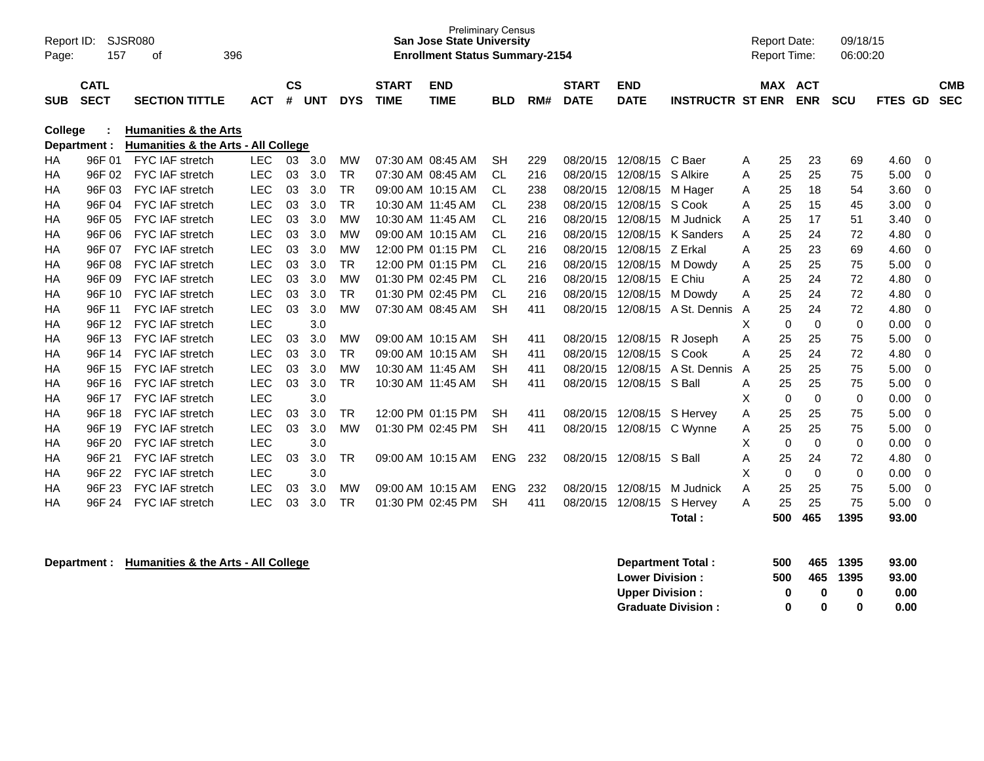| Report ID: |                            | SJSR080                                                                 |            |                |            |            |                             | <b>Preliminary Census</b><br><b>San Jose State University</b> |            |     |                             |                           |                         | <b>Report Date:</b> |           |                          | 09/18/15    |               |                          |
|------------|----------------------------|-------------------------------------------------------------------------|------------|----------------|------------|------------|-----------------------------|---------------------------------------------------------------|------------|-----|-----------------------------|---------------------------|-------------------------|---------------------|-----------|--------------------------|-------------|---------------|--------------------------|
| Page:      | 157                        | 396<br>οf                                                               |            |                |            |            |                             | <b>Enrollment Status Summary-2154</b>                         |            |     |                             |                           |                         | <b>Report Time:</b> |           |                          | 06:00:20    |               |                          |
| <b>SUB</b> | <b>CATL</b><br><b>SECT</b> | <b>SECTION TITTLE</b>                                                   | <b>ACT</b> | <b>CS</b><br># | <b>UNT</b> | <b>DYS</b> | <b>START</b><br><b>TIME</b> | <b>END</b><br><b>TIME</b>                                     | <b>BLD</b> | RM# | <b>START</b><br><b>DATE</b> | <b>END</b><br><b>DATE</b> | <b>INSTRUCTR ST ENR</b> | <b>MAX</b>          |           | <b>ACT</b><br><b>ENR</b> | <b>SCU</b>  | FTES GD       | <b>CMB</b><br><b>SEC</b> |
| College    | Department :               | <b>Humanities &amp; the Arts</b><br>Humanities & the Arts - All College |            |                |            |            |                             |                                                               |            |     |                             |                           |                         |                     |           |                          |             |               |                          |
| HA         | 96F 01                     | <b>FYC IAF stretch</b>                                                  | <b>LEC</b> | 03             | 3.0        | MW         | 07:30 AM 08:45 AM           |                                                               | <b>SH</b>  | 229 | 08/20/15                    | 12/08/15 C Baer           |                         | A                   | 25        | 23                       | 69          | 4.60          | 0                        |
| <b>HA</b>  | 96F 02                     | <b>FYC IAF stretch</b>                                                  | <b>LEC</b> | 03             | 3.0        | <b>TR</b>  | 07:30 AM 08:45 AM           |                                                               | <b>CL</b>  | 216 | 08/20/15                    | 12/08/15                  | S Alkire                | A                   | 25        | 25                       | 75          | 5.00          | 0                        |
| <b>HA</b>  | 96F 03                     | <b>FYC IAF stretch</b>                                                  | <b>LEC</b> | 03             | 3.0        | <b>TR</b>  | 09:00 AM 10:15 AM           |                                                               | CL         | 238 | 08/20/15                    | 12/08/15                  | M Hager                 | Α                   | 25        | 18                       | 54          | 3.60          | $\Omega$                 |
| <b>HA</b>  | 96F 04                     | FYC IAF stretch                                                         | <b>LEC</b> | 03             | 3.0        | <b>TR</b>  |                             | 10:30 AM 11:45 AM                                             | <b>CL</b>  | 238 | 08/20/15                    | 12/08/15 S Cook           |                         | A                   | 25        | 15                       | 45          | 3.00          | $\Omega$                 |
| HA         | 96F 05                     | <b>FYC IAF stretch</b>                                                  | LEC        | 03             | 3.0        | <b>MW</b>  |                             | 10:30 AM 11:45 AM                                             | <b>CL</b>  | 216 | 08/20/15                    |                           | 12/08/15 M Judnick      | A                   | 25        | 17                       | 51          | 3.40          | $\Omega$                 |
| HA         | 96F 06                     | <b>FYC IAF stretch</b>                                                  | <b>LEC</b> | 03             | 3.0        | MW         |                             | 09:00 AM 10:15 AM                                             | <b>CL</b>  | 216 | 08/20/15                    | 12/08/15                  | K Sanders               | A                   | 25        | 24                       | 72          | 4.80          | 0                        |
| НA         | 96F 07                     | <b>FYC IAF stretch</b>                                                  | LEC        | 03             | 3.0        | <b>MW</b>  |                             | 12:00 PM 01:15 PM                                             | <b>CL</b>  | 216 | 08/20/15                    | 12/08/15                  | Z Erkal                 | Α                   | 25        | 23                       | 69          | 4.60          | 0                        |
| НA         | 96F 08                     | FYC IAF stretch                                                         | LEC        | 03             | 3.0        | <b>TR</b>  |                             | 12:00 PM 01:15 PM                                             | <b>CL</b>  | 216 | 08/20/15                    | 12/08/15                  | M Dowdy                 | Α                   | 25        | 25                       | 75          | 5.00          | $\Omega$                 |
| НA         | 96F 09                     | FYC IAF stretch                                                         | <b>LEC</b> | 03             | 3.0        | <b>MW</b>  | 01:30 PM 02:45 PM           |                                                               | <b>CL</b>  | 216 | 08/20/15                    | 12/08/15 E Chiu           |                         | A                   | 25        | 24                       | 72          | 4.80          | 0                        |
| НA         | 96F 10                     | FYC IAF stretch                                                         | <b>LEC</b> | 03             | 3.0        | <b>TR</b>  |                             | 01:30 PM 02:45 PM                                             | <b>CL</b>  | 216 | 08/20/15                    |                           | 12/08/15 M Dowdy        | Α                   | 25        | 24                       | 72          | 4.80          | 0                        |
| <b>HA</b>  | 96F 11                     | <b>FYC IAF stretch</b>                                                  | <b>LEC</b> | 03             | 3.0        | <b>MW</b>  |                             | 07:30 AM 08:45 AM                                             | <b>SH</b>  | 411 | 08/20/15                    |                           | 12/08/15 A St. Dennis   | $\overline{A}$      | 25        | 24                       | 72          | 4.80          | 0                        |
| <b>HA</b>  | 96F 12                     | FYC IAF stretch                                                         | <b>LEC</b> |                | 3.0        |            |                             |                                                               |            |     |                             |                           |                         | X                   | 0         | $\mathbf 0$              | $\mathbf 0$ | 0.00          | 0                        |
| <b>HA</b>  | 96F 13                     | <b>FYC IAF stretch</b>                                                  | <b>LEC</b> | 03             | 3.0        | <b>MW</b>  |                             | 09:00 AM 10:15 AM                                             | <b>SH</b>  | 411 | 08/20/15                    | 12/08/15 R Joseph         |                         | Α                   | 25        | 25                       | 75          | 5.00          | $\Omega$                 |
| HA         | 96F 14                     | <b>FYC IAF stretch</b>                                                  | <b>LEC</b> | 03             | 3.0        | <b>TR</b>  |                             | 09:00 AM 10:15 AM                                             | <b>SH</b>  | 411 | 08/20/15                    | 12/08/15 S Cook           |                         | A                   | 25        | 24                       | 72          | 4.80          | $\Omega$                 |
| НA         | 96F 15                     | <b>FYC IAF stretch</b>                                                  | <b>LEC</b> | 03             | 3.0        | MW         | 10:30 AM 11:45 AM           |                                                               | <b>SH</b>  | 411 | 08/20/15                    | 12/08/15                  | A St. Dennis            | A                   | 25        | 25                       | 75          | 5.00          | 0                        |
| НA         | 96F 16                     | FYC IAF stretch                                                         | LEC        | 03             | 3.0        | <b>TR</b>  |                             | 10:30 AM 11:45 AM                                             | <b>SH</b>  | 411 | 08/20/15                    | 12/08/15 S Ball           |                         | Α                   | 25        | 25                       | 75          | 5.00          | 0                        |
| <b>HA</b>  | 96F 17                     | <b>FYC IAF stretch</b>                                                  | <b>LEC</b> |                | 3.0        |            |                             |                                                               |            |     |                             |                           |                         | X                   | $\Omega$  | $\mathbf 0$              | 0           | 0.00          | $\Omega$                 |
| НA         | 96F 18                     | FYC IAF stretch                                                         | LEC        | 03             | 3.0        | <b>TR</b>  |                             | 12:00 PM 01:15 PM                                             | <b>SH</b>  | 411 | 08/20/15                    | 12/08/15 S Hervey         |                         | Α                   | 25        | 25                       | 75          | 5.00          | 0                        |
| НA         | 96F 19                     | FYC IAF stretch                                                         | <b>LEC</b> | 03             | 3.0        | <b>MW</b>  |                             | 01:30 PM 02:45 PM                                             | <b>SH</b>  | 411 | 08/20/15                    | 12/08/15 C Wynne          |                         | Α                   | 25        | 25                       | 75          | 5.00          | 0                        |
| HA         | 96F 20                     | <b>FYC IAF stretch</b>                                                  | <b>LEC</b> |                | 3.0        |            |                             |                                                               |            |     |                             |                           |                         | X                   | $\Omega$  | $\Omega$                 | $\mathbf 0$ | 0.00          | $\Omega$                 |
| HA         | 96F 21                     | FYC IAF stretch                                                         | <b>LEC</b> | 03             | 3.0        | <b>TR</b>  | 09:00 AM 10:15 AM           |                                                               | <b>ENG</b> | 232 | 08/20/15                    | 12/08/15                  | S Ball                  | Α                   | 25        | 24                       | 72          | 4.80          | 0                        |
| <b>HA</b>  | 96F 22                     | <b>FYC IAF stretch</b>                                                  | LEC        |                | 3.0        |            |                             |                                                               |            |     |                             |                           |                         | X                   | $\Omega$  | $\Omega$                 | 0           | 0.00          | $\Omega$                 |
| НA         | 96F 23                     | FYC IAF stretch                                                         | <b>LEC</b> | 03             | 3.0        | <b>MW</b>  | 09:00 AM 10:15 AM           |                                                               | <b>ENG</b> | 232 | 08/20/15                    |                           | 12/08/15 M Judnick      | A                   | 25        | 25                       | 75          | 5.00          | 0                        |
| НA         | 96F 24                     | <b>FYC IAF stretch</b>                                                  | LEC        | 03             | 3.0        | <b>TR</b>  |                             | 01:30 PM 02:45 PM                                             | <b>SH</b>  | 411 | 08/20/15                    | 12/08/15                  | S Hervey<br>Total:      | A                   | 25<br>500 | 25<br>465                | 75<br>1395  | 5.00<br>93.00 | 0                        |

**Department : Humanities & the Arts - All College** 

| Department Total:         | 500 |   | 465 1395 | 93.00 |
|---------------------------|-----|---|----------|-------|
| <b>Lower Division:</b>    | 500 |   | 465 1395 | 93.00 |
| <b>Upper Division:</b>    | o   | n | o        | 0.00  |
| <b>Graduate Division:</b> | o   | o | 0        | 0.00  |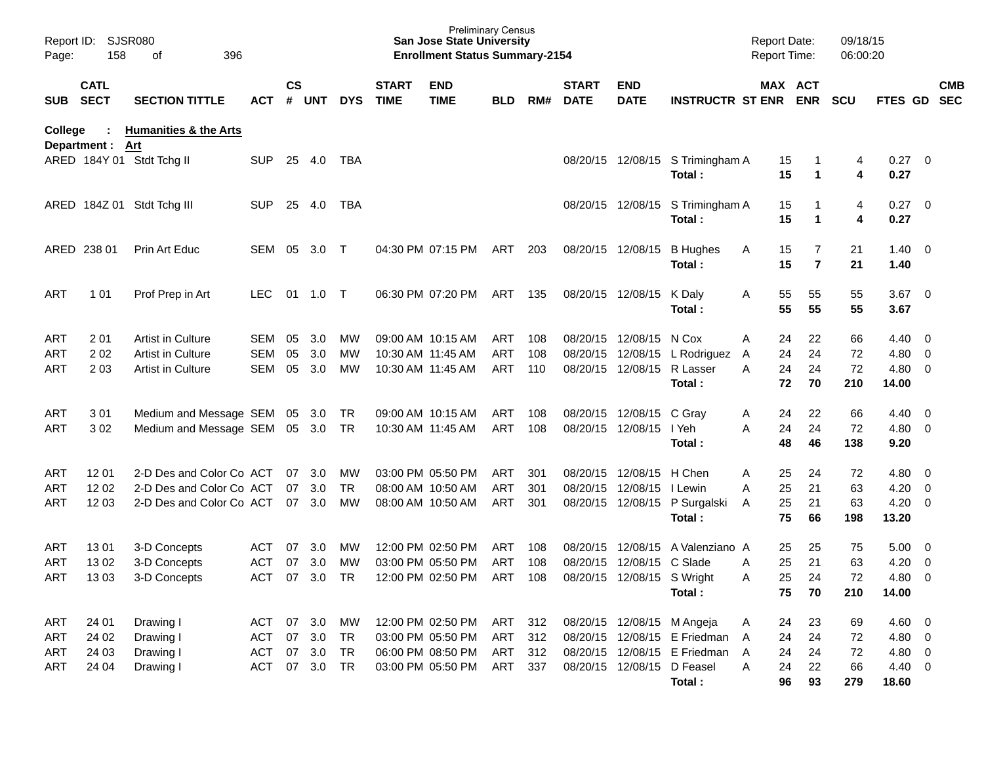| Report ID:<br>Page: | 158                        | <b>SJSR080</b><br>396<br>of      |            |                    |            |            |                             | <b>San Jose State University</b><br><b>Enrollment Status Summary-2154</b> | <b>Preliminary Census</b> |     |                             |                            |                                            | <b>Report Date:</b><br>Report Time: |                     | 09/18/15<br>06:00:20 |                     |                          |            |
|---------------------|----------------------------|----------------------------------|------------|--------------------|------------|------------|-----------------------------|---------------------------------------------------------------------------|---------------------------|-----|-----------------------------|----------------------------|--------------------------------------------|-------------------------------------|---------------------|----------------------|---------------------|--------------------------|------------|
| SUB                 | <b>CATL</b><br><b>SECT</b> | <b>SECTION TITTLE</b>            | <b>ACT</b> | $\mathsf{cs}$<br># | <b>UNT</b> | <b>DYS</b> | <b>START</b><br><b>TIME</b> | <b>END</b><br><b>TIME</b>                                                 | <b>BLD</b>                | RM# | <b>START</b><br><b>DATE</b> | <b>END</b><br><b>DATE</b>  | INSTRUCTR ST ENR ENR                       | MAX ACT                             |                     | <b>SCU</b>           | FTES GD SEC         |                          | <b>CMB</b> |
| <b>College</b>      | Department : Art           | <b>Humanities &amp; the Arts</b> |            |                    |            |            |                             |                                                                           |                           |     |                             |                            |                                            |                                     |                     |                      |                     |                          |            |
|                     |                            | ARED 184Y 01 Stdt Tchg II        | <b>SUP</b> |                    | 25 4.0     | TBA        |                             |                                                                           |                           |     |                             |                            | 08/20/15 12/08/15 S Trimingham A<br>Total: | 15<br>15                            | $\mathbf{1}$        | 4<br>4               | $0.27 \ 0$<br>0.27  |                          |            |
|                     |                            | ARED 184Z 01 Stdt Tchg III       | <b>SUP</b> | 25                 | 4.0        | TBA        |                             |                                                                           |                           |     |                             |                            | 08/20/15 12/08/15 S Trimingham A<br>Total: | 15<br>15                            | 1<br>$\mathbf{1}$   | 4<br>4               | 0.27<br>0.27        | $\overline{\phantom{0}}$ |            |
|                     | ARED 238 01                | Prin Art Educ                    | SEM        | 05                 | 3.0        | $\top$     |                             | 04:30 PM 07:15 PM                                                         | ART                       | 203 |                             | 08/20/15 12/08/15          | <b>B</b> Hughes<br>Total:                  | 15<br>Α<br>15                       | 7<br>$\overline{7}$ | 21<br>21             | $1.40 \ 0$<br>1.40  |                          |            |
| ART                 | 1 0 1                      | Prof Prep in Art                 | <b>LEC</b> | 01                 | 1.0        | $\top$     |                             | 06:30 PM 07:20 PM                                                         | ART                       | 135 |                             | 08/20/15 12/08/15          | K Daly<br>Total:                           | 55<br>Α<br>55                       | 55<br>55            | 55<br>55             | $3.67$ 0<br>3.67    |                          |            |
| ART                 | 201                        | Artist in Culture                | SEM        | 05                 | 3.0        | MW         |                             | 09:00 AM 10:15 AM                                                         | ART                       | 108 |                             | 08/20/15 12/08/15          | N Cox                                      | Α<br>24                             | 22                  | 66                   | $4.40 \ 0$          |                          |            |
| ART                 | 202                        | Artist in Culture                | <b>SEM</b> | 05                 | 3.0        | MW         |                             | 10:30 AM 11:45 AM                                                         | ART                       | 108 |                             |                            | 08/20/15 12/08/15 L Rodriguez              | 24<br>A                             | 24                  | 72                   | 4.80 0              |                          |            |
| ART                 | 2 0 3                      | <b>Artist in Culture</b>         | <b>SEM</b> | 05                 | 3.0        | MW         |                             | 10:30 AM 11:45 AM                                                         | <b>ART</b>                | 110 |                             | 08/20/15 12/08/15 R Lasser | Total:                                     | 24<br>A<br>72                       | 24<br>70            | 72<br>210            | 4.80 0<br>14.00     |                          |            |
| ART                 | 301                        | Medium and Message SEM 05 3.0    |            |                    |            | TR         |                             | 09:00 AM 10:15 AM                                                         | ART                       | 108 |                             | 08/20/15 12/08/15 C Gray   |                                            | 24<br>A                             | 22                  | 66                   | $4.40 \ 0$          |                          |            |
| ART                 | 302                        | Medium and Message SEM           |            |                    | 05 3.0     | TR         |                             | 10:30 AM 11:45 AM                                                         | ART                       | 108 |                             | 08/20/15 12/08/15          | I Yeh<br>Total:                            | 24<br>A<br>48                       | 24<br>46            | 72<br>138            | $4.80\ 0$<br>9.20   |                          |            |
| ART                 | 12 01                      | 2-D Des and Color Co ACT         |            | 07                 | 3.0        | МW         |                             | 03:00 PM 05:50 PM                                                         | ART                       | 301 |                             | 08/20/15 12/08/15          | H Chen                                     | Α<br>25                             | 24                  | 72                   | $4.80\ 0$           |                          |            |
| ART                 | 12 02                      | 2-D Des and Color Co ACT         |            | 07                 | 3.0        | <b>TR</b>  |                             | 08:00 AM 10:50 AM                                                         | ART                       | 301 | 08/20/15                    | 12/08/15                   | I Lewin                                    | 25<br>A                             | 21                  | 63                   | $4.20 \ 0$          |                          |            |
| ART                 | 12 03                      | 2-D Des and Color Co ACT         |            | 07                 | 3.0        | MW         |                             | 08:00 AM 10:50 AM                                                         | <b>ART</b>                | 301 |                             |                            | 08/20/15 12/08/15 P Surgalski<br>Total:    | 25<br>A<br>75                       | 21<br>66            | 63<br>198            | $4.20 \ 0$<br>13.20 |                          |            |
| ART                 | 1301                       | 3-D Concepts                     | ACT        | 07                 | 3.0        | MW         |                             | 12:00 PM 02:50 PM                                                         | ART                       | 108 | 08/20/15                    | 12/08/15                   | A Valenziano A                             | 25                                  | 25                  | 75                   | 5.00                | $\overline{\phantom{0}}$ |            |
| ART                 | 1302                       | 3-D Concepts                     | <b>ACT</b> | 07                 | 3.0        | MW         |                             | 03:00 PM 05:50 PM                                                         | <b>ART</b>                | 108 | 08/20/15                    | 12/08/15                   | C Slade                                    | 25<br>Α                             | 21                  | 63                   | 4.20                | $\overline{\phantom{0}}$ |            |
| ART                 | 1303                       | 3-D Concepts                     | <b>ACT</b> | 07                 | 3.0        | <b>TR</b>  |                             | 12:00 PM 02:50 PM                                                         | <b>ART</b>                | 108 |                             | 08/20/15 12/08/15 S Wright |                                            | 25<br>Α                             | 24                  | 72                   | 4.80                | $\overline{\phantom{0}}$ |            |
|                     |                            |                                  |            |                    |            |            |                             |                                                                           |                           |     |                             |                            | Total:                                     | 75                                  | 70                  | 210                  | 14.00               |                          |            |
| ART                 | 24 01                      | Drawing I                        | ACT        | 07                 | 3.0        | МW         |                             | 12:00 PM 02:50 PM                                                         | ART                       | 312 |                             |                            | 08/20/15 12/08/15 M Angeja                 | 24<br>Α                             | 23                  | 69                   | $4.60$ 0            |                          |            |
| ART                 | 24 02                      | Drawing I                        | <b>ACT</b> |                    | 07 3.0     | TR         |                             | 03:00 PM 05:50 PM                                                         | ART                       | 312 |                             |                            | 08/20/15 12/08/15 E Friedman               | 24<br>A                             | 24                  | 72                   | 4.80 0              |                          |            |
| ART                 | 24 03                      | Drawing I                        | <b>ACT</b> |                    | 07 3.0     | <b>TR</b>  |                             | 06:00 PM 08:50 PM                                                         | ART                       | 312 |                             |                            | 08/20/15 12/08/15 E Friedman               | 24<br>A                             | 24                  | 72                   | 4.80 0              |                          |            |
| ART                 | 24 04                      | Drawing I                        | <b>ACT</b> | 07                 | 3.0        | TR         |                             | 03:00 PM 05:50 PM                                                         | ART 337                   |     |                             | 08/20/15 12/08/15 D Feasel |                                            | 24<br>Α                             | 22                  | 66                   | 4.40 0              |                          |            |
|                     |                            |                                  |            |                    |            |            |                             |                                                                           |                           |     |                             |                            | Total:                                     | 96                                  | 93                  | 279                  | 18.60               |                          |            |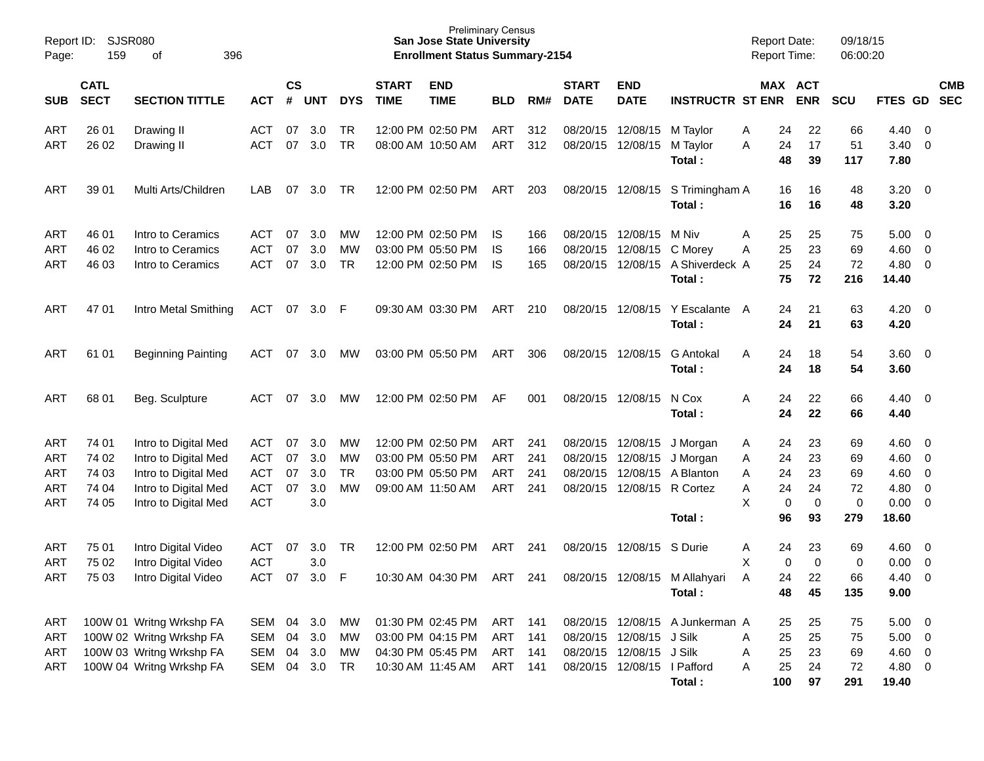| Report ID:<br>Page: | SJSR080<br>159                                                                           | 396<br>οf                 |            |    |                      |            |                             | <b>Preliminary Census</b><br><b>San Jose State University</b><br><b>Enrollment Status Summary-2154</b> |            |     |                             |                             |                                 | <b>Report Date:</b><br><b>Report Time:</b> |                       | 09/18/15<br>06:00:20 |                    |                          |                          |
|---------------------|------------------------------------------------------------------------------------------|---------------------------|------------|----|----------------------|------------|-----------------------------|--------------------------------------------------------------------------------------------------------|------------|-----|-----------------------------|-----------------------------|---------------------------------|--------------------------------------------|-----------------------|----------------------|--------------------|--------------------------|--------------------------|
| <b>SUB</b>          | <b>CATL</b><br><b>SECT</b><br><b>SECTION TITTLE</b><br><b>ACT</b><br>26 01<br>Drawing II |                           |            |    | $\mathsf{cs}$<br>UNT | <b>DYS</b> | <b>START</b><br><b>TIME</b> | <b>END</b><br><b>TIME</b>                                                                              | <b>BLD</b> | RM# | <b>START</b><br><b>DATE</b> | <b>END</b><br><b>DATE</b>   | <b>INSTRUCTR ST ENR</b>         |                                            | MAX ACT<br><b>ENR</b> | <b>SCU</b>           | <b>FTES GD</b>     |                          | <b>CMB</b><br><b>SEC</b> |
| <b>ART</b>          |                                                                                          |                           | <b>ACT</b> | 07 | 3.0                  | TR         |                             | 12:00 PM 02:50 PM                                                                                      | ART        | 312 | 08/20/15 12/08/15           |                             | M Taylor                        | 24<br>A                                    | 22                    | 66                   | 4.40               | $\overline{0}$           |                          |
| ART                 | 26 02                                                                                    | Drawing II                | <b>ACT</b> | 07 | 3.0                  | TR         |                             | 08:00 AM 10:50 AM                                                                                      | ART        | 312 | 08/20/15 12/08/15           |                             | M Taylor<br>Total:              | A<br>24<br>48                              | 17<br>39              | 51<br>117            | 3.40<br>7.80       | $\overline{0}$           |                          |
| ART                 | 39 01                                                                                    | Multi Arts/Children       | LAB        | 07 | 3.0                  | TR         |                             | 12:00 PM 02:50 PM                                                                                      | ART        | 203 |                             | 08/20/15 12/08/15           | S Trimingham A<br>Total:        | 16<br>16                                   | 16<br>16              | 48<br>48             | $3.20 \ 0$<br>3.20 |                          |                          |
| ART                 | 46 01                                                                                    | Intro to Ceramics         | ACT        | 07 | 3.0                  | МW         |                             | 12:00 PM 02:50 PM                                                                                      | IS.        | 166 |                             | 08/20/15 12/08/15           | M Niv                           | 25<br>A                                    | 25                    | 75                   | 5.00               | $\overline{\phantom{0}}$ |                          |
| ART                 | 46 02                                                                                    | Intro to Ceramics         | <b>ACT</b> | 07 | 3.0                  | MW         |                             | 03:00 PM 05:50 PM                                                                                      | IS         | 166 | 08/20/15                    | 12/08/15                    | C Morey                         | 25<br>Α                                    | 23                    | 69                   | 4.60               | $\overline{0}$           |                          |
| ART                 | 46 03                                                                                    | Intro to Ceramics         | <b>ACT</b> | 07 | 3.0                  | <b>TR</b>  |                             | 12:00 PM 02:50 PM                                                                                      | IS         | 165 |                             | 08/20/15 12/08/15           | A Shiverdeck A<br>Total:        | 25<br>75                                   | 24<br>72              | 72<br>216            | 4.80<br>14.40      | $\overline{0}$           |                          |
| ART                 | 47 01                                                                                    | Intro Metal Smithing      | ACT        | 07 | 3.0 <sub>2</sub>     | - F        |                             | 09:30 AM 03:30 PM                                                                                      | ART        | 210 |                             | 08/20/15 12/08/15           | Y Escalante<br>Total:           | 24<br>A<br>24                              | 21<br>21              | 63<br>63             | $4.20 \ 0$<br>4.20 |                          |                          |
| ART                 | 61 01                                                                                    | <b>Beginning Painting</b> | ACT        | 07 | 3.0                  | МW         |                             | 03:00 PM 05:50 PM                                                                                      | ART        | 306 |                             | 08/20/15 12/08/15           | <b>G</b> Antokal<br>Total:      | Α<br>24<br>24                              | 18<br>18              | 54<br>54             | $3.60 \ 0$<br>3.60 |                          |                          |
| ART                 | 68 01                                                                                    | Beg. Sculpture            | ACT        | 07 | 3.0                  | MW         |                             | 12:00 PM 02:50 PM                                                                                      | AF         | 001 |                             | 08/20/15 12/08/15           | N Cox<br>Total:                 | 24<br>Α<br>24                              | 22<br>22              | 66<br>66             | 4.40<br>4.40       | $\overline{\mathbf{0}}$  |                          |
| ART                 | 74 01                                                                                    | Intro to Digital Med      | <b>ACT</b> | 07 | 3.0                  | МW         |                             | 12:00 PM 02:50 PM                                                                                      | ART        | 241 |                             | 08/20/15 12/08/15           | J Morgan                        | 24<br>A                                    | 23                    | 69                   | 4.60               | $\overline{\mathbf{0}}$  |                          |
| ART                 | 74 02                                                                                    | Intro to Digital Med      | <b>ACT</b> | 07 | 3.0                  | MW         |                             | 03:00 PM 05:50 PM                                                                                      | ART        | 241 | 08/20/15                    | 12/08/15                    | J Morgan                        | 24<br>A                                    | 23                    | 69                   | 4.60               | $\overline{0}$           |                          |
| ART                 | 74 03                                                                                    | Intro to Digital Med      | <b>ACT</b> | 07 | 3.0                  | <b>TR</b>  |                             | 03:00 PM 05:50 PM                                                                                      | ART        | 241 | 08/20/15                    | 12/08/15                    | A Blanton                       | 24<br>Α                                    | 23                    | 69                   | 4.60               | $\overline{0}$           |                          |
| ART                 | 74 04                                                                                    | Intro to Digital Med      | <b>ACT</b> | 07 | 3.0                  | MW         |                             | 09:00 AM 11:50 AM                                                                                      | ART        | 241 | 08/20/15                    | 12/08/15                    | R Cortez                        | 24<br>Α                                    | 24                    | 72                   | 4.80               | $\overline{0}$           |                          |
| ART                 | 74 05                                                                                    | Intro to Digital Med      | <b>ACT</b> |    | 3.0                  |            |                             |                                                                                                        |            |     |                             |                             |                                 | X<br>$\mathbf 0$                           | 0                     | $\pmb{0}$            | 0.00               | $\overline{\mathbf{0}}$  |                          |
|                     |                                                                                          |                           |            |    |                      |            |                             |                                                                                                        |            |     |                             |                             | Total:                          | 96                                         | 93                    | 279                  | 18.60              |                          |                          |
| ART                 | 75 01                                                                                    | Intro Digital Video       | <b>ACT</b> | 07 | 3.0                  | TR         |                             | 12:00 PM 02:50 PM                                                                                      | ART        | 241 | 08/20/15                    | 12/08/15                    | S Durie                         | 24<br>A                                    | 23                    | 69                   | 4.60               | $\overline{\phantom{0}}$ |                          |
| ART                 | 75 02                                                                                    | Intro Digital Video       | <b>ACT</b> |    | 3.0                  |            |                             |                                                                                                        |            |     |                             |                             |                                 | X<br>0                                     | $\mathbf 0$           | 0                    | 0.00               | $\overline{0}$           |                          |
| ART                 | 75 03                                                                                    | Intro Digital Video       | <b>ACT</b> | 07 | 3.0                  | F          |                             | 10:30 AM 04:30 PM                                                                                      | ART        | 241 |                             | 08/20/15 12/08/15           | M Allahyari                     | 24<br>A                                    | 22                    | 66                   | 4.40               | $\overline{0}$           |                          |
|                     |                                                                                          |                           |            |    |                      |            |                             |                                                                                                        |            |     |                             |                             | Total:                          | 48                                         | 45                    | 135                  | 9.00               |                          |                          |
| ART                 |                                                                                          | 100W 01 Writng Wrkshp FA  | SEM 04     |    | 3.0                  | МW         |                             | 01:30 PM 02:45 PM                                                                                      | ART        | 141 |                             |                             | 08/20/15 12/08/15 A Junkerman A | 25                                         | 25                    | 75                   | $5.00 \t 0$        |                          |                          |
| <b>ART</b>          |                                                                                          | 100W 02 Writng Wrkshp FA  | SEM 04     |    | 3.0                  | МW         |                             | 03:00 PM 04:15 PM                                                                                      | ART        | 141 |                             | 08/20/15 12/08/15           | J Silk                          | 25<br>A                                    | 25                    | 75                   | $5.00 \t 0$        |                          |                          |
| ART                 |                                                                                          | 100W 03 Writng Wrkshp FA  | SEM 04     |    | 3.0                  | MW         |                             | 04:30 PM 05:45 PM                                                                                      | ART        | 141 |                             | 08/20/15 12/08/15           | J Silk                          | 25<br>A                                    | 23                    | 69                   | 4.60 0             |                          |                          |
| ART                 |                                                                                          | 100W 04 Writng Wrkshp FA  | SEM        | 04 | 3.0                  | TR         |                             | 10:30 AM 11:45 AM                                                                                      | ART        | 141 |                             | 08/20/15 12/08/15 I Pafford | Total:                          | 25<br>A<br>100                             | 24<br>97              | 72<br>291            | 4.80 0<br>19.40    |                          |                          |
|                     |                                                                                          |                           |            |    |                      |            |                             |                                                                                                        |            |     |                             |                             |                                 |                                            |                       |                      |                    |                          |                          |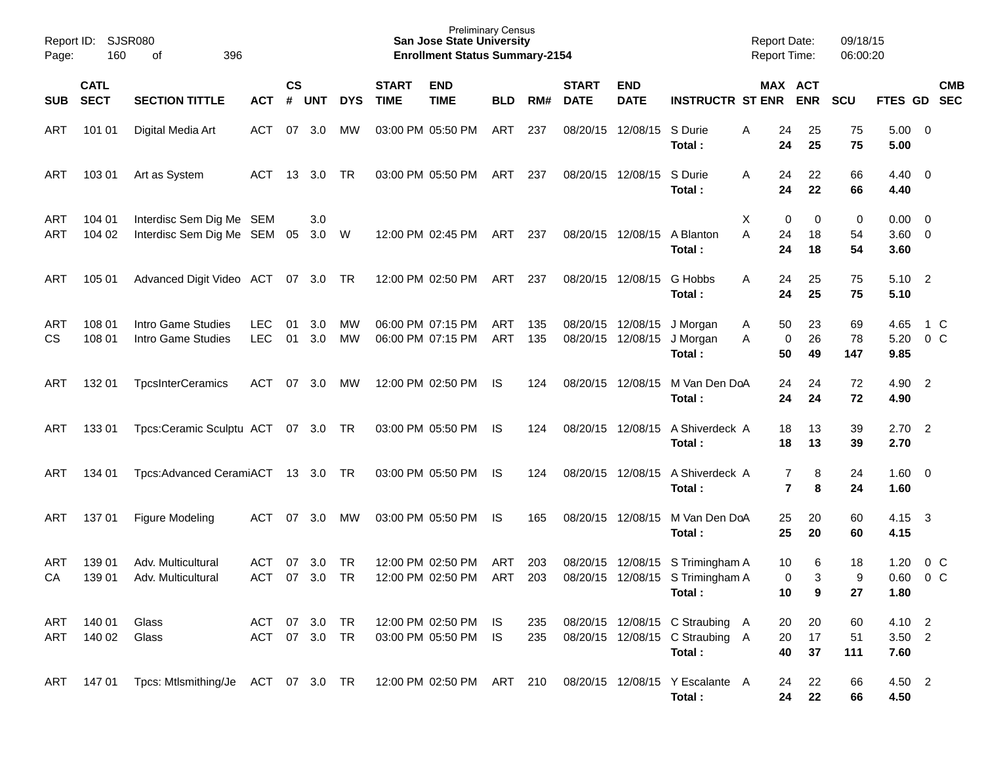| Report ID:<br>Page: | 160                        | SJSR080<br>396<br>οf                                    |                          |                    |            |                 |                             | <b>Preliminary Census</b><br><b>San Jose State University</b><br><b>Enrollment Status Summary-2154</b> |                   |            |                             |                           |                                                                                | <b>Report Date:</b><br>Report Time: |                                  | 09/18/15<br>06:00:20    |                                |                          |                |
|---------------------|----------------------------|---------------------------------------------------------|--------------------------|--------------------|------------|-----------------|-----------------------------|--------------------------------------------------------------------------------------------------------|-------------------|------------|-----------------------------|---------------------------|--------------------------------------------------------------------------------|-------------------------------------|----------------------------------|-------------------------|--------------------------------|--------------------------|----------------|
| <b>SUB</b>          | <b>CATL</b><br><b>SECT</b> | <b>SECTION TITTLE</b>                                   | ACT                      | $\mathsf{cs}$<br># | UNT        | <b>DYS</b>      | <b>START</b><br><b>TIME</b> | <b>END</b><br><b>TIME</b>                                                                              | <b>BLD</b>        | RM#        | <b>START</b><br><b>DATE</b> | <b>END</b><br><b>DATE</b> | <b>INSTRUCTR ST ENR</b>                                                        |                                     | MAX ACT<br><b>ENR</b>            | <b>SCU</b>              | FTES GD SEC                    |                          | <b>CMB</b>     |
| ART                 | 101 01                     | Digital Media Art                                       | <b>ACT</b>               | 07                 | 3.0        | мw              |                             | 03:00 PM 05:50 PM                                                                                      | ART               | 237        |                             | 08/20/15 12/08/15         | S Durie<br>Total:                                                              | Α                                   | 24<br>25<br>25<br>24             | 75<br>75                | 5.00<br>5.00                   | $\overline{\mathbf{0}}$  |                |
| ART                 | 103 01                     | Art as System                                           | <b>ACT</b>               | 13                 | 3.0        | TR.             |                             | 03:00 PM 05:50 PM                                                                                      | ART               | 237        |                             | 08/20/15 12/08/15         | S Durie<br>Total:                                                              | A                                   | 22<br>24<br>22<br>24             | 66<br>66                | 4.40<br>4.40                   | $\overline{\mathbf{0}}$  |                |
| ART<br>ART          | 104 01<br>104 02           | Interdisc Sem Dig Me SEM<br>Interdisc Sem Dig Me SEM 05 |                          |                    | 3.0<br>3.0 | W               |                             | 12:00 PM 02:45 PM                                                                                      | ART               | 237        |                             | 08/20/15 12/08/15         | A Blanton<br>Total:                                                            | Χ<br>A                              | 0<br>24<br>18<br>24<br>18        | 0<br>0<br>54<br>54      | 0.00<br>$3.60 \quad 0$<br>3.60 | $\overline{\mathbf{0}}$  |                |
| ART                 | 105 01                     | Advanced Digit Video ACT 07 3.0 TR                      |                          |                    |            |                 |                             | 12:00 PM 02:50 PM                                                                                      | ART               | 237        |                             | 08/20/15 12/08/15         | G Hobbs<br>Total:                                                              | A                                   | 25<br>24<br>25<br>24             | 75<br>75                | 5.10<br>5.10                   | $\overline{\phantom{0}}$ |                |
| ART<br><b>CS</b>    | 108 01<br>108 01           | Intro Game Studies<br>Intro Game Studies                | <b>LEC</b><br><b>LEC</b> | 01<br>01           | 3.0<br>3.0 | МW<br>MW        |                             | 06:00 PM 07:15 PM<br>06:00 PM 07:15 PM                                                                 | ART<br><b>ART</b> | 135<br>135 | 08/20/15 12/08/15           | 08/20/15 12/08/15         | J Morgan<br>J Morgan<br>Total:                                                 | A<br>A                              | 23<br>50<br>26<br>0<br>50<br>49  | 69<br>78<br>147         | 4.65<br>5.20<br>9.85           | 0 <sup>o</sup>           | 1 C            |
| ART                 | 132 01                     | <b>TpcsInterCeramics</b>                                | <b>ACT</b>               | 07                 | 3.0        | МW              |                             | 12:00 PM 02:50 PM                                                                                      | IS                | 124        |                             | 08/20/15 12/08/15         | M Van Den DoA<br>Total:                                                        |                                     | 24<br>24<br>24<br>24             | 72<br>72                | 4.90<br>4.90                   | $\overline{2}$           |                |
| ART                 | 133 01                     | Tpcs:Ceramic Sculptu ACT 07 3.0 TR                      |                          |                    |            |                 |                             | 03:00 PM 05:50 PM                                                                                      | IS.               | 124        |                             | 08/20/15 12/08/15         | A Shiverdeck A<br>Total:                                                       |                                     | 18<br>13<br>18<br>13             | 39<br>39                | 2.70<br>2.70                   | $\overline{\phantom{0}}$ |                |
| ART                 | 134 01                     | Tpcs:Advanced CeramiACT 13 3.0 TR                       |                          |                    |            |                 |                             | 03:00 PM 05:50 PM                                                                                      | IS.               | 124        |                             | 08/20/15 12/08/15         | A Shiverdeck A<br>Total:                                                       |                                     | 7<br>$\overline{7}$<br>8         | 24<br>8<br>24           | 1.60<br>1.60                   | $\overline{\mathbf{0}}$  |                |
| ART                 | 137 01                     | Figure Modeling                                         | <b>ACT</b>               | 07                 | 3.0        | МW              |                             | 03:00 PM 05:50 PM                                                                                      | IS                | 165        |                             | 08/20/15 12/08/15         | M Van Den DoA<br>Total:                                                        |                                     | 20<br>25<br>25<br>20             | 60<br>60                | 4.15<br>4.15                   | $\mathbf{3}$             |                |
| ART<br>CA           | 139 01<br>139 01           | Adv. Multicultural<br>Adv. Multicultural                | <b>ACT</b><br><b>ACT</b> | 07<br>07           | 3.0<br>3.0 | TR<br><b>TR</b> |                             | 12:00 PM 02:50 PM<br>12:00 PM 02:50 PM                                                                 | ART<br><b>ART</b> | 203<br>203 |                             |                           | 08/20/15 12/08/15 S Trimingham A<br>08/20/15 12/08/15 S Trimingham A<br>Total: |                                     | 10<br>0<br>10<br>9               | 6<br>18<br>3<br>9<br>27 | 1.20<br>0.60<br>1.80           | 0 <sup>o</sup>           | 0 <sup>o</sup> |
| ART<br>ART          | 140 01<br>140 02           | Glass<br>Glass                                          | ACT<br>ACT 07 3.0 TR     |                    | 07 3.0     | TR              |                             | 12:00 PM 02:50 PM IS<br>03:00 PM 05:50 PM                                                              | IS.               | 235<br>235 |                             |                           | 08/20/15 12/08/15 C Straubing A<br>08/20/15 12/08/15 C Straubing A<br>Total:   |                                     | 20<br>20<br>20<br>17<br>40<br>37 | 60<br>51<br>111         | 4.10 2<br>$3.50$ 2<br>7.60     |                          |                |
| ART                 | 14701                      | Tpcs: Mtlsmithing/Je ACT 07 3.0 TR                      |                          |                    |            |                 |                             | 12:00 PM 02:50 PM ART 210                                                                              |                   |            |                             |                           | 08/20/15 12/08/15 Y Escalante A<br>Total:                                      |                                     | 22<br>24<br>24<br>22             | 66<br>66                | 4.50 2<br>4.50                 |                          |                |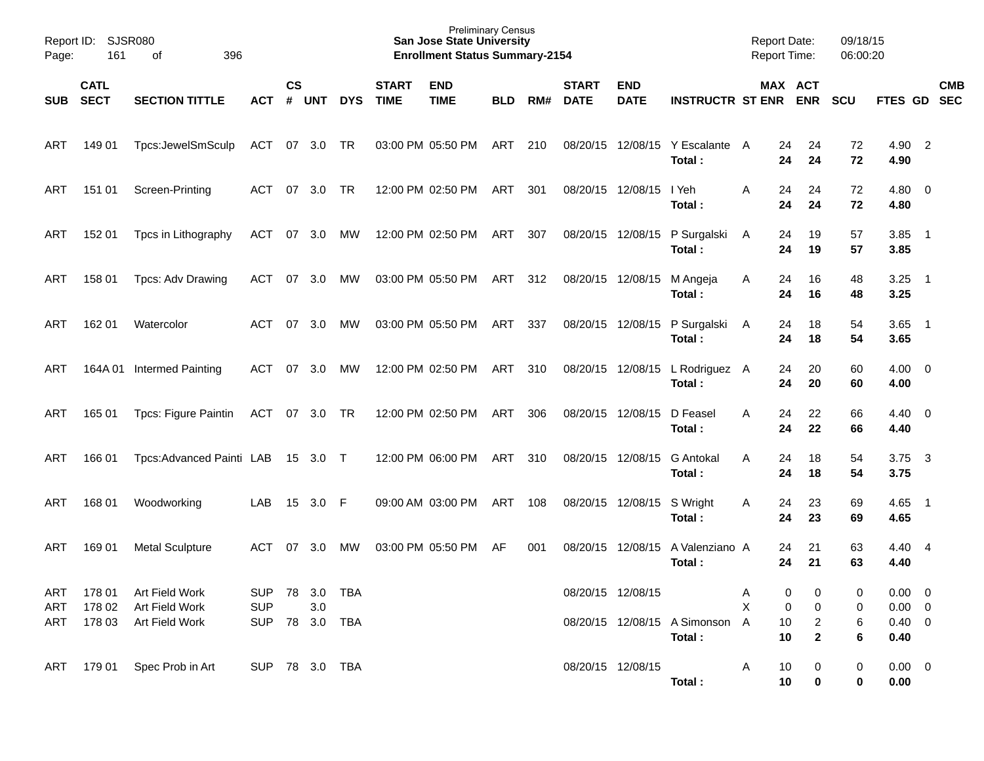| Page:      | Report ID: SJSR080<br>161 | 396<br>of                         |                |               |            |            |                             | <b>Preliminary Census</b><br><b>San Jose State University</b><br><b>Enrollment Status Summary-2154</b> |            |     |                             |                           |                                           | <b>Report Date:</b><br><b>Report Time:</b> |                      | 09/18/15<br>06:00:20 |                        |                            |            |
|------------|---------------------------|-----------------------------------|----------------|---------------|------------|------------|-----------------------------|--------------------------------------------------------------------------------------------------------|------------|-----|-----------------------------|---------------------------|-------------------------------------------|--------------------------------------------|----------------------|----------------------|------------------------|----------------------------|------------|
|            | <b>CATL</b><br>SUB SECT   | <b>SECTION TITTLE</b>             | ACT            | $\mathsf{cs}$ | # UNT      | <b>DYS</b> | <b>START</b><br><b>TIME</b> | <b>END</b><br><b>TIME</b>                                                                              | <b>BLD</b> | RM# | <b>START</b><br><b>DATE</b> | <b>END</b><br><b>DATE</b> | <b>INSTRUCTR ST ENR ENR</b>               |                                            | MAX ACT              | <b>SCU</b>           | FTES GD SEC            |                            | <b>CMB</b> |
| ART        | 149 01                    | Tpcs:JewelSmSculp                 | ACT 07 3.0 TR  |               |            |            |                             | 03:00 PM 05:50 PM                                                                                      | ART        | 210 |                             |                           | 08/20/15 12/08/15 Y Escalante A<br>Total: |                                            | 24<br>24<br>24<br>24 | 72<br>72             | 4.90 2<br>4.90         |                            |            |
| ART        | 151 01                    | Screen-Printing                   | ACT            |               | 07 3.0 TR  |            |                             | 12:00 PM 02:50 PM                                                                                      | ART        | 301 |                             | 08/20/15 12/08/15         | I Yeh<br>Total:                           | Α                                          | 24<br>24<br>24<br>24 | 72<br>72             | $4.80\ 0$<br>4.80      |                            |            |
| ART        | 15201                     | Tpcs in Lithography               | ACT            |               | 07 3.0 MW  |            |                             | 12:00 PM 02:50 PM                                                                                      | ART        | 307 |                             | 08/20/15 12/08/15         | P Surgalski<br>Total:                     | A                                          | 24<br>19<br>24<br>19 | 57<br>57             | 3.85<br>3.85           | $\overline{\phantom{0}}$ 1 |            |
| ART        | 158 01                    | Tpcs: Adv Drawing                 | ACT            |               | 07 3.0     | MW         |                             | 03:00 PM 05:50 PM                                                                                      | ART        | 312 | 08/20/15 12/08/15           |                           | M Angeja<br>Total:                        | A                                          | 16<br>24<br>24<br>16 | 48<br>48             | 3.25<br>3.25           | $\overline{\phantom{0}}$ 1 |            |
| ART        | 162 01                    | Watercolor                        | ACT            | 07            | - 3.0      | MW         |                             | 03:00 PM 05:50 PM                                                                                      | ART        | 337 |                             | 08/20/15 12/08/15         | P Surgalski<br>Total:                     | A                                          | 18<br>24<br>24<br>18 | 54<br>54             | $3.65$ 1<br>3.65       |                            |            |
| ART        |                           | 164A 01 Intermed Painting         | ACT            | 07            | 3.0        | MW         |                             | 12:00 PM 02:50 PM                                                                                      | ART        | 310 |                             | 08/20/15 12/08/15         | L Rodriguez A<br>Total:                   |                                            | 20<br>24<br>24<br>20 | 60<br>60             | $4.00 \ 0$<br>4.00     |                            |            |
| ART        | 165 01                    | Tpcs: Figure Paintin              | ACT 07 3.0 TR  |               |            |            |                             | 12:00 PM 02:50 PM                                                                                      | ART        | 306 |                             | 08/20/15 12/08/15         | D Feasel<br>Total:                        | Α                                          | 24<br>22<br>22<br>24 | 66<br>66             | $4.40 \ 0$<br>4.40     |                            |            |
| ART        | 166 01                    | Tpcs:Advanced Painti LAB 15 3.0 T |                |               |            |            |                             | 12:00 PM 06:00 PM                                                                                      | ART        | 310 | 08/20/15 12/08/15           |                           | <b>G</b> Antokal<br>Total:                | A                                          | 24<br>18<br>24<br>18 | 54<br>54             | 3.75<br>3.75           | $\overline{\mathbf{3}}$    |            |
| <b>ART</b> | 168 01                    | Woodworking                       | LAB            | 15            | 3.0 F      |            |                             | 09:00 AM 03:00 PM                                                                                      | ART        | 108 |                             | 08/20/15 12/08/15         | S Wright<br>Total:                        | A                                          | 23<br>24<br>23<br>24 | 69<br>69             | 4.65<br>4.65           | $\overline{\phantom{0}}$ 1 |            |
| ART        | 169 01                    | <b>Metal Sculpture</b>            | ACT            | 07            | 3.0        | MW         |                             | 03:00 PM 05:50 PM                                                                                      | AF         | 001 |                             | 08/20/15 12/08/15         | A Valenziano A<br>Total:                  |                                            | 21<br>24<br>21<br>24 | 63<br>63             | $4.40 \quad 4$<br>4.40 |                            |            |
| ART        | 178 01                    | Art Field Work                    | SUP 78 3.0 TBA |               |            |            |                             |                                                                                                        |            |     |                             | 08/20/15 12/08/15         |                                           | A                                          | 0<br>0               | 0                    | $0.00 \t 0$            |                            |            |
| ART        | 178 02                    | Art Field Work                    | <b>SUP</b>     |               | 3.0        |            |                             |                                                                                                        |            |     |                             |                           |                                           | X                                          | 0<br>0               | 0                    | $0.00 \t 0$            |                            |            |
| ART        |                           | 178 03 Art Field Work             | <b>SUP</b>     |               | 78 3.0 TBA |            |                             |                                                                                                        |            |     |                             |                           | 08/20/15 12/08/15 A Simonson              | A                                          | 10<br>2              | 6                    | $0.40 \quad 0$         |                            |            |
|            |                           |                                   |                |               |            |            |                             |                                                                                                        |            |     |                             |                           | Total:                                    |                                            | 10<br>2              | 6                    | 0.40                   |                            |            |
| ART        |                           | 179 01 Spec Prob in Art           | SUP 78 3.0 TBA |               |            |            |                             |                                                                                                        |            |     |                             | 08/20/15 12/08/15         |                                           | Α                                          | 10<br>0              | 0                    | $0.00 \t 0$            |                            |            |
|            |                           |                                   |                |               |            |            |                             |                                                                                                        |            |     |                             |                           | Total:                                    |                                            | 10<br>0              | 0                    | 0.00                   |                            |            |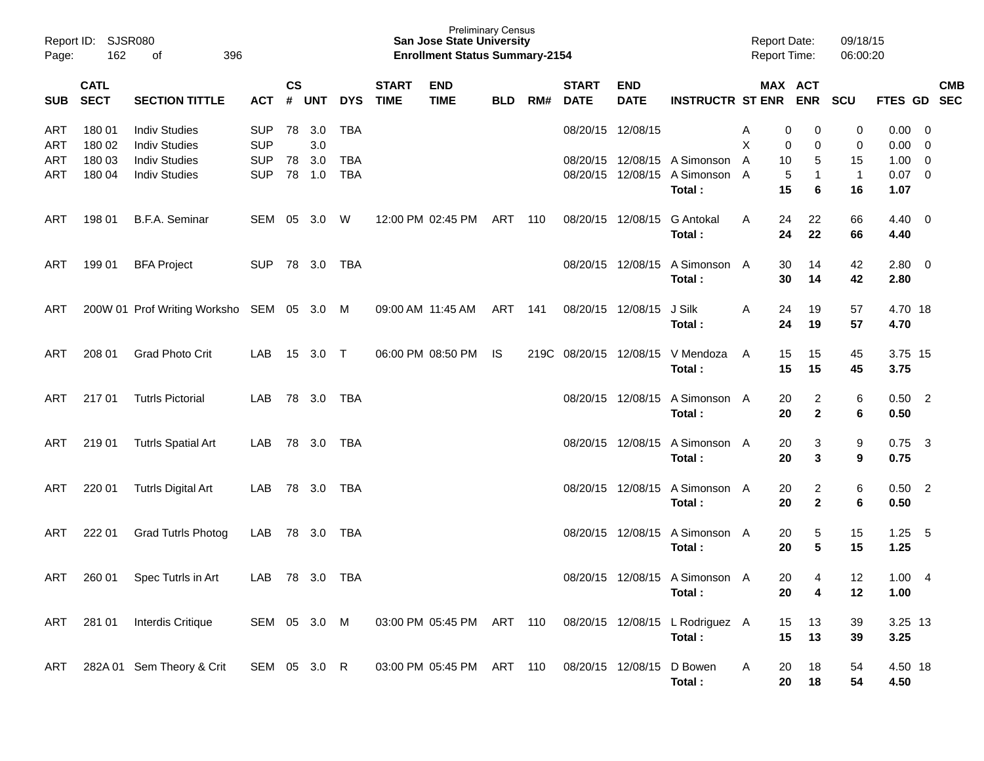| Page:      | Report ID: SJSR080<br>162<br>396<br>оf<br><b>CATL</b><br><b>SECT</b><br><b>SECTION TITTLE</b> |                                              |                          |               |               |                   |                             | <b>Preliminary Census</b><br><b>San Jose State University</b><br><b>Enrollment Status Summary-2154</b> |            |     |                             |                           |                                                                          | <b>Report Date:</b><br><b>Report Time:</b> |                                            | 09/18/15<br>06:00:20     |                                 |                                                      |            |
|------------|-----------------------------------------------------------------------------------------------|----------------------------------------------|--------------------------|---------------|---------------|-------------------|-----------------------------|--------------------------------------------------------------------------------------------------------|------------|-----|-----------------------------|---------------------------|--------------------------------------------------------------------------|--------------------------------------------|--------------------------------------------|--------------------------|---------------------------------|------------------------------------------------------|------------|
| <b>SUB</b> |                                                                                               |                                              | ACT                      | $\mathsf{cs}$ | # UNT         | <b>DYS</b>        | <b>START</b><br><b>TIME</b> | <b>END</b><br><b>TIME</b>                                                                              | <b>BLD</b> | RM# | <b>START</b><br><b>DATE</b> | <b>END</b><br><b>DATE</b> | <b>INSTRUCTR ST ENR</b>                                                  |                                            | MAX ACT<br><b>ENR</b>                      | <b>SCU</b>               | FTES GD SEC                     |                                                      | <b>CMB</b> |
| ART<br>ART | 180 01<br>180 02                                                                              | <b>Indiv Studies</b><br><b>Indiv Studies</b> | <b>SUP</b><br><b>SUP</b> | 78            | 3.0<br>3.0    | TBA               |                             |                                                                                                        |            |     | 08/20/15 12/08/15           |                           |                                                                          | A<br>X                                     | 0<br>0<br>0<br>0                           | 0<br>0                   | 0.00<br>0.00                    | $\overline{\phantom{0}}$<br>$\overline{\phantom{0}}$ |            |
| ART<br>ART | 180 03<br>180 04                                                                              | <b>Indiv Studies</b><br><b>Indiv Studies</b> | <b>SUP</b><br><b>SUP</b> | 78            | 3.0<br>78 1.0 | TBA<br><b>TBA</b> |                             |                                                                                                        |            |     |                             |                           | 08/20/15 12/08/15 A Simonson<br>08/20/15 12/08/15 A Simonson A<br>Total: | A                                          | 10<br>5<br>5<br>$\mathbf{1}$<br>15<br>6    | 15<br>$\mathbf{1}$<br>16 | $1.00 \t 0$<br>$0.07$ 0<br>1.07 |                                                      |            |
| ART        | 198 01                                                                                        | B.F.A. Seminar                               | SEM                      |               | 05 3.0        | W                 |                             | 12:00 PM 02:45 PM                                                                                      | ART        | 110 | 08/20/15 12/08/15           |                           | <b>G</b> Antokal<br>Total:                                               | A                                          | 24<br>22<br>24<br>22                       | 66<br>66                 | $4.40 \quad 0$<br>4.40          |                                                      |            |
| ART        | 199 01                                                                                        | <b>BFA Project</b>                           | <b>SUP</b>               |               | 78 3.0 TBA    |                   |                             |                                                                                                        |            |     |                             | 08/20/15 12/08/15         | A Simonson A<br>Total:                                                   |                                            | 30<br>14<br>30<br>14                       | 42<br>42                 | $2.80 \ 0$<br>2.80              |                                                      |            |
| ART        |                                                                                               | 200W 01 Prof Writing Worksho SEM 05 3.0 M    |                          |               |               |                   |                             | 09:00 AM 11:45 AM                                                                                      | ART 141    |     | 08/20/15 12/08/15           |                           | J Silk<br>Total:                                                         | A                                          | 24<br>19<br>24<br>19                       | 57<br>57                 | 4.70 18<br>4.70                 |                                                      |            |
| ART        | 208 01                                                                                        | <b>Grad Photo Crit</b>                       | LAB                      |               | 15 3.0 T      |                   |                             | 06:00 PM 08:50 PM                                                                                      | IS         |     | 219C 08/20/15 12/08/15      |                           | V Mendoza<br>Total:                                                      | A                                          | 15<br>15<br>15<br>15                       | 45<br>45                 | 3.75 15<br>3.75                 |                                                      |            |
| ART        | 21701                                                                                         | <b>Tutrls Pictorial</b>                      | LAB                      |               | 78 3.0        | TBA               |                             |                                                                                                        |            |     |                             | 08/20/15 12/08/15         | A Simonson A<br>Total:                                                   |                                            | 20<br>$\overline{2}$<br>$\mathbf{2}$<br>20 | 6<br>6                   | $0.50$ 2<br>0.50                |                                                      |            |
| ART        | 219 01                                                                                        | <b>Tutrls Spatial Art</b>                    | LAB                      |               | 78 3.0        | TBA               |                             |                                                                                                        |            |     |                             | 08/20/15 12/08/15         | A Simonson A<br>Total:                                                   |                                            | 20<br>3<br>20<br>3                         | 9<br>9                   | 0.75<br>0.75                    | $\overline{\mathbf{3}}$                              |            |
| ART        | 220 01                                                                                        | <b>Tutrls Digital Art</b>                    | LAB                      |               | 78 3.0        | TBA               |                             |                                                                                                        |            |     |                             | 08/20/15 12/08/15         | A Simonson A<br>Total:                                                   |                                            | 20<br>$\overline{2}$<br>$\mathbf{2}$<br>20 | 6<br>6                   | $0.50$ 2<br>0.50                |                                                      |            |
| ART        | 222 01                                                                                        | <b>Grad Tutrls Photog</b>                    | LAB                      |               | 78 3.0        | TBA               |                             |                                                                                                        |            |     |                             | 08/20/15 12/08/15         | A Simonson A<br>Total:                                                   |                                            | 20<br>5<br>5<br>20                         | 15<br>15                 | 1.25<br>1.25                    | $-5$                                                 |            |
| ART        | 260 01                                                                                        | Spec Tutrls in Art                           | LAB                      |               | 78 3.0 TBA    |                   |                             |                                                                                                        |            |     |                             |                           | 08/20/15 12/08/15 A Simonson A<br>Total:                                 |                                            | 20<br>4<br>20<br>4                         | $12 \,$<br>12            | $1.00 \quad 4$<br>1.00          |                                                      |            |
| ART        | 281 01                                                                                        | Interdis Critique                            | SEM 05 3.0 M             |               |               |                   |                             | 03:00 PM 05:45 PM ART 110                                                                              |            |     |                             |                           | 08/20/15 12/08/15 L Rodriguez A<br>Total:                                |                                            | 13<br>15<br>15<br>13                       | 39<br>39                 | 3.25 13<br>3.25                 |                                                      |            |
| ART        |                                                                                               | 282A 01 Sem Theory & Crit                    | SEM 05 3.0 R             |               |               |                   |                             | 03:00 PM 05:45 PM                                                                                      | ART 110    |     | 08/20/15 12/08/15           |                           | D Bowen<br>Total:                                                        | Α                                          | 20<br>18<br>20<br>18                       | 54<br>54                 | 4.50 18<br>4.50                 |                                                      |            |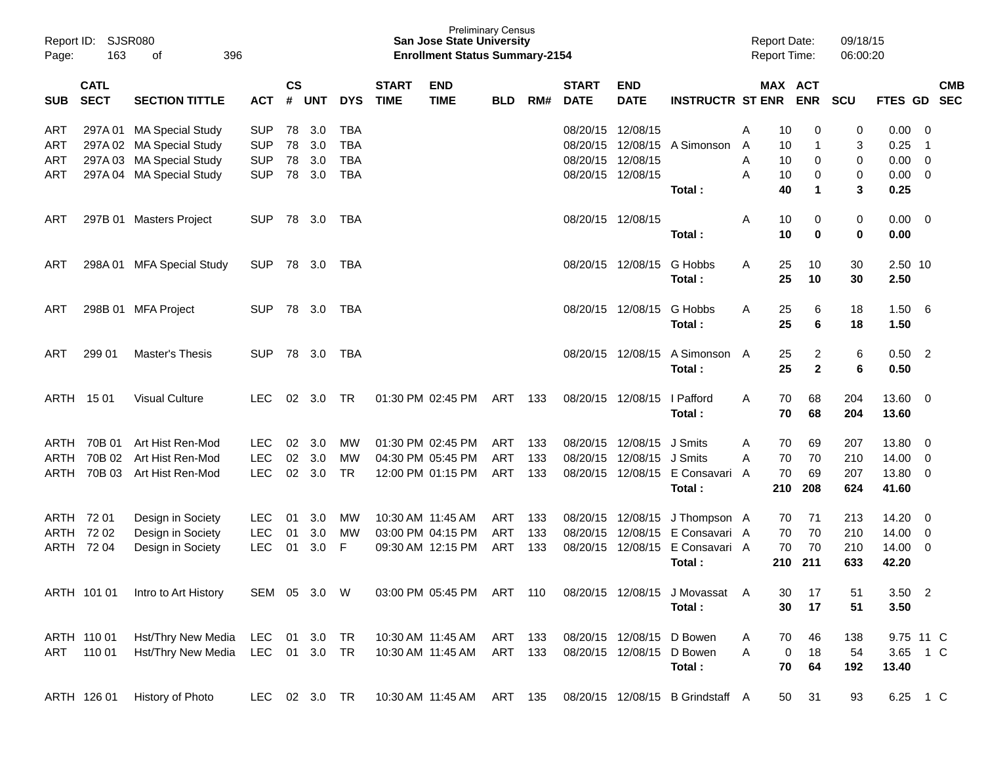| Report ID:<br>Page: | 163                        | SJSR080<br>396<br>οf     |               |                    |              |            |                             | <b>Preliminary Census</b><br><b>San Jose State University</b><br><b>Enrollment Status Summary-2154</b> |            |     |                             |                           |                                  | <b>Report Date:</b><br><b>Report Time:</b> |     |                      | 09/18/15<br>06:00:20 |             |                         |            |
|---------------------|----------------------------|--------------------------|---------------|--------------------|--------------|------------|-----------------------------|--------------------------------------------------------------------------------------------------------|------------|-----|-----------------------------|---------------------------|----------------------------------|--------------------------------------------|-----|----------------------|----------------------|-------------|-------------------------|------------|
| <b>SUB</b>          | <b>CATL</b><br><b>SECT</b> | <b>SECTION TITTLE</b>    | <b>ACT</b>    | $\mathsf{cs}$<br># | <b>UNT</b>   | <b>DYS</b> | <b>START</b><br><b>TIME</b> | <b>END</b><br><b>TIME</b>                                                                              | <b>BLD</b> | RM# | <b>START</b><br><b>DATE</b> | <b>END</b><br><b>DATE</b> | <b>INSTRUCTR ST ENR</b>          | MAX ACT                                    |     | <b>ENR</b>           | <b>SCU</b>           | FTES GD SEC |                         | <b>CMB</b> |
| ART                 | 297A01                     | <b>MA Special Study</b>  | <b>SUP</b>    | 78                 | 3.0          | <b>TBA</b> |                             |                                                                                                        |            |     |                             | 08/20/15 12/08/15         |                                  | Α                                          | 10  | 0                    | 0                    | 0.00        | 0                       |            |
| ART                 |                            | 297A 02 MA Special Study | <b>SUP</b>    | 78                 | 3.0          | <b>TBA</b> |                             |                                                                                                        |            |     | 08/20/15                    | 12/08/15                  | A Simonson                       | A                                          | 10  | 1                    | 3                    | 0.25        | -1                      |            |
| ART                 | 297A03                     | <b>MA Special Study</b>  | <b>SUP</b>    | 78                 | 3.0          | <b>TBA</b> |                             |                                                                                                        |            |     | 08/20/15                    | 12/08/15                  |                                  | A                                          | 10  | 0                    | 0                    | 0.00        | $\overline{0}$          |            |
| ART                 |                            | 297A 04 MA Special Study | <b>SUP</b>    | 78                 | 3.0          | <b>TBA</b> |                             |                                                                                                        |            |     |                             | 08/20/15 12/08/15         |                                  | A                                          | 10  | 0                    | 0                    | 0.00        | 0                       |            |
|                     |                            |                          |               |                    |              |            |                             |                                                                                                        |            |     |                             |                           | Total:                           |                                            | 40  | $\blacktriangleleft$ | 3                    | 0.25        |                         |            |
| ART                 |                            | 297B 01 Masters Project  | <b>SUP</b>    |                    | 78 3.0       | TBA        |                             |                                                                                                        |            |     |                             | 08/20/15 12/08/15         |                                  | Α                                          | 10  | 0                    | 0                    | 0.00        | $\overline{\mathbf{0}}$ |            |
|                     |                            |                          |               |                    |              |            |                             |                                                                                                        |            |     |                             |                           | Total:                           |                                            | 10  | 0                    | 0                    | 0.00        |                         |            |
| ART                 | 298A01                     | <b>MFA Special Study</b> | <b>SUP</b>    |                    | 78 3.0       | TBA        |                             |                                                                                                        |            |     |                             | 08/20/15 12/08/15         | G Hobbs                          | Α                                          | 25  | 10                   | 30                   | 2.50 10     |                         |            |
|                     |                            |                          |               |                    |              |            |                             |                                                                                                        |            |     |                             |                           | Total:                           |                                            | 25  | 10                   | 30                   | 2.50        |                         |            |
| ART                 |                            | 298B 01 MFA Project      | <b>SUP</b>    |                    | 78 3.0       | TBA        |                             |                                                                                                        |            |     |                             | 08/20/15 12/08/15         | G Hobbs                          | Α                                          | 25  | 6                    | 18                   | 1.50        | - 6                     |            |
|                     |                            |                          |               |                    |              |            |                             |                                                                                                        |            |     |                             |                           | Total:                           |                                            | 25  | 6                    | 18                   | 1.50        |                         |            |
| ART                 | 299 01                     | Master's Thesis          | <b>SUP</b>    |                    | 78 3.0       | TBA        |                             |                                                                                                        |            |     |                             | 08/20/15 12/08/15         | A Simonson A                     |                                            | 25  | 2                    | 6                    | $0.50$ 2    |                         |            |
|                     |                            |                          |               |                    |              |            |                             |                                                                                                        |            |     |                             |                           | Total:                           |                                            | 25  | $\mathbf{2}$         | 6                    | 0.50        |                         |            |
|                     | ARTH 1501                  | <b>Visual Culture</b>    | <b>LEC</b>    | 02                 | 3.0          | TR         |                             | 01:30 PM 02:45 PM                                                                                      | ART        | 133 |                             | 08/20/15 12/08/15         | I Pafford                        | Α                                          | 70  | 68                   | 204                  | 13.60       | $\overline{\mathbf{0}}$ |            |
|                     |                            |                          |               |                    |              |            |                             |                                                                                                        |            |     |                             |                           | Total:                           |                                            | 70  | 68                   | 204                  | 13.60       |                         |            |
| ARTH                | 70B 01                     | Art Hist Ren-Mod         | <b>LEC</b>    | 02                 | 3.0          | MW         |                             | 01:30 PM 02:45 PM                                                                                      | <b>ART</b> | 133 |                             | 08/20/15 12/08/15         | J Smits                          | A                                          | 70  | 69                   | 207                  | 13.80       | $\overline{0}$          |            |
| <b>ARTH</b>         | 70B 02                     | Art Hist Ren-Mod         | <b>LEC</b>    | 02                 | 3.0          | <b>MW</b>  |                             | 04:30 PM 05:45 PM                                                                                      | <b>ART</b> | 133 | 08/20/15                    | 12/08/15                  | J Smits                          | A                                          | 70  | 70                   | 210                  | 14.00       | 0                       |            |
| <b>ARTH</b>         | 70B 03                     | Art Hist Ren-Mod         | <b>LEC</b>    |                    | 02 3.0       | <b>TR</b>  |                             | 12:00 PM 01:15 PM                                                                                      | <b>ART</b> | 133 |                             | 08/20/15 12/08/15         | E Consavari                      | A                                          | 70  | 69                   | 207                  | 13.80       | 0                       |            |
|                     |                            |                          |               |                    |              |            |                             |                                                                                                        |            |     |                             |                           | Total:                           |                                            | 210 | 208                  | 624                  | 41.60       |                         |            |
|                     | ARTH 72 01                 | Design in Society        | <b>LEC</b>    | 01                 | 3.0          | MW         |                             | 10:30 AM 11:45 AM                                                                                      | ART        | 133 |                             | 08/20/15 12/08/15         | J Thompson A                     |                                            | 70  | 71                   | 213                  | 14.20       | 0                       |            |
| ARTH                | 72 02                      | Design in Society        | <b>LEC</b>    | 01                 | 3.0          | <b>MW</b>  |                             | 03:00 PM 04:15 PM                                                                                      | <b>ART</b> | 133 | 08/20/15                    | 12/08/15                  | E Consavari A                    |                                            | 70  | 70                   | 210                  | 14.00       | 0                       |            |
|                     | ARTH 72 04                 | Design in Society        | <b>LEC</b>    | 01                 | 3.0          | F          |                             | 09:30 AM 12:15 PM                                                                                      | <b>ART</b> | 133 |                             | 08/20/15 12/08/15         | E Consavari A                    |                                            | 70  | 70                   | 210                  | 14.00       | $\overline{0}$          |            |
|                     |                            |                          |               |                    |              |            |                             |                                                                                                        |            |     |                             |                           | Total:                           |                                            | 210 | 211                  | 633                  | 42.20       |                         |            |
|                     | ARTH 101 01                | Intro to Art History     |               |                    | SEM 05 3.0 W |            |                             | 03:00 PM 05:45 PM ART 110                                                                              |            |     |                             |                           | 08/20/15 12/08/15 J Movassat A   |                                            | 30  | 17                   | 51                   | $3.50$ 2    |                         |            |
|                     |                            |                          |               |                    |              |            |                             |                                                                                                        |            |     |                             |                           | Total:                           |                                            | 30  | 17                   | 51                   | 3.50        |                         |            |
|                     | ARTH 110 01                | Hst/Thry New Media       | LEC 01 3.0    |                    |              | TR         |                             | 10:30 AM 11:45 AM                                                                                      | ART        | 133 |                             | 08/20/15 12/08/15 D Bowen |                                  | A                                          | 70  | 46                   | 138                  | 9.75 11 C   |                         |            |
| ART                 | 110 01                     | Hst/Thry New Media       | LEC 01 3.0    |                    |              | TR         |                             | 10:30 AM 11:45 AM                                                                                      | ART        | 133 |                             | 08/20/15 12/08/15 D Bowen |                                  | A                                          | 0   | 18                   | 54                   | 3.65 1 C    |                         |            |
|                     |                            |                          |               |                    |              |            |                             |                                                                                                        |            |     |                             |                           | Total:                           |                                            | 70  | 64                   | 192                  | 13.40       |                         |            |
|                     | ARTH 126 01                | History of Photo         | LEC 02 3.0 TR |                    |              |            |                             | 10:30 AM 11:45 AM ART 135                                                                              |            |     |                             |                           | 08/20/15 12/08/15 B Grindstaff A |                                            | 50  | 31                   | 93                   | 6.25 1 C    |                         |            |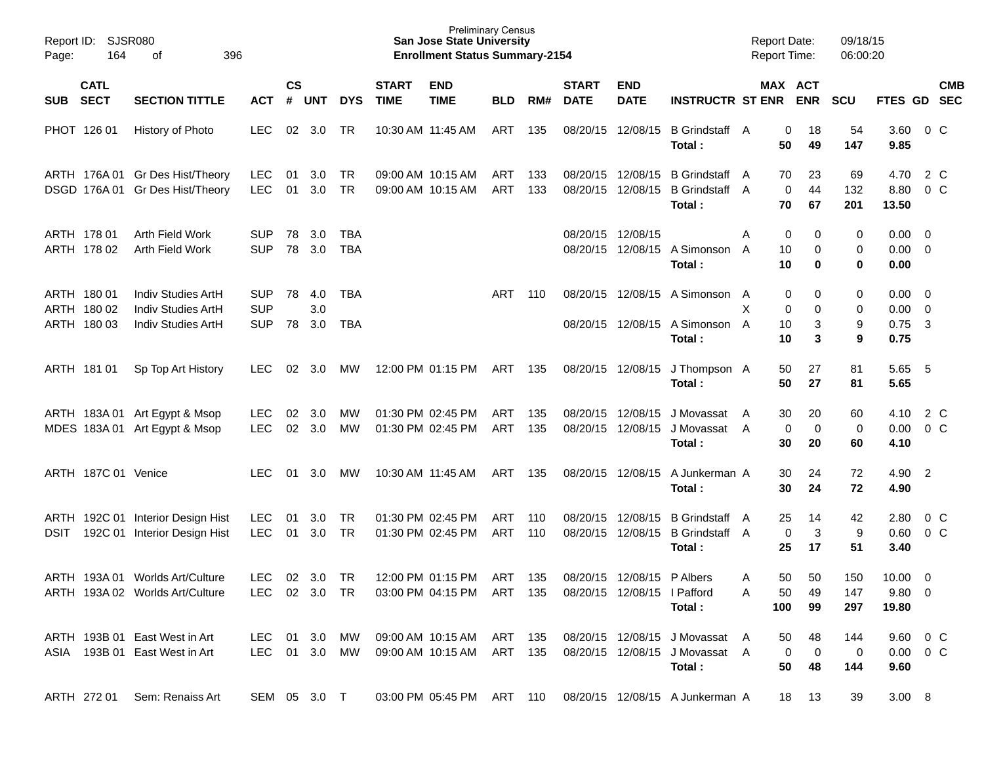| Page:      | Report ID: SJSR080<br>164                 | 396                                                                   |                                        |                    |                   |                        | <b>Preliminary Census</b><br><b>San Jose State University</b><br><b>Enrollment Status Summary-2154</b> |                                                                                                  |            |            |                             |                                        | <b>Report Date:</b><br><b>Report Time:</b>                                 |                      | 09/18/15<br>06:00:20                      |                           |                                            |                           |  |
|------------|-------------------------------------------|-----------------------------------------------------------------------|----------------------------------------|--------------------|-------------------|------------------------|--------------------------------------------------------------------------------------------------------|--------------------------------------------------------------------------------------------------|------------|------------|-----------------------------|----------------------------------------|----------------------------------------------------------------------------|----------------------|-------------------------------------------|---------------------------|--------------------------------------------|---------------------------|--|
| <b>SUB</b> | <b>CATL</b><br><b>SECT</b>                | <b>SECTION TITTLE</b>                                                 | <b>ACT</b>                             | $\mathsf{cs}$<br># | <b>UNT</b>        | <b>DYS</b>             | <b>START</b><br><b>TIME</b>                                                                            | <b>END</b><br><b>TIME</b>                                                                        | <b>BLD</b> | RM#        | <b>START</b><br><b>DATE</b> | <b>END</b><br><b>DATE</b>              | <b>INSTRUCTR ST ENR</b>                                                    |                      | MAX ACT<br><b>ENR</b>                     | <b>SCU</b>                | FTES GD SEC                                | <b>CMB</b>                |  |
|            | PHOT 126 01                               | History of Photo                                                      | <b>LEC</b>                             |                    | $02 \quad 3.0$    | TR                     |                                                                                                        | 10:30 AM 11:45 AM                                                                                | ART        | 135        |                             | 08/20/15 12/08/15                      | B Grindstaff A<br>Total:                                                   | 50                   | 0<br>18<br>49                             | 54<br>147                 | 3.60<br>9.85                               | 0 C                       |  |
|            |                                           | ARTH 176A 01 Gr Des Hist/Theory<br>DSGD 176A 01 Gr Des Hist/Theory    | <b>LEC</b><br><b>LEC</b>               | 01<br>01           | 3.0<br>3.0        | TR<br>TR               |                                                                                                        | 09:00 AM 10:15 AM<br>09:00 AM 10:15 AM                                                           | ART<br>ART | 133<br>133 |                             | 08/20/15 12/08/15<br>08/20/15 12/08/15 | <b>B</b> Grindstaff<br><b>B</b> Grindstaff A<br>Total:                     | 70<br>A<br>70        | 23<br>44<br>0<br>67                       | 69<br>132<br>201          | 4.70<br>8.80<br>13.50                      | 2 C<br>$0\,$ C            |  |
|            | ARTH 178 01<br>ARTH 178 02                | Arth Field Work<br>Arth Field Work                                    | <b>SUP</b><br><b>SUP</b>               | 78<br>78           | 3.0<br>3.0        | TBA<br><b>TBA</b>      |                                                                                                        |                                                                                                  |            |            | 08/20/15 12/08/15           |                                        | 08/20/15 12/08/15 A Simonson<br>Total:                                     | A<br>10<br>A<br>10   | 0<br>0<br>0<br>0                          | 0<br>0<br>0               | $0.00 \t 0$<br>$0.00 \t 0$<br>0.00         |                           |  |
|            | ARTH 180 01<br>ARTH 180 02<br>ARTH 180 03 | Indiv Studies ArtH<br><b>Indiv Studies ArtH</b><br>Indiv Studies ArtH | <b>SUP</b><br><b>SUP</b><br><b>SUP</b> | 78<br>78           | 4.0<br>3.0<br>3.0 | TBA<br>TBA             |                                                                                                        |                                                                                                  | ART        | 110        |                             |                                        | 08/20/15 12/08/15 A Simonson A<br>08/20/15 12/08/15 A Simonson A<br>Total: | X<br>10<br>10        | 0<br>0<br>0<br>0<br>3<br>3                | 0<br>0<br>9<br>9          | $0.00 \t 0$<br>$0.00 \t 0$<br>0.75<br>0.75 | $\overline{\mathbf{3}}$   |  |
|            | ARTH 181 01                               | Sp Top Art History                                                    | LEC.                                   | 02                 | - 3.0             | <b>MW</b>              |                                                                                                        | 12:00 PM 01:15 PM                                                                                | ART        | 135        | 08/20/15 12/08/15           |                                        | J Thompson A<br>Total:                                                     | 50<br>50             | 27<br>27                                  | 81<br>81                  | 5.65<br>5.65                               | - 5                       |  |
|            |                                           | ARTH 183A 01 Art Egypt & Msop<br>MDES 183A 01 Art Egypt & Msop        | LEC.<br><b>LEC</b>                     | 02                 | 3.0<br>02 3.0     | <b>MW</b><br><b>MW</b> |                                                                                                        | 01:30 PM 02:45 PM<br>01:30 PM 02:45 PM                                                           | ART<br>ART | 135<br>135 |                             | 08/20/15 12/08/15<br>08/20/15 12/08/15 | J Movassat<br>J Movassat A<br>Total:                                       | 30<br>A<br>30        | 20<br>0<br>$\mathbf 0$<br>20              | 60<br>0<br>60             | 4.10<br>0.00<br>4.10                       | 2 C<br>0 <sup>o</sup>     |  |
|            | ARTH 187C 01 Venice                       |                                                                       | LEC.                                   | 01                 | 3.0               | <b>MW</b>              |                                                                                                        | 10:30 AM 11:45 AM                                                                                | ART        | 135        |                             | 08/20/15 12/08/15                      | A Junkerman A<br>Total:                                                    | 30<br>30             | 24<br>24                                  | 72<br>72                  | 4.90 2<br>4.90                             |                           |  |
| DSIT       |                                           | ARTH 192C 01 Interior Design Hist<br>192C 01 Interior Design Hist     | <b>LEC</b><br><b>LEC</b>               | 01<br>01           | 3.0<br>3.0        | TR<br>TR               |                                                                                                        | 01:30 PM 02:45 PM<br>01:30 PM 02:45 PM                                                           | ART<br>ART | 110<br>110 | 08/20/15                    | 12/08/15<br>08/20/15 12/08/15          | <b>B</b> Grindstaff<br>B Grindstaff A<br>Total:                            | 25<br>A<br>25        | 14<br>0<br>3<br>17                        | 42<br>9<br>51             | 2.80<br>0.60<br>3.40                       | $0\,$ C<br>0 <sup>o</sup> |  |
|            |                                           | ARTH 193A 01 Worlds Art/Culture<br>ARTH 193A 02 Worlds Art/Culture    | LEC.                                   |                    | 02 3.0            | TR                     |                                                                                                        | 12:00 PM 01:15 PM<br>LEC 02 3.0 TR  03:00 PM  04:15 PM  ART  135  08/20/15  12/08/15  I  Pafford | ART        | 135        |                             | 08/20/15 12/08/15 P Albers             | Total:                                                                     | 50<br>A<br>50<br>100 | 50<br>49<br>99                            | 150<br>147<br>297         | $10.00 \t 0$<br>$9.80\ 0$<br>19.80         |                           |  |
|            |                                           | ARTH 193B 01 East West in Art<br>ASIA 193B 01 East West in Art        | LEC 01 3.0 MW<br>LEC 01 3.0 MW         |                    |                   |                        |                                                                                                        | 09:00 AM 10:15 AM ART 135<br>09:00 AM 10:15 AM ART 135                                           |            |            |                             |                                        | 08/20/15 12/08/15 J Movassat A<br>08/20/15 12/08/15 J Movassat A<br>Total: | 50<br>50             | 48<br>$\overline{0}$<br>$\mathbf 0$<br>48 | 144<br>$\mathbf 0$<br>144 | 9.60 0 C<br>$0.00 \t 0 C$<br>9.60          |                           |  |
|            |                                           | ARTH 272 01 Sem: Renaiss Art                                          | SEM 05 3.0 T                           |                    |                   |                        |                                                                                                        |                                                                                                  |            |            |                             |                                        | 03:00 PM 05:45 PM ART 110 08/20/15 12/08/15 A Junkerman A                  |                      | 18 13                                     | 39                        | $3.00\quad 8$                              |                           |  |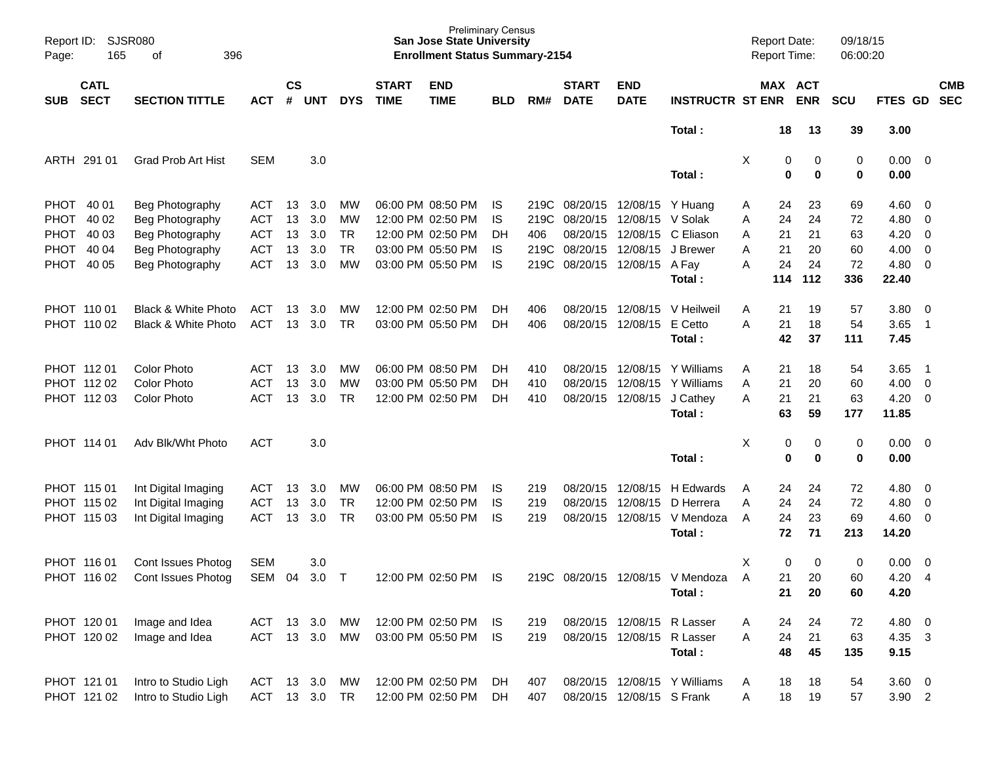| Page:       | <b>SJSR080</b><br>Report ID:<br>165<br>396<br>of<br><b>CATL</b><br><b>SECT</b><br><b>SECTION TITTLE</b> |                           |               |                    |        |            |                             | <b>Preliminary Census</b><br><b>San Jose State University</b><br><b>Enrollment Status Summary-2154</b> |            |      |                             |                            |                              | <b>Report Date:</b><br>Report Time: |        |                       | 09/18/15<br>06:00:20 |                     |                            |                          |
|-------------|---------------------------------------------------------------------------------------------------------|---------------------------|---------------|--------------------|--------|------------|-----------------------------|--------------------------------------------------------------------------------------------------------|------------|------|-----------------------------|----------------------------|------------------------------|-------------------------------------|--------|-----------------------|----------------------|---------------------|----------------------------|--------------------------|
| <b>SUB</b>  |                                                                                                         |                           | <b>ACT</b>    | $\mathsf{cs}$<br># | UNT    | <b>DYS</b> | <b>START</b><br><b>TIME</b> | <b>END</b><br><b>TIME</b>                                                                              | <b>BLD</b> | RM#  | <b>START</b><br><b>DATE</b> | <b>END</b><br><b>DATE</b>  | <b>INSTRUCTR ST ENR</b>      |                                     |        | MAX ACT<br><b>ENR</b> | <b>SCU</b>           | FTES GD             |                            | <b>CMB</b><br><b>SEC</b> |
|             |                                                                                                         |                           |               |                    |        |            |                             |                                                                                                        |            |      |                             |                            | Total:                       |                                     | 18     | 13                    | 39                   | 3.00                |                            |                          |
|             | ARTH 291 01                                                                                             | <b>Grad Prob Art Hist</b> | <b>SEM</b>    |                    | 3.0    |            |                             |                                                                                                        |            |      |                             |                            | Total:                       | X                                   | 0<br>0 | 0<br>$\mathbf 0$      | 0<br>0               | $0.00 \t 0$<br>0.00 |                            |                          |
|             | PHOT 40 01                                                                                              | Beg Photography           | <b>ACT</b>    | 13                 | 3.0    | MW         |                             | 06:00 PM 08:50 PM                                                                                      | IS         | 219C | 08/20/15 12/08/15 Y Huang   |                            |                              | Α                                   | 24     | 23                    | 69                   | $4.60 \quad 0$      |                            |                          |
| <b>PHOT</b> | 40 02                                                                                                   | Beg Photography           | <b>ACT</b>    | 13                 | 3.0    | MW         |                             | 12:00 PM 02:50 PM                                                                                      | IS         | 219C | 08/20/15                    | 12/08/15                   | V Solak                      | Α                                   | 24     | 24                    | 72                   | 4.80                | $\overline{\phantom{0}}$   |                          |
| <b>PHOT</b> | 40 03                                                                                                   | Beg Photography           | <b>ACT</b>    | 13                 | 3.0    | <b>TR</b>  |                             | 12:00 PM 02:50 PM                                                                                      | DH         | 406  | 08/20/15                    | 12/08/15                   | C Eliason                    | Α                                   | 21     | 21                    | 63                   | 4.20                | $\overline{0}$             |                          |
| PHOT        | 40 04                                                                                                   | Beg Photography           | <b>ACT</b>    | 13                 | 3.0    | <b>TR</b>  |                             | 03:00 PM 05:50 PM                                                                                      | IS         | 219C | 08/20/15                    | 12/08/15                   | J Brewer                     | Α                                   | 21     | 20                    | 60                   | 4.00                | $\overline{\mathbf{0}}$    |                          |
|             | PHOT 40 05                                                                                              | Beg Photography           | <b>ACT</b>    | 13                 | 3.0    | MW         |                             | 03:00 PM 05:50 PM                                                                                      | IS         | 219C |                             | 08/20/15 12/08/15 A Fay    |                              | Α                                   | 24     | 24                    | 72                   | 4.80                | $\overline{\phantom{0}}$   |                          |
|             |                                                                                                         |                           |               |                    |        |            |                             |                                                                                                        |            |      |                             |                            | Total:                       |                                     | 114    | 112                   | 336                  | 22.40               |                            |                          |
|             | PHOT 110 01                                                                                             | Black & White Photo       | ACT           | 13                 | 3.0    | MW         |                             | 12:00 PM 02:50 PM                                                                                      | DH.        | 406  | 08/20/15                    | 12/08/15                   | V Heilweil                   | Α                                   | 21     | 19                    | 57                   | 3.80                | $\overline{\phantom{0}}$   |                          |
|             | PHOT 110 02                                                                                             | Black & White Photo       | <b>ACT</b>    | 13                 | 3.0    | <b>TR</b>  |                             | 03:00 PM 05:50 PM                                                                                      | DH.        | 406  | 08/20/15                    | 12/08/15                   | E Cetto                      | A                                   | 21     | 18                    | 54                   | 3.65                | $\overline{\phantom{0}}$   |                          |
|             |                                                                                                         |                           |               |                    |        |            |                             |                                                                                                        |            |      |                             |                            | Total:                       |                                     | 42     | 37                    | 111                  | 7.45                |                            |                          |
|             | PHOT 11201                                                                                              | <b>Color Photo</b>        | ACT           | 13                 | 3.0    | MW         |                             | 06:00 PM 08:50 PM                                                                                      | DH.        | 410  | 08/20/15                    | 12/08/15                   | Y Williams                   | Α                                   | 21     | 18                    | 54                   | 3.65                | $\overline{\phantom{0}}$ 1 |                          |
|             | PHOT 112 02                                                                                             | <b>Color Photo</b>        | <b>ACT</b>    | 13                 | 3.0    | MW         |                             | 03:00 PM 05:50 PM                                                                                      | DH.        | 410  | 08/20/15                    | 12/08/15                   | Y Williams                   | Α                                   | 21     | 20                    | 60                   | 4.00                | $\overline{\phantom{0}}$   |                          |
|             | PHOT 112 03                                                                                             | <b>Color Photo</b>        | <b>ACT</b>    | 13                 | 3.0    | <b>TR</b>  |                             | 12:00 PM 02:50 PM                                                                                      | DH.        | 410  |                             | 08/20/15 12/08/15          | J Cathey                     | Α                                   | 21     | 21                    | 63                   | 4.20                | $\overline{\phantom{0}}$   |                          |
|             |                                                                                                         |                           |               |                    |        |            |                             |                                                                                                        |            |      |                             |                            | Total:                       |                                     | 63     | 59                    | 177                  | 11.85               |                            |                          |
|             | PHOT 114 01                                                                                             | Adv Blk/Wht Photo         | <b>ACT</b>    |                    | 3.0    |            |                             |                                                                                                        |            |      |                             |                            |                              | Χ                                   | 0      | 0                     | 0                    | $0.00 \quad 0$      |                            |                          |
|             |                                                                                                         |                           |               |                    |        |            |                             |                                                                                                        |            |      |                             |                            | Total:                       |                                     | 0      | $\mathbf 0$           | 0                    | 0.00                |                            |                          |
|             | PHOT 115 01                                                                                             | Int Digital Imaging       | <b>ACT</b>    | 13                 | 3.0    | MW         |                             | 06:00 PM 08:50 PM                                                                                      | IS         | 219  | 08/20/15                    | 12/08/15                   | H Edwards                    | A                                   | 24     | 24                    | 72                   | 4.80                | $\overline{\phantom{0}}$   |                          |
|             | PHOT 115 02                                                                                             | Int Digital Imaging       | <b>ACT</b>    | 13                 | 3.0    | <b>TR</b>  |                             | 12:00 PM 02:50 PM                                                                                      | IS         | 219  | 08/20/15                    | 12/08/15                   | D Herrera                    | Α                                   | 24     | 24                    | 72                   | 4.80                | $\overline{\phantom{0}}$   |                          |
|             | PHOT 115 03                                                                                             | Int Digital Imaging       | <b>ACT</b>    | 13                 | 3.0    | <b>TR</b>  |                             | 03:00 PM 05:50 PM                                                                                      | IS         | 219  | 08/20/15                    | 12/08/15                   | V Mendoza                    | A                                   | 24     | 23                    | 69                   | $4.60$ 0            |                            |                          |
|             |                                                                                                         |                           |               |                    |        |            |                             |                                                                                                        |            |      |                             |                            | Total:                       |                                     | 72     | 71                    | 213                  | 14.20               |                            |                          |
|             | PHOT 116 01                                                                                             | Cont Issues Photog        | <b>SEM</b>    |                    | 3.0    |            |                             |                                                                                                        |            |      |                             |                            |                              | х                                   | 0      | 0                     | 0                    | 0.00                | $\overline{\phantom{0}}$   |                          |
|             | PHOT 116 02                                                                                             | Cont Issues Photog        | SEM           | 04                 | 3.0    | $\top$     |                             | 12:00 PM 02:50 PM                                                                                      | IS         | 219C |                             |                            | 08/20/15 12/08/15 V Mendoza  | A                                   | 21     | 20                    | 60                   | 4.20                | -4                         |                          |
|             |                                                                                                         |                           |               |                    |        |            |                             |                                                                                                        |            |      |                             |                            | Total:                       |                                     | 21     | 20                    | 60                   | 4.20                |                            |                          |
|             | PHOT 120 01                                                                                             | Image and Idea            | ACT           |                    | 13 3.0 | MW         |                             | 12:00 PM 02:50 PM                                                                                      | IS.        | 219  |                             | 08/20/15 12/08/15 R Lasser |                              | Α                                   | 24     | 24                    | 72                   | 4.80 0              |                            |                          |
|             | PHOT 120 02                                                                                             | Image and Idea            | <b>ACT</b>    |                    | 13 3.0 | MW         |                             | 03:00 PM 05:50 PM                                                                                      | IS         | 219  |                             | 08/20/15 12/08/15 R Lasser |                              | Α                                   | 24     | 21                    | 63                   | 4.35 3              |                            |                          |
|             |                                                                                                         |                           |               |                    |        |            |                             |                                                                                                        |            |      |                             |                            | Total:                       |                                     | 48     | 45                    | 135                  | 9.15                |                            |                          |
|             | PHOT 121 01                                                                                             | Intro to Studio Ligh      | ACT           |                    | 13 3.0 | МW         |                             | 12:00 PM 02:50 PM                                                                                      | DH         | 407  |                             |                            | 08/20/15 12/08/15 Y Williams | Α                                   | 18     | 18                    | 54                   | $3.60 \t 0$         |                            |                          |
|             | PHOT 121 02                                                                                             | Intro to Studio Ligh      | ACT 13 3.0 TR |                    |        |            |                             | 12:00 PM 02:50 PM                                                                                      | DH         | 407  |                             | 08/20/15 12/08/15 S Frank  |                              | Α                                   | 18     | 19                    | 57                   | $3.90$ 2            |                            |                          |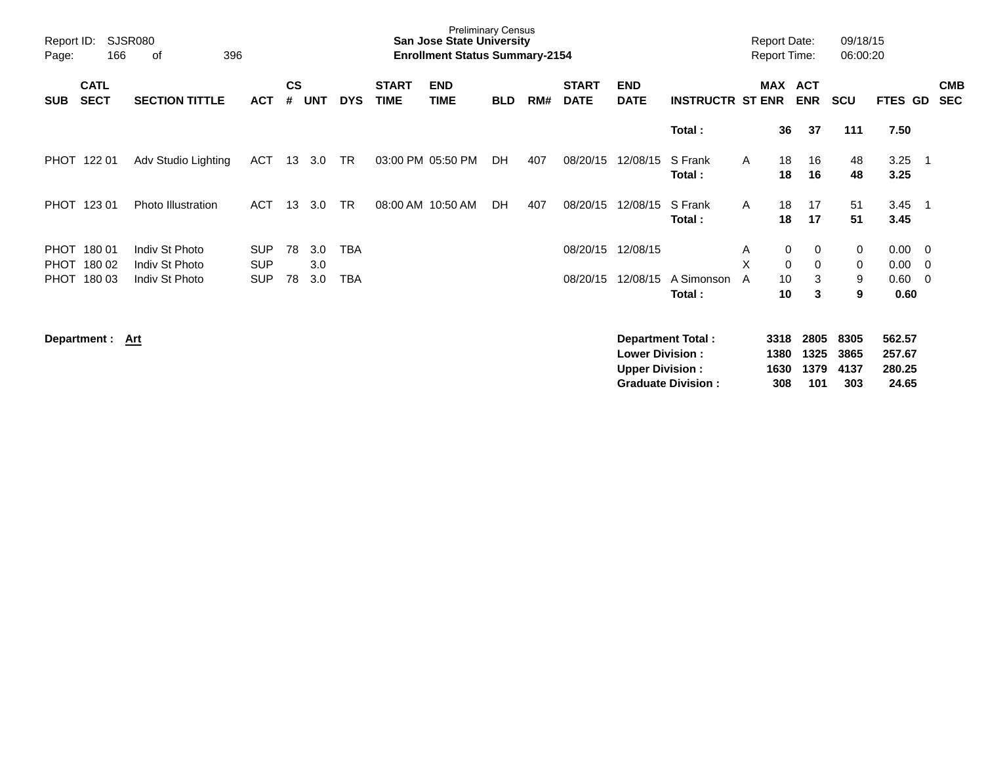| Report ID:<br>Page:        | <b>SJSR080</b><br>396<br>166<br>οf |                                                    |                                        |                |                   |                   |                             | <b>Preliminary Census</b><br><b>San Jose State University</b><br><b>Enrollment Status Summary-2154</b> |            |     |                             |                                                  |                                                       |              | <b>Report Date:</b><br><b>Report Time:</b> |                             | 09/18/15<br>06:00:20        |                                     |                          |                          |
|----------------------------|------------------------------------|----------------------------------------------------|----------------------------------------|----------------|-------------------|-------------------|-----------------------------|--------------------------------------------------------------------------------------------------------|------------|-----|-----------------------------|--------------------------------------------------|-------------------------------------------------------|--------------|--------------------------------------------|-----------------------------|-----------------------------|-------------------------------------|--------------------------|--------------------------|
| <b>SUB</b>                 | <b>CATL</b><br><b>SECT</b>         | <b>SECTION TITTLE</b>                              | <b>ACT</b>                             | <b>CS</b><br># | <b>UNT</b>        | <b>DYS</b>        | <b>START</b><br><b>TIME</b> | <b>END</b><br>TIME                                                                                     | <b>BLD</b> | RM# | <b>START</b><br><b>DATE</b> | <b>END</b><br><b>DATE</b>                        | <b>INSTRUCTR ST ENR</b>                               |              | MAX ACT                                    | <b>ENR</b>                  | <b>SCU</b>                  | <b>FTES GD</b>                      |                          | <b>CMB</b><br><b>SEC</b> |
|                            |                                    |                                                    |                                        |                |                   |                   |                             |                                                                                                        |            |     |                             |                                                  | Total:                                                |              | 36                                         | 37                          | 111                         | 7.50                                |                          |                          |
|                            | PHOT 122 01                        | Adv Studio Lighting                                | ACT                                    | 13             | 3.0               | TR                |                             | 03:00 PM 05:50 PM                                                                                      | DH         | 407 | 08/20/15                    | 12/08/15                                         | S Frank<br>Total:                                     | A            | 18<br>18                                   | 16<br>16                    | 48<br>48                    | 3.25<br>3.25                        | $\overline{\phantom{1}}$ |                          |
|                            | PHOT 123 01                        | <b>Photo Illustration</b>                          | <b>ACT</b>                             | 13             | 3.0               | <b>TR</b>         |                             | 08:00 AM 10:50 AM                                                                                      | <b>DH</b>  | 407 | 08/20/15                    | 12/08/15                                         | S Frank<br>Total:                                     | $\mathsf{A}$ | 18<br>18                                   | 17<br>17                    | 51<br>51                    | 3.45<br>3.45                        | $\overline{1}$           |                          |
| <b>PHOT</b><br><b>PHOT</b> | PHOT 180 01<br>180 02<br>180 03    | Indiv St Photo<br>Indiv St Photo<br>Indiv St Photo | <b>SUP</b><br><b>SUP</b><br><b>SUP</b> | 78<br>78       | 3.0<br>3.0<br>3.0 | <b>TBA</b><br>TBA |                             |                                                                                                        |            |     | 08/20/15<br>08/20/15        | 12/08/15<br>12/08/15                             | A Simonson<br>Total:                                  | A<br>X<br>A  | 0<br>$\Omega$<br>10<br>10                  | 0<br>0<br>3<br>3            | 0<br>0<br>9<br>9            | 0.00<br>0.00<br>0.60<br>0.60        | - 0<br>- 0<br>- 0        |                          |
|                            | Department : Art                   |                                                    |                                        |                |                   |                   |                             |                                                                                                        |            |     |                             | <b>Lower Division:</b><br><b>Upper Division:</b> | <b>Department Total:</b><br><b>Graduate Division:</b> |              | 3318<br>1380<br>1630<br>308                | 2805<br>1325<br>1379<br>101 | 8305<br>3865<br>4137<br>303 | 562.57<br>257.67<br>280.25<br>24.65 |                          |                          |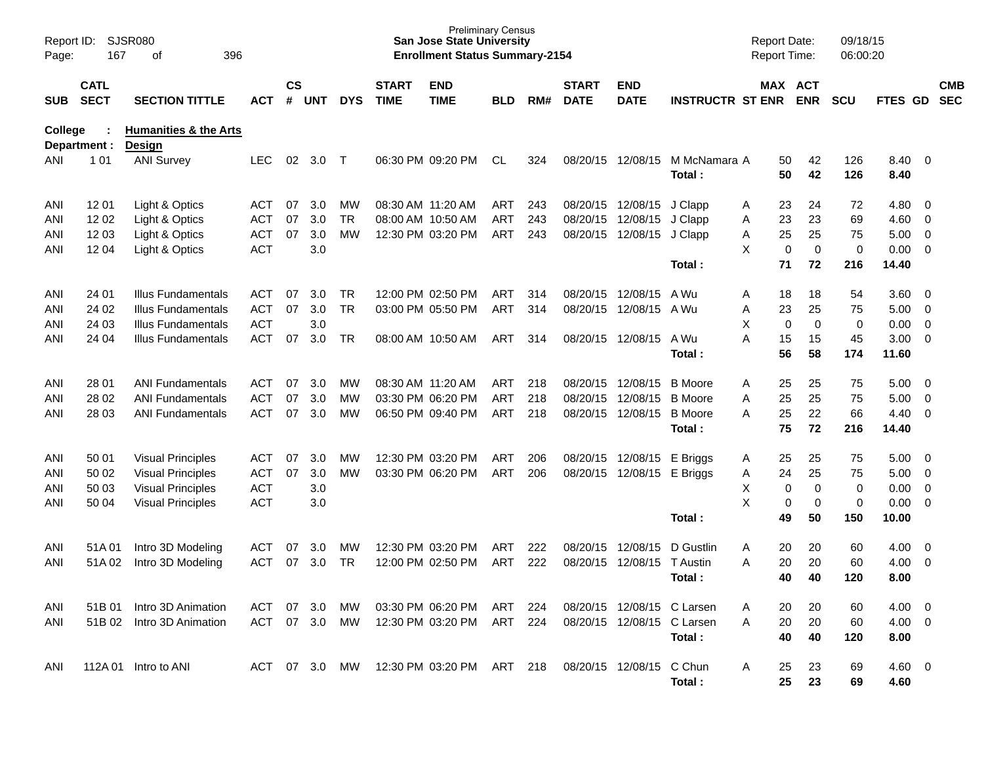| Report ID:<br>Page: | 167                        | <b>SJSR080</b><br>396<br>оf                       |               |                    |            |            |                             | <b>Preliminary Census</b><br><b>San Jose State University</b><br><b>Enrollment Status Summary-2154</b> |            |      |                             |                            |                         | <b>Report Date:</b><br><b>Report Time:</b> |                            | 09/18/15<br>06:00:20 |                |                          |                          |
|---------------------|----------------------------|---------------------------------------------------|---------------|--------------------|------------|------------|-----------------------------|--------------------------------------------------------------------------------------------------------|------------|------|-----------------------------|----------------------------|-------------------------|--------------------------------------------|----------------------------|----------------------|----------------|--------------------------|--------------------------|
| <b>SUB</b>          | <b>CATL</b><br><b>SECT</b> | <b>SECTION TITTLE</b>                             | <b>ACT</b>    | $\mathsf{cs}$<br># | <b>UNT</b> | <b>DYS</b> | <b>START</b><br><b>TIME</b> | <b>END</b><br><b>TIME</b>                                                                              | <b>BLD</b> | RM#  | <b>START</b><br><b>DATE</b> | <b>END</b><br><b>DATE</b>  | <b>INSTRUCTR ST ENR</b> |                                            | MAX ACT<br><b>ENR</b>      | <b>SCU</b>           | <b>FTES GD</b> |                          | <b>CMB</b><br><b>SEC</b> |
| <b>College</b>      | Department :               | <b>Humanities &amp; the Arts</b><br><b>Design</b> |               |                    |            |            |                             |                                                                                                        |            |      |                             |                            |                         |                                            |                            |                      |                |                          |                          |
| ANI                 | 1 0 1                      | <b>ANI Survey</b>                                 | <b>LEC</b>    | 02                 | 3.0        | $\top$     |                             | 06:30 PM 09:20 PM                                                                                      | CL         | 324  | 08/20/15                    | 12/08/15                   | M McNamara A<br>Total:  | 50<br>50                                   | 42<br>42                   | 126<br>126           | 8.40 0<br>8.40 |                          |                          |
| ANI                 | 12 01                      | Light & Optics                                    | ACT           | 07                 | 3.0        | MW.        | 08:30 AM 11:20 AM           |                                                                                                        | ART        | 243  | 08/20/15                    | 12/08/15                   | J Clapp                 | 23<br>Α                                    | 24                         | 72                   | $4.80\ 0$      |                          |                          |
| ANI                 | 12 02                      | Light & Optics                                    | <b>ACT</b>    | 07                 | 3.0        | <b>TR</b>  |                             | 08:00 AM 10:50 AM                                                                                      | <b>ART</b> | 243  | 08/20/15                    | 12/08/15                   | J Clapp                 | 23<br>Α                                    | 23                         | 69                   | $4.60$ 0       |                          |                          |
| ANI                 | 12 03                      | Light & Optics                                    | <b>ACT</b>    | 07                 | 3.0        | <b>MW</b>  |                             | 12:30 PM 03:20 PM                                                                                      | ART        | 243  | 08/20/15                    | 12/08/15                   | J Clapp                 | 25<br>Α                                    | 25                         | 75                   | 5.00           | $\overline{\phantom{0}}$ |                          |
| ANI                 | 12 04                      | Light & Optics                                    | <b>ACT</b>    |                    | 3.0        |            |                             |                                                                                                        |            |      |                             |                            |                         | X                                          | $\mathbf 0$<br>$\mathbf 0$ | $\pmb{0}$            | $0.00 \t 0$    |                          |                          |
|                     |                            |                                                   |               |                    |            |            |                             |                                                                                                        |            |      |                             |                            | Total:                  | 71                                         | 72                         | 216                  | 14.40          |                          |                          |
| ANI                 | 24 01                      | <b>Illus Fundamentals</b>                         | ACT           | 07                 | 3.0        | TR         |                             | 12:00 PM 02:50 PM                                                                                      | ART        | 314  | 08/20/15                    | 12/08/15                   | A Wu                    | 18<br>Α                                    | 18                         | 54                   | 3.60 0         |                          |                          |
| ANI                 | 24 02                      | <b>Illus Fundamentals</b>                         | <b>ACT</b>    | 07                 | 3.0        | <b>TR</b>  |                             | 03:00 PM 05:50 PM                                                                                      | ART        | 314  | 08/20/15                    | 12/08/15                   | A Wu                    | Α<br>23                                    | 25                         | 75                   | $5.00 \t 0$    |                          |                          |
| ANI                 | 24 03                      | <b>Illus Fundamentals</b>                         | <b>ACT</b>    |                    | 3.0        |            |                             |                                                                                                        |            |      |                             |                            |                         | X                                          | $\mathbf 0$<br>0           | 0                    | 0.00           | $\overline{\phantom{0}}$ |                          |
| ANI                 | 24 04                      | <b>Illus Fundamentals</b>                         | <b>ACT</b>    | 07                 | 3.0        | <b>TR</b>  | 08:00 AM 10:50 AM           |                                                                                                        | ART        | 314  | 08/20/15                    | 12/08/15                   | A Wu<br>Total:          | Α<br>15<br>56                              | 15<br>58                   | 45<br>174            | 3.00<br>11.60  | $\overline{\phantom{0}}$ |                          |
|                     |                            |                                                   |               |                    |            |            |                             |                                                                                                        |            |      |                             |                            |                         |                                            |                            |                      |                |                          |                          |
| ANI                 | 28 01                      | <b>ANI Fundamentals</b>                           | ACT           | 07                 | 3.0        | <b>MW</b>  |                             | 08:30 AM 11:20 AM                                                                                      | ART        | 218  | 08/20/15                    | 12/08/15                   | <b>B</b> Moore          | 25<br>Α                                    | 25                         | 75                   | 5.00           | $\overline{\phantom{0}}$ |                          |
| ANI                 | 28 02                      | <b>ANI Fundamentals</b>                           | <b>ACT</b>    | 07                 | 3.0        | MW         |                             | 03:30 PM 06:20 PM                                                                                      | <b>ART</b> | 218  | 08/20/15                    | 12/08/15                   | <b>B</b> Moore          | 25<br>Α                                    | 25                         | 75                   | 5.00           | $\overline{\phantom{0}}$ |                          |
| ANI                 | 28 03                      | <b>ANI Fundamentals</b>                           | <b>ACT</b>    | 07                 | 3.0        | MW         |                             | 06:50 PM 09:40 PM                                                                                      | ART        | 218  | 08/20/15                    | 12/08/15                   | <b>B</b> Moore          | A<br>25                                    | 22                         | 66                   | 4.40           | $\overline{\phantom{0}}$ |                          |
|                     |                            |                                                   |               |                    |            |            |                             |                                                                                                        |            |      |                             |                            | Total:                  | 75                                         | 72                         | 216                  | 14.40          |                          |                          |
| ANI                 | 50 01                      | <b>Visual Principles</b>                          | <b>ACT</b>    | 07                 | 3.0        | MW         |                             | 12:30 PM 03:20 PM                                                                                      | ART        | 206  | 08/20/15                    | 12/08/15                   | E Briggs                | 25<br>A                                    | 25                         | 75                   | 5.00           | $\overline{\phantom{0}}$ |                          |
| ANI                 | 50 02                      | <b>Visual Principles</b>                          | ACT           | 07                 | 3.0        | <b>MW</b>  |                             | 03:30 PM 06:20 PM                                                                                      | ART        | 206  | 08/20/15                    | 12/08/15                   | E Briggs                | 24<br>Α                                    | 25                         | 75                   | $5.00 \t 0$    |                          |                          |
| ANI                 | 50 03                      | <b>Visual Principles</b>                          | <b>ACT</b>    |                    | 3.0        |            |                             |                                                                                                        |            |      |                             |                            |                         | X                                          | $\mathbf 0$<br>$\mathbf 0$ | 0                    | 0.00           | $\overline{\phantom{0}}$ |                          |
| ANI                 | 50 04                      | <b>Visual Principles</b>                          | <b>ACT</b>    |                    | 3.0        |            |                             |                                                                                                        |            |      |                             |                            |                         | Χ                                          | 0<br>0                     | 0                    | 0.00           | $\overline{\phantom{0}}$ |                          |
|                     |                            |                                                   |               |                    |            |            |                             |                                                                                                        |            |      |                             |                            | Total:                  | 49                                         | 50                         | 150                  | 10.00          |                          |                          |
| ANI                 | 51A 01                     | Intro 3D Modeling                                 | ACT           | -07                | 3.0        | MW         |                             | 12:30 PM 03:20 PM                                                                                      | ART        | 222  | 08/20/15                    | 12/08/15                   | D Gustlin               | 20<br>Α                                    | 20                         | 60                   | 4.00           | $\overline{\phantom{0}}$ |                          |
| ANI                 | 51A02                      | Intro 3D Modeling                                 | <b>ACT</b>    | 07                 | 3.0        | <b>TR</b>  |                             | 12:00 PM 02:50 PM                                                                                      | <b>ART</b> | 222  | 08/20/15                    | 12/08/15                   | <b>T</b> Austin         | 20<br>Α                                    | 20                         | 60                   | 4.00           | $\overline{0}$           |                          |
|                     |                            |                                                   |               |                    |            |            |                             |                                                                                                        |            |      |                             |                            | Total:                  | 40                                         | 40                         | 120                  | 8.00           |                          |                          |
| ANI                 | 51B 01                     | Intro 3D Animation                                | ACT           | -07                | 3.0        | MW.        |                             | 03:30 PM 06:20 PM                                                                                      | ART        | -224 |                             | 08/20/15 12/08/15 C Larsen |                         | 20                                         | 20                         | 60                   | $4.00 \ 0$     |                          |                          |
| ANI                 |                            | 51B 02 Intro 3D Animation                         | ACT 07 3.0    |                    |            | MW         |                             | 12:30 PM 03:20 PM                                                                                      | ART        | -224 |                             | 08/20/15 12/08/15 C Larsen |                         | 20<br>Α                                    | 20                         | 60                   | $4.00 \ 0$     |                          |                          |
|                     |                            |                                                   |               |                    |            |            |                             |                                                                                                        |            |      |                             |                            | Total:                  | 40                                         | 40                         | 120                  | 8.00           |                          |                          |
| ANI                 |                            | 112A 01 Intro to ANI                              | ACT 07 3.0 MW |                    |            |            |                             | 12:30 PM 03:20 PM ART 218                                                                              |            |      |                             | 08/20/15 12/08/15 C Chun   |                         | 25<br>A                                    | 23                         | 69                   | $4.60 \quad 0$ |                          |                          |
|                     |                            |                                                   |               |                    |            |            |                             |                                                                                                        |            |      |                             |                            | Total:                  | 25                                         | 23                         | 69                   | 4.60           |                          |                          |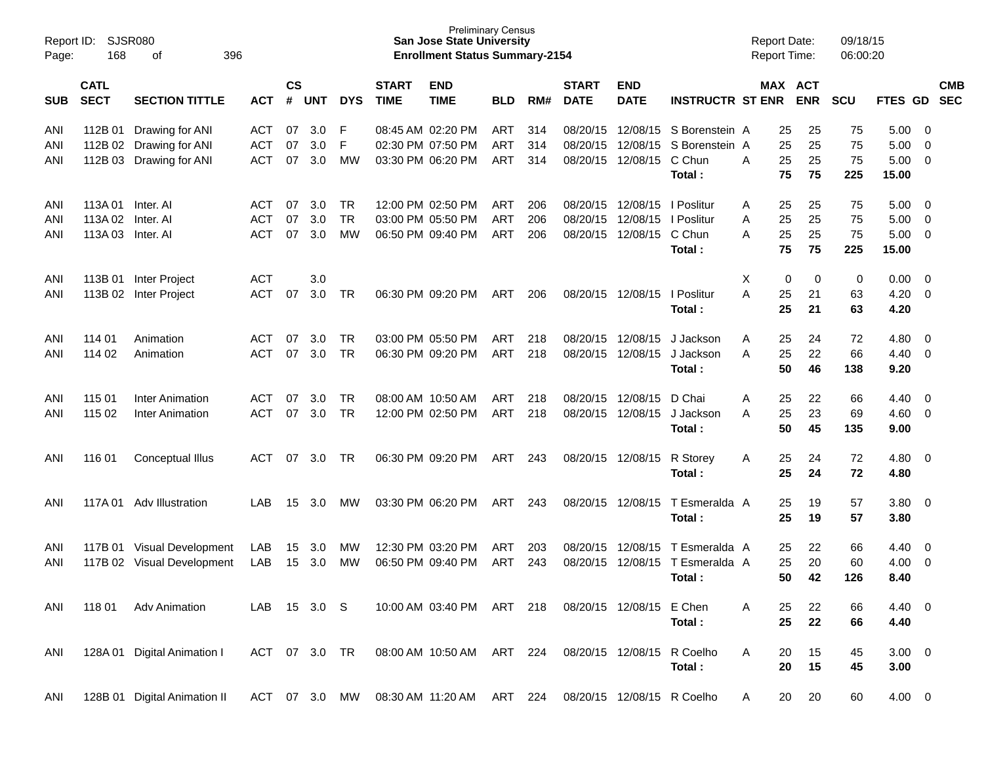| Report ID:<br>Page: | SJSR080<br>168             | 396                          |               |                    |            |            | <b>Preliminary Census</b><br><b>San Jose State University</b><br><b>Enrollment Status Summary-2154</b> |                           |            |     |                             |                           | <b>Report Date:</b><br><b>Report Time:</b> |   |    | 09/18/15<br>06:00:20  |            |                |                         |            |
|---------------------|----------------------------|------------------------------|---------------|--------------------|------------|------------|--------------------------------------------------------------------------------------------------------|---------------------------|------------|-----|-----------------------------|---------------------------|--------------------------------------------|---|----|-----------------------|------------|----------------|-------------------------|------------|
| SUB                 | <b>CATL</b><br><b>SECT</b> | <b>SECTION TITTLE</b>        | <b>ACT</b>    | $\mathsf{cs}$<br># | <b>UNT</b> | <b>DYS</b> | <b>START</b><br><b>TIME</b>                                                                            | <b>END</b><br><b>TIME</b> | <b>BLD</b> | RM# | <b>START</b><br><b>DATE</b> | <b>END</b><br><b>DATE</b> | <b>INSTRUCTR ST ENR</b>                    |   |    | MAX ACT<br><b>ENR</b> | <b>SCU</b> | FTES GD SEC    |                         | <b>CMB</b> |
| ANI                 | 112B 01                    | Drawing for ANI              | <b>ACT</b>    | 07                 | 3.0        | F          |                                                                                                        | 08:45 AM 02:20 PM         | ART        | 314 | 08/20/15                    | 12/08/15                  | S Borenstein A                             |   | 25 | 25                    | 75         | 5.00           | 0                       |            |
| ANI                 | 112B 02                    | Drawing for ANI              | <b>ACT</b>    | 07                 | 3.0        | F          |                                                                                                        | 02:30 PM 07:50 PM         | <b>ART</b> | 314 | 08/20/15                    | 12/08/15                  | S Borenstein A                             |   | 25 | 25                    | 75         | 5.00           | $\overline{0}$          |            |
| ANI                 | 112B 03                    | Drawing for ANI              | <b>ACT</b>    | 07                 | 3.0        | <b>MW</b>  |                                                                                                        | 03:30 PM 06:20 PM         | ART        | 314 | 08/20/15                    | 12/08/15                  | C Chun                                     | A | 25 | 25                    | 75         | 5.00           | 0                       |            |
|                     |                            |                              |               |                    |            |            |                                                                                                        |                           |            |     |                             |                           | Total:                                     |   | 75 | 75                    | 225        | 15.00          |                         |            |
| ANI                 | 113A 01                    | Inter. Al                    | <b>ACT</b>    | 07                 | 3.0        | TR         |                                                                                                        | 12:00 PM 02:50 PM         | <b>ART</b> | 206 | 08/20/15                    | 12/08/15                  | I Poslitur                                 | Α | 25 | 25                    | 75         | 5.00           | 0                       |            |
| ANI                 | 113A 02                    | Inter. AI                    | <b>ACT</b>    | 07                 | 3.0        | <b>TR</b>  |                                                                                                        | 03:00 PM 05:50 PM         | <b>ART</b> | 206 | 08/20/15                    | 12/08/15                  | I Poslitur                                 | A | 25 | 25                    | 75         | 5.00           | 0                       |            |
| ANI                 | 113A03                     | Inter. Al                    | <b>ACT</b>    | 07                 | 3.0        | <b>MW</b>  |                                                                                                        | 06:50 PM 09:40 PM         | ART        | 206 | 08/20/15                    | 12/08/15                  | C Chun                                     | A | 25 | 25                    | 75         | 5.00           | 0                       |            |
|                     |                            |                              |               |                    |            |            |                                                                                                        |                           |            |     |                             |                           | Total:                                     |   | 75 | 75                    | 225        | 15.00          |                         |            |
| ANI                 | 113B 01                    | Inter Project                | <b>ACT</b>    |                    | 3.0        |            |                                                                                                        |                           |            |     |                             |                           |                                            | X | 0  | 0                     | 0          | 0.00           | $\overline{0}$          |            |
| ANI                 | 113B 02                    | Inter Project                | <b>ACT</b>    | 07                 | 3.0        | TR         |                                                                                                        | 06:30 PM 09:20 PM         | ART        | 206 | 08/20/15                    | 12/08/15                  | I Poslitur                                 | A | 25 | 21                    | 63         | 4.20           | 0                       |            |
|                     |                            |                              |               |                    |            |            |                                                                                                        |                           |            |     |                             |                           | Total:                                     |   | 25 | 21                    | 63         | 4.20           |                         |            |
| ANI                 | 114 01                     | Animation                    | <b>ACT</b>    | 07                 | 3.0        | <b>TR</b>  |                                                                                                        | 03:00 PM 05:50 PM         | ART        | 218 | 08/20/15                    | 12/08/15                  | J Jackson                                  | Α | 25 | 24                    | 72         | 4.80           | 0                       |            |
| ANI                 | 114 02                     | Animation                    | <b>ACT</b>    | 07                 | 3.0        | <b>TR</b>  |                                                                                                        | 06:30 PM 09:20 PM         | ART        | 218 | 08/20/15                    | 12/08/15                  | J Jackson                                  | A | 25 | 22                    | 66         | 4.40           | $\overline{0}$          |            |
|                     |                            |                              |               |                    |            |            |                                                                                                        |                           |            |     |                             |                           | Total:                                     |   | 50 | 46                    | 138        | 9.20           |                         |            |
| ANI                 | 115 01                     | <b>Inter Animation</b>       | <b>ACT</b>    | 07                 | 3.0        | <b>TR</b>  |                                                                                                        | 08:00 AM 10:50 AM         | <b>ART</b> | 218 | 08/20/15                    | 12/08/15                  | D Chai                                     | Α | 25 | 22                    | 66         | 4.40           | $\overline{0}$          |            |
| ANI                 | 115 02                     | Inter Animation              | <b>ACT</b>    | 07                 | 3.0        | <b>TR</b>  |                                                                                                        | 12:00 PM 02:50 PM         | ART        | 218 | 08/20/15                    | 12/08/15                  | J Jackson                                  | A | 25 | 23                    | 69         | 4.60           | $\mathbf{0}$            |            |
|                     |                            |                              |               |                    |            |            |                                                                                                        |                           |            |     |                             |                           | Total:                                     |   | 50 | 45                    | 135        | 9.00           |                         |            |
| ANI                 | 116 01                     | Conceptual Illus             | <b>ACT</b>    | 07                 | 3.0        | TR         |                                                                                                        | 06:30 PM 09:20 PM         | ART        | 243 | 08/20/15                    | 12/08/15                  | R Storey                                   | A | 25 | 24                    | 72         | 4.80           | $\overline{\mathbf{0}}$ |            |
|                     |                            |                              |               |                    |            |            |                                                                                                        |                           |            |     |                             |                           | Total:                                     |   | 25 | 24                    | 72         | 4.80           |                         |            |
| ANI                 | 117A 01                    | Adv Illustration             | LAB           | 15                 | 3.0        | MW         |                                                                                                        | 03:30 PM 06:20 PM         | ART        | 243 | 08/20/15                    | 12/08/15                  | T Esmeralda A                              |   | 25 | 19                    | 57         | 3.80           | $\overline{\mathbf{0}}$ |            |
|                     |                            |                              |               |                    |            |            |                                                                                                        |                           |            |     |                             |                           | Total:                                     |   | 25 | 19                    | 57         | 3.80           |                         |            |
| ANI                 |                            | 117B 01 Visual Development   | LAB           | 15                 | 3.0        | <b>MW</b>  |                                                                                                        | 12:30 PM 03:20 PM         | ART        | 203 | 08/20/15                    | 12/08/15                  | T Esmeralda A                              |   | 25 | 22                    | 66         | 4.40           | $\overline{0}$          |            |
| ANI                 |                            | 117B 02 Visual Development   | LAB           | 15                 | 3.0        | <b>MW</b>  |                                                                                                        | 06:50 PM 09:40 PM         | <b>ART</b> | 243 | 08/20/15                    |                           | 12/08/15 T Esmeralda A                     |   | 25 | 20                    | 60         | 4.00           | 0                       |            |
|                     |                            |                              |               |                    |            |            |                                                                                                        |                           |            |     |                             |                           | Total:                                     |   | 50 | 42                    | 126        | 8.40           |                         |            |
| ANI                 | 118 01                     | <b>Adv Animation</b>         | LAB 15 3.0 S  |                    |            |            |                                                                                                        | 10:00 AM 03:40 PM ART 218 |            |     |                             | 08/20/15 12/08/15 E Chen  |                                            | A | 25 | 22                    | 66         | $4.40 \quad 0$ |                         |            |
|                     |                            |                              |               |                    |            |            |                                                                                                        |                           |            |     |                             |                           | Total:                                     |   | 25 | 22                    | 66         | 4.40           |                         |            |
|                     |                            |                              |               |                    |            |            |                                                                                                        |                           |            |     |                             |                           |                                            |   |    |                       |            |                |                         |            |
| ANI                 | 128A 01                    | Digital Animation I          | ACT 07 3.0 TR |                    |            |            |                                                                                                        | 08:00 AM 10:50 AM ART 224 |            |     |                             | 08/20/15 12/08/15         | R Coelho                                   | A | 20 | 15                    | 45         | $3.00 \ 0$     |                         |            |
|                     |                            |                              |               |                    |            |            |                                                                                                        |                           |            |     |                             |                           | Total:                                     |   | 20 | 15                    | 45         | 3.00           |                         |            |
| ANI                 |                            | 128B 01 Digital Animation II | ACT 07 3.0    |                    |            | MW         |                                                                                                        | 08:30 AM 11:20 AM         | ART 224    |     |                             |                           | 08/20/15 12/08/15 R Coelho                 | A | 20 | 20                    | 60         | $4.00 \ 0$     |                         |            |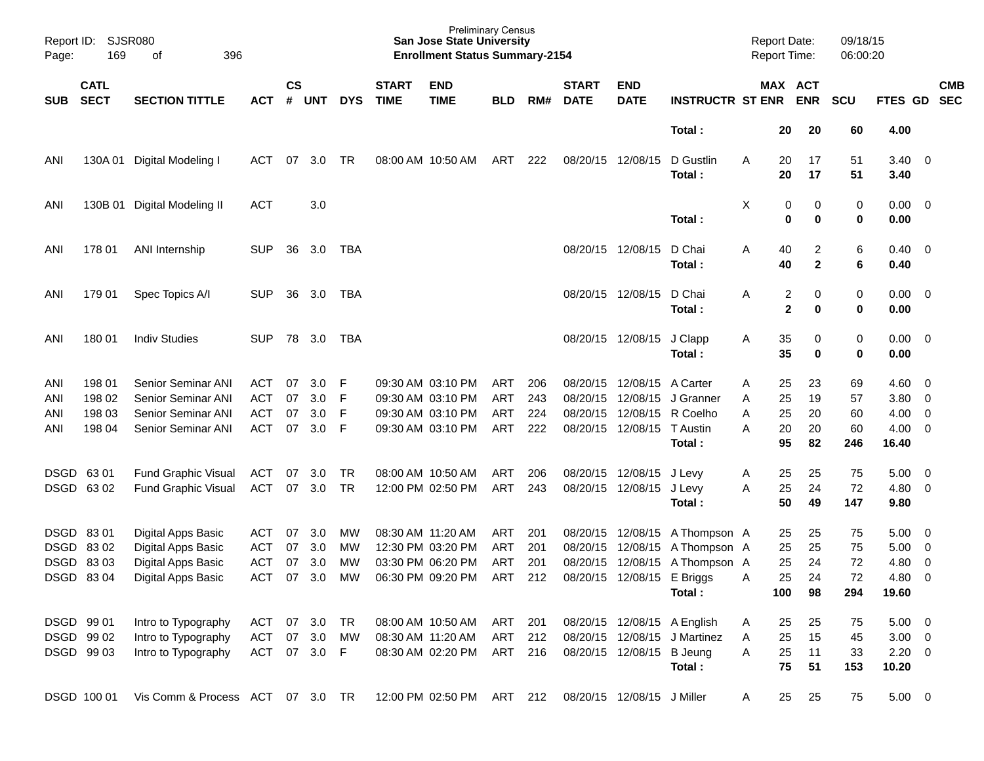| Report ID:<br>Page:      | 169                                         | <b>SJSR080</b><br>396<br>οf                                                                        |                                               |                      |                          |                  |                             | <b>Preliminary Census</b><br><b>San Jose State University</b><br><b>Enrollment Status Summary-2154</b>                            |                          |                          |                                              |                                              |                                                                       | <b>Report Date:</b><br><b>Report Time:</b> |                             |                              | 09/18/15<br>06:00:20        |                                                   |                                                                  |                          |
|--------------------------|---------------------------------------------|----------------------------------------------------------------------------------------------------|-----------------------------------------------|----------------------|--------------------------|------------------|-----------------------------|-----------------------------------------------------------------------------------------------------------------------------------|--------------------------|--------------------------|----------------------------------------------|----------------------------------------------|-----------------------------------------------------------------------|--------------------------------------------|-----------------------------|------------------------------|-----------------------------|---------------------------------------------------|------------------------------------------------------------------|--------------------------|
| <b>SUB</b>               | <b>CATL</b><br><b>SECT</b>                  | <b>SECTION TITTLE</b>                                                                              | <b>ACT</b>                                    | $\mathsf{cs}$<br>#   | <b>UNT</b>               | <b>DYS</b>       | <b>START</b><br><b>TIME</b> | <b>END</b><br><b>TIME</b>                                                                                                         | <b>BLD</b>               | RM#                      | <b>START</b><br><b>DATE</b>                  | <b>END</b><br><b>DATE</b>                    | <b>INSTRUCTR ST ENR</b>                                               |                                            |                             | <b>MAX ACT</b><br><b>ENR</b> | <b>SCU</b>                  | FTES GD                                           |                                                                  | <b>CMB</b><br><b>SEC</b> |
|                          |                                             |                                                                                                    |                                               |                      |                          |                  |                             |                                                                                                                                   |                          |                          |                                              |                                              | Total:                                                                |                                            | 20                          | 20                           | 60                          | 4.00                                              |                                                                  |                          |
| ANI                      | 130A 01                                     | Digital Modeling I                                                                                 | ACT                                           | 07                   | 3.0                      | TR               |                             | 08:00 AM 10:50 AM                                                                                                                 | ART                      | 222                      | 08/20/15                                     | 12/08/15                                     | D Gustlin<br>Total:                                                   | A                                          | 20<br>20                    | 17<br>17                     | 51<br>51                    | $3.40 \quad 0$<br>3.40                            |                                                                  |                          |
| ANI                      | 130B 01                                     | Digital Modeling II                                                                                | <b>ACT</b>                                    |                      | 3.0                      |                  |                             |                                                                                                                                   |                          |                          |                                              |                                              | Total:                                                                | X                                          | 0<br>0                      | 0<br>0                       | 0<br>0                      | $0.00 \ 0$<br>0.00                                |                                                                  |                          |
| ANI                      | 178 01                                      | ANI Internship                                                                                     | <b>SUP</b>                                    | 36                   | 3.0                      | TBA              |                             |                                                                                                                                   |                          |                          | 08/20/15                                     | 12/08/15                                     | D Chai<br>Total:                                                      | Α                                          | 40<br>40                    | 2<br>$\mathbf{2}$            | 6<br>6                      | $0.40 \quad 0$<br>0.40                            |                                                                  |                          |
| ANI                      | 179 01                                      | Spec Topics A/I                                                                                    | <b>SUP</b>                                    | 36                   | 3.0                      | TBA              |                             |                                                                                                                                   |                          |                          | 08/20/15                                     | 12/08/15                                     | D Chai<br>Total:                                                      | Α                                          | 2<br>$\mathbf{2}$           | 0<br>0                       | 0<br>0                      | $0.00 \ 0$<br>0.00                                |                                                                  |                          |
| ANI                      | 180 01                                      | <b>Indiv Studies</b>                                                                               | <b>SUP</b>                                    | 78                   | 3.0                      | TBA              |                             |                                                                                                                                   |                          |                          | 08/20/15                                     | 12/08/15                                     | J Clapp<br>Total:                                                     | A                                          | 35<br>35                    | 0<br>0                       | 0<br>0                      | $0.00 \ 0$<br>0.00                                |                                                                  |                          |
| ANI<br>ANI<br>ANI<br>ANI | 198 01<br>198 02<br>198 03<br>198 04        | <b>Senior Seminar ANI</b><br>Senior Seminar ANI<br><b>Senior Seminar ANI</b><br>Senior Seminar ANI | ACT<br><b>ACT</b><br><b>ACT</b><br><b>ACT</b> | 07<br>07<br>07<br>07 | 3.0<br>3.0<br>3.0<br>3.0 | F<br>F<br>F<br>F |                             | 09:30 AM 03:10 PM<br>09:30 AM 03:10 PM<br>09:30 AM 03:10 PM<br>09:30 AM 03:10 PM                                                  | ART<br>ART<br>ART<br>ART | 206<br>243<br>224<br>222 | 08/20/15<br>08/20/15<br>08/20/15<br>08/20/15 | 12/08/15<br>12/08/15<br>12/08/15<br>12/08/15 | A Carter<br>J Granner<br>R Coelho<br>T Austin<br>Total :              | Α<br>A<br>Α<br>Α                           | 25<br>25<br>25<br>20<br>95  | 23<br>19<br>20<br>20<br>82   | 69<br>57<br>60<br>60<br>246 | 4.60<br>3.80<br>4.00<br>4.00<br>16.40             | - 0<br>$\overline{\mathbf{0}}$<br>$\overline{\mathbf{0}}$<br>- 0 |                          |
|                          | DSGD 63 01<br>DSGD 6302                     | <b>Fund Graphic Visual</b><br><b>Fund Graphic Visual</b>                                           | ACT<br>ACT                                    | 07<br>07             | 3.0<br>3.0               | TR<br><b>TR</b>  |                             | 08:00 AM 10:50 AM<br>12:00 PM 02:50 PM                                                                                            | ART<br>ART               | 206<br>243               | 08/20/15<br>08/20/15                         | 12/08/15<br>12/08/15                         | J Levy<br>J Levy<br>Total:                                            | A<br>Α                                     | 25<br>25<br>50              | 25<br>24<br>49               | 75<br>72<br>147             | 5.00<br>$4.80\ 0$<br>9.80                         | $\overline{\phantom{0}}$                                         |                          |
| <b>DSGD</b>              | DSGD 8301<br>8302<br>DSGD 8303<br>DSGD 8304 | Digital Apps Basic<br>Digital Apps Basic<br>Digital Apps Basic<br>Digital Apps Basic               | <b>ACT</b><br><b>ACT</b><br><b>ACT</b>        | 07<br>07<br>07       | 3.0<br>3.0<br>3.0        | MW<br>MW<br>MW   |                             | 08:30 AM 11:20 AM<br>12:30 PM 03:20 PM<br>03:30 PM 06:20 PM<br>ACT 07 3.0 MW 06:30 PM 09:20 PM ART 212 08/20/15 12/08/15 E Briggs | ART<br>ART<br>ART        | 201<br>201<br>201        | 08/20/15<br>08/20/15<br>08/20/15             | 12/08/15<br>12/08/15                         | A Thompson A<br>A Thompson A<br>12/08/15 A Thompson A<br>Total:       |                                            | 25<br>25<br>25<br>25<br>100 | 25<br>25<br>24<br>24<br>98   | 75<br>75<br>72<br>72<br>294 | 5.00<br>5.00<br>4.80<br>4.80 0<br>19.60           | - 0<br>$\overline{\phantom{0}}$<br>0                             |                          |
|                          | DSGD 99 01<br>DSGD 99 02<br>DSGD 99 03      | Intro to Typography<br>Intro to Typography<br>Intro to Typography                                  | ACT 07 3.0 TR<br>ACT<br>ACT 07 3.0 F          | 07                   | 3.0                      | MW               |                             | 08:00 AM 10:50 AM ART 201<br>08:30 AM 11:20 AM<br>08:30 AM 02:20 PM ART 216                                                       | ART                      | 212                      |                                              | 08/20/15 12/08/15 B Jeung                    | 08/20/15 12/08/15 A English<br>08/20/15 12/08/15 J Martinez<br>Total: | A<br>A<br>Α                                | 25<br>25<br>25<br>75        | 25<br>15<br>11<br>51         | 75<br>45<br>33<br>153       | $5.00 \t 0$<br>$3.00 \ 0$<br>$2.20 \t 0$<br>10.20 |                                                                  |                          |
|                          | DSGD 100 01                                 | Vis Comm & Process ACT 07 3.0 TR 12:00 PM 02:50 PM ART 212                                         |                                               |                      |                          |                  |                             |                                                                                                                                   |                          |                          |                                              | 08/20/15 12/08/15 J Miller                   |                                                                       | A                                          | 25                          | 25                           | 75                          | $5.00 \t 0$                                       |                                                                  |                          |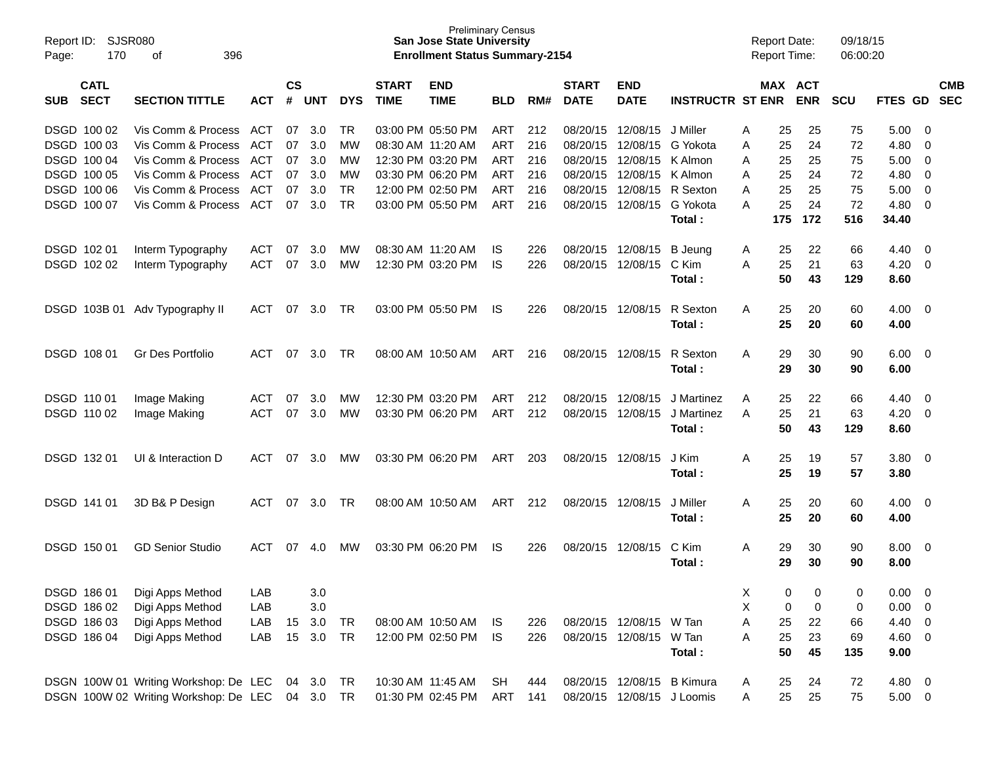| Report ID:<br>Page: | <b>SJSR080</b><br>170      | 396<br>οf                             |            |                    |            |            |                             | <b>Preliminary Census</b><br><b>San Jose State University</b><br><b>Enrollment Status Summary-2154</b> |            |          |                             |                            |                         |    | <b>Report Date:</b><br><b>Report Time:</b> |                       | 09/18/15<br>06:00:20 |             |                          |                          |
|---------------------|----------------------------|---------------------------------------|------------|--------------------|------------|------------|-----------------------------|--------------------------------------------------------------------------------------------------------|------------|----------|-----------------------------|----------------------------|-------------------------|----|--------------------------------------------|-----------------------|----------------------|-------------|--------------------------|--------------------------|
| <b>SUB</b>          | <b>CATL</b><br><b>SECT</b> | <b>SECTION TITTLE</b>                 | <b>ACT</b> | $\mathsf{cs}$<br># | <b>UNT</b> | <b>DYS</b> | <b>START</b><br><b>TIME</b> | <b>END</b><br><b>TIME</b>                                                                              | <b>BLD</b> | RM#      | <b>START</b><br><b>DATE</b> | <b>END</b><br><b>DATE</b>  | <b>INSTRUCTR ST ENR</b> |    |                                            | MAX ACT<br><b>ENR</b> | <b>SCU</b>           | FTES GD     |                          | <b>CMB</b><br><b>SEC</b> |
|                     | DSGD 100 02                | <b>ACT</b>                            | 07         | 3.0                | TR         |            | 03:00 PM 05:50 PM           | <b>ART</b>                                                                                             | 212        | 08/20/15 | 12/08/15                    | J Miller                   | A                       | 25 | 25                                         | 75                    | 5.00                 | - 0         |                          |                          |
| DSGD 100 03         |                            | Vis Comm & Process                    | <b>ACT</b> | 07                 | 3.0        | МW         | 08:30 AM 11:20 AM           |                                                                                                        | ART        | 216      | 08/20/15                    | 12/08/15                   | G Yokota                | A  | 25                                         | 24                    | 72                   | 4.80        | -0                       |                          |
|                     | DSGD 100 04                | Vis Comm & Process                    | <b>ACT</b> | 07                 | 3.0        | МW         |                             | 12:30 PM 03:20 PM                                                                                      | ART        | 216      | 08/20/15                    | 12/08/15                   | K Almon                 | A  | 25                                         | 25                    | 75                   | 5.00        | -0                       |                          |
| DSGD 100 05         |                            | Vis Comm & Process                    | <b>ACT</b> | 07                 | 3.0        | МW         |                             | 03:30 PM 06:20 PM                                                                                      | <b>ART</b> | 216      | 08/20/15                    | 12/08/15                   | K Almon                 | A  | 25                                         | 24                    | 72                   | 4.80        | -0                       |                          |
|                     | DSGD 100 06                | Vis Comm & Process                    | <b>ACT</b> | 07                 | 3.0        | <b>TR</b>  |                             | 12:00 PM 02:50 PM                                                                                      | <b>ART</b> | 216      | 08/20/15                    | 12/08/15                   | R Sexton                | A  | 25                                         | 25                    | 75                   | 5.00        | 0                        |                          |
|                     | DSGD 100 07                | Vis Comm & Process                    | <b>ACT</b> | 07                 | 3.0        | <b>TR</b>  |                             | 03:00 PM 05:50 PM                                                                                      | <b>ART</b> | 216      | 08/20/15                    | 12/08/15                   | G Yokota                | A  | 25                                         | 24                    | 72                   | 4.80        | 0                        |                          |
|                     |                            |                                       |            |                    |            |            |                             |                                                                                                        |            |          |                             |                            | Total:                  |    | 175                                        | 172                   | 516                  | 34.40       |                          |                          |
| DSGD 102 01         |                            | Interm Typography                     | <b>ACT</b> | 07                 | 3.0        | МW         | 08:30 AM 11:20 AM           |                                                                                                        | IS         | 226      |                             | 08/20/15 12/08/15          | <b>B</b> Jeung          | A  | 25                                         | 22                    | 66                   | 4.40        | - 0                      |                          |
|                     | DSGD 102 02                | Interm Typography                     | <b>ACT</b> | 07                 | 3.0        | МW         |                             | 12:30 PM 03:20 PM                                                                                      | <b>IS</b>  | 226      |                             | 08/20/15 12/08/15          | C Kim                   | A  | 25                                         | 21                    | 63                   | 4.20        | - 0                      |                          |
|                     |                            |                                       |            |                    |            |            |                             |                                                                                                        |            |          |                             |                            | Total:                  |    | 50                                         | 43                    | 129                  | 8.60        |                          |                          |
|                     | DSGD 103B 01               | Adv Typography II                     | ACT        | 07                 | 3.0        | TR         |                             | 03:00 PM 05:50 PM                                                                                      | IS         | 226      |                             | 08/20/15 12/08/15          | R Sexton                | Α  | 25                                         | 20                    | 60                   | 4.00        | - 0                      |                          |
|                     |                            |                                       |            |                    |            |            |                             |                                                                                                        |            |          |                             |                            | Total:                  |    | 25                                         | 20                    | 60                   | 4.00        |                          |                          |
|                     | DSGD 108 01                | Gr Des Portfolio                      | <b>ACT</b> | 07                 | 3.0        | TR         |                             | 08:00 AM 10:50 AM                                                                                      | <b>ART</b> | 216      |                             | 08/20/15 12/08/15          | R Sexton                | A  | 29                                         | 30                    | 90                   | 6.00        | - 0                      |                          |
|                     |                            |                                       |            |                    |            |            |                             |                                                                                                        |            |          |                             |                            | Total:                  |    | 29                                         | 30                    | 90                   | 6.00        |                          |                          |
| DSGD 110 01         |                            | Image Making                          | <b>ACT</b> | 07                 | 3.0        | МW         |                             | 12:30 PM 03:20 PM                                                                                      | ART        | 212      | 08/20/15                    | 12/08/15                   | J Martinez              | A  | 25                                         | 22                    | 66                   | 4.40        | - 0                      |                          |
|                     | DSGD 110 02                | Image Making                          | <b>ACT</b> | 07                 | 3.0        | МW         |                             | 03:30 PM 06:20 PM                                                                                      | ART        | 212      | 08/20/15                    | 12/08/15                   | J Martinez              | A  | 25                                         | 21                    | 63                   | 4.20        | - 0                      |                          |
|                     |                            |                                       |            |                    |            |            |                             |                                                                                                        |            |          |                             |                            | Total:                  |    | 50                                         | 43                    | 129                  | 8.60        |                          |                          |
| DSGD 13201          |                            | UI & Interaction D                    | <b>ACT</b> | 07                 | 3.0        | МW         |                             | 03:30 PM 06:20 PM                                                                                      | <b>ART</b> | 203      |                             | 08/20/15 12/08/15          | J Kim                   | A  | 25                                         | 19                    | 57                   | 3.80        | - 0                      |                          |
|                     |                            |                                       |            |                    |            |            |                             |                                                                                                        |            |          |                             |                            | Total :                 |    | 25                                         | 19                    | 57                   | 3.80        |                          |                          |
|                     | DSGD 141 01                |                                       | ACT        | 07                 | 3.0        | TR         |                             | 08:00 AM 10:50 AM                                                                                      | ART        | 212      |                             | 08/20/15 12/08/15          | J Miller                | A  | 25                                         | 20                    |                      | 4.00        | - 0                      |                          |
|                     |                            | 3D B& P Design                        |            |                    |            |            |                             |                                                                                                        |            |          |                             |                            | Total :                 |    | 25                                         | 20                    | 60<br>60             | 4.00        |                          |                          |
|                     |                            |                                       |            |                    |            |            |                             |                                                                                                        |            |          |                             |                            |                         |    |                                            |                       |                      |             |                          |                          |
|                     | DSGD 150 01                | <b>GD Senior Studio</b>               | <b>ACT</b> | 07                 | 4.0        | МW         |                             | 03:30 PM 06:20 PM                                                                                      | IS.        | 226      |                             | 08/20/15 12/08/15          | C Kim                   | A  | 29                                         | 30                    | 90                   | 8.00        | - 0                      |                          |
|                     |                            |                                       |            |                    |            |            |                             |                                                                                                        |            |          |                             |                            | Total :                 |    | 29                                         | 30                    | 90                   | 8.00        |                          |                          |
| DSGD 186 01         |                            | Digi Apps Method                      | LAB        |                    | 3.0        |            |                             |                                                                                                        |            |          |                             |                            |                         | Х  | 0                                          | 0                     | 0                    | 0.00        | - 0                      |                          |
|                     | DSGD 186 02                | Digi Apps Method                      | LAB        |                    | 3.0        |            |                             |                                                                                                        |            |          |                             |                            |                         | X  | 0                                          | 0                     | 0                    | 0.00        | - 0                      |                          |
|                     | DSGD 186 03                | Digi Apps Method                      | LAB        | 15                 | 3.0        | TR         |                             | 08:00 AM 10:50 AM                                                                                      | IS         | 226      |                             | 08/20/15 12/08/15 W Tan    |                         | Α  | 25                                         | 22                    | 66                   | 4.40        | - 0                      |                          |
|                     | DSGD 186 04                | Digi Apps Method                      | LAB        | 15                 | 3.0        | <b>TR</b>  |                             | 12:00 PM 02:50 PM                                                                                      | <b>IS</b>  | 226      |                             | 08/20/15 12/08/15          | W Tan                   | Α  | 25                                         | 23                    | 69                   | 4.60        | - 0                      |                          |
|                     |                            |                                       |            |                    |            |            |                             |                                                                                                        |            |          |                             |                            | Total:                  |    | 50                                         | 45                    | 135                  | 9.00        |                          |                          |
|                     |                            | DSGN 100W 01 Writing Workshop: De LEC |            |                    | 04 3.0     | TR         |                             | 10:30 AM 11:45 AM                                                                                      | SH         | 444      |                             | 08/20/15 12/08/15 B Kimura |                         | A  | 25                                         | 24                    | 72                   | 4.80        | $\overline{\phantom{0}}$ |                          |
|                     |                            | DSGN 100W 02 Writing Workshop: De LEC |            |                    | 04 3.0 TR  |            |                             | 01:30 PM 02:45 PM                                                                                      | ART        | 141      |                             | 08/20/15 12/08/15 J Loomis |                         | A  | 25                                         | 25                    | 75                   | $5.00 \t 0$ |                          |                          |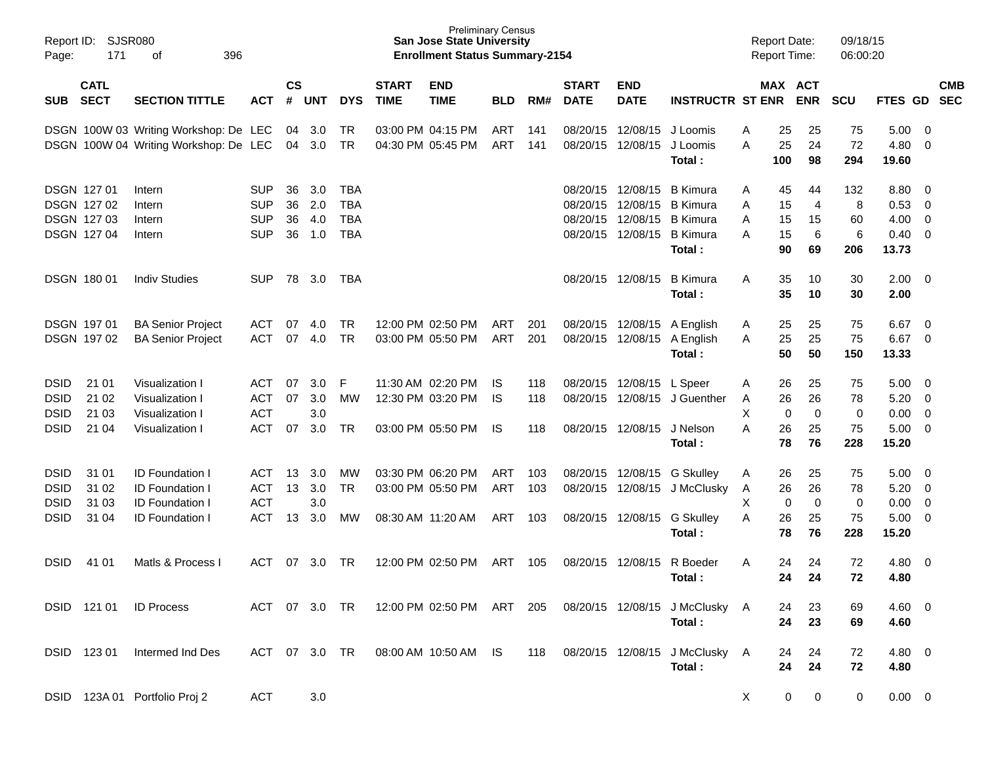| Report ID:<br>Page:                        | SJSR080<br>171                                                 |                                                                                               |                                                      |                      |                          |                                                      | <b>Preliminary Census</b><br><b>San Jose State University</b><br><b>Enrollment Status Summary-2154</b> |                                                             |                          |                   |                                           |                                                             |                                                                                    | <b>Report Date:</b><br><b>Report Time:</b> |                            | 09/18/15<br>06:00:20                  |                            |                                       |                                                                    |            |
|--------------------------------------------|----------------------------------------------------------------|-----------------------------------------------------------------------------------------------|------------------------------------------------------|----------------------|--------------------------|------------------------------------------------------|--------------------------------------------------------------------------------------------------------|-------------------------------------------------------------|--------------------------|-------------------|-------------------------------------------|-------------------------------------------------------------|------------------------------------------------------------------------------------|--------------------------------------------|----------------------------|---------------------------------------|----------------------------|---------------------------------------|--------------------------------------------------------------------|------------|
| <b>SUB</b>                                 | <b>CATL</b><br><b>SECT</b>                                     | <b>SECTION TITTLE</b>                                                                         | <b>ACT</b>                                           | $\mathsf{cs}$<br>#   | <b>UNT</b>               | <b>DYS</b>                                           | <b>START</b><br><b>TIME</b>                                                                            | <b>END</b><br><b>TIME</b>                                   | <b>BLD</b>               | RM#               | <b>START</b><br><b>DATE</b>               | <b>END</b><br><b>DATE</b>                                   | <b>INSTRUCTR ST ENR</b>                                                            |                                            | <b>MAX ACT</b>             | <b>ENR</b>                            | <b>SCU</b>                 | FTES GD SEC                           |                                                                    | <b>CMB</b> |
|                                            |                                                                | DSGN 100W 03 Writing Workshop: De LEC<br>DSGN 100W 04 Writing Workshop: De LEC                |                                                      | 04<br>04             | 3.0<br>3.0               | TR<br><b>TR</b>                                      |                                                                                                        | 03:00 PM 04:15 PM<br>04:30 PM 05:45 PM                      | ART<br>ART               | 141<br>141        |                                           | 08/20/15 12/08/15<br>08/20/15 12/08/15                      | J Loomis<br>J Loomis<br>Total:                                                     | A<br>A                                     | 25<br>25<br>100            | 25<br>24<br>98                        | 75<br>72<br>294            | 5.00<br>4.80<br>19.60                 | - 0<br>- 0                                                         |            |
|                                            | <b>DSGN 12701</b><br>DSGN 127 02<br>DSGN 127 03<br>DSGN 127 04 | Intern<br>Intern<br>Intern<br>Intern                                                          | <b>SUP</b><br><b>SUP</b><br><b>SUP</b><br><b>SUP</b> | 36<br>36<br>36<br>36 | 3.0<br>2.0<br>4.0<br>1.0 | <b>TBA</b><br><b>TBA</b><br><b>TBA</b><br><b>TBA</b> |                                                                                                        |                                                             |                          |                   | 08/20/15 12/08/15<br>08/20/15<br>08/20/15 | 12/08/15<br>12/08/15<br>08/20/15 12/08/15                   | <b>B</b> Kimura<br><b>B</b> Kimura<br><b>B</b> Kimura<br><b>B</b> Kimura<br>Total: | A<br>A<br>A<br>A                           | 45<br>15<br>15<br>15<br>90 | 44<br>$\overline{4}$<br>15<br>6<br>69 | 132<br>8<br>60<br>6<br>206 | 8.80<br>0.53<br>4.00<br>0.40<br>13.73 | - 0<br>$\overline{0}$<br>$\overline{0}$<br>$\overline{\mathbf{0}}$ |            |
|                                            | <b>DSGN 18001</b>                                              | <b>Indiv Studies</b>                                                                          | <b>SUP</b>                                           | 78                   | 3.0                      | TBA                                                  |                                                                                                        |                                                             |                          |                   |                                           | 08/20/15 12/08/15                                           | <b>B</b> Kimura<br>Total:                                                          | A                                          | 35<br>35                   | 10<br>10                              | 30<br>30                   | 2.00<br>2.00                          | $\overline{\mathbf{0}}$                                            |            |
|                                            | <b>DSGN 19701</b><br>DSGN 197 02                               | <b>BA Senior Project</b><br><b>BA Senior Project</b>                                          | ACT<br><b>ACT</b>                                    | 07<br>07             | 4.0<br>4.0               | <b>TR</b><br><b>TR</b>                               |                                                                                                        | 12:00 PM 02:50 PM<br>03:00 PM 05:50 PM                      | ART<br>ART               | 201<br>201        |                                           | 08/20/15 12/08/15 A English                                 | 08/20/15 12/08/15 A English<br>Total:                                              | A<br>A                                     | 25<br>25<br>50             | 25<br>25<br>50                        | 75<br>75<br>150            | 6.67<br>6.67<br>13.33                 | - 0<br>$\overline{0}$                                              |            |
| DSID<br><b>DSID</b><br><b>DSID</b><br>DSID | 21 01<br>21 02<br>21 03<br>21 04                               | Visualization I<br>Visualization I<br>Visualization I<br>Visualization I                      | ACT<br><b>ACT</b><br><b>ACT</b><br><b>ACT</b>        | 07<br>07<br>07       | 3.0<br>3.0<br>3.0<br>3.0 | F<br><b>MW</b><br><b>TR</b>                          |                                                                                                        | 11:30 AM 02:20 PM<br>12:30 PM 03:20 PM<br>03:00 PM 05:50 PM | IS<br><b>IS</b><br>IS    | 118<br>118<br>118 |                                           | 08/20/15 12/08/15 L Speer<br>08/20/15 12/08/15              | 08/20/15 12/08/15 J Guenther<br>J Nelson<br>Total:                                 | A<br>Α<br>X<br>A                           | 26<br>26<br>0<br>26<br>78  | 25<br>26<br>$\mathbf 0$<br>25<br>76   | 75<br>78<br>0<br>75<br>228 | 5.00<br>5.20<br>0.00<br>5.00<br>15.20 | - 0<br>$\overline{0}$<br>$\overline{0}$<br>$\overline{\mathbf{0}}$ |            |
| DSID<br><b>DSID</b><br><b>DSID</b><br>DSID | 31 01<br>31 02<br>31 03<br>31 04                               | <b>ID Foundation I</b><br><b>ID Foundation I</b><br>ID Foundation I<br><b>ID Foundation I</b> | <b>ACT</b><br><b>ACT</b><br><b>ACT</b><br><b>ACT</b> | 13<br>13<br>13       | 3.0<br>3.0<br>3.0<br>3.0 | <b>MW</b><br><b>TR</b><br>MW                         | 08:30 AM 11:20 AM                                                                                      | 03:30 PM 06:20 PM<br>03:00 PM 05:50 PM                      | ART<br><b>ART</b><br>ART | 103<br>103<br>103 |                                           | 08/20/15 12/08/15<br>08/20/15 12/08/15<br>08/20/15 12/08/15 | G Skullev<br>J McClusky<br><b>G Skulley</b><br>Total:                              | A<br>A<br>X<br>A                           | 26<br>26<br>0<br>26<br>78  | 25<br>26<br>$\mathbf 0$<br>25<br>76   | 75<br>78<br>0<br>75<br>228 | 5.00<br>5.20<br>0.00<br>5.00<br>15.20 | - 0<br>$\overline{0}$<br>$\overline{0}$<br>$\overline{\mathbf{0}}$ |            |
| DSID                                       | 41 01                                                          | Matls & Process I                                                                             | ACT                                                  | 07                   | 3.0                      | TR.                                                  |                                                                                                        | 12:00 PM 02:50 PM                                           | ART                      | 105               |                                           | 08/20/15 12/08/15                                           | R Boeder<br>Total:                                                                 | A                                          | 24<br>24                   | 24<br>24                              | 72<br>72                   | 4.80<br>4.80                          | $\overline{\mathbf{0}}$                                            |            |
|                                            | DSID 121 01                                                    | <b>ID Process</b>                                                                             |                                                      |                      |                          |                                                      |                                                                                                        | ACT 07 3.0 TR 12:00 PM 02:50 PM ART 205                     |                          |                   |                                           |                                                             | 08/20/15 12/08/15 J McClusky A<br>Total:                                           |                                            | 24<br>24                   | 23<br>23                              | 69<br>69                   | $4.60 \quad 0$<br>4.60                |                                                                    |            |
|                                            | DSID 123 01                                                    | Intermed Ind Des                                                                              | ACT 07 3.0 TR                                        |                      |                          |                                                      |                                                                                                        | 08:00 AM 10:50 AM IS                                        |                          | 118               |                                           |                                                             | 08/20/15 12/08/15 J McClusky A<br>Total:                                           |                                            | 24<br>24                   | 24<br>24                              | 72<br>72                   | $4.80\ 0$<br>4.80                     |                                                                    |            |
|                                            |                                                                | DSID 123A 01 Portfolio Proj 2                                                                 | <b>ACT</b>                                           |                      | 3.0                      |                                                      |                                                                                                        |                                                             |                          |                   |                                           |                                                             |                                                                                    | X                                          | $\mathbf 0$                | 0                                     | 0                          | $0.00 \t 0$                           |                                                                    |            |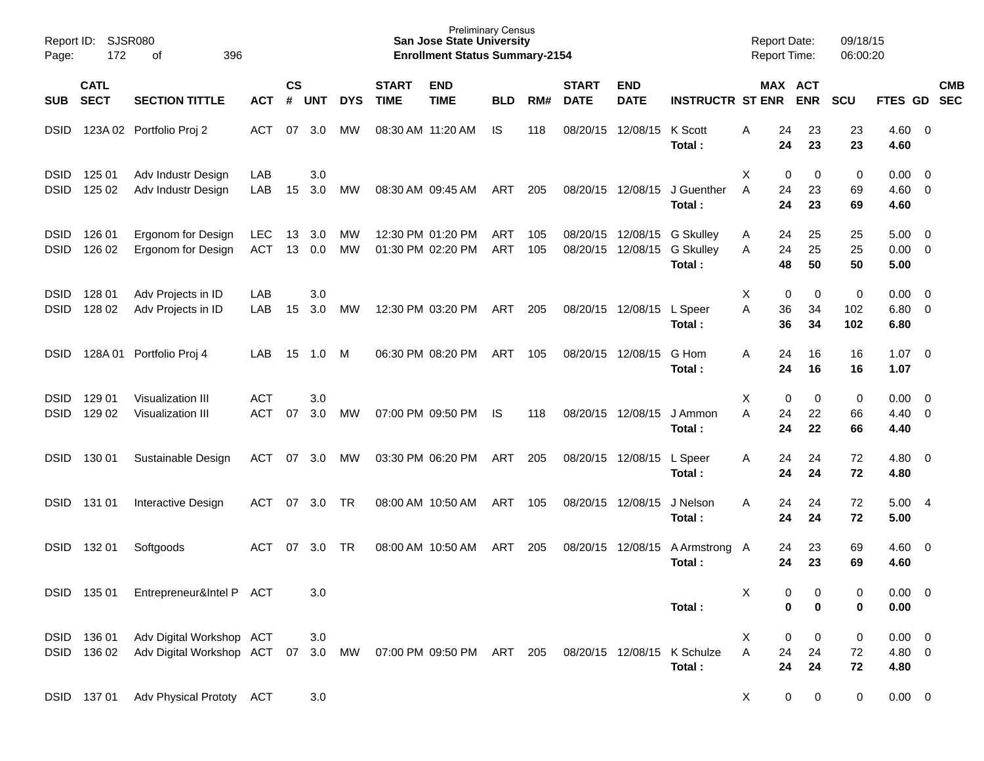| Page:                      | Report ID: SJSR080<br>172<br>396<br>оf |                                                             |                          |                    |            |                 |                             | <b>Preliminary Census</b><br><b>San Jose State University</b><br><b>Enrollment Status Summary-2154</b> |                   |            |                             |                           |                                                |        | <b>Report Date:</b><br>Report Time: |                             | 09/18/15<br>06:00:20                  |                                                    |                           |
|----------------------------|----------------------------------------|-------------------------------------------------------------|--------------------------|--------------------|------------|-----------------|-----------------------------|--------------------------------------------------------------------------------------------------------|-------------------|------------|-----------------------------|---------------------------|------------------------------------------------|--------|-------------------------------------|-----------------------------|---------------------------------------|----------------------------------------------------|---------------------------|
| SUB                        | <b>CATL</b><br><b>SECT</b>             | <b>SECTION TITTLE</b>                                       | <b>ACT</b>               | $\mathsf{cs}$<br># | <b>UNT</b> | <b>DYS</b>      | <b>START</b><br><b>TIME</b> | <b>END</b><br><b>TIME</b>                                                                              | <b>BLD</b>        | RM#        | <b>START</b><br><b>DATE</b> | <b>END</b><br><b>DATE</b> | <b>INSTRUCTR ST ENR</b>                        |        | MAX ACT<br><b>ENR</b>               | <b>SCU</b>                  |                                       |                                                    | <b>CMB</b><br>FTES GD SEC |
| <b>DSID</b>                |                                        | 123A 02 Portfolio Proj 2                                    | ACT                      | 07                 | 3.0        | МW              |                             | 08:30 AM 11:20 AM                                                                                      | IS.               | 118        | 08/20/15                    | 12/08/15                  | K Scott<br>Total:                              | A      | 24<br>24                            | 23<br>23                    | 23<br>23<br>4.60                      | $4.60 \ 0$                                         |                           |
| <b>DSID</b><br><b>DSID</b> | 125 01<br>125 02                       | Adv Industr Design<br>Adv Industr Design                    | LAB<br>LAB               | 15                 | 3.0<br>3.0 | MW              |                             | 08:30 AM 09:45 AM                                                                                      | ART               | 205        |                             | 08/20/15 12/08/15         | J Guenther<br>Total:                           | X<br>A | 0<br>24<br>24                       | 0<br>23<br>23               | 0<br>0.00<br>69<br>69<br>4.60         | $\overline{\phantom{0}}$<br>$4.60$ 0               |                           |
| <b>DSID</b><br><b>DSID</b> | 126 01<br>126 02                       | Ergonom for Design<br>Ergonom for Design                    | <b>LEC</b><br><b>ACT</b> | 13<br>13           | 3.0<br>0.0 | MW<br><b>MW</b> |                             | 12:30 PM 01:20 PM<br>01:30 PM 02:20 PM                                                                 | ART<br><b>ART</b> | 105<br>105 | 08/20/15<br>08/20/15        | 12/08/15<br>12/08/15      | <b>G Skulley</b><br><b>G Skulley</b><br>Total: | A<br>A | 24<br>24<br>48                      | 25<br>25<br>50              | 5.00<br>25<br>25<br>50<br>5.00        | $\overline{\phantom{0}}$<br>$0.00 \t 0$            |                           |
| <b>DSID</b><br><b>DSID</b> | 128 01<br>128 02                       | Adv Projects in ID<br>Adv Projects in ID                    | LAB<br>LAB               | 15                 | 3.0<br>3.0 | MW              |                             | 12:30 PM 03:20 PM                                                                                      | ART               | 205        | 08/20/15                    | 12/08/15                  | L Speer<br>Total:                              | Х<br>Α | 0<br>36<br>36                       | 0<br>34<br>102<br>34<br>102 | 0<br>6.80                             | $0.00 \t 0$<br>$6.80$ 0                            |                           |
| <b>DSID</b>                |                                        | 128A 01 Portfolio Proj 4                                    | LAB                      | 15                 | 1.0        | M               |                             | 06:30 PM 08:20 PM                                                                                      | ART               | 105        |                             | 08/20/15 12/08/15         | G Hom<br>Total:                                | A      | 24<br>24                            | 16<br>16                    | 16<br>1.07<br>16<br>1.07              | $\overline{\phantom{0}}$                           |                           |
| <b>DSID</b><br><b>DSID</b> | 129 01<br>129 02                       | Visualization III<br>Visualization III                      | <b>ACT</b><br><b>ACT</b> | 07                 | 3.0<br>3.0 | МW              |                             | 07:00 PM 09:50 PM                                                                                      | <b>IS</b>         | 118        | 08/20/15                    | 12/08/15                  | J Ammon<br>Total:                              | X<br>A | 0<br>24<br>24                       | 0<br>22<br>22               | 0<br>0.00<br>66<br>4.40<br>66<br>4.40 | $\overline{\mathbf{0}}$<br>$\overline{\mathbf{0}}$ |                           |
| <b>DSID</b>                | 130 01                                 | Sustainable Design                                          | <b>ACT</b>               | 07                 | 3.0        | МW              |                             | 03:30 PM 06:20 PM                                                                                      | ART               | 205        |                             | 08/20/15 12/08/15         | L Speer<br>Total:                              | A      | 24<br>24                            | 24<br>24                    | 72<br>72<br>4.80                      | $4.80\ 0$                                          |                           |
| <b>DSID</b>                | 131 01                                 | Interactive Design                                          | ACT                      | 07                 | 3.0        | TR              |                             | 08:00 AM 10:50 AM                                                                                      | ART               | 105        |                             | 08/20/15 12/08/15         | J Nelson<br>Total:                             | A      | 24<br>24                            | 24<br>24                    | 72<br>5.00<br>72<br>5.00              | - 4                                                |                           |
| <b>DSID</b>                | 132 01                                 | Softgoods                                                   | ACT                      | 07                 | 3.0        | <b>TR</b>       |                             | 08:00 AM 10:50 AM                                                                                      | ART               | 205        | 08/20/15                    | 12/08/15                  | A Armstrong A<br>Total:                        |        | 24<br>24                            | 23<br>23                    | 69<br>69<br>4.60                      | $4.60 \ 0$                                         |                           |
|                            |                                        | DSID 135 01 Entrepreneur&Intel P ACT                        |                          |                    | 3.0        |                 |                             |                                                                                                        |                   |            |                             |                           | Total:                                         | X      | 0<br>$\bf{0}$                       | 0<br>0                      | 0<br>0<br>0.00                        | $0.00 \t 0$                                        |                           |
|                            | DSID 136 01<br>DSID 136 02             | Adv Digital Workshop ACT<br>Adv Digital Workshop ACT 07 3.0 |                          |                    | $3.0\,$    | MW              |                             | 07:00 PM 09:50 PM ART 205                                                                              |                   |            |                             | 08/20/15 12/08/15         | K Schulze<br>Total:                            | X<br>Α | 0<br>24<br>24                       | 0<br>24<br>24               | $\pmb{0}$<br>72<br>72<br>4.80         | $0.00 \t 0$<br>4.80 0                              |                           |
|                            | DSID 137 01                            | Adv Physical Prototy ACT                                    |                          |                    | $3.0\,$    |                 |                             |                                                                                                        |                   |            |                             |                           |                                                | X      | 0                                   | $\mathbf 0$                 | 0                                     | $0.00 \t 0$                                        |                           |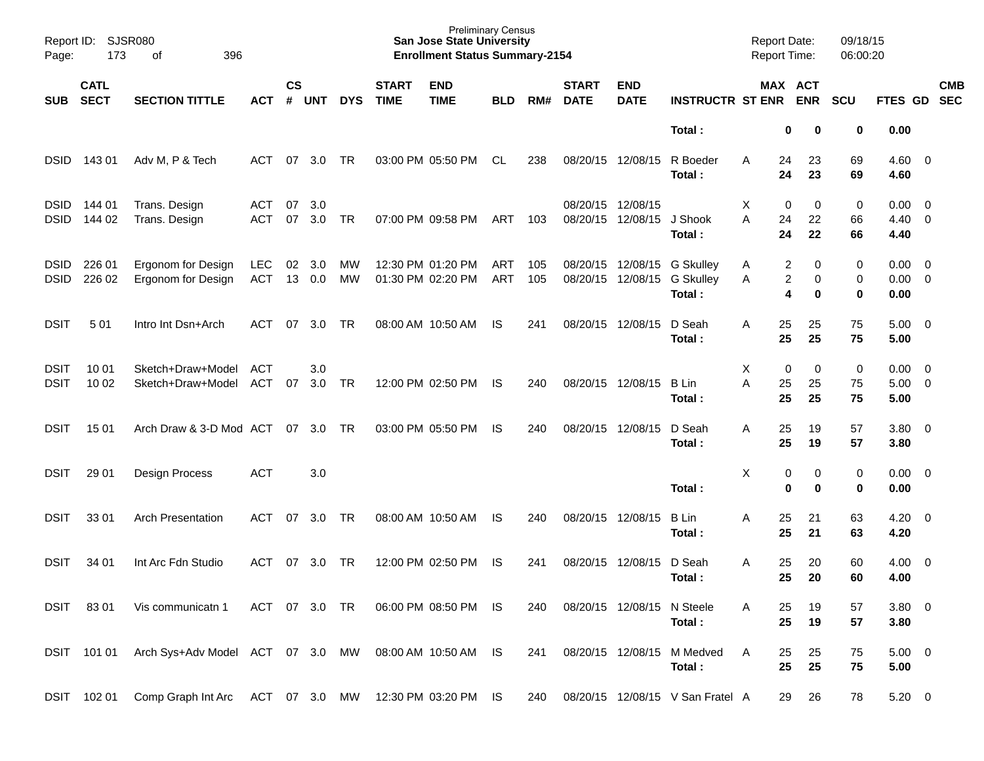| Page:                      | Report ID:<br>SJSR080<br>173<br>396<br>оf |                                          |                   |                    |            |            |                             | <b>Preliminary Census</b><br><b>San Jose State University</b><br><b>Enrollment Status Summary-2154</b> |                   |            |                             |                           |                                                | <b>Report Date:</b><br>Report Time: |                            | 09/18/15<br>06:00:20 |                                       |                                                      |                          |
|----------------------------|-------------------------------------------|------------------------------------------|-------------------|--------------------|------------|------------|-----------------------------|--------------------------------------------------------------------------------------------------------|-------------------|------------|-----------------------------|---------------------------|------------------------------------------------|-------------------------------------|----------------------------|----------------------|---------------------------------------|------------------------------------------------------|--------------------------|
| SUB                        | <b>CATL</b><br><b>SECT</b>                | <b>SECTION TITTLE</b>                    | <b>ACT</b>        | $\mathsf{cs}$<br># | <b>UNT</b> | <b>DYS</b> | <b>START</b><br><b>TIME</b> | <b>END</b><br><b>TIME</b>                                                                              | <b>BLD</b>        | RM#        | <b>START</b><br><b>DATE</b> | <b>END</b><br><b>DATE</b> | <b>INSTRUCTR ST ENR</b>                        |                                     | MAX ACT<br><b>ENR</b>      | <b>SCU</b>           | <b>FTES GD</b>                        |                                                      | <b>CMB</b><br><b>SEC</b> |
|                            |                                           |                                          |                   |                    |            |            |                             |                                                                                                        |                   |            |                             |                           | Total:                                         |                                     | 0<br>0                     | 0                    | 0.00                                  |                                                      |                          |
| <b>DSID</b>                | 14301                                     | Adv M, P & Tech                          | ACT               | 07                 | 3.0        | <b>TR</b>  |                             | 03:00 PM 05:50 PM                                                                                      | CL                | 238        | 08/20/15                    | 12/08/15                  | R Boeder<br>Total:                             | A<br>24                             | 23<br>24<br>23             | 69<br>69             | $4.60 \ 0$<br>4.60                    |                                                      |                          |
| <b>DSID</b><br><b>DSID</b> | 144 01<br>144 02                          | Trans. Design<br>Trans. Design           | ACT<br><b>ACT</b> | 07<br>07           | 3.0<br>3.0 | <b>TR</b>  |                             | 07:00 PM 09:58 PM                                                                                      | ART               | 103        | 08/20/15<br>08/20/15        | 12/08/15<br>12/08/15      | J Shook<br>Total:                              | X<br>A<br>24<br>24                  | 0<br>0<br>22<br>22         | 0<br>66<br>66        | 0.00<br>4.40<br>4.40                  | $\overline{\phantom{0}}$<br>$\overline{\phantom{0}}$ |                          |
| <b>DSID</b><br><b>DSID</b> | 226 01<br>226 02                          | Ergonom for Design<br>Ergonom for Design | LEC<br>ACT        | 02<br>13           | 3.0<br>0.0 | МW<br>MW   |                             | 12:30 PM 01:20 PM<br>01:30 PM 02:20 PM                                                                 | ART<br><b>ART</b> | 105<br>105 | 08/20/15<br>08/20/15        | 12/08/15<br>12/08/15      | <b>G Skulley</b><br><b>G</b> Skulley<br>Total: | A<br>Α                              | 2<br>0<br>2<br>0<br>4<br>0 | 0<br>0<br>0          | $0.00 \quad 0$<br>$0.00 \t 0$<br>0.00 |                                                      |                          |
| <b>DSIT</b>                | 501                                       | Intro Int Dsn+Arch                       | ACT               | 07                 | 3.0        | TR         |                             | 08:00 AM 10:50 AM                                                                                      | IS                | 241        | 08/20/15                    | 12/08/15                  | D Seah<br>Total:                               | 25<br>Α<br>25                       | 25<br>25                   | 75<br>75             | $5.00 \t 0$<br>5.00                   |                                                      |                          |
| <b>DSIT</b><br><b>DSIT</b> | 10 01<br>10 02                            | Sketch+Draw+Model<br>Sketch+Draw+Model   | ACT<br>ACT        | 07                 | 3.0<br>3.0 | TR         |                             | 12:00 PM 02:50 PM                                                                                      | IS                | 240        |                             | 08/20/15 12/08/15         | B Lin<br>Total:                                | X<br>A<br>25<br>25                  | 0<br>0<br>25<br>25         | 0<br>75<br>75        | $0.00 \t 0$<br>$5.00 \t 0$<br>5.00    |                                                      |                          |
| DSIT                       | 15 01                                     | Arch Draw & 3-D Mod ACT 07 3.0           |                   |                    |            | <b>TR</b>  |                             | 03:00 PM 05:50 PM                                                                                      | IS                | 240        | 08/20/15 12/08/15           |                           | D Seah<br>Total:                               | 25<br>Α<br>25                       | 19<br>19                   | 57<br>57             | 3.80 0<br>3.80                        |                                                      |                          |
| <b>DSIT</b>                | 29 01                                     | Design Process                           | <b>ACT</b>        |                    | 3.0        |            |                             |                                                                                                        |                   |            |                             |                           | Total:                                         | X                                   | 0<br>0<br>0<br>0           | 0<br>0               | $0.00 \t 0$<br>0.00                   |                                                      |                          |
| <b>DSIT</b>                | 33 01                                     | <b>Arch Presentation</b>                 | ACT               | 07                 | 3.0        | TR         |                             | 08:00 AM 10:50 AM                                                                                      | IS                | 240        | 08/20/15 12/08/15           |                           | <b>B</b> Lin<br>Total:                         | 25<br>Α<br>25                       | 21<br>21                   | 63<br>63             | 4.20<br>4.20                          | $\overline{\phantom{0}}$                             |                          |
| <b>DSIT</b>                | 34 01                                     | Int Arc Fdn Studio                       | ACT               | 07                 | 3.0        | TR         |                             | 12:00 PM 02:50 PM                                                                                      | IS                | 241        | 08/20/15                    | 12/08/15                  | D Seah<br>Total:                               | A<br>25<br>25                       | 20<br>20                   | 60<br>60             | 4.00<br>4.00                          | $\overline{\phantom{0}}$                             |                          |
| DSIT                       | 8301                                      | Vis communicatn 1                        | ACT 07 3.0 TR     |                    |            |            |                             | 06:00 PM 08:50 PM IS                                                                                   |                   | 240        |                             | 08/20/15 12/08/15         | N Steele<br>Total:                             | 25<br>A<br>25                       | 19<br>19                   | 57<br>57             | 3.80 0<br>3.80                        |                                                      |                          |
|                            | DSIT 101 01                               | Arch Sys+Adv Model ACT 07 3.0 MW         |                   |                    |            |            |                             | 08:00 AM 10:50 AM IS                                                                                   |                   | 241        |                             | 08/20/15 12/08/15         | M Medved<br>Total:                             | A<br>25<br>25                       | 25<br>25                   | 75<br>75             | $5.00 \t 0$<br>5.00                   |                                                      |                          |
|                            | DSIT 102 01                               | Comp Graph Int Arc ACT 07 3.0 MW         |                   |                    |            |            |                             | 12:30 PM 03:20 PM IS                                                                                   |                   | 240        |                             |                           | 08/20/15 12/08/15 V San Fratel A               |                                     | 26<br>29                   | 78                   | $5.20 \ 0$                            |                                                      |                          |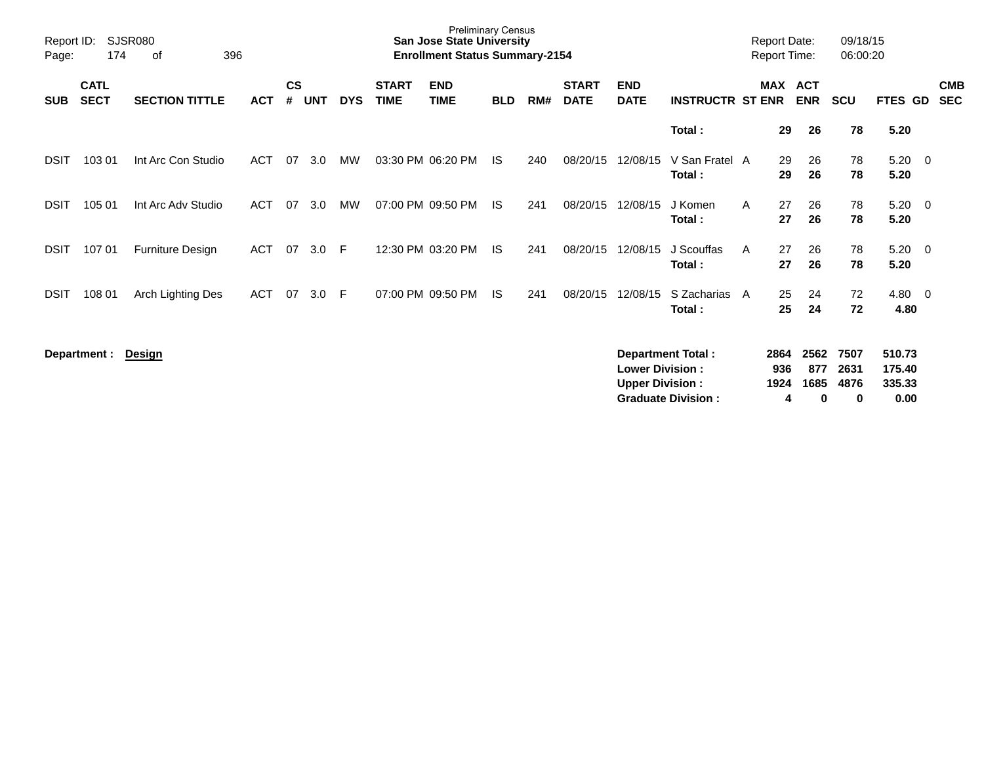| Report ID:<br>Page: | 174                        | SJSR080<br>396<br>οf  |            |                    |            |            |                             | <b>Preliminary Census</b><br><b>San Jose State University</b><br><b>Enrollment Status Summary-2154</b> |            |     |                             |                                                  |                          |   | <b>Report Date:</b><br><b>Report Time:</b> |                     | 09/18/15<br>06:00:20 |                            |                          |                          |
|---------------------|----------------------------|-----------------------|------------|--------------------|------------|------------|-----------------------------|--------------------------------------------------------------------------------------------------------|------------|-----|-----------------------------|--------------------------------------------------|--------------------------|---|--------------------------------------------|---------------------|----------------------|----------------------------|--------------------------|--------------------------|
| <b>SUB</b>          | <b>CATL</b><br><b>SECT</b> | <b>SECTION TITTLE</b> | <b>ACT</b> | $\mathsf{cs}$<br># | <b>UNT</b> | <b>DYS</b> | <b>START</b><br><b>TIME</b> | <b>END</b><br><b>TIME</b>                                                                              | <b>BLD</b> | RM# | <b>START</b><br><b>DATE</b> | <b>END</b><br><b>DATE</b>                        | <b>INSTRUCTR ST ENR</b>  |   | <b>MAX ACT</b>                             | <b>ENR</b>          | <b>SCU</b>           | FTES GD                    |                          | <b>CMB</b><br><b>SEC</b> |
|                     |                            |                       |            |                    |            |            |                             |                                                                                                        |            |     |                             |                                                  | Total:                   |   | 29                                         | 26                  | 78                   | 5.20                       |                          |                          |
| DSIT                | 103 01                     | Int Arc Con Studio    | <b>ACT</b> | 07                 | 3.0        | МW         |                             | 03:30 PM 06:20 PM                                                                                      | IS.        | 240 | 08/20/15                    | 12/08/15                                         | V San Fratel A<br>Total: |   | 29<br>29                                   | 26<br>26            | 78<br>78             | 5.20<br>5.20               | $\overline{\phantom{0}}$ |                          |
| DSIT                | 105 01                     | Int Arc Adv Studio    | <b>ACT</b> | 07                 | 3.0        | <b>MW</b>  |                             | 07:00 PM 09:50 PM                                                                                      | IS.        | 241 | 08/20/15                    | 12/08/15                                         | J Komen<br>Total:        | A | 27<br>27                                   | 26<br>26            | 78<br>78             | 5.20<br>5.20               | $\overline{\mathbf{0}}$  |                          |
| DSIT                | 107 01                     | Furniture Design      | <b>ACT</b> | 07                 | 3.0        | F          |                             | 12:30 PM 03:20 PM                                                                                      | IS.        | 241 | 08/20/15                    | 12/08/15                                         | J Scouffas<br>Total:     | A | 27<br>27                                   | 26<br>26            | 78<br>78             | $5.20 \ 0$<br>5.20         |                          |                          |
| DSIT                | 108 01                     | Arch Lighting Des     | <b>ACT</b> | 07                 | 3.0        | F.         |                             | 07:00 PM 09:50 PM                                                                                      | <b>IS</b>  | 241 | 08/20/15                    | 12/08/15                                         | S Zacharias<br>Total:    | A | 25<br>25                                   | 24<br>24            | 72<br>72             | 4.80<br>4.80               | $\overline{\phantom{0}}$ |                          |
|                     | Department :               | <b>Design</b>         |            |                    |            |            |                             |                                                                                                        |            |     |                             | <b>Lower Division:</b><br><b>Upper Division:</b> | <b>Department Total:</b> |   | 2864<br>936<br>1924                        | 2562<br>877<br>1685 | 7507<br>2631<br>4876 | 510.73<br>175.40<br>335.33 |                          |                          |

**Graduate Division : 4 0 0 0.00**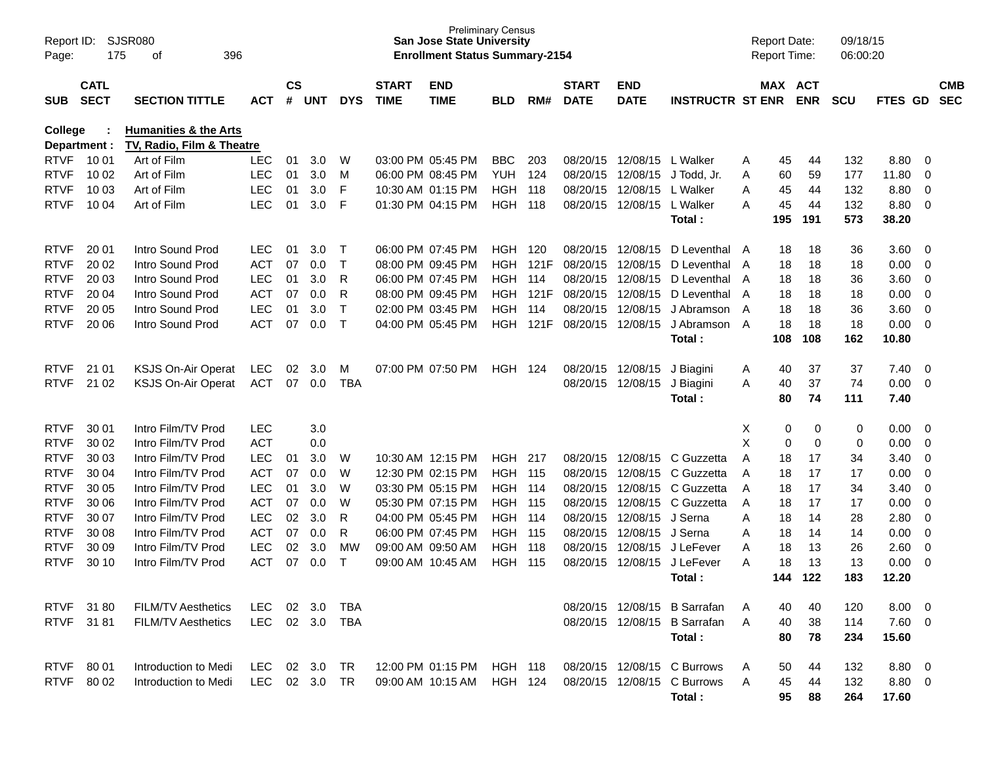| Report ID:<br>Page: | 175                                                                           | SJSR080<br>396<br>οf      |                |    |                             |              |                             | <b>San Jose State University</b><br><b>Enrollment Status Summary-2154</b> | <b>Preliminary Census</b> |      |                             |                            |                              |   | <b>Report Date:</b><br><b>Report Time:</b> |            | 09/18/15<br>06:00:20 |                |                          |                          |
|---------------------|-------------------------------------------------------------------------------|---------------------------|----------------|----|-----------------------------|--------------|-----------------------------|---------------------------------------------------------------------------|---------------------------|------|-----------------------------|----------------------------|------------------------------|---|--------------------------------------------|------------|----------------------|----------------|--------------------------|--------------------------|
| <b>SUB</b>          | <b>CATL</b><br><b>SECT</b><br><b>SECTION TITTLE</b><br><b>ACT</b>             |                           |                |    | $\mathsf{cs}$<br><b>UNT</b> | <b>DYS</b>   | <b>START</b><br><b>TIME</b> | <b>END</b><br><b>TIME</b>                                                 | <b>BLD</b>                | RM#  | <b>START</b><br><b>DATE</b> | <b>END</b><br><b>DATE</b>  | <b>INSTRUCTR ST ENR</b>      |   | MAX ACT                                    | <b>ENR</b> | <b>SCU</b>           | <b>FTES GD</b> |                          | <b>CMB</b><br><b>SEC</b> |
| College             | <b>Humanities &amp; the Arts</b><br>TV, Radio, Film & Theatre<br>Department : |                           |                |    |                             |              |                             |                                                                           |                           |      |                             |                            |                              |   |                                            |            |                      |                |                          |                          |
| <b>RTVF</b>         | 10 01                                                                         | Art of Film               | <b>LEC</b>     | 01 | 3.0                         | W            |                             | 03:00 PM 05:45 PM                                                         | <b>BBC</b>                | 203  |                             | 08/20/15 12/08/15 L Walker |                              | A | 45                                         | 44         | 132                  | 8.80           | - 0                      |                          |
| <b>RTVF</b>         | 10 02                                                                         | Art of Film               | <b>LEC</b>     | 01 | 3.0                         | м            |                             | 06:00 PM 08:45 PM                                                         | <b>YUH</b>                | 124  | 08/20/15                    | 12/08/15                   | J Todd, Jr.                  | Α | 60                                         | 59         | 177                  | 11.80          | 0                        |                          |
| <b>RTVF</b>         | 10 03                                                                         | Art of Film               | <b>LEC</b>     | 01 | 3.0                         | F            |                             | 10:30 AM 01:15 PM                                                         | <b>HGH</b>                | 118  | 08/20/15                    | 12/08/15                   | L Walker                     | Α | 45                                         | 44         | 132                  | 8.80           | 0                        |                          |
| <b>RTVF</b>         | 10 04                                                                         | Art of Film               | <b>LEC</b>     | 01 | 3.0                         | F            |                             | 01:30 PM 04:15 PM                                                         | <b>HGH 118</b>            |      |                             | 08/20/15 12/08/15          | L Walker                     | A | 45                                         | 44         | 132                  | 8.80           | $\overline{0}$           |                          |
|                     |                                                                               |                           |                |    |                             |              |                             |                                                                           |                           |      |                             |                            | Total:                       |   | 195                                        | 191        | 573                  | 38.20          |                          |                          |
| <b>RTVF</b>         | 20 01                                                                         | Intro Sound Prod          | <b>LEC</b>     | 01 | 3.0                         | $\top$       |                             | 06:00 PM 07:45 PM                                                         | <b>HGH 120</b>            |      |                             | 08/20/15 12/08/15          | D Leventhal                  | A | 18                                         | 18         | 36                   | 3.60           | - 0                      |                          |
| <b>RTVF</b>         | 20 02                                                                         | Intro Sound Prod          | <b>ACT</b>     | 07 | 0.0                         | $\top$       |                             | 08:00 PM 09:45 PM                                                         | <b>HGH</b>                | 121F | 08/20/15                    | 12/08/15                   | D Leventhal                  | A | 18                                         | 18         | 18                   | 0.00           | $\overline{0}$           |                          |
| <b>RTVF</b>         | 20 03                                                                         | Intro Sound Prod          | <b>LEC</b>     | 01 | 3.0                         | R            |                             | 06:00 PM 07:45 PM                                                         | <b>HGH</b>                | -114 | 08/20/15                    | 12/08/15                   | D Leventhal                  | A | 18                                         | 18         | 36                   | 3.60           | 0                        |                          |
| <b>RTVF</b>         | 20 04                                                                         | Intro Sound Prod          | <b>ACT</b>     | 07 | 0.0                         | R            |                             | 08:00 PM 09:45 PM                                                         | <b>HGH</b>                | 121F | 08/20/15                    | 12/08/15                   | D Leventhal                  | A | 18                                         | 18         | 18                   | 0.00           | 0                        |                          |
| <b>RTVF</b>         | 20 05                                                                         | Intro Sound Prod          | <b>LEC</b>     | 01 | 3.0                         | $\top$       |                             | 02:00 PM 03:45 PM                                                         | <b>HGH</b>                | 114  | 08/20/15                    | 12/08/15                   | J Abramson                   | A | 18                                         | 18         | 36                   | 3.60           | 0                        |                          |
| <b>RTVF</b>         | 20 06                                                                         | Intro Sound Prod          | <b>ACT</b>     | 07 | 0.0                         | $\mathsf{T}$ |                             | 04:00 PM 05:45 PM                                                         | <b>HGH</b>                | 121F |                             | 08/20/15 12/08/15          | J Abramson                   | A | 18                                         | 18         | 18                   | 0.00           | $\overline{0}$           |                          |
|                     |                                                                               |                           |                |    |                             |              |                             |                                                                           |                           |      |                             |                            | Total:                       |   | 108                                        | 108        | 162                  | 10.80          |                          |                          |
| <b>RTVF</b>         | 21 01                                                                         | KSJS On-Air Operat        | <b>LEC</b>     | 02 | 3.0                         | м            |                             | 07:00 PM 07:50 PM                                                         | <b>HGH 124</b>            |      |                             | 08/20/15 12/08/15          | J Biagini                    | A | 40                                         | 37         | 37                   | 7.40           | $\overline{0}$           |                          |
| <b>RTVF</b>         | 21 02                                                                         | <b>KSJS On-Air Operat</b> | <b>ACT</b>     | 07 | 0.0                         | <b>TBA</b>   |                             |                                                                           |                           |      |                             | 08/20/15 12/08/15          | J Biagini                    | A | 40                                         | 37         | 74                   | 0.00           | $\overline{0}$           |                          |
|                     |                                                                               |                           |                |    |                             |              |                             |                                                                           |                           |      |                             |                            | Total:                       |   | 80                                         | 74         | 111                  | 7.40           |                          |                          |
| <b>RTVF</b>         | 30 01                                                                         | Intro Film/TV Prod        | <b>LEC</b>     |    | 3.0                         |              |                             |                                                                           |                           |      |                             |                            |                              | х | 0                                          | 0          | 0                    | 0.00           | $\overline{0}$           |                          |
| <b>RTVF</b>         | 30 02                                                                         | Intro Film/TV Prod        | <b>ACT</b>     |    | 0.0                         |              |                             |                                                                           |                           |      |                             |                            |                              | X | $\mathbf 0$                                | 0          | 0                    | 0.00           | 0                        |                          |
| <b>RTVF</b>         | 30 03                                                                         | Intro Film/TV Prod        | <b>LEC</b>     | 01 | 3.0                         | W            |                             | 10:30 AM 12:15 PM                                                         | HGH                       | 217  |                             | 08/20/15 12/08/15          | C Guzzetta                   | A | 18                                         | 17         | 34                   | 3.40           | 0                        |                          |
| <b>RTVF</b>         | 30 04                                                                         | Intro Film/TV Prod        | <b>ACT</b>     | 07 | 0.0                         | W            |                             | 12:30 PM 02:15 PM                                                         | <b>HGH 115</b>            |      | 08/20/15                    | 12/08/15                   | C Guzzetta                   | A | 18                                         | 17         | 17                   | 0.00           | $\mathbf 0$              |                          |
| <b>RTVF</b>         | 30 05                                                                         | Intro Film/TV Prod        | <b>LEC</b>     | 01 | 3.0                         | W            |                             | 03:30 PM 05:15 PM                                                         | <b>HGH 114</b>            |      | 08/20/15                    | 12/08/15                   | C Guzzetta                   | A | 18                                         | 17         | 34                   | 3.40           | 0                        |                          |
| <b>RTVF</b>         | 30 06                                                                         | Intro Film/TV Prod        | <b>ACT</b>     | 07 | 0.0                         | W            |                             | 05:30 PM 07:15 PM                                                         | <b>HGH 115</b>            |      | 08/20/15                    | 12/08/15                   | C Guzzetta                   | Α | 18                                         | 17         | 17                   | 0.00           | $\mathbf 0$              |                          |
| <b>RTVF</b>         | 30 07                                                                         | Intro Film/TV Prod        | <b>LEC</b>     | 02 | 3.0                         | R            |                             | 04:00 PM 05:45 PM                                                         | <b>HGH 114</b>            |      | 08/20/15                    | 12/08/15                   | J Serna                      | Α | 18                                         | 14         | 28                   | 2.80           | $\mathbf 0$              |                          |
| <b>RTVF</b>         | 30 08                                                                         | Intro Film/TV Prod        | <b>ACT</b>     | 07 | 0.0                         | R            |                             | 06:00 PM 07:45 PM                                                         | <b>HGH 115</b>            |      | 08/20/15                    | 12/08/15                   | J Serna                      | Α | 18                                         | 14         | 14                   | 0.00           | $\mathbf 0$              |                          |
| <b>RTVF</b>         | 30 09                                                                         | Intro Film/TV Prod        | <b>LEC</b>     | 02 | 3.0                         | MW           |                             | 09:00 AM 09:50 AM                                                         | <b>HGH 118</b>            |      | 08/20/15                    | 12/08/15                   | J LeFever                    | A | 18                                         | 13         | 26                   | 2.60           | $\mathbf 0$              |                          |
| <b>RTVF</b>         | 30 10                                                                         | Intro Film/TV Prod        | <b>ACT</b>     | 07 | 0.0                         | Т            |                             | 09:00 AM 10:45 AM                                                         | <b>HGH</b>                | 115  | 08/20/15                    | 12/08/15                   | J LeFever                    | A | 18                                         | 13         | 13                   | 0.00           | 0                        |                          |
|                     |                                                                               |                           |                |    |                             |              |                             |                                                                           |                           |      |                             |                            | Total:                       |   | 144                                        | 122        | 183                  | 12.20          |                          |                          |
|                     | RTVF 3180                                                                     | <b>FILM/TV Aesthetics</b> | LEC.           |    | $02 \quad 3.0$              | TBA          |                             |                                                                           |                           |      |                             |                            | 08/20/15 12/08/15 B Sarrafan | A | 40                                         | 40         | 120                  | 8.00           | $\overline{\phantom{0}}$ |                          |
|                     | RTVF 31 81                                                                    | <b>FILM/TV Aesthetics</b> | LEC 02 3.0 TBA |    |                             |              |                             |                                                                           |                           |      |                             |                            | 08/20/15 12/08/15 B Sarrafan | A | 40                                         | 38         | 114                  | $7.60\quad 0$  |                          |                          |
|                     |                                                                               |                           |                |    |                             |              |                             |                                                                           |                           |      |                             |                            | Total:                       |   | 80                                         | 78         | 234                  | 15.60          |                          |                          |
| <b>RTVF</b>         | 80 01                                                                         | Introduction to Medi      | LEC            |    | 02 3.0                      | TR           |                             | 12:00 PM 01:15 PM HGH 118                                                 |                           |      |                             |                            | 08/20/15 12/08/15 C Burrows  | A | 50                                         | 44         | 132                  | $8.80\quad 0$  |                          |                          |
|                     | RTVF 80 02                                                                    | Introduction to Medi      | LEC            |    | 02 3.0                      | <b>TR</b>    |                             | 09:00 AM 10:15 AM                                                         | HGH 124                   |      |                             |                            | 08/20/15 12/08/15 C Burrows  | A | 45                                         | 44         | 132                  | $8.80\quad 0$  |                          |                          |
|                     |                                                                               |                           |                |    |                             |              |                             |                                                                           |                           |      |                             |                            | Total:                       |   | 95                                         | 88         | 264                  | 17.60          |                          |                          |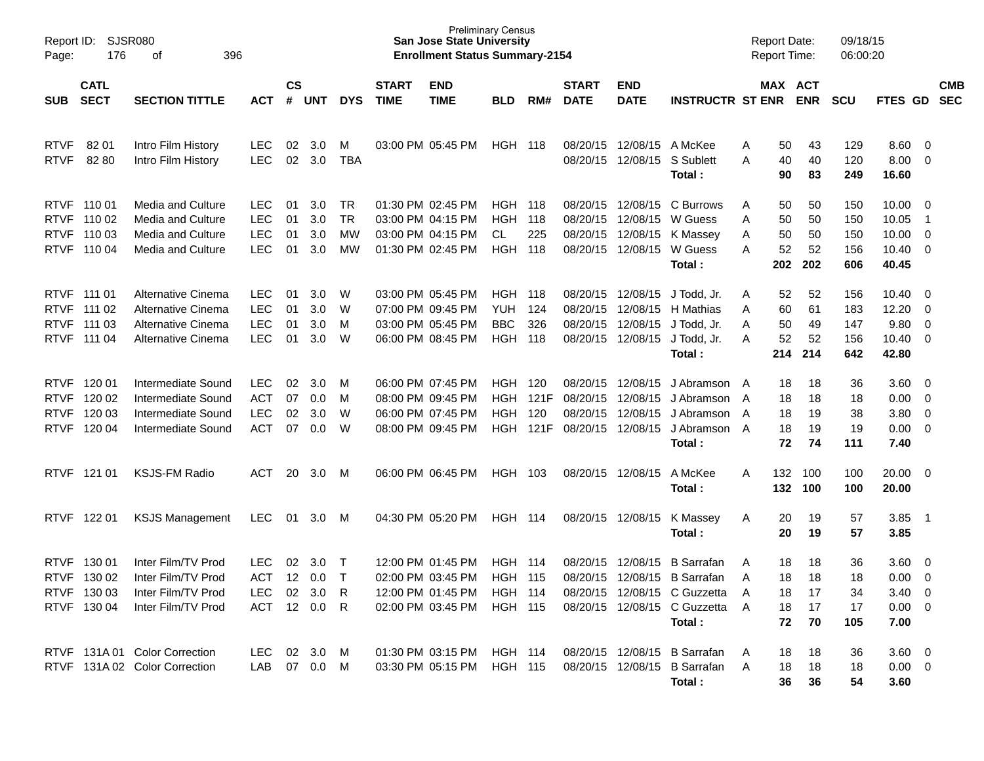| Report ID:<br>Page:                                      | <b>SJSR080</b><br>176                                             | 396                                                                                  |                                                      |                      |                          |                       | <b>Preliminary Census</b><br><b>San Jose State University</b><br><b>Enrollment Status Summary-2154</b> |                                                                                  |                                                              |                            |                                                       |                                                       | <b>Report Date:</b><br><b>Report Time:</b>                                                                       |                             |                             | 09/18/15<br>06:00:20        |                                 |                                                   |                                         |                          |
|----------------------------------------------------------|-------------------------------------------------------------------|--------------------------------------------------------------------------------------|------------------------------------------------------|----------------------|--------------------------|-----------------------|--------------------------------------------------------------------------------------------------------|----------------------------------------------------------------------------------|--------------------------------------------------------------|----------------------------|-------------------------------------------------------|-------------------------------------------------------|------------------------------------------------------------------------------------------------------------------|-----------------------------|-----------------------------|-----------------------------|---------------------------------|---------------------------------------------------|-----------------------------------------|--------------------------|
| <b>SUB</b>                                               | <b>CATL</b><br><b>SECT</b><br><b>SECTION TITTLE</b><br><b>ACT</b> |                                                                                      |                                                      |                      | $\mathsf{cs}$<br>UNT     | <b>DYS</b>            | <b>START</b><br><b>TIME</b>                                                                            | <b>END</b><br><b>TIME</b>                                                        | <b>BLD</b>                                                   | RM#                        | <b>START</b><br><b>DATE</b>                           | <b>END</b><br><b>DATE</b>                             | <b>INSTRUCTR ST ENR</b>                                                                                          |                             |                             | MAX ACT<br><b>ENR</b>       | <b>SCU</b>                      | FTES GD                                           |                                         | <b>CMB</b><br><b>SEC</b> |
| <b>RTVF</b><br><b>RTVF</b>                               | 8201<br>8280                                                      | Intro Film History<br>Intro Film History                                             | <b>LEC</b><br><b>LEC</b>                             | 02<br>02             | 3.0<br>3.0               | M<br>TBA              |                                                                                                        | 03:00 PM 05:45 PM                                                                | <b>HGH 118</b>                                               |                            |                                                       | 08/20/15 12/08/15<br>08/20/15 12/08/15                | A McKee<br>S Sublett<br>Total:                                                                                   | A<br>A                      | 50<br>40<br>90              | 43<br>40<br>83              | 129<br>120<br>249               | 8.60<br>8.00<br>16.60                             | $\overline{0}$<br>0                     |                          |
| <b>RTVF</b><br><b>RTVF</b>                               | RTVF 110 01<br>RTVF 110 02<br>110 03<br>110 04                    | Media and Culture<br>Media and Culture<br>Media and Culture<br>Media and Culture     | <b>LEC</b><br><b>LEC</b><br>LEC<br><b>LEC</b>        | 01<br>01<br>01<br>01 | 3.0<br>3.0<br>3.0<br>3.0 | TR<br>TR<br>MW<br>MW  |                                                                                                        | 01:30 PM 02:45 PM<br>03:00 PM 04:15 PM<br>03:00 PM 04:15 PM<br>01:30 PM 02:45 PM | <b>HGH 118</b><br><b>HGH</b><br>CL.<br><b>HGH</b>            | 118<br>225<br>118          | 08/20/15<br>08/20/15<br>08/20/15                      | 08/20/15 12/08/15<br>12/08/15<br>12/08/15<br>12/08/15 | C Burrows<br>W Guess<br>K Massey<br>W Guess<br>Total:                                                            | A<br>Α<br>Α<br>A            | 50<br>50<br>50<br>52<br>202 | 50<br>50<br>50<br>52<br>202 | 150<br>150<br>150<br>156<br>606 | 10.00<br>10.05<br>10.00<br>10.40<br>40.45         | 0<br>$\overline{1}$<br>$\mathbf 0$<br>0 |                          |
| RTVF 111 01<br><b>RTVF</b><br><b>RTVF</b>                | RTVF 111 02<br>111 03<br>111 04                                   | Alternative Cinema<br>Alternative Cinema<br>Alternative Cinema<br>Alternative Cinema | <b>LEC</b><br><b>LEC</b><br><b>LEC</b><br><b>LEC</b> | 01<br>01<br>01<br>01 | 3.0<br>3.0<br>3.0<br>3.0 | W<br>W<br>M<br>W      |                                                                                                        | 03:00 PM 05:45 PM<br>07:00 PM 09:45 PM<br>03:00 PM 05:45 PM<br>06:00 PM 08:45 PM | <b>HGH 118</b><br><b>YUH</b><br><b>BBC</b><br><b>HGH 118</b> | 124<br>326                 | 08/20/15<br>08/20/15<br>08/20/15                      | 08/20/15 12/08/15<br>12/08/15<br>12/08/15<br>12/08/15 | J Todd, Jr.<br>H Mathias<br>J Todd, Jr.<br>J Todd, Jr.<br>Total:                                                 | A<br>Α<br>Α<br>A            | 52<br>60<br>50<br>52<br>214 | 52<br>61<br>49<br>52<br>214 | 156<br>183<br>147<br>156<br>642 | 10.40<br>12.20<br>9.80<br>10.40<br>42.80          | 0<br>0<br>0<br>0                        |                          |
| <b>RTVF</b><br><b>RTVF</b><br><b>RTVF</b><br><b>RTVF</b> | 120 01<br>120 02<br>120 03<br>120 04                              | Intermediate Sound<br>Intermediate Sound<br>Intermediate Sound<br>Intermediate Sound | <b>LEC</b><br><b>ACT</b><br><b>LEC</b><br><b>ACT</b> | 02<br>07<br>02<br>07 | 3.0<br>0.0<br>3.0<br>0.0 | M<br>м<br>W<br>W      |                                                                                                        | 06:00 PM 07:45 PM<br>08:00 PM 09:45 PM<br>06:00 PM 07:45 PM<br>08:00 PM 09:45 PM | HGH.<br><b>HGH</b><br><b>HGH</b><br><b>HGH</b>               | 120<br>121F<br>120<br>121F | 08/20/15<br>08/20/15<br>08/20/15<br>08/20/15 12/08/15 | 12/08/15<br>12/08/15<br>12/08/15                      | J Abramson A<br>J Abramson A<br>J Abramson<br>J Abramson A<br>Total:                                             | A                           | 18<br>18<br>18<br>18<br>72  | 18<br>18<br>19<br>19<br>74  | 36<br>18<br>38<br>19<br>111     | 3.60<br>0.00<br>3.80<br>0.00<br>7.40              | 0<br>0<br>0<br>0                        |                          |
|                                                          | RTVF 121 01                                                       | <b>KSJS-FM Radio</b>                                                                 | ACT                                                  | 20                   | 3.0                      | M                     |                                                                                                        | 06:00 PM 06:45 PM                                                                | HGH                                                          | 103                        |                                                       | 08/20/15 12/08/15                                     | A McKee<br>Total:                                                                                                | Α                           | 132<br>132                  | 100<br>100                  | 100<br>100                      | 20.00<br>20.00                                    | $\overline{0}$                          |                          |
| <b>RTVF</b>                                              | 122 01                                                            | <b>KSJS Management</b>                                                               | <b>LEC</b>                                           | 01                   | 3.0                      | M                     |                                                                                                        | 04:30 PM 05:20 PM                                                                | <b>HGH 114</b>                                               |                            | 08/20/15 12/08/15                                     |                                                       | K Massey<br>Total:                                                                                               | A                           | 20<br>20                    | 19<br>19                    | 57<br>57                        | 3.85<br>3.85                                      | - 1                                     |                          |
| <b>RTVF</b><br><b>RTVF</b>                               | 130 01<br>130 02<br>RTVF 130 03<br>RTVF 130 04                    | Inter Film/TV Prod<br>Inter Film/TV Prod<br>Inter Film/TV Prod<br>Inter Film/TV Prod | <b>LEC</b><br><b>ACT</b><br>LEC.<br>ACT 12 0.0 R     | 02                   | 3.0<br>12 0.0<br>02 3.0  | $\top$<br>$\top$<br>R |                                                                                                        | 12:00 PM 01:45 PM<br>02:00 PM 03:45 PM<br>12:00 PM 01:45 PM<br>02:00 PM 03:45 PM | HGH<br><b>HGH 115</b><br>HGH 114<br><b>HGH 115</b>           | 114                        | 08/20/15                                              | 12/08/15<br>08/20/15 12/08/15                         | <b>B</b> Sarrafan<br><b>B</b> Sarrafan<br>08/20/15 12/08/15 C Guzzetta<br>08/20/15 12/08/15 C Guzzetta<br>Total: | Α<br>A<br>$\mathsf{A}$<br>A | 18<br>18<br>18<br>18<br>72  | 18<br>18<br>17<br>17<br>70  | 36<br>18<br>34<br>17<br>105     | 3.60<br>0.00<br>$3.40 \ 0$<br>$0.00 \t 0$<br>7.00 | 0<br>$\overline{0}$                     |                          |
|                                                          |                                                                   | RTVF 131A 01 Color Correction<br>RTVF 131A 02 Color Correction                       | LEC<br>LAB                                           |                      | 02 3.0 M<br>07  0.0  M   |                       |                                                                                                        | 01:30 PM 03:15 PM HGH 114<br>03:30 PM 05:15 PM HGH 115                           |                                                              |                            |                                                       |                                                       | 08/20/15 12/08/15 B Sarrafan<br>08/20/15 12/08/15 B Sarrafan<br>Total:                                           | A<br>A                      | 18<br>18<br>36              | 18<br>18<br>36              | 36<br>18<br>54                  | $3.60 \quad 0$<br>$0.00 \t 0$<br>3.60             |                                         |                          |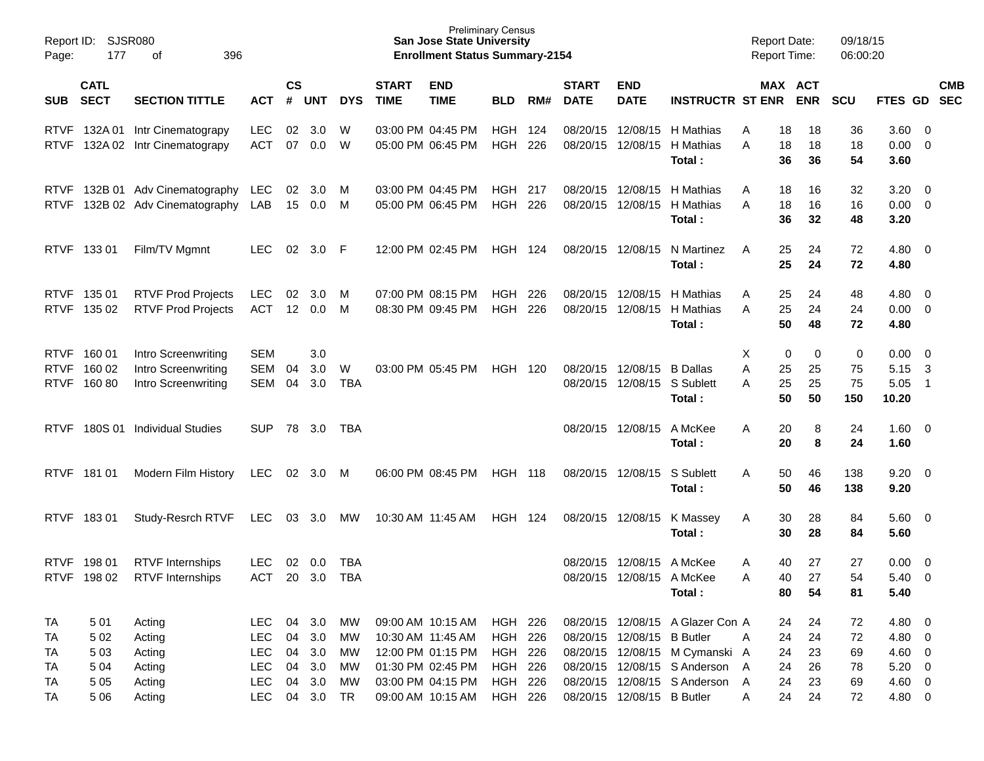| Page:                      | Report ID: SJSR080<br>177<br>396<br>оf |                                                                   |                                                                    |                    |                                             |                            |                             | <b>Preliminary Census</b><br><b>San Jose State University</b><br><b>Enrollment Status Summary-2154</b> |                                                     |             |                             |                                                  |                                                                                                                                        | <b>Report Date:</b><br><b>Report Time:</b> |                            |                               | 09/18/15<br>06:00:20       |                                                          |                                                 |                          |
|----------------------------|----------------------------------------|-------------------------------------------------------------------|--------------------------------------------------------------------|--------------------|---------------------------------------------|----------------------------|-----------------------------|--------------------------------------------------------------------------------------------------------|-----------------------------------------------------|-------------|-----------------------------|--------------------------------------------------|----------------------------------------------------------------------------------------------------------------------------------------|--------------------------------------------|----------------------------|-------------------------------|----------------------------|----------------------------------------------------------|-------------------------------------------------|--------------------------|
| SUB                        | <b>CATL</b><br><b>SECT</b>             | <b>SECTION TITTLE</b>                                             | <b>ACT</b>                                                         | $\mathsf{cs}$<br># | <b>UNT</b>                                  | <b>DYS</b>                 | <b>START</b><br><b>TIME</b> | <b>END</b><br><b>TIME</b>                                                                              | <b>BLD</b>                                          | RM#         | <b>START</b><br><b>DATE</b> | <b>END</b><br><b>DATE</b>                        | <b>INSTRUCTR ST ENR ENR</b>                                                                                                            |                                            |                            | MAX ACT                       | <b>SCU</b>                 | FTES GD                                                  |                                                 | <b>CMB</b><br><b>SEC</b> |
| <b>RTVF</b><br><b>RTVF</b> | 132A 01                                | Intr Cinematograpy<br>132A 02 Intr Cinematograpy                  | <b>LEC</b><br><b>ACT</b>                                           | 02<br>07           | 3.0<br>0.0                                  | W<br>W                     |                             | 03:00 PM 04:45 PM<br>05:00 PM 06:45 PM                                                                 | <b>HGH</b><br><b>HGH</b>                            | 124<br>226  |                             | 08/20/15 12/08/15                                | 08/20/15 12/08/15 H Mathias<br>H Mathias<br>Total:                                                                                     | A<br>Α                                     | 18<br>18<br>36             | 18<br>18<br>36                | 36<br>18<br>54             | 3.60<br>0.00<br>3.60                                     | $\overline{0}$<br>$\overline{0}$                |                          |
| <b>RTVF</b><br><b>RTVF</b> |                                        | 132B 01 Adv Cinematography<br>132B 02 Adv Cinematography          | <b>LEC</b><br>LAB                                                  | 02<br>15           | 3.0<br>0.0                                  | M<br>M                     |                             | 03:00 PM 04:45 PM<br>05:00 PM 06:45 PM                                                                 | <b>HGH</b><br><b>HGH</b>                            | -217<br>226 |                             | 08/20/15 12/08/15<br>08/20/15 12/08/15           | H Mathias<br>H Mathias<br>Total:                                                                                                       | A<br>A                                     | 18<br>18<br>36             | 16<br>16<br>32                | 32<br>16<br>48             | 3.20<br>0.00<br>3.20                                     | $\overline{0}$<br>$\overline{0}$                |                          |
|                            | RTVF 133 01                            | Film/TV Mgmnt                                                     | <b>LEC</b>                                                         | 02                 | 3.0                                         | -F                         |                             | 12:00 PM 02:45 PM                                                                                      | <b>HGH 124</b>                                      |             |                             | 08/20/15 12/08/15                                | N Martinez<br>Total:                                                                                                                   | A                                          | 25<br>25                   | 24<br>24                      | 72<br>72                   | 4.80<br>4.80                                             | $\overline{0}$                                  |                          |
| <b>RTVF</b>                | RTVF 135 01<br>135 02                  | <b>RTVF Prod Projects</b><br><b>RTVF Prod Projects</b>            | <b>LEC</b><br><b>ACT</b>                                           | 02<br>12           | 3.0<br>0.0                                  | M<br>M                     |                             | 07:00 PM 08:15 PM<br>08:30 PM 09:45 PM                                                                 | HGH<br>HGH                                          | 226<br>226  |                             | 08/20/15 12/08/15<br>08/20/15 12/08/15           | H Mathias<br>H Mathias<br>Total:                                                                                                       | Α<br>A                                     | 25<br>25<br>50             | 24<br>24<br>48                | 48<br>24<br>72             | 4.80<br>0.00<br>4.80                                     | $\overline{0}$<br>$\overline{\mathbf{0}}$       |                          |
| <b>RTVF</b><br><b>RTVF</b> | RTVF 160 01<br>160 02<br>16080         | Intro Screenwriting<br>Intro Screenwriting<br>Intro Screenwriting | <b>SEM</b><br><b>SEM</b><br><b>SEM</b>                             | 04<br>04           | 3.0<br>3.0<br>3.0                           | W<br><b>TBA</b>            |                             | 03:00 PM 05:45 PM                                                                                      | <b>HGH 120</b>                                      |             |                             | 08/20/15 12/08/15<br>08/20/15 12/08/15 S Sublett | <b>B</b> Dallas<br>Total:                                                                                                              | Χ<br>A<br>Α                                | 0<br>25<br>25<br>50        | $\mathbf 0$<br>25<br>25<br>50 | 0<br>75<br>75<br>150       | 0.00<br>5.15<br>5.05<br>10.20                            | $\overline{\mathbf{0}}$<br>-3<br>$\overline{1}$ |                          |
| <b>RTVF</b>                | 180S 01                                | <b>Individual Studies</b>                                         | <b>SUP</b>                                                         | 78                 | 3.0                                         | TBA                        |                             |                                                                                                        |                                                     |             |                             | 08/20/15 12/08/15                                | A McKee<br>Total:                                                                                                                      | Α                                          | 20<br>20                   | 8<br>8                        | 24<br>24                   | 1.60<br>1.60                                             | $\overline{\mathbf{0}}$                         |                          |
|                            | RTVF 181 01                            | Modern Film History                                               | LEC                                                                |                    | 02 3.0 M                                    |                            |                             | 06:00 PM 08:45 PM                                                                                      | <b>HGH 118</b>                                      |             |                             | 08/20/15 12/08/15                                | S Sublett<br>Total:                                                                                                                    | A                                          | 50<br>50                   | 46<br>46                      | 138<br>138                 | 9.20<br>9.20                                             | $\overline{\mathbf{0}}$                         |                          |
| <b>RTVF</b>                | 18301                                  | Study-Resrch RTVF                                                 | LEC                                                                | 03                 | 3.0                                         | МW                         |                             | 10:30 AM 11:45 AM                                                                                      | <b>HGH 124</b>                                      |             |                             | 08/20/15 12/08/15                                | K Massey<br>Total:                                                                                                                     | A                                          | 30<br>30                   | 28<br>28                      | 84<br>84                   | 5.60<br>5.60                                             | $\overline{\mathbf{0}}$                         |                          |
| <b>RTVF</b>                | 198 01<br>RTVF 198 02                  | <b>RTVF</b> Internships<br><b>RTVF Internships</b>                | <b>LEC</b><br><b>ACT</b>                                           | 02<br>20           | 0.0<br>3.0                                  | TBA<br><b>TBA</b>          |                             |                                                                                                        |                                                     |             | 08/20/15                    | 12/08/15<br>08/20/15 12/08/15 A McKee            | A McKee<br>Total:                                                                                                                      | Α<br>Α                                     | 40<br>40<br>80             | 27<br>27<br>54                | 27<br>54<br>81             | 0.00<br>5.40<br>5.40                                     | $\overline{0}$<br>$\overline{0}$                |                          |
| TA<br>TA<br>TA<br>TA<br>TA | 501<br>5 0 2<br>503<br>5 0 4<br>5 0 5  | Acting<br>Acting<br>Acting<br>Acting<br>Acting                    | <b>LEC</b><br><b>LEC</b><br><b>LEC</b><br><b>LEC</b><br><b>LEC</b> | 04                 | 04 3.0<br>04 3.0<br>04 3.0<br>04 3.0<br>3.0 | МW<br>МW<br>МW<br>МW<br>MW |                             | 09:00 AM 10:15 AM<br>10:30 AM 11:45 AM<br>12:00 PM 01:15 PM<br>01:30 PM 02:45 PM<br>03:00 PM 04:15 PM  | HGH 226<br>HGH 226<br>HGH 226<br>HGH 226<br>HGH 226 |             |                             | 08/20/15 12/08/15 B Butler                       | 08/20/15 12/08/15 A Glazer Con A<br>08/20/15 12/08/15 M Cymanski A<br>08/20/15 12/08/15 S Anderson A<br>08/20/15 12/08/15 S Anderson A | A                                          | 24<br>24<br>24<br>24<br>24 | 24<br>24<br>23<br>26<br>23    | 72<br>72<br>69<br>78<br>69 | 4.80<br>4.80 0<br>$4.60 \ 0$<br>$5.20 \ 0$<br>$4.60 \ 0$ | $\overline{\phantom{0}}$                        |                          |
| TA                         | 5 0 6                                  | Acting                                                            | <b>LEC</b>                                                         |                    | 04 3.0 TR                                   |                            |                             | 09:00 AM 10:15 AM                                                                                      | HGH 226                                             |             |                             | 08/20/15 12/08/15 B Butler                       |                                                                                                                                        | Α                                          | 24                         | 24                            | 72                         | 4.80 0                                                   |                                                 |                          |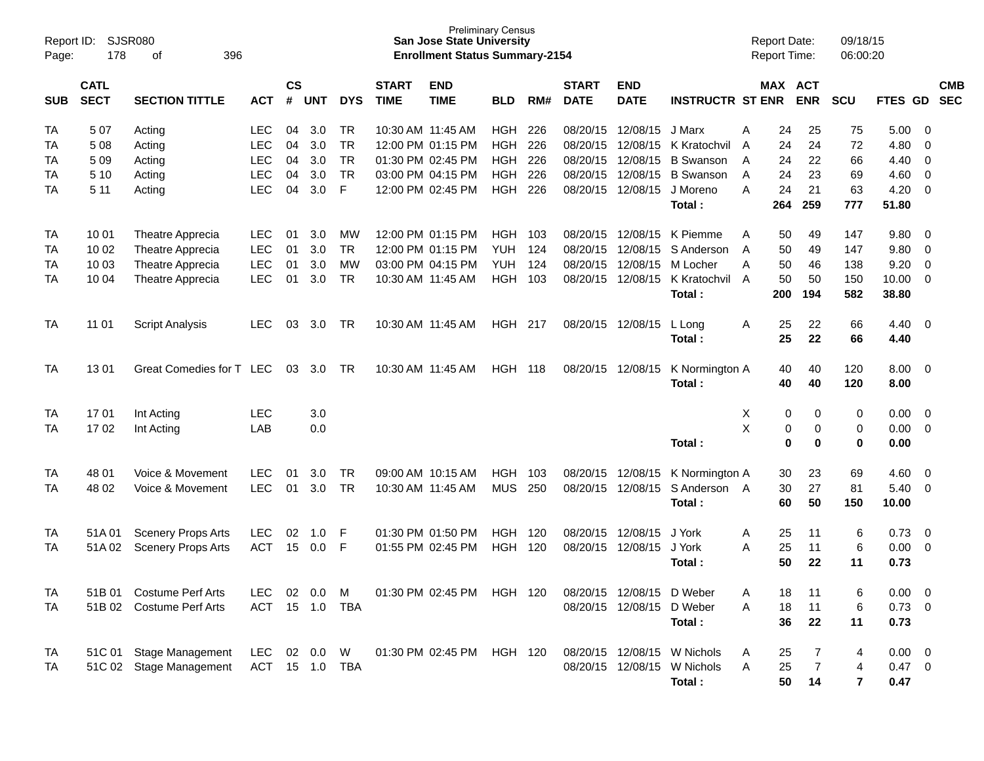| Page:      | <b>SJSR080</b><br>Report ID:<br>178<br>396<br>οf |                           |                |            |            |                             |                           | <b>San Jose State University</b><br><b>Enrollment Status Summary-2154</b> | <b>Preliminary Census</b> |                             |                           |                         |                  |                |                       | <b>Report Date:</b><br><b>Report Time:</b> | 09/18/15<br>06:00:20 |             |                          |  |
|------------|--------------------------------------------------|---------------------------|----------------|------------|------------|-----------------------------|---------------------------|---------------------------------------------------------------------------|---------------------------|-----------------------------|---------------------------|-------------------------|------------------|----------------|-----------------------|--------------------------------------------|----------------------|-------------|--------------------------|--|
| <b>SUB</b> | <b>CATL</b><br><b>SECT</b>                       | <b>ACT</b>                | <b>CS</b><br># | <b>UNT</b> | <b>DYS</b> | <b>START</b><br><b>TIME</b> | <b>END</b><br><b>TIME</b> | <b>BLD</b>                                                                | RM#                       | <b>START</b><br><b>DATE</b> | <b>END</b><br><b>DATE</b> | <b>INSTRUCTR ST ENR</b> |                  |                | MAX ACT<br><b>ENR</b> | <b>SCU</b>                                 | FTES GD              |             | <b>CMB</b><br><b>SEC</b> |  |
| TA         | 507                                              | Acting                    | <b>LEC</b>     | 04         | 3.0        | <b>TR</b>                   |                           | 10:30 AM 11:45 AM                                                         | <b>HGH</b>                | 226                         | 08/20/15                  | 12/08/15                | J Marx           | A              | 24                    | 25                                         | 75                   | 5.00        | - 0                      |  |
| TA         | <b>LEC</b><br>5 0 8<br>Acting                    |                           |                | 04         | 3.0        | <b>TR</b>                   |                           | 12:00 PM 01:15 PM                                                         | <b>HGH</b>                | 226                         | 08/20/15                  | 12/08/15                | K Kratochvil     | A              | 24                    | 24                                         | 72                   | 4.80        | $\Omega$                 |  |
| TA         | 5 0 9                                            | Acting                    | <b>LEC</b>     | 04         | 3.0        | <b>TR</b>                   |                           | 01:30 PM 02:45 PM                                                         | HGH                       | 226                         | 08/20/15                  | 12/08/15                | <b>B</b> Swanson | A              | 24                    | 22                                         | 66                   | 4.40        | $\mathbf 0$              |  |
| TA         | 5 10                                             | Acting                    | <b>LEC</b>     | 04         | 3.0        | <b>TR</b>                   |                           | 03:00 PM 04:15 PM                                                         | <b>HGH</b>                | 226                         | 08/20/15                  | 12/08/15                | <b>B</b> Swanson | A              | 24                    | 23                                         | 69                   | 4.60        | $\mathbf 0$              |  |
| TA         | 5 1 1                                            | Acting                    | <b>LEC</b>     | 04         | 3.0        | F                           |                           | 12:00 PM 02:45 PM                                                         | <b>HGH 226</b>            |                             | 08/20/15                  | 12/08/15                | J Moreno         | A              | 24                    | 21                                         | 63                   | 4.20        | $\Omega$                 |  |
|            |                                                  |                           |                |            |            |                             |                           |                                                                           |                           |                             |                           |                         | Total:           |                | 264                   | 259                                        | 777                  | 51.80       |                          |  |
| TA         | 10 01                                            | Theatre Apprecia          | <b>LEC</b>     | 01         | 3.0        | MW                          |                           | 12:00 PM 01:15 PM                                                         | HGH 103                   |                             | 08/20/15                  | 12/08/15                | K Piemme         | A              | 50                    | 49                                         | 147                  | 9.80        | - 0                      |  |
| TA         | 10 02                                            | Theatre Apprecia          | <b>LEC</b>     | 01         | 3.0        | <b>TR</b>                   |                           | 12:00 PM 01:15 PM                                                         | <b>YUH</b>                | 124                         | 08/20/15                  | 12/08/15                | S Anderson       | A              | 50                    | 49                                         | 147                  | 9.80        | $\mathbf 0$              |  |
| TA         | 10 03                                            | Theatre Apprecia          | <b>LEC</b>     | 01         | 3.0        | <b>MW</b>                   |                           | 03:00 PM 04:15 PM                                                         | <b>YUH</b>                | 124                         | 08/20/15                  | 12/08/15                | M Locher         | A              | 50                    | 46                                         | 138                  | 9.20        | $\mathbf 0$              |  |
| TA         | 10 04                                            | Theatre Apprecia          | <b>LEC</b>     | 01         | 3.0        | <b>TR</b>                   |                           | 10:30 AM 11:45 AM                                                         | HGH                       | 103                         | 08/20/15                  | 12/08/15                | K Kratochvil     | $\overline{A}$ | 50                    | 50                                         | 150                  | 10.00       | $\Omega$                 |  |
|            |                                                  |                           |                |            |            |                             |                           |                                                                           |                           |                             |                           |                         | Total:           |                | 200                   | 194                                        | 582                  | 38.80       |                          |  |
| TA         | 11 01                                            | <b>Script Analysis</b>    | <b>LEC</b>     | 03         | 3.0        | TR                          |                           | 10:30 AM 11:45 AM                                                         | <b>HGH 217</b>            |                             |                           | 08/20/15 12/08/15       | L Long           | A              | 25                    | 22                                         | 66                   | 4.40        | - 0                      |  |
|            |                                                  |                           |                |            |            |                             |                           |                                                                           |                           |                             |                           |                         | Total:           |                | 25                    | 22                                         | 66                   | 4.40        |                          |  |
| TA         | 1301                                             | Great Comedies for T LEC  |                | 03         | 3.0        | TR                          |                           | 10:30 AM 11:45 AM                                                         | <b>HGH 118</b>            |                             | 08/20/15                  | 12/08/15                | K Normington A   |                | 40                    | 40                                         | 120                  | 8.00        | - 0                      |  |
|            |                                                  |                           |                |            |            |                             |                           |                                                                           |                           |                             |                           |                         | Total:           |                | 40                    | 40                                         | 120                  | 8.00        |                          |  |
| TA         | 1701                                             | Int Acting                | <b>LEC</b>     |            | 3.0        |                             |                           |                                                                           |                           |                             |                           |                         |                  | X              | 0                     | 0                                          | 0                    | 0.00        | - 0                      |  |
| TA         | 1702                                             | Int Acting                | LAB            |            | 0.0        |                             |                           |                                                                           |                           |                             |                           |                         |                  | X              | 0                     | 0                                          | 0                    | 0.00        | $\Omega$                 |  |
|            |                                                  |                           |                |            |            |                             |                           |                                                                           |                           |                             |                           |                         | Total:           |                | $\mathbf 0$           | $\bf{0}$                                   | $\bf{0}$             | 0.00        |                          |  |
| TA         | 48 01                                            | Voice & Movement          | <b>LEC</b>     | 01         | 3.0        | <b>TR</b>                   |                           | 09:00 AM 10:15 AM                                                         | <b>HGH</b>                | 103                         | 08/20/15                  | 12/08/15                | K Normington A   |                | 30                    | 23                                         | 69                   | 4.60        | - 0                      |  |
| TA         | 48 02                                            | Voice & Movement          | <b>LEC</b>     | 01         | 3.0        | TR                          |                           | 10:30 AM 11:45 AM                                                         | <b>MUS</b>                | 250                         | 08/20/15                  | 12/08/15                | S Anderson A     |                | 30                    | 27                                         | 81                   | 5.40        | $\Omega$                 |  |
|            |                                                  |                           |                |            |            |                             |                           |                                                                           |                           |                             |                           |                         | Total:           |                | 60                    | 50                                         | 150                  | 10.00       |                          |  |
| TA         | 51A01                                            | <b>Scenery Props Arts</b> | <b>LEC</b>     | 02         | 1.0        | F                           |                           | 01:30 PM 01:50 PM                                                         | <b>HGH</b>                | 120                         | 08/20/15                  | 12/08/15                | J York           | Α              | 25                    | 11                                         | 6                    | 0.73        | - 0                      |  |
| TA         | 51A02                                            | <b>Scenery Props Arts</b> | <b>ACT</b>     | 15         | 0.0        | F                           |                           | 01:55 PM 02:45 PM                                                         | <b>HGH 120</b>            |                             | 08/20/15                  | 12/08/15                | J York           | A              | 25                    | 11                                         | 6                    | 0.00        | $\overline{0}$           |  |
|            |                                                  |                           |                |            |            |                             |                           |                                                                           |                           |                             |                           |                         | Total:           |                | 50                    | 22                                         | 11                   | 0.73        |                          |  |
| <b>TA</b>  |                                                  | 51B 01 Costume Perf Arts  | LEC            | 02         | 0.0        | М                           |                           | 01:30 PM 02:45 PM                                                         | HGH 120                   |                             |                           | 08/20/15 12/08/15       | D Weber          | Α              | 18                    | 11                                         | 6                    | 0.00        | $\overline{\mathbf{0}}$  |  |
| TA         |                                                  | 51B 02 Costume Perf Arts  | <b>ACT</b>     |            |            | 15  1.0  TBA                |                           |                                                                           |                           |                             |                           | 08/20/15 12/08/15       | D Weber          | A              | 18                    | 11                                         | 6                    | $0.73 \ 0$  |                          |  |
|            |                                                  |                           |                |            |            |                             |                           |                                                                           |                           |                             |                           |                         | Total:           |                | 36                    | 22                                         | 11                   | 0.73        |                          |  |
|            |                                                  |                           |                |            |            |                             |                           |                                                                           |                           |                             |                           |                         |                  |                |                       |                                            |                      |             |                          |  |
| TA         |                                                  | 51C 01 Stage Management   | LEC            |            | 02 0.0     | W                           |                           | 01:30 PM 02:45 PM                                                         | HGH 120                   |                             |                           | 08/20/15 12/08/15       | W Nichols        | A              | 25                    |                                            | 4                    | $0.00 \t 0$ |                          |  |
| TA         |                                                  | 51C 02 Stage Management   | ACT 15 1.0 TBA |            |            |                             |                           |                                                                           |                           |                             |                           | 08/20/15 12/08/15       | W Nichols        | A              | 25                    | 7                                          | 4                    | $0.47 \ 0$  |                          |  |
|            |                                                  |                           |                |            |            |                             |                           |                                                                           |                           |                             |                           |                         | Total:           |                | 50                    | 14                                         | 7                    | 0.47        |                          |  |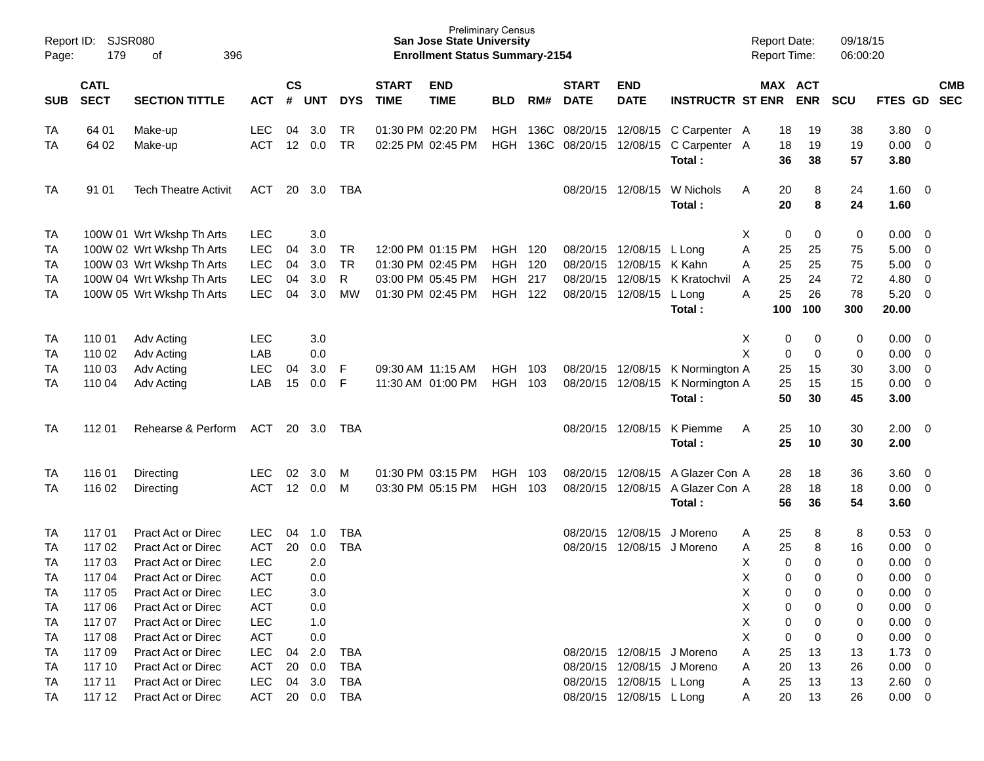| Report ID:<br>Page: | <b>SJSR080</b><br>179                                             | 396                         |                          |                 |            |                        | <b>San Jose State University</b><br><b>Enrollment Status Summary-2154</b> | <b>Preliminary Census</b>              |                          |      |                             |                            |                                          | <b>Report Date:</b><br>Report Time: |                | 09/18/15<br>06:00:20  |                |                      |                                           |            |
|---------------------|-------------------------------------------------------------------|-----------------------------|--------------------------|-----------------|------------|------------------------|---------------------------------------------------------------------------|----------------------------------------|--------------------------|------|-----------------------------|----------------------------|------------------------------------------|-------------------------------------|----------------|-----------------------|----------------|----------------------|-------------------------------------------|------------|
| <b>SUB</b>          | <b>CATL</b><br><b>SECT</b><br><b>SECTION TITTLE</b><br><b>ACT</b> |                             |                          |                 | UNT        | <b>DYS</b>             | <b>START</b><br><b>TIME</b>                                               | <b>END</b><br><b>TIME</b>              | <b>BLD</b>               | RM#  | <b>START</b><br><b>DATE</b> | <b>END</b><br><b>DATE</b>  | <b>INSTRUCTR ST ENR</b>                  |                                     |                | MAX ACT<br><b>ENR</b> | SCU            | FTES GD SEC          |                                           | <b>CMB</b> |
| TA<br>TA            | 64 01<br>64 02                                                    | Make-up<br>Make-up          | <b>LEC</b><br><b>ACT</b> | 04<br>12        | 3.0<br>0.0 | <b>TR</b><br><b>TR</b> |                                                                           | 01:30 PM 02:20 PM<br>02:25 PM 02:45 PM | <b>HGH</b><br><b>HGH</b> | 136C | 136C 08/20/15 12/08/15      | 08/20/15 12/08/15          | C Carpenter A<br>C Carpenter A<br>Total: |                                     | 18<br>18<br>36 | 19<br>19<br>38        | 38<br>19<br>57 | 3.80<br>0.00<br>3.80 | $\overline{\mathbf{0}}$<br>$\overline{0}$ |            |
| TA                  | 91 01                                                             | <b>Tech Theatre Activit</b> | ACT                      |                 | 20 3.0     | TBA                    |                                                                           |                                        |                          |      |                             | 08/20/15 12/08/15          | W Nichols<br>Total:                      | A                                   | 20<br>20       | 8<br>8                | 24<br>24       | $1.60 \t 0$<br>1.60  |                                           |            |
| TA                  |                                                                   | 100W 01 Wrt Wkshp Th Arts   | <b>LEC</b>               |                 | 3.0        |                        |                                                                           |                                        |                          |      |                             |                            |                                          | Χ                                   | 0              | 0                     | 0              | 0.00                 | $\overline{\mathbf{0}}$                   |            |
| TA                  |                                                                   | 100W 02 Wrt Wkshp Th Arts   | <b>LEC</b>               | 04              | 3.0        | <b>TR</b>              |                                                                           | 12:00 PM 01:15 PM                      | <b>HGH 120</b>           |      |                             | 08/20/15 12/08/15 L Long   |                                          | Α                                   | 25             | 25                    | 75             | 5.00                 | $\overline{0}$                            |            |
| TA                  |                                                                   | 100W 03 Wrt Wkshp Th Arts   | LEC                      | 04              | 3.0        | <b>TR</b>              |                                                                           | 01:30 PM 02:45 PM                      | <b>HGH</b>               | 120  |                             | 08/20/15 12/08/15          | K Kahn                                   | Α                                   | 25             | 25                    | 75             | 5.00                 | $\overline{0}$                            |            |
| TA                  |                                                                   | 100W 04 Wrt Wkshp Th Arts   | LEC                      | 04              | 3.0        | R                      |                                                                           | 03:00 PM 05:45 PM                      | <b>HGH</b>               | 217  |                             | 08/20/15 12/08/15          | K Kratochvil                             | A                                   | 25             | 24                    | 72             | 4.80                 | $\overline{0}$                            |            |
| TA                  |                                                                   | 100W 05 Wrt Wkshp Th Arts   | <b>LEC</b>               | 04              | 3.0        | MW                     |                                                                           | 01:30 PM 02:45 PM                      | HGH                      | 122  |                             | 08/20/15 12/08/15          | L Long                                   | A                                   | 25             | 26                    | 78             | 5.20                 | $\overline{\mathbf{0}}$                   |            |
|                     |                                                                   |                             |                          |                 |            |                        |                                                                           |                                        |                          |      |                             |                            | Total:                                   |                                     | 100            | 100                   | 300            | 20.00                |                                           |            |
| TA                  | 110 01                                                            | Adv Acting                  | <b>LEC</b>               |                 | 3.0        |                        |                                                                           |                                        |                          |      |                             |                            |                                          | X                                   | 0              | 0                     | 0              | 0.00                 | $\overline{\mathbf{0}}$                   |            |
| TA                  | 110 02                                                            | Adv Acting                  | LAB                      |                 | 0.0        |                        |                                                                           |                                        |                          |      |                             |                            |                                          | X                                   | $\mathbf 0$    | 0                     | 0              | 0.00                 | $\overline{\mathbf{0}}$                   |            |
| TA                  | 110 03                                                            | Adv Acting                  | <b>LEC</b>               | 04              | 3.0        | F                      |                                                                           | 09:30 AM 11:15 AM                      | <b>HGH</b>               | 103  |                             | 08/20/15 12/08/15          | K Normington A                           |                                     | 25             | 15                    | 30             | 3.00                 | $\overline{0}$                            |            |
| TA                  | 110 04                                                            | Adv Acting                  | LAB                      | 15              | 0.0        | F                      |                                                                           | 11:30 AM 01:00 PM                      | <b>HGH</b>               | 103  |                             | 08/20/15 12/08/15          | K Normington A                           |                                     | 25             | 15                    | 15             | 0.00                 | $\overline{\mathbf{0}}$                   |            |
|                     |                                                                   |                             |                          |                 |            |                        |                                                                           |                                        |                          |      |                             |                            | Total:                                   |                                     | 50             | 30                    | 45             | 3.00                 |                                           |            |
| TA                  | 112 01                                                            | Rehearse & Perform          | ACT                      |                 | 20 3.0     | TBA                    |                                                                           |                                        |                          |      |                             | 08/20/15 12/08/15          | K Piemme                                 | A                                   | 25             | 10                    | 30             | $2.00 \t 0$          |                                           |            |
|                     |                                                                   |                             |                          |                 |            |                        |                                                                           |                                        |                          |      |                             |                            | Total:                                   |                                     | 25             | 10                    | 30             | 2.00                 |                                           |            |
|                     |                                                                   |                             |                          |                 |            |                        |                                                                           |                                        |                          |      |                             |                            |                                          |                                     |                |                       |                |                      |                                           |            |
| TA                  | 116 01                                                            | Directing                   | <b>LEC</b>               | 02              | 3.0        | M                      |                                                                           | 01:30 PM 03:15 PM                      | <b>HGH</b>               | 103  |                             | 08/20/15 12/08/15          | A Glazer Con A                           |                                     | 28             | 18                    | 36             | 3.60                 | $\overline{0}$                            |            |
| TA                  | 116 02                                                            | Directing                   | <b>ACT</b>               | 12 <sup>2</sup> | 0.0        | M                      |                                                                           | 03:30 PM 05:15 PM                      | <b>HGH</b>               | 103  |                             |                            | 08/20/15 12/08/15 A Glazer Con A         |                                     | 28             | 18                    | 18             | 0.00                 | $\overline{0}$                            |            |
|                     |                                                                   |                             |                          |                 |            |                        |                                                                           |                                        |                          |      |                             |                            | Total:                                   |                                     | 56             | 36                    | 54             | 3.60                 |                                           |            |
| TA                  | 117 01                                                            | Pract Act or Direc          | <b>LEC</b>               | 04              | 1.0        | <b>TBA</b>             |                                                                           |                                        |                          |      |                             | 08/20/15 12/08/15          | J Moreno                                 | A                                   | 25             | 8                     | 8              | 0.53                 | $\overline{\mathbf{0}}$                   |            |
| TA                  | 117 02                                                            | <b>Pract Act or Direc</b>   | <b>ACT</b>               | 20              | 0.0        | <b>TBA</b>             |                                                                           |                                        |                          |      |                             | 08/20/15 12/08/15 J Moreno |                                          | Α                                   | 25             | 8                     | 16             | 0.00                 | $\overline{0}$                            |            |
| TA                  | 117 03                                                            | Pract Act or Direc          | <b>LEC</b>               |                 | 2.0        |                        |                                                                           |                                        |                          |      |                             |                            |                                          | X                                   | 0              | 0                     | 0              | 0.00                 | $\mathbf 0$                               |            |
| <b>TA</b>           | 117 04                                                            | <b>Pract Act or Direc</b>   | <b>ACT</b>               |                 | 0.0        |                        |                                                                           |                                        |                          |      |                             |                            |                                          | X                                   | $\mathbf 0$    | $\Omega$              | $\mathbf 0$    | 0.00                 | $\overline{0}$                            |            |
| <b>TA</b>           | 117 05                                                            | Pract Act or Direc          | <b>LEC</b>               |                 | 3.0        |                        |                                                                           |                                        |                          |      |                             |                            |                                          | Х                                   | 0              | 0                     | 0              | $0.00 \t 0$          |                                           |            |
| TA                  | 117 06                                                            | Pract Act or Direc          | <b>ACT</b>               |                 | 0.0        |                        |                                                                           |                                        |                          |      |                             |                            |                                          | Χ                                   | 0              | 0                     | 0              | $0.00 \t 0$          |                                           |            |
| TA                  | 117 07                                                            | Pract Act or Direc          | <b>LEC</b>               |                 | 1.0        |                        |                                                                           |                                        |                          |      |                             |                            |                                          | X                                   | 0              | 0                     | 0              | $0.00 \t 0$          |                                           |            |
| TA                  | 117 08                                                            | Pract Act or Direc          | <b>ACT</b>               |                 | 0.0        |                        |                                                                           |                                        |                          |      |                             |                            |                                          | X                                   | 0              | 0                     | 0              | $0.00 \t 0$          |                                           |            |
| TA                  | 117 09                                                            | Pract Act or Direc          | <b>LEC</b>               | 04              | 2.0        | <b>TBA</b>             |                                                                           |                                        |                          |      |                             | 08/20/15 12/08/15 J Moreno |                                          | Α                                   | 25             | 13                    | 13             | $1.73 \t 0$          |                                           |            |
| TA                  | 117 10                                                            | Pract Act or Direc          | <b>ACT</b>               | 20              | 0.0        | <b>TBA</b>             |                                                                           |                                        |                          |      |                             | 08/20/15 12/08/15 J Moreno |                                          | Α                                   | 20             | 13                    | 26             | $0.00 \t 0$          |                                           |            |
| TA                  | 117 11                                                            | Pract Act or Direc          | <b>LEC</b>               | 04              | 3.0        | <b>TBA</b>             |                                                                           |                                        |                          |      |                             | 08/20/15 12/08/15 L Long   |                                          | A                                   | 25             | 13                    | 13             | $2.60 \t 0$          |                                           |            |
| TA                  | 117 12                                                            | Pract Act or Direc          | ACT                      |                 |            | 20 0.0 TBA             |                                                                           |                                        |                          |      |                             | 08/20/15 12/08/15 L Long   |                                          | A                                   | 20             | 13                    | 26             | $0.00 \t 0$          |                                           |            |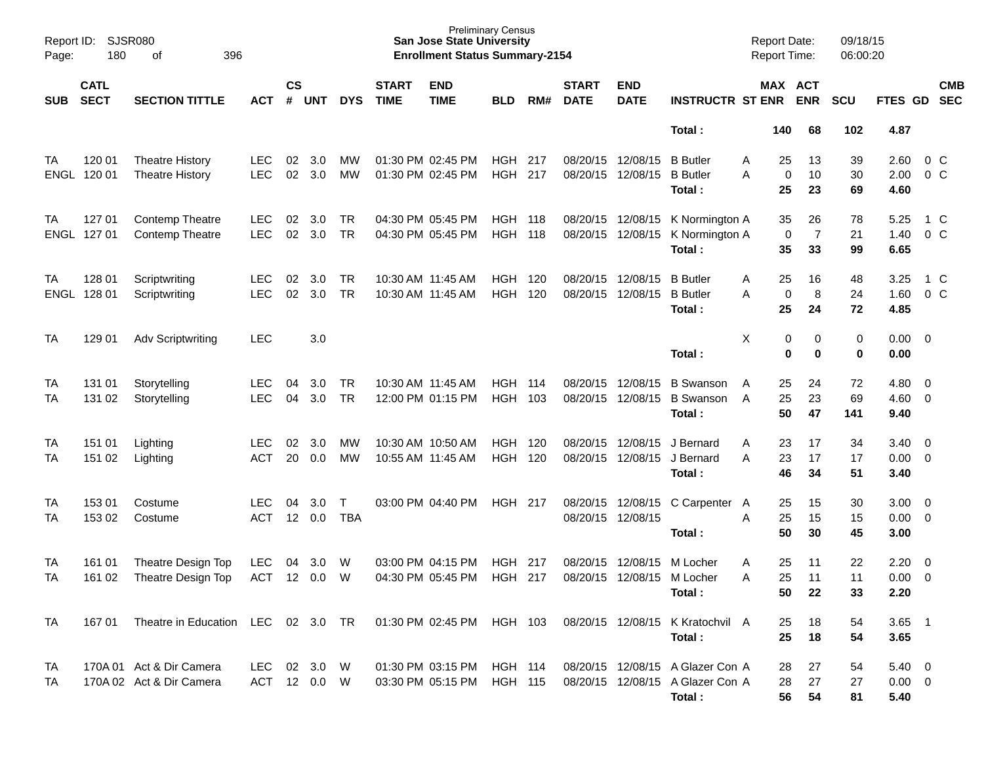| Page:           | Report ID: SJSR080<br>180  | 396<br>of                                            |                          |                |                         |                        |                                        | <b>Preliminary Census</b><br><b>San Jose State University</b><br><b>Enrollment Status Summary-2154</b> |                                  |            |                             |                               |                                                                                | <b>Report Date:</b><br><b>Report Time:</b> |                                                       | 09/18/15<br>06:00:20 |                                   |                                           |                          |
|-----------------|----------------------------|------------------------------------------------------|--------------------------|----------------|-------------------------|------------------------|----------------------------------------|--------------------------------------------------------------------------------------------------------|----------------------------------|------------|-----------------------------|-------------------------------|--------------------------------------------------------------------------------|--------------------------------------------|-------------------------------------------------------|----------------------|-----------------------------------|-------------------------------------------|--------------------------|
| <b>SUB</b>      | <b>CATL</b><br><b>SECT</b> | <b>SECTION TITTLE</b>                                | <b>ACT</b>               | <b>CS</b><br># | <b>UNT</b>              | <b>DYS</b>             | <b>START</b><br><b>TIME</b>            | <b>END</b><br><b>TIME</b>                                                                              | <b>BLD</b>                       | RM#        | <b>START</b><br><b>DATE</b> | <b>END</b><br><b>DATE</b>     | <b>INSTRUCTR ST ENR</b>                                                        |                                            | MAX ACT<br><b>ENR</b>                                 | <b>SCU</b>           | FTES GD                           |                                           | <b>CMB</b><br><b>SEC</b> |
|                 |                            |                                                      |                          |                |                         |                        |                                        |                                                                                                        |                                  |            |                             |                               | Total:                                                                         | 140                                        | 68                                                    | 102                  | 4.87                              |                                           |                          |
| ТA              | 120 01<br>ENGL 120 01      | <b>Theatre History</b><br><b>Theatre History</b>     | <b>LEC</b><br><b>LEC</b> | 02<br>02       | 3.0<br>3.0              | МW<br>MW               |                                        | 01:30 PM 02:45 PM<br>01:30 PM 02:45 PM                                                                 | HGH<br>HGH                       | 217<br>217 | 08/20/15<br>08/20/15        | 12/08/15<br>12/08/15          | <b>B</b> Butler<br><b>B</b> Butler<br>Total:                                   | A<br>A                                     | 13<br>25<br>10<br>0<br>25<br>23                       | 39<br>30<br>69       | 2.60<br>2.00<br>4.60              | $0\,C$<br>0 <sup>o</sup>                  |                          |
| TA              | 127 01<br>ENGL 127 01      | <b>Contemp Theatre</b><br><b>Contemp Theatre</b>     | <b>LEC</b><br><b>LEC</b> | 02<br>02       | 3.0<br>3.0              | TR.<br><b>TR</b>       |                                        | 04:30 PM 05:45 PM<br>04:30 PM 05:45 PM                                                                 | <b>HGH 118</b><br>HGH            | - 118      | 08/20/15                    | 08/20/15 12/08/15<br>12/08/15 | K Normington A<br>K Normington A<br>Total:                                     |                                            | 26<br>35<br>$\mathbf 0$<br>$\overline{7}$<br>35<br>33 | 78<br>21<br>99       | 5.25<br>1.40<br>6.65              | 1 C<br>0 <sup>o</sup>                     |                          |
| TA<br>ENGL      | 128 01<br>128 01           | Scriptwriting<br>Scriptwriting                       | <b>LEC</b><br><b>LEC</b> | 02<br>02       | 3.0<br>3.0              | <b>TR</b><br><b>TR</b> | 10:30 AM 11:45 AM                      | 10:30 AM 11:45 AM                                                                                      | <b>HGH</b><br><b>HGH</b>         | 120<br>120 | 08/20/15<br>08/20/15        | 12/08/15<br>12/08/15          | <b>B</b> Butler<br><b>B</b> Butler<br>Total:                                   | Α<br>A                                     | 16<br>25<br>8<br>$\pmb{0}$<br>25<br>24                | 48<br>24<br>72       | 3.25<br>1.60<br>4.85              | 1 C<br>$0\,C$                             |                          |
| TA              | 129 01                     | <b>Adv Scriptwriting</b>                             | <b>LEC</b>               |                | 3.0                     |                        |                                        |                                                                                                        |                                  |            |                             |                               | Total:                                                                         | X                                          | 0<br>0<br>$\mathbf 0$<br>0                            | 0<br>$\bf{0}$        | $0.00 \t 0$<br>0.00               |                                           |                          |
| TA<br>TA        | 131 01<br>131 02           | Storytelling<br>Storytelling                         | <b>LEC</b><br><b>LEC</b> | 04<br>04       | 3.0<br>3.0              | TR.<br><b>TR</b>       | 10:30 AM 11:45 AM                      | 12:00 PM 01:15 PM                                                                                      | <b>HGH</b><br>HGH                | 114<br>103 | 08/20/15<br>08/20/15        | 12/08/15<br>12/08/15          | <b>B</b> Swanson<br><b>B</b> Swanson<br>Total:                                 | A<br>A                                     | 25<br>24<br>23<br>25<br>50<br>47                      | 72<br>69<br>141      | 4.80<br>$4.60$ 0<br>9.40          | $\overline{\phantom{0}}$                  |                          |
| TA<br>TA        | 151 01<br>151 02           | Lighting<br>Lighting                                 | <b>LEC</b><br><b>ACT</b> | 02<br>20       | 3.0<br>0.0              | МW<br>МW               | 10:30 AM 10:50 AM<br>10:55 AM 11:45 AM |                                                                                                        | <b>HGH</b><br>HGH                | 120<br>120 | 08/20/15<br>08/20/15        | 12/08/15<br>12/08/15          | J Bernard<br>J Bernard<br>Total:                                               | Α<br>A                                     | 23<br>17<br>23<br>17<br>46<br>34                      | 34<br>17<br>51       | $3.40 \ 0$<br>$0.00 \t 0$<br>3.40 |                                           |                          |
| TA<br>TA        | 153 01<br>153 02           | Costume<br>Costume                                   | <b>LEC</b><br><b>ACT</b> | 04<br>12       | 3.0 <sub>2</sub><br>0.0 | $\top$<br><b>TBA</b>   |                                        | 03:00 PM 04:40 PM                                                                                      | HGH 217                          |            | 08/20/15 12/08/15           | 08/20/15 12/08/15             | C Carpenter<br>Total:                                                          | A<br>A                                     | 15<br>25<br>15<br>25<br>50<br>30                      | 30<br>15<br>45       | $3.00 \ 0$<br>$0.00 \t 0$<br>3.00 |                                           |                          |
| TA<br>TA        | 161 01<br>161 02           | Theatre Design Top<br>Theatre Design Top             | <b>LEC</b><br><b>ACT</b> | 04             | 3.0<br>12 0.0           | W<br>W                 |                                        | 03:00 PM 04:15 PM<br>04:30 PM 05:45 PM                                                                 | HGH<br><b>HGH 217</b>            | 217        | 08/20/15                    | 12/08/15<br>08/20/15 12/08/15 | M Locher<br>M Locher<br>Total:                                                 | Α<br>A                                     | 11<br>25<br>11<br>25<br>50<br>22                      | 22<br>11<br>33       | 2.20<br>0.00<br>2.20              | $\overline{\mathbf{0}}$<br>$\overline{0}$ |                          |
| <b>TA</b>       | 167 01                     | Theatre in Education LEC 02 3.0 TR                   |                          |                |                         |                        |                                        | 01:30 PM 02:45 PM HGH 103                                                                              |                                  |            |                             |                               | 08/20/15 12/08/15 K Kratochvil A<br>Total:                                     |                                            | 18<br>25<br>25<br>18                                  | 54<br>54             | $3.65$ 1<br>3.65                  |                                           |                          |
| <b>TA</b><br>TA |                            | 170A 01 Act & Dir Camera<br>170A 02 Act & Dir Camera | LEC.<br>ACT 12 0.0 W     |                | 02 3.0 W                |                        |                                        | 01:30 PM 03:15 PM<br>03:30 PM 05:15 PM                                                                 | <b>HGH 114</b><br><b>HGH 115</b> |            |                             |                               | 08/20/15 12/08/15 A Glazer Con A<br>08/20/15 12/08/15 A Glazer Con A<br>Total: |                                            | 28<br>27<br>27<br>28<br>56<br>54                      | 54<br>27<br>81       | $5.40 \ 0$<br>$0.00 \t 0$<br>5.40 |                                           |                          |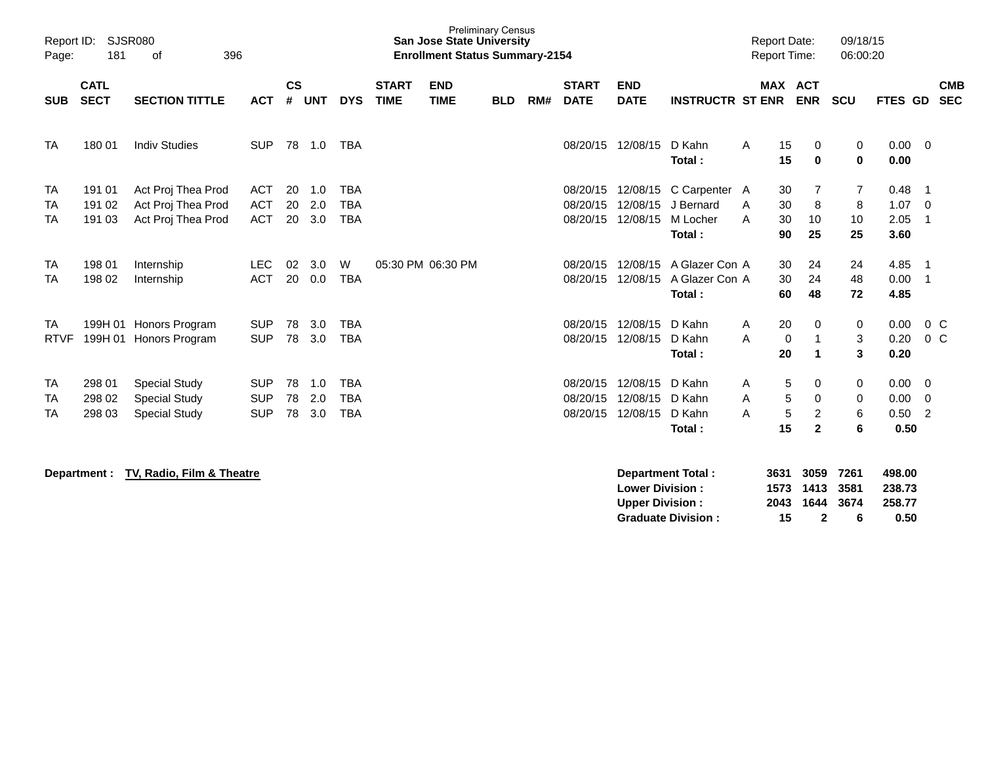| Report ID:<br>Page:          | 181                        | SJSR080<br>396<br>of                                                 |                                        |                |                   |                                        |                           | <b>Preliminary Census</b><br><b>San Jose State University</b><br><b>Enrollment Status Summary-2154</b> |     |                             |                                  |                                  |                                                  |                              | <b>Report Date:</b><br><b>Report Time:</b>       | 09/18/15<br>06:00:20            |                              |                                                  |  |
|------------------------------|----------------------------|----------------------------------------------------------------------|----------------------------------------|----------------|-------------------|----------------------------------------|---------------------------|--------------------------------------------------------------------------------------------------------|-----|-----------------------------|----------------------------------|----------------------------------|--------------------------------------------------|------------------------------|--------------------------------------------------|---------------------------------|------------------------------|--------------------------------------------------|--|
| <b>SUB</b>                   | <b>CATL</b><br><b>SECT</b> | <b>ACT</b>                                                           | $\mathsf{cs}$<br>#                     | <b>UNT</b>     | <b>DYS</b>        | <b>START</b><br><b>TIME</b>            | <b>END</b><br><b>TIME</b> | <b>BLD</b>                                                                                             | RM# | <b>START</b><br><b>DATE</b> | <b>END</b><br><b>DATE</b>        | <b>INSTRUCTR ST ENR</b>          |                                                  | <b>MAX ACT</b><br><b>ENR</b> | <b>SCU</b>                                       | <b>FTES GD</b>                  |                              | <b>CMB</b><br><b>SEC</b>                         |  |
| <b>TA</b>                    | 180 01                     | <b>Indiv Studies</b>                                                 | <b>SUP</b>                             |                | 78 1.0            | <b>TBA</b>                             |                           |                                                                                                        |     |                             | 08/20/15                         | 12/08/15                         | D Kahn<br>Total:                                 | A                            | 15<br>0<br>15<br>$\bf{0}$                        | 0<br>$\bf{0}$                   | 0.00<br>0.00                 | $\mathbf{0}$                                     |  |
| <b>TA</b><br>TA<br><b>TA</b> | 191 01<br>191 02<br>191 03 | Act Proj Thea Prod<br>Act Proj Thea Prod<br>Act Proj Thea Prod       | <b>ACT</b><br><b>ACT</b><br><b>ACT</b> | 20<br>20<br>20 | 1.0<br>2.0<br>3.0 | <b>TBA</b><br><b>TBA</b><br><b>TBA</b> |                           |                                                                                                        |     |                             | 08/20/15<br>08/20/15<br>08/20/15 | 12/08/15<br>12/08/15<br>12/08/15 | C Carpenter A<br>J Bernard<br>M Locher<br>Total: | A<br>A                       | 30<br>7<br>30<br>8<br>30<br>10<br>25<br>90       | $\overline{7}$<br>8<br>10<br>25 | 0.48<br>1.07<br>2.05<br>3.60 | -1<br>$\overline{0}$<br>-1                       |  |
| <b>TA</b><br>TA              | 198 01<br>198 02           | Internship<br>Internship                                             | <b>LEC</b><br><b>ACT</b>               | 02<br>20       | 3.0<br>0.0        | W<br><b>TBA</b>                        |                           | 05:30 PM 06:30 PM                                                                                      |     |                             | 08/20/15<br>08/20/15             | 12/08/15<br>12/08/15             | A Glazer Con A<br>A Glazer Con A<br>Total:       |                              | 30<br>24<br>24<br>30<br>48<br>60                 | 24<br>48<br>72                  | 4.85<br>0.00<br>4.85         | -1<br>-1                                         |  |
| TA<br><b>RTVF</b>            |                            | 199H 01 Honors Program<br>199H 01 Honors Program                     | <b>SUP</b><br><b>SUP</b>               | 78<br>78       | 3.0<br>3.0        | <b>TBA</b><br><b>TBA</b>               |                           |                                                                                                        |     |                             | 08/20/15<br>08/20/15             | 12/08/15<br>12/08/15             | D Kahn<br>D Kahn<br>Total:                       | $\mathsf{A}$<br>A            | 20<br>0<br>0<br>1<br>20<br>$\blacktriangleleft$  | 0<br>3<br>3                     | 0.00<br>0.20<br>0.20         | $0\,C$<br>$0\,C$                                 |  |
| <b>TA</b><br>TA<br>TA        | 298 01<br>298 02<br>298 03 | <b>Special Study</b><br><b>Special Study</b><br><b>Special Study</b> | <b>SUP</b><br><b>SUP</b><br><b>SUP</b> | 78<br>78<br>78 | 1.0<br>2.0<br>3.0 | <b>TBA</b><br><b>TBA</b><br><b>TBA</b> |                           |                                                                                                        |     |                             | 08/20/15<br>08/20/15<br>08/20/15 | 12/08/15<br>12/08/15<br>12/08/15 | D Kahn<br>D Kahn<br>D Kahn<br>Total:             | A<br>A<br>A                  | 5<br>0<br>5<br>0<br>5<br>2<br>15<br>$\mathbf{2}$ | 0<br>0<br>6<br>6                | 0.00<br>0.00<br>0.50<br>0.50 | $\mathbf{0}$<br>$\overline{0}$<br>$\overline{2}$ |  |

**Department : TV, Radio, Film & Theatre Department Total : 3631 3059 7261 498.00 Lower Division : 1573 1413 3581 238.73** 2043 1644 3674<br>15 2 6 **Graduate Division : 15 2 6 0.50**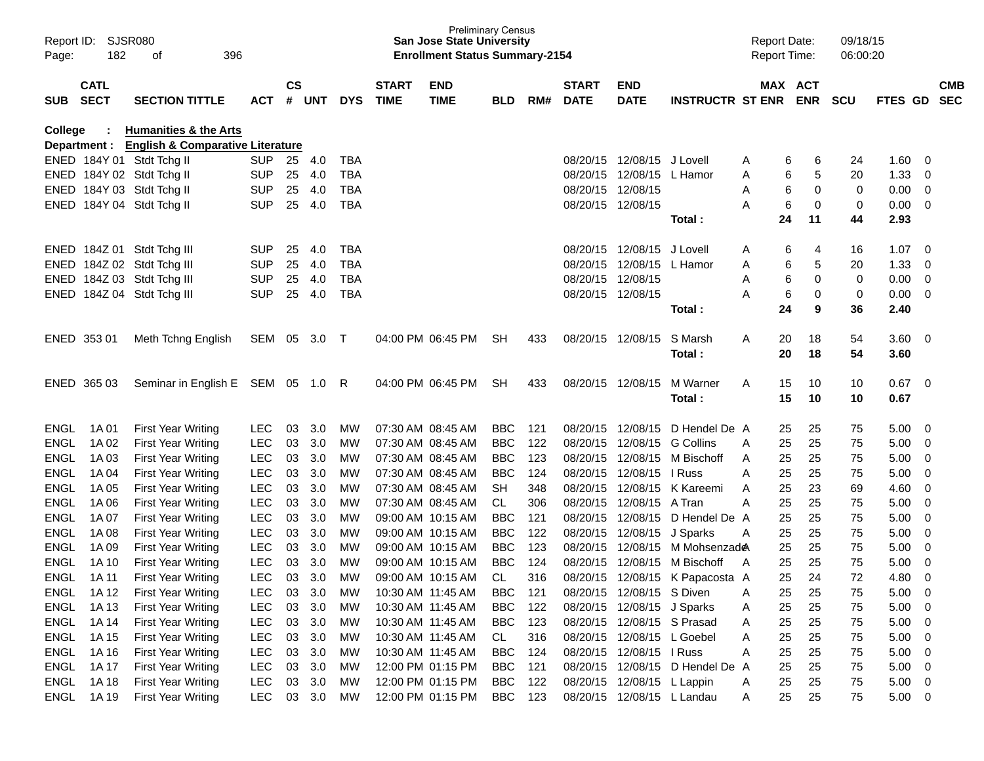| Page:          | Report ID: SJSR080<br>182<br>396<br>οf |                                                                                   |            |                    |        |            |                             | <b>Preliminary Census</b><br><b>San Jose State University</b><br><b>Enrollment Status Summary-2154</b> |            |     |                             |                            |                                 | <b>Report Date:</b><br><b>Report Time:</b> |                       |             | 09/18/15<br>06:00:20 |                |                          |                          |
|----------------|----------------------------------------|-----------------------------------------------------------------------------------|------------|--------------------|--------|------------|-----------------------------|--------------------------------------------------------------------------------------------------------|------------|-----|-----------------------------|----------------------------|---------------------------------|--------------------------------------------|-----------------------|-------------|----------------------|----------------|--------------------------|--------------------------|
| <b>SUB</b>     | <b>CATL</b><br><b>SECT</b>             | <b>SECTION TITTLE</b>                                                             | <b>ACT</b> | $\mathsf{cs}$<br># | UNT    | <b>DYS</b> | <b>START</b><br><b>TIME</b> | <b>END</b><br><b>TIME</b>                                                                              | <b>BLD</b> | RM# | <b>START</b><br><b>DATE</b> | <b>END</b><br><b>DATE</b>  | <b>INSTRUCTR ST ENR</b>         |                                            | MAX ACT<br><b>ENR</b> |             | <b>SCU</b>           | <b>FTES GD</b> |                          | <b>CMB</b><br><b>SEC</b> |
| <b>College</b> |                                        | <b>Humanities &amp; the Arts</b><br>Department : English & Comparative Literature |            |                    |        |            |                             |                                                                                                        |            |     |                             |                            |                                 |                                            |                       |             |                      |                |                          |                          |
|                |                                        | ENED 184Y 01 Stdt Tchg II                                                         | <b>SUP</b> | 25                 | 4.0    | <b>TBA</b> |                             |                                                                                                        |            |     |                             | 08/20/15 12/08/15 J Lovell |                                 | A                                          | 6                     | 6           | 24                   | 1.60           | - 0                      |                          |
|                |                                        | ENED 184Y 02 Stdt Tchg II                                                         | <b>SUP</b> | 25                 | 4.0    | <b>TBA</b> |                             |                                                                                                        |            |     | 08/20/15                    | 12/08/15 L Hamor           |                                 | Α                                          | 6                     | 5           | 20                   | 1.33           | 0                        |                          |
|                |                                        | ENED 184Y 03 Stdt Tchg II                                                         | <b>SUP</b> | 25                 | 4.0    | <b>TBA</b> |                             |                                                                                                        |            |     | 08/20/15 12/08/15           |                            |                                 | Α                                          | 6                     | $\mathbf 0$ | 0                    | 0.00           | - 0                      |                          |
|                |                                        | ENED 184Y 04 Stdt Tchg II                                                         | <b>SUP</b> | 25                 | 4.0    | <b>TBA</b> |                             |                                                                                                        |            |     | 08/20/15 12/08/15           |                            |                                 | A                                          | 6                     | 0           | 0                    | 0.00           | - 0                      |                          |
|                |                                        |                                                                                   |            |                    |        |            |                             |                                                                                                        |            |     |                             |                            | Total:                          |                                            | 24                    | 11          | 44                   | 2.93           |                          |                          |
|                |                                        | ENED 184Z 01 Stdt Tchg III                                                        | <b>SUP</b> | 25                 | 4.0    | <b>TBA</b> |                             |                                                                                                        |            |     |                             | 08/20/15 12/08/15          | J Lovell                        | A                                          | 6                     | 4           | 16                   | 1.07           | - 0                      |                          |
|                |                                        | ENED 184Z 02 Stdt Tchg III                                                        | <b>SUP</b> | 25                 | 4.0    | <b>TBA</b> |                             |                                                                                                        |            |     |                             | 08/20/15 12/08/15          | L Hamor                         | Α                                          | 6                     | 5           | 20                   | 1.33           | 0                        |                          |
|                |                                        | ENED 184Z 03 Stdt Tchg III                                                        | <b>SUP</b> | 25                 | 4.0    | <b>TBA</b> |                             |                                                                                                        |            |     | 08/20/15 12/08/15           |                            |                                 | Α                                          | 6                     | $\mathbf 0$ | 0                    | 0.00           | $\overline{0}$           |                          |
|                |                                        | ENED 184Z 04 Stdt Tchg III                                                        | <b>SUP</b> | 25                 | 4.0    | <b>TBA</b> |                             |                                                                                                        |            |     | 08/20/15 12/08/15           |                            |                                 | Α                                          | 6                     | 0           | 0                    | 0.00           | - 0                      |                          |
|                |                                        |                                                                                   |            |                    |        |            |                             |                                                                                                        |            |     |                             |                            | Total:                          |                                            | 24                    | 9           | 36                   | 2.40           |                          |                          |
|                | ENED 353 01                            | Meth Tchng English                                                                | SEM 05     |                    | 3.0    | $\top$     |                             | 04:00 PM 06:45 PM                                                                                      | SH         | 433 | 08/20/15 12/08/15           |                            | S Marsh                         | Α                                          | 20                    | 18          | 54                   | 3.60           | $\overline{\mathbf{0}}$  |                          |
|                |                                        |                                                                                   |            |                    |        |            |                             |                                                                                                        |            |     |                             |                            | Total:                          |                                            | 20                    | 18          | 54                   | 3.60           |                          |                          |
|                | ENED 365 03                            | Seminar in English E SEM 05 1.0                                                   |            |                    |        | R          |                             | 04:00 PM 06:45 PM                                                                                      | <b>SH</b>  | 433 | 08/20/15 12/08/15           |                            | M Warner                        | A                                          | 15                    | 10          | 10                   | 0.67           | $\overline{\mathbf{0}}$  |                          |
|                |                                        |                                                                                   |            |                    |        |            |                             |                                                                                                        |            |     |                             |                            | Total:                          |                                            | 15                    | 10          | 10                   | 0.67           |                          |                          |
| <b>ENGL</b>    | 1A 01                                  | <b>First Year Writing</b>                                                         | <b>LEC</b> | 03                 | 3.0    | MW         |                             | 07:30 AM 08:45 AM                                                                                      | <b>BBC</b> | 121 |                             | 08/20/15 12/08/15          | D Hendel De A                   |                                            | 25                    | 25          | 75                   | 5.00           | 0                        |                          |
| <b>ENGL</b>    | 1A 02                                  | <b>First Year Writing</b>                                                         | <b>LEC</b> | 03                 | 3.0    | <b>MW</b>  |                             | 07:30 AM 08:45 AM                                                                                      | <b>BBC</b> | 122 | 08/20/15                    | 12/08/15                   | <b>G</b> Collins                | A                                          | 25                    | 25          | 75                   | 5.00           | 0                        |                          |
| <b>ENGL</b>    | 1A 03                                  | <b>First Year Writing</b>                                                         | <b>LEC</b> | 03                 | 3.0    | MW         |                             | 07:30 AM 08:45 AM                                                                                      | <b>BBC</b> | 123 | 08/20/15                    | 12/08/15                   | M Bischoff                      | A                                          | 25                    | 25          | 75                   | 5.00           | 0                        |                          |
| <b>ENGL</b>    | 1A 04                                  | <b>First Year Writing</b>                                                         | <b>LEC</b> | 03                 | 3.0    | MW         |                             | 07:30 AM 08:45 AM                                                                                      | <b>BBC</b> | 124 | 08/20/15                    | 12/08/15                   | I Russ                          | A                                          | 25                    | 25          | 75                   | 5.00           | 0                        |                          |
| <b>ENGL</b>    | 1A 05                                  | <b>First Year Writing</b>                                                         | <b>LEC</b> | 03                 | 3.0    | MW         |                             | 07:30 AM 08:45 AM                                                                                      | <b>SH</b>  | 348 | 08/20/15                    | 12/08/15                   | K Kareemi                       | A                                          | 25                    | 23          | 69                   | 4.60           | 0                        |                          |
| <b>ENGL</b>    | 1A 06                                  | <b>First Year Writing</b>                                                         | <b>LEC</b> | 03                 | 3.0    | MW         |                             | 07:30 AM 08:45 AM                                                                                      | CL.        | 306 | 08/20/15                    | 12/08/15                   | A Tran                          | A                                          | 25                    | 25          | 75                   | 5.00           | 0                        |                          |
| <b>ENGL</b>    | 1A 07                                  | <b>First Year Writing</b>                                                         | <b>LEC</b> | 03                 | 3.0    | MW         |                             | 09:00 AM 10:15 AM                                                                                      | <b>BBC</b> | 121 | 08/20/15                    | 12/08/15                   | D Hendel De A                   |                                            | 25                    | 25          | 75                   | 5.00           | 0                        |                          |
| <b>ENGL</b>    | 1A 08                                  | <b>First Year Writing</b>                                                         | <b>LEC</b> | 03                 | 3.0    | MW         |                             | 09:00 AM 10:15 AM                                                                                      | <b>BBC</b> | 122 |                             | 08/20/15 12/08/15 J Sparks |                                 | A                                          | 25                    | 25          | 75                   | 5.00           | 0                        |                          |
| <b>ENGL</b>    | 1A 09                                  | <b>First Year Writing</b>                                                         | <b>LEC</b> | 03                 | 3.0    | MW         |                             | 09:00 AM 10:15 AM                                                                                      | <b>BBC</b> | 123 | 08/20/15                    | 12/08/15                   | M Mohsenzade                    |                                            | 25                    | 25          | 75                   | 5.00           | 0                        |                          |
| <b>ENGL</b>    | 1A 10                                  | <b>First Year Writing</b>                                                         | <b>LEC</b> | 03                 | 3.0    | МW         |                             | 09:00 AM 10:15 AM                                                                                      | <b>BBC</b> | 124 | 08/20/15                    | 12/08/15                   | M Bischoff                      | A                                          | 25                    | 25          | 75                   | 5.00           | 0                        |                          |
| <b>ENGL</b>    | 1A 11                                  | <b>First Year Writing</b>                                                         | <b>LEC</b> | 03                 | 3.0    | <b>MW</b>  |                             | 09:00 AM 10:15 AM                                                                                      | CL.        | 316 |                             |                            | 08/20/15 12/08/15 K Papacosta A |                                            | 25                    | 24          | 72                   | 4.80           | 0                        |                          |
|                | ENGL 1A12                              | First Year Writing                                                                | <b>LEC</b> | 03                 | 3.0    | MW         |                             | 10:30 AM 11:45 AM                                                                                      | <b>BBC</b> | 121 |                             | 08/20/15 12/08/15 S Diven  |                                 | A                                          | 25                    | 25          | 75                   | 5.00           | $\mathbf 0$              |                          |
| ENGL           | 1A 13                                  | <b>First Year Writing</b>                                                         | <b>LEC</b> | 03                 | 3.0    | MW         |                             | 10:30 AM 11:45 AM                                                                                      | <b>BBC</b> | 122 |                             | 08/20/15 12/08/15 J Sparks |                                 | A                                          | 25                    | 25          | 75                   | 5.00           | $\overline{\mathbf{0}}$  |                          |
| ENGL           | 1A 14                                  | <b>First Year Writing</b>                                                         | LEC        |                    | 03 3.0 | MW         |                             | 10:30 AM 11:45 AM                                                                                      | <b>BBC</b> | 123 |                             | 08/20/15 12/08/15 S Prasad |                                 | A                                          | 25                    | 25          | 75                   | 5.00           | $\overline{\mathbf{0}}$  |                          |
| ENGL           | 1A 15                                  | <b>First Year Writing</b>                                                         | LEC        | 03                 | 3.0    | MW         |                             | 10:30 AM 11:45 AM                                                                                      | CL         | 316 |                             | 08/20/15 12/08/15 L Goebel |                                 | A                                          | 25                    | 25          | 75                   | 5.00           | $\overline{0}$           |                          |
| ENGL           | 1A 16                                  | <b>First Year Writing</b>                                                         | LEC        | 03                 | 3.0    | MW         |                             | 10:30 AM 11:45 AM                                                                                      | <b>BBC</b> | 124 |                             | 08/20/15 12/08/15 I Russ   |                                 | Α                                          | 25                    | 25          | 75                   | 5.00           | $\overline{\mathbf{0}}$  |                          |
| ENGL           | 1A 17                                  | <b>First Year Writing</b>                                                         | <b>LEC</b> | 03                 | 3.0    | MW         |                             | 12:00 PM 01:15 PM                                                                                      | BBC        | 121 |                             |                            | 08/20/15 12/08/15 D Hendel De A |                                            | 25                    | 25          | 75                   | 5.00           | $\overline{\phantom{0}}$ |                          |
| ENGL           | 1A 18                                  | <b>First Year Writing</b>                                                         | <b>LEC</b> | 03                 | 3.0    | MW         |                             | 12:00 PM 01:15 PM                                                                                      | <b>BBC</b> | 122 |                             | 08/20/15 12/08/15 L Lappin |                                 | A                                          | 25                    | 25          | 75                   | 5.00           | $\overline{\phantom{0}}$ |                          |
|                | ENGL 1A19                              | <b>First Year Writing</b>                                                         | LEC        |                    | 03 3.0 | MW         |                             | 12:00 PM 01:15 PM                                                                                      | BBC 123    |     |                             | 08/20/15 12/08/15 L Landau |                                 | A                                          | 25                    | 25          | 75                   | $5.00 \t 0$    |                          |                          |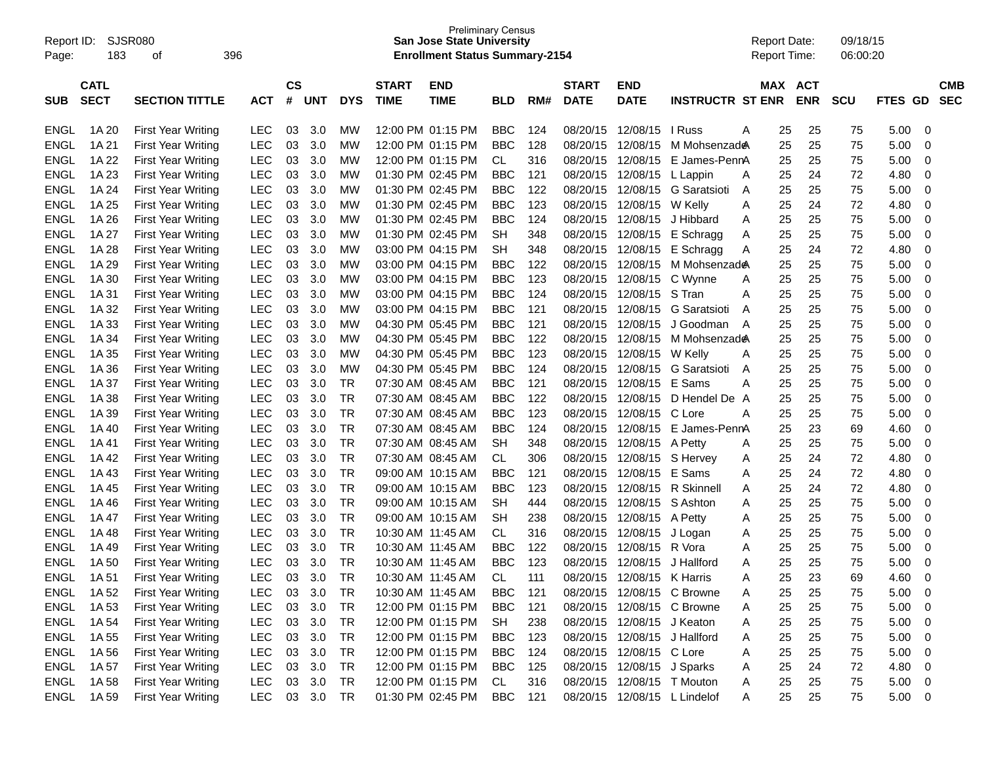| Report ID:<br>Page: | SJSR080<br>183 | οf                        | 396           |           |            |            |                   | <b>Preliminary Census</b><br>San Jose State University<br><b>Enrollment Status Summary-2154</b> |            |       |              |                              |                              | <b>Report Date:</b><br><b>Report Time:</b> |     |            | 09/18/15<br>06:00:20 |             |                |
|---------------------|----------------|---------------------------|---------------|-----------|------------|------------|-------------------|-------------------------------------------------------------------------------------------------|------------|-------|--------------|------------------------------|------------------------------|--------------------------------------------|-----|------------|----------------------|-------------|----------------|
|                     | <b>CATL</b>    |                           |               | <b>CS</b> |            |            | <b>START</b>      | <b>END</b>                                                                                      |            |       | <b>START</b> | <b>END</b>                   |                              |                                            | MAX | <b>ACT</b> |                      |             | <b>CMB</b>     |
| <b>SUB</b>          | <b>SECT</b>    | <b>SECTION TITTLE</b>     | ACT           | #         | <b>UNT</b> | <b>DYS</b> | <b>TIME</b>       | <b>TIME</b>                                                                                     | <b>BLD</b> | RM#   | <b>DATE</b>  | <b>DATE</b>                  | <b>INSTRUCTR ST ENR</b>      |                                            |     | <b>ENR</b> | <b>SCU</b>           | FTES GD     | <b>SEC</b>     |
| ENGL                | 1A 20          | <b>First Year Writing</b> | <b>LEC</b>    | 03        | 3.0        | <b>MW</b>  | 12:00 PM 01:15 PM |                                                                                                 | <b>BBC</b> | 124   | 08/20/15     | 12/08/15                     | I Russ                       | Α                                          | 25  | 25         | 75                   | 5.00        | 0              |
| <b>ENGL</b>         | 1A 21          | <b>First Year Writing</b> | <b>LEC</b>    | 03        | 3.0        | MW         |                   | 12:00 PM 01:15 PM                                                                               | <b>BBC</b> | 128   | 08/20/15     | 12/08/15                     | M Mohsenzad <del></del>      |                                            | 25  | 25         | 75                   | 5.00        | 0              |
| <b>ENGL</b>         | 1A 22          | <b>First Year Writing</b> | <b>LEC</b>    | 03        | 3.0        | MW         |                   | 12:00 PM 01:15 PM                                                                               | CL         | 316   | 08/20/15     | 12/08/15                     | E James-PennA                |                                            | 25  | 25         | 75                   | 5.00        | 0              |
| <b>ENGL</b>         | 1A 23          | <b>First Year Writing</b> | <b>LEC</b>    | 03        | 3.0        | MW         | 01:30 PM 02:45 PM |                                                                                                 | <b>BBC</b> | 121   | 08/20/15     | 12/08/15 L Lappin            |                              | A                                          | 25  | 24         | 72                   | 4.80        | 0              |
| <b>ENGL</b>         | 1A 24          | <b>First Year Writing</b> | <b>LEC</b>    | 03        | 3.0        | MW         | 01:30 PM 02:45 PM |                                                                                                 | <b>BBC</b> | 122   | 08/20/15     |                              | 12/08/15 G Saratsioti        | Α                                          | 25  | 25         | 75                   | 5.00        | 0              |
| <b>ENGL</b>         | 1A 25          | <b>First Year Writing</b> | <b>LEC</b>    | 03        | 3.0        | MW         | 01:30 PM 02:45 PM |                                                                                                 | <b>BBC</b> | 123   | 08/20/15     | 12/08/15 W Kelly             |                              | Α                                          | 25  | 24         | 72                   | 4.80        | 0              |
| <b>ENGL</b>         | 1A 26          | <b>First Year Writing</b> | <b>LEC</b>    | 03        | 3.0        | MW         | 01:30 PM 02:45 PM |                                                                                                 | <b>BBC</b> | 124   | 08/20/15     |                              | 12/08/15 J Hibbard           | Α                                          | 25  | 25         | 75                   | 5.00        | 0              |
| <b>ENGL</b>         | 1A 27          | <b>First Year Writing</b> | <b>LEC</b>    | 03        | 3.0        | MW         | 01:30 PM 02:45 PM |                                                                                                 | <b>SH</b>  | 348   | 08/20/15     |                              | 12/08/15 E Schragg           | Α                                          | 25  | 25         | 75                   | 5.00        | 0              |
| <b>ENGL</b>         | 1A 28          | <b>First Year Writing</b> | <b>LEC</b>    | 03        | 3.0        | MW         | 03:00 PM 04:15 PM |                                                                                                 | <b>SH</b>  | 348   | 08/20/15     |                              | 12/08/15 E Schragg           | Α                                          | 25  | 24         | 72                   | 4.80        | 0              |
| <b>ENGL</b>         | 1A 29          | <b>First Year Writing</b> | <b>LEC</b>    | 03        | 3.0        | MW         |                   | 03:00 PM 04:15 PM                                                                               | <b>BBC</b> | 122   | 08/20/15     |                              | 12/08/15 M Mohsenzade        |                                            | 25  | 25         | 75                   | 5.00        | 0              |
| <b>ENGL</b>         | 1A 30          | <b>First Year Writing</b> | <b>LEC</b>    | 03        | 3.0        | MW         |                   | 03:00 PM 04:15 PM                                                                               | <b>BBC</b> | 123   | 08/20/15     | 12/08/15 C Wynne             |                              | Α                                          | 25  | 25         | 75                   | 5.00        | 0              |
| <b>ENGL</b>         | 1A 31          | <b>First Year Writing</b> | <b>LEC</b>    | 03        | 3.0        | MW         |                   | 03:00 PM 04:15 PM                                                                               | <b>BBC</b> | 124   | 08/20/15     | 12/08/15 S Tran              |                              | A                                          | 25  | 25         | 75                   | 5.00        | 0              |
| <b>ENGL</b>         | 1A 32          | <b>First Year Writing</b> | <b>LEC</b>    | 03        | 3.0        | MW         |                   | 03:00 PM 04:15 PM                                                                               | <b>BBC</b> | 121   | 08/20/15     |                              | 12/08/15 G Saratsioti        | A                                          | 25  | 25         | 75                   | 5.00        | 0              |
| <b>ENGL</b>         | 1A 33          | <b>First Year Writing</b> | <b>LEC</b>    | 03        | 3.0        | MW         | 04:30 PM 05:45 PM |                                                                                                 | <b>BBC</b> | 121   | 08/20/15     | 12/08/15                     | J Goodman                    | A                                          | 25  | 25         | 75                   | 5.00        | 0              |
| <b>ENGL</b>         | 1A 34          | <b>First Year Writing</b> | <b>LEC</b>    | 03        | 3.0        | MW         | 04:30 PM 05:45 PM |                                                                                                 | <b>BBC</b> | 122   | 08/20/15     | 12/08/15                     | M Mohsenzad <b>e</b>         |                                            | 25  | 25         | 75                   | 5.00        | 0              |
| <b>ENGL</b>         | 1A 35          | <b>First Year Writing</b> | <b>LEC</b>    | 03        | 3.0        | MW         | 04:30 PM 05:45 PM |                                                                                                 | <b>BBC</b> | 123   | 08/20/15     | 12/08/15 W Kelly             |                              | Α                                          | 25  | 25         | 75                   | 5.00        | 0              |
| <b>ENGL</b>         | 1A 36          | <b>First Year Writing</b> | <b>LEC</b>    | 03        | 3.0        | MW         | 04:30 PM 05:45 PM |                                                                                                 | <b>BBC</b> | 124   | 08/20/15     |                              | 12/08/15 G Saratsioti        | A                                          | 25  | 25         | 75                   | 5.00        | 0              |
| <b>ENGL</b>         | 1A 37          | <b>First Year Writing</b> | <b>LEC</b>    | 03        | 3.0        | TR         | 07:30 AM 08:45 AM |                                                                                                 | <b>BBC</b> | 121   | 08/20/15     | 12/08/15 E Sams              |                              | A                                          | 25  | 25         | 75                   | 5.00        | 0              |
| <b>ENGL</b>         | 1A 38          | <b>First Year Writing</b> | <b>LEC</b>    | 03        | 3.0        | TR         | 07:30 AM 08:45 AM |                                                                                                 | <b>BBC</b> | 122   | 08/20/15     |                              | 12/08/15 D Hendel De A       |                                            | 25  | 25         | 75                   | 5.00        | 0              |
| <b>ENGL</b>         | 1A 39          | <b>First Year Writing</b> | <b>LEC</b>    | 03        | 3.0        | <b>TR</b>  | 07:30 AM 08:45 AM |                                                                                                 | <b>BBC</b> | 123   | 08/20/15     | 12/08/15                     | C Lore                       | A                                          | 25  | 25         | 75                   | 5.00        | 0              |
| <b>ENGL</b>         | 1A 40          | <b>First Year Writing</b> | <b>LEC</b>    | 03        | 3.0        | <b>TR</b>  | 07:30 AM 08:45 AM |                                                                                                 | <b>BBC</b> | 124   | 08/20/15     |                              | 12/08/15 E James-PennA       |                                            | 25  | 23         | 69                   | 4.60        | 0              |
| <b>ENGL</b>         | 1A41           | <b>First Year Writing</b> | <b>LEC</b>    | 03        | 3.0        | <b>TR</b>  | 07:30 AM 08:45 AM |                                                                                                 | <b>SH</b>  | 348   | 08/20/15     | 12/08/15 A Petty             |                              | Α                                          | 25  | 25         | 75                   | 5.00        | 0              |
| <b>ENGL</b>         | 1A 42          | <b>First Year Writing</b> | <b>LEC</b>    | 03        | 3.0        | <b>TR</b>  | 07:30 AM 08:45 AM |                                                                                                 | <b>CL</b>  | 306   | 08/20/15     | 12/08/15 S Hervey            |                              | A                                          | 25  | 24         | 72                   | 4.80        | 0              |
| <b>ENGL</b>         | 1A43           | <b>First Year Writing</b> | <b>LEC</b>    | 03        | 3.0        | <b>TR</b>  | 09:00 AM 10:15 AM |                                                                                                 | <b>BBC</b> | 121   | 08/20/15     | 12/08/15 E Sams              |                              | Α                                          | 25  | 24         | 72                   | 4.80        | 0              |
| <b>ENGL</b>         | 1A 45          | <b>First Year Writing</b> | <b>LEC</b>    | 03        | 3.0        | <b>TR</b>  | 09:00 AM 10:15 AM |                                                                                                 | <b>BBC</b> | 123   | 08/20/15     |                              | 12/08/15 R Skinnell          | Α                                          | 25  | 24         | 72                   | 4.80        | 0              |
| <b>ENGL</b>         | 1A46           | <b>First Year Writing</b> | <b>LEC</b>    | 03        | 3.0        | <b>TR</b>  | 09:00 AM 10:15 AM |                                                                                                 | <b>SH</b>  | 444   | 08/20/15     | 12/08/15                     | S Ashton                     | Α                                          | 25  | 25         | 75                   | 5.00        | 0              |
| <b>ENGL</b>         | 1A 47          | <b>First Year Writing</b> | <b>LEC</b>    | 03        | 3.0        | <b>TR</b>  | 09:00 AM 10:15 AM |                                                                                                 | SН         | 238   | 08/20/15     | 12/08/15                     | A Petty                      | Α                                          | 25  | 25         | 75                   | 5.00        | 0              |
| <b>ENGL</b>         | 1A48           | <b>First Year Writing</b> | <b>LEC</b>    | 03        | 3.0        | <b>TR</b>  | 10:30 AM 11:45 AM |                                                                                                 | CL.        | 316   | 08/20/15     | 12/08/15                     | J Logan                      | Α                                          | 25  | 25         | 75                   | 5.00        | 0              |
| <b>ENGL</b>         | 1A 49          | <b>First Year Writing</b> | <b>LEC</b>    | 03        | 3.0        | <b>TR</b>  | 10:30 AM 11:45 AM |                                                                                                 | <b>BBC</b> | 122   | 08/20/15     | 12/08/15                     | R Vora                       | Α                                          | 25  | 25         | 75                   | 5.00        | 0              |
| <b>ENGL</b>         | 1A 50          | First Year Writing        | <b>LEC</b>    | 03        | 3.0        | <b>TR</b>  |                   | 10:30 AM 11:45 AM                                                                               | <b>BBC</b> | 123   | 08/20/15     |                              | 12/08/15 J Hallford          | Α                                          | 25  | 25         | 75                   | 5.00        | $\mathbf 0$    |
| ENGL                | 1A 51          | <b>First Year Writing</b> | LEC           |           | 03 3.0     | <b>TR</b>  |                   | 10:30 AM 11:45 AM                                                                               | CL         | 111   |              | 08/20/15 12/08/15 K Harris   |                              | Α                                          | 25  | 23         | 69                   | 4.60        | $\overline{0}$ |
| ENGL                | 1A 52          | <b>First Year Writing</b> | <b>LEC</b>    |           | 03 3.0     | TR         | 10:30 AM 11:45 AM |                                                                                                 | BBC        | 121   |              |                              | 08/20/15 12/08/15 C Browne   | A                                          | 25  | 25         | 75                   | 5.00        | 0              |
| ENGL                | 1A 53          | <b>First Year Writing</b> | <b>LEC</b>    |           | 03 3.0     | TR         |                   | 12:00 PM 01:15 PM                                                                               | BBC        | 121   |              |                              | 08/20/15 12/08/15 C Browne   | A                                          | 25  | 25         | 75                   | 5.00        | 0              |
| ENGL                | 1A 54          | <b>First Year Writing</b> | <b>LEC</b>    |           | 03 3.0     | TR         |                   | 12:00 PM 01:15 PM                                                                               | SH         | 238   |              | 08/20/15 12/08/15 J Keaton   |                              | A                                          | 25  | 25         | 75                   | 5.00        | 0              |
| ENGL                | 1A 55          | <b>First Year Writing</b> | <b>LEC</b>    | 03        | 3.0        | TR         |                   | 12:00 PM 01:15 PM                                                                               | BBC        | - 123 |              | 08/20/15 12/08/15 J Hallford |                              | A                                          | 25  | 25         | 75                   | 5.00        | 0              |
| ENGL                | 1A 56          | <b>First Year Writing</b> | <b>LEC</b>    | 03        | 3.0        | TR         |                   | 12:00 PM 01:15 PM                                                                               | BBC        | 124   |              | 08/20/15 12/08/15 C Lore     |                              | A                                          | 25  | 25         | 75                   | 5.00        | 0              |
| ENGL                | 1A 57          | <b>First Year Writing</b> | <b>LEC</b>    |           | 03 3.0     | TR         |                   | 12:00 PM 01:15 PM                                                                               | <b>BBC</b> | 125   |              | 08/20/15 12/08/15 J Sparks   |                              | A                                          | 25  | 24         | 72                   | 4.80        | 0              |
|                     | ENGL 1A58      | <b>First Year Writing</b> | LEC           |           | 03 3.0     | TR         |                   | 12:00 PM 01:15 PM                                                                               | CL         | 316   |              | 08/20/15 12/08/15 T Mouton   |                              | A                                          | 25  | 25         | 75                   | 5.00        | 0              |
|                     | ENGL 1A59      | <b>First Year Writing</b> | LEC 03 3.0 TR |           |            |            |                   | 01:30 PM 02:45 PM                                                                               | BBC 121    |       |              |                              | 08/20/15 12/08/15 L Lindelof | A                                          | 25  | 25         | 75                   | $5.00 \t 0$ |                |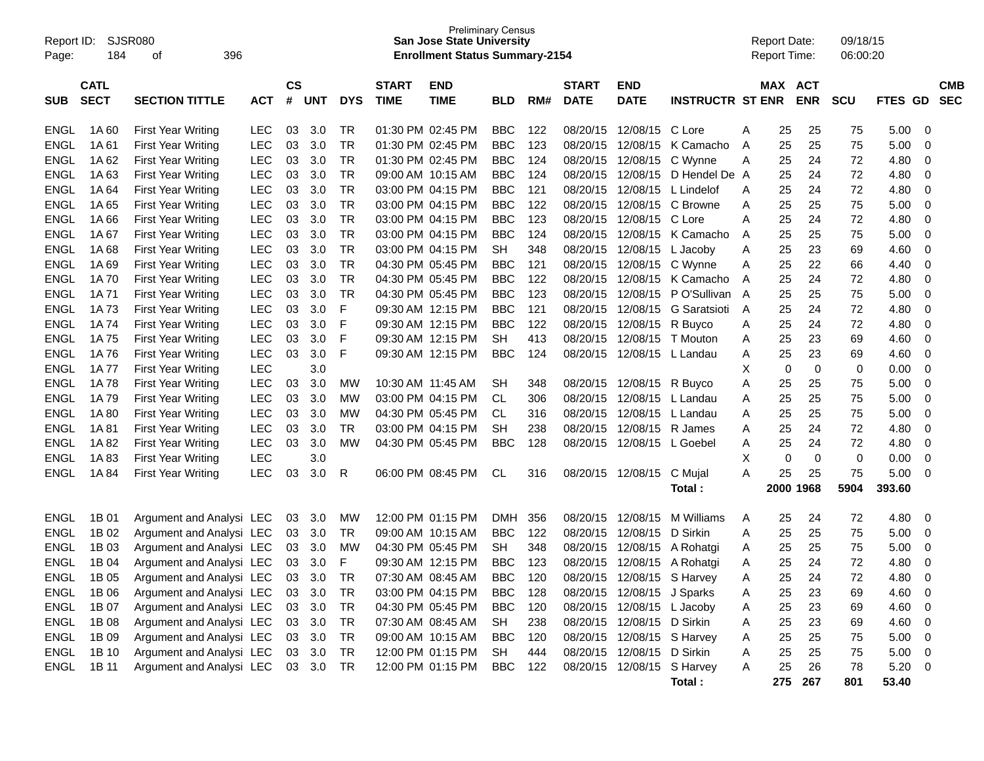| Report ID:<br>Page: | 184         | <b>SJSR080</b><br>396<br>οf |            |           |            |            |                   | <b>Preliminary Census</b><br><b>San Jose State University</b><br><b>Enrollment Status Summary-2154</b> |            |     |              |                            |                         |   | <b>Report Date:</b><br>Report Time: |            | 09/18/15<br>06:00:20 |                    |            |
|---------------------|-------------|-----------------------------|------------|-----------|------------|------------|-------------------|--------------------------------------------------------------------------------------------------------|------------|-----|--------------|----------------------------|-------------------------|---|-------------------------------------|------------|----------------------|--------------------|------------|
|                     | <b>CATL</b> |                             |            | <b>CS</b> |            |            | <b>START</b>      | <b>END</b>                                                                                             |            |     | <b>START</b> | <b>END</b>                 |                         |   | MAX ACT                             |            |                      |                    | <b>CMB</b> |
| <b>SUB</b>          | <b>SECT</b> | <b>SECTION TITTLE</b>       | <b>ACT</b> | #         | <b>UNT</b> | <b>DYS</b> | <b>TIME</b>       | <b>TIME</b>                                                                                            | <b>BLD</b> | RM# | <b>DATE</b>  | <b>DATE</b>                | <b>INSTRUCTR ST ENR</b> |   |                                     | <b>ENR</b> | <b>SCU</b>           | <b>FTES</b><br>GD. | <b>SEC</b> |
| <b>ENGL</b>         | 1A 60       | <b>First Year Writing</b>   | LEC        | 03        | 3.0        | TR         |                   | 01:30 PM 02:45 PM                                                                                      | <b>BBC</b> | 122 | 08/20/15     | 12/08/15                   | C Lore                  | A | 25                                  | 25         | 75                   | 5.00               | 0          |
| <b>ENGL</b>         | 1A61        | <b>First Year Writing</b>   | <b>LEC</b> | 03        | 3.0        | TR         |                   | 01:30 PM 02:45 PM                                                                                      | <b>BBC</b> | 123 | 08/20/15     | 12/08/15                   | K Camacho               | Α | 25                                  | 25         | 75                   | 5.00               | 0          |
| <b>ENGL</b>         | 1A62        | <b>First Year Writing</b>   | <b>LEC</b> | 03        | 3.0        | TR         |                   | 01:30 PM 02:45 PM                                                                                      | <b>BBC</b> | 124 | 08/20/15     | 12/08/15                   | C Wynne                 | Α | 25                                  | 24         | 72                   | 4.80               | 0          |
| ENGL                | 1A63        | <b>First Year Writing</b>   | <b>LEC</b> | 03        | 3.0        | TR         |                   | 09:00 AM 10:15 AM                                                                                      | <b>BBC</b> | 124 | 08/20/15     | 12/08/15                   | D Hendel De A           |   | 25                                  | 24         | 72                   | 4.80               | 0          |
| <b>ENGL</b>         | 1A64        | <b>First Year Writing</b>   | <b>LEC</b> | 03        | 3.0        | TR         |                   | 03:00 PM 04:15 PM                                                                                      | <b>BBC</b> | 121 | 08/20/15     | 12/08/15                   | L Lindelof              | A | 25                                  | 24         | 72                   | 4.80               | 0          |
| <b>ENGL</b>         | 1A 65       | <b>First Year Writing</b>   | <b>LEC</b> | 03        | 3.0        | TR         |                   | 03:00 PM 04:15 PM                                                                                      | <b>BBC</b> | 122 | 08/20/15     | 12/08/15                   | C Browne                | Α | 25                                  | 25         | 75                   | 5.00               | 0          |
| <b>ENGL</b>         | 1A66        | <b>First Year Writing</b>   | <b>LEC</b> | 03        | 3.0        | TR         |                   | 03:00 PM 04:15 PM                                                                                      | <b>BBC</b> | 123 | 08/20/15     | 12/08/15                   | C Lore                  | A | 25                                  | 24         | 72                   | 4.80               | 0          |
| ENGL                | 1A 67       | <b>First Year Writing</b>   | <b>LEC</b> | 03        | 3.0        | TR         |                   | 03:00 PM 04:15 PM                                                                                      | BBC        | 124 | 08/20/15     | 12/08/15                   | K Camacho               | A | 25                                  | 25         | 75                   | 5.00               | 0          |
| <b>ENGL</b>         | 1A68        | <b>First Year Writing</b>   | <b>LEC</b> | 03        | 3.0        | TR         |                   | 03:00 PM 04:15 PM                                                                                      | <b>SH</b>  | 348 | 08/20/15     | 12/08/15                   | L Jacoby                | A | 25                                  | 23         | 69                   | 4.60               | 0          |
| <b>ENGL</b>         | 1A 69       | <b>First Year Writing</b>   | <b>LEC</b> | 03        | 3.0        | TR         |                   | 04:30 PM 05:45 PM                                                                                      | BBC        | 121 | 08/20/15     | 12/08/15                   | C Wynne                 | Α | 25                                  | 22         | 66                   | 4.40               | 0          |
| <b>ENGL</b>         | 1A 70       | <b>First Year Writing</b>   | <b>LEC</b> | 03        | 3.0        | TR         |                   | 04:30 PM 05:45 PM                                                                                      | <b>BBC</b> | 122 | 08/20/15     | 12/08/15                   | K Camacho               | A | 25                                  | 24         | 72                   | 4.80               | 0          |
| ENGL                | 1A 71       | <b>First Year Writing</b>   | <b>LEC</b> | 03        | 3.0        | <b>TR</b>  |                   | 04:30 PM 05:45 PM                                                                                      | <b>BBC</b> | 123 | 08/20/15     | 12/08/15                   | P O'Sullivan            | A | 25                                  | 25         | 75                   | 5.00               | 0          |
| <b>ENGL</b>         | 1A 73       | <b>First Year Writing</b>   | <b>LEC</b> | 03        | 3.0        | F          |                   | 09:30 AM 12:15 PM                                                                                      | <b>BBC</b> | 121 | 08/20/15     | 12/08/15                   | G Saratsioti            | A | 25                                  | 24         | 72                   | 4.80               | 0          |
| <b>ENGL</b>         | 1A 74       | <b>First Year Writing</b>   | <b>LEC</b> | 03        | 3.0        | F          |                   | 09:30 AM 12:15 PM                                                                                      | <b>BBC</b> | 122 | 08/20/15     | 12/08/15                   | R Buyco                 | Α | 25                                  | 24         | 72                   | 4.80               | 0          |
| <b>ENGL</b>         | 1A 75       | <b>First Year Writing</b>   | <b>LEC</b> | 03        | 3.0        | F          |                   | 09:30 AM 12:15 PM                                                                                      | <b>SH</b>  | 413 | 08/20/15     | 12/08/15                   | T Mouton                | Α | 25                                  | 23         | 69                   | 4.60               | 0          |
| <b>ENGL</b>         | 1A 76       | <b>First Year Writing</b>   | <b>LEC</b> | 03        | 3.0        | F          |                   | 09:30 AM 12:15 PM                                                                                      | <b>BBC</b> | 124 | 08/20/15     | 12/08/15 L Landau          |                         | A | 25                                  | 23         | 69                   | 4.60               | 0          |
| <b>ENGL</b>         | 1A 77       | <b>First Year Writing</b>   | <b>LEC</b> |           | 3.0        |            |                   |                                                                                                        |            |     |              |                            |                         | х | 0                                   | 0          | 0                    | 0.00               | 0          |
| <b>ENGL</b>         | 1A 78       | <b>First Year Writing</b>   | <b>LEC</b> | 03        | 3.0        | МW         | 10:30 AM 11:45 AM |                                                                                                        | SН         | 348 | 08/20/15     | 12/08/15                   | R Buyco                 | Α | 25                                  | 25         | 75                   | 5.00               | 0          |
| <b>ENGL</b>         | 1A 79       | <b>First Year Writing</b>   | <b>LEC</b> | 03        | 3.0        | МW         |                   | 03:00 PM 04:15 PM                                                                                      | СL         | 306 | 08/20/15     | 12/08/15                   | L Landau                | Α | 25                                  | 25         | 75                   | 5.00               | 0          |
| <b>ENGL</b>         | 1A 80       | <b>First Year Writing</b>   | <b>LEC</b> | 03        | 3.0        | МW         |                   | 04:30 PM 05:45 PM                                                                                      | CL         | 316 | 08/20/15     | 12/08/15                   | L Landau                | A | 25                                  | 25         | 75                   | 5.00               | 0          |
| <b>ENGL</b>         | 1A 81       | <b>First Year Writing</b>   | <b>LEC</b> | 03        | 3.0        | TR.        |                   | 03:00 PM 04:15 PM                                                                                      | <b>SH</b>  | 238 | 08/20/15     | 12/08/15                   | R James                 | A | 25                                  | 24         | 72                   | 4.80               | 0          |
| <b>ENGL</b>         | 1A 82       | <b>First Year Writing</b>   | <b>LEC</b> | 03        | 3.0        | МW         |                   | 04:30 PM 05:45 PM                                                                                      | <b>BBC</b> | 128 | 08/20/15     | 12/08/15                   | L Goebel                | A | 25                                  | 24         | 72                   | 4.80               | 0          |
| ENGL                | 1A83        | <b>First Year Writing</b>   | <b>LEC</b> |           | 3.0        |            |                   |                                                                                                        |            |     |              |                            |                         | X | 0                                   | 0          | 0                    | 0.00               | 0          |
| ENGL                | 1A 84       | <b>First Year Writing</b>   | <b>LEC</b> | 03        | 3.0        | R          |                   | 06:00 PM 08:45 PM                                                                                      | <b>CL</b>  | 316 | 08/20/15     | 12/08/15                   | C Mujal                 | A | 25                                  | 25         | 75                   | 5.00               | 0          |
|                     |             |                             |            |           |            |            |                   |                                                                                                        |            |     |              |                            | Total:                  |   |                                     | 2000 1968  | 5904                 | 393.60             |            |
| <b>ENGL</b>         | 1B 01       | Argument and Analysi LEC    |            | 03        | 3.0        | МW         |                   | 12:00 PM 01:15 PM                                                                                      | <b>DMH</b> | 356 | 08/20/15     | 12/08/15                   | M Williams              | Α | 25                                  | 24         | 72                   | 4.80               | 0          |
| <b>ENGL</b>         | 1B 02       | Argument and Analysi LEC    |            | 03        | 3.0        | TR         |                   | 09:00 AM 10:15 AM                                                                                      | <b>BBC</b> | 122 | 08/20/15     | 12/08/15                   | D Sirkin                | A | 25                                  | 25         | 75                   | 5.00               | 0          |
| <b>ENGL</b>         | 1B 03       | Argument and Analysi LEC    |            | 03        | 3.0        | МW         |                   | 04:30 PM 05:45 PM                                                                                      | <b>SH</b>  | 348 | 08/20/15     | 12/08/15                   | A Rohatgi               | A | 25                                  | 25         | 75                   | 5.00               | 0          |
| ENGL                | 1B 04       | Argument and Analysi LEC    |            | 03        | 3.0        | F          |                   | 09:30 AM 12:15 PM                                                                                      | <b>BBC</b> | 123 | 08/20/15     | 12/08/15                   | A Rohatgi               | Α | 25                                  | 24         | 72                   | 4.80               | 0          |
|                     | ENGL 1B 05  | Argument and Analysi LEC    |            | 03        | 3.0        | TR         |                   | 07:30 AM 08:45 AM                                                                                      | <b>BBC</b> | 120 |              | 08/20/15 12/08/15 S Harvey |                         | A | 25                                  | 24         | 72                   | 4.80               | 0          |
| ENGL                | 1B 06       | Argument and Analysi LEC    |            |           | 03 3.0     | TR         |                   | 03:00 PM 04:15 PM                                                                                      | <b>BBC</b> | 128 |              | 08/20/15 12/08/15 J Sparks |                         | A | 25                                  | 23         | 69                   | 4.60               | 0          |
| <b>ENGL</b>         | 1B 07       | Argument and Analysi LEC    |            |           | 03 3.0     | TR         |                   | 04:30 PM 05:45 PM                                                                                      | <b>BBC</b> | 120 |              | 08/20/15 12/08/15 L Jacoby |                         | A | 25                                  | 23         | 69                   | 4.60               | 0          |
| <b>ENGL</b>         | 1B 08       | Argument and Analysi LEC    |            |           | 03 3.0     | TR         |                   | 07:30 AM 08:45 AM                                                                                      | SH         | 238 |              | 08/20/15 12/08/15 D Sirkin |                         | A | 25                                  | 23         | 69                   | 4.60               | 0          |
| <b>ENGL</b>         | 1B 09       | Argument and Analysi LEC    |            |           | 03 3.0     | TR         |                   | 09:00 AM 10:15 AM                                                                                      | <b>BBC</b> | 120 |              | 08/20/15 12/08/15 S Harvey |                         | A | 25                                  | 25         | 75                   | 5.00               | 0          |
| <b>ENGL</b>         | 1B 10       | Argument and Analysi LEC    |            |           | 03 3.0     | TR         |                   | 12:00 PM 01:15 PM                                                                                      | <b>SH</b>  | 444 |              | 08/20/15 12/08/15 D Sirkin |                         | A | 25                                  | 25         | 75                   | 5.00               | 0          |
| <b>ENGL</b>         | 1B 11       | Argument and Analysi LEC    |            |           | 03 3.0     | TR         |                   | 12:00 PM 01:15 PM                                                                                      | <b>BBC</b> | 122 |              | 08/20/15 12/08/15 S Harvey |                         | Α | 25                                  | 26         | 78                   | 5.20               | 0          |
|                     |             |                             |            |           |            |            |                   |                                                                                                        |            |     |              |                            | Total:                  |   | 275                                 | 267        | 801                  | 53.40              |            |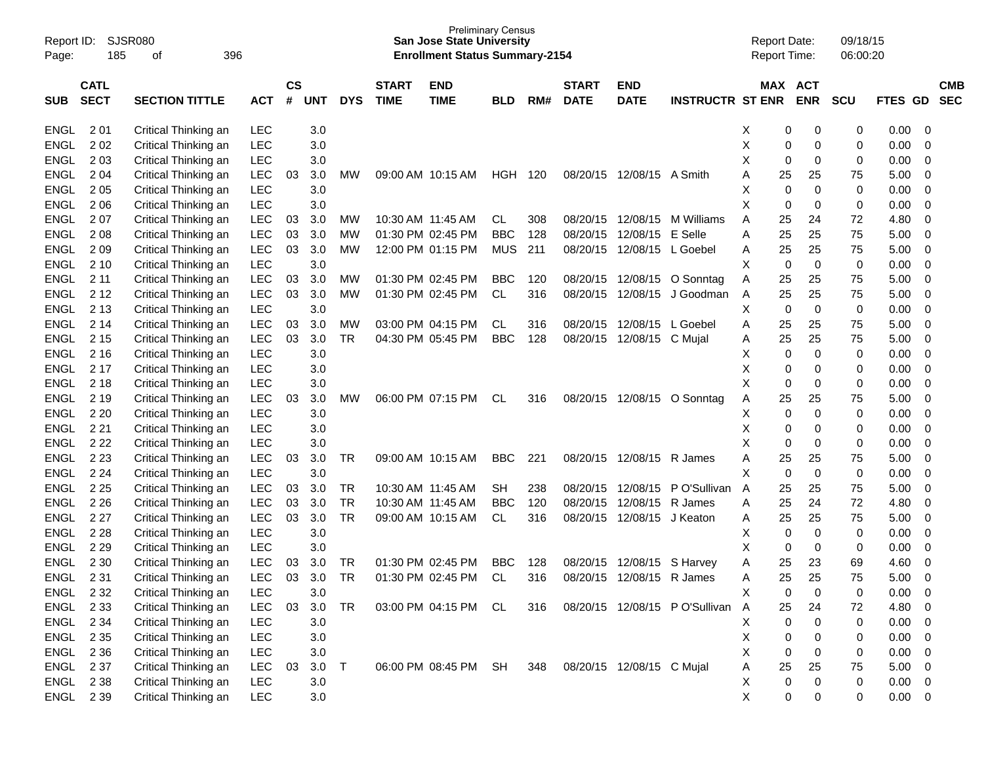| Page:       | Report ID:<br>SJSR080<br>185<br>396<br>οf<br><b>CATL</b> |                       |            |                |            |            |                             | <b>Preliminary Census</b><br><b>San Jose State University</b><br><b>Enrollment Status Summary-2154</b> |            |     |                             |                           |                               | <b>Report Date:</b><br><b>Report Time:</b> |                        | 09/18/15<br>06:00:20 |                |                         |                          |
|-------------|----------------------------------------------------------|-----------------------|------------|----------------|------------|------------|-----------------------------|--------------------------------------------------------------------------------------------------------|------------|-----|-----------------------------|---------------------------|-------------------------------|--------------------------------------------|------------------------|----------------------|----------------|-------------------------|--------------------------|
| <b>SUB</b>  | <b>SECT</b>                                              | <b>SECTION TITTLE</b> | <b>ACT</b> | <b>CS</b><br># | <b>UNT</b> | <b>DYS</b> | <b>START</b><br><b>TIME</b> | <b>END</b><br><b>TIME</b>                                                                              | <b>BLD</b> | RM# | <b>START</b><br><b>DATE</b> | <b>END</b><br><b>DATE</b> | <b>INSTRUCTR ST ENR</b>       |                                            | MAX ACT<br><b>ENR</b>  | <b>SCU</b>           | <b>FTES GD</b> |                         | <b>CMB</b><br><b>SEC</b> |
| <b>ENGL</b> | 2 0 1                                                    | Critical Thinking an  | <b>LEC</b> |                | 3.0        |            |                             |                                                                                                        |            |     |                             |                           |                               | Х                                          | 0<br>0                 | 0                    | 0.00           | - 0                     |                          |
| <b>ENGL</b> | 202                                                      | Critical Thinking an  | <b>LEC</b> |                | 3.0        |            |                             |                                                                                                        |            |     |                             |                           |                               | Χ                                          | 0<br>0                 | 0                    | 0.00           | 0                       |                          |
| <b>ENGL</b> | 203                                                      | Critical Thinking an  | LEC        |                | 3.0        |            |                             |                                                                                                        |            |     |                             |                           |                               | X                                          | 0<br>0                 | 0                    | 0.00           | 0                       |                          |
| <b>ENGL</b> | 2 0 4                                                    | Critical Thinking an  | LEC        | 03             | 3.0        | МW         |                             | 09:00 AM 10:15 AM                                                                                      | HGH 120    |     |                             | 08/20/15 12/08/15 A Smith |                               | 25<br>A                                    | 25                     | 75                   | 5.00           | $\mathbf 0$             |                          |
| <b>ENGL</b> | 2 0 5                                                    | Critical Thinking an  | <b>LEC</b> |                | 3.0        |            |                             |                                                                                                        |            |     |                             |                           |                               | X                                          | 0<br>0                 | 0                    | 0.00           | 0                       |                          |
| <b>ENGL</b> | 2 0 6                                                    | Critical Thinking an  | LEC        |                | 3.0        |            |                             |                                                                                                        |            |     |                             |                           |                               | X                                          | 0<br>0                 | 0                    | 0.00           | 0                       |                          |
| <b>ENGL</b> | 207                                                      | Critical Thinking an  | LEC        | 03             | 3.0        | МW         |                             | 10:30 AM 11:45 AM                                                                                      | CL         | 308 | 08/20/15                    | 12/08/15                  | M Williams                    | 25<br>A                                    | 24                     | 72                   | 4.80           | $\mathbf 0$             |                          |
| <b>ENGL</b> | 2 0 8                                                    | Critical Thinking an  | LEC        | 03             | 3.0        | МW         |                             | 01:30 PM 02:45 PM                                                                                      | <b>BBC</b> | 128 | 08/20/15                    | 12/08/15 E Selle          |                               | 25<br>A                                    | 25                     | 75                   | 5.00           | 0                       |                          |
| <b>ENGL</b> | 209                                                      | Critical Thinking an  | LEC        | 03             | 3.0        | <b>MW</b>  |                             | 12:00 PM 01:15 PM                                                                                      | <b>MUS</b> | 211 | 08/20/15                    | 12/08/15 L Goebel         |                               | 25<br>A                                    | 25                     | 75                   | 5.00           | 0                       |                          |
| <b>ENGL</b> | 2 10                                                     | Critical Thinking an  | LEC        |                | 3.0        |            |                             |                                                                                                        |            |     |                             |                           |                               | X                                          | $\mathbf 0$<br>0       | 0                    | 0.00           | 0                       |                          |
| <b>ENGL</b> | 211                                                      | Critical Thinking an  | LEC        | 03             | 3.0        | МW         |                             | 01:30 PM 02:45 PM                                                                                      | <b>BBC</b> | 120 | 08/20/15                    | 12/08/15                  | O Sonntag                     | 25<br>Α                                    | 25                     | 75                   | 5.00           | 0                       |                          |
| <b>ENGL</b> | 2 1 2                                                    | Critical Thinking an  | LEC        | 03             | 3.0        | <b>MW</b>  |                             | 01:30 PM 02:45 PM                                                                                      | <b>CL</b>  | 316 | 08/20/15                    | 12/08/15                  | J Goodman                     | 25<br>A                                    | 25                     | 75                   | 5.00           | 0                       |                          |
| <b>ENGL</b> | 2 1 3                                                    | Critical Thinking an  | LEC        |                | 3.0        |            |                             |                                                                                                        |            |     |                             |                           |                               | х                                          | $\mathbf 0$<br>0       | 0                    | 0.00           | 0                       |                          |
| <b>ENGL</b> | 2 14                                                     | Critical Thinking an  | LEC        | 03             | 3.0        | МW         |                             | 03:00 PM 04:15 PM                                                                                      | CL         | 316 | 08/20/15                    | 12/08/15                  | L Goebel                      | 25<br>A                                    | 25                     | 75                   | 5.00           | 0                       |                          |
| <b>ENGL</b> | 2 1 5                                                    | Critical Thinking an  | LEC        | 03             | 3.0        | <b>TR</b>  |                             | 04:30 PM 05:45 PM                                                                                      | <b>BBC</b> | 128 | 08/20/15                    | 12/08/15 C Mujal          |                               | 25<br>A                                    | 25                     | 75                   | 5.00           | 0                       |                          |
| <b>ENGL</b> | 2 1 6                                                    | Critical Thinking an  | <b>LEC</b> |                | 3.0        |            |                             |                                                                                                        |            |     |                             |                           |                               | х                                          | 0<br>0                 | 0                    | 0.00           | 0                       |                          |
| <b>ENGL</b> | 2 1 7                                                    | Critical Thinking an  | <b>LEC</b> |                | 3.0        |            |                             |                                                                                                        |            |     |                             |                           |                               | X                                          | 0<br>0                 | 0                    | 0.00           | 0                       |                          |
| <b>ENGL</b> | 2 1 8                                                    | Critical Thinking an  | <b>LEC</b> |                | 3.0        |            |                             |                                                                                                        |            |     |                             |                           |                               | X                                          | 0<br>0                 | 0                    | 0.00           | 0                       |                          |
| <b>ENGL</b> | 2 1 9                                                    | Critical Thinking an  | LEC        | 03             | 3.0        | МW         |                             | 06:00 PM 07:15 PM                                                                                      | <b>CL</b>  | 316 |                             | 08/20/15 12/08/15         | O Sonntag                     | 25<br>A                                    | 25                     | 75                   | 5.00           | $\mathbf 0$             |                          |
| <b>ENGL</b> | 2 2 0                                                    | Critical Thinking an  | <b>LEC</b> |                | 3.0        |            |                             |                                                                                                        |            |     |                             |                           |                               | X                                          | 0<br>0                 | 0                    | 0.00           | 0                       |                          |
| <b>ENGL</b> | 2 2 1                                                    | Critical Thinking an  | <b>LEC</b> |                | 3.0        |            |                             |                                                                                                        |            |     |                             |                           |                               | X                                          | 0<br>0                 | 0                    | 0.00           | 0                       |                          |
| <b>ENGL</b> | 2 2 2                                                    | Critical Thinking an  | <b>LEC</b> |                | 3.0        |            |                             |                                                                                                        |            |     |                             |                           |                               | X                                          | 0<br>0                 | 0                    | 0.00           | 0                       |                          |
| <b>ENGL</b> | 2 2 3                                                    | Critical Thinking an  | LEC        | 03             | 3.0        | TR         |                             | 09:00 AM 10:15 AM                                                                                      | <b>BBC</b> | 221 |                             | 08/20/15 12/08/15 R James |                               | 25<br>A                                    | 25                     | 75                   | 5.00           | 0                       |                          |
| <b>ENGL</b> | 2 2 4                                                    | Critical Thinking an  | LEC        |                | 3.0        |            |                             |                                                                                                        |            |     |                             |                           |                               | X                                          | $\mathbf 0$<br>0       | 0                    | 0.00           | 0                       |                          |
| <b>ENGL</b> | 2 2 5                                                    | Critical Thinking an  | LEC        | 03             | 3.0        | TR         |                             | 10:30 AM 11:45 AM                                                                                      | <b>SH</b>  | 238 | 08/20/15                    | 12/08/15                  | P O'Sullivan                  | 25<br>A                                    | 25                     | 75                   | 5.00           | 0                       |                          |
| <b>ENGL</b> | 2 2 6                                                    | Critical Thinking an  | <b>LEC</b> | 03             | 3.0        | TR         |                             | 10:30 AM 11:45 AM                                                                                      | <b>BBC</b> | 120 | 08/20/15                    | 12/08/15 R James          |                               | 25<br>A                                    | 24                     | 72                   | 4.80           | 0                       |                          |
| <b>ENGL</b> | 2 2 7                                                    | Critical Thinking an  | LEC        | 03             | 3.0        | <b>TR</b>  |                             | 09:00 AM 10:15 AM                                                                                      | CL         | 316 | 08/20/15                    | 12/08/15 J Keaton         |                               | 25<br>A                                    | 25                     | 75                   | 5.00           | 0                       |                          |
| <b>ENGL</b> | 2 2 8                                                    | Critical Thinking an  | <b>LEC</b> |                | 3.0        |            |                             |                                                                                                        |            |     |                             |                           |                               | X                                          | 0<br>0                 | 0                    | 0.00           | 0                       |                          |
| <b>ENGL</b> | 2 2 9                                                    | Critical Thinking an  | <b>LEC</b> |                | 3.0        |            |                             |                                                                                                        |            |     |                             |                           |                               | X                                          | 0<br>0                 | 0                    | 0.00           | 0                       |                          |
| <b>ENGL</b> | 2 3 0                                                    | Critical Thinking an  | LEC        | 03             | 3.0        | TR         |                             | 01:30 PM 02:45 PM                                                                                      | <b>BBC</b> | 128 | 08/20/15                    | 12/08/15                  | S Harvey                      | 25<br>Α                                    | 23                     | 69                   | 4.60           | 0                       |                          |
| <b>ENGL</b> | 2 3 1                                                    | Critical Thinking an  | LEC        | 03             | 3.0        | <b>TR</b>  |                             | 01:30 PM 02:45 PM                                                                                      | <b>CL</b>  | 316 |                             | 08/20/15 12/08/15 R James |                               | 25                                         | 25                     | 75                   | 5.00           | $\Omega$                |                          |
| ENGL        | 2 3 2                                                    | Critical Thinking an  | LEC        |                | $3.0\,$    |            |                             |                                                                                                        |            |     |                             |                           |                               | X                                          | 0<br>0                 | 0                    | 0.00           | $\overline{\mathbf{0}}$ |                          |
| ENGL        | 2 3 3                                                    | Critical Thinking an  | LEC        | 03             | 3.0        | <b>TR</b>  |                             | 03:00 PM 04:15 PM CL                                                                                   |            | 316 |                             |                           | 08/20/15 12/08/15 PO'Sullivan | 25<br>$\mathsf{A}$                         | 24                     | 72                   | 4.80           | $\overline{\mathbf{0}}$ |                          |
| ENGL        | 2 3 4                                                    | Critical Thinking an  | <b>LEC</b> |                | 3.0        |            |                             |                                                                                                        |            |     |                             |                           |                               | х                                          | $\,0\,$<br>0           | 0                    | 0.00           | $\overline{\mathbf{0}}$ |                          |
| ENGL        | 2 3 5                                                    | Critical Thinking an  | <b>LEC</b> |                | 3.0        |            |                             |                                                                                                        |            |     |                             |                           |                               | X                                          | 0<br>0                 | 0                    | 0.00           | $\overline{\mathbf{0}}$ |                          |
| ENGL        | 2 3 6                                                    | Critical Thinking an  | <b>LEC</b> |                | 3.0        |            |                             |                                                                                                        |            |     |                             |                           |                               | Χ                                          | 0<br>0                 | 0                    | 0.00           | $\overline{\mathbf{0}}$ |                          |
| ENGL        | 2 3 7                                                    | Critical Thinking an  | LEC        | 03             | 3.0        | T          |                             | 06:00 PM 08:45 PM SH                                                                                   |            | 348 |                             | 08/20/15 12/08/15 C Mujal |                               | 25<br>Α                                    | 25                     | 75                   | 5.00 0         |                         |                          |
| ENGL        | 2 3 8                                                    | Critical Thinking an  | <b>LEC</b> |                | 3.0        |            |                             |                                                                                                        |            |     |                             |                           |                               | X                                          | $\pmb{0}$<br>$\pmb{0}$ | 0                    | 0.00           | $\overline{\mathbf{0}}$ |                          |
| ENGL 239    |                                                          | Critical Thinking an  | <b>LEC</b> |                | $3.0\,$    |            |                             |                                                                                                        |            |     |                             |                           |                               | X                                          | 0<br>0                 | 0                    | $0.00 \t 0$    |                         |                          |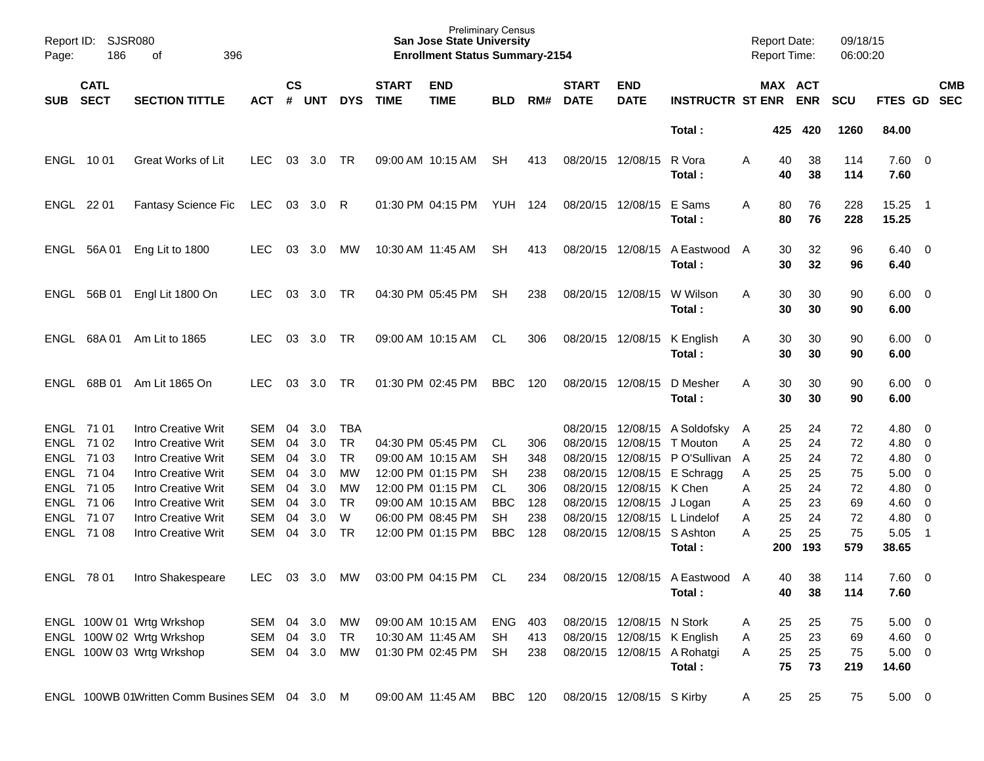| Report ID:<br>Page: | SJSR080<br>186             | 396<br>οf                                      |            |                    |            |            |                             | <b>Preliminary Census</b><br><b>San Jose State University</b><br><b>Enrollment Status Summary-2154</b> |                |     |                             |                           |                                | <b>Report Date:</b> |          | <b>Report Time:</b>   | 09/18/15<br>06:00:20 |                        |                          |                          |
|---------------------|----------------------------|------------------------------------------------|------------|--------------------|------------|------------|-----------------------------|--------------------------------------------------------------------------------------------------------|----------------|-----|-----------------------------|---------------------------|--------------------------------|---------------------|----------|-----------------------|----------------------|------------------------|--------------------------|--------------------------|
| SUB                 | <b>CATL</b><br><b>SECT</b> | <b>SECTION TITTLE</b>                          | <b>ACT</b> | $\mathsf{cs}$<br># | <b>UNT</b> | <b>DYS</b> | <b>START</b><br><b>TIME</b> | <b>END</b><br><b>TIME</b>                                                                              | <b>BLD</b>     | RM# | <b>START</b><br><b>DATE</b> | <b>END</b><br><b>DATE</b> | <b>INSTRUCTR ST ENR</b>        |                     |          | MAX ACT<br><b>ENR</b> | <b>SCU</b>           | FTES GD                |                          | <b>CMB</b><br><b>SEC</b> |
|                     |                            |                                                |            |                    |            |            |                             |                                                                                                        |                |     |                             |                           | Total:                         |                     | 425      | 420                   | 1260                 | 84.00                  |                          |                          |
| ENGL 1001           |                            | Great Works of Lit                             | <b>LEC</b> | 03                 | 3.0        | TR         |                             | 09:00 AM 10:15 AM                                                                                      | <b>SH</b>      | 413 |                             | 08/20/15 12/08/15         | R Vora<br>Total:               | A                   | 40<br>40 | 38<br>38              | 114<br>114           | $7.60 \quad 0$<br>7.60 |                          |                          |
| ENGL 22 01          |                            | <b>Fantasy Science Fic</b>                     | LEC        | 03                 | 3.0        | R          |                             | 01:30 PM 04:15 PM                                                                                      | <b>YUH 124</b> |     |                             | 08/20/15 12/08/15         | E Sams<br>Total:               | A                   | 80<br>80 | 76<br>76              | 228<br>228           | 15.25<br>15.25         | $\overline{\phantom{1}}$ |                          |
|                     | ENGL 56A 01                | Eng Lit to 1800                                | <b>LEC</b> | 03                 | 3.0        | МW         |                             | 10:30 AM 11:45 AM                                                                                      | <b>SH</b>      | 413 |                             | 08/20/15 12/08/15         | A Eastwood<br>Total:           | A                   | 30<br>30 | 32<br>32              | 96<br>96             | $6.40 \quad 0$<br>6.40 |                          |                          |
|                     | ENGL 56B 01                | Engl Lit 1800 On                               | <b>LEC</b> | 03                 | 3.0        | TR         |                             | 04:30 PM 05:45 PM                                                                                      | <b>SH</b>      | 238 |                             | 08/20/15 12/08/15         | W Wilson<br>Total:             | A                   | 30<br>30 | 30<br>30              | 90<br>90             | $6.00 \quad 0$<br>6.00 |                          |                          |
|                     | ENGL 68A01                 | Am Lit to 1865                                 | <b>LEC</b> | 03                 | 3.0        | TR         |                             | 09:00 AM 10:15 AM                                                                                      | CL             | 306 |                             | 08/20/15 12/08/15         | K English<br>Total:            | A                   | 30<br>30 | 30<br>30              | 90<br>90             | $6.00 \quad 0$<br>6.00 |                          |                          |
|                     | ENGL 68B 01                | Am Lit 1865 On                                 | <b>LEC</b> | 03                 | 3.0        | TR         |                             | 01:30 PM 02:45 PM                                                                                      | <b>BBC</b>     | 120 |                             | 08/20/15 12/08/15         | D Mesher<br>Total:             | Α                   | 30<br>30 | 30<br>30              | 90<br>90             | $6.00 \quad 0$<br>6.00 |                          |                          |
| <b>ENGL 7101</b>    |                            | <b>Intro Creative Writ</b>                     | SEM        | 04                 | 3.0        | TBA        |                             |                                                                                                        |                |     | 08/20/15                    |                           | 12/08/15 A Soldofsky           | $\overline{A}$      | 25       | 24                    | 72                   | $4.80\ 0$              |                          |                          |
| ENGL 71 02          |                            | <b>Intro Creative Writ</b>                     | <b>SEM</b> | 04                 | 3.0        | <b>TR</b>  |                             | 04:30 PM 05:45 PM                                                                                      | CL             | 306 | 08/20/15                    | 12/08/15                  | T Mouton                       | A                   | 25       | 24                    | 72                   | $4.80\ 0$              |                          |                          |
| ENGL 71 03          |                            | <b>Intro Creative Writ</b>                     | <b>SEM</b> | 04                 | 3.0        | <b>TR</b>  |                             | 09:00 AM 10:15 AM                                                                                      | <b>SH</b>      | 348 | 08/20/15                    | 12/08/15                  | P O'Sullivan                   | A                   | 25       | 24                    | 72                   | 4.80 0                 |                          |                          |
| ENGL 71 04          |                            | <b>Intro Creative Writ</b>                     | <b>SEM</b> | 04                 | 3.0        | МW         |                             | 12:00 PM 01:15 PM                                                                                      | <b>SH</b>      | 238 | 08/20/15                    | 12/08/15                  | E Schragg                      | Α                   | 25       | 25                    | 75                   | 5.00                   | $\overline{\phantom{0}}$ |                          |
| ENGL 71 05          |                            | <b>Intro Creative Writ</b>                     | <b>SEM</b> | 04                 | 3.0        | MW         |                             | 12:00 PM 01:15 PM                                                                                      | CL.            | 306 | 08/20/15                    | 12/08/15                  | K Chen                         | Α                   | 25       | 24                    | 72                   | $4.80\ 0$              |                          |                          |
| ENGL 71 06          |                            | <b>Intro Creative Writ</b>                     | <b>SEM</b> | 04                 | 3.0        | TR         |                             | 09:00 AM 10:15 AM                                                                                      | <b>BBC</b>     | 128 | 08/20/15                    | 12/08/15                  | J Logan                        | Α                   | 25       | 23                    | 69                   | $4.60$ 0               |                          |                          |
| ENGL 71 07          |                            | <b>Intro Creative Writ</b>                     | <b>SEM</b> | 04                 | 3.0        | W          |                             | 06:00 PM 08:45 PM                                                                                      | <b>SH</b>      | 238 | 08/20/15                    | 12/08/15                  | L Lindelof                     | A                   | 25       | 24                    | 72                   | 4.80                   | $\overline{\phantom{0}}$ |                          |
| ENGL 71 08          |                            | <b>Intro Creative Writ</b>                     | <b>SEM</b> | 04                 | 3.0        | TR         |                             | 12:00 PM 01:15 PM                                                                                      | <b>BBC</b>     | 128 | 08/20/15                    | 12/08/15                  | S Ashton                       | А                   | 25       | 25                    | 75                   | 5.05                   | $\overline{1}$           |                          |
|                     |                            |                                                |            |                    |            |            |                             |                                                                                                        |                |     |                             |                           | Total:                         |                     | 200      | 193                   | 579                  | 38.65                  |                          |                          |
| <b>ENGL 7801</b>    |                            | Intro Shakespeare                              | LEC.       | 03                 | 3.0        | МW         |                             | 03:00 PM 04:15 PM                                                                                      | CL             | 234 |                             |                           | 08/20/15 12/08/15 A Eastwood A |                     | 40       | 38                    | 114                  | $7.60 \quad 0$         |                          |                          |
|                     |                            |                                                |            |                    |            |            |                             |                                                                                                        |                |     |                             |                           | Total:                         |                     | 40       | 38                    | 114                  | 7.60                   |                          |                          |
|                     |                            | ENGL 100W 01 Wrtg Wrkshop                      | SEM 04     |                    | 3.0        | MW         |                             | 09:00 AM 10:15 AM                                                                                      | ENG            | 403 |                             | 08/20/15 12/08/15 N Stork |                                | A                   | 25       | 25                    | 75                   | $5.00 \t 0$            |                          |                          |
|                     |                            | ENGL 100W 02 Wrtg Wrkshop                      | SEM 04 3.0 |                    |            | TR         |                             | 10:30 AM 11:45 AM                                                                                      | SH             | 413 |                             |                           | 08/20/15 12/08/15 K English    | A                   | 25       | 23                    | 69                   | 4.60 0                 |                          |                          |
|                     |                            | ENGL 100W 03 Wrtg Wrkshop                      | SEM 04 3.0 |                    |            | MW         |                             | 01:30 PM 02:45 PM                                                                                      | SH             | 238 |                             |                           | 08/20/15 12/08/15 A Rohatgi    | Α                   | 25       | 25                    | 75                   | $5.00 \t 0$            |                          |                          |
|                     |                            |                                                |            |                    |            |            |                             |                                                                                                        |                |     |                             |                           | Total:                         |                     | 75       | 73                    | 219                  | 14.60                  |                          |                          |
|                     |                            | ENGL 100WB 01Written Comm Busines SEM 04 3.0 M |            |                    |            |            |                             | 09:00 AM 11:45 AM                                                                                      | BBC 120        |     |                             | 08/20/15 12/08/15 S Kirby |                                | A                   | 25       | 25                    | 75                   | $5.00 \t 0$            |                          |                          |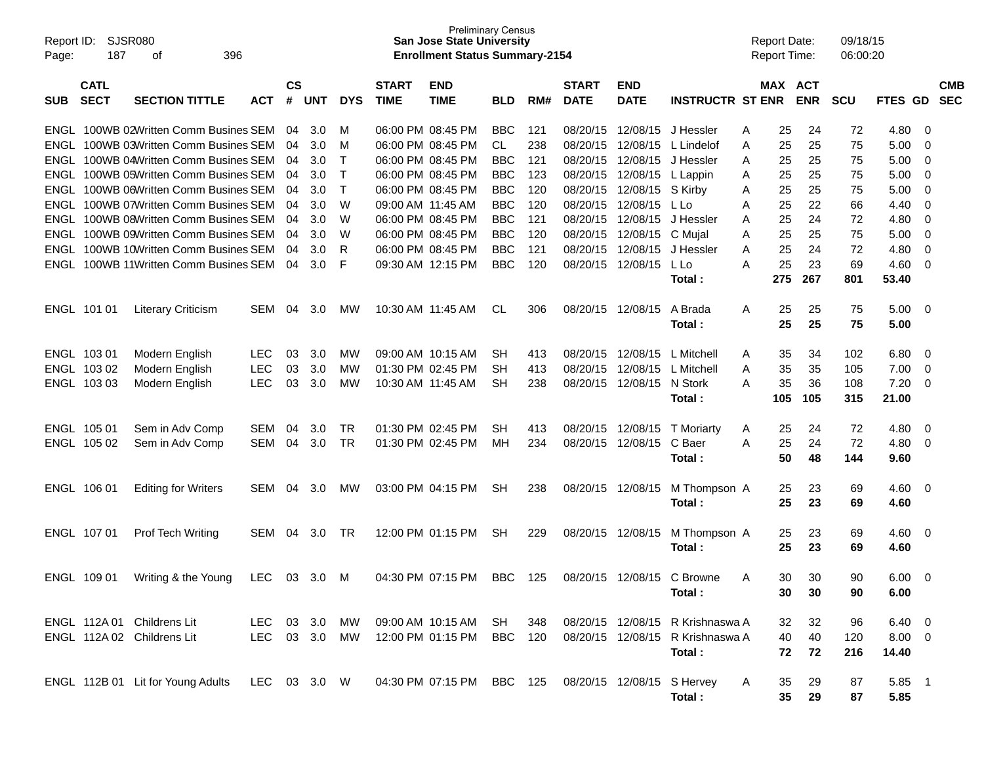| Report ID:<br>Page: | 187                                                                                                   | SJSR080<br>396<br>οf                                                 |              |    |            |            |                             | <b>Preliminary Census</b><br><b>San Jose State University</b><br><b>Enrollment Status Summary-2154</b> |            |     |                             |                           |                                  |   | <b>Report Date:</b><br><b>Report Time:</b> |            | 09/18/15<br>06:00:20 |                |     |                          |
|---------------------|-------------------------------------------------------------------------------------------------------|----------------------------------------------------------------------|--------------|----|------------|------------|-----------------------------|--------------------------------------------------------------------------------------------------------|------------|-----|-----------------------------|---------------------------|----------------------------------|---|--------------------------------------------|------------|----------------------|----------------|-----|--------------------------|
| <b>SUB</b>          | <b>CATL</b><br><b>SECT</b><br><b>SECTION TITTLE</b><br><b>ACT</b><br>100WB 02Written Comm Busines SEM |                                                                      |              |    | <b>UNT</b> | <b>DYS</b> | <b>START</b><br><b>TIME</b> | <b>END</b><br><b>TIME</b>                                                                              | BLD        | RM# | <b>START</b><br><b>DATE</b> | <b>END</b><br><b>DATE</b> | <b>INSTRUCTR ST ENR</b>          |   | MAX ACT                                    | <b>ENR</b> | <b>SCU</b>           | FTES GD        |     | <b>CMB</b><br><b>SEC</b> |
| ENGL                |                                                                                                       |                                                                      |              | 04 | 3.0        | M          |                             | 06:00 PM 08:45 PM                                                                                      | <b>BBC</b> | 121 | 08/20/15                    | 12/08/15                  | J Hessler                        | A | 25                                         | 24         | 72                   | 4.80           | 0   |                          |
| ENGL                |                                                                                                       | 100WB 03Written Comm Busines SEM                                     |              | 04 | 3.0        | M          |                             | 06:00 PM 08:45 PM                                                                                      | CL         | 238 | 08/20/15                    | 12/08/15                  | L Lindelof                       | A | 25                                         | 25         | 75                   | 5.00           | 0   |                          |
| ENGL                |                                                                                                       | 100WB 04Written Comm Busines SEM                                     |              | 04 | 3.0        | т          |                             | 06:00 PM 08:45 PM                                                                                      | <b>BBC</b> | 121 | 08/20/15                    | 12/08/15                  | J Hessler                        | A | 25                                         | 25         | 75                   | 5.00           | 0   |                          |
| ENGL                |                                                                                                       | 100WB 05Written Comm Busines SEM                                     |              | 04 | 3.0        | Т          |                             | 06:00 PM 08:45 PM                                                                                      | <b>BBC</b> | 123 | 08/20/15                    | 12/08/15                  | L Lappin                         | A | 25                                         | 25         | 75                   | 5.00           | 0   |                          |
| ENGL                |                                                                                                       | 100WB 06Written Comm Busines SEM                                     |              | 04 | 3.0        | Τ          |                             | 06:00 PM 08:45 PM                                                                                      | <b>BBC</b> | 120 | 08/20/15                    | 12/08/15                  | S Kirby                          | A | 25                                         | 25         | 75                   | 5.00           | 0   |                          |
| ENGL                |                                                                                                       | 100WB 07Written Comm Busines SEM                                     |              | 04 | 3.0        | W          | 09:00 AM 11:45 AM           |                                                                                                        | <b>BBC</b> | 120 | 08/20/15                    | 12/08/15                  | L Lo                             | A | 25                                         | 22         | 66                   | 4.40           | 0   |                          |
| ENGL                |                                                                                                       | 100WB 08Written Comm Busines SEM                                     |              | 04 | 3.0        | W          |                             | 06:00 PM 08:45 PM                                                                                      | <b>BBC</b> | 121 | 08/20/15                    | 12/08/15                  | J Hessler                        | A | 25                                         | 24         | 72                   | 4.80           | 0   |                          |
| ENGL                |                                                                                                       | 100WB 09Written Comm Busines SEM                                     |              | 04 | 3.0        | W          |                             | 06:00 PM 08:45 PM                                                                                      | <b>BBC</b> | 120 | 08/20/15                    | 12/08/15                  | C Mujal                          | A | 25                                         | 25         | 75                   | 5.00           | 0   |                          |
| ENGL                |                                                                                                       | 100WB 10Written Comm Busines SEM<br>100WB 11Written Comm Busines SEM |              | 04 | 3.0        | R          |                             | 06:00 PM 08:45 PM                                                                                      | <b>BBC</b> | 121 | 08/20/15                    | 12/08/15                  | J Hessler                        | A | 25                                         | 24         | 72                   | 4.80           | 0   |                          |
| ENGL                |                                                                                                       |                                                                      |              | 04 | 3.0        | F          |                             | 09:30 AM 12:15 PM                                                                                      | <b>BBC</b> | 120 | 08/20/15                    | 12/08/15                  | L Lo                             | A | 25                                         | 23<br>267  | 69                   | 4.60           | 0   |                          |
|                     |                                                                                                       |                                                                      |              |    |            |            |                             |                                                                                                        |            |     |                             |                           | Total:                           |   | 275                                        |            | 801                  | 53.40          |     |                          |
|                     | ENGL 101 01                                                                                           | <b>Literary Criticism</b>                                            | <b>SEM</b>   | 04 | 3.0        | МW         | 10:30 AM 11:45 AM           |                                                                                                        | CL.        | 306 | 08/20/15                    | 12/08/15                  | A Brada<br>Total :               | A | 25<br>25                                   | 25<br>25   | 75<br>75             | 5.00<br>5.00   | - 0 |                          |
|                     | ENGL 103 01                                                                                           | Modern English                                                       | LEC          | 03 | 3.0        | МW         |                             | 09:00 AM 10:15 AM                                                                                      | SН         | 413 | 08/20/15                    | 12/08/15                  | L Mitchell                       | A | 35                                         | 34         | 102                  | 6.80           | 0   |                          |
| ENGL                | 103 02                                                                                                | Modern English                                                       | <b>LEC</b>   | 03 | 3.0        | МW         |                             | 01:30 PM 02:45 PM                                                                                      | SH         | 413 | 08/20/15                    | 12/08/15                  | L Mitchell                       | A | 35                                         | 35         | 105                  | 7.00           | 0   |                          |
|                     | ENGL 103 03                                                                                           | Modern English                                                       | <b>LEC</b>   | 03 | 3.0        | МW         | 10:30 AM 11:45 AM           |                                                                                                        | <b>SH</b>  | 238 |                             | 08/20/15 12/08/15         | N Stork                          | A | 35                                         | 36         | 108                  | 7.20           | 0   |                          |
|                     |                                                                                                       |                                                                      |              |    |            |            |                             |                                                                                                        |            |     |                             |                           | Total :                          |   | 105                                        | 105        | 315                  | 21.00          |     |                          |
|                     |                                                                                                       |                                                                      |              |    |            |            |                             |                                                                                                        |            |     |                             |                           |                                  |   |                                            |            |                      |                |     |                          |
|                     | ENGL 105 01                                                                                           | Sem in Adv Comp                                                      | <b>SEM</b>   | 04 | 3.0        | <b>TR</b>  |                             | 01:30 PM 02:45 PM                                                                                      | <b>SH</b>  | 413 | 08/20/15                    | 12/08/15                  | <b>T</b> Moriarty                | A | 25                                         | 24         | 72                   | 4.80           | 0   |                          |
|                     | ENGL 105 02                                                                                           | Sem in Adv Comp                                                      | SEM          | 04 | 3.0        | <b>TR</b>  |                             | 01:30 PM 02:45 PM                                                                                      | MН         | 234 | 08/20/15 12/08/15           |                           | C Baer                           | A | 25                                         | 24         | 72                   | 4.80           | 0   |                          |
|                     |                                                                                                       |                                                                      |              |    |            |            |                             |                                                                                                        |            |     |                             |                           | Total:                           |   | 50                                         | 48         | 144                  | 9.60           |     |                          |
|                     | ENGL 106 01                                                                                           | <b>Editing for Writers</b>                                           | SEM          | 04 | 3.0        | <b>MW</b>  |                             | 03:00 PM 04:15 PM                                                                                      | <b>SH</b>  | 238 | 08/20/15 12/08/15           |                           | M Thompson A                     |   | 25                                         | 23         | 69                   | 4.60           | - 0 |                          |
|                     |                                                                                                       |                                                                      |              |    |            |            |                             |                                                                                                        |            |     |                             |                           | Total :                          |   | 25                                         | 23         | 69                   | 4.60           |     |                          |
|                     | ENGL 107 01                                                                                           | <b>Prof Tech Writing</b>                                             | SEM          | 04 | 3.0        | TR         |                             | 12:00 PM 01:15 PM                                                                                      | <b>SH</b>  | 229 | 08/20/15 12/08/15           |                           | M Thompson A                     |   | 25                                         | 23         | 69                   | 4.60           | - 0 |                          |
|                     |                                                                                                       |                                                                      |              |    |            |            |                             |                                                                                                        |            |     |                             |                           | Total :                          |   | 25                                         | 23         | 69                   | 4.60           |     |                          |
|                     |                                                                                                       |                                                                      |              |    |            |            |                             |                                                                                                        |            |     |                             |                           |                                  |   |                                            |            |                      |                |     |                          |
|                     |                                                                                                       | ENGL 109 01 Writing & the Young                                      | LEC 03 3.0 M |    |            |            |                             | 04:30 PM 07:15 PM                                                                                      | <b>BBC</b> | 125 |                             |                           | 08/20/15 12/08/15 C Browne       | A | 30                                         | 30         | 90                   | 6.00           | 0   |                          |
|                     |                                                                                                       |                                                                      |              |    |            |            |                             |                                                                                                        |            |     |                             |                           | Total:                           |   | 30                                         | 30         | 90                   | 6.00           |     |                          |
|                     |                                                                                                       |                                                                      |              |    |            |            |                             |                                                                                                        |            |     |                             |                           |                                  |   |                                            |            |                      |                |     |                          |
|                     |                                                                                                       | ENGL 112A 01 Childrens Lit                                           | LEC 03 3.0   |    |            | MW         |                             | 09:00 AM 10:15 AM SH                                                                                   |            | 348 |                             |                           | 08/20/15 12/08/15 R Krishnaswa A |   | 32                                         | 32         | 96                   | $6.40 \quad 0$ |     |                          |
|                     |                                                                                                       | ENGL 112A 02 Childrens Lit                                           | LEC 03 3.0   |    |            | MW         |                             | 12:00 PM 01:15 PM                                                                                      | BBC 120    |     | 08/20/15 12/08/15           |                           | R Krishnaswa A                   |   | 40                                         | 40         | 120                  | $8.00 \t 0$    |     |                          |
|                     |                                                                                                       |                                                                      |              |    |            |            |                             |                                                                                                        |            |     |                             |                           | Total:                           |   | 72                                         | 72         | 216                  | 14.40          |     |                          |
|                     |                                                                                                       |                                                                      |              |    |            |            |                             |                                                                                                        |            |     |                             |                           |                                  |   |                                            |            |                      |                |     |                          |
|                     |                                                                                                       | ENGL 112B 01 Lit for Young Adults                                    | LEC 03 3.0 W |    |            |            |                             | 04:30 PM 07:15 PM BBC 125                                                                              |            |     |                             |                           | 08/20/15 12/08/15 S Hervey       | A | 35                                         | 29         | 87                   | 5.85 1         |     |                          |
|                     |                                                                                                       |                                                                      |              |    |            |            |                             |                                                                                                        |            |     |                             |                           | Total:                           |   | 35                                         | 29         | 87                   | 5.85           |     |                          |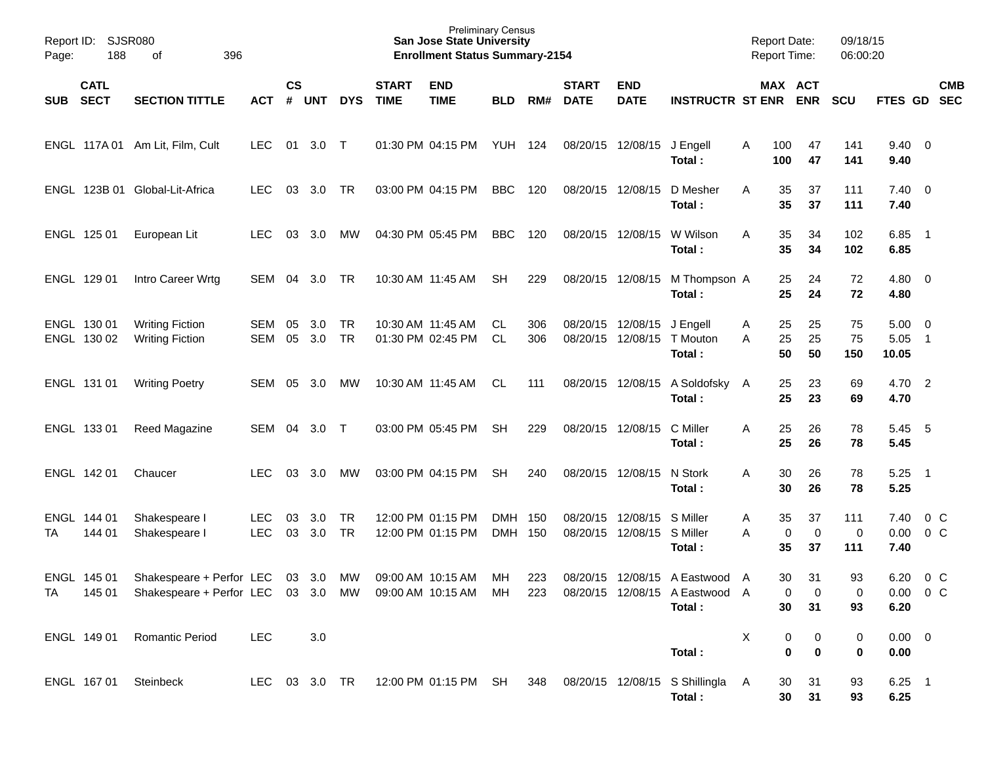| Page:      | Report ID:<br><b>SJSR080</b><br>188<br>396<br>of |                                                                                                |                          |               |            |                 |                             | <b>Preliminary Census</b><br><b>San Jose State University</b><br><b>Enrollment Status Summary-2154</b> |                    |            |                             |                                        |                                                                            |        | <b>Report Date:</b><br><b>Report Time:</b> |                         | 09/18/15<br>06:00:20 |                               |                                           |            |
|------------|--------------------------------------------------|------------------------------------------------------------------------------------------------|--------------------------|---------------|------------|-----------------|-----------------------------|--------------------------------------------------------------------------------------------------------|--------------------|------------|-----------------------------|----------------------------------------|----------------------------------------------------------------------------|--------|--------------------------------------------|-------------------------|----------------------|-------------------------------|-------------------------------------------|------------|
| <b>SUB</b> | <b>CATL</b><br><b>SECT</b>                       | <b>SECTION TITTLE</b>                                                                          | <b>ACT</b>               | $\mathsf{cs}$ | # UNT      | <b>DYS</b>      | <b>START</b><br><b>TIME</b> | <b>END</b><br><b>TIME</b>                                                                              | <b>BLD</b>         | RM#        | <b>START</b><br><b>DATE</b> | <b>END</b><br><b>DATE</b>              | <b>INSTRUCTR ST ENR ENR</b>                                                |        | MAX ACT                                    |                         | <b>SCU</b>           | FTES GD SEC                   |                                           | <b>CMB</b> |
|            |                                                  | ENGL 117A 01 Am Lit, Film, Cult                                                                | <b>LEC</b>               | 01            | 3.0 T      |                 |                             | 01:30 PM 04:15 PM                                                                                      | <b>YUH 124</b>     |            |                             | 08/20/15 12/08/15 J Engell             | Total:                                                                     | A      | 100<br>100                                 | 47<br>47                | 141<br>141           | $9.40 \quad 0$<br>9.40        |                                           |            |
|            |                                                  | ENGL 123B 01 Global-Lit-Africa                                                                 | <b>LEC</b>               | 03            | 3.0        | TR              |                             | 03:00 PM 04:15 PM                                                                                      | BBC                | 120        | 08/20/15 12/08/15           |                                        | D Mesher<br>Total:                                                         | A      | 35<br>35                                   | 37<br>37                | 111<br>111           | $7.40 \quad 0$<br>7.40        |                                           |            |
|            | ENGL 125 01                                      | European Lit                                                                                   | <b>LEC</b>               | 03            | 3.0        | МW              |                             | 04:30 PM 05:45 PM                                                                                      | BBC                | 120        |                             | 08/20/15 12/08/15                      | W Wilson<br>Total:                                                         | Α      | 35<br>35                                   | 34<br>34                | 102<br>102           | 6.85<br>6.85                  | $\overline{\phantom{0}}$                  |            |
|            | ENGL 129 01                                      | Intro Career Wrtg                                                                              | SEM                      | 04            | 3.0        | TR              |                             | 10:30 AM 11:45 AM                                                                                      | <b>SH</b>          | 229        |                             | 08/20/15 12/08/15                      | M Thompson A<br>Total:                                                     |        | 25<br>25                                   | 24<br>24                | 72<br>72             | $4.80\ 0$<br>4.80             |                                           |            |
|            | ENGL 130 01<br>ENGL 130 02                       | <b>Writing Fiction</b><br><b>Writing Fiction</b>                                               | SEM<br><b>SEM</b>        | 05<br>05      | 3.0<br>3.0 | TR<br>TR        |                             | 10:30 AM 11:45 AM<br>01:30 PM 02:45 PM                                                                 | CL<br>CL.          | 306<br>306 | 08/20/15                    | 08/20/15 12/08/15 J Engell<br>12/08/15 | T Mouton<br>Total:                                                         | A<br>A | 25<br>25<br>50                             | 25<br>25<br>50          | 75<br>75<br>150      | 5.00<br>5.05<br>10.05         | $\overline{\mathbf{0}}$<br>$\overline{1}$ |            |
|            | ENGL 131 01                                      | <b>Writing Poetry</b>                                                                          | SEM                      | 05            | 3.0        | МW              |                             | 10:30 AM 11:45 AM                                                                                      | CL                 | 111        |                             | 08/20/15 12/08/15                      | A Soldofsky A<br>Total:                                                    |        | 25<br>25                                   | 23<br>23                | 69<br>69             | 4.70 2<br>4.70                |                                           |            |
|            | ENGL 133 01                                      | Reed Magazine                                                                                  | SEM                      | 04            | 3.0 T      |                 |                             | 03:00 PM 05:45 PM                                                                                      | <b>SH</b>          | 229        |                             | 08/20/15 12/08/15                      | C Miller<br>Total:                                                         | Α      | 25<br>25                                   | 26<br>26                | 78<br>78             | 5.45<br>5.45                  | 5                                         |            |
|            | ENGL 142 01                                      | Chaucer                                                                                        | <b>LEC</b>               | 03            | 3.0        | МW              |                             | 03:00 PM 04:15 PM                                                                                      | <b>SH</b>          | 240        |                             | 08/20/15 12/08/15                      | N Stork<br>Total:                                                          | A      | 30<br>30                                   | 26<br>26                | 78<br>78             | 5.25<br>5.25                  | $\overline{\phantom{0}}$ 1                |            |
| TA         | ENGL 144 01<br>144 01                            | Shakespeare I<br>Shakespeare I                                                                 | <b>LEC</b><br><b>LEC</b> | 03<br>03      | 3.0<br>3.0 | <b>TR</b><br>TR |                             | 12:00 PM 01:15 PM<br>12:00 PM 01:15 PM                                                                 | DMH 150<br>DMH 150 |            | 08/20/15<br>08/20/15        | 12/08/15<br>12/08/15                   | S Miller<br>S Miller<br>Total:                                             | A<br>A | 35<br>0<br>35                              | 37<br>$\mathbf 0$<br>37 | 111<br>0<br>111      | 7.40<br>0.00<br>7.40          | 0 <sup>o</sup><br>0 <sup>o</sup>          |            |
| <b>TA</b>  | ENGL 145 01                                      | Shakespeare + Perfor LEC<br>145 01 Shakespeare + Perfor LEC 03 3.0 MW 09:00 AM 10:15 AM MH 223 |                          |               | 03 3.0     | MW              |                             | 09:00 AM 10:15 AM                                                                                      | МH                 | 223        |                             |                                        | 08/20/15 12/08/15 A Eastwood A<br>08/20/15 12/08/15 A Eastwood A<br>Total: |        | 30<br>0<br>30                              | 31<br>0<br>31           | 93<br>0<br>93        | 6.20<br>$0.00 \t 0 C$<br>6.20 | 0 <sup>o</sup>                            |            |
|            | ENGL 149 01                                      | <b>Romantic Period</b>                                                                         | LEC                      |               | 3.0        |                 |                             |                                                                                                        |                    |            |                             |                                        | Total:                                                                     | X      | 0<br>$\mathbf 0$                           | 0<br>$\bf{0}$           | 0<br>$\mathbf 0$     | $0.00 \t 0$<br>0.00           |                                           |            |
|            | ENGL 167 01                                      | Steinbeck                                                                                      | LEC 03 3.0 TR            |               |            |                 |                             | 12:00 PM 01:15 PM SH                                                                                   |                    |            |                             |                                        | 348 08/20/15 12/08/15 S Shillingla A<br>Total:                             |        | 30<br>30                                   | 31<br>31                | 93<br>93             | $6.25$ 1<br>6.25              |                                           |            |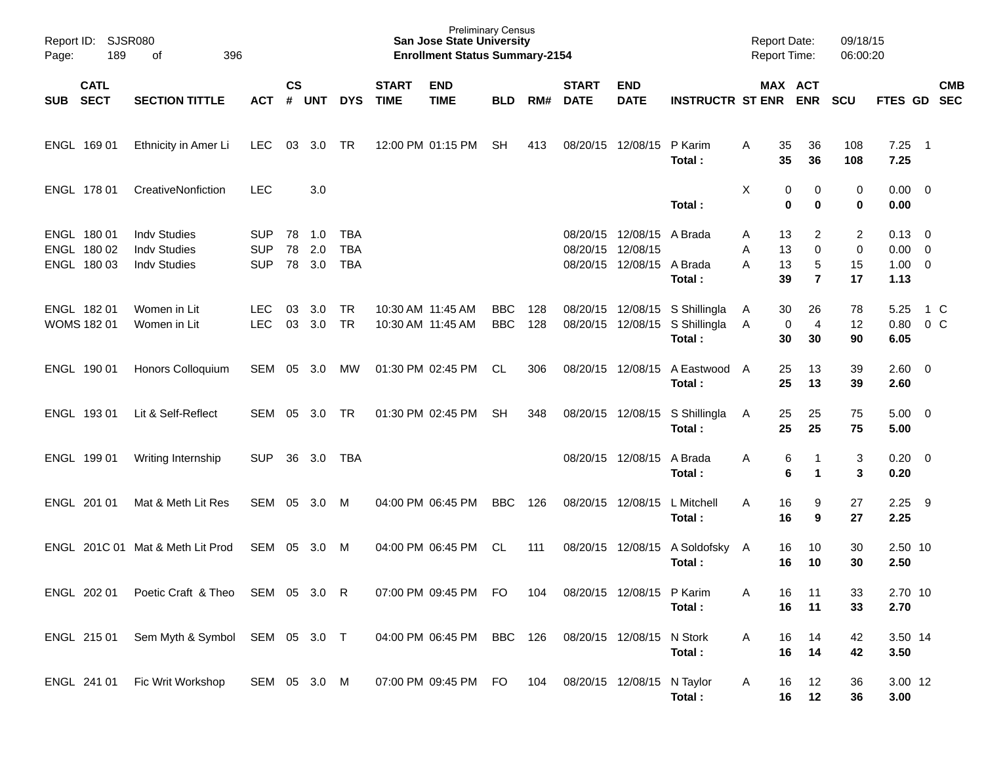| Page:    | Report ID: SJSR080<br>189<br>396<br>of    |                                                                   |                                        |                    |                   |                                 |                             | <b>Preliminary Census</b><br><b>San Jose State University</b><br><b>Enrollment Status Summary-2154</b> |                          |            |                             |                                                           |                                                          | <b>Report Date:</b> |                      | <b>Report Time:</b>                     | 09/18/15<br>06:00:20                    |                                                      |                          |            |
|----------|-------------------------------------------|-------------------------------------------------------------------|----------------------------------------|--------------------|-------------------|---------------------------------|-----------------------------|--------------------------------------------------------------------------------------------------------|--------------------------|------------|-----------------------------|-----------------------------------------------------------|----------------------------------------------------------|---------------------|----------------------|-----------------------------------------|-----------------------------------------|------------------------------------------------------|--------------------------|------------|
| SUB SECT | <b>CATL</b>                               | <b>SECTION TITTLE</b>                                             | <b>ACT</b>                             | $\mathsf{cs}$<br># | <b>UNT</b>        | <b>DYS</b>                      | <b>START</b><br><b>TIME</b> | <b>END</b><br><b>TIME</b>                                                                              | <b>BLD</b>               | RM#        | <b>START</b><br><b>DATE</b> | <b>END</b><br><b>DATE</b>                                 | <b>INSTRUCTR ST ENR</b>                                  |                     |                      | MAX ACT<br><b>ENR</b>                   | <b>SCU</b>                              | FTES GD SEC                                          |                          | <b>CMB</b> |
|          | ENGL 169 01                               | Ethnicity in Amer Li                                              | <b>LEC</b>                             | 03                 | 3.0               | <b>TR</b>                       |                             | 12:00 PM 01:15 PM                                                                                      | <b>SH</b>                | 413        | 08/20/15                    | 12/08/15                                                  | P Karim<br>Total:                                        | A                   | 35<br>35             | 36<br>36                                | 108<br>108                              | 7.25<br>7.25                                         | $\overline{\phantom{1}}$ |            |
|          | ENGL 178 01                               | CreativeNonfiction                                                | <b>LEC</b>                             |                    | 3.0               |                                 |                             |                                                                                                        |                          |            |                             |                                                           | Total:                                                   | X                   | 0<br>$\bf{0}$        | 0<br>0                                  | 0<br>$\bf{0}$                           | $0.00 \ 0$<br>0.00                                   |                          |            |
|          | ENGL 180 01<br>ENGL 180 02<br>ENGL 180 03 | <b>Indv Studies</b><br><b>Indv Studies</b><br><b>Indv Studies</b> | <b>SUP</b><br><b>SUP</b><br><b>SUP</b> | 78<br>78<br>78     | 1.0<br>2.0<br>3.0 | TBA<br><b>TBA</b><br><b>TBA</b> |                             |                                                                                                        |                          |            | 08/20/15<br>08/20/15        | 12/08/15 A Brada<br>12/08/15<br>08/20/15 12/08/15 A Brada | Total:                                                   | Α<br>Α<br>A         | 13<br>13<br>13<br>39 | 2<br>$\mathbf 0$<br>5<br>$\overline{7}$ | $\overline{c}$<br>$\pmb{0}$<br>15<br>17 | $0.13 \quad 0$<br>$0.00 \t 0$<br>$1.00 \t 0$<br>1.13 |                          |            |
|          | ENGL 182 01<br>WOMS 182 01                | Women in Lit<br>Women in Lit                                      | <b>LEC</b><br><b>LEC</b>               | 03<br>03           | 3.0<br>3.0        | <b>TR</b><br><b>TR</b>          |                             | 10:30 AM 11:45 AM<br>10:30 AM 11:45 AM                                                                 | <b>BBC</b><br><b>BBC</b> | 128<br>128 | 08/20/15                    | 12/08/15                                                  | 08/20/15 12/08/15 S Shillingla<br>S Shillingla<br>Total: | A<br>A              | 30<br>0<br>30        | 26<br>$\overline{4}$<br>30              | 78<br>12<br>90                          | 5.25<br>0.80<br>6.05                                 | 1 C<br>$0\,C$            |            |
|          | ENGL 190 01                               | Honors Colloquium                                                 | SEM                                    | 05                 | 3.0               | МW                              |                             | 01:30 PM 02:45 PM                                                                                      | CL                       | 306        |                             | 08/20/15 12/08/15                                         | A Eastwood A<br>Total:                                   |                     | 25<br>25             | 13<br>13                                | 39<br>39                                | 2.60 0<br>2.60                                       |                          |            |
|          | ENGL 193 01                               | Lit & Self-Reflect                                                | SEM                                    | 05                 | 3.0               | <b>TR</b>                       |                             | 01:30 PM 02:45 PM                                                                                      | <b>SH</b>                | 348        |                             | 08/20/15 12/08/15                                         | S Shillingla<br>Total:                                   | A                   | 25<br>25             | 25<br>25                                | 75<br>75                                | $5.00 \t 0$<br>5.00                                  |                          |            |
|          | ENGL 199 01                               | Writing Internship                                                | <b>SUP</b>                             | 36                 | 3.0               | TBA                             |                             |                                                                                                        |                          |            |                             | 08/20/15 12/08/15                                         | A Brada<br>Total:                                        | Α                   | 6<br>6               | 1<br>1                                  | 3<br>3                                  | $0.20 \ 0$<br>0.20                                   |                          |            |
|          | ENGL 201 01                               | Mat & Meth Lit Res                                                | SEM                                    | 05                 | 3.0               | M                               |                             | 04:00 PM 06:45 PM                                                                                      | <b>BBC</b>               | 126        | 08/20/15 12/08/15           |                                                           | L Mitchell<br>Total:                                     | A                   | 16<br>16             | 9<br>9                                  | 27<br>27                                | 2.25<br>2.25                                         | - 9                      |            |
|          |                                           | ENGL 201C 01 Mat & Meth Lit Prod                                  | SEM                                    | 05                 | 3.0 <sub>2</sub>  | M                               |                             | 04:00 PM 06:45 PM                                                                                      | CL                       | 111        | 08/20/15                    | 12/08/15                                                  | A Soldofsky A<br>Total:                                  |                     | 16<br>16             | 10<br>10                                | 30<br>30                                | 2.50 10<br>2.50                                      |                          |            |
|          | ENGL 202 01                               | Poetic Craft & Theo SEM 05 3.0 R                                  |                                        |                    |                   |                                 |                             | 07:00 PM 09:45 PM                                                                                      | FO                       | 104        |                             | 08/20/15 12/08/15 P Karim                                 | Total:                                                   |                     | 16<br>16             | 11<br>11                                | 33<br>33                                | 2.70 10<br>2.70                                      |                          |            |
|          | ENGL 215 01                               | Sem Myth & Symbol SEM 05 3.0 T                                    |                                        |                    |                   |                                 |                             | 04:00 PM 06:45 PM BBC 126                                                                              |                          |            | 08/20/15 12/08/15           |                                                           | N Stork<br>Total:                                        | Α                   | 16<br>16             | 14<br>14                                | 42<br>42                                | 3.50 14<br>3.50                                      |                          |            |
|          |                                           | ENGL 241 01 Fic Writ Workshop                                     | SEM 05 3.0 M                           |                    |                   |                                 |                             | 07:00 PM 09:45 PM FO                                                                                   |                          | 104        | 08/20/15 12/08/15 N Taylor  |                                                           | Total:                                                   | A                   | 16<br>16             | 12<br>12                                | 36<br>36                                | 3.00 12<br>3.00                                      |                          |            |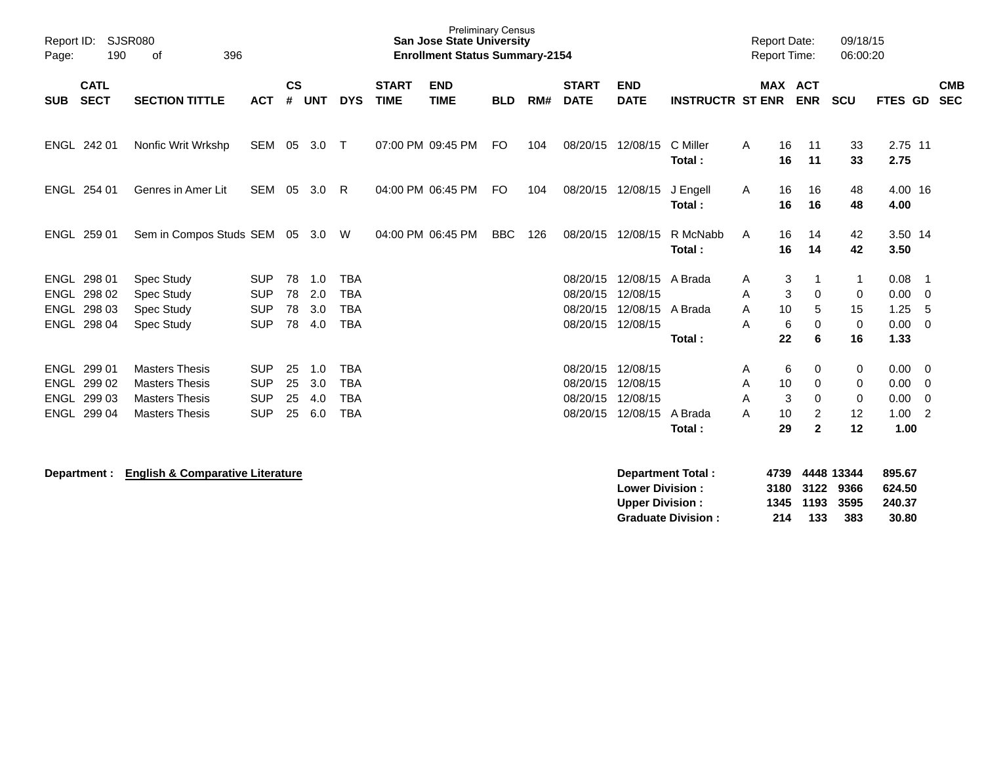| Report ID:<br>Page: | 190                                                 | <b>SJSR080</b><br>396<br>of                                                                      |                                                      |                      |                          |                                                      |                             | <b>Preliminary Census</b><br><b>San Jose State University</b><br><b>Enrollment Status Summary-2154</b> |            |     |                                              |                                                      |                         | <b>Report Date:</b><br><b>Report Time:</b> |                          |                                                  | 09/18/15<br>06:00:20    |                                      |                                          |                          |
|---------------------|-----------------------------------------------------|--------------------------------------------------------------------------------------------------|------------------------------------------------------|----------------------|--------------------------|------------------------------------------------------|-----------------------------|--------------------------------------------------------------------------------------------------------|------------|-----|----------------------------------------------|------------------------------------------------------|-------------------------|--------------------------------------------|--------------------------|--------------------------------------------------|-------------------------|--------------------------------------|------------------------------------------|--------------------------|
| <b>SUB</b>          | <b>CATL</b><br><b>SECT</b>                          | <b>SECTION TITTLE</b>                                                                            | <b>ACT</b>                                           | $\mathsf{cs}$<br>#   | <b>UNT</b>               | <b>DYS</b>                                           | <b>START</b><br><b>TIME</b> | <b>END</b><br><b>TIME</b>                                                                              | <b>BLD</b> | RM# | <b>START</b><br><b>DATE</b>                  | <b>END</b><br><b>DATE</b>                            | <b>INSTRUCTR ST ENR</b> |                                            |                          | <b>MAX ACT</b><br><b>ENR</b>                     | <b>SCU</b>              | FTES GD                              |                                          | <b>CMB</b><br><b>SEC</b> |
|                     | ENGL 242 01                                         | Nonfic Writ Wrkshp                                                                               | SEM                                                  | 05                   | 3.0                      | $\top$                                               |                             | 07:00 PM 09:45 PM                                                                                      | <b>FO</b>  | 104 | 08/20/15                                     | 12/08/15                                             | C Miller<br>Total:      | A                                          | 16<br>16                 | 11<br>11                                         | 33<br>33                | 2.75 11<br>2.75                      |                                          |                          |
|                     | ENGL 254 01                                         | Genres in Amer Lit                                                                               | <b>SEM</b>                                           | 05                   | 3.0                      | R.                                                   |                             | 04:00 PM 06:45 PM                                                                                      | <b>FO</b>  | 104 | 08/20/15                                     | 12/08/15                                             | J Engell<br>Total:      | A                                          | 16<br>16                 | 16<br>16                                         | 48<br>48                | 4.00 16<br>4.00                      |                                          |                          |
|                     | ENGL 259 01                                         | Sem in Compos Studs SEM 05 3.0                                                                   |                                                      |                      |                          | W                                                    |                             | 04:00 PM 06:45 PM                                                                                      | <b>BBC</b> | 126 | 08/20/15                                     | 12/08/15                                             | R McNabb<br>Total:      | A                                          | 16<br>16                 | 14<br>14                                         | 42<br>42                | 3.50 14<br>3.50                      |                                          |                          |
| <b>ENGL</b><br>ENGL | ENGL 298 01<br>298 02<br>298 03<br>ENGL 298 04      | <b>Spec Study</b><br>Spec Study<br>Spec Study<br><b>Spec Study</b>                               | <b>SUP</b><br><b>SUP</b><br><b>SUP</b><br><b>SUP</b> | 78<br>78<br>78<br>78 | 1.0<br>2.0<br>3.0<br>4.0 | <b>TBA</b><br><b>TBA</b><br><b>TBA</b><br><b>TBA</b> |                             |                                                                                                        |            |     | 08/20/15<br>08/20/15<br>08/20/15<br>08/20/15 | 12/08/15 A Brada<br>12/08/15<br>12/08/15<br>12/08/15 | A Brada<br>Total:       | A<br>A<br>A<br>A                           | 3<br>3<br>10<br>6<br>22  | $\mathbf 0$<br>5<br>$\Omega$<br>6                | 1<br>0<br>15<br>0<br>16 | 0.08<br>0.00<br>1.25<br>0.00<br>1.33 | - 1<br>- 0<br>5<br>- 0                   |                          |
| <b>ENGL</b>         | ENGL 299 01<br>ENGL 299 02<br>299 03<br>ENGL 299 04 | <b>Masters Thesis</b><br><b>Masters Thesis</b><br><b>Masters Thesis</b><br><b>Masters Thesis</b> | <b>SUP</b><br><b>SUP</b><br><b>SUP</b><br><b>SUP</b> | 25<br>25<br>25<br>25 | 1.0<br>3.0<br>4.0<br>6.0 | <b>TBA</b><br><b>TBA</b><br><b>TBA</b><br><b>TBA</b> |                             |                                                                                                        |            |     | 08/20/15<br>08/20/15<br>08/20/15<br>08/20/15 | 12/08/15<br>12/08/15<br>12/08/15<br>12/08/15         | A Brada<br>Total:       | Α<br>A<br>A<br>A                           | 6<br>10<br>3<br>10<br>29 | 0<br>$\Omega$<br>$\mathbf 0$<br>2<br>$\mathbf 2$ | 0<br>0<br>0<br>12<br>12 | 0.00<br>0.00<br>0.00<br>1.00<br>1.00 | - 0<br>- 0<br>$\Omega$<br>$\overline{2}$ |                          |

**Department : English & Comparative Literature Department Total : 4739 4448 13344 895.67 Lower Division : 3180 3122 9366 624.50 Upper Division : 1345 1193 3595 240.37 Graduate Division : 214 133 383 30.80**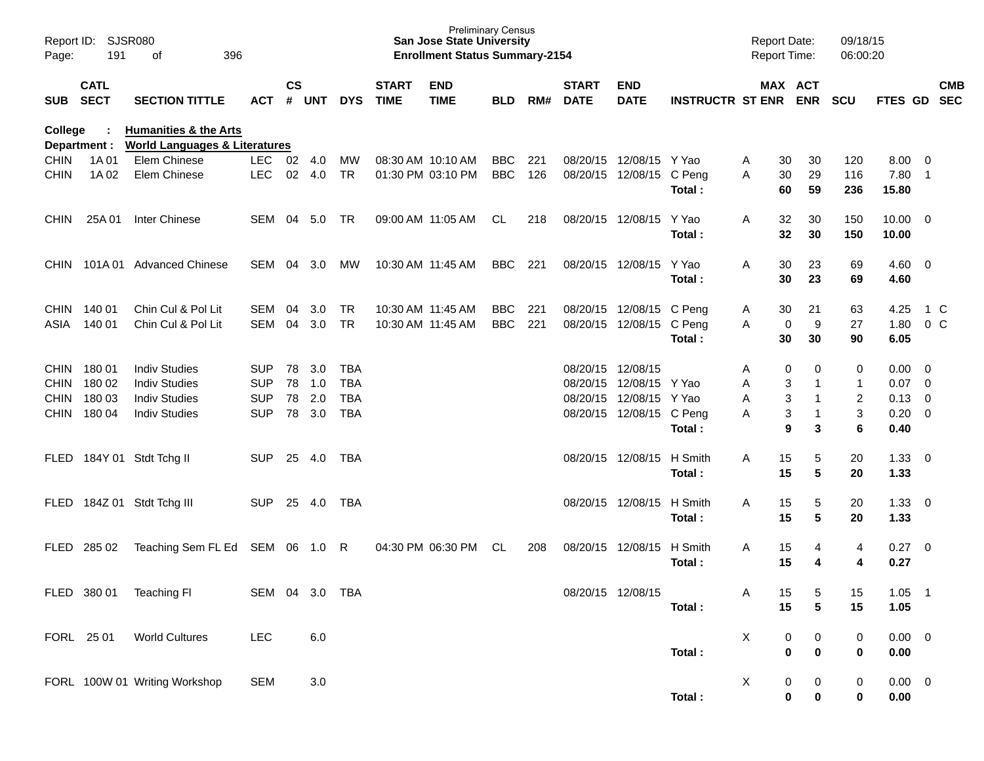| Page:          | Report ID: SJSR080<br>191  | 396<br>οf                                                                    |                |               |         |            |                             | <b>Preliminary Census</b><br><b>San Jose State University</b><br><b>Enrollment Status Summary-2154</b> |            |     |                             |                           |                         | <b>Report Date:</b><br><b>Report Time:</b> |                               | 09/18/15<br>06:00:20 |                |                         |                          |
|----------------|----------------------------|------------------------------------------------------------------------------|----------------|---------------|---------|------------|-----------------------------|--------------------------------------------------------------------------------------------------------|------------|-----|-----------------------------|---------------------------|-------------------------|--------------------------------------------|-------------------------------|----------------------|----------------|-------------------------|--------------------------|
| SUB            | <b>CATL</b><br><b>SECT</b> | <b>SECTION TITTLE</b>                                                        | <b>ACT</b>     | $\mathsf{cs}$ | # UNT   | <b>DYS</b> | <b>START</b><br><b>TIME</b> | <b>END</b><br><b>TIME</b>                                                                              | <b>BLD</b> | RM# | <b>START</b><br><b>DATE</b> | <b>END</b><br><b>DATE</b> | <b>INSTRUCTR ST ENR</b> |                                            | MAX ACT<br><b>ENR</b>         | <b>SCU</b>           | <b>FTES GD</b> |                         | <b>CMB</b><br><b>SEC</b> |
| <b>College</b> | Department :               | <b>Humanities &amp; the Arts</b><br><b>World Languages &amp; Literatures</b> |                |               |         |            |                             |                                                                                                        |            |     |                             |                           |                         |                                            |                               |                      |                |                         |                          |
| <b>CHIN</b>    | 1A 01                      | Elem Chinese                                                                 | <b>LEC</b>     | 02 4.0        |         | MW         |                             | 08:30 AM 10:10 AM                                                                                      | <b>BBC</b> | 221 | 08/20/15                    | 12/08/15                  | Y Yao                   | Α<br>30                                    | 30                            | 120                  | 8.00           | $\Omega$                |                          |
| <b>CHIN</b>    | 1A 02                      | Elem Chinese                                                                 | <b>LEC</b>     |               | 02 4.0  | <b>TR</b>  |                             | 01:30 PM 03:10 PM                                                                                      | <b>BBC</b> | 126 |                             | 08/20/15 12/08/15         | C Peng<br>Total:        | A<br>30<br>60                              | 29<br>59                      | 116<br>236           | 7.80<br>15.80  | $\overline{1}$          |                          |
| <b>CHIN</b>    | 25A 01                     | Inter Chinese                                                                | SEM 04 5.0     |               |         | TR.        |                             | 09:00 AM 11:05 AM                                                                                      | CL.        | 218 | 08/20/15 12/08/15           |                           | Y Yao                   | A<br>32                                    | 30                            | 150                  | $10.00 \t 0$   |                         |                          |
|                |                            |                                                                              |                |               |         |            |                             |                                                                                                        |            |     |                             |                           | Total:                  | 32                                         | 30                            | 150                  | 10.00          |                         |                          |
| <b>CHIN</b>    |                            | 101A 01 Advanced Chinese                                                     | SEM 04         |               | 3.0     | MW         |                             | 10:30 AM 11:45 AM                                                                                      | <b>BBC</b> | 221 | 08/20/15 12/08/15           |                           | Y Yao                   | 30<br>A                                    | 23                            | 69                   | 4.60           | $\overline{\mathbf{0}}$ |                          |
|                |                            |                                                                              |                |               |         |            |                             |                                                                                                        |            |     |                             |                           | Total:                  | 30                                         | 23                            | 69                   | 4.60           |                         |                          |
|                | CHIN 140 01                | Chin Cul & Pol Lit                                                           | SEM            | 04            | 3.0     | <b>TR</b>  | 10:30 AM 11:45 AM           |                                                                                                        | <b>BBC</b> | 221 |                             | 08/20/15 12/08/15 C Peng  |                         | 30<br>A                                    | 21                            | 63                   | 4.25           | 1 C                     |                          |
| ASIA           | 140 01                     | Chin Cul & Pol Lit                                                           | <b>SEM</b>     | 04            | 3.0     | <b>TR</b>  | 10:30 AM 11:45 AM           |                                                                                                        | <b>BBC</b> | 221 |                             | 08/20/15 12/08/15 C Peng  |                         | A                                          | 9<br>0                        | 27                   | 1.80           | $0\,C$                  |                          |
|                |                            |                                                                              |                |               |         |            |                             |                                                                                                        |            |     |                             |                           | Total:                  | 30                                         | 30                            | 90                   | 6.05           |                         |                          |
| <b>CHIN</b>    | 18001                      | <b>Indiv Studies</b>                                                         | <b>SUP</b>     | 78            | 3.0     | <b>TBA</b> |                             |                                                                                                        |            |     | 08/20/15 12/08/15           |                           |                         | Α                                          | 0<br>0                        | 0                    | 0.00           | - 0                     |                          |
| <b>CHIN</b>    | 180 02                     | <b>Indiv Studies</b>                                                         | <b>SUP</b>     | 78            | 1.0     | <b>TBA</b> |                             |                                                                                                        |            |     | 08/20/15 12/08/15           |                           | Y Yao                   | A                                          | $\overline{1}$<br>3           | 1                    | 0.07           | $\overline{0}$          |                          |
| <b>CHIN</b>    | 180 03                     | <b>Indiv Studies</b>                                                         | <b>SUP</b>     | 78            | 2.0     | <b>TBA</b> |                             |                                                                                                        |            |     | 08/20/15                    | 12/08/15                  | Y Yao                   | A                                          | 3<br>$\overline{1}$           | $\overline{2}$       | 0.13           | $\overline{0}$          |                          |
| <b>CHIN</b>    | 180 04                     | <b>Indiv Studies</b>                                                         | <b>SUP</b>     | 78            | 3.0     | <b>TBA</b> |                             |                                                                                                        |            |     |                             | 08/20/15 12/08/15 C Peng  | Total:                  | A                                          | $\overline{1}$<br>3<br>9<br>3 | 3<br>6               | 0.20<br>0.40   | $\overline{0}$          |                          |
| FLED           |                            | 184Y 01 Stdt Tchg II                                                         | <b>SUP</b>     | 25            | 4.0     | TBA        |                             |                                                                                                        |            |     |                             | 08/20/15 12/08/15         | H Smith                 | A<br>15                                    | 5                             | 20                   | 1.33           | $\overline{0}$          |                          |
|                |                            |                                                                              |                |               |         |            |                             |                                                                                                        |            |     |                             |                           | Total:                  | 15                                         | 5                             | 20                   | 1.33           |                         |                          |
| FLED           |                            | 184Z 01 Stdt Tchg III                                                        | <b>SUP</b>     | 25            | 4.0     | TBA        |                             |                                                                                                        |            |     |                             | 08/20/15 12/08/15         | H Smith                 | 15<br>A                                    | 5                             | 20                   | 1.33           | $\overline{\mathbf{0}}$ |                          |
|                |                            |                                                                              |                |               |         |            |                             |                                                                                                        |            |     |                             |                           | Total:                  | 15                                         | 5                             | 20                   | 1.33           |                         |                          |
| FLED           | 285 02                     | Teaching Sem FL Ed SEM 06                                                    |                |               | 1.0     | R          |                             | 04:30 PM 06:30 PM                                                                                      | CL.        | 208 | 08/20/15 12/08/15           |                           | H Smith                 | A<br>15                                    | 4                             | 4                    | $0.27 \t 0$    |                         |                          |
|                |                            |                                                                              |                |               |         |            |                             |                                                                                                        |            |     |                             |                           | Total:                  | 15                                         | 4                             | 4                    | 0.27           |                         |                          |
|                |                            | FLED 380 01 Teaching FI                                                      | SEM 04 3.0 TBA |               |         |            |                             |                                                                                                        |            |     | 08/20/15 12/08/15           |                           |                         | Α<br>15                                    | 5                             | 15                   | $1.05$ 1       |                         |                          |
|                |                            |                                                                              |                |               |         |            |                             |                                                                                                        |            |     |                             |                           | Total:                  | 15                                         | $5\phantom{1}$                | 15                   | 1.05           |                         |                          |
|                | FORL 25 01                 | <b>World Cultures</b>                                                        | LEC            |               | 6.0     |            |                             |                                                                                                        |            |     |                             |                           |                         | X                                          | 0<br>0                        | $\pmb{0}$            | $0.00 \t 0$    |                         |                          |
|                |                            |                                                                              |                |               |         |            |                             |                                                                                                        |            |     |                             |                           | Total:                  |                                            | $\mathbf 0$<br>$\pmb{0}$      | $\bf{0}$             | 0.00           |                         |                          |
|                |                            | FORL 100W 01 Writing Workshop                                                | <b>SEM</b>     |               | $3.0\,$ |            |                             |                                                                                                        |            |     |                             |                           |                         | X                                          | 0<br>$\boldsymbol{0}$         | $\boldsymbol{0}$     | $0.00 \t 0$    |                         |                          |
|                |                            |                                                                              |                |               |         |            |                             |                                                                                                        |            |     |                             |                           | Total:                  |                                            | $\pmb{0}$<br>0                | 0                    | 0.00           |                         |                          |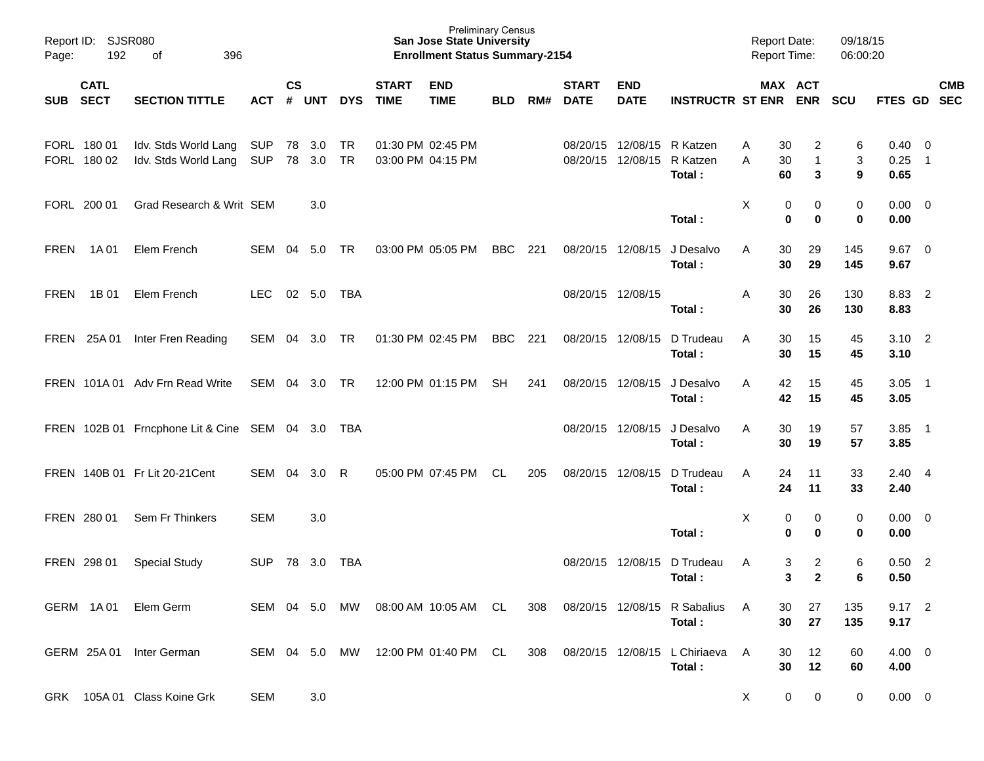| Report ID: SJSR080<br>192<br>Page: |                            | 396<br>of                                        |                          | <b>Preliminary Census</b><br><b>San Jose State University</b><br><b>Enrollment Status Summary-2154</b> |                  |            |                             |                                        |            |     |                             | <b>Report Date:</b><br><b>Report Time:</b> |                                                  | 09/18/15<br>06:00:20     |                                |                  |                                |                          |            |
|------------------------------------|----------------------------|--------------------------------------------------|--------------------------|--------------------------------------------------------------------------------------------------------|------------------|------------|-----------------------------|----------------------------------------|------------|-----|-----------------------------|--------------------------------------------|--------------------------------------------------|--------------------------|--------------------------------|------------------|--------------------------------|--------------------------|------------|
|                                    | <b>CATL</b><br>SUB SECT    | <b>SECTION TITTLE</b>                            | ACT                      | $\mathsf{cs}$                                                                                          | # UNT            | <b>DYS</b> | <b>START</b><br><b>TIME</b> | <b>END</b><br><b>TIME</b>              | <b>BLD</b> | RM# | <b>START</b><br><b>DATE</b> | <b>END</b><br><b>DATE</b>                  | <b>INSTRUCTR ST ENR ENR</b>                      |                          | MAX ACT                        | <b>SCU</b>       | FTES GD SEC                    |                          | <b>CMB</b> |
|                                    | FORL 180 01<br>FORL 180 02 | Idv. Stds World Lang<br>Idv. Stds World Lang     | <b>SUP</b><br><b>SUP</b> |                                                                                                        | 78 3.0<br>78 3.0 | TR<br>TR   |                             | 01:30 PM 02:45 PM<br>03:00 PM 04:15 PM |            |     |                             | 08/20/15 12/08/15                          | 08/20/15 12/08/15 R Katzen<br>R Katzen<br>Total: | 30<br>A<br>A<br>30<br>60 | 2<br>$\mathbf{1}$<br>3         | 6<br>3<br>9      | $0.40 \quad 0$<br>0.25<br>0.65 | $\overline{\phantom{1}}$ |            |
|                                    | FORL 200 01                | Grad Research & Writ SEM                         |                          |                                                                                                        | 3.0              |            |                             |                                        |            |     |                             |                                            | Total:                                           | X<br>0<br>$\bf{0}$       | 0<br>$\bf{0}$                  | 0<br>$\mathbf 0$ | $0.00 \t 0$<br>0.00            |                          |            |
| <b>FREN</b>                        | 1A 01                      | Elem French                                      | SEM 04 5.0               |                                                                                                        |                  | TR         |                             | 03:00 PM 05:05 PM                      | <b>BBC</b> | 221 | 08/20/15 12/08/15           |                                            | J Desalvo<br>Total:                              | 30<br>A<br>30            | 29<br>29                       | 145<br>145       | $9.67$ 0<br>9.67               |                          |            |
| <b>FREN</b>                        | 1B 01                      | Elem French                                      | <b>LEC</b>               |                                                                                                        | 02 5.0           | TBA        |                             |                                        |            |     | 08/20/15 12/08/15           |                                            | Total:                                           | A<br>30<br>30            | 26<br>26                       | 130<br>130       | 8.83 2<br>8.83                 |                          |            |
|                                    | FREN 25A01                 | Inter Fren Reading                               | SEM 04 3.0               |                                                                                                        |                  | TR         |                             | 01:30 PM 02:45 PM                      | <b>BBC</b> | 221 | 08/20/15 12/08/15           |                                            | D Trudeau<br>Total:                              | A<br>30<br>30            | 15<br>15                       | 45<br>45         | $3.10 \quad 2$<br>3.10         |                          |            |
|                                    |                            | FREN 101A 01 Adv Frn Read Write                  | SEM 04 3.0 TR            |                                                                                                        |                  |            |                             | 12:00 PM 01:15 PM                      | <b>SH</b>  | 241 | 08/20/15 12/08/15           |                                            | J Desalvo<br>Total:                              | A<br>42<br>42            | 15<br>15                       | 45<br>45         | $3.05$ 1<br>3.05               |                          |            |
|                                    |                            | FREN 102B 01 Frncphone Lit & Cine SEM 04 3.0 TBA |                          |                                                                                                        |                  |            |                             |                                        |            |     |                             | 08/20/15 12/08/15                          | J Desalvo<br>Total:                              | A<br>30<br>30            | 19<br>19                       | 57<br>57         | $3.85$ 1<br>3.85               |                          |            |
|                                    |                            | FREN 140B 01 Fr Lit 20-21 Cent                   | SEM                      | 04                                                                                                     | 3.0              | R          |                             | 05:00 PM 07:45 PM                      | CL         | 205 | 08/20/15 12/08/15           |                                            | D Trudeau<br>Total:                              | A<br>24<br>24            | 11<br>11                       | 33<br>33         | $2.40 \quad 4$<br>2.40         |                          |            |
|                                    | FREN 280 01                | Sem Fr Thinkers                                  | <b>SEM</b>               |                                                                                                        | 3.0              |            |                             |                                        |            |     |                             |                                            | Total:                                           | X<br>0<br>$\mathbf 0$    | 0<br>0                         | 0<br>0           | $0.00 \t 0$<br>0.00            |                          |            |
|                                    | FREN 298 01                | <b>Special Study</b>                             | <b>SUP</b>               |                                                                                                        | 78 3.0           | TBA        |                             |                                        |            |     | 08/20/15 12/08/15           |                                            | D Trudeau<br>Total:                              | 3<br>A<br>3              | $\overline{c}$<br>$\mathbf{2}$ | 6<br>6           | 0.50<br>0.50                   | $\overline{\phantom{0}}$ |            |
|                                    |                            | GERM 1A01 Elem Germ                              | SEM 04 5.0               |                                                                                                        |                  | MW.        |                             | 08:00 AM 10:05 AM CL                   |            | 308 |                             |                                            | 08/20/15 12/08/15 R Sabalius<br>Total:           | A<br>30<br>30            | 27<br>27                       | 135<br>135       | $9.17$ 2<br>9.17               |                          |            |
|                                    |                            | GERM 25A 01 Inter German                         | SEM 04 5.0               |                                                                                                        |                  | MW.        |                             | 12:00 PM 01:40 PM CL                   |            | 308 |                             |                                            | 08/20/15 12/08/15 L Chiriaeva<br>Total:          | A<br>30<br>30            | 12<br>12                       | 60<br>60         | $4.00 \quad 0$<br>4.00         |                          |            |
|                                    |                            | GRK 105A 01 Class Koine Grk                      | <b>SEM</b>               |                                                                                                        | 3.0              |            |                             |                                        |            |     |                             |                                            |                                                  | $\mathsf{X}$             | $\mathbf 0$<br>0               | 0                | $0.00 \quad 0$                 |                          |            |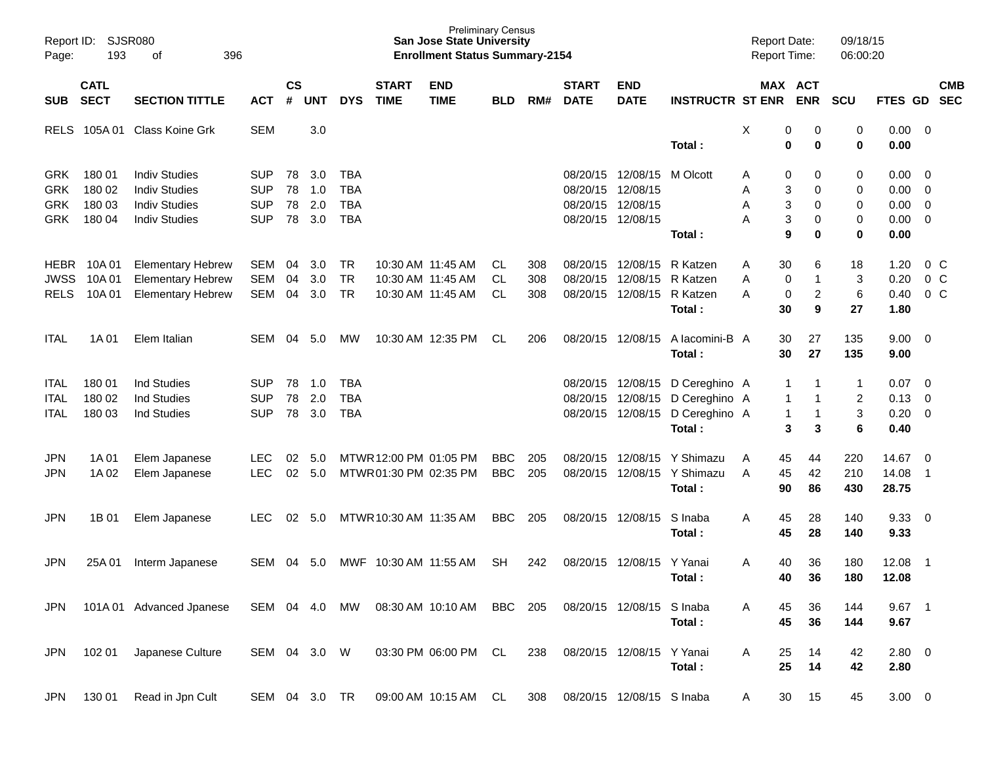| Page:                                                | Report ID: SJSR080<br>193            | 396<br>оf                                                                                    |                                                      |                      |                          |                                               |                                                 | <b>Preliminary Census</b><br><b>San Jose State University</b><br><b>Enrollment Status Summary-2154</b> |                          |                   |                                                       |                                  |                                                           | <b>Report Date:</b><br>Report Time: |                                 |                                             | 09/18/15<br>06:00:20    |                                              |                                                                                 |                                  |
|------------------------------------------------------|--------------------------------------|----------------------------------------------------------------------------------------------|------------------------------------------------------|----------------------|--------------------------|-----------------------------------------------|-------------------------------------------------|--------------------------------------------------------------------------------------------------------|--------------------------|-------------------|-------------------------------------------------------|----------------------------------|-----------------------------------------------------------|-------------------------------------|---------------------------------|---------------------------------------------|-------------------------|----------------------------------------------|---------------------------------------------------------------------------------|----------------------------------|
| SUB                                                  | <b>CATL</b><br><b>SECT</b>           | <b>SECTION TITTLE</b>                                                                        | <b>ACT</b>                                           | $\mathsf{cs}$<br>#   | <b>UNT</b>               | <b>DYS</b>                                    | <b>START</b><br><b>TIME</b>                     | <b>END</b><br><b>TIME</b>                                                                              | <b>BLD</b>               | RM#               | <b>START</b><br><b>DATE</b>                           | <b>END</b><br><b>DATE</b>        | <b>INSTRUCTR ST ENR</b>                                   |                                     | MAX ACT                         | <b>ENR</b>                                  | <b>SCU</b>              | FTES GD SEC                                  |                                                                                 | <b>CMB</b>                       |
| <b>RELS</b>                                          | 105A 01                              | Class Koine Grk                                                                              | <b>SEM</b>                                           |                      | 3.0                      |                                               |                                                 |                                                                                                        |                          |                   |                                                       |                                  | Total:                                                    | X                                   | 0<br>$\mathbf 0$                | 0<br>0                                      | 0<br>$\bf{0}$           | $0.00 \t 0$<br>0.00                          |                                                                                 |                                  |
| <b>GRK</b><br><b>GRK</b><br><b>GRK</b><br><b>GRK</b> | 180 01<br>180 02<br>180 03<br>180 04 | <b>Indiv Studies</b><br><b>Indiv Studies</b><br><b>Indiv Studies</b><br><b>Indiv Studies</b> | <b>SUP</b><br><b>SUP</b><br><b>SUP</b><br><b>SUP</b> | 78<br>78<br>78<br>78 | 3.0<br>1.0<br>2.0<br>3.0 | TBA<br><b>TBA</b><br><b>TBA</b><br><b>TBA</b> |                                                 |                                                                                                        |                          |                   | 08/20/15<br>08/20/15<br>08/20/15<br>08/20/15 12/08/15 | 12/08/15<br>12/08/15<br>12/08/15 | M Olcott                                                  | Α<br>Α<br>Α<br>Α                    | 0<br>3<br>3<br>3                | 0<br>0<br>0<br>0                            | 0<br>0<br>0<br>0        | 0.00<br>0.00<br>0.00<br>$0.00 \t 0$          | $\overline{\phantom{0}}$<br>$\overline{\mathbf{0}}$<br>$\overline{\phantom{0}}$ |                                  |
| <b>HEBR</b><br><b>JWSS</b><br><b>RELS</b>            | 10A 01<br>10A 01<br>10A 01           | <b>Elementary Hebrew</b><br><b>Elementary Hebrew</b><br><b>Elementary Hebrew</b>             | SEM<br><b>SEM</b><br><b>SEM</b>                      | 04<br>04<br>04       | 3.0<br>3.0<br>3.0        | <b>TR</b><br><b>TR</b><br><b>TR</b>           |                                                 | 10:30 AM 11:45 AM<br>10:30 AM 11:45 AM<br>10:30 AM 11:45 AM                                            | CL.<br>CL.<br>CL         | 308<br>308<br>308 | 08/20/15<br>08/20/15<br>08/20/15                      | 12/08/15<br>12/08/15<br>12/08/15 | Total:<br>R Katzen<br>R Katzen<br>R Katzen<br>Total:      | Α<br>Α<br>Α                         | 9<br>30<br>0<br>$\pmb{0}$<br>30 | 0<br>6<br>1<br>$\overline{\mathbf{c}}$<br>9 | 0<br>18<br>3<br>6<br>27 | 0.00<br>1.20<br>0.20<br>0.40<br>1.80         | 0 C                                                                             | 0 <sup>o</sup><br>0 <sup>o</sup> |
| <b>ITAL</b>                                          | 1A 01                                | Elem Italian                                                                                 | SEM                                                  | 04                   | 5.0                      | МW                                            |                                                 | 10:30 AM 12:35 PM                                                                                      | CL                       | 206               |                                                       | 08/20/15 12/08/15                | A lacomini-B A<br>Total:                                  |                                     | 30<br>30                        | 27<br>27                                    | 135<br>135              | $9.00 \t 0$<br>9.00                          |                                                                                 |                                  |
| ITAL<br><b>ITAL</b><br><b>ITAL</b>                   | 180 01<br>180 02<br>180 03           | Ind Studies<br><b>Ind Studies</b><br><b>Ind Studies</b>                                      | <b>SUP</b><br><b>SUP</b><br><b>SUP</b>               | 78<br>78<br>78       | 1.0<br>2.0<br>3.0        | <b>TBA</b><br><b>TBA</b><br><b>TBA</b>        |                                                 |                                                                                                        |                          |                   | 08/20/15<br>08/20/15<br>08/20/15                      | 12/08/15<br>12/08/15<br>12/08/15 | D Cereghino A<br>D Cereghino A<br>D Cereghino A<br>Total: |                                     | 1<br>1<br>1<br>3                | 1<br>1<br>$\mathbf{1}$<br>3                 | 1<br>2<br>3<br>6        | 0.07<br>$0.13 \quad 0$<br>$0.20 \ 0$<br>0.40 | $\overline{\phantom{0}}$                                                        |                                  |
| <b>JPN</b><br>JPN                                    | 1A 01<br>1A 02                       | Elem Japanese<br>Elem Japanese                                                               | <b>LEC</b><br><b>LEC</b>                             | 02<br>02             | 5.0<br>5.0               |                                               | MTWR 12:00 PM 01:05 PM<br>MTWR01:30 PM 02:35 PM |                                                                                                        | <b>BBC</b><br><b>BBC</b> | 205<br>205        | 08/20/15<br>08/20/15                                  | 12/08/15<br>12/08/15             | Y Shimazu<br>Y Shimazu<br>Total:                          | A<br>A                              | 45<br>45<br>90                  | 44<br>42<br>86                              | 220<br>210<br>430       | 14.67<br>14.08<br>28.75                      | $\overline{\phantom{0}}$<br>-1                                                  |                                  |
| <b>JPN</b>                                           | 1B 01                                | Elem Japanese                                                                                | <b>LEC</b>                                           | 02                   | 5.0                      |                                               | MTWR 10:30 AM 11:35 AM                          |                                                                                                        | <b>BBC</b>               | 205               |                                                       | 08/20/15 12/08/15                | S Inaba<br>Total:                                         | A                                   | 45<br>45                        | 28<br>28                                    | 140<br>140              | 9.33<br>9.33                                 | $\overline{\phantom{0}}$                                                        |                                  |
| JPN                                                  | 25A 01                               | Interm Japanese                                                                              | <b>SEM</b>                                           | 04                   | 5.0                      | MWF                                           | 10:30 AM 11:55 AM                               |                                                                                                        | <b>SH</b>                | 242               | 08/20/15                                              | 12/08/15                         | Y Yanai<br>Total:                                         | Α                                   | 40<br>40                        | 36<br>36                                    | 180<br>180              | 12.08<br>12.08                               | - 1                                                                             |                                  |
| <b>JPN</b>                                           |                                      | 101A 01 Advanced Jpanese                                                                     | SEM 04 4.0                                           |                      |                          | MW                                            |                                                 | 08:30 AM 10:10 AM                                                                                      | <b>BBC</b>               | 205               |                                                       | 08/20/15 12/08/15                | S Inaba<br>Total:                                         | Α                                   | 45<br>45                        | 36<br>36                                    | 144<br>144              | 9.67<br>9.67                                 | $\overline{\phantom{0}}$ 1                                                      |                                  |
| <b>JPN</b>                                           | 102 01                               | Japanese Culture                                                                             | SEM 04 3.0 W                                         |                      |                          |                                               |                                                 | 03:30 PM 06:00 PM CL                                                                                   |                          | 238               |                                                       | 08/20/15 12/08/15                | Y Yanai<br>Total:                                         | A                                   | 25<br>25                        | 14<br>14                                    | 42<br>42                | 2.80 0<br>2.80                               |                                                                                 |                                  |
| JPN                                                  | 130 01                               | Read in Jpn Cult                                                                             | SEM 04 3.0 TR                                        |                      |                          |                                               |                                                 | 09:00 AM 10:15 AM CL                                                                                   |                          | 308               |                                                       | 08/20/15 12/08/15 S Inaba        |                                                           | A                                   | 30                              | 15                                          | 45                      | $3.00 \ 0$                                   |                                                                                 |                                  |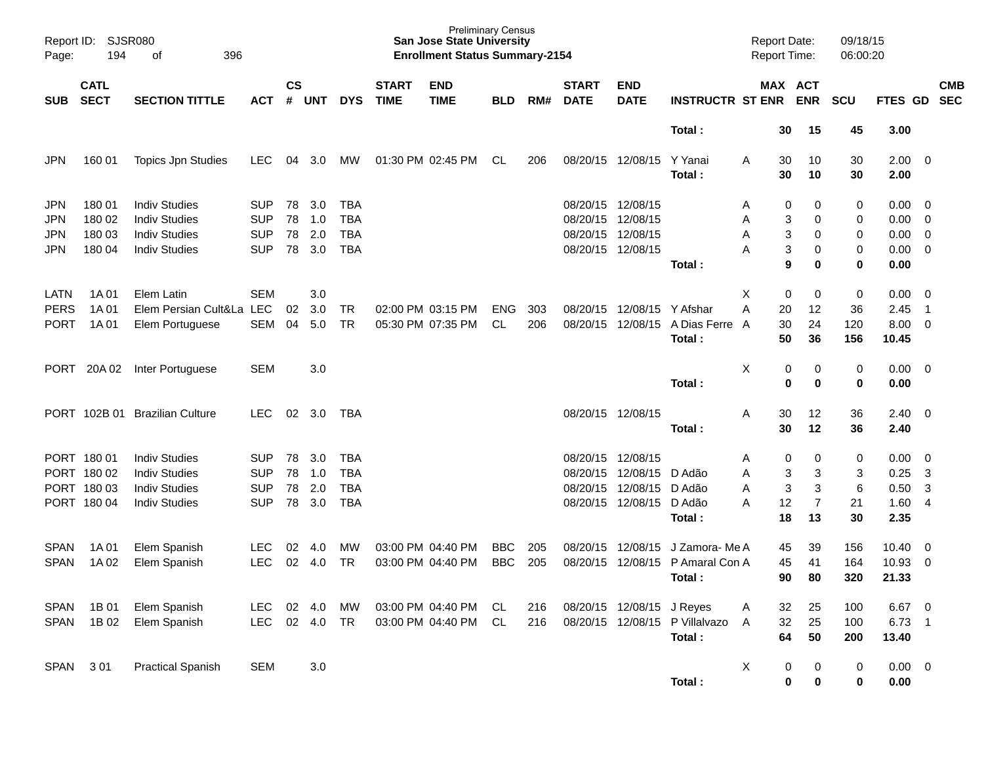| Report ID:<br>Page:                    | 194                                                 | <b>SJSR080</b><br>396<br>оf                                                                  |                                                      |                      |                          |                                                      |                             | <b>Preliminary Census</b><br><b>San Jose State University</b><br><b>Enrollment Status Summary-2154</b> |                          |            |                                              |                                              |                                            | <b>Report Date:</b><br><b>Report Time:</b> |                                                                | 09/18/15<br>06:00:20    |                                       |                                                                                                           |                          |
|----------------------------------------|-----------------------------------------------------|----------------------------------------------------------------------------------------------|------------------------------------------------------|----------------------|--------------------------|------------------------------------------------------|-----------------------------|--------------------------------------------------------------------------------------------------------|--------------------------|------------|----------------------------------------------|----------------------------------------------|--------------------------------------------|--------------------------------------------|----------------------------------------------------------------|-------------------------|---------------------------------------|-----------------------------------------------------------------------------------------------------------|--------------------------|
| <b>SUB</b>                             | <b>CATL</b><br><b>SECT</b>                          | <b>SECTION TITTLE</b>                                                                        | <b>ACT</b>                                           | $\mathsf{cs}$<br>#   | <b>UNT</b>               | <b>DYS</b>                                           | <b>START</b><br><b>TIME</b> | <b>END</b><br><b>TIME</b>                                                                              | <b>BLD</b>               | RM#        | <b>START</b><br><b>DATE</b>                  | <b>END</b><br><b>DATE</b>                    | <b>INSTRUCTR ST ENR</b>                    |                                            | MAX ACT<br><b>ENR</b>                                          | SCU                     | FTES GD                               |                                                                                                           | <b>CMB</b><br><b>SEC</b> |
|                                        |                                                     |                                                                                              |                                                      |                      |                          |                                                      |                             |                                                                                                        |                          |            |                                              |                                              | Total:                                     |                                            | 30<br>15                                                       | 45                      | 3.00                                  |                                                                                                           |                          |
| JPN                                    | 160 01                                              | <b>Topics Jpn Studies</b>                                                                    | <b>LEC</b>                                           | 04                   | 3.0                      | МW                                                   |                             | 01:30 PM 02:45 PM                                                                                      | CL                       | 206        | 08/20/15                                     | 12/08/15                                     | Y Yanai<br>Total:                          | A                                          | 30<br>10<br>30<br>10                                           | 30<br>30                | $2.00 \t 0$<br>2.00                   |                                                                                                           |                          |
| <b>JPN</b><br><b>JPN</b><br>JPN<br>JPN | 180 01<br>180 02<br>180 03<br>180 04                | <b>Indiv Studies</b><br><b>Indiv Studies</b><br><b>Indiv Studies</b><br><b>Indiv Studies</b> | <b>SUP</b><br><b>SUP</b><br><b>SUP</b><br><b>SUP</b> | 78<br>78<br>78<br>78 | 3.0<br>1.0<br>2.0<br>3.0 | TBA<br><b>TBA</b><br><b>TBA</b><br><b>TBA</b>        |                             |                                                                                                        |                          |            | 08/20/15<br>08/20/15<br>08/20/15<br>08/20/15 | 12/08/15<br>12/08/15<br>12/08/15<br>12/08/15 | Total:                                     | Α<br>А<br>А<br>А                           | 0<br>0<br>3<br>0<br>3<br>0<br>3<br>0<br>9<br>0                 | 0<br>0<br>0<br>0<br>0   | 0.00<br>0.00<br>0.00<br>0.00<br>0.00  | $\overline{\phantom{0}}$<br>$\overline{\mathbf{0}}$<br>$\overline{\mathbf{0}}$<br>$\overline{\mathbf{0}}$ |                          |
| LATN<br><b>PERS</b><br><b>PORT</b>     | 1A 01<br>1A 01<br>1A 01                             | Elem Latin<br>Elem Persian Cult&La LEC<br>Elem Portuguese                                    | <b>SEM</b><br><b>SEM</b>                             | 02<br>04             | 3.0<br>3.0<br>5.0        | <b>TR</b><br><b>TR</b>                               |                             | 02:00 PM 03:15 PM<br>05:30 PM 07:35 PM                                                                 | <b>ENG</b><br>CL         | 303<br>206 | 08/20/15<br>08/20/15                         | 12/08/15<br>12/08/15                         | Y Afshar<br>A Dias Ferre<br>Total:         | х<br>Α<br>A                                | 0<br>0<br>12<br>20<br>30<br>24<br>50<br>36                     | 0<br>36<br>120<br>156   | 0.00<br>2.45<br>8.00<br>10.45         | $\overline{\phantom{0}}$<br>$\overline{1}$<br>- 0                                                         |                          |
| <b>PORT</b>                            | 20A 02                                              | Inter Portuguese                                                                             | <b>SEM</b>                                           |                      | 3.0                      |                                                      |                             |                                                                                                        |                          |            |                                              |                                              | Total:                                     | X                                          | 0<br>0<br>0<br>0                                               | 0<br>0                  | $0.00 \t 0$<br>0.00                   |                                                                                                           |                          |
|                                        | PORT 102B 01                                        | <b>Brazilian Culture</b>                                                                     | <b>LEC</b>                                           | 02                   | 3.0                      | TBA                                                  |                             |                                                                                                        |                          |            | 08/20/15 12/08/15                            |                                              | Total:                                     | A                                          | 30<br>12<br>30<br>12                                           | 36<br>36                | $2.40 \ 0$<br>2.40                    |                                                                                                           |                          |
| <b>PORT</b>                            | PORT 180 01<br>PORT 180 02<br>180 03<br>PORT 180 04 | <b>Indiv Studies</b><br><b>Indiv Studies</b><br><b>Indiv Studies</b><br><b>Indiv Studies</b> | <b>SUP</b><br><b>SUP</b><br><b>SUP</b><br><b>SUP</b> | 78<br>78<br>78<br>78 | 3.0<br>1.0<br>2.0<br>3.0 | <b>TBA</b><br><b>TBA</b><br><b>TBA</b><br><b>TBA</b> |                             |                                                                                                        |                          |            | 08/20/15<br>08/20/15<br>08/20/15<br>08/20/15 | 12/08/15<br>12/08/15<br>12/08/15<br>12/08/15 | D Adão<br>D Adão<br>D Adão<br>Total:       | Α<br>Α<br>Α<br>А                           | 0<br>0<br>3<br>3<br>3<br>3<br>12<br>$\overline{7}$<br>18<br>13 | 0<br>3<br>6<br>21<br>30 | 0.00<br>0.25<br>0.50<br>1.604<br>2.35 | $\overline{\phantom{0}}$<br>$\mathbf{3}$<br>3                                                             |                          |
| <b>SPAN</b><br><b>SPAN</b>             | 1A 01<br>1A 02                                      | Elem Spanish<br>Elem Spanish                                                                 | <b>LEC</b><br><b>LEC</b>                             | 02<br>02             | 4.0<br>-4.0              | MW<br>TR.                                            |                             | 03:00 PM 04:40 PM<br>03:00 PM 04:40 PM                                                                 | <b>BBC</b><br><b>BBC</b> | 205<br>205 | 08/20/15<br>08/20/15                         | 12/08/15<br>12/08/15                         | J Zamora- Me A<br>P Amaral Con A<br>Total: |                                            | 45<br>39<br>45<br>41<br>90<br>80                               | 156<br>164<br>320       | 10.40<br>10.93<br>21.33               | $\overline{\mathbf{0}}$<br>$\overline{\mathbf{0}}$                                                        |                          |
| <b>SPAN</b><br><b>SPAN</b>             | 1B 01<br>1B 02                                      | Elem Spanish<br>Elem Spanish                                                                 | LEC.<br><b>LEC</b>                                   |                      | 02 4.0<br>02 4.0         | МW<br><b>TR</b>                                      |                             | 03:00 PM 04:40 PM CL<br>03:00 PM 04:40 PM                                                              | CL                       | 216<br>216 |                                              | 08/20/15 12/08/15 J Reyes                    | 08/20/15 12/08/15 P Villalvazo<br>Total:   | A<br>A                                     | 32<br>25<br>32<br>25<br>64<br>50                               | 100<br>100<br>200       | $6.67$ 0<br>$6.73$ 1<br>13.40         |                                                                                                           |                          |
| SPAN                                   | 301                                                 | <b>Practical Spanish</b>                                                                     | <b>SEM</b>                                           |                      | $3.0\,$                  |                                                      |                             |                                                                                                        |                          |            |                                              |                                              | Total:                                     | X                                          | $\boldsymbol{0}$<br>0<br>0<br>$\mathbf 0$                      | 0<br>0                  | $0.00 \t 0$<br>0.00                   |                                                                                                           |                          |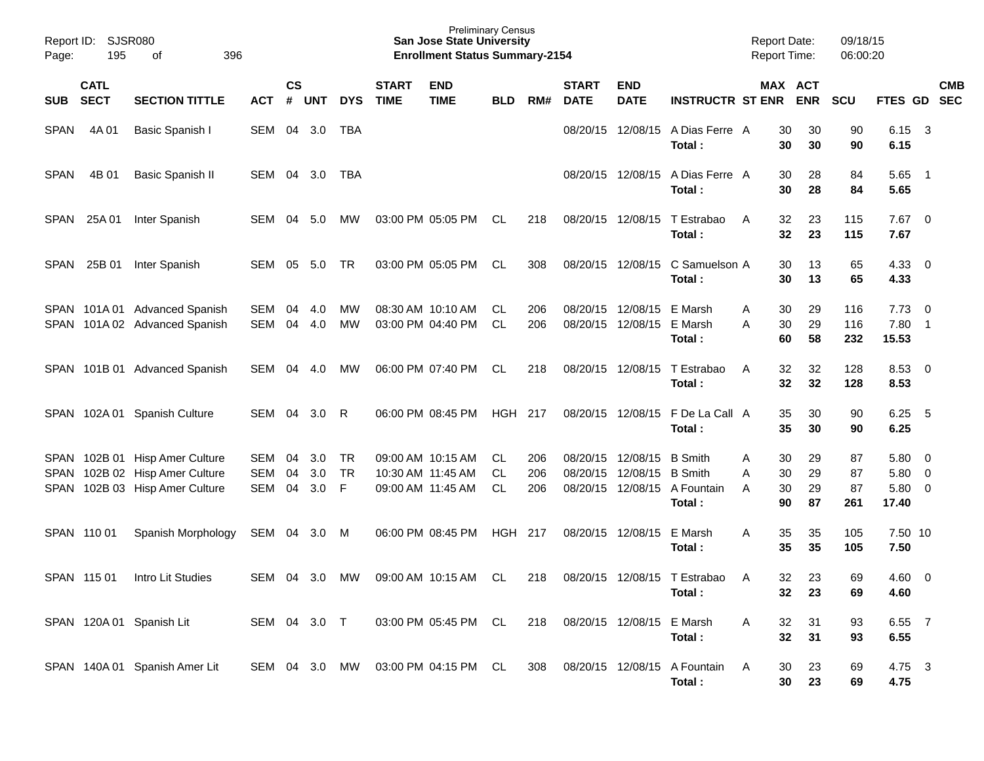| Page:       | Report ID: SJSR080<br>195  | 396<br>оf                                                      |               |                    |            |                 |                             | <b>Preliminary Census</b><br><b>San Jose State University</b><br><b>Enrollment Status Summary-2154</b> |            |            |                             |                                        |                                        | <b>Report Date:</b><br><b>Report Time:</b> |                       | 09/18/15<br>06:00:20 |                        |                                            |            |
|-------------|----------------------------|----------------------------------------------------------------|---------------|--------------------|------------|-----------------|-----------------------------|--------------------------------------------------------------------------------------------------------|------------|------------|-----------------------------|----------------------------------------|----------------------------------------|--------------------------------------------|-----------------------|----------------------|------------------------|--------------------------------------------|------------|
| SUB         | <b>CATL</b><br><b>SECT</b> | <b>SECTION TITTLE</b>                                          | <b>ACT</b>    | $\mathsf{cs}$<br># | <b>UNT</b> | <b>DYS</b>      | <b>START</b><br><b>TIME</b> | <b>END</b><br><b>TIME</b>                                                                              | <b>BLD</b> | RM#        | <b>START</b><br><b>DATE</b> | <b>END</b><br><b>DATE</b>              | <b>INSTRUCTR ST ENR</b>                |                                            | MAX ACT<br><b>ENR</b> | <b>SCU</b>           | FTES GD SEC            |                                            | <b>CMB</b> |
| <b>SPAN</b> | 4A 01                      | Basic Spanish I                                                | SEM           |                    | 04 3.0     | TBA             |                             |                                                                                                        |            |            | 08/20/15                    | 12/08/15                               | A Dias Ferre A<br>Total:               | 30<br>30                                   | 30<br>30              | 90<br>90             | 6.15<br>6.15           | $\overline{\mathbf{3}}$                    |            |
| SPAN        | 4B 01                      | <b>Basic Spanish II</b>                                        | SEM           |                    | 04 3.0     | TBA             |                             |                                                                                                        |            |            |                             | 08/20/15 12/08/15                      | A Dias Ferre A<br>Total:               | 30<br>30                                   | 28<br>28              | 84<br>84             | $5.65$ 1<br>5.65       |                                            |            |
| SPAN        | 25A 01                     | Inter Spanish                                                  | <b>SEM</b>    | 04                 | 5.0        | <b>MW</b>       |                             | 03:00 PM 05:05 PM                                                                                      | CL.        | 218        |                             | 08/20/15 12/08/15                      | T Estrabao<br>Total:                   | 32<br>A<br>32                              | 23<br>23              | 115<br>115           | $7.67$ 0<br>7.67       |                                            |            |
| SPAN        | 25B 01                     | Inter Spanish                                                  | <b>SEM</b>    | 05                 | 5.0        | TR              |                             | 03:00 PM 05:05 PM                                                                                      | CL.        | 308        |                             | 08/20/15 12/08/15                      | C Samuelson A<br>Total:                | 30<br>30                                   | 13<br>13              | 65<br>65             | 4.33<br>4.33           | $\overline{\mathbf{0}}$                    |            |
|             |                            | SPAN 101A 01 Advanced Spanish<br>SPAN 101A 02 Advanced Spanish | SEM<br>SEM    | 04<br>04           | 4.0<br>4.0 | МW<br><b>MW</b> |                             | 08:30 AM 10:10 AM<br>03:00 PM 04:40 PM                                                                 | CL.<br>CL  | 206<br>206 |                             | 08/20/15 12/08/15<br>08/20/15 12/08/15 | E Marsh<br>E Marsh<br>Total:           | 30<br>A<br>30<br>A<br>60                   | 29<br>29<br>58        | 116<br>116<br>232    | 7.73<br>7.80<br>15.53  | $\overline{0}$<br>$\overline{\phantom{1}}$ |            |
|             |                            | SPAN 101B 01 Advanced Spanish                                  | <b>SEM</b>    | 04                 | 4.0        | МW              |                             | 06:00 PM 07:40 PM                                                                                      | CL         | 218        |                             | 08/20/15 12/08/15                      | T Estrabao<br>Total:                   | 32<br>A<br>32                              | 32<br>32              | 128<br>128           | 8.53<br>8.53           | $\overline{\mathbf{0}}$                    |            |
|             | SPAN 102A01                | <b>Spanish Culture</b>                                         | SEM           | 04                 | 3.0        | R               |                             | 06:00 PM 08:45 PM                                                                                      | HGH        | 217        |                             | 08/20/15 12/08/15                      | F De La Call A<br>Total:               | 35<br>35                                   | 30<br>30              | 90<br>90             | 6.25<br>6.25           | $-5$                                       |            |
|             |                            | SPAN 102B 01 Hisp Amer Culture                                 | SEM           | 04                 | 3.0        | TR              |                             | 09:00 AM 10:15 AM                                                                                      | CL.        | 206        | 08/20/15 12/08/15           |                                        | <b>B</b> Smith                         | 30<br>Α                                    | 29                    | 87                   | 5.80                   | $\overline{0}$                             |            |
|             |                            | SPAN 102B 02 Hisp Amer Culture                                 | <b>SEM</b>    | 04                 | 3.0        | <b>TR</b>       |                             | 10:30 AM 11:45 AM                                                                                      | CL.        | 206        | 08/20/15                    | 12/08/15                               | <b>B</b> Smith                         | 30<br>Α                                    | 29                    | 87                   | 5.80                   | $\overline{0}$                             |            |
| SPAN        |                            | 102B 03 Hisp Amer Culture                                      | <b>SEM</b>    | 04                 | 3.0        | F               |                             | 09:00 AM 11:45 AM                                                                                      | CL         | 206        |                             |                                        | 08/20/15 12/08/15 A Fountain<br>Total: | 30<br>A<br>90                              | 29<br>87              | 87<br>261            | 5.80<br>17.40          | $\overline{\mathbf{0}}$                    |            |
|             | SPAN 110 01                | Spanish Morphology                                             | SEM           | 04                 | 3.0        | M               |                             | 06:00 PM 08:45 PM                                                                                      | HGH        | 217        | 08/20/15 12/08/15           |                                        | E Marsh<br>Total:                      | 35<br>A<br>35                              | 35<br>35              | 105<br>105           | 7.50 10<br>7.50        |                                            |            |
|             | SPAN 115 01                | Intro Lit Studies                                              | SEM           | 04                 | 3.0        | MW              |                             | 09:00 AM 10:15 AM                                                                                      | CL         | 218        |                             |                                        | 08/20/15 12/08/15 T Estrabao<br>Total: | 32<br>$\overline{A}$<br>32                 | 23<br>23              | 69<br>69             | $4.60 \quad 0$<br>4.60 |                                            |            |
|             |                            | SPAN 120A 01 Spanish Lit                                       | SEM 04 3.0 T  |                    |            |                 |                             | 03:00 PM 05:45 PM CL                                                                                   |            | 218        |                             | 08/20/15 12/08/15                      | E Marsh<br>Total:                      | 32<br>A<br>32                              | 31<br>31              | 93<br>93             | 6.55 7<br>6.55         |                                            |            |
|             |                            | SPAN 140A 01 Spanish Amer Lit                                  | SEM 04 3.0 MW |                    |            |                 |                             | 03:00 PM 04:15 PM CL                                                                                   |            | 308        | 08/20/15 12/08/15           |                                        | A Fountain<br>Total:                   | A<br>30<br>30                              | 23<br>23              | 69<br>69             | 4.75 3<br>4.75         |                                            |            |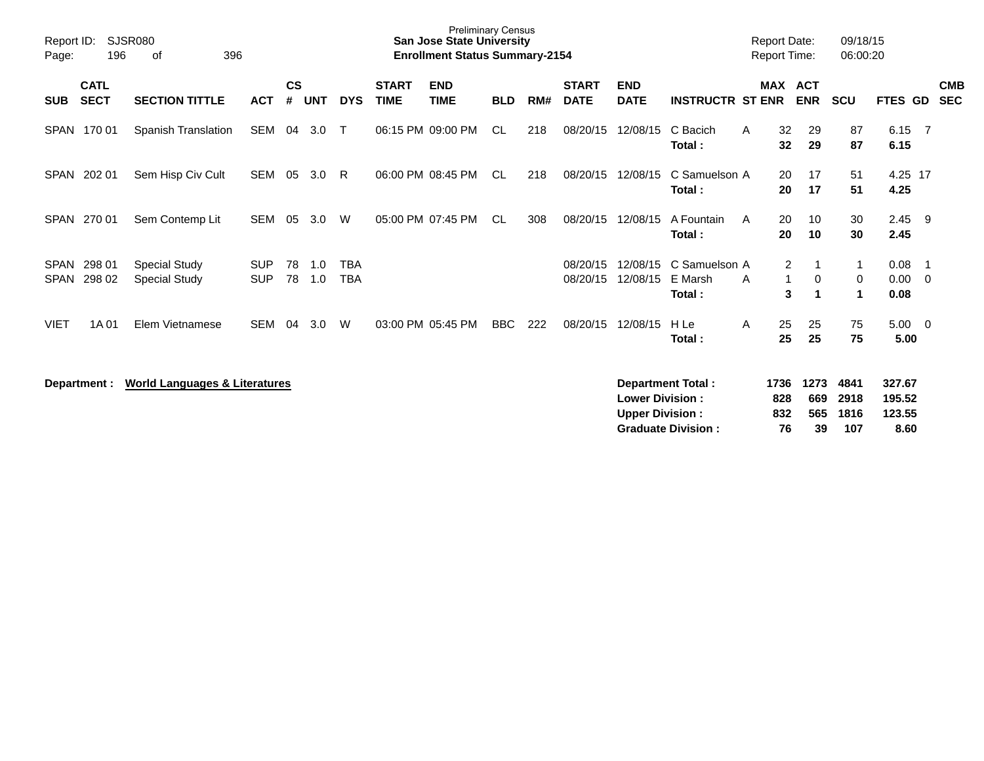| Report ID:<br>Page:        | 196                        | <b>SJSR080</b><br>396<br>οf                  |                          |                    |            |                   |                             | <b>Preliminary Census</b><br><b>San Jose State University</b><br><b>Enrollment Status Summary-2154</b> |            |     |                             |                           |                                    |   | <b>Report Date:</b><br><b>Report Time:</b> |            | 09/18/15<br>06:00:20 |                      |                          |                          |
|----------------------------|----------------------------|----------------------------------------------|--------------------------|--------------------|------------|-------------------|-----------------------------|--------------------------------------------------------------------------------------------------------|------------|-----|-----------------------------|---------------------------|------------------------------------|---|--------------------------------------------|------------|----------------------|----------------------|--------------------------|--------------------------|
| <b>SUB</b>                 | <b>CATL</b><br><b>SECT</b> | <b>SECTION TITTLE</b>                        | <b>ACT</b>               | $\mathsf{cs}$<br># | <b>UNT</b> | <b>DYS</b>        | <b>START</b><br><b>TIME</b> | <b>END</b><br><b>TIME</b>                                                                              | <b>BLD</b> | RM# | <b>START</b><br><b>DATE</b> | <b>END</b><br><b>DATE</b> | <b>INSTRUCTR ST ENR</b>            |   | MAX ACT                                    | <b>ENR</b> | <b>SCU</b>           | <b>FTES GD</b>       |                          | <b>CMB</b><br><b>SEC</b> |
| SPAN                       | 170 01                     | Spanish Translation                          | SEM                      | 04                 | 3.0        | $\mathsf{T}$      |                             | 06:15 PM 09:00 PM                                                                                      | CL.        | 218 | 08/20/15                    | 12/08/15                  | C Bacich<br>Total:                 | A | 32<br>32                                   | 29<br>29   | 87<br>87             | 6.15<br>6.15         | - 7                      |                          |
| <b>SPAN</b>                | 202 01                     | Sem Hisp Civ Cult                            | SEM                      | 05                 | 3.0        | R                 |                             | 06:00 PM 08:45 PM                                                                                      | CL.        | 218 | 08/20/15                    | 12/08/15                  | C Samuelson A<br>Total:            |   | 20<br>20                                   | 17<br>17   | 51<br>51             | 4.25 17<br>4.25      |                          |                          |
| <b>SPAN</b>                | 270 01                     | Sem Contemp Lit                              | SEM                      | 05                 | 3.0        | W                 |                             | 05:00 PM 07:45 PM                                                                                      | CL.        | 308 | 08/20/15                    | 12/08/15                  | A Fountain<br>Total:               | A | 20<br>20                                   | 10<br>10   | 30<br>30             | 2.45<br>2.45         | - 9                      |                          |
| <b>SPAN</b><br><b>SPAN</b> | 298 01<br>298 02           | <b>Special Study</b><br><b>Special Study</b> | <b>SUP</b><br><b>SUP</b> | 78<br>78           | 1.0<br>1.0 | <b>TBA</b><br>TBA |                             |                                                                                                        |            |     | 08/20/15<br>08/20/15        | 12/08/15<br>12/08/15      | C Samuelson A<br>E Marsh<br>Total: | A | $\overline{2}$<br>1<br>3                   | 0<br>1     | 1<br>0<br>1          | 0.08<br>0.00<br>0.08 | $\overline{1}$<br>- 0    |                          |
| VIET                       | 1A 01                      | Elem Vietnamese                              | <b>SEM</b>               | 04                 | 3.0        | W                 |                             | 03:00 PM 05:45 PM                                                                                      | BBC        | 222 | 08/20/15                    | 12/08/15                  | H Le<br>Total:                     | A | 25<br>25                                   | 25<br>25   | 75<br>75             | 5.00<br>5.00         | $\overline{\phantom{0}}$ |                          |
|                            | Department :               | <b>World Languages &amp; Literatures</b>     |                          |                    |            |                   |                             |                                                                                                        |            |     |                             |                           | Department Total:                  |   | 1736                                       | 1273       | 4841                 | 327.67               |                          |                          |

| Department Total:         |     |     |          | 1736 1273 4841 327.67 |
|---------------------------|-----|-----|----------|-----------------------|
| <b>Lower Division:</b>    | 828 |     | 669 2918 | 195.52                |
| <b>Upper Division:</b>    | 832 |     | 565 1816 | 123.55                |
| <b>Graduate Division:</b> | 76. | 39. | 107      | 8.60                  |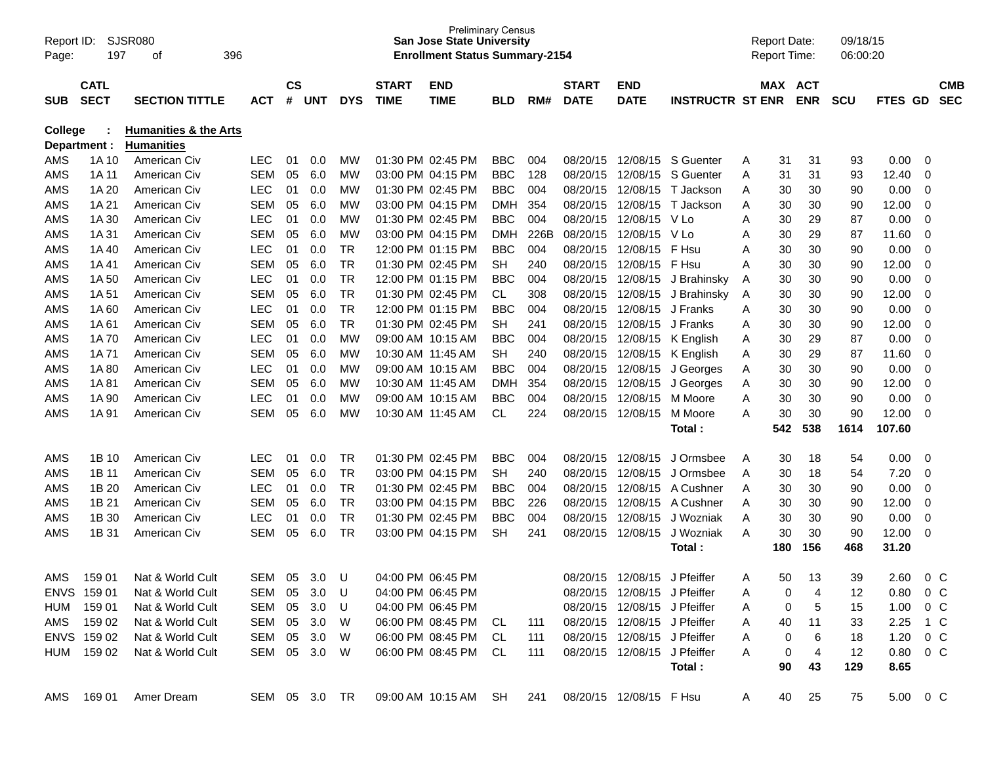| Report ID:<br>Page: | 197                        | SJSR080<br>396<br>οf             |               |                    |     |            |                             | <b>Preliminary Census</b><br><b>San Jose State University</b><br><b>Enrollment Status Summary-2154</b> |            |      |                             |                              |                         |   | <b>Report Date:</b><br><b>Report Time:</b> |            | 09/18/15<br>06:00:20 |                  |         |                          |
|---------------------|----------------------------|----------------------------------|---------------|--------------------|-----|------------|-----------------------------|--------------------------------------------------------------------------------------------------------|------------|------|-----------------------------|------------------------------|-------------------------|---|--------------------------------------------|------------|----------------------|------------------|---------|--------------------------|
| <b>SUB</b>          | <b>CATL</b><br><b>SECT</b> | <b>SECTION TITTLE</b>            | ACT           | $\mathsf{cs}$<br># | UNT | <b>DYS</b> | <b>START</b><br><b>TIME</b> | <b>END</b><br><b>TIME</b>                                                                              | <b>BLD</b> | RM#  | <b>START</b><br><b>DATE</b> | <b>END</b><br><b>DATE</b>    | <b>INSTRUCTR ST ENR</b> |   | MAX ACT                                    | <b>ENR</b> | <b>SCU</b>           | <b>FTES</b>      | GD.     | <b>CMB</b><br><b>SEC</b> |
| <b>College</b>      |                            | <b>Humanities &amp; the Arts</b> |               |                    |     |            |                             |                                                                                                        |            |      |                             |                              |                         |   |                                            |            |                      |                  |         |                          |
|                     | Department :               | <b>Humanities</b>                |               |                    |     |            |                             |                                                                                                        |            |      |                             |                              |                         |   |                                            |            |                      |                  |         |                          |
| AMS                 | 1A 10                      | American Civ                     | <b>LEC</b>    | 01                 | 0.0 | МW         |                             | 01:30 PM 02:45 PM                                                                                      | <b>BBC</b> | 004  | 08/20/15                    | 12/08/15                     | S Guenter               | Α | 31                                         | 31         | 93                   | 0.00             | 0       |                          |
| AMS                 | 1A 11                      | American Civ                     | <b>SEM</b>    | 05                 | 6.0 | МW         |                             | 03:00 PM 04:15 PM                                                                                      | <b>BBC</b> | 128  | 08/20/15                    | 12/08/15                     | S Guenter               | A | 31                                         | 31         | 93                   | 12.40            | 0       |                          |
| AMS                 | 1A 20                      | American Civ                     | <b>LEC</b>    | 01                 | 0.0 | МW         |                             | 01:30 PM 02:45 PM                                                                                      | <b>BBC</b> | 004  | 08/20/15                    | 12/08/15                     | T Jackson               | A | 30                                         | 30         | 90                   | 0.00             | 0       |                          |
| AMS                 | 1A 21                      | American Civ                     | SEM           | 05                 | 6.0 | МW         |                             | 03:00 PM 04:15 PM                                                                                      | <b>DMH</b> | 354  | 08/20/15                    | 12/08/15                     | T Jackson               | Α | 30                                         | 30         | 90                   | 12.00            | 0       |                          |
| AMS                 | 1A 30                      | American Civ                     | <b>LEC</b>    | 01                 | 0.0 | МW         |                             | 01:30 PM 02:45 PM                                                                                      | <b>BBC</b> | 004  | 08/20/15                    | 12/08/15 V Lo                |                         | A | 30                                         | 29         | 87                   | 0.00             | 0       |                          |
| AMS                 | 1A 31                      | American Civ                     | <b>SEM</b>    | 05                 | 6.0 | МW         |                             | 03:00 PM 04:15 PM                                                                                      | <b>DMH</b> | 226B | 08/20/15                    | 12/08/15                     | V Lo                    | Α | 30                                         | 29         | 87                   | 11.60            | 0       |                          |
| AMS                 | 1A 40                      | American Civ                     | <b>LEC</b>    | 01                 | 0.0 | TR         |                             | 12:00 PM 01:15 PM                                                                                      | <b>BBC</b> | 004  | 08/20/15                    | 12/08/15                     | F Hsu                   | A | 30                                         | 30         | 90                   | 0.00             | 0       |                          |
| AMS                 | 1A 41                      | American Civ                     | SEM           | 05                 | 6.0 | <b>TR</b>  |                             | 01:30 PM 02:45 PM                                                                                      | SН         | 240  | 08/20/15                    | 12/08/15                     | F Hsu                   | A | 30                                         | 30         | 90                   | 12.00            | 0       |                          |
| AMS                 | 1A 50                      | American Civ                     | <b>LEC</b>    | 01                 | 0.0 | <b>TR</b>  |                             | 12:00 PM 01:15 PM                                                                                      | <b>BBC</b> | 004  | 08/20/15                    | 12/08/15                     | J Brahinsky             | A | 30                                         | 30         | 90                   | 0.00             | 0       |                          |
| AMS                 | 1A 51                      | American Civ                     | SEM           | 05                 | 6.0 | <b>TR</b>  |                             | 01:30 PM 02:45 PM                                                                                      | <b>CL</b>  | 308  | 08/20/15                    | 12/08/15                     | J Brahinsky             | A | 30                                         | 30         | 90                   | 12.00            | 0       |                          |
| AMS                 | 1A60                       | American Civ                     | <b>LEC</b>    | 01                 | 0.0 | TR         |                             | 12:00 PM 01:15 PM                                                                                      | <b>BBC</b> | 004  | 08/20/15                    | 12/08/15                     | J Franks                | A | 30                                         | 30         | 90                   | 0.00             | 0       |                          |
| AMS                 | 1A 61                      | American Civ                     | SEM           | 05                 | 6.0 | <b>TR</b>  |                             | 01:30 PM 02:45 PM                                                                                      | <b>SH</b>  | 241  | 08/20/15                    | 12/08/15                     | J Franks                | A | 30                                         | 30         | 90                   | 12.00            | 0       |                          |
| AMS                 | 1A 70                      | American Civ                     | <b>LEC</b>    | 01                 | 0.0 | МW         |                             | 09:00 AM 10:15 AM                                                                                      | <b>BBC</b> | 004  | 08/20/15                    | 12/08/15                     | K English               | A | 30                                         | 29         | 87                   | 0.00             | 0       |                          |
| AMS                 | 1A 71                      | American Civ                     | SEM           | 05                 | 6.0 | МW         |                             | 10:30 AM 11:45 AM                                                                                      | <b>SH</b>  | 240  | 08/20/15                    | 12/08/15                     | K English               | A | 30                                         | 29         | 87                   | 11.60            | 0       |                          |
| AMS                 | 1A 80                      | American Civ                     | <b>LEC</b>    | 01                 | 0.0 | МW         |                             | 09:00 AM 10:15 AM                                                                                      | <b>BBC</b> | 004  | 08/20/15                    | 12/08/15                     | J Georges               | A | 30                                         | 30         | 90                   | 0.00             | 0       |                          |
| AMS                 | 1A 81                      | American Civ                     | SEM           | 05                 | 6.0 | МW         |                             | 10:30 AM 11:45 AM                                                                                      | <b>DMH</b> | 354  | 08/20/15                    | 12/08/15                     | J Georges               | A | 30                                         | 30         | 90                   | 12.00            | 0       |                          |
| AMS                 | 1A 90                      | American Civ                     | <b>LEC</b>    | 01                 | 0.0 | МW         |                             | 09:00 AM 10:15 AM                                                                                      | <b>BBC</b> | 004  | 08/20/15                    | 12/08/15                     | M Moore                 | A | 30                                         | 30         | 90                   | 0.00             | 0       |                          |
| AMS                 | 1A 91                      | American Civ                     | SEM           | 05                 | 6.0 | МW         |                             | 10:30 AM 11:45 AM                                                                                      | <b>CL</b>  | 224  | 08/20/15                    | 12/08/15                     | M Moore                 | A | 30                                         | 30         | 90                   | 12.00            | 0       |                          |
|                     |                            |                                  |               |                    |     |            |                             |                                                                                                        |            |      |                             |                              | Total:                  |   | 542                                        | 538        | 1614                 | 107.60           |         |                          |
|                     |                            |                                  |               |                    |     |            |                             |                                                                                                        |            |      |                             |                              |                         |   |                                            |            |                      |                  |         |                          |
| AMS                 | 1B 10                      | American Civ                     | <b>LEC</b>    | 01                 | 0.0 | TR         |                             | 01:30 PM 02:45 PM                                                                                      | <b>BBC</b> | 004  | 08/20/15                    | 12/08/15                     | J Ormsbee               | A | 30                                         | 18         | 54                   | 0.00             | 0       |                          |
| AMS                 | 1B 11                      | American Civ                     | SEM           | 05                 | 6.0 | TR         |                             | 03:00 PM 04:15 PM                                                                                      | SН         | 240  | 08/20/15                    | 12/08/15                     | J Ormsbee               | A | 30                                         | 18         | 54                   | 7.20             | 0       |                          |
| AMS                 | 1B 20                      | American Civ                     | <b>LEC</b>    | 01                 | 0.0 | <b>TR</b>  |                             | 01:30 PM 02:45 PM                                                                                      | <b>BBC</b> | 004  | 08/20/15                    | 12/08/15                     | A Cushner               | A | 30                                         | 30         | 90                   | 0.00             | 0       |                          |
| AMS                 | 1B 21                      | American Civ                     | SEM           | 05                 | 6.0 | <b>TR</b>  |                             | 03:00 PM 04:15 PM                                                                                      | <b>BBC</b> | 226  | 08/20/15                    | 12/08/15                     | A Cushner               | A | 30                                         | 30         | 90                   | 12.00            | 0       |                          |
| AMS                 | 1B 30                      | American Civ                     | <b>LEC</b>    | 01                 | 0.0 | TR         |                             | 01:30 PM 02:45 PM                                                                                      | <b>BBC</b> | 004  | 08/20/15                    | 12/08/15                     | J Wozniak               | A | 30                                         | 30         | 90                   | 0.00             | 0       |                          |
| AMS                 | 1B 31                      | American Civ                     | SEM           | 05                 | 6.0 | <b>TR</b>  |                             | 03:00 PM 04:15 PM                                                                                      | <b>SH</b>  | 241  | 08/20/15                    | 12/08/15                     | J Wozniak               | A | 30                                         | 30         | 90                   | 12.00            | 0       |                          |
|                     |                            |                                  |               |                    |     |            |                             |                                                                                                        |            |      |                             |                              | Total :                 |   | 180                                        | 156        | 468                  | 31.20            |         |                          |
|                     |                            |                                  |               |                    |     |            |                             |                                                                                                        |            |      |                             |                              |                         |   |                                            |            |                      |                  |         |                          |
| AMS                 | 159 01                     | Nat & World Cult                 | SEM           | 05                 | 3.0 | U          |                             | 04:00 PM 06:45 PM                                                                                      |            |      |                             | 08/20/15 12/08/15            | J Pfeiffer              | A | 50                                         | 13         | 39                   | 2.60             | $0\,C$  |                          |
|                     | ENVS 159 01                | Nat & World Cult                 | SEM 05        |                    | 3.0 | U          |                             | 04:00 PM 06:45 PM                                                                                      |            |      |                             | 08/20/15 12/08/15 J Pfeiffer |                         | A | 0                                          | 4          | 12                   | 0.80             | $0\,$ C |                          |
|                     | HUM 159 01                 | Nat & World Cult                 | SEM           | 05                 | 3.0 | U          |                             | 04:00 PM 06:45 PM                                                                                      |            |      |                             | 08/20/15 12/08/15 J Pfeiffer |                         | A | 0                                          | 5          | 15                   | 1.00             | $0\,$ C |                          |
|                     | AMS 159 02                 | Nat & World Cult                 | SEM 05        |                    | 3.0 | W          |                             | 06:00 PM 08:45 PM CL                                                                                   |            | 111  |                             | 08/20/15 12/08/15 J Pfeiffer |                         | A | 40                                         | 11         | 33                   | 2.25 1 C         |         |                          |
|                     | ENVS 159 02                | Nat & World Cult                 | SEM 05        |                    | 3.0 | W          |                             | 06:00 PM 08:45 PM CL                                                                                   |            | 111  |                             | 08/20/15 12/08/15 J Pfeiffer |                         | A | 0                                          | 6          | 18                   | $1.20 \t 0 C$    |         |                          |
|                     | HUM 159 02                 | Nat & World Cult                 | SEM 05 3.0    |                    |     | <b>W</b>   |                             | 06:00 PM 08:45 PM CL                                                                                   |            | 111  |                             | 08/20/15 12/08/15 J Pfeiffer |                         | A | 0                                          | 4          | 12                   | $0.80 \t 0 \t C$ |         |                          |
|                     |                            |                                  |               |                    |     |            |                             |                                                                                                        |            |      |                             |                              | Total:                  |   | 90                                         | 43         | 129                  | 8.65             |         |                          |
|                     | AMS 169 01                 | Amer Dream                       | SEM 05 3.0 TR |                    |     |            |                             | 09:00 AM 10:15 AM SH                                                                                   |            | 241  | 08/20/15 12/08/15 F Hsu     |                              |                         | A | 40                                         | 25         | 75                   | 5.00 0 C         |         |                          |
|                     |                            |                                  |               |                    |     |            |                             |                                                                                                        |            |      |                             |                              |                         |   |                                            |            |                      |                  |         |                          |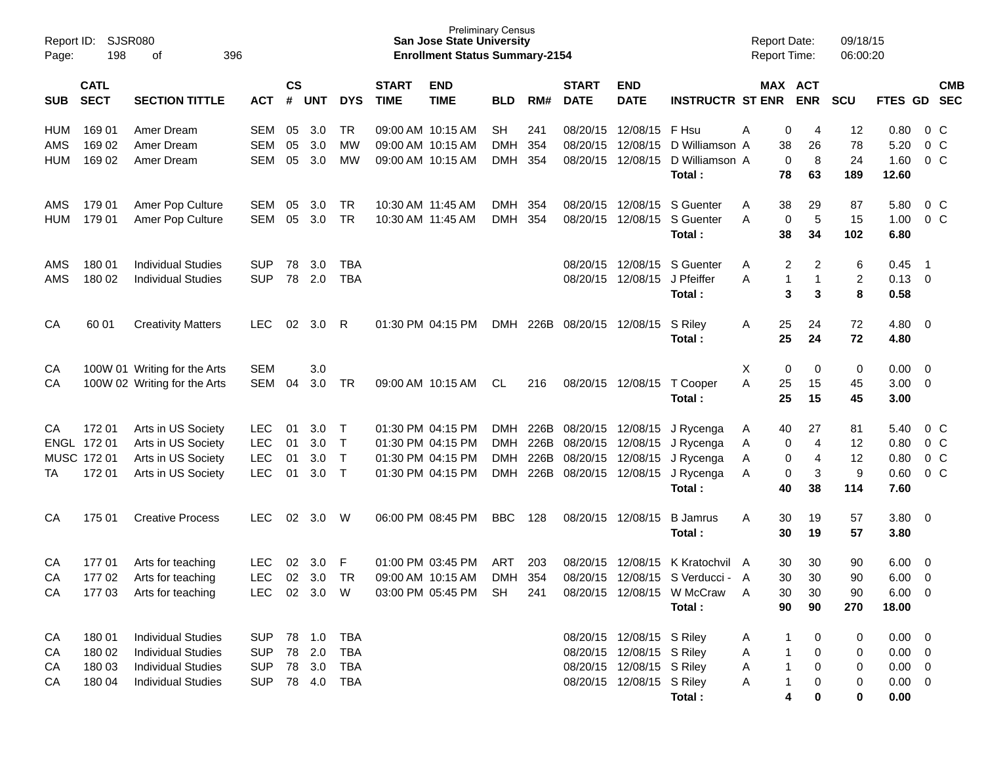| Report ID:<br>Page:             | 198                                            | SJSR080<br>396<br>οf                                                                                             |                                                      |                      |                                      |                                        |                                        | <b>Preliminary Census</b><br><b>San Jose State University</b><br><b>Enrollment Status Summary-2154</b> |                                               |                   |                                                                                                 |                                                                                                                  |                                                                                          | <b>Report Date:</b><br><b>Report Time:</b> |                                                           | 09/18/15<br>06:00:20       |                                                                  |                                                           |  |
|---------------------------------|------------------------------------------------|------------------------------------------------------------------------------------------------------------------|------------------------------------------------------|----------------------|--------------------------------------|----------------------------------------|----------------------------------------|--------------------------------------------------------------------------------------------------------|-----------------------------------------------|-------------------|-------------------------------------------------------------------------------------------------|------------------------------------------------------------------------------------------------------------------|------------------------------------------------------------------------------------------|--------------------------------------------|-----------------------------------------------------------|----------------------------|------------------------------------------------------------------|-----------------------------------------------------------|--|
| <b>SUB</b>                      | <b>CATL</b><br><b>SECT</b>                     | <b>SECTION TITTLE</b>                                                                                            | ACT                                                  | $\mathsf{cs}$<br>#   | <b>UNT</b>                           | <b>DYS</b>                             | <b>START</b><br><b>TIME</b>            | <b>END</b><br><b>TIME</b>                                                                              | <b>BLD</b>                                    | RM#               | <b>START</b><br><b>DATE</b>                                                                     | <b>END</b><br><b>DATE</b>                                                                                        | <b>INSTRUCTR ST ENR</b>                                                                  |                                            | MAX ACT<br><b>ENR</b>                                     | <b>SCU</b>                 | FTES GD SEC                                                      | <b>CMB</b>                                                |  |
| <b>HUM</b><br>AMS<br><b>HUM</b> | 169 01<br>169 02<br>169 02                     | Amer Dream<br>Amer Dream<br>Amer Dream                                                                           | SEM<br><b>SEM</b><br>SEM                             | 05<br>05<br>05       | 3.0<br>3.0<br>3.0                    | TR<br>МW<br>MW                         | 09:00 AM 10:15 AM                      | 09:00 AM 10:15 AM<br>09:00 AM 10:15 AM                                                                 | <b>SH</b><br><b>DMH</b><br><b>DMH</b>         | 241<br>354<br>354 | 08/20/15                                                                                        | 08/20/15 12/08/15 F Hsu<br>12/08/15                                                                              | D Williamson A<br>08/20/15 12/08/15 D Williamson A<br>Total:                             | A<br>38                                    | 0<br>4<br>26<br>0<br>8<br>78<br>63                        | 12<br>78<br>24<br>189      | 0.80<br>5.20<br>1.60<br>12.60                                    | 0 C<br>0 <sup>o</sup><br>0 <sup>o</sup>                   |  |
| AMS<br><b>HUM</b>               | 179 01<br>179 01                               | Amer Pop Culture<br>Amer Pop Culture                                                                             | SEM<br>SEM                                           | 05<br>05             | 3.0<br>3.0                           | TR<br>TR                               | 10:30 AM 11:45 AM<br>10:30 AM 11:45 AM |                                                                                                        | DMH<br><b>DMH</b>                             | 354<br>354        |                                                                                                 | 08/20/15 12/08/15                                                                                                | S Guenter<br>08/20/15 12/08/15 S Guenter<br>Total:                                       | 38<br>A<br>A                               | 29<br>0<br>5<br>34<br>38                                  | 87<br>15<br>102            | 5.80<br>1.00<br>6.80                                             | $0\,$ C<br>0 <sup>o</sup>                                 |  |
| AMS<br>AMS                      | 180 01<br>180 02                               | <b>Individual Studies</b><br><b>Individual Studies</b>                                                           | SUP<br><b>SUP</b>                                    | 78<br>78             | 3.0<br>2.0                           | TBA<br><b>TBA</b>                      |                                        |                                                                                                        |                                               |                   |                                                                                                 | 08/20/15 12/08/15<br>08/20/15 12/08/15 J Pfeiffer                                                                | S Guenter<br>Total:                                                                      | A<br>A                                     | 2<br>2<br>$\mathbf{1}$<br>1<br>3<br>3                     | 6<br>2<br>8                | 0.45<br>$0.13 \ 0$<br>0.58                                       | $\overline{\phantom{1}}$                                  |  |
| CA                              | 60 01                                          | <b>Creativity Matters</b>                                                                                        | LEC                                                  | 02                   | 3.0                                  | R                                      |                                        | 01:30 PM 04:15 PM                                                                                      |                                               |                   | DMH 226B 08/20/15 12/08/15                                                                      |                                                                                                                  | S Riley<br>Total:                                                                        | 25<br>Α                                    | 24<br>25<br>24                                            | 72<br>72                   | $4.80\ 0$<br>4.80                                                |                                                           |  |
| CA<br>CA                        |                                                | 100W 01 Writing for the Arts<br>100W 02 Writing for the Arts                                                     | SEM<br><b>SEM</b>                                    | 04                   | 3.0<br>3.0                           | TR                                     |                                        | 09:00 AM 10:15 AM                                                                                      | CL                                            | 216               |                                                                                                 | 08/20/15 12/08/15                                                                                                | T Cooper<br>Total:                                                                       | Χ<br>A<br>25<br>25                         | 0<br>0<br>15<br>15                                        | 0<br>45<br>45              | $0.00 \t 0$<br>$3.00 \ 0$<br>3.00                                |                                                           |  |
| CA<br>TA                        | 172 01<br>ENGL 172 01<br>MUSC 172 01<br>172 01 | Arts in US Society<br>Arts in US Society<br>Arts in US Society<br>Arts in US Society                             | <b>LEC</b><br><b>LEC</b><br><b>LEC</b><br>LEC        | 01<br>01<br>01<br>01 | 3.0<br>3.0<br>3.0<br>3.0             | $\top$<br>$\top$<br>$\top$<br>$\top$   |                                        | 01:30 PM 04:15 PM<br>01:30 PM 04:15 PM<br>01:30 PM 04:15 PM<br>01:30 PM 04:15 PM                       | DMH<br><b>DMH</b><br><b>DMH</b><br><b>DMH</b> | 226B              | 226B 08/20/15 12/08/15<br>226B 08/20/15 12/08/15<br>226B 08/20/15 12/08/15<br>08/20/15 12/08/15 |                                                                                                                  | J Rycenga<br>J Rycenga<br>J Rycenga<br>J Rycenga<br>Total:                               | 40<br>A<br>A<br>A<br>A<br>40               | 27<br>0<br>$\overline{4}$<br>0<br>4<br>0<br>3<br>38       | 81<br>12<br>12<br>9<br>114 | 5.40<br>0.80<br>0.80<br>0.60<br>7.60                             | 0 C<br>0 <sup>o</sup><br>0 <sup>o</sup><br>0 <sup>o</sup> |  |
| CА                              | 175 01                                         | <b>Creative Process</b>                                                                                          | <b>LEC</b>                                           | 02                   | 3.0                                  | W                                      | 06:00 PM 08:45 PM                      |                                                                                                        | <b>BBC</b>                                    | 128               |                                                                                                 | 08/20/15 12/08/15                                                                                                | <b>B</b> Jamrus<br>Total:                                                                | A<br>30<br>30                              | 19<br>19                                                  | 57<br>57                   | $3.80 \ 0$<br>3.80                                               |                                                           |  |
| CА<br>CA<br>CA                  | 17701<br>17702<br>17703                        | Arts for teaching<br>Arts for teaching<br>Arts for teaching                                                      | <b>LEC</b><br><b>LEC</b><br>LEC.                     | 02<br>02             | 3.0<br>3.0<br>02 3.0 W               | F<br><b>TR</b>                         |                                        | 01:00 PM 03:45 PM<br>09:00 AM 10:15 AM<br>03:00 PM 05:45 PM SH                                         | <b>ART</b><br><b>DMH</b>                      | 203<br>354<br>241 | 08/20/15                                                                                        | 12/08/15                                                                                                         | K Kratochvil<br>08/20/15 12/08/15 S Verducci - A<br>08/20/15 12/08/15 W McCraw<br>Total: | 30<br>A<br>Α                               | 30<br>30<br>30<br>30<br>30<br>90<br>90                    | 90<br>90<br>90<br>270      | 6.00<br>6.00<br>$6.00 \t 0$<br>18.00                             | $\overline{\phantom{0}}$<br>$\overline{0}$                |  |
| CA<br>CA<br>CA<br>CA            | 18001<br>180 02<br>180 03<br>180 04            | <b>Individual Studies</b><br><b>Individual Studies</b><br><b>Individual Studies</b><br><b>Individual Studies</b> | <b>SUP</b><br><b>SUP</b><br><b>SUP</b><br><b>SUP</b> |                      | 78 1.0<br>78 2.0<br>78 3.0<br>78 4.0 | TBA<br><b>TBA</b><br><b>TBA</b><br>TBA |                                        |                                                                                                        |                                               |                   |                                                                                                 | 08/20/15 12/08/15 S Riley<br>08/20/15 12/08/15 S Riley<br>08/20/15 12/08/15 S Riley<br>08/20/15 12/08/15 S Riley | Total:                                                                                   | A<br>Α<br>Α<br>A                           | 0<br>1<br>0<br>1<br>$\mathbf{1}$<br>0<br>1<br>0<br>4<br>0 | 0<br>0<br>0<br>0<br>0      | $0.00 \t 0$<br>$0.00 \t 0$<br>$0.00 \t 0$<br>$0.00 \t 0$<br>0.00 |                                                           |  |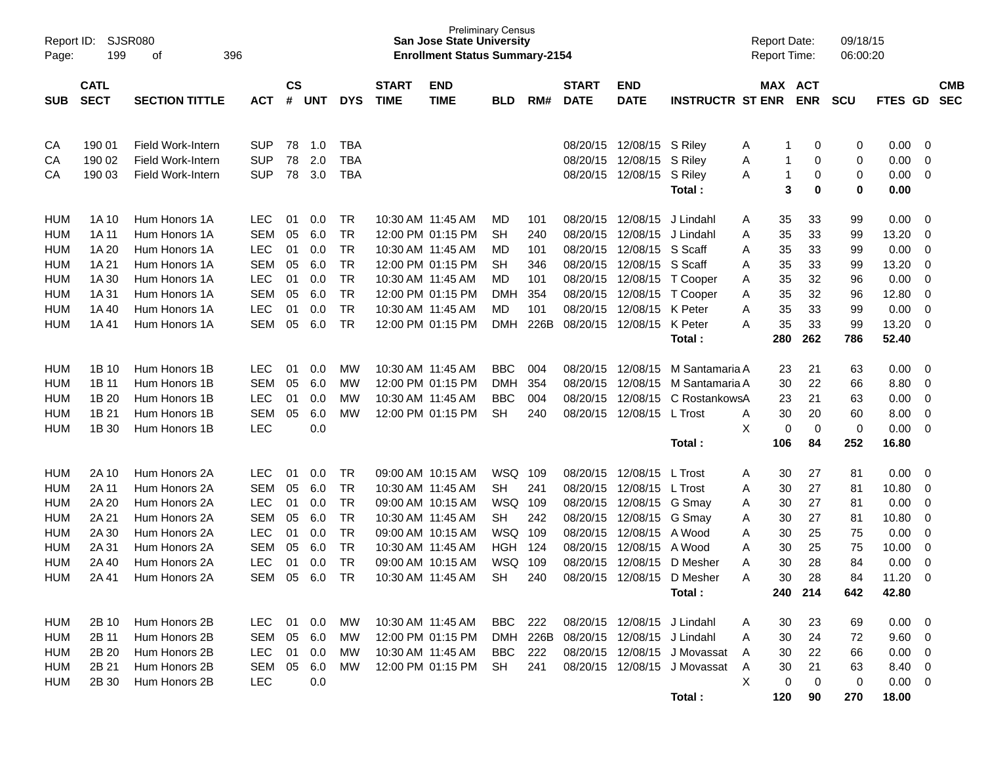| Report ID:<br>Page: | 199                        | SJSR080<br>396<br>οf  |            |                    |            |            |                             | <b>Preliminary Census</b><br><b>San Jose State University</b><br><b>Enrollment Status Summary-2154</b> |            |          |                             |                             |                              | <b>Report Date:</b><br><b>Report Time:</b> |                       | 09/18/15<br>06:00:20 |             |                         |                          |
|---------------------|----------------------------|-----------------------|------------|--------------------|------------|------------|-----------------------------|--------------------------------------------------------------------------------------------------------|------------|----------|-----------------------------|-----------------------------|------------------------------|--------------------------------------------|-----------------------|----------------------|-------------|-------------------------|--------------------------|
| <b>SUB</b>          | <b>CATL</b><br><b>SECT</b> | <b>SECTION TITTLE</b> | <b>ACT</b> | $\mathsf{cs}$<br># | <b>UNT</b> | <b>DYS</b> | <b>START</b><br><b>TIME</b> | <b>END</b><br><b>TIME</b>                                                                              | <b>BLD</b> | RM#      | <b>START</b><br><b>DATE</b> | <b>END</b><br><b>DATE</b>   | <b>INSTRUCTR ST ENR</b>      |                                            | MAX ACT<br><b>ENR</b> | <b>SCU</b>           | FTES GD     |                         | <b>CMB</b><br><b>SEC</b> |
|                     |                            |                       |            |                    |            |            |                             |                                                                                                        |            |          |                             |                             |                              |                                            |                       |                      |             |                         |                          |
| CA                  | 190 01                     | Field Work-Intern     | <b>SUP</b> | 78                 | 1.0        | <b>TBA</b> |                             |                                                                                                        |            |          | 08/20/15                    | 12/08/15                    | S Riley                      | Α                                          | 0                     | 0                    | 0.00        | 0                       |                          |
| CA                  | 190 02                     | Field Work-Intern     | <b>SUP</b> | 78                 | 2.0        | <b>TBA</b> |                             |                                                                                                        |            |          | 08/20/15                    | 12/08/15                    | S Riley                      | Α                                          | 0<br>1                | 0                    | 0.00        | $\mathbf 0$             |                          |
| CA                  | 190 03                     | Field Work-Intern     | <b>SUP</b> | 78                 | 3.0        | <b>TBA</b> |                             |                                                                                                        |            |          | 08/20/15                    | 12/08/15                    | S Riley                      | A                                          | 0<br>1                | 0                    | 0.00        | $\overline{0}$          |                          |
|                     |                            |                       |            |                    |            |            |                             |                                                                                                        |            |          |                             |                             | Total:                       |                                            | 3<br>0                | 0                    | 0.00        |                         |                          |
| <b>HUM</b>          | 1A 10                      | Hum Honors 1A         | <b>LEC</b> | 01                 | 0.0        | TR         |                             | 10:30 AM 11:45 AM                                                                                      | MD         | 101      | 08/20/15                    | 12/08/15                    | J Lindahl                    | Α                                          | 35<br>33              | 99                   | 0.00        | - 0                     |                          |
| <b>HUM</b>          | 1A 11                      | Hum Honors 1A         | <b>SEM</b> | 05                 | 6.0        | <b>TR</b>  |                             | 12:00 PM 01:15 PM                                                                                      | <b>SH</b>  | 240      | 08/20/15                    | 12/08/15                    | J Lindahl                    | Α                                          | 33<br>35              | 99                   | 13.20       | 0                       |                          |
| <b>HUM</b>          | 1A 20                      | Hum Honors 1A         | <b>LEC</b> | 01                 | 0.0        | <b>TR</b>  |                             | 10:30 AM 11:45 AM                                                                                      | MD         | 101      | 08/20/15                    | 12/08/15                    | S Scaff                      | Α                                          | 33<br>35              | 99                   | 0.00        | $\mathbf 0$             |                          |
| <b>HUM</b>          | 1A 21                      | Hum Honors 1A         | <b>SEM</b> | 05                 | 6.0        | <b>TR</b>  |                             | 12:00 PM 01:15 PM                                                                                      | <b>SH</b>  | 346      | 08/20/15                    | 12/08/15                    | S Scaff                      | Α                                          | 33<br>35              | 99                   | 13.20       | $\mathbf 0$             |                          |
| <b>HUM</b>          | 1A 30                      | Hum Honors 1A         | <b>LEC</b> | 01                 | 0.0        | <b>TR</b>  |                             | 10:30 AM 11:45 AM                                                                                      | MD         | 101      | 08/20/15                    | 12/08/15                    | T Cooper                     | Α                                          | 32<br>35              | 96                   | 0.00        | $\mathbf 0$             |                          |
| <b>HUM</b>          | 1A 31                      | Hum Honors 1A         | <b>SEM</b> | 05                 | 6.0        | <b>TR</b>  |                             | 12:00 PM 01:15 PM                                                                                      | <b>DMH</b> | 354      | 08/20/15                    | 12/08/15                    | T Cooper                     | Α                                          | 32<br>35              | 96                   | 12.80       | 0                       |                          |
| <b>HUM</b>          | 1A 40                      | Hum Honors 1A         | LEC        | 01                 | 0.0        | <b>TR</b>  |                             | 10:30 AM 11:45 AM                                                                                      | MD         | 101      | 08/20/15                    | 12/08/15                    | K Peter                      | Α                                          | 35<br>33              | 99                   | 0.00        | $\mathbf 0$             |                          |
| <b>HUM</b>          | 1A41                       | Hum Honors 1A         | <b>SEM</b> | 05                 | 6.0        | <b>TR</b>  |                             | 12:00 PM 01:15 PM                                                                                      | <b>DMH</b> | 226B     | 08/20/15                    | 12/08/15                    | K Peter                      | A                                          | 35<br>33              | 99                   | 13.20       | $\mathbf 0$             |                          |
|                     |                            |                       |            |                    |            |            |                             |                                                                                                        |            |          |                             |                             | Total:                       | 280                                        | 262                   | 786                  | 52.40       |                         |                          |
| <b>HUM</b>          | 1B 10                      | Hum Honors 1B         | <b>LEC</b> | 01                 | 0.0        | MW         | 10:30 AM 11:45 AM           |                                                                                                        | <b>BBC</b> | 004      | 08/20/15                    | 12/08/15                    | M Santamaria A               |                                            | 23<br>21              | 63                   | 0.00        | 0                       |                          |
| <b>HUM</b>          | 1B 11                      | Hum Honors 1B         | <b>SEM</b> | 05                 | 6.0        | MW         |                             | 12:00 PM 01:15 PM                                                                                      | <b>DMH</b> | 354      | 08/20/15                    | 12/08/15                    | M Santamaria A               |                                            | 30<br>22              | 66                   | 8.80        | 0                       |                          |
| <b>HUM</b>          | 1B 20                      | Hum Honors 1B         | <b>LEC</b> | 01                 | 0.0        | MW         |                             | 10:30 AM 11:45 AM                                                                                      | <b>BBC</b> | 004      | 08/20/15                    | 12/08/15                    | C RostankowsA                |                                            | 21<br>23              | 63                   | 0.00        | $\mathbf 0$             |                          |
| <b>HUM</b>          | 1B 21                      | Hum Honors 1B         | <b>SEM</b> | 05                 | 6.0        | MW         |                             | 12:00 PM 01:15 PM                                                                                      | <b>SH</b>  | 240      | 08/20/15                    | 12/08/15 L Trost            |                              | Α                                          | 30<br>20              | 60                   | 8.00        | $\mathbf 0$             |                          |
| <b>HUM</b>          | 1B 30                      | Hum Honors 1B         | <b>LEC</b> |                    | 0.0        |            |                             |                                                                                                        |            |          |                             |                             |                              | X                                          | 0<br>0                | 0                    | 0.00        | $\mathbf 0$             |                          |
|                     |                            |                       |            |                    |            |            |                             |                                                                                                        |            |          |                             |                             | Total:                       | 106                                        | 84                    | 252                  | 16.80       |                         |                          |
| HUM                 | 2A 10                      | Hum Honors 2A         | <b>LEC</b> | 01                 | 0.0        | TR         |                             | 09:00 AM 10:15 AM                                                                                      | WSQ 109    |          | 08/20/15                    | 12/08/15                    | L Trost                      | A                                          | 30<br>27              | 81                   | 0.00        | 0                       |                          |
| <b>HUM</b>          | 2A 11                      | Hum Honors 2A         | <b>SEM</b> | 05                 | 6.0        | <b>TR</b>  |                             | 10:30 AM 11:45 AM                                                                                      | <b>SH</b>  | 241      | 08/20/15                    | 12/08/15                    | L Trost                      | Α                                          | 27<br>30              | 81                   | 10.80       | 0                       |                          |
| <b>HUM</b>          | 2A 20                      | Hum Honors 2A         | <b>LEC</b> | 01                 | 0.0        | <b>TR</b>  |                             | 09:00 AM 10:15 AM                                                                                      | WSQ        | 109      | 08/20/15                    | 12/08/15                    | G Smay                       | Α                                          | 27<br>30              | 81                   | 0.00        | 0                       |                          |
| <b>HUM</b>          | 2A 21                      | Hum Honors 2A         | <b>SEM</b> | 05                 | 6.0        | <b>TR</b>  |                             | 10:30 AM 11:45 AM                                                                                      | <b>SH</b>  | 242      | 08/20/15                    | 12/08/15                    | G Smay                       | Α                                          | 27<br>30              | 81                   | 10.80       | $\mathbf 0$             |                          |
| <b>HUM</b>          | 2A 30                      | Hum Honors 2A         | <b>LEC</b> | 01                 | 0.0        | <b>TR</b>  |                             | 09:00 AM 10:15 AM                                                                                      | WSQ        | 109      | 08/20/15                    | 12/08/15                    | A Wood                       | Α                                          | 25<br>30              | 75                   | 0.00        | $\mathbf 0$             |                          |
| <b>HUM</b>          | 2A 31                      | Hum Honors 2A         | <b>SEM</b> | 05                 | 6.0        | <b>TR</b>  |                             | 10:30 AM 11:45 AM                                                                                      | <b>HGH</b> | 124      | 08/20/15                    | 12/08/15                    | A Wood                       | Α                                          | 30<br>25              | 75                   | 10.00       | 0                       |                          |
| <b>HUM</b>          | 2A 40                      | Hum Honors 2A         | <b>LEC</b> | 01                 | 0.0        | <b>TR</b>  |                             | 09:00 AM 10:15 AM                                                                                      | <b>WSQ</b> | 109      | 08/20/15                    | 12/08/15                    | D Mesher                     | Α                                          | 30<br>28              | 84                   | 0.00        | 0                       |                          |
| <b>HUM</b>          | 2A 41                      | Hum Honors 2A         | <b>SEM</b> | 05                 | 6.0        | <b>TR</b>  |                             | 10:30 AM 11:45 AM                                                                                      | <b>SH</b>  | 240      | 08/20/15                    | 12/08/15                    | D Mesher                     | А                                          | 30<br>28              | 84                   | 11.20       | $\Omega$                |                          |
|                     |                            |                       |            |                    |            |            |                             |                                                                                                        |            |          |                             |                             | Total:                       |                                            | 214<br>240            | 642                  | 42.80       |                         |                          |
| HUM                 | 2B 10                      | Hum Honors 2B         | <b>LEC</b> | 01                 | 0.0        | МW         |                             | 10:30 AM 11:45 AM                                                                                      | BBC        | 222      |                             | 08/20/15 12/08/15 J Lindahl |                              |                                            | 23<br>30              | 69                   | 0.00        | $\overline{\mathbf{0}}$ |                          |
| HUM                 | 2B 11                      | Hum Honors 2B         | <b>SEM</b> | 05                 | 6.0        | МW         |                             | 12:00 PM 01:15 PM                                                                                      |            | DMH 226B | 08/20/15                    | 12/08/15 J Lindahl          |                              | Α<br>A                                     | 24<br>30              | 72                   | 9.60        | $\overline{\mathbf{0}}$ |                          |
| HUM                 | 2B 20                      | Hum Honors 2B         | <b>LEC</b> | 01                 | 0.0        | MW         |                             | 10:30 AM 11:45 AM                                                                                      | <b>BBC</b> | 222      |                             | 08/20/15 12/08/15           | J Movassat                   | A                                          | 22<br>30              | 66                   | 0.00        | $\overline{0}$          |                          |
| <b>HUM</b>          | 2B 21                      | Hum Honors 2B         | SEM        | 05                 | 6.0        | MW         |                             | 12:00 PM 01:15 PM                                                                                      | <b>SH</b>  | 241      |                             |                             | 08/20/15 12/08/15 J Movassat | Α                                          | 21<br>30              | 63                   | 8.40        | $\overline{\mathbf{0}}$ |                          |
| <b>HUM</b>          | 2B 30                      | Hum Honors 2B         | <b>LEC</b> |                    | 0.0        |            |                             |                                                                                                        |            |          |                             |                             |                              | Χ                                          | 0<br>0                | 0                    | $0.00 \t 0$ |                         |                          |
|                     |                            |                       |            |                    |            |            |                             |                                                                                                        |            |          |                             |                             | Total:                       | 120                                        | 90                    | 270                  | 18.00       |                         |                          |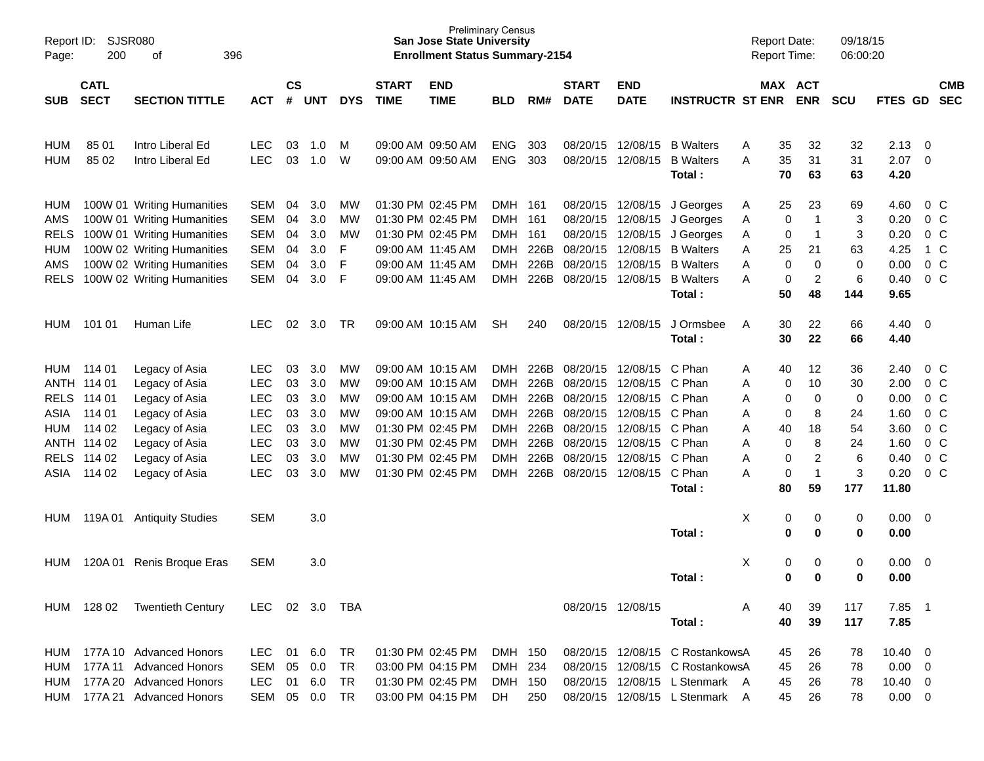| Report ID:<br>Page:                                             | SJSR080<br>200                                                                         | 396<br>οf                                                                                                                                                                        |                                                                                                              |                                              |                                                      |                                              |                             | <b>San Jose State University</b><br><b>Enrollment Status Summary-2154</b>                                                                                            | <b>Preliminary Census</b>                                   |                                                              |                                  |                                                                                                                                                  |                                                                                                                                        | <b>Report Date:</b><br>Report Time:                                                  |                                                                       | 09/18/15<br>06:00:20                             |                                                                       |                                                     |                                                                                                                                       |
|-----------------------------------------------------------------|----------------------------------------------------------------------------------------|----------------------------------------------------------------------------------------------------------------------------------------------------------------------------------|--------------------------------------------------------------------------------------------------------------|----------------------------------------------|------------------------------------------------------|----------------------------------------------|-----------------------------|----------------------------------------------------------------------------------------------------------------------------------------------------------------------|-------------------------------------------------------------|--------------------------------------------------------------|----------------------------------|--------------------------------------------------------------------------------------------------------------------------------------------------|----------------------------------------------------------------------------------------------------------------------------------------|--------------------------------------------------------------------------------------|-----------------------------------------------------------------------|--------------------------------------------------|-----------------------------------------------------------------------|-----------------------------------------------------|---------------------------------------------------------------------------------------------------------------------------------------|
| <b>SUB</b>                                                      | <b>CATL</b><br><b>SECT</b>                                                             | <b>SECTION TITTLE</b>                                                                                                                                                            | <b>ACT</b>                                                                                                   | $\mathsf{cs}$<br>#                           | <b>UNT</b>                                           | <b>DYS</b>                                   | <b>START</b><br><b>TIME</b> | <b>END</b><br><b>TIME</b>                                                                                                                                            | <b>BLD</b>                                                  | RM#                                                          | <b>START</b><br><b>DATE</b>      | <b>END</b><br><b>DATE</b>                                                                                                                        | <b>INSTRUCTR ST ENR</b>                                                                                                                | MAX ACT                                                                              | <b>ENR</b>                                                            | <b>SCU</b>                                       | FTES GD                                                               |                                                     | <b>CMB</b><br><b>SEC</b>                                                                                                              |
| HUM<br><b>HUM</b>                                               | 85 01<br>85 02                                                                         | Intro Liberal Ed<br>Intro Liberal Ed                                                                                                                                             | <b>LEC</b><br><b>LEC</b>                                                                                     | 03<br>03                                     | 1.0<br>1.0                                           | M<br>W                                       |                             | 09:00 AM 09:50 AM<br>09:00 AM 09:50 AM                                                                                                                               | <b>ENG</b><br><b>ENG</b>                                    | 303<br>303                                                   |                                  | 08/20/15 12/08/15<br>08/20/15 12/08/15                                                                                                           | <b>B</b> Walters<br><b>B</b> Walters<br>Total:                                                                                         | 35<br>Α<br>35<br>Α<br>70                                                             | 32<br>31<br>63                                                        | 32<br>31<br>63                                   | 2.13<br>2.07<br>4.20                                                  | $\overline{\mathbf{0}}$<br>$\overline{\phantom{0}}$ |                                                                                                                                       |
| HUM<br>AMS<br><b>RELS</b><br><b>HUM</b><br>AMS<br><b>RELS</b>   |                                                                                        | 100W 01 Writing Humanities<br>100W 01 Writing Humanities<br>100W 01 Writing Humanities<br>100W 02 Writing Humanities<br>100W 02 Writing Humanities<br>100W 02 Writing Humanities | SEM<br><b>SEM</b><br>SEM<br><b>SEM</b><br><b>SEM</b><br>SEM                                                  | 04<br>04<br>04<br>04<br>04<br>04             | 3.0<br>3.0<br>3.0<br>3.0<br>3.0<br>3.0               | MW<br>MW<br>MW<br>F<br>F<br>F                |                             | 01:30 PM 02:45 PM<br>01:30 PM 02:45 PM<br>01:30 PM 02:45 PM<br>09:00 AM 11:45 AM<br>09:00 AM 11:45 AM<br>09:00 AM 11:45 AM                                           | DMH 161<br>DMH 161<br>DMH 161<br>DMH<br><b>DMH</b><br>DMH   | 226B<br>226B<br>226B                                         |                                  | 08/20/15 12/08/15<br>08/20/15 12/08/15<br>08/20/15 12/08/15<br>08/20/15 12/08/15<br>08/20/15 12/08/15<br>08/20/15 12/08/15                       | J Georges<br>J Georges<br>J Georges<br><b>B</b> Walters<br><b>B</b> Walters<br><b>B</b> Walters<br>Total:                              | 25<br>A<br>0<br>Α<br>0<br>A<br>25<br>Α<br>0<br>Α<br>Α<br>0<br>50                     | 23<br>$\mathbf{1}$<br>$\mathbf 1$<br>21<br>0<br>2<br>48               | 69<br>3<br>3<br>63<br>0<br>6<br>144              | 4.60<br>0.20<br>0.20<br>4.25<br>0.00<br>0.40<br>9.65                  |                                                     | $0\,$ C<br>0 <sup>o</sup><br>0 <sup>o</sup><br>1 C<br>0 <sup>o</sup><br>0 <sup>o</sup>                                                |
| <b>HUM</b>                                                      | 101 01                                                                                 | Human Life                                                                                                                                                                       | <b>LEC</b>                                                                                                   | 02                                           | 3.0                                                  | TR                                           |                             | 09:00 AM 10:15 AM                                                                                                                                                    | <b>SH</b>                                                   | 240                                                          |                                  | 08/20/15 12/08/15                                                                                                                                | J Ormsbee<br>Total:                                                                                                                    | 30<br>A<br>30                                                                        | 22<br>22                                                              | 66<br>66                                         | 4.40<br>4.40                                                          | $\overline{\phantom{0}}$                            |                                                                                                                                       |
| HUM<br><b>RELS</b><br>ASIA<br><b>HUM</b><br><b>RELS</b><br>ASIA | 114 01<br>ANTH 114 01<br>114 01<br>114 01<br>114 02<br>ANTH 114 02<br>114 02<br>114 02 | Legacy of Asia<br>Legacy of Asia<br>Legacy of Asia<br>Legacy of Asia<br>Legacy of Asia<br>Legacy of Asia<br>Legacy of Asia<br>Legacy of Asia                                     | <b>LEC</b><br><b>LEC</b><br><b>LEC</b><br><b>LEC</b><br><b>LEC</b><br><b>LEC</b><br><b>LEC</b><br><b>LEC</b> | 03<br>03<br>03<br>03<br>03<br>03<br>03<br>03 | 3.0<br>3.0<br>3.0<br>3.0<br>3.0<br>3.0<br>3.0<br>3.0 | MW<br>MW<br>MW<br>MW<br>MW<br>MW<br>MW<br>MW |                             | 09:00 AM 10:15 AM<br>09:00 AM 10:15 AM<br>09:00 AM 10:15 AM<br>09:00 AM 10:15 AM<br>01:30 PM 02:45 PM<br>01:30 PM 02:45 PM<br>01:30 PM 02:45 PM<br>01:30 PM 02:45 PM | DMH<br>DMH<br>DMH<br>DMH<br>DMH<br>DMH<br><b>DMH</b><br>DMH | 226B<br>226B<br>226B<br>226B<br>226B<br>226B<br>226B<br>226B | 08/20/15<br>08/20/15<br>08/20/15 | 08/20/15 12/08/15<br>12/08/15<br>12/08/15<br>12/08/15<br>08/20/15 12/08/15<br>08/20/15 12/08/15<br>08/20/15 12/08/15<br>08/20/15 12/08/15 C Phan | C Phan<br>C Phan<br>C Phan<br>C Phan<br>C Phan<br>C Phan<br>C Phan<br>Total:                                                           | 40<br>Α<br>Α<br>0<br>Α<br>0<br>0<br>Α<br>40<br>Α<br>Α<br>0<br>0<br>Α<br>0<br>А<br>80 | 12<br>10<br>0<br>8<br>18<br>8<br>$\overline{c}$<br>$\mathbf{1}$<br>59 | 36<br>30<br>0<br>24<br>54<br>24<br>6<br>3<br>177 | 2.40<br>2.00<br>0.00<br>1.60<br>3.60<br>1.60<br>0.40<br>0.20<br>11.80 |                                                     | $0\,$ C<br>0 <sup>o</sup><br>0 <sup>o</sup><br>0 <sup>o</sup><br>0 <sup>o</sup><br>0 <sup>o</sup><br>0 <sup>o</sup><br>0 <sup>o</sup> |
| HUM                                                             | 119A 01                                                                                | <b>Antiquity Studies</b>                                                                                                                                                         | <b>SEM</b>                                                                                                   |                                              | 3.0                                                  |                                              |                             |                                                                                                                                                                      |                                                             |                                                              |                                  |                                                                                                                                                  | Total:                                                                                                                                 | X<br>0<br>$\mathbf 0$                                                                | 0<br>0                                                                | 0<br>0                                           | 0.00<br>0.00                                                          | $\overline{\mathbf{0}}$                             |                                                                                                                                       |
| HUM                                                             | 120A 01                                                                                | Renis Broque Eras                                                                                                                                                                | <b>SEM</b>                                                                                                   |                                              | 3.0                                                  |                                              |                             |                                                                                                                                                                      |                                                             |                                                              |                                  |                                                                                                                                                  | Total:                                                                                                                                 | X<br>0<br>0                                                                          | 0<br>0                                                                | 0<br>0                                           | 0.00<br>0.00                                                          | $\overline{\mathbf{0}}$                             |                                                                                                                                       |
|                                                                 | HUM 128 02                                                                             | <b>Twentieth Century</b>                                                                                                                                                         | <b>LEC</b>                                                                                                   |                                              | 02 3.0                                               | TBA                                          |                             |                                                                                                                                                                      |                                                             |                                                              |                                  | 08/20/15 12/08/15                                                                                                                                | Total:                                                                                                                                 | 40<br>40                                                                             | 39<br>39                                                              | 117<br>117                                       | 7.85 1<br>7.85                                                        |                                                     |                                                                                                                                       |
| HUM<br><b>HUM</b><br>HUM<br>HUM                                 |                                                                                        | 177A 10 Advanced Honors<br>177A 11 Advanced Honors<br>177A 20 Advanced Honors<br>177A 21 Advanced Honors                                                                         | LEC.<br>SEM<br><b>LEC</b><br>SEM                                                                             | 01<br>05<br>01<br>05                         | 6.0<br>0.0<br>6.0<br>0.0                             | TR<br><b>TR</b><br><b>TR</b><br><b>TR</b>    |                             | 01:30 PM 02:45 PM<br>03:00 PM 04:15 PM<br>01:30 PM 02:45 PM<br>03:00 PM 04:15 PM                                                                                     | DMH 150<br>DMH 234<br>DMH 150<br>DH                         | 250                                                          |                                  |                                                                                                                                                  | 08/20/15 12/08/15 C RostankowsA<br>08/20/15 12/08/15 C RostankowsA<br>08/20/15 12/08/15 L Stenmark A<br>08/20/15 12/08/15 L Stenmark A | 45<br>45<br>45<br>45                                                                 | 26<br>26<br>26<br>26                                                  | 78<br>78<br>78<br>78                             | $10.40 \ 0$<br>$0.00 \t 0$<br>10.40 0<br>$0.00 \t 0$                  |                                                     |                                                                                                                                       |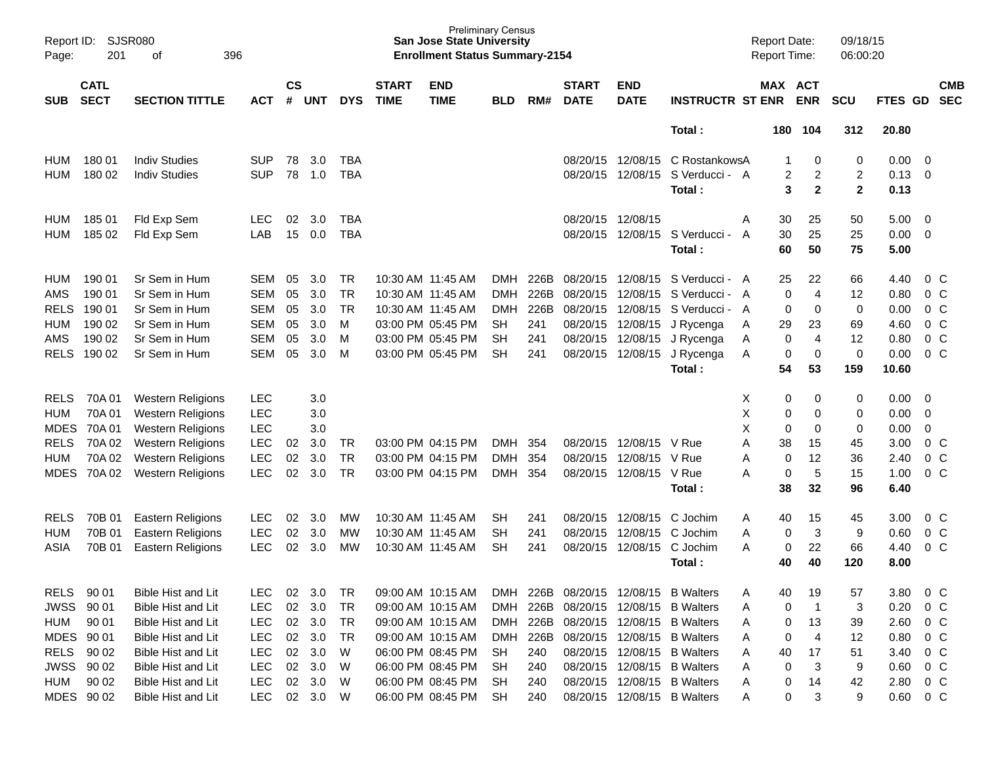| $\mathsf{cs}$<br><b>CATL</b><br><b>START</b><br><b>END</b><br><b>START</b><br><b>END</b><br>MAX ACT<br><b>CMB</b><br><b>SECT</b><br><b>TIME</b><br><b>SEC</b><br><b>SECTION TITTLE</b><br>#<br><b>DYS</b><br><b>TIME</b><br>RM#<br><b>DATE</b><br><b>DATE</b><br><b>INSTRUCTR ST ENR</b><br><b>ENR</b><br><b>SCU</b><br>FTES GD<br><b>SUB</b><br><b>ACT</b><br><b>UNT</b><br><b>BLD</b><br>Total:<br>312<br>20.80<br>180<br>104<br>180 01<br><b>Indiv Studies</b><br>3.0<br>12/08/15<br><b>SUP</b><br>78<br><b>TBA</b><br>08/20/15<br>C RostankowsA<br>0<br>0<br>0.00<br>- 0<br>HUM<br>78<br>S Verducci - A<br>$\overline{c}$<br>2<br>180 02<br><b>Indiv Studies</b><br><b>SUP</b><br>1.0<br><b>TBA</b><br>08/20/15<br>12/08/15<br>2<br>0.13<br>$\overline{0}$<br><b>HUM</b><br>$\mathbf 2$<br>$\mathbf{2}$<br>3<br>0.13<br>Total:<br>185 01<br>02<br>3.0<br>08/20/15 12/08/15<br>Fld Exp Sem<br><b>LEC</b><br><b>TBA</b><br>Α<br>30<br>25<br>50<br>5.00<br>- 0<br>HUM<br>25<br>185 02<br>LAB<br>15<br>0.0<br><b>TBA</b><br>08/20/15<br>12/08/15<br>S Verducci - A<br>30<br>25<br>0.00<br>$\overline{0}$<br><b>HUM</b><br>Fld Exp Sem<br>75<br>Total:<br>60<br>50<br>5.00<br>190 01<br>Sr Sem in Hum<br>3.0<br>10:30 AM 11:45 AM<br>08/20/15 12/08/15<br>22<br>66<br>HUM<br>SEM<br>05<br>TR<br><b>DMH</b><br>226B<br>S Verducci - A<br>25<br>4.40<br>0 <sup>o</sup><br>$\overline{4}$<br>AMS<br>190 01<br>Sr Sem in Hum<br><b>SEM</b><br>05<br>3.0<br><b>TR</b><br>10:30 AM 11:45 AM<br><b>DMH</b><br>226B<br>08/20/15<br>S Verducci - A<br>$\mathbf 0$<br>12<br>0.80<br>0 <sup>o</sup><br>12/08/15<br><b>RELS</b><br>190 01<br><b>SEM</b><br>05<br>3.0<br><b>TR</b><br>10:30 AM 11:45 AM<br><b>DMH</b><br>226B<br>08/20/15<br>12/08/15<br>S Verducci - A<br>0<br>0<br>0<br>0.00<br>0 <sup>o</sup><br>Sr Sem in Hum<br>0 <sub>C</sub><br>190 02<br><b>SEM</b><br>05<br>3.0<br>M<br>03:00 PM 05:45 PM<br>08/20/15<br>12/08/15<br>29<br>23<br>69<br>4.60<br><b>HUM</b><br>Sr Sem in Hum<br><b>SH</b><br>241<br>J Rycenga<br>A<br>$\overline{4}$<br>AMS<br>190 02<br><b>SEM</b><br>05<br>3.0<br>M<br>03:00 PM 05:45 PM<br><b>SH</b><br>241<br>08/20/15<br>12/08/15<br>0<br>12<br>0.80<br>0 <sup>o</sup><br>Sr Sem in Hum<br>J Rycenga<br>Α<br>$\mathbf 0$<br><b>RELS</b><br>190 02<br>Sr Sem in Hum<br><b>SEM</b><br>05<br>3.0<br>M<br>03:00 PM 05:45 PM<br><b>SH</b><br>08/20/15 12/08/15<br>J Rycenga<br>0<br>0<br>0.00<br>0 <sup>o</sup><br>241<br>Α<br>54<br>Total:<br>53<br>159<br>10.60<br>70A 01<br><b>LEC</b><br>3.0<br>Х<br>0<br>0<br><b>RELS</b><br><b>Western Religions</b><br>0<br>0.00<br>- 0<br>Χ<br>70A01<br><b>Western Religions</b><br><b>LEC</b><br>3.0<br>0<br>0<br>0.00<br>$\mathbf 0$<br>0<br>X<br>70A 01<br><b>Western Religions</b><br><b>LEC</b><br>3.0<br>0<br>0<br>0<br>0.00<br>0<br><b>RELS</b><br>70A 02<br><b>Western Religions</b><br><b>LEC</b><br>3.0<br>03:00 PM 04:15 PM<br>08/20/15<br>12/08/15<br>A<br>38<br>15<br>45<br>3.00<br>$0\,C$<br>02<br>TR<br><b>DMH</b><br>354<br>V Rue<br>02<br>12<br>0 <sub>C</sub><br><b>HUM</b><br>70A 02<br><b>Western Religions</b><br><b>LEC</b><br>3.0<br><b>TR</b><br>03:00 PM 04:15 PM<br><b>DMH</b><br>354<br>08/20/15<br>12/08/15<br>V Rue<br>36<br>2.40<br>A<br>0<br>02<br>5<br><b>MDES</b><br>70A 02<br><b>LEC</b><br>3.0<br><b>TR</b><br><b>DMH</b><br>354<br>08/20/15 12/08/15<br>V Rue<br>A<br>15<br>1.00<br>0 <sup>o</sup><br><b>Western Religions</b><br>03:00 PM 04:15 PM<br>0<br>32<br>Total:<br>38<br>96<br>6.40<br>70B 01<br>10:30 AM 11:45 AM<br>12/08/15<br>C Jochim<br><b>Eastern Religions</b><br><b>LEC</b><br>02<br>3.0<br>МW<br>SH<br>241<br>08/20/15<br>A<br>40<br>15<br>45<br>3.00<br>0 <sup>o</sup><br>3<br>9<br>70B 01<br><b>Eastern Religions</b><br><b>LEC</b><br>02<br>3.0<br>10:30 AM 11:45 AM<br>241<br>08/20/15<br>12/08/15<br>C Jochim<br>0.60<br>0 <sub>c</sub><br>HUM<br>MW<br><b>SH</b><br>A<br>0<br>C Jochim<br>70B 01<br><b>LEC</b><br>02<br>3.0<br>241<br>08/20/15<br>12/08/15<br>22<br>66<br>4.40<br>0 <sup>o</sup><br>ASIA<br>Eastern Religions<br><b>MW</b><br>10:30 AM 11:45 AM<br><b>SH</b><br>A<br>0<br>Total:<br>40<br>120<br>8.00<br>40<br>RELS 90 01<br>Bible Hist and Lit<br>02<br>3.0<br>TR<br>09:00 AM 10:15 AM<br>40<br>19<br>3.80<br>0 <sup>o</sup><br>LEC.<br>DMH 226B 08/20/15 12/08/15 B Walters<br>Α<br>57<br>JWSS 90 01<br>02<br>3.0<br>Bible Hist and Lit<br><b>LEC</b><br>TR<br>09:00 AM 10:15 AM<br>226B 08/20/15 12/08/15<br>$\mathbf 1$<br>3<br>0.20<br>$0\,C$<br>DMH<br><b>B</b> Walters<br>0<br>Α<br>HUM<br>90 01<br>02 3.0<br>$0\,C$<br>Bible Hist and Lit<br>LEC<br>TR<br>09:00 AM 10:15 AM<br>DMH 226B 08/20/15 12/08/15 B Walters<br>13<br>2.60<br>0<br>39<br>A<br>MDES 90 01<br>02 3.0<br>$0\,C$<br>Bible Hist and Lit<br>LEC<br>TR<br>09:00 AM 10:15 AM<br>DMH 226B 08/20/15 12/08/15 B Walters<br>4<br>12<br>0.80<br>0<br>A<br>RELS 90 02<br>02 3.0<br>Bible Hist and Lit<br>LEC<br>W<br>06:00 PM 08:45 PM<br>240<br>08/20/15 12/08/15 B Walters<br>3.40<br>$0\,C$<br>SH<br>40<br>17<br>51<br>A<br>JWSS 90 02<br>02 3.0<br>3<br>$0\,C$<br>Bible Hist and Lit<br>LEC<br>06:00 PM 08:45 PM<br>08/20/15 12/08/15 B Walters<br>9<br>0.60<br>W<br>-SH<br>240<br>0<br>Α<br>90 02<br>02 3.0<br>08/20/15 12/08/15 B Walters<br>$0\,C$<br>HUM<br>Bible Hist and Lit<br>LEC<br>06:00 PM 08:45 PM<br>14<br>42<br>2.80<br>W<br>SH<br>240<br>0<br>A<br>MDES 90 02<br>LEC 02 3.0 W<br>06:00 PM 08:45 PM SH<br>08/20/15 12/08/15 B Walters<br>$0\,$ C | Report ID:<br>Page: | SJSR080<br>201 | 396<br>of          |  |  | <b>Preliminary Census</b><br><b>San Jose State University</b><br><b>Enrollment Status Summary-2154</b> |     |  |   |   | <b>Report Date:</b><br>Report Time: | 09/18/15<br>06:00:20 |      |  |
|-----------------------------------------------------------------------------------------------------------------------------------------------------------------------------------------------------------------------------------------------------------------------------------------------------------------------------------------------------------------------------------------------------------------------------------------------------------------------------------------------------------------------------------------------------------------------------------------------------------------------------------------------------------------------------------------------------------------------------------------------------------------------------------------------------------------------------------------------------------------------------------------------------------------------------------------------------------------------------------------------------------------------------------------------------------------------------------------------------------------------------------------------------------------------------------------------------------------------------------------------------------------------------------------------------------------------------------------------------------------------------------------------------------------------------------------------------------------------------------------------------------------------------------------------------------------------------------------------------------------------------------------------------------------------------------------------------------------------------------------------------------------------------------------------------------------------------------------------------------------------------------------------------------------------------------------------------------------------------------------------------------------------------------------------------------------------------------------------------------------------------------------------------------------------------------------------------------------------------------------------------------------------------------------------------------------------------------------------------------------------------------------------------------------------------------------------------------------------------------------------------------------------------------------------------------------------------------------------------------------------------------------------------------------------------------------------------------------------------------------------------------------------------------------------------------------------------------------------------------------------------------------------------------------------------------------------------------------------------------------------------------------------------------------------------------------------------------------------------------------------------------------------------------------------------------------------------------------------------------------------------------------------------------------------------------------------------------------------------------------------------------------------------------------------------------------------------------------------------------------------------------------------------------------------------------------------------------------------------------------------------------------------------------------------------------------------------------------------------------------------------------------------------------------------------------------------------------------------------------------------------------------------------------------------------------------------------------------------------------------------------------------------------------------------------------------------------------------------------------------------------------------------------------------------------------------------------------------------------------------------------------------------------------------------------------------------------------------------------------------------------------------------------------------------------------------------------------------------------------------------------------------------------------------------------------------------------------------------------------------------------------------------------------------------------------------------------------------------------------------------------------------------------------------------------------------------------------------------------------------------------------------------------------------------------------------------------------------------------------------------------------------------------------------------------------------------------------------------------------------------------------------------------------------------------------------------------------------------------------------------------------------------------------------------------------------------------------------------------------------------------------------------------------------------------------------------------------------------------------|---------------------|----------------|--------------------|--|--|--------------------------------------------------------------------------------------------------------|-----|--|---|---|-------------------------------------|----------------------|------|--|
|                                                                                                                                                                                                                                                                                                                                                                                                                                                                                                                                                                                                                                                                                                                                                                                                                                                                                                                                                                                                                                                                                                                                                                                                                                                                                                                                                                                                                                                                                                                                                                                                                                                                                                                                                                                                                                                                                                                                                                                                                                                                                                                                                                                                                                                                                                                                                                                                                                                                                                                                                                                                                                                                                                                                                                                                                                                                                                                                                                                                                                                                                                                                                                                                                                                                                                                                                                                                                                                                                                                                                                                                                                                                                                                                                                                                                                                                                                                                                                                                                                                                                                                                                                                                                                                                                                                                                                                                                                                                                                                                                                                                                                                                                                                                                                                                                                                                                                                                                                                                                                                                                                                                                                                                                                                                                                                                                                                                                                                                                   |                     |                |                    |  |  |                                                                                                        |     |  |   |   |                                     |                      |      |  |
|                                                                                                                                                                                                                                                                                                                                                                                                                                                                                                                                                                                                                                                                                                                                                                                                                                                                                                                                                                                                                                                                                                                                                                                                                                                                                                                                                                                                                                                                                                                                                                                                                                                                                                                                                                                                                                                                                                                                                                                                                                                                                                                                                                                                                                                                                                                                                                                                                                                                                                                                                                                                                                                                                                                                                                                                                                                                                                                                                                                                                                                                                                                                                                                                                                                                                                                                                                                                                                                                                                                                                                                                                                                                                                                                                                                                                                                                                                                                                                                                                                                                                                                                                                                                                                                                                                                                                                                                                                                                                                                                                                                                                                                                                                                                                                                                                                                                                                                                                                                                                                                                                                                                                                                                                                                                                                                                                                                                                                                                                   |                     |                |                    |  |  |                                                                                                        |     |  |   |   |                                     |                      |      |  |
|                                                                                                                                                                                                                                                                                                                                                                                                                                                                                                                                                                                                                                                                                                                                                                                                                                                                                                                                                                                                                                                                                                                                                                                                                                                                                                                                                                                                                                                                                                                                                                                                                                                                                                                                                                                                                                                                                                                                                                                                                                                                                                                                                                                                                                                                                                                                                                                                                                                                                                                                                                                                                                                                                                                                                                                                                                                                                                                                                                                                                                                                                                                                                                                                                                                                                                                                                                                                                                                                                                                                                                                                                                                                                                                                                                                                                                                                                                                                                                                                                                                                                                                                                                                                                                                                                                                                                                                                                                                                                                                                                                                                                                                                                                                                                                                                                                                                                                                                                                                                                                                                                                                                                                                                                                                                                                                                                                                                                                                                                   |                     |                |                    |  |  |                                                                                                        |     |  |   |   |                                     |                      |      |  |
|                                                                                                                                                                                                                                                                                                                                                                                                                                                                                                                                                                                                                                                                                                                                                                                                                                                                                                                                                                                                                                                                                                                                                                                                                                                                                                                                                                                                                                                                                                                                                                                                                                                                                                                                                                                                                                                                                                                                                                                                                                                                                                                                                                                                                                                                                                                                                                                                                                                                                                                                                                                                                                                                                                                                                                                                                                                                                                                                                                                                                                                                                                                                                                                                                                                                                                                                                                                                                                                                                                                                                                                                                                                                                                                                                                                                                                                                                                                                                                                                                                                                                                                                                                                                                                                                                                                                                                                                                                                                                                                                                                                                                                                                                                                                                                                                                                                                                                                                                                                                                                                                                                                                                                                                                                                                                                                                                                                                                                                                                   |                     |                |                    |  |  |                                                                                                        |     |  |   |   |                                     |                      |      |  |
|                                                                                                                                                                                                                                                                                                                                                                                                                                                                                                                                                                                                                                                                                                                                                                                                                                                                                                                                                                                                                                                                                                                                                                                                                                                                                                                                                                                                                                                                                                                                                                                                                                                                                                                                                                                                                                                                                                                                                                                                                                                                                                                                                                                                                                                                                                                                                                                                                                                                                                                                                                                                                                                                                                                                                                                                                                                                                                                                                                                                                                                                                                                                                                                                                                                                                                                                                                                                                                                                                                                                                                                                                                                                                                                                                                                                                                                                                                                                                                                                                                                                                                                                                                                                                                                                                                                                                                                                                                                                                                                                                                                                                                                                                                                                                                                                                                                                                                                                                                                                                                                                                                                                                                                                                                                                                                                                                                                                                                                                                   |                     |                |                    |  |  |                                                                                                        |     |  |   |   |                                     |                      |      |  |
|                                                                                                                                                                                                                                                                                                                                                                                                                                                                                                                                                                                                                                                                                                                                                                                                                                                                                                                                                                                                                                                                                                                                                                                                                                                                                                                                                                                                                                                                                                                                                                                                                                                                                                                                                                                                                                                                                                                                                                                                                                                                                                                                                                                                                                                                                                                                                                                                                                                                                                                                                                                                                                                                                                                                                                                                                                                                                                                                                                                                                                                                                                                                                                                                                                                                                                                                                                                                                                                                                                                                                                                                                                                                                                                                                                                                                                                                                                                                                                                                                                                                                                                                                                                                                                                                                                                                                                                                                                                                                                                                                                                                                                                                                                                                                                                                                                                                                                                                                                                                                                                                                                                                                                                                                                                                                                                                                                                                                                                                                   |                     |                |                    |  |  |                                                                                                        |     |  |   |   |                                     |                      |      |  |
|                                                                                                                                                                                                                                                                                                                                                                                                                                                                                                                                                                                                                                                                                                                                                                                                                                                                                                                                                                                                                                                                                                                                                                                                                                                                                                                                                                                                                                                                                                                                                                                                                                                                                                                                                                                                                                                                                                                                                                                                                                                                                                                                                                                                                                                                                                                                                                                                                                                                                                                                                                                                                                                                                                                                                                                                                                                                                                                                                                                                                                                                                                                                                                                                                                                                                                                                                                                                                                                                                                                                                                                                                                                                                                                                                                                                                                                                                                                                                                                                                                                                                                                                                                                                                                                                                                                                                                                                                                                                                                                                                                                                                                                                                                                                                                                                                                                                                                                                                                                                                                                                                                                                                                                                                                                                                                                                                                                                                                                                                   |                     |                |                    |  |  |                                                                                                        |     |  |   |   |                                     |                      |      |  |
|                                                                                                                                                                                                                                                                                                                                                                                                                                                                                                                                                                                                                                                                                                                                                                                                                                                                                                                                                                                                                                                                                                                                                                                                                                                                                                                                                                                                                                                                                                                                                                                                                                                                                                                                                                                                                                                                                                                                                                                                                                                                                                                                                                                                                                                                                                                                                                                                                                                                                                                                                                                                                                                                                                                                                                                                                                                                                                                                                                                                                                                                                                                                                                                                                                                                                                                                                                                                                                                                                                                                                                                                                                                                                                                                                                                                                                                                                                                                                                                                                                                                                                                                                                                                                                                                                                                                                                                                                                                                                                                                                                                                                                                                                                                                                                                                                                                                                                                                                                                                                                                                                                                                                                                                                                                                                                                                                                                                                                                                                   |                     |                |                    |  |  |                                                                                                        |     |  |   |   |                                     |                      |      |  |
|                                                                                                                                                                                                                                                                                                                                                                                                                                                                                                                                                                                                                                                                                                                                                                                                                                                                                                                                                                                                                                                                                                                                                                                                                                                                                                                                                                                                                                                                                                                                                                                                                                                                                                                                                                                                                                                                                                                                                                                                                                                                                                                                                                                                                                                                                                                                                                                                                                                                                                                                                                                                                                                                                                                                                                                                                                                                                                                                                                                                                                                                                                                                                                                                                                                                                                                                                                                                                                                                                                                                                                                                                                                                                                                                                                                                                                                                                                                                                                                                                                                                                                                                                                                                                                                                                                                                                                                                                                                                                                                                                                                                                                                                                                                                                                                                                                                                                                                                                                                                                                                                                                                                                                                                                                                                                                                                                                                                                                                                                   |                     |                |                    |  |  |                                                                                                        |     |  |   |   |                                     |                      |      |  |
|                                                                                                                                                                                                                                                                                                                                                                                                                                                                                                                                                                                                                                                                                                                                                                                                                                                                                                                                                                                                                                                                                                                                                                                                                                                                                                                                                                                                                                                                                                                                                                                                                                                                                                                                                                                                                                                                                                                                                                                                                                                                                                                                                                                                                                                                                                                                                                                                                                                                                                                                                                                                                                                                                                                                                                                                                                                                                                                                                                                                                                                                                                                                                                                                                                                                                                                                                                                                                                                                                                                                                                                                                                                                                                                                                                                                                                                                                                                                                                                                                                                                                                                                                                                                                                                                                                                                                                                                                                                                                                                                                                                                                                                                                                                                                                                                                                                                                                                                                                                                                                                                                                                                                                                                                                                                                                                                                                                                                                                                                   |                     |                |                    |  |  |                                                                                                        |     |  |   |   |                                     |                      |      |  |
|                                                                                                                                                                                                                                                                                                                                                                                                                                                                                                                                                                                                                                                                                                                                                                                                                                                                                                                                                                                                                                                                                                                                                                                                                                                                                                                                                                                                                                                                                                                                                                                                                                                                                                                                                                                                                                                                                                                                                                                                                                                                                                                                                                                                                                                                                                                                                                                                                                                                                                                                                                                                                                                                                                                                                                                                                                                                                                                                                                                                                                                                                                                                                                                                                                                                                                                                                                                                                                                                                                                                                                                                                                                                                                                                                                                                                                                                                                                                                                                                                                                                                                                                                                                                                                                                                                                                                                                                                                                                                                                                                                                                                                                                                                                                                                                                                                                                                                                                                                                                                                                                                                                                                                                                                                                                                                                                                                                                                                                                                   |                     |                |                    |  |  |                                                                                                        |     |  |   |   |                                     |                      |      |  |
|                                                                                                                                                                                                                                                                                                                                                                                                                                                                                                                                                                                                                                                                                                                                                                                                                                                                                                                                                                                                                                                                                                                                                                                                                                                                                                                                                                                                                                                                                                                                                                                                                                                                                                                                                                                                                                                                                                                                                                                                                                                                                                                                                                                                                                                                                                                                                                                                                                                                                                                                                                                                                                                                                                                                                                                                                                                                                                                                                                                                                                                                                                                                                                                                                                                                                                                                                                                                                                                                                                                                                                                                                                                                                                                                                                                                                                                                                                                                                                                                                                                                                                                                                                                                                                                                                                                                                                                                                                                                                                                                                                                                                                                                                                                                                                                                                                                                                                                                                                                                                                                                                                                                                                                                                                                                                                                                                                                                                                                                                   |                     |                |                    |  |  |                                                                                                        |     |  |   |   |                                     |                      |      |  |
|                                                                                                                                                                                                                                                                                                                                                                                                                                                                                                                                                                                                                                                                                                                                                                                                                                                                                                                                                                                                                                                                                                                                                                                                                                                                                                                                                                                                                                                                                                                                                                                                                                                                                                                                                                                                                                                                                                                                                                                                                                                                                                                                                                                                                                                                                                                                                                                                                                                                                                                                                                                                                                                                                                                                                                                                                                                                                                                                                                                                                                                                                                                                                                                                                                                                                                                                                                                                                                                                                                                                                                                                                                                                                                                                                                                                                                                                                                                                                                                                                                                                                                                                                                                                                                                                                                                                                                                                                                                                                                                                                                                                                                                                                                                                                                                                                                                                                                                                                                                                                                                                                                                                                                                                                                                                                                                                                                                                                                                                                   |                     |                |                    |  |  |                                                                                                        |     |  |   |   |                                     |                      |      |  |
|                                                                                                                                                                                                                                                                                                                                                                                                                                                                                                                                                                                                                                                                                                                                                                                                                                                                                                                                                                                                                                                                                                                                                                                                                                                                                                                                                                                                                                                                                                                                                                                                                                                                                                                                                                                                                                                                                                                                                                                                                                                                                                                                                                                                                                                                                                                                                                                                                                                                                                                                                                                                                                                                                                                                                                                                                                                                                                                                                                                                                                                                                                                                                                                                                                                                                                                                                                                                                                                                                                                                                                                                                                                                                                                                                                                                                                                                                                                                                                                                                                                                                                                                                                                                                                                                                                                                                                                                                                                                                                                                                                                                                                                                                                                                                                                                                                                                                                                                                                                                                                                                                                                                                                                                                                                                                                                                                                                                                                                                                   |                     |                |                    |  |  |                                                                                                        |     |  |   |   |                                     |                      |      |  |
|                                                                                                                                                                                                                                                                                                                                                                                                                                                                                                                                                                                                                                                                                                                                                                                                                                                                                                                                                                                                                                                                                                                                                                                                                                                                                                                                                                                                                                                                                                                                                                                                                                                                                                                                                                                                                                                                                                                                                                                                                                                                                                                                                                                                                                                                                                                                                                                                                                                                                                                                                                                                                                                                                                                                                                                                                                                                                                                                                                                                                                                                                                                                                                                                                                                                                                                                                                                                                                                                                                                                                                                                                                                                                                                                                                                                                                                                                                                                                                                                                                                                                                                                                                                                                                                                                                                                                                                                                                                                                                                                                                                                                                                                                                                                                                                                                                                                                                                                                                                                                                                                                                                                                                                                                                                                                                                                                                                                                                                                                   |                     |                |                    |  |  |                                                                                                        |     |  |   |   |                                     |                      |      |  |
|                                                                                                                                                                                                                                                                                                                                                                                                                                                                                                                                                                                                                                                                                                                                                                                                                                                                                                                                                                                                                                                                                                                                                                                                                                                                                                                                                                                                                                                                                                                                                                                                                                                                                                                                                                                                                                                                                                                                                                                                                                                                                                                                                                                                                                                                                                                                                                                                                                                                                                                                                                                                                                                                                                                                                                                                                                                                                                                                                                                                                                                                                                                                                                                                                                                                                                                                                                                                                                                                                                                                                                                                                                                                                                                                                                                                                                                                                                                                                                                                                                                                                                                                                                                                                                                                                                                                                                                                                                                                                                                                                                                                                                                                                                                                                                                                                                                                                                                                                                                                                                                                                                                                                                                                                                                                                                                                                                                                                                                                                   | <b>HUM</b>          |                |                    |  |  |                                                                                                        |     |  |   |   |                                     |                      |      |  |
|                                                                                                                                                                                                                                                                                                                                                                                                                                                                                                                                                                                                                                                                                                                                                                                                                                                                                                                                                                                                                                                                                                                                                                                                                                                                                                                                                                                                                                                                                                                                                                                                                                                                                                                                                                                                                                                                                                                                                                                                                                                                                                                                                                                                                                                                                                                                                                                                                                                                                                                                                                                                                                                                                                                                                                                                                                                                                                                                                                                                                                                                                                                                                                                                                                                                                                                                                                                                                                                                                                                                                                                                                                                                                                                                                                                                                                                                                                                                                                                                                                                                                                                                                                                                                                                                                                                                                                                                                                                                                                                                                                                                                                                                                                                                                                                                                                                                                                                                                                                                                                                                                                                                                                                                                                                                                                                                                                                                                                                                                   | <b>MDES</b>         |                |                    |  |  |                                                                                                        |     |  |   |   |                                     |                      |      |  |
|                                                                                                                                                                                                                                                                                                                                                                                                                                                                                                                                                                                                                                                                                                                                                                                                                                                                                                                                                                                                                                                                                                                                                                                                                                                                                                                                                                                                                                                                                                                                                                                                                                                                                                                                                                                                                                                                                                                                                                                                                                                                                                                                                                                                                                                                                                                                                                                                                                                                                                                                                                                                                                                                                                                                                                                                                                                                                                                                                                                                                                                                                                                                                                                                                                                                                                                                                                                                                                                                                                                                                                                                                                                                                                                                                                                                                                                                                                                                                                                                                                                                                                                                                                                                                                                                                                                                                                                                                                                                                                                                                                                                                                                                                                                                                                                                                                                                                                                                                                                                                                                                                                                                                                                                                                                                                                                                                                                                                                                                                   |                     |                |                    |  |  |                                                                                                        |     |  |   |   |                                     |                      |      |  |
|                                                                                                                                                                                                                                                                                                                                                                                                                                                                                                                                                                                                                                                                                                                                                                                                                                                                                                                                                                                                                                                                                                                                                                                                                                                                                                                                                                                                                                                                                                                                                                                                                                                                                                                                                                                                                                                                                                                                                                                                                                                                                                                                                                                                                                                                                                                                                                                                                                                                                                                                                                                                                                                                                                                                                                                                                                                                                                                                                                                                                                                                                                                                                                                                                                                                                                                                                                                                                                                                                                                                                                                                                                                                                                                                                                                                                                                                                                                                                                                                                                                                                                                                                                                                                                                                                                                                                                                                                                                                                                                                                                                                                                                                                                                                                                                                                                                                                                                                                                                                                                                                                                                                                                                                                                                                                                                                                                                                                                                                                   |                     |                |                    |  |  |                                                                                                        |     |  |   |   |                                     |                      |      |  |
|                                                                                                                                                                                                                                                                                                                                                                                                                                                                                                                                                                                                                                                                                                                                                                                                                                                                                                                                                                                                                                                                                                                                                                                                                                                                                                                                                                                                                                                                                                                                                                                                                                                                                                                                                                                                                                                                                                                                                                                                                                                                                                                                                                                                                                                                                                                                                                                                                                                                                                                                                                                                                                                                                                                                                                                                                                                                                                                                                                                                                                                                                                                                                                                                                                                                                                                                                                                                                                                                                                                                                                                                                                                                                                                                                                                                                                                                                                                                                                                                                                                                                                                                                                                                                                                                                                                                                                                                                                                                                                                                                                                                                                                                                                                                                                                                                                                                                                                                                                                                                                                                                                                                                                                                                                                                                                                                                                                                                                                                                   |                     |                |                    |  |  |                                                                                                        |     |  |   |   |                                     |                      |      |  |
|                                                                                                                                                                                                                                                                                                                                                                                                                                                                                                                                                                                                                                                                                                                                                                                                                                                                                                                                                                                                                                                                                                                                                                                                                                                                                                                                                                                                                                                                                                                                                                                                                                                                                                                                                                                                                                                                                                                                                                                                                                                                                                                                                                                                                                                                                                                                                                                                                                                                                                                                                                                                                                                                                                                                                                                                                                                                                                                                                                                                                                                                                                                                                                                                                                                                                                                                                                                                                                                                                                                                                                                                                                                                                                                                                                                                                                                                                                                                                                                                                                                                                                                                                                                                                                                                                                                                                                                                                                                                                                                                                                                                                                                                                                                                                                                                                                                                                                                                                                                                                                                                                                                                                                                                                                                                                                                                                                                                                                                                                   |                     |                |                    |  |  |                                                                                                        |     |  |   |   |                                     |                      |      |  |
|                                                                                                                                                                                                                                                                                                                                                                                                                                                                                                                                                                                                                                                                                                                                                                                                                                                                                                                                                                                                                                                                                                                                                                                                                                                                                                                                                                                                                                                                                                                                                                                                                                                                                                                                                                                                                                                                                                                                                                                                                                                                                                                                                                                                                                                                                                                                                                                                                                                                                                                                                                                                                                                                                                                                                                                                                                                                                                                                                                                                                                                                                                                                                                                                                                                                                                                                                                                                                                                                                                                                                                                                                                                                                                                                                                                                                                                                                                                                                                                                                                                                                                                                                                                                                                                                                                                                                                                                                                                                                                                                                                                                                                                                                                                                                                                                                                                                                                                                                                                                                                                                                                                                                                                                                                                                                                                                                                                                                                                                                   | <b>RELS</b>         |                |                    |  |  |                                                                                                        |     |  |   |   |                                     |                      |      |  |
|                                                                                                                                                                                                                                                                                                                                                                                                                                                                                                                                                                                                                                                                                                                                                                                                                                                                                                                                                                                                                                                                                                                                                                                                                                                                                                                                                                                                                                                                                                                                                                                                                                                                                                                                                                                                                                                                                                                                                                                                                                                                                                                                                                                                                                                                                                                                                                                                                                                                                                                                                                                                                                                                                                                                                                                                                                                                                                                                                                                                                                                                                                                                                                                                                                                                                                                                                                                                                                                                                                                                                                                                                                                                                                                                                                                                                                                                                                                                                                                                                                                                                                                                                                                                                                                                                                                                                                                                                                                                                                                                                                                                                                                                                                                                                                                                                                                                                                                                                                                                                                                                                                                                                                                                                                                                                                                                                                                                                                                                                   |                     |                |                    |  |  |                                                                                                        |     |  |   |   |                                     |                      |      |  |
|                                                                                                                                                                                                                                                                                                                                                                                                                                                                                                                                                                                                                                                                                                                                                                                                                                                                                                                                                                                                                                                                                                                                                                                                                                                                                                                                                                                                                                                                                                                                                                                                                                                                                                                                                                                                                                                                                                                                                                                                                                                                                                                                                                                                                                                                                                                                                                                                                                                                                                                                                                                                                                                                                                                                                                                                                                                                                                                                                                                                                                                                                                                                                                                                                                                                                                                                                                                                                                                                                                                                                                                                                                                                                                                                                                                                                                                                                                                                                                                                                                                                                                                                                                                                                                                                                                                                                                                                                                                                                                                                                                                                                                                                                                                                                                                                                                                                                                                                                                                                                                                                                                                                                                                                                                                                                                                                                                                                                                                                                   |                     |                |                    |  |  |                                                                                                        |     |  |   |   |                                     |                      |      |  |
|                                                                                                                                                                                                                                                                                                                                                                                                                                                                                                                                                                                                                                                                                                                                                                                                                                                                                                                                                                                                                                                                                                                                                                                                                                                                                                                                                                                                                                                                                                                                                                                                                                                                                                                                                                                                                                                                                                                                                                                                                                                                                                                                                                                                                                                                                                                                                                                                                                                                                                                                                                                                                                                                                                                                                                                                                                                                                                                                                                                                                                                                                                                                                                                                                                                                                                                                                                                                                                                                                                                                                                                                                                                                                                                                                                                                                                                                                                                                                                                                                                                                                                                                                                                                                                                                                                                                                                                                                                                                                                                                                                                                                                                                                                                                                                                                                                                                                                                                                                                                                                                                                                                                                                                                                                                                                                                                                                                                                                                                                   |                     |                |                    |  |  |                                                                                                        |     |  |   |   |                                     |                      |      |  |
|                                                                                                                                                                                                                                                                                                                                                                                                                                                                                                                                                                                                                                                                                                                                                                                                                                                                                                                                                                                                                                                                                                                                                                                                                                                                                                                                                                                                                                                                                                                                                                                                                                                                                                                                                                                                                                                                                                                                                                                                                                                                                                                                                                                                                                                                                                                                                                                                                                                                                                                                                                                                                                                                                                                                                                                                                                                                                                                                                                                                                                                                                                                                                                                                                                                                                                                                                                                                                                                                                                                                                                                                                                                                                                                                                                                                                                                                                                                                                                                                                                                                                                                                                                                                                                                                                                                                                                                                                                                                                                                                                                                                                                                                                                                                                                                                                                                                                                                                                                                                                                                                                                                                                                                                                                                                                                                                                                                                                                                                                   |                     |                |                    |  |  |                                                                                                        |     |  |   |   |                                     |                      |      |  |
|                                                                                                                                                                                                                                                                                                                                                                                                                                                                                                                                                                                                                                                                                                                                                                                                                                                                                                                                                                                                                                                                                                                                                                                                                                                                                                                                                                                                                                                                                                                                                                                                                                                                                                                                                                                                                                                                                                                                                                                                                                                                                                                                                                                                                                                                                                                                                                                                                                                                                                                                                                                                                                                                                                                                                                                                                                                                                                                                                                                                                                                                                                                                                                                                                                                                                                                                                                                                                                                                                                                                                                                                                                                                                                                                                                                                                                                                                                                                                                                                                                                                                                                                                                                                                                                                                                                                                                                                                                                                                                                                                                                                                                                                                                                                                                                                                                                                                                                                                                                                                                                                                                                                                                                                                                                                                                                                                                                                                                                                                   |                     |                |                    |  |  |                                                                                                        |     |  |   |   |                                     |                      |      |  |
|                                                                                                                                                                                                                                                                                                                                                                                                                                                                                                                                                                                                                                                                                                                                                                                                                                                                                                                                                                                                                                                                                                                                                                                                                                                                                                                                                                                                                                                                                                                                                                                                                                                                                                                                                                                                                                                                                                                                                                                                                                                                                                                                                                                                                                                                                                                                                                                                                                                                                                                                                                                                                                                                                                                                                                                                                                                                                                                                                                                                                                                                                                                                                                                                                                                                                                                                                                                                                                                                                                                                                                                                                                                                                                                                                                                                                                                                                                                                                                                                                                                                                                                                                                                                                                                                                                                                                                                                                                                                                                                                                                                                                                                                                                                                                                                                                                                                                                                                                                                                                                                                                                                                                                                                                                                                                                                                                                                                                                                                                   |                     |                |                    |  |  |                                                                                                        |     |  |   |   |                                     |                      |      |  |
|                                                                                                                                                                                                                                                                                                                                                                                                                                                                                                                                                                                                                                                                                                                                                                                                                                                                                                                                                                                                                                                                                                                                                                                                                                                                                                                                                                                                                                                                                                                                                                                                                                                                                                                                                                                                                                                                                                                                                                                                                                                                                                                                                                                                                                                                                                                                                                                                                                                                                                                                                                                                                                                                                                                                                                                                                                                                                                                                                                                                                                                                                                                                                                                                                                                                                                                                                                                                                                                                                                                                                                                                                                                                                                                                                                                                                                                                                                                                                                                                                                                                                                                                                                                                                                                                                                                                                                                                                                                                                                                                                                                                                                                                                                                                                                                                                                                                                                                                                                                                                                                                                                                                                                                                                                                                                                                                                                                                                                                                                   |                     |                |                    |  |  |                                                                                                        |     |  |   |   |                                     |                      |      |  |
|                                                                                                                                                                                                                                                                                                                                                                                                                                                                                                                                                                                                                                                                                                                                                                                                                                                                                                                                                                                                                                                                                                                                                                                                                                                                                                                                                                                                                                                                                                                                                                                                                                                                                                                                                                                                                                                                                                                                                                                                                                                                                                                                                                                                                                                                                                                                                                                                                                                                                                                                                                                                                                                                                                                                                                                                                                                                                                                                                                                                                                                                                                                                                                                                                                                                                                                                                                                                                                                                                                                                                                                                                                                                                                                                                                                                                                                                                                                                                                                                                                                                                                                                                                                                                                                                                                                                                                                                                                                                                                                                                                                                                                                                                                                                                                                                                                                                                                                                                                                                                                                                                                                                                                                                                                                                                                                                                                                                                                                                                   |                     |                |                    |  |  |                                                                                                        |     |  |   |   |                                     |                      |      |  |
|                                                                                                                                                                                                                                                                                                                                                                                                                                                                                                                                                                                                                                                                                                                                                                                                                                                                                                                                                                                                                                                                                                                                                                                                                                                                                                                                                                                                                                                                                                                                                                                                                                                                                                                                                                                                                                                                                                                                                                                                                                                                                                                                                                                                                                                                                                                                                                                                                                                                                                                                                                                                                                                                                                                                                                                                                                                                                                                                                                                                                                                                                                                                                                                                                                                                                                                                                                                                                                                                                                                                                                                                                                                                                                                                                                                                                                                                                                                                                                                                                                                                                                                                                                                                                                                                                                                                                                                                                                                                                                                                                                                                                                                                                                                                                                                                                                                                                                                                                                                                                                                                                                                                                                                                                                                                                                                                                                                                                                                                                   |                     |                |                    |  |  |                                                                                                        |     |  |   |   |                                     |                      |      |  |
|                                                                                                                                                                                                                                                                                                                                                                                                                                                                                                                                                                                                                                                                                                                                                                                                                                                                                                                                                                                                                                                                                                                                                                                                                                                                                                                                                                                                                                                                                                                                                                                                                                                                                                                                                                                                                                                                                                                                                                                                                                                                                                                                                                                                                                                                                                                                                                                                                                                                                                                                                                                                                                                                                                                                                                                                                                                                                                                                                                                                                                                                                                                                                                                                                                                                                                                                                                                                                                                                                                                                                                                                                                                                                                                                                                                                                                                                                                                                                                                                                                                                                                                                                                                                                                                                                                                                                                                                                                                                                                                                                                                                                                                                                                                                                                                                                                                                                                                                                                                                                                                                                                                                                                                                                                                                                                                                                                                                                                                                                   |                     |                | Bible Hist and Lit |  |  |                                                                                                        | 240 |  | A | 0 | 3                                   | 9                    | 0.60 |  |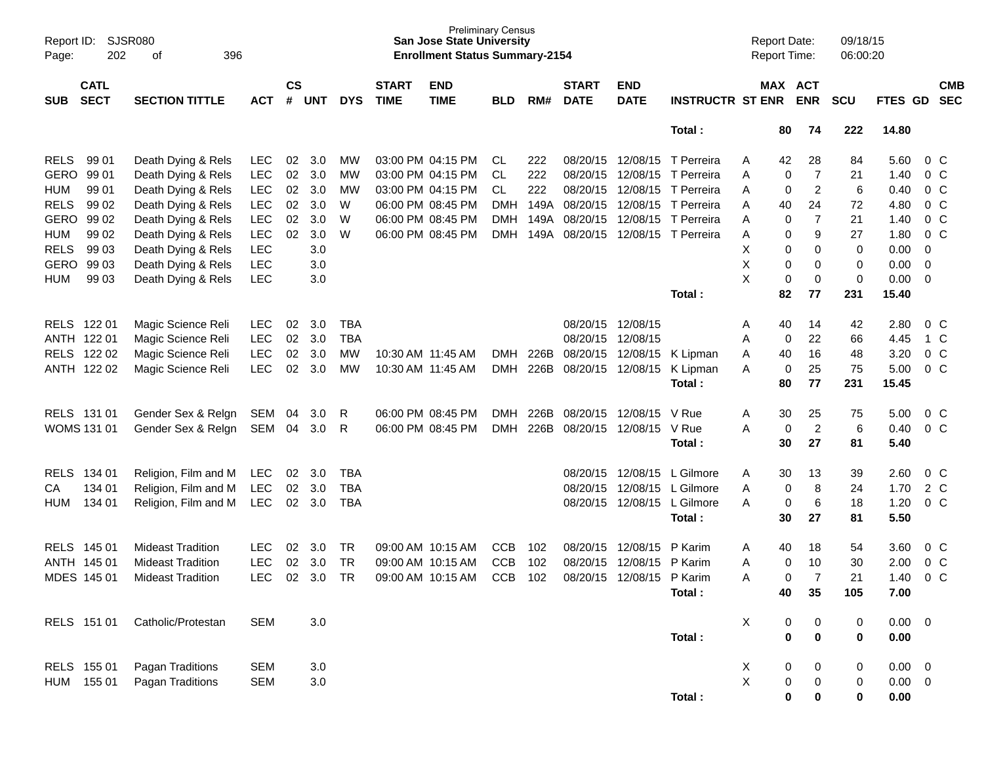| Page:              | Report ID: SJSR080<br>202  | 396<br>оf                |            |                    |            |            |                             | <b>San Jose State University</b><br><b>Enrollment Status Summary-2154</b> | <b>Preliminary Census</b> |      |                             |                           |                            | <b>Report Date:</b><br><b>Report Time:</b> |          |                | 09/18/15<br>06:00:20 |             |                |                          |
|--------------------|----------------------------|--------------------------|------------|--------------------|------------|------------|-----------------------------|---------------------------------------------------------------------------|---------------------------|------|-----------------------------|---------------------------|----------------------------|--------------------------------------------|----------|----------------|----------------------|-------------|----------------|--------------------------|
| <b>SUB</b>         | <b>CATL</b><br><b>SECT</b> | <b>SECTION TITTLE</b>    | <b>ACT</b> | $\mathsf{cs}$<br># | <b>UNT</b> | <b>DYS</b> | <b>START</b><br><b>TIME</b> | <b>END</b><br><b>TIME</b>                                                 | <b>BLD</b>                | RM#  | <b>START</b><br><b>DATE</b> | <b>END</b><br><b>DATE</b> | <b>INSTRUCTR ST ENR</b>    | MAX ACT                                    |          | <b>ENR</b>     | <b>SCU</b>           | FTES GD     |                | <b>CMB</b><br><b>SEC</b> |
|                    |                            |                          |            |                    |            |            |                             |                                                                           |                           |      |                             |                           | Total:                     |                                            | 80       | 74             | 222                  | 14.80       |                |                          |
| <b>RELS</b>        | 99 01                      | Death Dying & Rels       | <b>LEC</b> | 02                 | 3.0        | MW         |                             | 03:00 PM 04:15 PM                                                         | CL.                       | 222  | 08/20/15                    |                           | 12/08/15 T Perreira        | A                                          | 42       | 28             | 84                   | 5.60        |                | $0\,C$                   |
| GERO               | 99 01                      | Death Dying & Rels       | <b>LEC</b> | 02                 | 3.0        | MW         |                             | 03:00 PM 04:15 PM                                                         | CL                        | 222  | 08/20/15                    | 12/08/15                  | T Perreira                 | A                                          | 0        | $\overline{7}$ | 21                   | 1.40        |                | 0 <sup>C</sup>           |
| <b>HUM</b>         | 99 01                      | Death Dying & Rels       | <b>LEC</b> | $02\,$             | 3.0        | МW         |                             | 03:00 PM 04:15 PM                                                         | CL                        | 222  | 08/20/15                    | 12/08/15                  | T Perreira                 | A                                          | 0        | $\overline{2}$ | 6                    | 0.40        |                | 0 <sup>C</sup>           |
| <b>RELS</b>        | 99 02                      | Death Dying & Rels       | <b>LEC</b> | 02                 | 3.0        | W          |                             | 06:00 PM 08:45 PM                                                         | <b>DMH</b>                | 149A | 08/20/15                    | 12/08/15                  | T Perreira                 | A                                          | 40       | 24             | 72                   | 4.80        |                | $0\,C$                   |
| GERO               | 99 02                      | Death Dying & Rels       | <b>LEC</b> | 02                 | 3.0        | W          |                             | 06:00 PM 08:45 PM                                                         | <b>DMH</b>                |      | 149A 08/20/15               | 12/08/15                  | T Perreira                 | A                                          | 0        | $\overline{7}$ | 21                   | 1.40        |                | 0 <sup>o</sup>           |
| <b>HUM</b>         | 99 02                      | Death Dying & Rels       | <b>LEC</b> | 02                 | 3.0        | W          |                             | 06:00 PM 08:45 PM                                                         | <b>DMH</b>                | 149A | 08/20/15                    |                           | 12/08/15 T Perreira        | Α                                          | 0        | 9              | 27                   | 1.80        |                | $0\,C$                   |
| <b>RELS</b>        | 99 03                      | Death Dying & Rels       | <b>LEC</b> |                    | 3.0        |            |                             |                                                                           |                           |      |                             |                           |                            | Х                                          | 0        | 0              | 0                    | 0.00        | $\mathbf 0$    |                          |
| GERO               | 99 03                      | Death Dying & Rels       | <b>LEC</b> |                    | 3.0        |            |                             |                                                                           |                           |      |                             |                           |                            | X                                          | 0        | 0              | 0                    | 0.00        | $\overline{0}$ |                          |
| <b>HUM</b>         | 99 03                      | Death Dying & Rels       | <b>LEC</b> |                    | 3.0        |            |                             |                                                                           |                           |      |                             |                           |                            | X                                          | 0        | $\mathbf 0$    | $\mathbf 0$          | 0.00        | - 0            |                          |
|                    |                            |                          |            |                    |            |            |                             |                                                                           |                           |      |                             |                           | Total:                     |                                            | 82       | 77             | 231                  | 15.40       |                |                          |
| RELS 122 01        |                            | Magic Science Reli       | <b>LEC</b> | 02                 | 3.0        | <b>TBA</b> |                             |                                                                           |                           |      |                             | 08/20/15 12/08/15         |                            | A                                          | 40       | 14             | 42                   | 2.80        |                | $0\,C$                   |
| ANTH 122 01        |                            | Magic Science Reli       | <b>LEC</b> | 02                 | 3.0        | <b>TBA</b> |                             |                                                                           |                           |      | 08/20/15                    | 12/08/15                  |                            | A                                          | 0        | 22             | 66                   | 4.45        |                | 1 C                      |
| <b>RELS</b>        | 122 02                     | Magic Science Reli       | <b>LEC</b> | 02                 | 3.0        | MW         | 10:30 AM 11:45 AM           |                                                                           | DMH                       | 226B | 08/20/15 12/08/15           |                           | K Lipman                   | A                                          | 40       | 16             | 48                   | 3.20        |                | 0 <sup>C</sup>           |
| ANTH 122 02        |                            | Magic Science Reli       | <b>LEC</b> | 02                 | 3.0        | MW         |                             | 10:30 AM 11:45 AM                                                         | <b>DMH</b>                | 226B |                             |                           | 08/20/15 12/08/15 K Lipman | A                                          | 0        | 25             | 75                   | 5.00        |                | $0\,C$                   |
|                    |                            |                          |            |                    |            |            |                             |                                                                           |                           |      |                             |                           | Total:                     |                                            | 80       | 77             | 231                  | 15.45       |                |                          |
| RELS 131 01        |                            | Gender Sex & Relgn       | SEM        | 04                 | 3.0        | R          |                             | 06:00 PM 08:45 PM                                                         | <b>DMH</b>                | 226B | 08/20/15                    | 12/08/15                  | V Rue                      | A                                          | 30       | 25             | 75                   | 5.00        |                | 0 <sup>C</sup>           |
| <b>WOMS 131 01</b> |                            | Gender Sex & Relgn       | SEM        | 04                 | 3.0        | R          |                             | 06:00 PM 08:45 PM                                                         | <b>DMH</b>                | 226B | 08/20/15                    | 12/08/15                  | V Rue                      | A                                          | 0        | $\overline{c}$ | 6                    | 0.40        |                | 0 <sup>C</sup>           |
|                    |                            |                          |            |                    |            |            |                             |                                                                           |                           |      |                             |                           | Total:                     |                                            | 30       | 27             | 81                   | 5.40        |                |                          |
| <b>RELS</b>        | 134 01                     | Religion, Film and M     | <b>LEC</b> | 02                 | 3.0        | <b>TBA</b> |                             |                                                                           |                           |      | 08/20/15                    | 12/08/15                  | L Gilmore                  | A                                          | 30       | 13             | 39                   | 2.60        |                | 0 <sup>C</sup>           |
| CA                 | 134 01                     | Religion, Film and M     | <b>LEC</b> | 02                 | 3.0        | <b>TBA</b> |                             |                                                                           |                           |      | 08/20/15                    |                           | 12/08/15 L Gilmore         | A                                          | 0        | 8              | 24                   | 1.70        |                | 2 C                      |
| <b>HUM</b>         | 134 01                     | Religion, Film and M     | <b>LEC</b> | 02                 | 3.0        | <b>TBA</b> |                             |                                                                           |                           |      | 08/20/15                    |                           | 12/08/15 L Gilmore         | A                                          | 0        | $\,6$          | 18                   | 1.20        |                | 0 <sup>C</sup>           |
|                    |                            |                          |            |                    |            |            |                             |                                                                           |                           |      |                             |                           | Total:                     |                                            | 30       | 27             | 81                   | 5.50        |                |                          |
| <b>RELS</b>        | 145 01                     | <b>Mideast Tradition</b> | <b>LEC</b> | 02                 | 3.0        | TR         |                             | 09:00 AM 10:15 AM                                                         | <b>CCB</b>                | 102  | 08/20/15                    | 12/08/15                  | P Karim                    | A                                          | 40       | 18             | 54                   | 3.60        |                | $0\,C$                   |
| ANTH 145 01        |                            | <b>Mideast Tradition</b> | <b>LEC</b> | 02                 | 3.0        | <b>TR</b>  |                             | 09:00 AM 10:15 AM                                                         | <b>CCB</b>                | 102  | 08/20/15                    | 12/08/15                  | P Karim                    | A                                          | 0        | 10             | 30                   | 2.00        |                | $0\,C$                   |
| MDES 145 01        |                            | <b>Mideast Tradition</b> | <b>LEC</b> | 02                 | 3.0        | <b>TR</b>  |                             | 09:00 AM 10:15 AM                                                         | <b>CCB</b>                | 102  | 08/20/15                    | 12/08/15                  | P Karim                    | A                                          | 0        | $\overline{7}$ | 21                   | 1.40        |                | 0 <sup>o</sup>           |
|                    |                            |                          |            |                    |            |            |                             |                                                                           |                           |      |                             |                           | Total:                     |                                            | 40       | 35             | 105                  | 7.00        |                |                          |
|                    | RELS 151 01                | Catholic/Protestan       | <b>SEM</b> |                    | 3.0        |            |                             |                                                                           |                           |      |                             |                           |                            | X                                          | 0        | 0              | 0                    | $0.00 \t 0$ |                |                          |
|                    |                            |                          |            |                    |            |            |                             |                                                                           |                           |      |                             |                           | Total:                     |                                            | $\bf{0}$ | $\bf{0}$       | 0                    | 0.00        |                |                          |
|                    | RELS 155 01                | Pagan Traditions         | <b>SEM</b> |                    | 3.0        |            |                             |                                                                           |                           |      |                             |                           |                            | X                                          | 0        | 0              | 0                    | $0.00 \t 0$ |                |                          |
| HUM                | 155 01                     | Pagan Traditions         | <b>SEM</b> |                    | 3.0        |            |                             |                                                                           |                           |      |                             |                           |                            | X                                          | 0        | $\pmb{0}$      | 0                    | $0.00 \t 0$ |                |                          |
|                    |                            |                          |            |                    |            |            |                             |                                                                           |                           |      |                             |                           | Total:                     |                                            | 0        | 0              | 0                    | 0.00        |                |                          |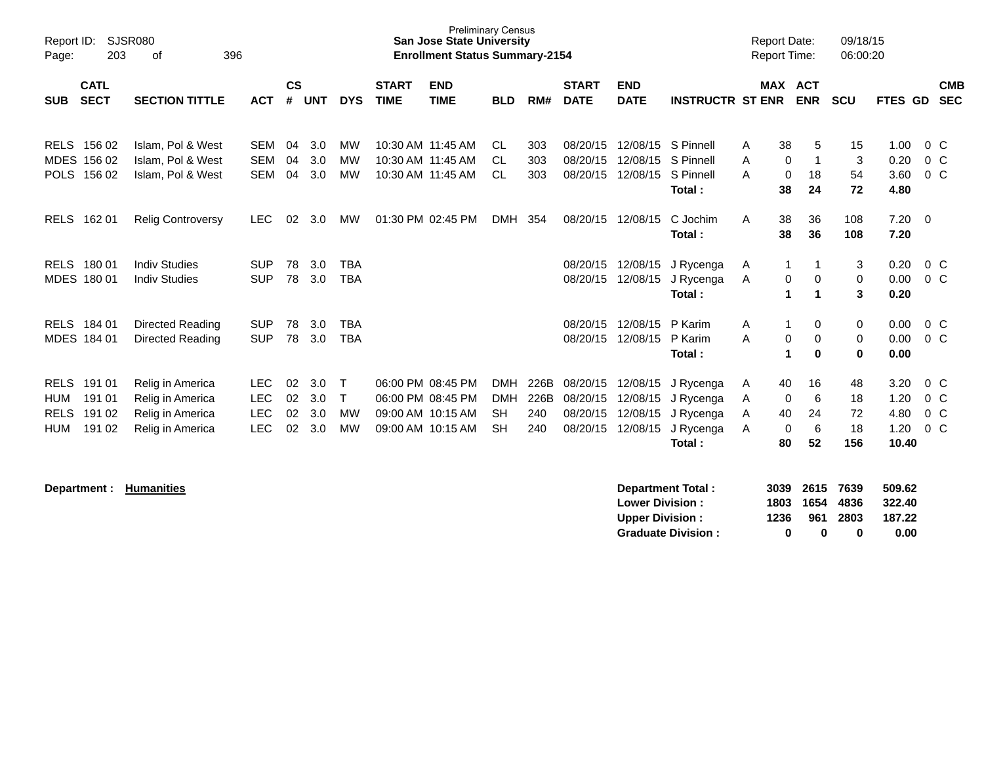| Report ID:<br>Page:                                                                            | <b>SJSR080</b><br>396<br>203<br>οf<br><b>CATL</b>                            |                                                      |                      |                          |                                      |                             | <b>Preliminary Census</b><br><b>San Jose State University</b><br><b>Enrollment Status Summary-2154</b> |                                                    |                            |                                              |                                              |                                                            |                  | <b>Report Date:</b><br><b>Report Time:</b> |                              | 09/18/15<br>06:00:20           |                                       |                                      |
|------------------------------------------------------------------------------------------------|------------------------------------------------------------------------------|------------------------------------------------------|----------------------|--------------------------|--------------------------------------|-----------------------------|--------------------------------------------------------------------------------------------------------|----------------------------------------------------|----------------------------|----------------------------------------------|----------------------------------------------|------------------------------------------------------------|------------------|--------------------------------------------|------------------------------|--------------------------------|---------------------------------------|--------------------------------------|
| <b>SECT</b><br><b>SUB</b>                                                                      | <b>SECTION TITTLE</b>                                                        | <b>ACT</b>                                           | $\mathsf{cs}$<br>#   | <b>UNT</b>               | <b>DYS</b>                           | <b>START</b><br><b>TIME</b> | <b>END</b><br><b>TIME</b>                                                                              | <b>BLD</b>                                         | RM#                        | <b>START</b><br><b>DATE</b>                  | <b>END</b><br><b>DATE</b>                    | <b>INSTRUCTR ST ENR</b>                                    |                  |                                            | <b>MAX ACT</b><br><b>ENR</b> | <b>SCU</b>                     | FTES GD                               | <b>CMB</b><br><b>SEC</b>             |
| RELS 156 02<br>MDES 156 02<br>POLS 156 02                                                      | Islam, Pol & West<br>Islam, Pol & West<br>Islam, Pol & West                  | <b>SEM</b><br><b>SEM</b><br>SEM                      | 04<br>04<br>04       | 3.0<br>3.0<br>3.0        | MW<br><b>MW</b><br><b>MW</b>         |                             | 10:30 AM 11:45 AM<br>10:30 AM 11:45 AM<br>10:30 AM 11:45 AM                                            | CL.<br>CL.<br>CL.                                  | 303<br>303<br>303          | 08/20/15<br>08/20/15<br>08/20/15             | 12/08/15<br>12/08/15                         | 12/08/15 S Pinnell<br>S Pinnell<br>S Pinnell<br>Total:     | A<br>A<br>A      | 38<br>0<br>$\mathbf 0$<br>38               | 5<br>1<br>18<br>24           | 15<br>$\mathbf{3}$<br>54<br>72 | 1.00<br>0.20<br>3.60<br>4.80          | $0\,C$<br>$0\,C$<br>$0\,C$           |
| <b>RELS</b><br>162 01                                                                          | <b>Relig Controversy</b>                                                     | <b>LEC</b>                                           | 02                   | 3.0                      | MW                                   |                             | 01:30 PM 02:45 PM                                                                                      | <b>DMH</b>                                         | 354                        |                                              | 08/20/15 12/08/15                            | C Jochim<br>Total:                                         | A                | 38<br>38                                   | 36<br>36                     | 108<br>108                     | $7.20 \ 0$<br>7.20                    |                                      |
| <b>RELS</b><br>18001<br>MDES 180 01                                                            | <b>Indiv Studies</b><br><b>Indiv Studies</b>                                 | <b>SUP</b><br><b>SUP</b>                             | 78<br>78             | 3.0<br>3.0               | <b>TBA</b><br><b>TBA</b>             |                             |                                                                                                        |                                                    |                            | 08/20/15<br>08/20/15                         | 12/08/15<br>12/08/15                         | J Rycenga<br>J Rycenga<br>Total:                           | Α<br>Α           | 1<br>0<br>1                                | 1<br>0<br>-1                 | 3<br>0<br>3                    | 0.20<br>0.00<br>0.20                  | $0\,C$<br>0 <sup>C</sup>             |
| <b>RELS</b><br>184 01<br>MDES 184 01                                                           | <b>Directed Reading</b><br>Directed Reading                                  | <b>SUP</b><br><b>SUP</b>                             | 78<br>78             | 3.0<br>3.0               | <b>TBA</b><br><b>TBA</b>             |                             |                                                                                                        |                                                    |                            | 08/20/15<br>08/20/15                         | 12/08/15<br>12/08/15                         | P Karim<br>P Karim<br>Total:                               | A<br>A           | 1<br>0<br>1                                | 0<br>0<br>$\bf{0}$           | 0<br>0<br>$\bf{0}$             | 0.00<br>0.00<br>0.00                  | $0\,C$<br>$0\,C$                     |
| <b>RELS</b><br>191 01<br>191 01<br><b>HUM</b><br><b>RELS</b><br>191 02<br><b>HUM</b><br>191 02 | Relig in America<br>Relig in America<br>Relig in America<br>Relig in America | <b>LEC</b><br><b>LEC</b><br><b>LEC</b><br><b>LEC</b> | 02<br>02<br>02<br>02 | 3.0<br>3.0<br>3.0<br>3.0 | T<br>$\mathsf{T}$<br><b>MW</b><br>MW |                             | 06:00 PM 08:45 PM<br>06:00 PM 08:45 PM<br>09:00 AM 10:15 AM<br>09:00 AM 10:15 AM                       | <b>DMH</b><br><b>DMH</b><br><b>SH</b><br><b>SH</b> | 226B<br>226B<br>240<br>240 | 08/20/15<br>08/20/15<br>08/20/15<br>08/20/15 | 12/08/15<br>12/08/15<br>12/08/15<br>12/08/15 | J Rycenga<br>J Rycenga<br>J Rycenga<br>J Rycenga<br>Total: | A<br>A<br>A<br>A | 40<br>0<br>40<br>$\Omega$<br>80            | 16<br>6<br>24<br>6<br>52     | 48<br>18<br>72<br>18<br>156    | 3.20<br>1.20<br>4.80<br>1.20<br>10.40 | $0\,C$<br>$0\,C$<br>$0\,C$<br>$0\,C$ |
| Donartmant · Humanitiae                                                                        |                                                                              |                                                      |                      |                          |                                      |                             |                                                                                                        |                                                    |                            |                                              |                                              | Donartmont Total -                                         |                  |                                            | $2020 2645 7620$             |                                | END ED.                               |                                      |

| Department: | <b>Humanities</b> | Department Total:         | 3039 | 2615 | 7639 | 509.62 |
|-------------|-------------------|---------------------------|------|------|------|--------|
|             |                   | <b>Lower Division:</b>    | 1803 | 1654 | 4836 | 322.40 |
|             |                   | <b>Upper Division:</b>    | 1236 | 961  | 2803 | 187.22 |
|             |                   | <b>Graduate Division:</b> |      |      |      | 0.00   |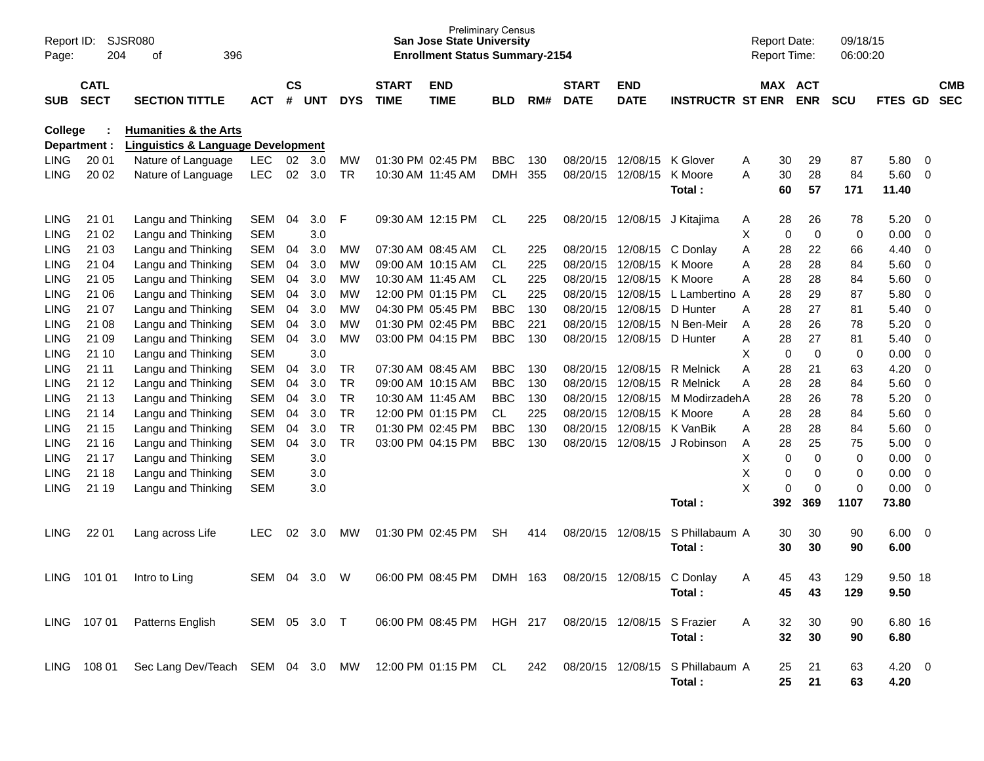| Report ID:<br>Page: | 204                                                        | SJSR080<br>396<br>οf                          |              |                    |            |            |                             | <b>Preliminary Census</b><br><b>San Jose State University</b><br><b>Enrollment Status Summary-2154</b> |            |       |                             |                           |                          |   | <b>Report Date:</b><br><b>Report Time:</b> |                       | 09/18/15<br>06:00:20 |                    |                  |                          |
|---------------------|------------------------------------------------------------|-----------------------------------------------|--------------|--------------------|------------|------------|-----------------------------|--------------------------------------------------------------------------------------------------------|------------|-------|-----------------------------|---------------------------|--------------------------|---|--------------------------------------------|-----------------------|----------------------|--------------------|------------------|--------------------------|
| SUB                 | <b>CATL</b><br><b>SECT</b><br><b>SECTION TITTLE</b><br>ACT |                                               |              | $\mathsf{cs}$<br># | <b>UNT</b> | <b>DYS</b> | <b>START</b><br><b>TIME</b> | <b>END</b><br><b>TIME</b>                                                                              | <b>BLD</b> | RM#   | <b>START</b><br><b>DATE</b> | <b>END</b><br><b>DATE</b> | <b>INSTRUCTR ST ENR</b>  |   |                                            | MAX ACT<br><b>ENR</b> | <b>SCU</b>           | <b>FTES GD</b>     |                  | <b>CMB</b><br><b>SEC</b> |
| College             |                                                            | <b>Humanities &amp; the Arts</b>              |              |                    |            |            |                             |                                                                                                        |            |       |                             |                           |                          |   |                                            |                       |                      |                    |                  |                          |
|                     | Department :                                               | <b>Linguistics &amp; Language Development</b> |              |                    |            |            |                             |                                                                                                        |            |       |                             |                           |                          |   |                                            |                       |                      |                    |                  |                          |
| <b>LING</b>         | 20 01                                                      | Nature of Language                            | <b>LEC</b>   | 02                 | 3.0        | MW         |                             | 01:30 PM 02:45 PM                                                                                      | <b>BBC</b> | 130   | 08/20/15                    | 12/08/15                  | K Glover                 | Α | 30                                         | 29                    | 87                   | 5.80               | - 0              |                          |
| <b>LING</b>         | 20 02                                                      | Nature of Language                            | <b>LEC</b>   | 02                 | 3.0        | TR         |                             | 10:30 AM 11:45 AM                                                                                      | <b>DMH</b> | 355   | 08/20/15                    | 12/08/15                  | K Moore<br>Total :       | A | 30<br>60                                   | 28<br>57              | 84<br>171            | 5.60<br>11.40      | 0                |                          |
| LING                | 21 01                                                      | Langu and Thinking                            | <b>SEM</b>   | 04                 | 3.0        | F          |                             | 09:30 AM 12:15 PM                                                                                      | CL.        | 225   | 08/20/15                    | 12/08/15                  | J Kitajima               | Α | 28                                         | 26                    | 78                   | 5.20               | - 0              |                          |
| <b>LING</b>         | 21 02                                                      | Langu and Thinking                            | <b>SEM</b>   |                    | 3.0        |            |                             |                                                                                                        |            |       |                             |                           |                          | Χ | 0                                          | 0                     | 0                    | 0.00               | 0                |                          |
| <b>LING</b>         | 21 03                                                      | Langu and Thinking                            | SEM          | 04                 | 3.0        | МW         |                             | 07:30 AM 08:45 AM                                                                                      | CL.        | 225   | 08/20/15                    | 12/08/15                  | C Donlay                 | Α | 28                                         | 22                    | 66                   | 4.40               | 0                |                          |
| LING                | 21 04                                                      | Langu and Thinking                            | SEM          | 04                 | 3.0        | МW         |                             | 09:00 AM 10:15 AM                                                                                      | CL         | 225   | 08/20/15                    | 12/08/15                  | K Moore                  | Α | 28                                         | 28                    | 84                   | 5.60               | 0                |                          |
| <b>LING</b>         | 21 05                                                      | Langu and Thinking                            | <b>SEM</b>   | 04                 | 3.0        | МW         |                             | 10:30 AM 11:45 AM                                                                                      | CL         | 225   | 08/20/15                    | 12/08/15                  | K Moore                  | Α | 28                                         | 28                    | 84                   | 5.60               | 0                |                          |
| <b>LING</b>         | 21 06                                                      | Langu and Thinking                            | SEM          | 04                 | 3.0        | МW         |                             | 12:00 PM 01:15 PM                                                                                      | CL         | 225   | 08/20/15                    | 12/08/15                  | L Lambertino A           |   | 28                                         | 29                    | 87                   | 5.80               | $\mathbf 0$      |                          |
| <b>LING</b>         | 21 07                                                      | Langu and Thinking                            | <b>SEM</b>   | 04                 | 3.0        | МW         |                             | 04:30 PM 05:45 PM                                                                                      | <b>BBC</b> | 130   | 08/20/15                    | 12/08/15                  | D Hunter                 | A | 28                                         | 27                    | 81                   | 5.40               | 0                |                          |
| <b>LING</b>         | 21 08                                                      | Langu and Thinking                            | <b>SEM</b>   | 04                 | 3.0        | МW         |                             | 01:30 PM 02:45 PM                                                                                      | <b>BBC</b> | 221   | 08/20/15                    | 12/08/15                  | N Ben-Meir               | A | 28                                         | 26                    | 78                   | 5.20               | 0                |                          |
| <b>LING</b>         | 21 09                                                      | Langu and Thinking                            | <b>SEM</b>   | 04                 | 3.0        | <b>MW</b>  |                             | 03:00 PM 04:15 PM                                                                                      | <b>BBC</b> | 130   | 08/20/15                    | 12/08/15                  | D Hunter                 | Α | 28                                         | 27                    | 81                   | 5.40               | $\mathbf 0$      |                          |
| <b>LING</b>         | 21 10                                                      | Langu and Thinking                            | <b>SEM</b>   |                    | 3.0        |            |                             |                                                                                                        |            |       |                             |                           |                          | х | 0                                          | 0                     | 0                    | 0.00               | $\mathbf 0$      |                          |
| LING                | 21 11                                                      | Langu and Thinking                            | <b>SEM</b>   | 04                 | 3.0        | TR         |                             | 07:30 AM 08:45 AM                                                                                      | <b>BBC</b> | 130   | 08/20/15                    | 12/08/15                  | R Melnick                | Α | 28                                         | 21                    | 63                   | 4.20               | 0                |                          |
| <b>LING</b>         | 21 12                                                      | Langu and Thinking                            | SEM          | 04                 | 3.0        | TR         |                             | 09:00 AM 10:15 AM                                                                                      | <b>BBC</b> | 130   | 08/20/15                    | 12/08/15                  | <b>R</b> Melnick         | Α | 28                                         | 28                    | 84                   | 5.60               | $\boldsymbol{0}$ |                          |
| <b>LING</b>         | 21 13                                                      | Langu and Thinking                            | <b>SEM</b>   | 04                 | 3.0        | TR         |                             | 10:30 AM 11:45 AM                                                                                      | <b>BBC</b> | 130   | 08/20/15                    | 12/08/15                  | M ModirzadehA            |   | 28                                         | 26                    | 78                   | 5.20               | $\mathbf 0$      |                          |
| <b>LING</b>         | 21 14                                                      | Langu and Thinking                            | <b>SEM</b>   | 04                 | 3.0        | <b>TR</b>  |                             | 12:00 PM 01:15 PM                                                                                      | CL         | 225   | 08/20/15                    | 12/08/15                  | K Moore                  | A | 28                                         | 28                    | 84                   | 5.60               | 0                |                          |
| <b>LING</b>         | 21 15                                                      | Langu and Thinking                            | <b>SEM</b>   | 04                 | 3.0        | <b>TR</b>  |                             | 01:30 PM 02:45 PM                                                                                      | <b>BBC</b> | 130   | 08/20/15                    | 12/08/15                  | K VanBik                 | A | 28                                         | 28                    | 84                   | 5.60               | $\boldsymbol{0}$ |                          |
| <b>LING</b>         | 21 16                                                      | Langu and Thinking                            | <b>SEM</b>   | 04                 | 3.0        | <b>TR</b>  |                             | 03:00 PM 04:15 PM                                                                                      | <b>BBC</b> | 130   | 08/20/15                    | 12/08/15                  | J Robinson               | Α | 28                                         | 25                    | 75                   | 5.00               | $\boldsymbol{0}$ |                          |
| <b>LING</b>         | 21 17                                                      | Langu and Thinking                            | <b>SEM</b>   |                    | 3.0        |            |                             |                                                                                                        |            |       |                             |                           |                          | Χ | 0                                          | 0                     | 0                    | 0.00               | $\mathbf 0$      |                          |
| <b>LING</b>         | 21 18                                                      | Langu and Thinking                            | <b>SEM</b>   |                    | 3.0        |            |                             |                                                                                                        |            |       |                             |                           |                          | Χ | 0                                          | 0                     | 0                    | 0.00               | 0                |                          |
| <b>LING</b>         | 21 19                                                      | Langu and Thinking                            | <b>SEM</b>   |                    | 3.0        |            |                             |                                                                                                        |            |       |                             |                           |                          | X | 0                                          | 0                     | 0                    | 0.00               | 0                |                          |
|                     |                                                            |                                               |              |                    |            |            |                             |                                                                                                        |            |       |                             |                           | Total:                   |   | 392                                        | 369                   | 1107                 | 73.80              |                  |                          |
| LING                | 22 01                                                      | Lang across Life                              | LEC          | 02                 | 3.0        | МW         |                             | 01:30 PM 02:45 PM                                                                                      | <b>SH</b>  | 414   | 08/20/15                    | 12/08/15                  | S Phillabaum A<br>Total: |   | 30<br>30                                   | 30<br>30              | 90<br>90             | 6.00<br>6.00       | - 0              |                          |
| LING                | 101 01                                                     | Intro to Ling                                 | SEM          | 04                 | 3.0        | W          |                             | 06:00 PM 08:45 PM                                                                                      | <b>DMH</b> | - 163 | 08/20/15                    | 12/08/15                  | C Donlay<br>Total:       | A | 45<br>45                                   | 43<br>43              | 129<br>129           | 9.50 18<br>9.50    |                  |                          |
|                     | LING 107 01                                                | Patterns English                              | SEM 05 3.0 T |                    |            |            |                             | 06:00 PM 08:45 PM HGH 217                                                                              |            |       | 08/20/15 12/08/15           |                           | S Frazier<br>Total:      | A | 32<br>32                                   | 30<br>30              | 90<br>90             | 6.80 16<br>6.80    |                  |                          |
|                     | LING 108 01                                                | Sec Lang Dev/Teach SEM 04 3.0 MW              |              |                    |            |            |                             | 12:00 PM 01:15 PM CL                                                                                   |            | 242   | 08/20/15 12/08/15           |                           | S Phillabaum A<br>Total: |   | 25<br>25                                   | 21<br>21              | 63<br>63             | $4.20 \ 0$<br>4.20 |                  |                          |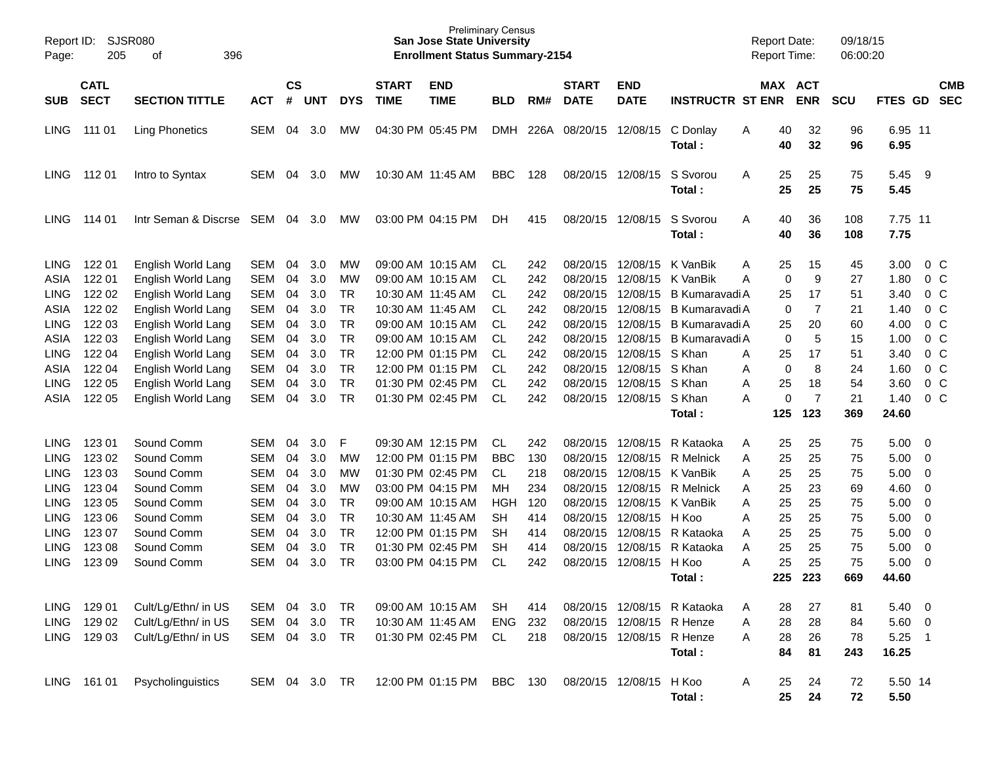| Report ID:<br>Page: | 205         | SJSR080<br>396<br>οf  |               |           |            |            |                   | <b>Preliminary Census</b><br><b>San Jose State University</b><br><b>Enrollment Status Summary-2154</b> |            |      |                   |                           |                             | <b>Report Date:</b><br>Report Time: |            | 09/18/15<br>06:00:20 |                 |                |                |
|---------------------|-------------|-----------------------|---------------|-----------|------------|------------|-------------------|--------------------------------------------------------------------------------------------------------|------------|------|-------------------|---------------------------|-----------------------------|-------------------------------------|------------|----------------------|-----------------|----------------|----------------|
|                     | <b>CATL</b> |                       |               | <b>CS</b> |            |            | <b>START</b>      | <b>END</b>                                                                                             |            |      | <b>START</b>      | <b>END</b>                |                             |                                     | MAX ACT    |                      |                 |                | <b>CMB</b>     |
| <b>SUB</b>          | <b>SECT</b> | <b>SECTION TITTLE</b> | <b>ACT</b>    | #         | <b>UNT</b> | <b>DYS</b> | <b>TIME</b>       | <b>TIME</b>                                                                                            | <b>BLD</b> | RM#  | <b>DATE</b>       | <b>DATE</b>               | <b>INSTRUCTR ST ENR</b>     |                                     | <b>ENR</b> | <b>SCU</b>           | FTES GD         |                | <b>SEC</b>     |
| LING                | 111 01      | <b>Ling Phonetics</b> | SEM           | 04        | 3.0        | МW         |                   | 04:30 PM 05:45 PM                                                                                      | <b>DMH</b> | 226A | 08/20/15          | 12/08/15                  | C Donlay<br>Total:          | 40<br>Α<br>40                       | 32<br>32   | 96<br>96             | 6.95 11<br>6.95 |                |                |
| <b>LING</b>         | 112 01      | Intro to Syntax       | SEM           | 04        | 3.0        | МW         |                   | 10:30 AM 11:45 AM                                                                                      | <b>BBC</b> | 128  | 08/20/15          | 12/08/15                  | S Svorou<br>Total:          | 25<br>A<br>25                       | 25<br>25   | 75<br>75             | 5.45<br>5.45    | - 9            |                |
| <b>LING</b>         | 114 01      | Intr Seman & Discrse  | SEM           | 04        | 3.0        | МW         |                   | 03:00 PM 04:15 PM                                                                                      | DH         | 415  | 08/20/15          | 12/08/15                  | S Svorou<br>Total:          | A<br>40<br>40                       | 36<br>36   | 108<br>108           | 7.75 11<br>7.75 |                |                |
| <b>LING</b>         | 122 01      | English World Lang    | <b>SEM</b>    | 04        | 3.0        | МW         |                   | 09:00 AM 10:15 AM                                                                                      | CL         | 242  | 08/20/15          | 12/08/15                  | K VanBik                    | 25<br>A                             | 15         | 45                   | 3.00            |                | $0\,$ C        |
| ASIA                | 122 01      | English World Lang    | <b>SEM</b>    | 04        | 3.0        | МW         |                   | 09:00 AM 10:15 AM                                                                                      | CL         | 242  | 08/20/15          | 12/08/15                  | K VanBik                    | Α                                   | 0          | 9<br>27              | 1.80            |                | $0\,C$         |
| <b>LING</b>         | 122 02      | English World Lang    | <b>SEM</b>    | 04        | 3.0        | <b>TR</b>  |                   | 10:30 AM 11:45 AM                                                                                      | CL         | 242  | 08/20/15          | 12/08/15                  | <b>B Kumaravadi A</b>       | 25                                  | 17         | 51                   | 3.40            |                | $0\,C$         |
| ASIA                | 122 02      | English World Lang    | <b>SEM</b>    | 04        | 3.0        | <b>TR</b>  |                   | 10:30 AM 11:45 AM                                                                                      | CL         | 242  | 08/20/15          | 12/08/15                  | <b>B Kumaravadi A</b>       |                                     | 0          | 7<br>21              | 1.40            |                | $0\,C$         |
| <b>LING</b>         | 122 03      | English World Lang    | <b>SEM</b>    | 04        | 3.0        | <b>TR</b>  |                   | 09:00 AM 10:15 AM                                                                                      | CL         | 242  | 08/20/15          | 12/08/15                  | <b>B Kumaravadi A</b>       | 25                                  | 20         | 60                   | 4.00            |                | $0\,C$         |
| <b>ASIA</b>         | 122 03      | English World Lang    | <b>SEM</b>    | 04        | 3.0        | <b>TR</b>  |                   | 09:00 AM 10:15 AM                                                                                      | <b>CL</b>  | 242  | 08/20/15          | 12/08/15                  | <b>B Kumaravadi A</b>       |                                     | 0          | 5<br>15              | 1.00            | $\overline{0}$ | C              |
| <b>LING</b>         | 122 04      | English World Lang    | <b>SEM</b>    | 04        | 3.0        | <b>TR</b>  |                   | 12:00 PM 01:15 PM                                                                                      | <b>CL</b>  | 242  | 08/20/15          | 12/08/15                  | S Khan                      | 25<br>Α                             | 17         | 51                   | 3.40            |                | $0\,C$         |
| ASIA                | 122 04      | English World Lang    | <b>SEM</b>    | 04        | 3.0        | <b>TR</b>  |                   | 12:00 PM 01:15 PM                                                                                      | <b>CL</b>  | 242  | 08/20/15          | 12/08/15                  | S Khan                      | Α                                   | 0          | 8<br>24              | 1.60            |                | $0\,C$         |
| <b>LING</b>         | 122 05      | English World Lang    | <b>SEM</b>    | 04        | 3.0        | <b>TR</b>  |                   | 01:30 PM 02:45 PM                                                                                      | <b>CL</b>  | 242  | 08/20/15          | 12/08/15                  | S Khan                      | 25<br>Α                             |            | 18<br>54             | 3.60            | $\overline{0}$ | - C            |
| ASIA                | 122 05      | English World Lang    | <b>SEM</b>    | 04        | 3.0        | <b>TR</b>  |                   | 01:30 PM 02:45 PM                                                                                      | <b>CL</b>  | 242  | 08/20/15          | 12/08/15                  | S Khan                      | А                                   | 0          | 7<br>21              | 1.40            |                | 0 <sup>o</sup> |
|                     |             |                       |               |           |            |            |                   |                                                                                                        |            |      |                   |                           | Total :                     | 125                                 | 123        | 369                  | 24.60           |                |                |
| <b>LING</b>         | 123 01      | Sound Comm            | SEM           | 04        | 3.0        | F          |                   | 09:30 AM 12:15 PM                                                                                      | <b>CL</b>  | 242  | 08/20/15          | 12/08/15                  | R Kataoka                   | Α<br>25                             | 25         | 75                   | 5.00            | - 0            |                |
| <b>LING</b>         | 123 02      | Sound Comm            | <b>SEM</b>    | 04        | 3.0        | MW         |                   | 12:00 PM 01:15 PM                                                                                      | <b>BBC</b> | 130  | 08/20/15          | 12/08/15                  | <b>R</b> Melnick            | 25<br>Α                             | 25         | 75                   | 5.00            | - 0            |                |
| <b>LING</b>         | 123 03      | Sound Comm            | <b>SEM</b>    | 04        | 3.0        | МW         |                   | 01:30 PM 02:45 PM                                                                                      | <b>CL</b>  | 218  | 08/20/15          | 12/08/15                  | K VanBik                    | 25<br>Α                             | 25         | 75                   | 5.00            | - 0            |                |
| <b>LING</b>         | 123 04      | Sound Comm            | <b>SEM</b>    | 04        | 3.0        | <b>MW</b>  |                   | 03:00 PM 04:15 PM                                                                                      | MH         | 234  | 08/20/15          | 12/08/15                  | <b>R</b> Melnick            | 25<br>Α                             | 23         | 69                   | 4.60            | - 0            |                |
| <b>LING</b>         | 123 05      | Sound Comm            | <b>SEM</b>    | 04        | 3.0        | <b>TR</b>  |                   | 09:00 AM 10:15 AM                                                                                      | <b>HGH</b> | 120  | 08/20/15          | 12/08/15                  | K VanBik                    | 25<br>Α                             | 25         | 75                   | 5.00            | - 0            |                |
| <b>LING</b>         | 123 06      | Sound Comm            | <b>SEM</b>    | 04        | 3.0        | <b>TR</b>  | 10:30 AM 11:45 AM |                                                                                                        | <b>SH</b>  | 414  | 08/20/15          | 12/08/15                  | H Koo                       | 25<br>Α                             | 25         | 75                   | 5.00            | 0              |                |
| <b>LING</b>         | 123 07      | Sound Comm            | <b>SEM</b>    | 04        | 3.0        | <b>TR</b>  |                   | 12:00 PM 01:15 PM                                                                                      | <b>SH</b>  | 414  | 08/20/15          | 12/08/15                  | R Kataoka                   | 25<br>A                             | 25         | 75                   | 5.00            | - 0            |                |
| <b>LING</b>         | 123 08      | Sound Comm            | <b>SEM</b>    | 04        | 3.0        | <b>TR</b>  |                   | 01:30 PM 02:45 PM                                                                                      | <b>SH</b>  | 414  | 08/20/15          | 12/08/15                  | R Kataoka                   | 25<br>Α                             | 25         | 75                   | 5.00            | - 0            |                |
| <b>LING</b>         | 123 09      | Sound Comm            | SEM           | 04        | 3.0        | <b>TR</b>  |                   | 03:00 PM 04:15 PM                                                                                      | <b>CL</b>  | 242  | 08/20/15          | 12/08/15                  | H Koo                       | 25<br>Α                             | 25         | 75                   | 5.00            | -0             |                |
|                     |             |                       |               |           |            |            |                   |                                                                                                        |            |      |                   |                           | Total:                      | 225                                 | 223        | 669                  | 44.60           |                |                |
| LING                | 129 01      | Cult/Lg/Ethn/ in US   | SEM 04        |           | 3.0        | TR         |                   | 09:00 AM 10:15 AM                                                                                      | SH         | 414  |                   |                           | 08/20/15 12/08/15 R Kataoka | 28<br>A                             | 27         | 81                   | $5.40 \quad 0$  |                |                |
| <b>LING</b>         | 129 02      | Cult/Lg/Ethn/ in US   | SEM           | 04        | 3.0        | <b>TR</b>  |                   | 10:30 AM 11:45 AM                                                                                      | ENG        | 232  |                   | 08/20/15 12/08/15 R Henze |                             | 28<br>Α                             | 28         | 84                   | 5.60 0          |                |                |
| LING                | 129 03      | Cult/Lg/Ethn/ in US   | SEM 04 3.0    |           |            | TR         |                   | 01:30 PM 02:45 PM                                                                                      | CL         | 218  |                   | 08/20/15 12/08/15 R Henze |                             | 28<br>Α                             | 26         | 78                   | $5.25$ 1        |                |                |
|                     |             |                       |               |           |            |            |                   |                                                                                                        |            |      |                   |                           | Total:                      | 84                                  | 81         | 243                  | 16.25           |                |                |
| <b>LING</b>         | 161 01      | Psycholinguistics     | SEM 04 3.0 TR |           |            |            |                   | 12:00 PM 01:15 PM                                                                                      | BBC        | 130  | 08/20/15 12/08/15 |                           | H Koo<br>Total:             | A<br>25<br>25                       | 24<br>24   | 72<br>72             | 5.50 14<br>5.50 |                |                |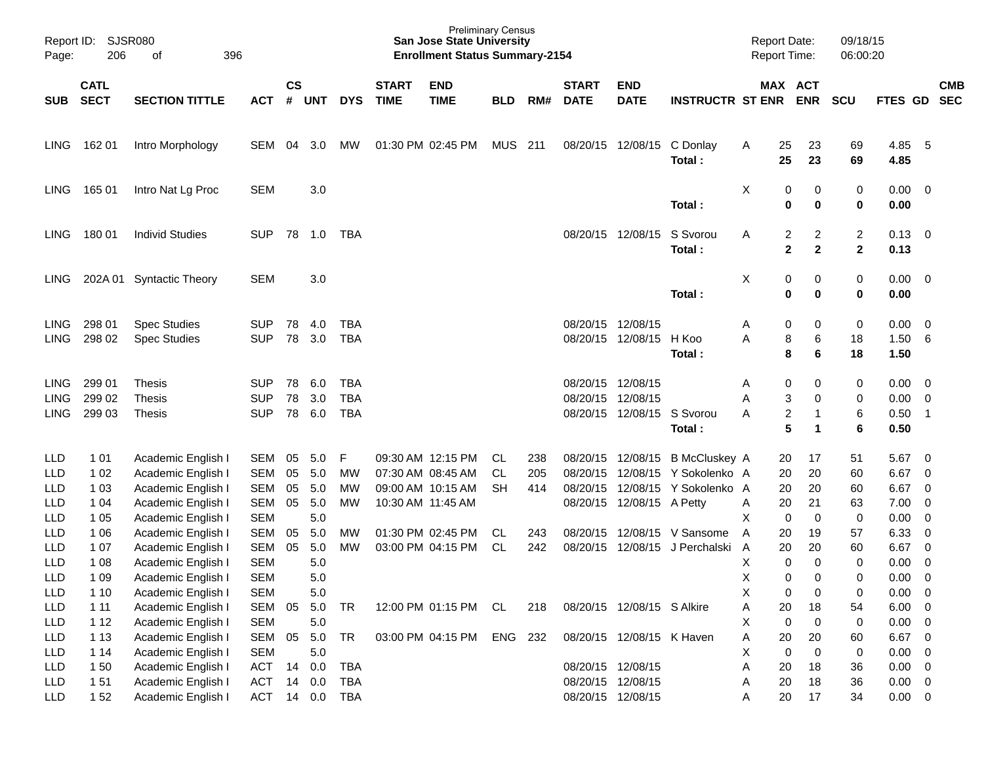| Page:                      | Report ID: SJSR080<br>206<br>396<br>of |                                            |                          |                    |                |                   |                             | <b>Preliminary Census</b><br><b>San Jose State University</b><br><b>Enrollment Status Summary-2154</b> |            |     |                             |                            |                                 |        | <b>Report Date:</b><br>Report Time: |                   | 09/18/15<br>06:00:20                      |                       |                                 |            |
|----------------------------|----------------------------------------|--------------------------------------------|--------------------------|--------------------|----------------|-------------------|-----------------------------|--------------------------------------------------------------------------------------------------------|------------|-----|-----------------------------|----------------------------|---------------------------------|--------|-------------------------------------|-------------------|-------------------------------------------|-----------------------|---------------------------------|------------|
| SUB                        | <b>CATL</b><br><b>SECT</b>             | <b>SECTION TITTLE</b>                      | <b>ACT</b>               | $\mathsf{cs}$<br># | <b>UNT</b>     | <b>DYS</b>        | <b>START</b><br><b>TIME</b> | <b>END</b><br><b>TIME</b>                                                                              | <b>BLD</b> | RM# | <b>START</b><br><b>DATE</b> | <b>END</b><br><b>DATE</b>  | <b>INSTRUCTR ST ENR</b>         |        | MAX ACT                             | <b>ENR</b>        | <b>SCU</b>                                | FTES GD SEC           |                                 | <b>CMB</b> |
| LING.                      | 162 01                                 | Intro Morphology                           | SEM                      | 04                 | 3.0            | <b>MW</b>         |                             | 01:30 PM 02:45 PM                                                                                      | MUS 211    |     |                             | 08/20/15 12/08/15          | C Donlay<br>Total:              | A      | 25<br>25                            | 23<br>23          | 69<br>69                                  | 4.85<br>4.85          | $-5$                            |            |
| LING.                      | 16501                                  | Intro Nat Lg Proc                          | <b>SEM</b>               |                    | 3.0            |                   |                             |                                                                                                        |            |     |                             |                            | Total:                          | Χ      | 0<br>$\bf{0}$                       | 0<br>$\bf{0}$     | $\pmb{0}$<br>$\bf{0}$                     | $0.00 \t 0$<br>0.00   |                                 |            |
| LING.                      | 180 01                                 | <b>Individ Studies</b>                     | <b>SUP</b>               |                    | 78 1.0         | TBA               |                             |                                                                                                        |            |     |                             | 08/20/15 12/08/15          | S Svorou<br>Total:              | A      | $\overline{c}$<br>$\mathbf{2}$      | 2<br>$\mathbf{2}$ | $\overline{c}$<br>$\overline{\mathbf{2}}$ | $0.13 \ 0$<br>0.13    |                                 |            |
| <b>LING</b>                |                                        | 202A 01 Syntactic Theory                   | <b>SEM</b>               |                    | 3.0            |                   |                             |                                                                                                        |            |     |                             |                            | Total:                          | Χ      | 0<br>0                              | 0<br>$\bf{0}$     | $\pmb{0}$<br>$\bf{0}$                     | $0.00 \t 0$<br>0.00   |                                 |            |
| <b>LING</b><br><b>LING</b> | 298 01<br>298 02                       | <b>Spec Studies</b><br><b>Spec Studies</b> | <b>SUP</b><br><b>SUP</b> | 78<br>78           | 4.0<br>3.0     | TBA<br><b>TBA</b> |                             |                                                                                                        |            |     | 08/20/15 12/08/15           | 08/20/15 12/08/15          | H Koo<br>Total:                 | A<br>A | 0<br>8<br>8                         | 0<br>6<br>6       | $\pmb{0}$<br>18<br>18                     | 0.00<br>1.50<br>1.50  | $\overline{\phantom{0}}$<br>- 6 |            |
| <b>LING</b>                | 299 01                                 | <b>Thesis</b>                              | <b>SUP</b>               | 78                 | 6.0            | <b>TBA</b>        |                             |                                                                                                        |            |     | 08/20/15 12/08/15           |                            |                                 | A      | 0                                   | 0                 | 0                                         | 0.00                  | $\overline{\phantom{0}}$        |            |
| <b>LING</b>                | 299 02                                 | <b>Thesis</b>                              | <b>SUP</b>               | 78                 | 3.0            | <b>TBA</b>        |                             |                                                                                                        |            |     | 08/20/15 12/08/15           |                            |                                 | A      | 3                                   | 0                 | 0                                         | 0.00                  | $\overline{0}$                  |            |
| <b>LING</b>                | 299 03                                 | <b>Thesis</b>                              | <b>SUP</b>               |                    | 78 6.0         | <b>TBA</b>        |                             |                                                                                                        |            |     |                             | 08/20/15 12/08/15 S Svorou | Total:                          | A      | $\overline{\mathbf{c}}$<br>5        | 1<br>1            | $\,6$<br>6                                | 0.50<br>0.50          | $\overline{\phantom{0}}$ 1      |            |
| <b>LLD</b>                 | 1 0 1                                  | Academic English I                         | SEM                      | 05                 | 5.0            | F                 |                             | 09:30 AM 12:15 PM                                                                                      | CL         | 238 |                             |                            | 08/20/15 12/08/15 B McCluskey A |        | 20                                  | 17                | 51                                        | 5.67                  | $\overline{0}$                  |            |
| <b>LLD</b>                 | 1 0 2                                  | Academic English I                         | <b>SEM</b>               | 05                 | 5.0            | MW                |                             | 07:30 AM 08:45 AM                                                                                      | CL         | 205 |                             | 08/20/15 12/08/15          | Y Sokolenko A                   |        | 20                                  | 20                | 60                                        | 6.67                  | $\overline{\mathbf{0}}$         |            |
| LLD                        | 1 0 3                                  | Academic English I                         | <b>SEM</b>               | 05                 | 5.0            | МW                |                             | 09:00 AM 10:15 AM                                                                                      | <b>SH</b>  | 414 |                             | 08/20/15 12/08/15          | Y Sokolenko A                   |        | 20                                  | 20                | 60                                        | 6.67                  | $\overline{\mathbf{0}}$         |            |
| <b>LLD</b>                 | 1 04                                   | Academic English I                         | <b>SEM</b>               | 05                 | 5.0            | MW                |                             | 10:30 AM 11:45 AM                                                                                      |            |     |                             | 08/20/15 12/08/15 A Petty  |                                 | A      | 20                                  | 21                | 63                                        | 7.00                  | $\overline{\mathbf{0}}$         |            |
| <b>LLD</b>                 | 1 0 5                                  | Academic English I                         | <b>SEM</b>               |                    | 5.0            |                   |                             |                                                                                                        |            |     |                             |                            |                                 | X      | $\mathbf 0$                         | 0                 | 0                                         | 0.00                  | 0                               |            |
| LLD                        | 1 0 6                                  | Academic English I                         | <b>SEM</b>               | 05                 | 5.0            | MW                |                             | 01:30 PM 02:45 PM                                                                                      | CL         | 243 |                             | 08/20/15 12/08/15          | V Sansome                       | A      | 20                                  | 19                | 57                                        | 6.33                  | $\overline{\mathbf{0}}$         |            |
| LLD                        | 1 0 7                                  | Academic English I                         | <b>SEM</b>               | 05                 | 5.0            | MW                |                             | 03:00 PM 04:15 PM                                                                                      | CL         | 242 | 08/20/15                    | 12/08/15                   | J Perchalski                    | A      | 20                                  | 20                | 60                                        | 6.67                  | $\overline{\mathbf{0}}$         |            |
| <b>LLD</b>                 | 1 0 8                                  | Academic English I                         | <b>SEM</b>               |                    | 5.0            |                   |                             |                                                                                                        |            |     |                             |                            |                                 | X      | $\mathbf 0$                         | 0                 | 0                                         | 0.00                  | $\overline{\mathbf{0}}$         |            |
| <b>LLD</b>                 | 1 0 9                                  | Academic English I                         | <b>SEM</b>               |                    | 5.0            |                   |                             |                                                                                                        |            |     |                             |                            |                                 | X      | 0                                   | 0                 | 0                                         | 0.00                  | $\overline{0}$                  |            |
| LLD                        | 1 1 0                                  | Academic English I                         | <b>SEM</b>               |                    | $5.0\,$        |                   |                             |                                                                                                        |            |     |                             |                            |                                 | Χ      | 0                                   | 0                 | $\pmb{0}$                                 | $0.00 \t 0$           |                                 |            |
| LLD                        | $111$                                  | Academic English I                         | <b>SEM</b>               | 05                 | 5.0            | <b>TR</b>         |                             | 12:00 PM 01:15 PM CL                                                                                   |            | 218 |                             | 08/20/15 12/08/15 S Alkire |                                 | Α      | 20                                  | 18                | 54                                        | $6.00 \t 0$           |                                 |            |
| LLD                        | 112                                    | Academic English I                         | <b>SEM</b>               |                    | 5.0            |                   |                             |                                                                                                        |            |     |                             |                            |                                 | Х      | $\mathbf 0$                         | 0                 | 0                                         | $0.00 \t 0$           |                                 |            |
| LLD<br>LLD                 | 1 1 3<br>1 14                          | Academic English I<br>Academic English I   | SEM<br><b>SEM</b>        | 05                 | 5.0<br>$5.0\,$ | <b>TR</b>         |                             | 03:00 PM 04:15 PM ENG 232                                                                              |            |     |                             | 08/20/15 12/08/15 K Haven  |                                 | A<br>х | 20<br>$\mathbf 0$                   | 20<br>$\pmb{0}$   | 60<br>$\boldsymbol{0}$                    | 6.67 0<br>$0.00 \t 0$ |                                 |            |
| <b>LLD</b>                 | 150                                    | Academic English I                         | <b>ACT</b>               | 14                 | 0.0            | <b>TBA</b>        |                             |                                                                                                        |            |     | 08/20/15 12/08/15           |                            |                                 | Α      | 20                                  | 18                | 36                                        | $0.00 \t 0$           |                                 |            |
| LLD                        | 151                                    | Academic English I                         | <b>ACT</b>               | 14                 | 0.0            | <b>TBA</b>        |                             |                                                                                                        |            |     |                             | 08/20/15 12/08/15          |                                 | A      | 20                                  | 18                | 36                                        | $0.00 \t 0$           |                                 |            |
| LLD                        | 152                                    | Academic English I                         | ACT 14 0.0               |                    |                | TBA               |                             |                                                                                                        |            |     |                             | 08/20/15 12/08/15          |                                 | Α      | 20                                  | 17                | 34                                        | $0.00 \t 0$           |                                 |            |
|                            |                                        |                                            |                          |                    |                |                   |                             |                                                                                                        |            |     |                             |                            |                                 |        |                                     |                   |                                           |                       |                                 |            |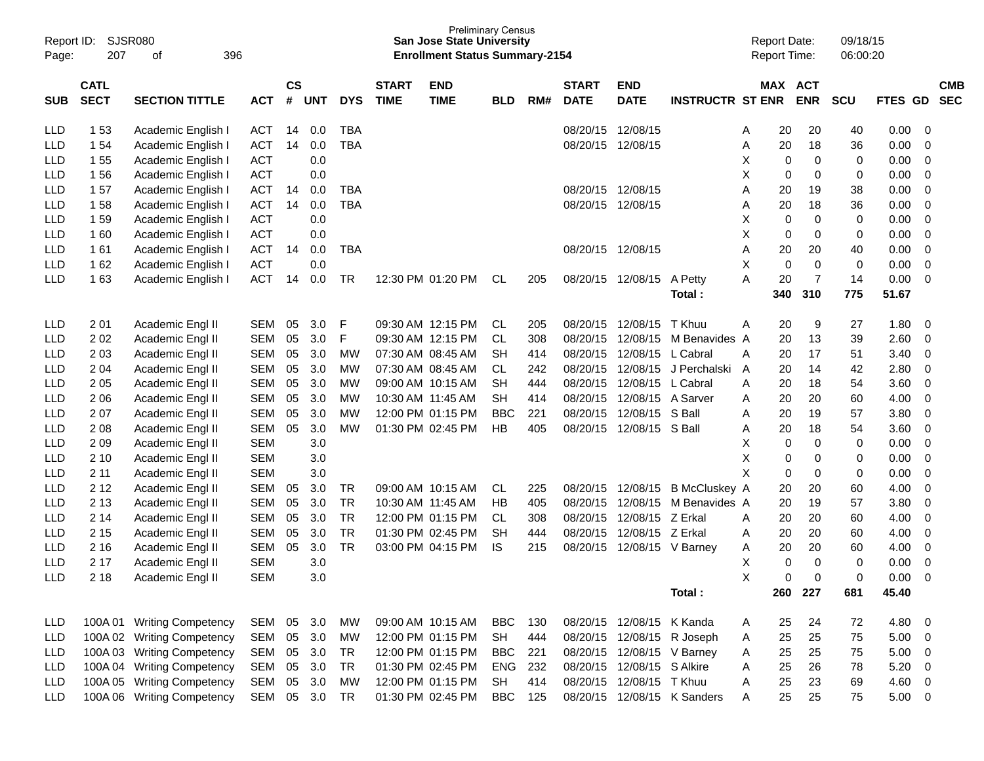| Report ID:<br>Page: | SJSR080<br>207             | 396<br>оf                  |            |                |            |            |                             | <b>Preliminary Census</b><br><b>San Jose State University</b><br><b>Enrollment Status Summary-2154</b> |            |     |                             |                            |                             | <b>Report Date:</b><br><b>Report Time:</b> |          |                       | 09/18/15<br>06:00:20 |             |                          |                          |
|---------------------|----------------------------|----------------------------|------------|----------------|------------|------------|-----------------------------|--------------------------------------------------------------------------------------------------------|------------|-----|-----------------------------|----------------------------|-----------------------------|--------------------------------------------|----------|-----------------------|----------------------|-------------|--------------------------|--------------------------|
| <b>SUB</b>          | <b>CATL</b><br><b>SECT</b> | <b>SECTION TITTLE</b>      | <b>ACT</b> | <b>CS</b><br># | <b>UNT</b> | <b>DYS</b> | <b>START</b><br><b>TIME</b> | <b>END</b><br><b>TIME</b>                                                                              | <b>BLD</b> | RM# | <b>START</b><br><b>DATE</b> | <b>END</b><br><b>DATE</b>  | <b>INSTRUCTR ST ENR</b>     |                                            |          | MAX ACT<br><b>ENR</b> | <b>SCU</b>           | <b>FTES</b> | <b>GD</b>                | <b>CMB</b><br><b>SEC</b> |
| LLD                 | 1 53                       | Academic English I         | <b>ACT</b> | 14             | 0.0        | <b>TBA</b> |                             |                                                                                                        |            |     | 08/20/15                    | 12/08/15                   |                             | A                                          | 20       | 20                    | 40                   | 0.00        | - 0                      |                          |
| <b>LLD</b>          | 1 54                       | Academic English I         | ACT        | 14             | 0.0        | <b>TBA</b> |                             |                                                                                                        |            |     | 08/20/15                    | 12/08/15                   |                             | Α                                          | 20       | 18                    | 36                   | 0.00        | 0                        |                          |
| <b>LLD</b>          | 1 55                       | Academic English I         | <b>ACT</b> |                | 0.0        |            |                             |                                                                                                        |            |     |                             |                            |                             | х                                          | 0        | 0                     | 0                    | 0.00        | 0                        |                          |
| <b>LLD</b>          | 156                        | Academic English I         | <b>ACT</b> |                | 0.0        |            |                             |                                                                                                        |            |     |                             |                            |                             | х                                          | 0        | 0                     | 0                    | 0.00        | 0                        |                          |
| <b>LLD</b>          | 157                        | Academic English I         | <b>ACT</b> | 14             | 0.0        | <b>TBA</b> |                             |                                                                                                        |            |     | 08/20/15                    | 12/08/15                   |                             | A                                          | 20       | 19                    | 38                   | 0.00        | 0                        |                          |
| <b>LLD</b>          | 158                        | Academic English I         | ACT        | 14             | 0.0        | <b>TBA</b> |                             |                                                                                                        |            |     | 08/20/15                    | 12/08/15                   |                             | Α                                          | 20       | 18                    | 36                   | 0.00        | 0                        |                          |
| <b>LLD</b>          | 159                        | Academic English I         | <b>ACT</b> |                | 0.0        |            |                             |                                                                                                        |            |     |                             |                            |                             | х                                          | 0        | 0                     | 0                    | 0.00        | 0                        |                          |
| LLD                 | 160                        | Academic English I         | <b>ACT</b> |                | 0.0        |            |                             |                                                                                                        |            |     |                             |                            |                             | х                                          | 0        | 0                     | 0                    | 0.00        | 0                        |                          |
| <b>LLD</b>          | 161                        | Academic English I         | ACT        | 14             | 0.0        | <b>TBA</b> |                             |                                                                                                        |            |     | 08/20/15                    | 12/08/15                   |                             | Α                                          | 20       | 20                    | 40                   | 0.00        | 0                        |                          |
| <b>LLD</b>          | 1 62                       | Academic English I         | <b>ACT</b> |                | 0.0        |            |                             |                                                                                                        |            |     |                             |                            |                             | X                                          | 0        | $\mathbf 0$           | 0                    | 0.00        | 0                        |                          |
| <b>LLD</b>          | 163                        | Academic English I         | <b>ACT</b> | 14             | 0.0        | TR         |                             | 12:30 PM 01:20 PM                                                                                      | CL         | 205 | 08/20/15                    | 12/08/15                   | A Petty                     | A                                          | 20       | 7                     | 14                   | 0.00        | 0                        |                          |
|                     |                            |                            |            |                |            |            |                             |                                                                                                        |            |     |                             |                            | Total:                      |                                            | 340      | 310                   | 775                  | 51.67       |                          |                          |
| LLD                 | 2 0 1                      | Academic Engl II           | <b>SEM</b> | 05             | 3.0        | F          |                             | 09:30 AM 12:15 PM                                                                                      | <b>CL</b>  | 205 | 08/20/15                    | 12/08/15                   | T Khuu                      | A                                          | 20       | 9                     | 27                   | 1.80        | 0                        |                          |
| <b>LLD</b>          | 202                        | Academic Engl II           | <b>SEM</b> | 05             | 3.0        | F          |                             | 09:30 AM 12:15 PM                                                                                      | CL         | 308 | 08/20/15                    | 12/08/15                   | M Benavides A               |                                            | 20       | 13                    | 39                   | 2.60        | 0                        |                          |
| LLD                 | 2 0 3                      | Academic Engl II           | <b>SEM</b> | 05             | 3.0        | MW         |                             | 07:30 AM 08:45 AM                                                                                      | <b>SH</b>  | 414 | 08/20/15                    | 12/08/15                   | L Cabral                    | A                                          | 20       | 17                    | 51                   | 3.40        | 0                        |                          |
| <b>LLD</b>          | 2 0 4                      | Academic Engl II           | <b>SEM</b> | 05             | 3.0        | МW         |                             | 07:30 AM 08:45 AM                                                                                      | CL         | 242 | 08/20/15                    | 12/08/15                   | J Perchalski                | A                                          | 20       | 14                    | 42                   | 2.80        | 0                        |                          |
| <b>LLD</b>          | 205                        | Academic Engl II           | <b>SEM</b> | 05             | 3.0        | МW         |                             | 09:00 AM 10:15 AM                                                                                      | <b>SH</b>  | 444 | 08/20/15                    | 12/08/15                   | L Cabral                    | A                                          | 20       | 18                    | 54                   | 3.60        | 0                        |                          |
| <b>LLD</b>          | 206                        | Academic Engl II           | <b>SEM</b> | 05             | 3.0        | МW         |                             | 10:30 AM 11:45 AM                                                                                      | <b>SH</b>  | 414 | 08/20/15                    | 12/08/15                   | A Sarver                    | A                                          | 20       | 20                    | 60                   | 4.00        | 0                        |                          |
| <b>LLD</b>          | 207                        | Academic Engl II           | <b>SEM</b> | 05             | 3.0        | МW         |                             | 12:00 PM 01:15 PM                                                                                      | <b>BBC</b> | 221 | 08/20/15                    | 12/08/15                   | S Ball                      | A                                          | 20       | 19                    | 57                   | 3.80        | 0                        |                          |
| <b>LLD</b>          | 2 0 8                      | Academic Engl II           | <b>SEM</b> | 05             | 3.0        | MW         |                             | 01:30 PM 02:45 PM                                                                                      | HB         | 405 | 08/20/15                    | 12/08/15 S Ball            |                             | A                                          | 20       | 18                    | 54                   | 3.60        | 0                        |                          |
| <b>LLD</b>          | 209                        | Academic Engl II           | <b>SEM</b> |                | 3.0        |            |                             |                                                                                                        |            |     |                             |                            |                             | х                                          | 0        | $\mathbf 0$           | 0                    | 0.00        | 0                        |                          |
| <b>LLD</b>          | 2 10                       | Academic Engl II           | <b>SEM</b> |                | 3.0        |            |                             |                                                                                                        |            |     |                             |                            |                             | X                                          | 0        | 0                     | 0                    | 0.00        | 0                        |                          |
| <b>LLD</b>          | 2 1 1                      | Academic Engl II           | <b>SEM</b> |                | 3.0        |            |                             |                                                                                                        |            |     |                             |                            |                             | X                                          | 0        | 0                     | $\pmb{0}$            | 0.00        | 0                        |                          |
| <b>LLD</b>          | 2 1 2                      | Academic Engl II           | <b>SEM</b> | 05             | 3.0        | TR         |                             | 09:00 AM 10:15 AM                                                                                      | CL         | 225 | 08/20/15                    | 12/08/15                   | <b>B</b> McCluskey A        |                                            | 20       | 20                    | 60                   | 4.00        | 0                        |                          |
| <b>LLD</b>          | 2 1 3                      | Academic Engl II           | <b>SEM</b> | 05             | 3.0        | <b>TR</b>  |                             | 10:30 AM 11:45 AM                                                                                      | HB         | 405 | 08/20/15                    | 12/08/15                   | M Benavides A               |                                            | 20       | 19                    | 57                   | 3.80        | 0                        |                          |
| <b>LLD</b>          | 2 14                       | Academic Engl II           | <b>SEM</b> | 05             | 3.0        | <b>TR</b>  |                             | 12:00 PM 01:15 PM                                                                                      | <b>CL</b>  | 308 | 08/20/15                    | 12/08/15                   | Z Erkal                     | A                                          | 20       | 20                    | 60                   | 4.00        | 0                        |                          |
| LLD                 | 2 1 5                      | Academic Engl II           | <b>SEM</b> | 05             | 3.0        | <b>TR</b>  |                             | 01:30 PM 02:45 PM                                                                                      | <b>SH</b>  | 444 | 08/20/15                    | 12/08/15                   | Z Erkal                     | A                                          | 20       | 20                    | 60                   | 4.00        | 0                        |                          |
| <b>LLD</b>          | 2 1 6                      | Academic Engl II           | <b>SEM</b> | 05             | 3.0        | <b>TR</b>  |                             | 03:00 PM 04:15 PM                                                                                      | IS         | 215 | 08/20/15                    |                            | 12/08/15 V Barnev           | A                                          | 20       | 20                    | 60                   | 4.00        | 0                        |                          |
| <b>LLD</b>          | 2 1 7                      | Academic Engl II           | <b>SEM</b> |                | 3.0        |            |                             |                                                                                                        |            |     |                             |                            |                             | х                                          | 0        | 0                     | 0                    | 0.00        | 0                        |                          |
| <b>LLD</b>          | 2 1 8                      | Academic Engl II           | <b>SEM</b> |                | 3.0        |            |                             |                                                                                                        |            |     |                             |                            |                             | X                                          | $\Omega$ | 0                     | 0                    | 0.00        | $\overline{\mathbf{0}}$  |                          |
|                     |                            |                            |            |                |            |            |                             |                                                                                                        |            |     |                             |                            | Total:                      |                                            | 260      | 227                   | 681                  | 45.40       |                          |                          |
| LLD                 |                            | 100A 01 Writing Competency | SEM        |                | 05 3.0     | MW         |                             | 09:00 AM 10:15 AM                                                                                      | BBC        | 130 |                             | 08/20/15 12/08/15 K Kanda  |                             | A                                          | 25       | 24                    | 72                   | 4.80        | $\overline{\phantom{0}}$ |                          |
| LLD                 |                            | 100A 02 Writing Competency | SEM        | 05             | 3.0        | МW         |                             | 12:00 PM 01:15 PM                                                                                      | <b>SH</b>  | 444 |                             |                            | 08/20/15 12/08/15 R Joseph  | Α                                          | 25       | 25                    | 75                   | 5.00        | $\overline{\mathbf{0}}$  |                          |
| LLD                 |                            | 100A 03 Writing Competency | SEM        | 05             | 3.0        | TR         |                             | 12:00 PM 01:15 PM                                                                                      | <b>BBC</b> | 221 |                             |                            | 08/20/15 12/08/15 V Barney  | A                                          | 25       | 25                    | 75                   | 5.00        | $\overline{\mathbf{0}}$  |                          |
| LLD                 |                            | 100A 04 Writing Competency | SEM        | 05             | 3.0        | <b>TR</b>  |                             | 01:30 PM 02:45 PM                                                                                      | ENG        | 232 |                             | 08/20/15 12/08/15 S Alkire |                             | Α                                          | 25       | 26                    | 78                   | 5.20        | $\overline{0}$           |                          |
| LLD                 |                            | 100A 05 Writing Competency | SEM        | 05             | 3.0        | МW         |                             | 12:00 PM 01:15 PM                                                                                      | <b>SH</b>  | 414 |                             | 08/20/15 12/08/15 T Khuu   |                             | Α                                          | 25       | 23                    | 69                   | 4.60        | $\overline{\mathbf{0}}$  |                          |
| LLD                 |                            | 100A 06 Writing Competency | SEM        |                | 05 3.0 TR  |            |                             | 01:30 PM 02:45 PM                                                                                      | BBC 125    |     |                             |                            | 08/20/15 12/08/15 K Sanders | A                                          | 25       | 25                    | 75                   | $5.00 \t 0$ |                          |                          |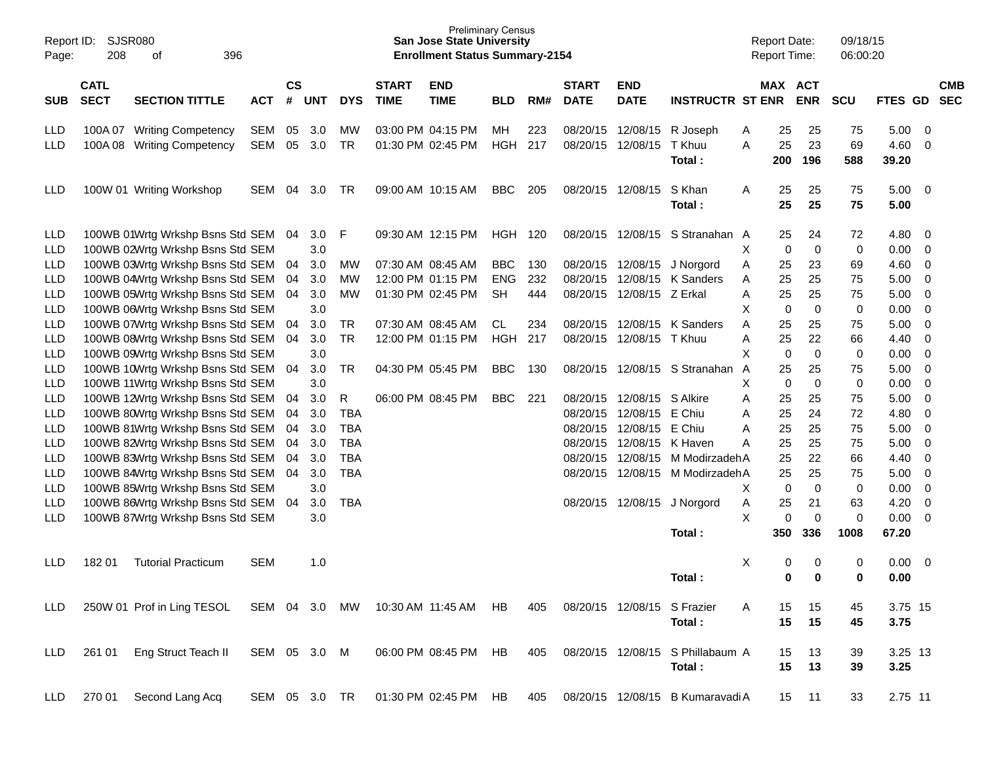| Report ID:<br>Page: | <b>SJSR080</b><br>208      | 396<br>οf                        |              |                    |            |            |                             | <b>Preliminary Census</b><br><b>San Jose State University</b><br><b>Enrollment Status Summary-2154</b> |            |     |                             |                           |                                  | <b>Report Date:</b><br><b>Report Time:</b> |             |             | 09/18/15<br>06:00:20 |               |                          |                          |
|---------------------|----------------------------|----------------------------------|--------------|--------------------|------------|------------|-----------------------------|--------------------------------------------------------------------------------------------------------|------------|-----|-----------------------------|---------------------------|----------------------------------|--------------------------------------------|-------------|-------------|----------------------|---------------|--------------------------|--------------------------|
| <b>SUB</b>          | <b>CATL</b><br><b>SECT</b> | <b>SECTION TITTLE</b>            | <b>ACT</b>   | $\mathsf{cs}$<br># | <b>UNT</b> | <b>DYS</b> | <b>START</b><br><b>TIME</b> | <b>END</b><br><b>TIME</b>                                                                              | <b>BLD</b> | RM# | <b>START</b><br><b>DATE</b> | <b>END</b><br><b>DATE</b> | <b>INSTRUCTR ST ENR</b>          |                                            | MAX ACT     | <b>ENR</b>  | <b>SCU</b>           | FTES GD       |                          | <b>CMB</b><br><b>SEC</b> |
| <b>LLD</b>          |                            | 100A 07 Writing Competency       | SEM          | 05                 | 3.0        | МW         |                             | 03:00 PM 04:15 PM                                                                                      | MН         | 223 | 08/20/15                    | 12/08/15                  | R Joseph                         | Α                                          | 25          | 25          | 75                   | 5.00          | - 0                      |                          |
| <b>LLD</b>          | 100A08                     | <b>Writing Competency</b>        | <b>SEM</b>   | 05                 | 3.0        | <b>TR</b>  |                             | 01:30 PM 02:45 PM                                                                                      | <b>HGH</b> | 217 | 08/20/15                    | 12/08/15                  | T Khuu<br>Total:                 | A                                          | 25<br>200   | 23<br>196   | 69<br>588            | 4.60<br>39.20 | $\overline{0}$           |                          |
| <b>LLD</b>          |                            | 100W 01 Writing Workshop         | SEM          | 04                 | 3.0        | TR         |                             | 09:00 AM 10:15 AM                                                                                      | <b>BBC</b> | 205 | 08/20/15 12/08/15           |                           | S Khan<br>Total:                 | Α                                          | 25<br>25    | 25<br>25    | 75<br>75             | 5.00<br>5.00  | $\overline{\phantom{0}}$ |                          |
| <b>LLD</b>          |                            | 100WB 01Wrtg Wrkshp Bsns Std SEM |              | 04                 | 3.0        | F          |                             | 09:30 AM 12:15 PM                                                                                      | HGH        | 120 |                             | 08/20/15 12/08/15         | S Stranahan A                    |                                            | 25          | 24          | 72                   | 4.80          | - 0                      |                          |
| LLD                 |                            | 100WB 02Wrtg Wrkshp Bsns Std SEM |              |                    | 3.0        |            |                             |                                                                                                        |            |     |                             |                           |                                  | X                                          | 0           | $\mathbf 0$ | $\pmb{0}$            | 0.00          | $\overline{0}$           |                          |
| LLD                 |                            | 100WB 03Wrtg Wrkshp Bsns Std SEM |              | 04                 | 3.0        | MW         | 07:30 AM 08:45 AM           |                                                                                                        | <b>BBC</b> | 130 |                             | 08/20/15 12/08/15         | J Norgord                        | Α                                          | 25          | 23          | 69                   | 4.60          | $\overline{0}$           |                          |
| LLD                 |                            | 100WB 04Wrtg Wrkshp Bsns Std SEM |              | 04                 | 3.0        | MW         |                             | 12:00 PM 01:15 PM                                                                                      | <b>ENG</b> | 232 | 08/20/15                    | 12/08/15                  | K Sanders                        | Α                                          | 25          | 25          | 75                   | 5.00          | $\overline{0}$           |                          |
| LLD                 |                            | 100WB 05Wrtg Wrkshp Bsns Std SEM |              | 04                 | 3.0        | MW         |                             | 01:30 PM 02:45 PM                                                                                      | <b>SH</b>  | 444 | 08/20/15                    | 12/08/15                  | Z Erkal                          | Α                                          | 25          | 25          | 75                   | 5.00          | $\mathbf 0$              |                          |
| LLD                 |                            | 100WB 06Wrtg Wrkshp Bsns Std SEM |              |                    | 3.0        |            |                             |                                                                                                        |            |     |                             |                           |                                  | Χ                                          | $\mathbf 0$ | $\mathbf 0$ | $\pmb{0}$            | 0.00          | $\overline{0}$           |                          |
| LLD                 |                            | 100WB 07Wrtg Wrkshp Bsns Std SEM |              | 04                 | 3.0        | <b>TR</b>  |                             | 07:30 AM 08:45 AM                                                                                      | CL.        | 234 | 08/20/15                    | 12/08/15                  | K Sanders                        | Α                                          | 25          | 25          | 75                   | 5.00          | $\mathbf 0$              |                          |
| LLD                 |                            | 100WB 08Wrtg Wrkshp Bsns Std SEM |              | 04                 | 3.0        | <b>TR</b>  |                             | 12:00 PM 01:15 PM                                                                                      | <b>HGH</b> | 217 | 08/20/15                    | 12/08/15                  | T Khuu                           | Α                                          | 25          | 22          | 66                   | 4.40          | $\mathbf 0$              |                          |
| LLD                 |                            | 100WB 09Wrtg Wrkshp Bsns Std SEM |              |                    | 3.0        |            |                             |                                                                                                        |            |     |                             |                           |                                  | Χ                                          | 0           | $\mathbf 0$ | 0                    | 0.00          | $\mathbf 0$              |                          |
| LLD                 |                            | 100WB 10Wrtg Wrkshp Bsns Std SEM |              | 04                 | 3.0        | <b>TR</b>  |                             | 04:30 PM 05:45 PM                                                                                      | <b>BBC</b> | 130 | 08/20/15                    | 12/08/15                  | S Stranahan                      | A                                          | 25          | 25          | 75                   | 5.00          | $\mathbf 0$              |                          |
| LLD                 |                            | 100WB 11Wrtg Wrkshp Bsns Std SEM |              |                    | 3.0        |            |                             |                                                                                                        |            |     |                             |                           |                                  | X                                          | 0           | $\mathbf 0$ | 0                    | 0.00          | $\overline{0}$           |                          |
| LLD                 |                            | 100WB 12Wrtg Wrkshp Bsns Std SEM |              | 04                 | 3.0        | R          |                             | 06:00 PM 08:45 PM                                                                                      | <b>BBC</b> | 221 | 08/20/15                    | 12/08/15                  | S Alkire                         | A                                          | 25          | 25          | 75                   | 5.00          | $\mathbf 0$              |                          |
| LLD                 |                            | 100WB 80Wrtg Wrkshp Bsns Std SEM |              | 04                 | 3.0        | <b>TBA</b> |                             |                                                                                                        |            |     | 08/20/15                    | 12/08/15                  | E Chiu                           | Α                                          | 25          | 24          | 72                   | 4.80          | $\mathbf 0$              |                          |
| LLD                 |                            | 100WB 81Wrtg Wrkshp Bsns Std SEM |              | 04                 | 3.0        | <b>TBA</b> |                             |                                                                                                        |            |     | 08/20/15                    | 12/08/15                  | E Chiu                           | A                                          | 25          | 25          | 75                   | 5.00          | $\mathbf 0$              |                          |
| LLD                 |                            | 100WB 82Wrtg Wrkshp Bsns Std SEM |              | 04                 | 3.0        | <b>TBA</b> |                             |                                                                                                        |            |     | 08/20/15                    | 12/08/15                  | K Haven                          | Α                                          | 25          | 25          | 75                   | 5.00          | $\mathbf 0$              |                          |
| LLD                 |                            | 100WB 83Wrtg Wrkshp Bsns Std SEM |              | 04                 | 3.0        | <b>TBA</b> |                             |                                                                                                        |            |     | 08/20/15                    | 12/08/15                  | M ModirzadehA                    |                                            | 25          | 22          | 66                   | 4.40          | $\mathbf 0$              |                          |
| LLD                 |                            | 100WB 84Wrtg Wrkshp Bsns Std SEM |              | 04                 | 3.0        | <b>TBA</b> |                             |                                                                                                        |            |     | 08/20/15                    | 12/08/15                  | M ModirzadehA                    |                                            | 25          | 25          | 75                   | 5.00          | $\mathbf 0$              |                          |
| LLD                 |                            | 100WB 85Wrtg Wrkshp Bsns Std SEM |              |                    | 3.0        |            |                             |                                                                                                        |            |     |                             |                           |                                  | Χ                                          | 0           | $\mathbf 0$ | 0                    | 0.00          | $\mathbf 0$              |                          |
| LLD                 |                            | 100WB 86Wrtg Wrkshp Bsns Std SEM |              | 04                 | 3.0        | <b>TBA</b> |                             |                                                                                                        |            |     | 08/20/15                    | 12/08/15                  | J Norgord                        | Α                                          | 25          | 21          | 63                   | 4.20          | $\mathbf 0$              |                          |
| <b>LLD</b>          |                            | 100WB 87Wrtg Wrkshp Bsns Std SEM |              |                    | 3.0        |            |                             |                                                                                                        |            |     |                             |                           |                                  | X                                          | 0           | $\mathbf 0$ | 0                    | 0.00          | $\overline{0}$           |                          |
|                     |                            |                                  |              |                    |            |            |                             |                                                                                                        |            |     |                             |                           | Total:                           |                                            | 350         | 336         | 1008                 | 67.20         |                          |                          |
| <b>LLD</b>          | 18201                      | <b>Tutorial Practicum</b>        | <b>SEM</b>   |                    | 1.0        |            |                             |                                                                                                        |            |     |                             |                           |                                  | Χ                                          | 0           | 0           | 0                    | 0.00          | - 0                      |                          |
|                     |                            |                                  |              |                    |            |            |                             |                                                                                                        |            |     |                             |                           | Total:                           |                                            | 0           | $\bf{0}$    | 0                    | 0.00          |                          |                          |
| <b>LLD</b>          |                            | 250W 01 Prof in Ling TESOL       | SEM 04 3.0   |                    |            | MW         | 10:30 AM 11:45 AM           |                                                                                                        | HB         | 405 |                             | 08/20/15 12/08/15         | S Frazier                        | A                                          | 15          | 15          | 45                   | 3.75 15       |                          |                          |
|                     |                            |                                  |              |                    |            |            |                             |                                                                                                        |            |     |                             |                           | Total:                           |                                            | 15          | 15          | 45                   | 3.75          |                          |                          |
| <b>LLD</b>          | 261 01                     | Eng Struct Teach II              | SEM 05 3.0 M |                    |            |            |                             | 06:00 PM 08:45 PM HB                                                                                   |            | 405 |                             | 08/20/15 12/08/15         | S Phillabaum A                   |                                            | 15          | 13          | 39                   | 3.25 13       |                          |                          |
|                     |                            |                                  |              |                    |            |            |                             |                                                                                                        |            |     |                             |                           | Total:                           |                                            | 15          | 13          | 39                   | 3.25          |                          |                          |
| LLD                 | 270 01                     | Second Lang Acq                  | SEM 05 3.0   |                    |            | TR         |                             | 01:30 PM 02:45 PM HB                                                                                   |            | 405 |                             |                           | 08/20/15 12/08/15 B Kumaravadi A |                                            | 15          | 11          | 33                   | 2.75 11       |                          |                          |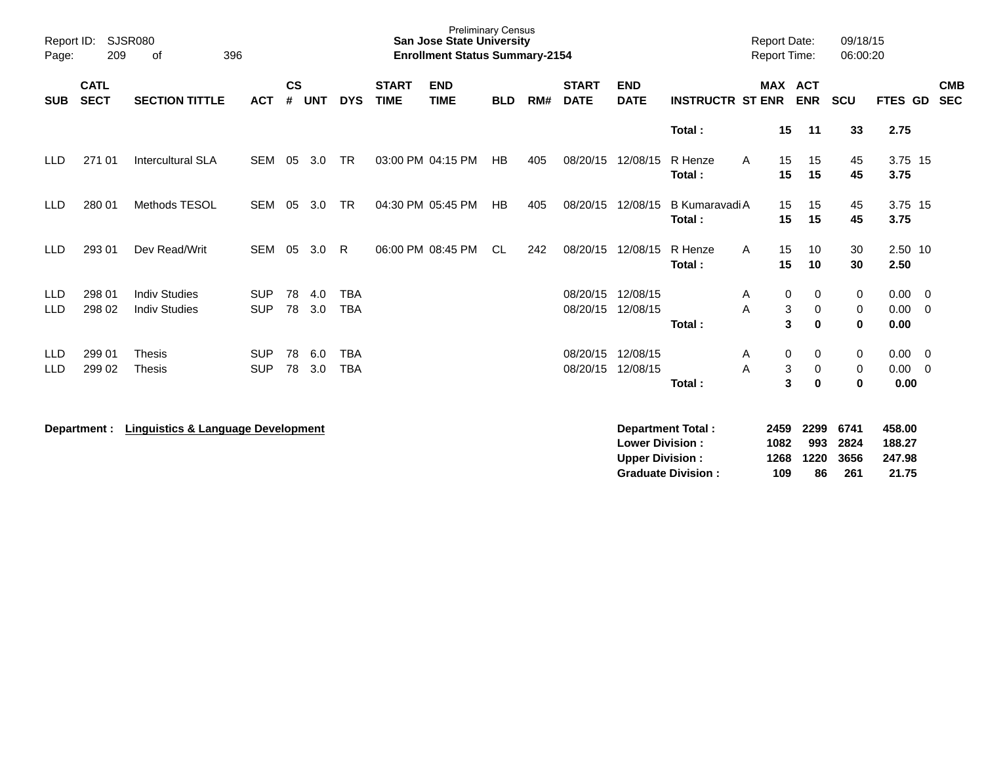| Page:                    | SJSR080<br>Report ID:<br>209<br>396<br>οf |                                               |                          |                    |            |                          |                             | <b>Preliminary Census</b><br><b>San Jose State University</b><br><b>Enrollment Status Summary-2154</b> |            |     |                             |                                                  |                          | <b>Report Date:</b><br>Report Time: |                     | 09/18/15<br>06:00:20  |                             |                                                    |
|--------------------------|-------------------------------------------|-----------------------------------------------|--------------------------|--------------------|------------|--------------------------|-----------------------------|--------------------------------------------------------------------------------------------------------|------------|-----|-----------------------------|--------------------------------------------------|--------------------------|-------------------------------------|---------------------|-----------------------|-----------------------------|----------------------------------------------------|
| <b>SUB</b>               | <b>CATL</b><br><b>SECT</b>                | <b>SECTION TITTLE</b>                         | <b>ACT</b>               | $\mathsf{cs}$<br># | <b>UNT</b> | <b>DYS</b>               | <b>START</b><br><b>TIME</b> | <b>END</b><br><b>TIME</b>                                                                              | <b>BLD</b> | RM# | <b>START</b><br><b>DATE</b> | <b>END</b><br><b>DATE</b>                        | <b>INSTRUCTR ST ENR</b>  | MAX ACT                             | <b>ENR</b>          | <b>SCU</b>            | FTES GD                     | <b>CMB</b><br><b>SEC</b>                           |
|                          |                                           |                                               |                          |                    |            |                          |                             |                                                                                                        |            |     |                             |                                                  | Total:                   | 15                                  | 11                  | 33                    | 2.75                        |                                                    |
| <b>LLD</b>               | 271 01                                    | <b>Intercultural SLA</b>                      | SEM                      | 05                 | 3.0        | <b>TR</b>                |                             | 03:00 PM 04:15 PM                                                                                      | HB         | 405 | 08/20/15                    | 12/08/15                                         | R Henze<br>Total:        | A<br>15<br>15                       | 15<br>15            | 45<br>45              | 3.75 15<br>3.75             |                                                    |
| <b>LLD</b>               | 280 01                                    | Methods TESOL                                 | <b>SEM</b>               | 05                 | 3.0        | <b>TR</b>                |                             | 04:30 PM 05:45 PM                                                                                      | HB         | 405 | 08/20/15                    | 12/08/15                                         | B Kumaravadi A<br>Total: | 15<br>15                            | 15<br>15            | 45<br>45              | 3.75 15<br>3.75             |                                                    |
| <b>LLD</b>               | 293 01                                    | Dev Read/Writ                                 | <b>SEM</b>               | 05                 | 3.0        | R.                       |                             | 06:00 PM 08:45 PM                                                                                      | <b>CL</b>  | 242 | 08/20/15                    | 12/08/15                                         | R Henze<br>Total:        | 15<br>A<br>15                       | 10<br>10            | 30<br>30              | 2.50 10<br>2.50             |                                                    |
| <b>LLD</b><br>LLD        | 298 01<br>298 02                          | <b>Indiv Studies</b><br><b>Indiv Studies</b>  | <b>SUP</b><br><b>SUP</b> | 78<br>78           | 4.0<br>3.0 | <b>TBA</b><br><b>TBA</b> |                             |                                                                                                        |            |     | 08/20/15<br>08/20/15        | 12/08/15<br>12/08/15                             | Total:                   | 0<br>Α<br>3<br>A<br>3               | 0<br>0<br>$\bf{0}$  | 0<br>0<br>$\mathbf 0$ | 0.00<br>0.00<br>0.00        | $\overline{\mathbf{0}}$<br>$\overline{\mathbf{0}}$ |
| <b>LLD</b><br><b>LLD</b> | 299 01<br>299 02                          | <b>Thesis</b><br>Thesis                       | <b>SUP</b><br><b>SUP</b> | 78<br>78           | 6.0<br>3.0 | <b>TBA</b><br><b>TBA</b> |                             |                                                                                                        |            |     | 08/20/15<br>08/20/15        | 12/08/15<br>12/08/15                             | Total:                   | 0<br>A<br>3<br>A<br>3               | 0<br>0<br>$\bf{0}$  | 0<br>0<br>$\bf{0}$    | $0.00 \t 0$<br>0.00<br>0.00 | $\overline{0}$                                     |
|                          | Department :                              | <b>Linguistics &amp; Language Development</b> |                          |                    |            |                          |                             |                                                                                                        |            |     |                             | <b>Lower Division:</b><br><b>Upper Division:</b> | <b>Department Total:</b> | 2459<br>1082<br>1268                | 2299<br>993<br>1220 | 6741<br>2824<br>3656  | 458.00<br>188.27<br>247.98  |                                                    |

**Graduate Division : 109 86 261 21.75**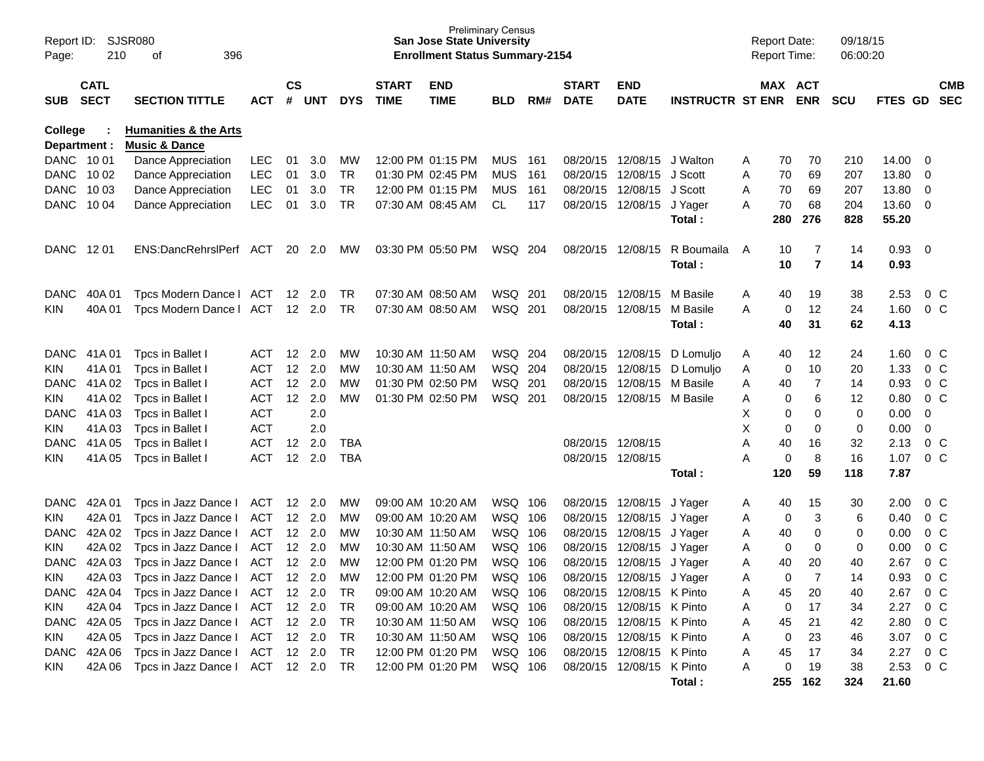| Page:       | SJSR080<br>Report ID:<br>210<br>396<br>οf |                                                              |            |                    |                |            |                             | <b>San Jose State University</b><br><b>Enrollment Status Summary-2154</b> | <b>Preliminary Census</b> |     |                             |                                                        |                         | <b>Report Date:</b> |          | <b>Report Time:</b>   | 09/18/15<br>06:00:20 |                |                   |                   |
|-------------|-------------------------------------------|--------------------------------------------------------------|------------|--------------------|----------------|------------|-----------------------------|---------------------------------------------------------------------------|---------------------------|-----|-----------------------------|--------------------------------------------------------|-------------------------|---------------------|----------|-----------------------|----------------------|----------------|-------------------|-------------------|
| <b>SUB</b>  | <b>CATL</b><br><b>SECT</b>                | <b>SECTION TITTLE</b>                                        | <b>ACT</b> | $\mathsf{cs}$<br># | <b>UNT</b>     | <b>DYS</b> | <b>START</b><br><b>TIME</b> | <b>END</b><br><b>TIME</b>                                                 | <b>BLD</b>                | RM# | <b>START</b><br><b>DATE</b> | <b>END</b><br><b>DATE</b>                              | <b>INSTRUCTR ST ENR</b> |                     |          | MAX ACT<br><b>ENR</b> | <b>SCU</b>           | <b>FTES GD</b> |                   | <b>CMB</b><br>SEC |
| College     | Department :                              | <b>Humanities &amp; the Arts</b><br><b>Music &amp; Dance</b> |            |                    |                |            |                             |                                                                           |                           |     |                             |                                                        |                         |                     |          |                       |                      |                |                   |                   |
|             | DANC 1001                                 | Dance Appreciation                                           | <b>LEC</b> | 01                 | 3.0            | МW         |                             | 12:00 PM 01:15 PM                                                         | <b>MUS</b>                | 161 |                             | 08/20/15 12/08/15                                      | J Walton                | A                   | 70       | 70                    | 210                  | 14.00          | 0                 |                   |
| <b>DANC</b> | 10 02                                     | Dance Appreciation                                           | <b>LEC</b> | 01                 | 3.0            | TR         | 01:30 PM 02:45 PM           |                                                                           | <b>MUS</b>                | 161 |                             | 08/20/15 12/08/15                                      | J Scott                 | Α                   | 70       | 69                    | 207                  | 13.80          | 0                 |                   |
| <b>DANC</b> | 10 03                                     | Dance Appreciation                                           | <b>LEC</b> | 01                 | 3.0            | <b>TR</b>  |                             | 12:00 PM 01:15 PM                                                         | <b>MUS</b>                | 161 |                             | 08/20/15 12/08/15                                      | J Scott                 | A                   | 70       | 69                    | 207                  | 13.80          | 0                 |                   |
| <b>DANC</b> | 10 04                                     | Dance Appreciation                                           | <b>LEC</b> | 01                 | 3.0            | TR         |                             | 07:30 AM 08:45 AM                                                         | CL.                       | 117 |                             | 08/20/15 12/08/15                                      | J Yager                 | A                   | 70       | 68                    | 204                  | 13.60          | 0                 |                   |
|             |                                           |                                                              |            |                    |                |            |                             |                                                                           |                           |     |                             |                                                        | Total:                  |                     | 280      | 276                   | 828                  | 55.20          |                   |                   |
|             | DANC 1201                                 | ENS:DancRehrslPerf ACT                                       |            | 20                 | 2.0            | <b>MW</b>  |                             | 03:30 PM 05:50 PM                                                         | WSQ 204                   |     |                             | 08/20/15 12/08/15                                      | R Boumaila<br>Total:    | A                   | 10<br>10 | 7<br>$\overline{7}$   | 14<br>14             | 0.93<br>0.93   | - 0               |                   |
| <b>DANC</b> | 40A 01                                    | Tpcs Modern Dance   ACT                                      |            |                    | $12 \quad 2.0$ | <b>TR</b>  | 07:30 AM 08:50 AM           |                                                                           | WSQ 201                   |     |                             | 08/20/15 12/08/15                                      | M Basile                | A                   | 40       | 19                    | 38                   | 2.53           | $0\,C$            |                   |
| KIN         | 40A 01                                    | Tpcs Modern Dance   ACT                                      |            |                    | 12 2.0         | TR.        |                             | 07:30 AM 08:50 AM                                                         | WSQ 201                   |     |                             | 08/20/15 12/08/15                                      | M Basile                | A                   | 0        | 12                    | 24                   | 1.60           | 0 <sup>C</sup>    |                   |
|             |                                           |                                                              |            |                    |                |            |                             |                                                                           |                           |     |                             |                                                        | Total:                  |                     | 40       | 31                    | 62                   | 4.13           |                   |                   |
| <b>DANC</b> | 41A 01                                    | Tpcs in Ballet I                                             | ACT        | 12                 | 2.0            | МW         | 10:30 AM 11:50 AM           |                                                                           | WSQ 204                   |     |                             | 08/20/15 12/08/15                                      | D Lomuljo               | A                   | 40       | 12                    | 24                   | 1.60           | $0\,C$            |                   |
| <b>KIN</b>  | 41A01                                     | Tpcs in Ballet I                                             | <b>ACT</b> | 12                 | 2.0            | MW         | 10:30 AM 11:50 AM           |                                                                           | WSQ 204                   |     |                             | 08/20/15 12/08/15                                      | D Lomulio               | A                   | 0        | 10                    | 20                   | 1.33           | $0\,$ C           |                   |
| DANC.       | 41A 02                                    | Tpcs in Ballet I                                             | <b>ACT</b> | 12                 | 2.0            | МW         | 01:30 PM 02:50 PM           |                                                                           | WSQ 201                   |     | 08/20/15                    | 12/08/15                                               | M Basile                | A                   | 40       | 7                     | 14                   | 0.93           | 0 <sup>C</sup>    |                   |
| <b>KIN</b>  | 41A 02                                    | Tpcs in Ballet I                                             | <b>ACT</b> | 12                 | 2.0            | МW         | 01:30 PM 02:50 PM           |                                                                           | WSQ 201                   |     |                             | 08/20/15 12/08/15 M Basile                             |                         | A                   | 0        | 6                     | 12                   | 0.80           | 0 <sup>C</sup>    |                   |
| <b>DANC</b> | 41A03                                     | Tpcs in Ballet I                                             | <b>ACT</b> |                    | 2.0            |            |                             |                                                                           |                           |     |                             |                                                        |                         | X                   | 0        | 0                     | 0                    | 0.00           | 0                 |                   |
| <b>KIN</b>  | 41A03                                     | Tpcs in Ballet I                                             | <b>ACT</b> |                    | 2.0            |            |                             |                                                                           |                           |     |                             |                                                        |                         | X                   | 0        | 0                     | 0                    | 0.00           | 0                 |                   |
| <b>DANC</b> | 41A 05                                    | Tpcs in Ballet I                                             | <b>ACT</b> | 12                 | 2.0            | TBA        |                             |                                                                           |                           |     | 08/20/15 12/08/15           |                                                        |                         | Α                   | 40       | 16                    | 32                   | 2.13           | $0\,$ C           |                   |
| KIN         | 41A05                                     | Tpcs in Ballet I                                             | <b>ACT</b> | 12                 | 2.0            | <b>TBA</b> |                             |                                                                           |                           |     | 08/20/15 12/08/15           |                                                        |                         | Α                   | 0        | 8                     | 16                   | 1.07           | 0 <sup>C</sup>    |                   |
|             |                                           |                                                              |            |                    |                |            |                             |                                                                           |                           |     |                             |                                                        | Total:                  |                     | 120      | 59                    | 118                  | 7.87           |                   |                   |
| <b>DANC</b> | 42A 01                                    | Tpcs in Jazz Dance I                                         | ACT        | 12                 | 2.0            | МW         |                             | 09:00 AM 10:20 AM                                                         | WSQ 106                   |     |                             | 08/20/15 12/08/15                                      | J Yager                 | A                   | 40       | 15                    | 30                   | 2.00           | $0\,$ C           |                   |
| <b>KIN</b>  | 42A 01                                    | Tpcs in Jazz Dance I                                         | ACT        |                    | 12 2.0         | MW         |                             | 09:00 AM 10:20 AM                                                         | WSQ 106                   |     | 08/20/15 12/08/15           |                                                        | J Yager                 | A                   | 0        | 3                     | 6                    | 0.40           | $0\,$ C           |                   |
| <b>DANC</b> | 42A 02                                    | Tpcs in Jazz Dance I                                         | <b>ACT</b> |                    | $12 \quad 2.0$ | МW         | 10:30 AM 11:50 AM           |                                                                           | WSQ 106                   |     |                             | 08/20/15 12/08/15                                      | J Yager                 | A                   | 40       | 0                     | 0                    | 0.00           | 0 <sup>C</sup>    |                   |
| <b>KIN</b>  | 42A 02                                    | Tpcs in Jazz Dance I                                         | ACT        |                    | 12 2.0         | МW         | 10:30 AM 11:50 AM           |                                                                           | WSQ 106                   |     | 08/20/15 12/08/15           |                                                        | J Yager                 | A                   | 0        | 0                     | 0                    | 0.00           | $0\,C$            |                   |
| <b>DANC</b> | 42A03                                     | Tpcs in Jazz Dance I                                         | ACT        | 12                 | 2.0            | MW         | 12:00 PM 01:20 PM           |                                                                           | WSQ 106                   |     | 08/20/15                    | 12/08/15                                               | J Yager                 | Α                   | 40       | 20                    | 40                   | 2.67           | $0\,C$            |                   |
| KIN         | 42A 03                                    | Tpcs in Jazz Dance I                                         | <b>ACT</b> |                    | $12 \quad 2.0$ | МW         |                             | 12:00 PM 01:20 PM                                                         | WSQ 106                   |     |                             | 08/20/15 12/08/15                                      | J Yager                 | A                   | $\Omega$ | 7                     | 14                   | 0.93           | $0\,C$            |                   |
| DANC        | 42A 04                                    | Tpcs in Jazz Dance   ACT 12 2.0                              |            |                    |                | TR         |                             | 09:00 AM 10:20 AM                                                         | WSQ 106                   |     |                             | 08/20/15 12/08/15 K Pinto                              |                         | Α                   | 45       | 20                    | 40                   | 2.67           | $0\,C$            |                   |
| <b>KIN</b>  | 42A 04                                    | Tpcs in Jazz Dance I                                         | ACT        |                    | 12 2.0         | TR         |                             | 09:00 AM 10:20 AM                                                         | WSQ 106                   |     |                             | 08/20/15 12/08/15 K Pinto                              |                         | Α                   | 0        | 17                    | 34                   | 2.27           | $0\,C$            |                   |
| DANC        | 42A 05                                    | Tpcs in Jazz Dance I                                         | ACT        |                    | 12 2.0         | TR         | 10:30 AM 11:50 AM           |                                                                           | WSQ 106                   |     |                             | 08/20/15 12/08/15 K Pinto                              |                         | Α                   | 45       | 21                    | 42                   | 2.80           | $0\,C$            |                   |
| KIN.        | 42A 05                                    | Tpcs in Jazz Dance I ACT<br>Tpcs in Jazz Dance I             |            |                    | 12 2.0         | TR         | 10:30 AM 11:50 AM           |                                                                           | WSQ 106                   |     |                             | 08/20/15 12/08/15 K Pinto<br>08/20/15 12/08/15 K Pinto |                         | Α                   | 0        | 23                    | 46                   | 3.07           | $0\,C$            |                   |
| <b>DANC</b> | 42A 06<br>42A 06                          | Tpcs in Jazz Dance   ACT 12 2.0                              | ACT 12 2.0 |                    |                | TR<br>TR   | 12:00 PM 01:20 PM           | 12:00 PM 01:20 PM                                                         | WSQ 106<br>WSQ 106        |     |                             | 08/20/15 12/08/15 K Pinto                              |                         | Α<br>Α              | 45<br>0  | 17<br>19              | 34                   | 2.27<br>2.53   | $0\,$ C<br>$0\,C$ |                   |
| KIN.        |                                           |                                                              |            |                    |                |            |                             |                                                                           |                           |     |                             |                                                        | Total:                  |                     |          | 255 162               | 38<br>324            | 21.60          |                   |                   |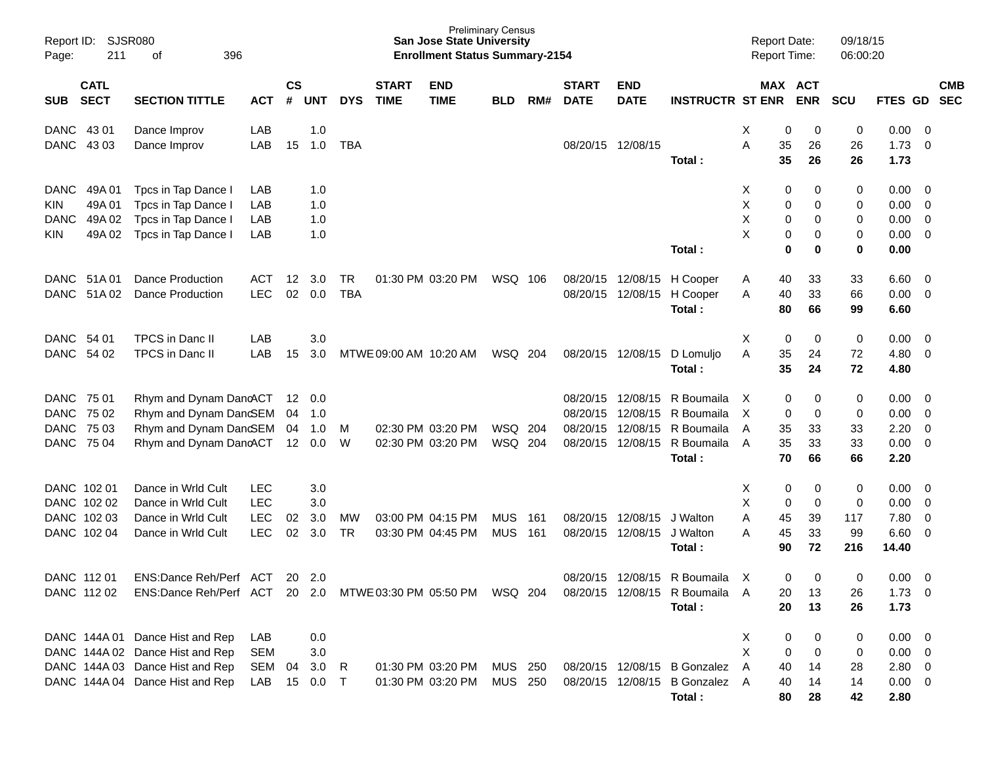| Report ID:<br>Page:                                                                            | SJSR080<br>211<br>396<br>οf                                                                                                              |                                                      |                |                               |                  |                             | <b>San Jose State University</b><br><b>Enrollment Status Summary-2154</b> | <b>Preliminary Census</b> |            |                                              |                                              |                                                                          | <b>Report Date:</b><br><b>Report Time:</b> |                                                | 09/18/15<br>06:00:20       |                                                             |                                                    |                          |
|------------------------------------------------------------------------------------------------|------------------------------------------------------------------------------------------------------------------------------------------|------------------------------------------------------|----------------|-------------------------------|------------------|-----------------------------|---------------------------------------------------------------------------|---------------------------|------------|----------------------------------------------|----------------------------------------------|--------------------------------------------------------------------------|--------------------------------------------|------------------------------------------------|----------------------------|-------------------------------------------------------------|----------------------------------------------------|--------------------------|
| <b>CATL</b><br><b>SECT</b><br><b>SUB</b>                                                       | <b>SECTION TITTLE</b>                                                                                                                    | <b>ACT</b>                                           | <b>CS</b><br># | UNT                           | <b>DYS</b>       | <b>START</b><br><b>TIME</b> | <b>END</b><br><b>TIME</b>                                                 | <b>BLD</b>                | RM#        | <b>START</b><br><b>DATE</b>                  | <b>END</b><br><b>DATE</b>                    | <b>INSTRUCTR ST ENR</b>                                                  |                                            | MAX ACT<br><b>ENR</b>                          | <b>SCU</b>                 | <b>FTES GD</b>                                              |                                                    | <b>CMB</b><br><b>SEC</b> |
| <b>DANC</b><br>43 01<br>DANC<br>43 03                                                          | Dance Improv<br>Dance Improv                                                                                                             | LAB<br>LAB                                           | 15             | 1.0<br>1.0                    | <b>TBA</b>       |                             |                                                                           |                           |            |                                              | 08/20/15 12/08/15                            | Total:                                                                   | Χ<br>Α<br>35<br>35                         | 0<br>0<br>26<br>26                             | 0<br>26<br>26              | 0.00<br>1.73<br>1.73                                        | $\overline{0}$<br>0                                |                          |
| <b>DANC</b><br>49A 01<br>49A 01<br><b>KIN</b><br><b>DANC</b><br>49A 02<br>49A 02<br><b>KIN</b> | Tpcs in Tap Dance<br>Tpcs in Tap Dance<br>Tpcs in Tap Dance I<br>Tpcs in Tap Dance I                                                     | LAB<br>LAB<br>LAB<br>LAB                             |                | 1.0<br>1.0<br>1.0<br>1.0      |                  |                             |                                                                           |                           |            |                                              |                                              | Total:                                                                   | X<br>Χ<br>Χ<br>X                           | 0<br>0<br>0<br>0<br>0<br>0<br>0<br>0<br>0<br>0 | 0<br>0<br>0<br>0<br>0      | 0.00<br>0.00<br>0.00<br>0.00<br>0.00                        | $\overline{\mathbf{0}}$<br>0<br>$\mathbf 0$<br>0   |                          |
| DANC<br>51A 01<br><b>DANC</b><br>51A02                                                         | <b>Dance Production</b><br><b>Dance Production</b>                                                                                       | ACT<br><b>LEC</b>                                    | $12 \,$<br>02  | 3.0<br>0.0                    | TR<br><b>TBA</b> |                             | 01:30 PM 03:20 PM                                                         | WSQ 106                   |            | 08/20/15<br>08/20/15                         | 12/08/15<br>12/08/15                         | H Cooper<br>H Cooper<br>Total:                                           | 40<br>Α<br>Α<br>40<br>80                   | 33<br>33<br>66                                 | 33<br>66<br>99             | 6.60<br>0.00<br>6.60                                        | $\overline{\mathbf{0}}$<br>$\overline{\mathbf{0}}$ |                          |
| DANC 54 01<br>DANC<br>54 02                                                                    | TPCS in Danc II<br>TPCS in Danc II                                                                                                       | LAB<br>LAB                                           | 15             | 3.0<br>3.0                    |                  | MTWE 09:00 AM 10:20 AM      |                                                                           | WSQ 204                   |            |                                              | 08/20/15 12/08/15                            | D Lomuljo<br>Total:                                                      | X<br>A<br>35<br>35                         | 0<br>0<br>24<br>24                             | 0<br>72<br>72              | 0.00<br>4.80<br>4.80                                        | $\overline{\mathbf{0}}$<br>0                       |                          |
| DANC<br>75 01<br><b>DANC</b><br>75 02<br><b>DANC</b><br>75 03<br><b>DANC</b><br>75 04          | Rhym and Dynam DancACT<br>Rhym and Dynam DancSEM<br>Rhym and Dynam DanGEM 04<br>Rhym and Dynam DancACT                                   |                                                      | 04<br>12       | 12  0.0<br>-1.0<br>1.0<br>0.0 | М<br>W           |                             | 02:30 PM 03:20 PM<br>02:30 PM 03:20 PM                                    | WSQ<br>WSQ 204            | 204        | 08/20/15<br>08/20/15<br>08/20/15<br>08/20/15 | 12/08/15<br>12/08/15<br>12/08/15<br>12/08/15 | R Boumaila<br>R Boumaila<br>R Boumaila<br>R Boumaila<br>Total:           | X<br>$\times$<br>35<br>A<br>35<br>A<br>70  | 0<br>0<br>0<br>0<br>33<br>33<br>66             | 0<br>0<br>33<br>33<br>66   | 0.00<br>0.00<br>2.20<br>0.00<br>2.20                        | $\overline{\mathbf{0}}$<br>0<br>0<br>0             |                          |
| DANC 102 01<br>DANC 102 02<br>DANC 102 03<br>DANC 102 04                                       | Dance in Wrld Cult<br>Dance in Wrld Cult<br>Dance in Wrld Cult<br>Dance in Wrld Cult                                                     | <b>LEC</b><br><b>LEC</b><br><b>LEC</b><br><b>LEC</b> | 02<br>02       | 3.0<br>3.0<br>3.0<br>3.0      | MW<br>TR         |                             | 03:00 PM 04:15 PM<br>03:30 PM 04:45 PM                                    | <b>MUS</b><br><b>MUS</b>  | 161<br>161 | 08/20/15<br>08/20/15                         | 12/08/15<br>12/08/15                         | J Walton<br>J Walton<br>Total:                                           | х<br>Χ<br>Α<br>45<br>Α<br>45<br>90         | 0<br>0<br>0<br>0<br>39<br>33<br>72             | 0<br>0<br>117<br>99<br>216 | 0.00<br>0.00<br>7.80<br>6.60<br>14.40                       | 0<br>0<br>0<br>0                                   |                          |
| DANC 112 01<br>DANC 112 02                                                                     | ENS:Dance Reh/Perf ACT<br>ENS:Dance Reh/Perf ACT 20 2.0 MTWE 03:30 PM 05:50 PM WSQ 204                                                   |                                                      |                | 20 2.0                        |                  |                             |                                                                           |                           |            | 08/20/15                                     | 12/08/15                                     | R Boumaila<br>08/20/15 12/08/15 R Boumaila<br>Total:                     | X<br>20<br>A<br>20                         | 0<br>$\Omega$<br>13<br>13                      | 0<br>26<br>26              | 0.00<br>$1.73 \t 0$<br>1.73                                 | - 0                                                |                          |
|                                                                                                | DANC 144A 01 Dance Hist and Rep<br>DANC 144A 02 Dance Hist and Rep<br>DANC 144A 03 Dance Hist and Rep<br>DANC 144A 04 Dance Hist and Rep | LAB<br>SEM<br>SEM<br>LAB                             | 04<br>15       | 0.0<br>3.0<br>3.0<br>0.0      | R<br>$\top$      |                             | 01:30 PM 03:20 PM<br>01:30 PM 03:20 PM                                    | <b>MUS 250</b><br>MUS 250 |            |                                              |                                              | 08/20/15 12/08/15 B Gonzalez<br>08/20/15 12/08/15 B Gonzalez A<br>Total: | X<br>Χ<br>A<br>40<br>40<br>80              | 0<br>0<br>0<br>0<br>14<br>14<br>28             | 0<br>0<br>28<br>14<br>42   | $0.00 \t 0$<br>$0.00 \t 0$<br>2.80 0<br>$0.00 \t 0$<br>2.80 |                                                    |                          |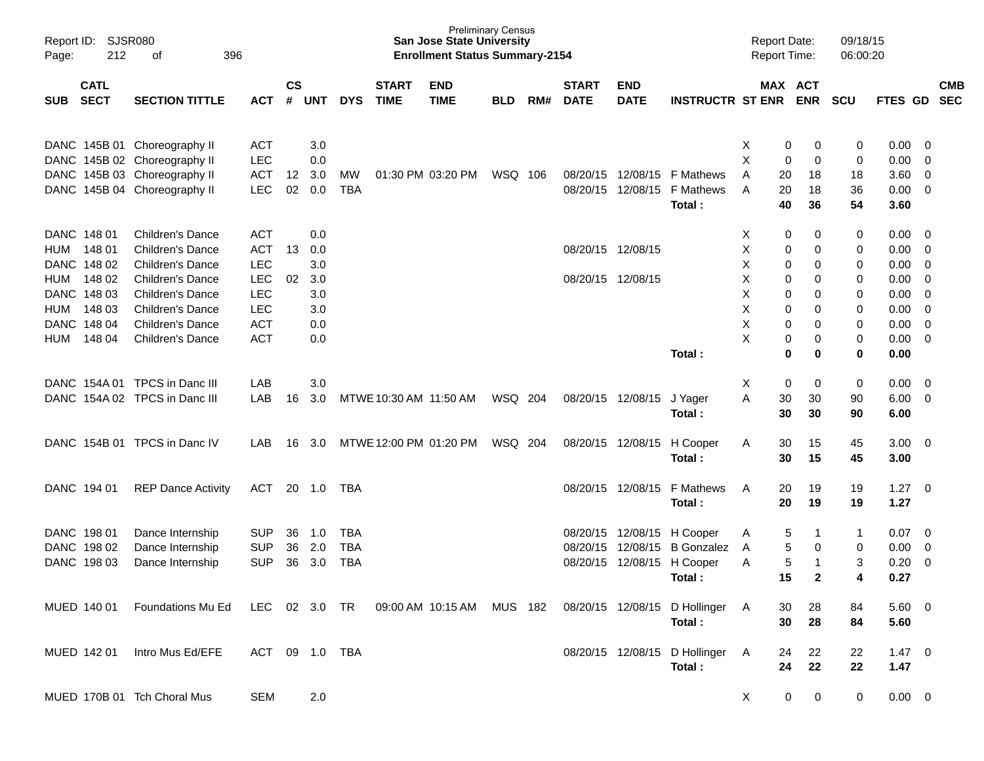| Page:      | SJSR080<br>Report ID:<br>212<br>396<br>оf |                               |            |                |            |            |                             | <b>San Jose State University</b><br><b>Enrollment Status Summary-2154</b> | <b>Preliminary Census</b> |     |                             |                           |                                 | <b>Report Date:</b><br>Report Time: |                       |              | 09/18/15<br>06:00:20 |                |                          |            |
|------------|-------------------------------------------|-------------------------------|------------|----------------|------------|------------|-----------------------------|---------------------------------------------------------------------------|---------------------------|-----|-----------------------------|---------------------------|---------------------------------|-------------------------------------|-----------------------|--------------|----------------------|----------------|--------------------------|------------|
| <b>SUB</b> | <b>CATL</b><br><b>SECT</b>                | <b>SECTION TITTLE</b>         | <b>ACT</b> | <b>CS</b><br># | <b>UNT</b> | <b>DYS</b> | <b>START</b><br><b>TIME</b> | <b>END</b><br><b>TIME</b>                                                 | <b>BLD</b>                | RM# | <b>START</b><br><b>DATE</b> | <b>END</b><br><b>DATE</b> | <b>INSTRUCTR ST ENR</b>         |                                     | MAX ACT<br><b>ENR</b> | <b>SCU</b>   |                      | FTES GD SEC    |                          | <b>CMB</b> |
|            |                                           |                               |            |                |            |            |                             |                                                                           |                           |     |                             |                           |                                 |                                     |                       |              |                      |                |                          |            |
|            |                                           | DANC 145B 01 Choreography II  | <b>ACT</b> |                | 3.0        |            |                             |                                                                           |                           |     |                             |                           |                                 | X                                   | 0                     | 0            | 0                    | 0.00           | $\overline{\mathbf{0}}$  |            |
|            |                                           | DANC 145B 02 Choreography II  | <b>LEC</b> |                | 0.0        |            |                             |                                                                           |                           |     |                             |                           |                                 | X                                   | 0                     | 0            | 0                    | 0.00           | 0                        |            |
|            |                                           | DANC 145B 03 Choreography II  | <b>ACT</b> | 12             | 3.0        | MW         |                             | 01:30 PM 03:20 PM                                                         | WSQ 106                   |     |                             | 08/20/15 12/08/15         | <b>F</b> Mathews                | A                                   | 20                    | 18           | 18                   | 3.60           | 0                        |            |
|            |                                           | DANC 145B 04 Choreography II  | <b>LEC</b> | 02             | 0.0        | <b>TBA</b> |                             |                                                                           |                           |     |                             | 08/20/15 12/08/15         | F Mathews                       | A                                   | 20                    | 18           | 36                   | 0.00           | $\overline{\mathbf{0}}$  |            |
|            |                                           |                               |            |                |            |            |                             |                                                                           |                           |     |                             |                           | Total:                          |                                     | 40                    | 36           | 54                   | 3.60           |                          |            |
|            |                                           |                               |            |                |            |            |                             |                                                                           |                           |     |                             |                           |                                 |                                     |                       |              |                      |                |                          |            |
|            | DANC 148 01                               | <b>Children's Dance</b>       | <b>ACT</b> |                | 0.0        |            |                             |                                                                           |                           |     |                             |                           |                                 | X                                   | 0                     | 0            | 0                    | 0.00           | - 0                      |            |
| HUM        | 148 01                                    | <b>Children's Dance</b>       | <b>ACT</b> | 13             | 0.0        |            |                             |                                                                           |                           |     | 08/20/15 12/08/15           |                           |                                 | X                                   | 0                     | 0            | 0                    | 0.00           | 0                        |            |
|            | DANC 148 02                               | Children's Dance              | LEC        |                | 3.0        |            |                             |                                                                           |                           |     |                             |                           |                                 | X                                   | 0                     | 0            | 0                    | 0.00           | 0                        |            |
| HUM        | 148 02                                    | Children's Dance              | <b>LEC</b> | 02             | 3.0        |            |                             |                                                                           |                           |     | 08/20/15 12/08/15           |                           |                                 | X                                   | 0                     | 0            | 0                    | 0.00           | 0                        |            |
|            | DANC 148 03                               | <b>Children's Dance</b>       | LEC        |                | 3.0        |            |                             |                                                                           |                           |     |                             |                           |                                 | X                                   | 0                     | 0            | 0                    | 0.00           | 0                        |            |
| HUM        | 148 03                                    | <b>Children's Dance</b>       | <b>LEC</b> |                | 3.0        |            |                             |                                                                           |                           |     |                             |                           |                                 | X                                   | 0                     | 0            | 0                    | 0.00           | 0                        |            |
|            | DANC 148 04                               | Children's Dance              | <b>ACT</b> |                | 0.0        |            |                             |                                                                           |                           |     |                             |                           |                                 | X                                   | 0                     | 0            | 0                    | 0.00           | $\overline{0}$           |            |
| HUM        | 148 04                                    | <b>Children's Dance</b>       | <b>ACT</b> |                | 0.0        |            |                             |                                                                           |                           |     |                             |                           |                                 | X                                   | 0                     | 0            | 0                    | 0.00           | 0                        |            |
|            |                                           |                               |            |                |            |            |                             |                                                                           |                           |     |                             |                           | Total:                          |                                     | $\bf{0}$              | 0            | 0                    | 0.00           |                          |            |
|            |                                           | DANC 154A 01 TPCS in Danc III | LAB        |                | 3.0        |            |                             |                                                                           |                           |     |                             |                           |                                 | X                                   | 0                     | 0            | 0                    | 0.00           | $\overline{\mathbf{0}}$  |            |
|            |                                           | DANC 154A 02 TPCS in Danc III | LAB        | 16             | 3.0        |            | MTWE 10:30 AM 11:50 AM      |                                                                           | WSQ 204                   |     |                             | 08/20/15 12/08/15         | J Yager                         | A                                   | 30                    | 30           | 90                   | 6.00           | $\overline{\mathbf{0}}$  |            |
|            |                                           |                               |            |                |            |            |                             |                                                                           |                           |     |                             |                           | Total:                          |                                     | 30                    | 30           | 90                   | 6.00           |                          |            |
|            |                                           | DANC 154B 01 TPCS in Danc IV  | LAB        | 16             | 3.0        |            | MTWE 12:00 PM 01:20 PM      |                                                                           | WSQ 204                   |     |                             | 08/20/15 12/08/15         | H Cooper                        | A                                   | 30                    | 15           | 45                   | 3.00           | $\overline{\phantom{0}}$ |            |
|            |                                           |                               |            |                |            |            |                             |                                                                           |                           |     |                             |                           | Total:                          |                                     | 30<br>15              |              | 45                   | 3.00           |                          |            |
|            |                                           |                               |            |                |            |            |                             |                                                                           |                           |     |                             |                           |                                 |                                     |                       |              |                      |                |                          |            |
|            | DANC 194 01                               | <b>REP Dance Activity</b>     | <b>ACT</b> |                | 20 1.0     | TBA        |                             |                                                                           |                           |     |                             | 08/20/15 12/08/15         | F Mathews                       | Α                                   | 20                    | 19           | 19                   | 1.27           | $\overline{\phantom{0}}$ |            |
|            |                                           |                               |            |                |            |            |                             |                                                                           |                           |     |                             |                           | Total:                          |                                     | 20<br>19              |              | 19                   | 1.27           |                          |            |
|            |                                           |                               |            |                |            |            |                             |                                                                           |                           |     |                             |                           |                                 |                                     |                       |              |                      |                |                          |            |
|            | DANC 198 01                               | Dance Internship              | <b>SUP</b> | 36             | 1.0        | TBA        |                             |                                                                           |                           |     |                             | 08/20/15 12/08/15         | H Cooper                        | A                                   | 5                     | -1           | $\mathbf{1}$         | 0.07           | $\overline{\phantom{0}}$ |            |
|            | DANC 198 02                               | Dance Internship              | <b>SUP</b> | 36             | 2.0        | TBA        |                             |                                                                           |                           |     |                             | 08/20/15 12/08/15         | <b>B</b> Gonzalez               | A                                   | 5                     | 0            | 0                    | 0.00           | $\mathbf 0$              |            |
|            | DANC 198 03                               | Dance Internship              | <b>SUP</b> | 36             | 3.0        | <b>TBA</b> |                             |                                                                           |                           |     |                             | 08/20/15 12/08/15         | H Cooper                        | Α                                   | 5                     | -1           | 3                    | 0.20           | 0                        |            |
|            |                                           |                               |            |                |            |            |                             |                                                                           |                           |     |                             |                           | Total:                          |                                     | 15                    | $\mathbf{2}$ | 4                    | 0.27           |                          |            |
|            | MUED 140 01                               | Foundations Mu Ed             | LEC        |                | 02 3.0 TR  |            |                             | 09:00 AM 10:15 AM MUS 182                                                 |                           |     |                             |                           | 08/20/15 12/08/15 D Hollinger A |                                     | 28<br>30              |              | 84                   | $5.60 \quad 0$ |                          |            |
|            |                                           |                               |            |                |            |            |                             |                                                                           |                           |     |                             |                           | Total:                          |                                     | 30<br>28              |              | 84                   | 5.60           |                          |            |
|            |                                           |                               |            |                |            |            |                             |                                                                           |                           |     |                             |                           |                                 |                                     |                       |              |                      |                |                          |            |
|            | MUED 142 01                               | Intro Mus Ed/EFE              | ACT        |                |            |            |                             |                                                                           |                           |     |                             |                           | 08/20/15 12/08/15 D Hollinger A |                                     | 24                    | 22           | 22                   | $1.47 \ 0$     |                          |            |
|            |                                           |                               |            |                |            |            |                             |                                                                           |                           |     |                             |                           | Total:                          |                                     | 24<br>22              |              | 22                   | 1.47           |                          |            |
|            |                                           |                               |            |                |            |            |                             |                                                                           |                           |     |                             |                           |                                 |                                     |                       |              |                      |                |                          |            |
|            |                                           | MUED 170B 01 Tch Choral Mus   | <b>SEM</b> |                | 2.0        |            |                             |                                                                           |                           |     |                             |                           |                                 | X                                   | 0                     | 0            | 0                    | $0.00 \t 0$    |                          |            |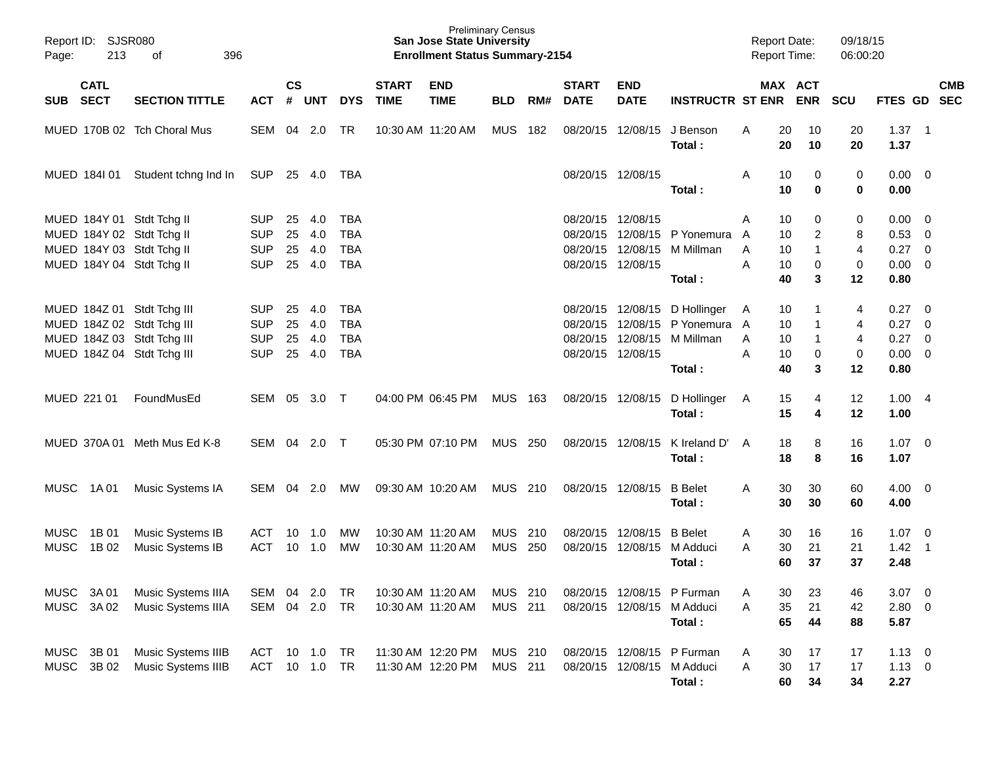| Page:                      | Report ID: SJSR080<br>213 | 396<br>of                                                                              |                                        |                |                   |                                 |                             | <b>Preliminary Census</b><br><b>San Jose State University</b><br><b>Enrollment Status Summary-2154</b> |                           |            |                             |                            |                                                                            | <b>Report Date:</b><br><b>Report Time:</b> |                             | 09/18/15<br>06:00:20                  |                                          |                                                                                 |            |
|----------------------------|---------------------------|----------------------------------------------------------------------------------------|----------------------------------------|----------------|-------------------|---------------------------------|-----------------------------|--------------------------------------------------------------------------------------------------------|---------------------------|------------|-----------------------------|----------------------------|----------------------------------------------------------------------------|--------------------------------------------|-----------------------------|---------------------------------------|------------------------------------------|---------------------------------------------------------------------------------|------------|
| SUB SECT                   | <b>CATL</b>               | <b>SECTION TITTLE</b>                                                                  | ACT                                    | <b>CS</b><br># | <b>UNT</b>        | <b>DYS</b>                      | <b>START</b><br><b>TIME</b> | <b>END</b><br><b>TIME</b>                                                                              | <b>BLD</b>                | RM#        | <b>START</b><br><b>DATE</b> | <b>END</b><br><b>DATE</b>  | <b>INSTRUCTR ST ENR</b>                                                    |                                            | MAX ACT<br><b>ENR</b>       | <b>SCU</b>                            | FTES GD SEC                              |                                                                                 | <b>CMB</b> |
|                            |                           | MUED 170B 02 Tch Choral Mus                                                            | SEM                                    |                | 04 2.0            | TR                              | 10:30 AM 11:20 AM           |                                                                                                        | <b>MUS</b>                | 182        |                             | 08/20/15 12/08/15          | J Benson<br>Total:                                                         | A<br>20<br>20                              | 10<br>10                    | 20<br>20                              | $1.37 \quad 1$<br>1.37                   |                                                                                 |            |
|                            | MUED 184101               | Student tchng Ind In                                                                   | SUP 25 4.0 TBA                         |                |                   |                                 |                             |                                                                                                        |                           |            | 08/20/15 12/08/15           |                            | Total:                                                                     | A<br>10<br>10                              | 0<br>$\bf{0}$               | 0<br>0                                | $0.00 \t 0$<br>0.00                      |                                                                                 |            |
|                            |                           | MUED 184Y 01 Stdt Tchg II<br>MUED 184Y 02 Stdt Tchg II                                 | <b>SUP</b><br><b>SUP</b>               | 25<br>25       | 4.0<br>4.0        | <b>TBA</b><br><b>TBA</b>        |                             |                                                                                                        |                           |            | 08/20/15 12/08/15           |                            | 08/20/15 12/08/15 P Yonemura                                               | 10<br>A<br>10<br>A                         | 0<br>$\overline{2}$         | 0<br>8                                | 0.00<br>$0.53$ 0                         | $\overline{\phantom{0}}$                                                        |            |
|                            |                           | MUED 184Y 03 Stdt Tchg II<br>MUED 184Y 04 Stdt Tchg II                                 | <b>SUP</b><br><b>SUP</b>               | 25             | 4.0<br>25 4.0     | <b>TBA</b><br><b>TBA</b>        |                             |                                                                                                        |                           |            | 08/20/15 12/08/15           | 08/20/15 12/08/15          | M Millman<br>Total:                                                        | 10<br>A<br>A<br>10<br>40                   | $\mathbf{1}$<br>0<br>3      | $\overline{4}$<br>0<br>12             | $0.27 \ 0$<br>$0.00 \t 0$<br>0.80        |                                                                                 |            |
|                            |                           | MUED 184Z 01 Stdt Tchg III<br>MUED 184Z 02 Stdt Tchg III<br>MUED 184Z 03 Stdt Tchg III | <b>SUP</b><br><b>SUP</b><br><b>SUP</b> | 25<br>25<br>25 | 4.0<br>4.0<br>4.0 | TBA<br><b>TBA</b><br><b>TBA</b> |                             |                                                                                                        |                           |            |                             | 08/20/15 12/08/15          | 08/20/15 12/08/15 D Hollinger<br>08/20/15 12/08/15 P Yonemura<br>M Millman | 10<br>A<br>10<br>A<br>10<br>A              | $\mathbf 1$<br>$\mathbf{1}$ | 4<br>$\overline{4}$<br>$\overline{4}$ | 0.27<br>0.27<br>0.27                     | $\overline{\phantom{0}}$<br>$\overline{\phantom{0}}$<br>$\overline{\mathbf{0}}$ |            |
|                            |                           | MUED 184Z 04 Stdt Tchg III                                                             | <b>SUP</b>                             | 25             | 4.0               | <b>TBA</b>                      |                             |                                                                                                        |                           |            | 08/20/15 12/08/15           |                            | Total:                                                                     | A<br>10<br>40                              | 0<br>3                      | 0<br>12                               | $0.00 \t 0$<br>0.80                      |                                                                                 |            |
| MUED 221 01                |                           | FoundMusEd                                                                             | SEM                                    | 05             | 3.0 T             |                                 |                             | 04:00 PM 06:45 PM                                                                                      | MUS 163                   |            |                             | 08/20/15 12/08/15          | D Hollinger<br>Total:                                                      | 15<br>A<br>15                              | 4<br>4                      | 12<br>12                              | 1.004<br>1.00                            |                                                                                 |            |
|                            | MUED 370A 01              | Meth Mus Ed K-8                                                                        | SEM 04                                 |                | 2.0 T             |                                 |                             | 05:30 PM 07:10 PM                                                                                      | <b>MUS 250</b>            |            | 08/20/15 12/08/15           |                            | K Ireland D'<br>Total:                                                     | 18<br>A<br>18                              | 8<br>8                      | 16<br>16                              | $1.07 \t 0$<br>1.07                      |                                                                                 |            |
| <b>MUSC</b>                | 1A 01                     | Music Systems IA                                                                       | SEM                                    | 04             | 2.0               | МW                              |                             | 09:30 AM 10:20 AM                                                                                      | <b>MUS 210</b>            |            | 08/20/15 12/08/15           |                            | <b>B</b> Belet<br>Total:                                                   | 30<br>A<br>30                              | 30<br>30                    | 60<br>60                              | $4.00 \ 0$<br>4.00                       |                                                                                 |            |
| <b>MUSC</b><br><b>MUSC</b> | 1B 01<br>1B 02            | Music Systems IB<br>Music Systems IB                                                   | ACT<br><b>ACT</b>                      | 10<br>10       | 1.0<br>1.0        | MW<br>МW                        |                             | 10:30 AM 11:20 AM<br>10:30 AM 11:20 AM                                                                 | MUS<br>MUS                | 210<br>250 | 08/20/15 12/08/15           | 08/20/15 12/08/15          | <b>B</b> Belet<br>M Adduci<br>Total:                                       | 30<br>A<br>30<br>A<br>60                   | 16<br>21<br>37              | 16<br>21<br>37                        | $1.07 \quad 0$<br>$1.42 \quad 1$<br>2.48 |                                                                                 |            |
| MUSC 3A 01<br>MUSC         | 3A 02                     | Music Systems IIIA<br>Music Systems IIIA                                               | SEM<br>SEM 04 2.0                      | 04             | 2.0               | TR<br>TR                        |                             | 10:30 AM 11:20 AM<br>10:30 AM 11:20 AM                                                                 | MUS 210<br>MUS 211        |            |                             | 08/20/15 12/08/15 M Adduci | 08/20/15 12/08/15 P Furman<br>Total:                                       | 30<br>А<br>35<br>Α<br>65                   | 23<br>21<br>44              | 46<br>42<br>88                        | $3.07$ 0<br>2.80 0<br>5.87               |                                                                                 |            |
| MUSC<br><b>MUSC</b>        | 3B 01<br>3B 02            | Music Systems IIIB<br>Music Systems IIIB                                               | ACT<br>ACT                             |                | 10 1.0<br>10 1.0  | TR<br>TR                        |                             | 11:30 AM 12:20 PM<br>11:30 AM 12:20 PM                                                                 | MUS 210<br><b>MUS 211</b> |            |                             | 08/20/15 12/08/15 M Adduci | 08/20/15 12/08/15 P Furman<br>Total:                                       | 30<br>A<br>Α<br>30<br>60                   | 17<br>17<br>34              | 17<br>17<br>34                        | $1.13 \ 0$<br>$1.13 \t 0$<br>2.27        |                                                                                 |            |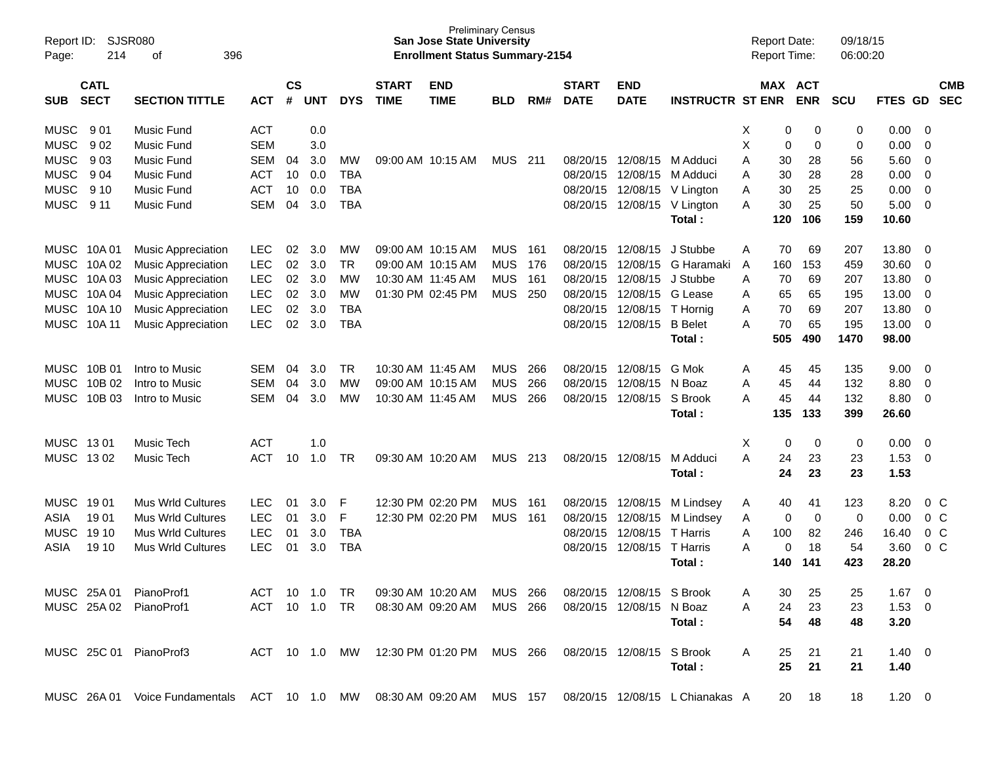| Report ID:<br>Page: | 214                        | <b>SJSR080</b><br>396<br>οf                                                                            |               |                    |            |            |                             | <b>Preliminary Census</b><br><b>San Jose State University</b><br><b>Enrollment Status Summary-2154</b> |            |      |                             |                           |                         |   | <b>Report Date:</b><br><b>Report Time:</b> |                       | 09/18/15<br>06:00:20 |                |                |                          |
|---------------------|----------------------------|--------------------------------------------------------------------------------------------------------|---------------|--------------------|------------|------------|-----------------------------|--------------------------------------------------------------------------------------------------------|------------|------|-----------------------------|---------------------------|-------------------------|---|--------------------------------------------|-----------------------|----------------------|----------------|----------------|--------------------------|
| <b>SUB</b>          | <b>CATL</b><br><b>SECT</b> | <b>SECTION TITTLE</b>                                                                                  | <b>ACT</b>    | $\mathsf{cs}$<br># | <b>UNT</b> | <b>DYS</b> | <b>START</b><br><b>TIME</b> | <b>END</b><br><b>TIME</b>                                                                              | <b>BLD</b> | RM#  | <b>START</b><br><b>DATE</b> | <b>END</b><br><b>DATE</b> | <b>INSTRUCTR ST ENR</b> |   |                                            | MAX ACT<br><b>ENR</b> | <b>SCU</b>           | FTES GD        |                | <b>CMB</b><br><b>SEC</b> |
| <b>MUSC</b>         | 901                        | Music Fund                                                                                             | <b>ACT</b>    |                    | 0.0        |            |                             |                                                                                                        |            |      |                             |                           |                         | X | 0                                          | 0                     | 0                    | 0.00           | 0              |                          |
| <b>MUSC</b>         | 902                        | <b>Music Fund</b>                                                                                      | <b>SEM</b>    |                    | 3.0        |            |                             |                                                                                                        |            |      |                             |                           |                         | X | 0                                          | 0                     | 0                    | 0.00           | 0              |                          |
| <b>MUSC</b>         | 903                        | Music Fund                                                                                             | <b>SEM</b>    | 04                 | 3.0        | МW         |                             | 09:00 AM_10:15 AM                                                                                      | <b>MUS</b> | 211  | 08/20/15                    | 12/08/15                  | M Adduci                | A | 30                                         | 28                    | 56                   | 5.60           | 0              |                          |
| <b>MUSC</b>         | 904                        | <b>Music Fund</b>                                                                                      | <b>ACT</b>    | 10                 | 0.0        | <b>TBA</b> |                             |                                                                                                        |            |      | 08/20/15                    | 12/08/15                  | M Adduci                | A | 30                                         | 28                    | 28                   | 0.00           | 0              |                          |
| <b>MUSC</b>         | 9 10                       | <b>Music Fund</b>                                                                                      | <b>ACT</b>    | 10                 | 0.0        | <b>TBA</b> |                             |                                                                                                        |            |      | 08/20/15                    | 12/08/15                  | V Lington               | A | 30                                         | 25                    | 25                   | 0.00           | $\mathbf 0$    |                          |
| <b>MUSC</b>         | 9 11                       | Music Fund                                                                                             | <b>SEM</b>    | 04                 | 3.0        | <b>TBA</b> |                             |                                                                                                        |            |      | 08/20/15                    | 12/08/15                  | V Lington               | A | 30                                         | 25                    | 50                   | 5.00           | $\mathbf 0$    |                          |
|                     |                            |                                                                                                        |               |                    |            |            |                             |                                                                                                        |            |      |                             |                           | Total:                  |   | 120                                        | 106                   | 159                  | 10.60          |                |                          |
|                     | MUSC 10A 01                | <b>Music Appreciation</b>                                                                              | <b>LEC</b>    | 02                 | 3.0        | МW         | 09:00 AM 10:15 AM           |                                                                                                        | <b>MUS</b> | 161  | 08/20/15                    | 12/08/15                  | J Stubbe                | A | 70                                         | 69                    | 207                  | 13.80          | 0              |                          |
| <b>MUSC</b>         | 10A 02                     | <b>Music Appreciation</b>                                                                              | <b>LEC</b>    | 02                 | 3.0        | TR         |                             | 09:00 AM_10:15 AM                                                                                      | <b>MUS</b> | 176  | 08/20/15                    | 12/08/15                  | G Haramaki              | A | 160                                        | 153                   | 459                  | 30.60          | 0              |                          |
| <b>MUSC</b>         | 10A03                      | <b>Music Appreciation</b>                                                                              | <b>LEC</b>    | 02                 | 3.0        | МW         | 10:30 AM 11:45 AM           |                                                                                                        | <b>MUS</b> | 161  | 08/20/15                    | 12/08/15                  | J Stubbe                | A | 70                                         | 69                    | 207                  | 13.80          | 0              |                          |
| <b>MUSC</b>         | 10A 04                     | <b>Music Appreciation</b>                                                                              | <b>LEC</b>    | 02                 | 3.0        | МW         |                             | 01:30 PM 02:45 PM                                                                                      | <b>MUS</b> | -250 | 08/20/15                    | 12/08/15                  | G Lease                 | A | 65                                         | 65                    | 195                  | 13.00          | 0              |                          |
| <b>MUSC</b>         | 10A 10                     | <b>Music Appreciation</b>                                                                              | <b>LEC</b>    | 02                 | 3.0        | <b>TBA</b> |                             |                                                                                                        |            |      | 08/20/15                    | 12/08/15                  | T Hornig                | A | 70                                         | 69                    | 207                  | 13.80          | $\mathbf 0$    |                          |
| <b>MUSC</b>         | 10A 11                     | <b>Music Appreciation</b>                                                                              | <b>LEC</b>    | 02                 | 3.0        | <b>TBA</b> |                             |                                                                                                        |            |      | 08/20/15                    | 12/08/15                  | <b>B</b> Belet          | A | 70                                         | 65                    | 195                  | 13.00          | $\mathbf 0$    |                          |
|                     |                            |                                                                                                        |               |                    |            |            |                             |                                                                                                        |            |      |                             |                           | Total :                 |   | 505                                        | 490                   | 1470                 | 98.00          |                |                          |
| MUSC                | 10B 01                     | Intro to Music                                                                                         | SEM           | 04                 | 3.0        | TR         | 10:30 AM 11:45 AM           |                                                                                                        | <b>MUS</b> | 266  | 08/20/15                    | 12/08/15                  | G Mok                   | A | 45                                         | 45                    | 135                  | 9.00           | 0              |                          |
| <b>MUSC</b>         | 10B 02                     | Intro to Music                                                                                         | SEM           | 04                 | 3.0        | МW         | 09:00 AM 10:15 AM           |                                                                                                        | <b>MUS</b> | 266  | 08/20/15                    | 12/08/15                  | N Boaz                  | A | 45                                         | 44                    | 132                  | 8.80           | 0              |                          |
| <b>MUSC</b>         | 10B 03                     | Intro to Music                                                                                         | <b>SEM</b>    | 04                 | 3.0        | МW         | 10:30 AM 11:45 AM           |                                                                                                        | <b>MUS</b> | 266  | 08/20/15                    | 12/08/15                  | S Brook                 | A | 45                                         | 44                    | 132                  | 8.80           | 0              |                          |
|                     |                            |                                                                                                        |               |                    |            |            |                             |                                                                                                        |            |      |                             |                           | Total :                 |   | 135                                        | 133                   | 399                  | 26.60          |                |                          |
| MUSC 1301           |                            | Music Tech                                                                                             | <b>ACT</b>    |                    | 1.0        |            |                             |                                                                                                        |            |      |                             |                           |                         | Х | 0                                          | $\mathbf 0$           | 0                    | 0.00           | $\mathbf 0$    |                          |
| <b>MUSC</b>         | 13 02                      | Music Tech                                                                                             | <b>ACT</b>    | 10                 | 1.0        | TR         | 09:30 AM 10:20 AM           |                                                                                                        | <b>MUS</b> | 213  | 08/20/15                    | 12/08/15                  | M Adduci                | A | 24                                         | 23                    | 23                   | 1.53           | 0              |                          |
|                     |                            |                                                                                                        |               |                    |            |            |                             |                                                                                                        |            |      |                             |                           | Total :                 |   | 24                                         | 23                    | 23                   | 1.53           |                |                          |
| <b>MUSC</b>         | 19 01                      | <b>Mus Wrld Cultures</b>                                                                               | <b>LEC</b>    | 01                 | 3.0        | F          |                             | 12:30 PM 02:20 PM                                                                                      | <b>MUS</b> | -161 | 08/20/15                    | 12/08/15                  | M Lindsey               | A | 40                                         | 41                    | 123                  | 8.20           | 0 <sup>o</sup> |                          |
| ASIA                | 19 01                      | <b>Mus Wrld Cultures</b>                                                                               | <b>LEC</b>    | 01                 | 3.0        | F          |                             | 12:30 PM 02:20 PM                                                                                      | <b>MUS</b> | -161 | 08/20/15                    | 12/08/15                  | M Lindsey               | A | 0                                          | 0                     | 0                    | 0.00           | 0 <sup>o</sup> |                          |
| <b>MUSC</b>         | 19 10                      | <b>Mus Wrld Cultures</b>                                                                               | <b>LEC</b>    | 01                 | 3.0        | <b>TBA</b> |                             |                                                                                                        |            |      | 08/20/15                    | 12/08/15                  | T Harris                | A | 100                                        | 82                    | 246                  | 16.40          |                | 0 <sup>o</sup>           |
| ASIA                | 19 10                      | <b>Mus Wrld Cultures</b>                                                                               | <b>LEC</b>    | 01                 | 3.0        | <b>TBA</b> |                             |                                                                                                        |            |      | 08/20/15                    | 12/08/15                  | T Harris                | A | 0                                          | 18                    | 54                   | 3.60           | $0\,$ C        |                          |
|                     |                            |                                                                                                        |               |                    |            |            |                             |                                                                                                        |            |      |                             |                           | Total :                 |   | 140                                        | 141                   | 423                  | 28.20          |                |                          |
|                     |                            | MUSC 25A 01 PianoProf1                                                                                 | ACT 10 1.0 TR |                    |            |            |                             | 09:30 AM 10:20 AM MUS 266                                                                              |            |      |                             | 08/20/15 12/08/15 S Brook |                         | A | 30                                         | 25                    | 25                   | $1.67 \t 0$    |                |                          |
|                     |                            | MUSC 25A 02 PianoProf1                                                                                 | ACT 10 1.0 TR |                    |            |            |                             | 08:30 AM 09:20 AM                                                                                      | MUS 266    |      |                             | 08/20/15 12/08/15 N Boaz  |                         | A | 24                                         | 23                    | 23                   | $1.53 \t 0$    |                |                          |
|                     |                            |                                                                                                        |               |                    |            |            |                             |                                                                                                        |            |      |                             |                           | Total:                  |   | 54                                         | 48                    | 48                   | 3.20           |                |                          |
|                     |                            | MUSC 25C 01 PianoProf3                                                                                 |               |                    |            |            |                             | ACT 10 1.0 MW 12:30 PM 01:20 PM MUS 266 08/20/15 12/08/15 S Brook                                      |            |      |                             |                           |                         | A | 25                                         | 21                    | 21                   | $1.40 \quad 0$ |                |                          |
|                     |                            |                                                                                                        |               |                    |            |            |                             |                                                                                                        |            |      |                             |                           | Total:                  |   | 25                                         | 21                    | 21                   | 1.40           |                |                          |
|                     |                            | MUSC 26A 01 Voice Fundamentals ACT 10 1.0 MW 08:30 AM 09:20 AM MUS 157 08/20/15 12/08/15 L Chianakas A |               |                    |            |            |                             |                                                                                                        |            |      |                             |                           |                         |   |                                            | 20 18                 | 18                   | $1.20 \t 0$    |                |                          |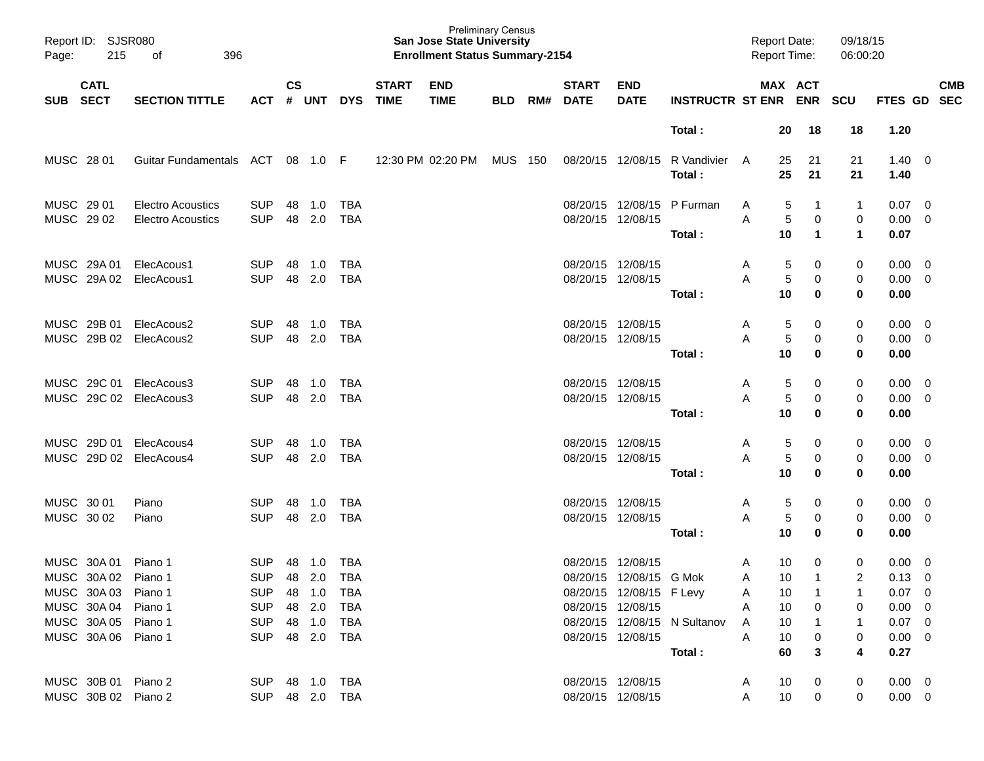| Report ID:<br>Page:                        | SJSR080<br>215<br>396<br>оf          |                              |                    |            |                          |                             | <b>Preliminary Census</b><br><b>San Jose State University</b><br><b>Enrollment Status Summary-2154</b> |            |     |                             |                                              |                              |        | <b>Report Date:</b><br>Report Time: |                     | 09/18/15<br>06:00:20      |                                  |                                                    |                          |
|--------------------------------------------|--------------------------------------|------------------------------|--------------------|------------|--------------------------|-----------------------------|--------------------------------------------------------------------------------------------------------|------------|-----|-----------------------------|----------------------------------------------|------------------------------|--------|-------------------------------------|---------------------|---------------------------|----------------------------------|----------------------------------------------------|--------------------------|
| <b>CATL</b><br><b>SECT</b><br><b>SUB</b>   | <b>SECTION TITTLE</b>                | <b>ACT</b>                   | $\mathsf{cs}$<br># | <b>UNT</b> | <b>DYS</b>               | <b>START</b><br><b>TIME</b> | <b>END</b><br><b>TIME</b>                                                                              | <b>BLD</b> | RM# | <b>START</b><br><b>DATE</b> | <b>END</b><br><b>DATE</b>                    | <b>INSTRUCTR ST ENR</b>      |        | MAX ACT                             | <b>ENR</b>          | <b>SCU</b>                | FTES GD                          |                                                    | <b>CMB</b><br><b>SEC</b> |
|                                            |                                      |                              |                    |            |                          |                             |                                                                                                        |            |     |                             |                                              | Total:                       |        | 20                                  | 18                  | 18                        | 1.20                             |                                                    |                          |
| MUSC 28 01                                 | <b>Guitar Fundamentals</b>           | ACT                          | 08                 | 1.0 F      |                          |                             | 12:30 PM 02:20 PM                                                                                      | MUS        | 150 |                             | 08/20/15 12/08/15                            | R Vandivier<br>Total:        | A      | 25<br>25                            | 21<br>21            | 21<br>21                  | $1.40 \ 0$<br>1.40               |                                                    |                          |
| MUSC 29 01                                 | <b>Electro Acoustics</b>             | <b>SUP</b>                   | 48                 | 1.0        | <b>TBA</b>               |                             |                                                                                                        |            |     |                             | 08/20/15 12/08/15                            | P Furman                     | A      | 5                                   | -1                  | $\mathbf 1$               | 0.07                             | $\overline{0}$                                     |                          |
| MUSC 29 02                                 | <b>Electro Acoustics</b>             | <b>SUP</b>                   | 48                 | 2.0        | <b>TBA</b>               |                             |                                                                                                        |            |     |                             | 08/20/15 12/08/15                            | Total:                       | Α      | 5<br>10                             | 0<br>$\mathbf 1$    | 0<br>$\blacktriangleleft$ | 0.00<br>0.07                     | $\overline{0}$                                     |                          |
| MUSC 29A 01                                | ElecAcous1                           | <b>SUP</b>                   | 48                 | 1.0        | <b>TBA</b>               |                             |                                                                                                        |            |     | 08/20/15 12/08/15           |                                              |                              | A      | 5                                   | 0                   | 0                         | 0.00                             | $\overline{\mathbf{0}}$                            |                          |
| MUSC 29A 02                                | ElecAcous1                           | <b>SUP</b>                   | 48                 | 2.0        | <b>TBA</b>               |                             |                                                                                                        |            |     |                             | 08/20/15 12/08/15                            | Total:                       | А      | 5<br>10                             | 0<br>0              | 0<br>0                    | 0.00<br>0.00                     | $\overline{\mathbf{0}}$                            |                          |
| MUSC 29B 01                                | ElecAcous2                           | <b>SUP</b>                   | 48                 | 1.0        | <b>TBA</b>               |                             |                                                                                                        |            |     |                             | 08/20/15 12/08/15                            |                              | A      | 5                                   | 0                   | 0                         | 0.00                             | $\overline{0}$                                     |                          |
| MUSC 29B 02                                | ElecAcous2                           | <b>SUP</b>                   | 48                 | 2.0        | <b>TBA</b>               |                             |                                                                                                        |            |     |                             | 08/20/15 12/08/15                            | Total:                       | А      | 5<br>10                             | 0<br>0              | 0<br>0                    | 0.00<br>0.00                     | $\overline{\mathbf{0}}$                            |                          |
| MUSC 29C 01                                | ElecAcous3                           | <b>SUP</b>                   | 48                 | 1.0        | <b>TBA</b>               |                             |                                                                                                        |            |     | 08/20/15 12/08/15           |                                              |                              | A      | 5                                   | 0                   | 0                         | 0.00                             | $\overline{\mathbf{0}}$                            |                          |
|                                            | MUSC 29C 02 ElecAcous3               | <b>SUP</b>                   | 48                 | 2.0        | <b>TBA</b>               |                             |                                                                                                        |            |     |                             | 08/20/15 12/08/15                            | Total:                       | А      | 5<br>10                             | 0<br>0              | 0<br>0                    | 0.00<br>0.00                     | $\overline{\mathbf{0}}$                            |                          |
| MUSC 29D 01                                | ElecAcous4<br>MUSC 29D 02 ElecAcous4 | <b>SUP</b><br><b>SUP</b>     | 48<br>48           | 1.0<br>2.0 | <b>TBA</b><br><b>TBA</b> |                             |                                                                                                        |            |     | 08/20/15 12/08/15           | 08/20/15 12/08/15                            |                              | A<br>А | 5<br>5                              | 0<br>0              | 0<br>0                    | 0.00<br>0.00                     | $\overline{\mathbf{0}}$<br>$\overline{\mathbf{0}}$ |                          |
|                                            |                                      |                              |                    |            |                          |                             |                                                                                                        |            |     |                             |                                              | Total:                       |        | 10                                  | 0                   | 0                         | 0.00                             |                                                    |                          |
| MUSC 30 01<br>MUSC 30 02                   | Piano<br>Piano                       | <b>SUP</b><br><b>SUP</b>     | 48<br>48           | 1.0<br>2.0 | <b>TBA</b><br><b>TBA</b> |                             |                                                                                                        |            |     | 08/20/15 12/08/15           | 08/20/15 12/08/15                            |                              | A<br>А | 5<br>5                              | 0<br>0              | 0<br>0                    | 0.00<br>0.00                     | $\overline{\mathbf{0}}$<br>$\overline{\mathbf{0}}$ |                          |
|                                            |                                      |                              |                    |            |                          |                             |                                                                                                        |            |     |                             |                                              | Total:                       |        | 10                                  | 0                   | 0                         | 0.00                             |                                                    |                          |
| MUSC 30A 01<br>MUSC 30A 02 Piano 1         | Piano 1                              | <b>SUP</b><br>SUP 48 2.0 TBA | 48                 | 1.0        | <b>TBA</b>               |                             |                                                                                                        |            |     |                             | 08/20/15 12/08/15<br>08/20/15 12/08/15 G Mok |                              | A<br>A | 10<br>10 <sup>1</sup>               | 0<br>$\overline{1}$ | 0<br>$\overline{2}$       | 0.00<br>$0.13 \ 0$               | $\overline{\mathbf{0}}$                            |                          |
| MUSC 30A 03 Piano 1                        |                                      | SUP 48 1.0 TBA               |                    |            |                          |                             |                                                                                                        |            |     |                             | 08/20/15 12/08/15 F Levy                     |                              | A      | 10                                  | $\overline{1}$      | 1                         | $0.07 \quad 0$                   |                                                    |                          |
| MUSC 30A 04 Piano 1                        |                                      | SUP 48 2.0                   |                    |            | TBA                      |                             |                                                                                                        |            |     |                             | 08/20/15 12/08/15                            |                              | A      | 10                                  | 0                   | 0                         | $0.00 \t 0$                      |                                                    |                          |
| MUSC 30A 05 Piano 1<br>MUSC 30A 06 Piano 1 |                                      | SUP 48 1.0<br>SUP 48 2.0 TBA |                    |            | TBA                      |                             |                                                                                                        |            |     |                             | 08/20/15 12/08/15                            | 08/20/15 12/08/15 N Sultanov | A<br>A | 10<br>10                            | $\overline{1}$<br>0 | $\mathbf{1}$<br>0         | $0.07 \quad 0$<br>$0.00 \quad 0$ |                                                    |                          |
|                                            |                                      |                              |                    |            |                          |                             |                                                                                                        |            |     |                             |                                              | Total:                       |        | 60                                  | 3                   | 4                         | 0.27                             |                                                    |                          |
| MUSC 30B 01 Piano 2<br>MUSC 30B 02 Piano 2 |                                      | SUP 48 1.0 TBA               |                    |            | SUP 48 2.0 TBA           |                             |                                                                                                        |            |     |                             | 08/20/15 12/08/15<br>08/20/15 12/08/15       |                              | A<br>A | 10<br>10                            | 0<br>$\mathbf 0$    | 0<br>0                    | $0.00 \quad 0$<br>$0.00 \t 0$    |                                                    |                          |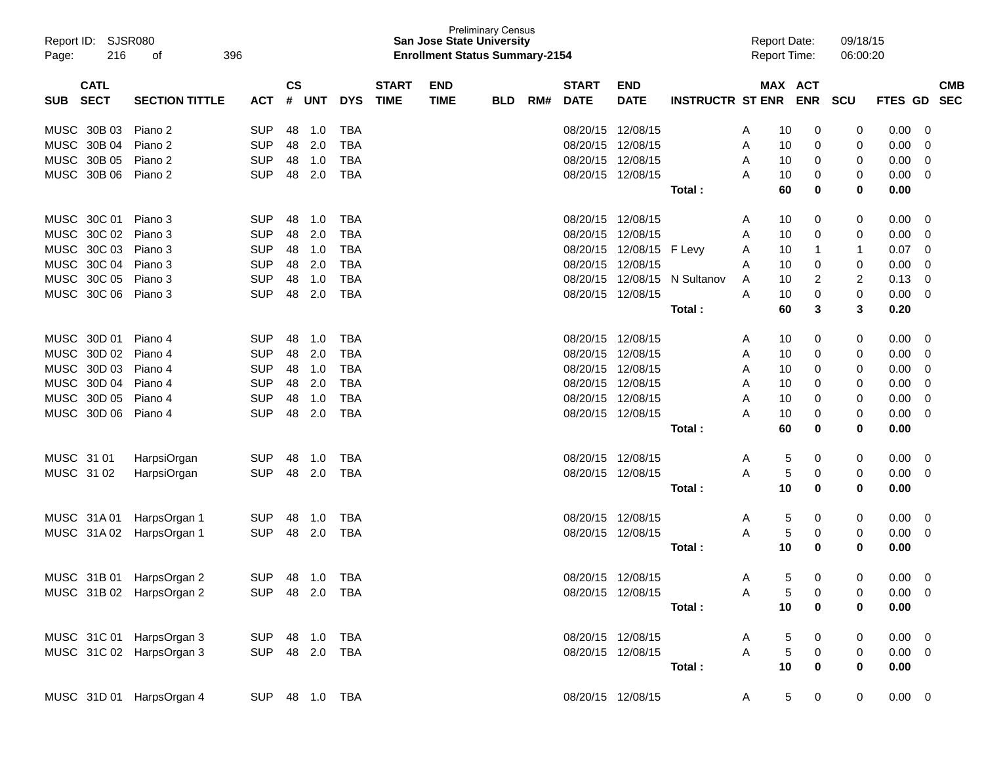| Report ID: SJSR080<br>216<br>Page: | 396<br>οf             |                |                          |            |            |              | <b>San Jose State University</b><br><b>Enrollment Status Summary-2154</b> | <b>Preliminary Census</b> |     |                   |                   |                         |              | <b>Report Date:</b><br><b>Report Time:</b> |                  | 09/18/15<br>06:00:20 |                |            |
|------------------------------------|-----------------------|----------------|--------------------------|------------|------------|--------------|---------------------------------------------------------------------------|---------------------------|-----|-------------------|-------------------|-------------------------|--------------|--------------------------------------------|------------------|----------------------|----------------|------------|
| <b>CATL</b>                        |                       |                | $\mathsf{CS}\phantom{0}$ |            |            | <b>START</b> | <b>END</b>                                                                |                           |     | <b>START</b>      | <b>END</b>        |                         |              | MAX ACT                                    |                  |                      |                | <b>CMB</b> |
| <b>SECT</b><br><b>SUB</b>          | <b>SECTION TITTLE</b> | <b>ACT</b>     | #                        | <b>UNT</b> | <b>DYS</b> | <b>TIME</b>  | <b>TIME</b>                                                               | <b>BLD</b>                | RM# | <b>DATE</b>       | <b>DATE</b>       | <b>INSTRUCTR ST ENR</b> |              |                                            | <b>ENR</b>       | <b>SCU</b>           | FTES GD        | <b>SEC</b> |
| MUSC 30B 03                        | Piano 2               | <b>SUP</b>     | 48                       | 1.0        | TBA        |              |                                                                           |                           |     | 08/20/15          | 12/08/15          |                         | A            | 10                                         | 0                | 0                    | 0.00           | 0          |
| MUSC 30B 04                        | Piano 2               | <b>SUP</b>     | 48                       | 2.0        | <b>TBA</b> |              |                                                                           |                           |     | 08/20/15          | 12/08/15          |                         | Α            | 10                                         | 0                | 0                    | 0.00           | 0          |
| MUSC 30B 05                        | Piano 2               | <b>SUP</b>     | 48                       | 1.0        | TBA        |              |                                                                           |                           |     | 08/20/15          | 12/08/15          |                         | Α            | 10                                         | 0                | 0                    | 0.00           | 0          |
| MUSC 30B 06                        | Piano 2               | <b>SUP</b>     | 48                       | 2.0        | TBA        |              |                                                                           |                           |     | 08/20/15          | 12/08/15          |                         | Α            | 10                                         | 0                | 0                    | 0.00           | 0          |
|                                    |                       |                |                          |            |            |              |                                                                           |                           |     |                   |                   | Total:                  |              | 60                                         | 0                | 0                    | 0.00           |            |
| MUSC 30C 01                        | Piano 3               | <b>SUP</b>     | 48                       | 1.0        | TBA        |              |                                                                           |                           |     | 08/20/15          | 12/08/15          |                         | A            | 10                                         | 0                | 0                    | 0.00           | 0          |
| MUSC 30C 02                        | Piano 3               | <b>SUP</b>     | 48                       | 2.0        | TBA        |              |                                                                           |                           |     | 08/20/15          | 12/08/15          |                         | Α            | 10                                         | 0                | 0                    | 0.00           | 0          |
| MUSC 30C 03                        | Piano 3               | <b>SUP</b>     | 48                       | 1.0        | <b>TBA</b> |              |                                                                           |                           |     | 08/20/15          | 12/08/15          | F Levy                  | Α            | 10                                         | 1                | 1                    | 0.07           | 0          |
| MUSC 30C 04                        | Piano 3               | <b>SUP</b>     | 48                       | 2.0        | <b>TBA</b> |              |                                                                           |                           |     | 08/20/15          | 12/08/15          |                         | A            | 10                                         | 0                | 0                    | 0.00           | 0          |
| MUSC 30C 05                        | Piano 3               | <b>SUP</b>     | 48                       | 1.0        | <b>TBA</b> |              |                                                                           |                           |     | 08/20/15          | 12/08/15          | N Sultanov              | A            | 10                                         | 2                | 2                    | 0.13           | 0          |
| MUSC 30C 06                        | Piano 3               | <b>SUP</b>     | 48                       | 2.0        | <b>TBA</b> |              |                                                                           |                           |     | 08/20/15          | 12/08/15          |                         | A            | 10                                         | 0                | 0                    | 0.00           | 0          |
|                                    |                       |                |                          |            |            |              |                                                                           |                           |     |                   |                   | Total:                  |              | 60                                         | 3                | 3                    | 0.20           |            |
| MUSC 30D 01                        | Piano 4               | <b>SUP</b>     | 48                       | 1.0        | TBA        |              |                                                                           |                           |     | 08/20/15          | 12/08/15          |                         | A            | 10                                         | 0                | 0                    | 0.00           | 0          |
| MUSC 30D 02                        | Piano 4               | <b>SUP</b>     | 48                       | 2.0        | TBA        |              |                                                                           |                           |     | 08/20/15          | 12/08/15          |                         | Α            | 10                                         | 0                | 0                    | 0.00           | 0          |
| MUSC 30D 03                        | Piano 4               | <b>SUP</b>     | 48                       | 1.0        | <b>TBA</b> |              |                                                                           |                           |     | 08/20/15          | 12/08/15          |                         | Α            | 10                                         | 0                | 0                    | 0.00           | 0          |
| MUSC 30D 04                        | Piano 4               | <b>SUP</b>     | 48                       | 2.0        | <b>TBA</b> |              |                                                                           |                           |     | 08/20/15          | 12/08/15          |                         | Α            | 10                                         | 0                | 0                    | 0.00           | 0          |
| MUSC 30D 05                        | Piano 4               | <b>SUP</b>     | 48                       | 1.0        | <b>TBA</b> |              |                                                                           |                           |     | 08/20/15          | 12/08/15          |                         | A            | 10                                         | 0                | 0                    | 0.00           | 0          |
| MUSC 30D 06                        | Piano 4               | <b>SUP</b>     | 48                       | 2.0        | <b>TBA</b> |              |                                                                           |                           |     | 08/20/15 12/08/15 |                   |                         | Α            | 10                                         | 0                | 0                    | 0.00           | 0          |
|                                    |                       |                |                          |            |            |              |                                                                           |                           |     |                   |                   | Total:                  |              | 60                                         | 0                | 0                    | 0.00           |            |
| MUSC 31 01                         | HarpsiOrgan           | <b>SUP</b>     | 48                       | 1.0        | TBA        |              |                                                                           |                           |     | 08/20/15 12/08/15 |                   |                         | Α            | 5                                          | 0                | 0                    | 0.00           | 0          |
| MUSC 31 02                         | HarpsiOrgan           | <b>SUP</b>     | 48                       | 2.0        | TBA        |              |                                                                           |                           |     | 08/20/15 12/08/15 |                   |                         | Α            | 5                                          | 0                | 0                    | 0.00           | 0          |
|                                    |                       |                |                          |            |            |              |                                                                           |                           |     |                   |                   | Total:                  |              | 10                                         | 0                | 0                    | 0.00           |            |
| MUSC 31A01                         | HarpsOrgan 1          | <b>SUP</b>     | 48                       | 1.0        | TBA        |              |                                                                           |                           |     | 08/20/15 12/08/15 |                   |                         | Α            | 5                                          | 0                | 0                    | 0.00           | 0          |
| MUSC 31A02                         | HarpsOrgan 1          | <b>SUP</b>     | 48                       | 2.0        | TBA        |              |                                                                           |                           |     | 08/20/15 12/08/15 |                   |                         | A            | 5                                          | 0                | 0                    | 0.00           | 0          |
|                                    |                       |                |                          |            |            |              |                                                                           |                           |     |                   |                   | Total:                  |              | 10                                         | 0                | 0                    | 0.00           |            |
| MUSC 31B 01 HarpsOrgan 2           |                       | SUP 48 1.0 TBA |                          |            |            |              |                                                                           |                           |     | 08/20/15 12/08/15 |                   |                         | A            | 5.                                         | 0                | $\Omega$             | $0.00 \t 0$    |            |
| MUSC 31B 02 HarpsOrgan 2           |                       | SUP 48 2.0 TBA |                          |            |            |              |                                                                           |                           |     |                   | 08/20/15 12/08/15 |                         | A            | 5                                          | $\boldsymbol{0}$ | 0                    | $0.00 \t 0$    |            |
|                                    |                       |                |                          |            |            |              |                                                                           |                           |     |                   |                   | Total:                  |              | 10                                         | 0                | $\mathbf 0$          | 0.00           |            |
|                                    |                       |                |                          |            |            |              |                                                                           |                           |     |                   |                   |                         |              |                                            |                  |                      |                |            |
| MUSC 31C 01 HarpsOrgan 3           |                       | SUP 48 1.0 TBA |                          |            |            |              |                                                                           |                           |     |                   | 08/20/15 12/08/15 |                         | A            | 5                                          | 0                | 0                    | $0.00 \t 0$    |            |
| MUSC 31C 02 HarpsOrgan 3           |                       | SUP 48 2.0 TBA |                          |            |            |              |                                                                           |                           |     |                   | 08/20/15 12/08/15 |                         | $\mathsf{A}$ | $\overline{5}$                             | $\mathbf 0$      | 0                    | $0.00 \quad 0$ |            |
|                                    |                       |                |                          |            |            |              |                                                                           |                           |     |                   |                   | Total :                 |              | 10                                         | 0                | $\mathbf 0$          | 0.00           |            |
| MUSC 31D 01 HarpsOrgan 4           |                       | SUP 48 1.0 TBA |                          |            |            |              |                                                                           |                           |     |                   | 08/20/15 12/08/15 |                         | A            | $5^{\circ}$                                | $\overline{0}$   | $\overline{0}$       | $0.00 \t 0$    |            |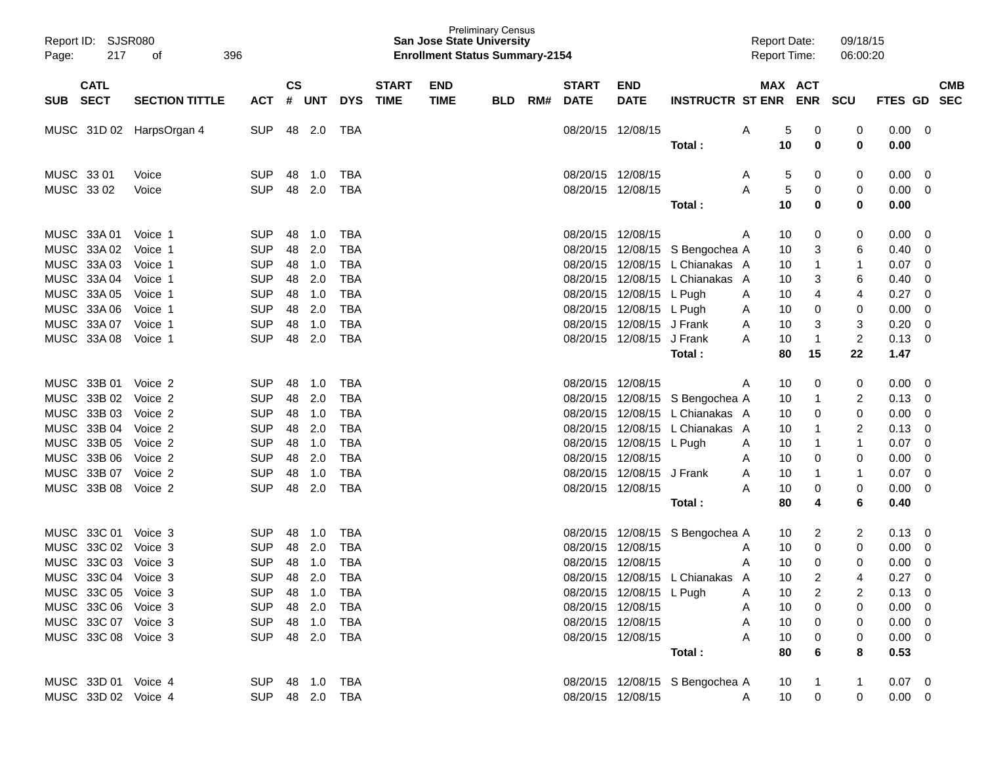| Report ID: SJSR080<br>217<br>Page: | 396<br>οf             |                |               |       |            |              | <b>San Jose State University</b><br><b>Enrollment Status Summary-2154</b> | <b>Preliminary Census</b> |     |              |                          |                                 | <b>Report Date:</b><br><b>Report Time:</b> |            | 09/18/15<br>06:00:20 |                |            |
|------------------------------------|-----------------------|----------------|---------------|-------|------------|--------------|---------------------------------------------------------------------------|---------------------------|-----|--------------|--------------------------|---------------------------------|--------------------------------------------|------------|----------------------|----------------|------------|
| <b>CATL</b>                        |                       |                | $\mathsf{cs}$ |       |            | <b>START</b> | <b>END</b>                                                                |                           |     | <b>START</b> | <b>END</b>               |                                 |                                            | MAX ACT    |                      |                | <b>CMB</b> |
| <b>SECT</b><br><b>SUB</b>          | <b>SECTION TITTLE</b> | ACT            |               | # UNT | <b>DYS</b> | <b>TIME</b>  | <b>TIME</b>                                                               | <b>BLD</b>                | RM# | <b>DATE</b>  | <b>DATE</b>              | <b>INSTRUCTR ST ENR</b>         |                                            | <b>ENR</b> | <b>SCU</b>           | FTES GD        | <b>SEC</b> |
| MUSC 31D 02                        | HarpsOrgan 4          | <b>SUP</b>     | 48            | 2.0   | TBA        |              |                                                                           |                           |     |              | 08/20/15 12/08/15        |                                 | A                                          | 5<br>0     | 0                    | 0.00           | - 0        |
|                                    |                       |                |               |       |            |              |                                                                           |                           |     |              |                          | Total :                         | 10                                         | 0          | 0                    | 0.00           |            |
| MUSC 33 01                         | Voice                 | <b>SUP</b>     | 48            | 1.0   | TBA        |              |                                                                           |                           |     |              | 08/20/15 12/08/15        |                                 | A                                          | 0<br>5     | 0                    | 0.00           | - 0        |
| MUSC 33 02                         | Voice                 | <b>SUP</b>     | 48            | 2.0   | TBA        |              |                                                                           |                           |     |              | 08/20/15 12/08/15        |                                 | A                                          | 5<br>0     | 0                    | 0.00           | 0          |
|                                    |                       |                |               |       |            |              |                                                                           |                           |     |              |                          | Total :                         | 10                                         | 0          | 0                    | 0.00           |            |
| MUSC 33A 01                        | Voice 1               | <b>SUP</b>     | 48            | 1.0   | TBA        |              |                                                                           |                           |     |              | 08/20/15 12/08/15        |                                 | 10<br>A                                    | 0          | 0                    | 0.00           | - 0        |
| MUSC 33A 02                        | Voice 1               | <b>SUP</b>     | 48            | 2.0   | TBA        |              |                                                                           |                           |     |              |                          | 08/20/15 12/08/15 S Bengochea A | 10                                         | 3          | 6                    | 0.40           | 0          |
| MUSC 33A 03                        | Voice 1               | <b>SUP</b>     | 48            | 1.0   | TBA        |              |                                                                           |                           |     | 08/20/15     |                          | 12/08/15 L Chianakas A          |                                            | 10<br>1    | 1                    | 0.07           | 0          |
| MUSC 33A 04                        | Voice 1               | <b>SUP</b>     | 48            | 2.0   | TBA        |              |                                                                           |                           |     | 08/20/15     |                          | 12/08/15 L Chianakas A          | 10                                         | 3          | 6                    | 0.40           | 0          |
| MUSC 33A 05                        | Voice 1               | <b>SUP</b>     | 48            | 1.0   | TBA        |              |                                                                           |                           |     |              | 08/20/15 12/08/15 L Pugh |                                 | 10<br>A                                    | 4          | 4                    | 0.27           | 0          |
| MUSC 33A 06                        | Voice 1               | <b>SUP</b>     | 48            | 2.0   | TBA        |              |                                                                           |                           |     | 08/20/15     | 12/08/15 L Pugh          |                                 | 10<br>A                                    | 0          | 0                    | 0.00           | 0          |
| MUSC 33A 07                        | Voice 1               | <b>SUP</b>     | 48            | 1.0   | TBA        |              |                                                                           |                           |     | 08/20/15     | 12/08/15 J Frank         |                                 | 10<br>A                                    | 3          | 3                    | 0.20           | 0          |
| MUSC 33A 08                        | Voice 1               | <b>SUP</b>     | 48            | 2.0   | TBA        |              |                                                                           |                           |     |              | 08/20/15 12/08/15        | J Frank                         | 10<br>A                                    | 1          | $\overline{c}$       | 0.13           | 0          |
|                                    |                       |                |               |       |            |              |                                                                           |                           |     |              |                          | Total:                          | 80                                         | 15         | 22                   | 1.47           |            |
| MUSC 33B 01                        | Voice 2               | <b>SUP</b>     | 48            | 1.0   | TBA        |              |                                                                           |                           |     |              | 08/20/15 12/08/15        |                                 | 10<br>A                                    | 0          | 0                    | 0.00           | - 0        |
| MUSC 33B 02                        | Voice 2               | <b>SUP</b>     | 48            | 2.0   | TBA        |              |                                                                           |                           |     |              |                          | 08/20/15 12/08/15 S Bengochea A |                                            | 10<br>1    | 2                    | 0.13           | 0          |
| MUSC 33B 03                        | Voice 2               | <b>SUP</b>     | 48            | 1.0   | TBA        |              |                                                                           |                           |     | 08/20/15     |                          | 12/08/15 L Chianakas A          | 10                                         | 0          | 0                    | 0.00           | 0          |
| MUSC 33B 04                        | Voice 2               | <b>SUP</b>     | 48            | 2.0   | TBA        |              |                                                                           |                           |     | 08/20/15     |                          | 12/08/15 L Chianakas A          | 10                                         |            | 2                    | 0.13           | 0          |
| MUSC 33B 05                        | Voice 2               | <b>SUP</b>     | 48            | 1.0   | TBA        |              |                                                                           |                           |     |              | 08/20/15 12/08/15 L Pugh |                                 | A                                          | 10         | 1                    | 0.07           | 0          |
| MUSC 33B 06                        | Voice 2               | <b>SUP</b>     | 48            | 2.0   | TBA        |              |                                                                           |                           |     | 08/20/15     | 12/08/15                 |                                 | A                                          | 10<br>0    | 0                    | 0.00           | 0          |
| MUSC 33B 07                        | Voice 2               | <b>SUP</b>     | 48            | 1.0   | TBA        |              |                                                                           |                           |     | 08/20/15     | 12/08/15                 | J Frank                         | 10<br>A                                    |            | 1                    | 0.07           | 0          |
| MUSC 33B 08                        | Voice 2               | <b>SUP</b>     | 48            | 2.0   | TBA        |              |                                                                           |                           |     |              | 08/20/15 12/08/15        |                                 | 10<br>A                                    | 0          | 0                    | 0.00           | 0          |
|                                    |                       |                |               |       |            |              |                                                                           |                           |     |              |                          | Total:                          | 80                                         | 4          | 6                    | 0.40           |            |
| MUSC 33C 01                        | Voice 3               | <b>SUP</b>     | 48            | 1.0   | TBA        |              |                                                                           |                           |     |              |                          | 08/20/15 12/08/15 S Bengochea A |                                            | 2<br>10    | 2                    | 0.13           | 0          |
| MUSC 33C 02                        | Voice 3               | <b>SUP</b>     | 48            | 2.0   | TBA        |              |                                                                           |                           |     | 08/20/15     | 12/08/15                 |                                 | 10<br>A                                    | 0          | 0                    | 0.00           | 0          |
| MUSC 33C 03                        | Voice 3               | <b>SUP</b>     | 48            | 1.0   | <b>TBA</b> |              |                                                                           |                           |     |              | 08/20/15 12/08/15        |                                 | A                                          | 10<br>0    | 0                    | 0.00           | 0          |
| MUSC 33C 04 Voice 3                |                       | <b>SUP</b>     | 48            | 2.0   | TBA        |              |                                                                           |                           |     |              |                          | 08/20/15 12/08/15 L Chianakas A |                                            | 10<br>2    | 4                    | 0.27           | $\Omega$   |
| MUSC 33C 05 Voice 3                |                       | SUP 48 1.0     |               |       | TBA        |              |                                                                           |                           |     |              | 08/20/15 12/08/15 L Pugh |                                 | A                                          | 10<br>2    |                      | $0.13 \quad 0$ |            |
| MUSC 33C 06 Voice 3                |                       | SUP 48 2.0     |               |       | TBA        |              |                                                                           |                           |     |              | 08/20/15 12/08/15        |                                 | 10<br>A                                    | 0          | 0                    | $0.00 \t 0$    |            |
| MUSC 33C 07 Voice 3                |                       | SUP 48 1.0     |               |       | TBA        |              |                                                                           |                           |     |              | 08/20/15 12/08/15        |                                 | 10<br>A                                    | 0          | 0                    | $0.00 \t 0$    |            |
| MUSC 33C 08 Voice 3                |                       | SUP 48 2.0 TBA |               |       |            |              |                                                                           |                           |     |              | 08/20/15 12/08/15        |                                 | Α                                          | 10<br>0    | 0                    | $0.00 \t 0$    |            |
|                                    |                       |                |               |       |            |              |                                                                           |                           |     |              |                          | Total:                          | 80                                         | 6          | 8                    | 0.53           |            |
| MUSC 33D 01 Voice 4                |                       | SUP 48 1.0 TBA |               |       |            |              |                                                                           |                           |     |              |                          | 08/20/15 12/08/15 S Bengochea A | 10                                         |            |                      | $0.07 \quad 0$ |            |
| MUSC 33D 02 Voice 4                |                       | SUP 48 2.0 TBA |               |       |            |              |                                                                           |                           |     |              | 08/20/15 12/08/15        |                                 | A                                          | 0<br>10    | 0                    | $0.00 \t 0$    |            |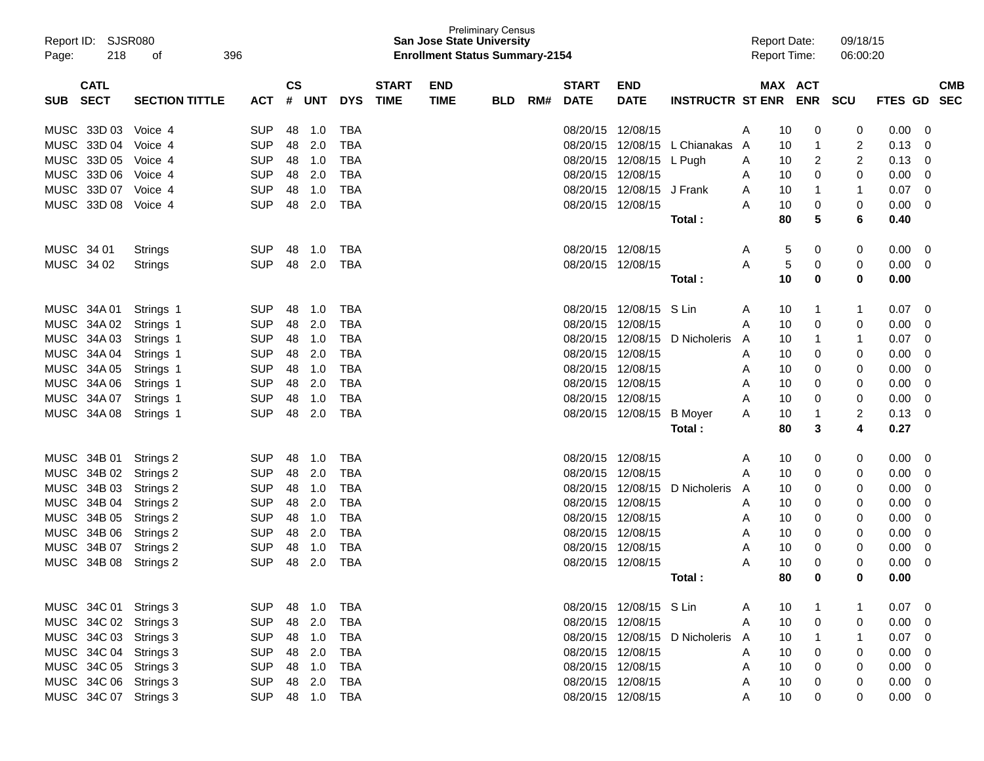| Report ID: SJSR080<br>Page: | 218         | 396<br>οf             |            |               |              |            |              | <b>San Jose State University</b><br><b>Enrollment Status Summary-2154</b> | <b>Preliminary Census</b> |     |                   |                           |                                  | <b>Report Date:</b><br><b>Report Time:</b> |         |            | 09/18/15<br>06:00:20 |                |             |  |
|-----------------------------|-------------|-----------------------|------------|---------------|--------------|------------|--------------|---------------------------------------------------------------------------|---------------------------|-----|-------------------|---------------------------|----------------------------------|--------------------------------------------|---------|------------|----------------------|----------------|-------------|--|
|                             | <b>CATL</b> |                       |            | $\mathsf{cs}$ |              |            | <b>START</b> | <b>END</b>                                                                |                           |     | <b>START</b>      | <b>END</b>                |                                  |                                            | MAX ACT |            |                      |                | <b>CMB</b>  |  |
| <b>SUB</b>                  | <b>SECT</b> | <b>SECTION TITTLE</b> | <b>ACT</b> | #             | <b>UNT</b>   | <b>DYS</b> | <b>TIME</b>  | <b>TIME</b>                                                               | <b>BLD</b>                | RM# | <b>DATE</b>       | <b>DATE</b>               | <b>INSTRUCTR ST ENR</b>          |                                            |         | <b>ENR</b> | <b>SCU</b>           | <b>FTES GD</b> | <b>SEC</b>  |  |
| MUSC 33D 03                 |             | Voice 4               | <b>SUP</b> | 48            | 1.0          | TBA        |              |                                                                           |                           |     |                   | 08/20/15 12/08/15         |                                  | A                                          | 10      | 0          | 0                    | 0.00           | 0           |  |
| MUSC 33D 04                 |             | Voice 4               | <b>SUP</b> | 48            | 2.0          | TBA        |              |                                                                           |                           |     |                   | 08/20/15 12/08/15         | L Chianakas                      | A                                          | 10      | 1          | 2                    | 0.13           | 0           |  |
| MUSC 33D 05                 |             | Voice 4               | <b>SUP</b> | 48            | 1.0          | TBA        |              |                                                                           |                           |     |                   | 08/20/15 12/08/15 L Pugh  |                                  | A                                          | 10      | 2          | 2                    | 0.13           | 0           |  |
| MUSC 33D 06                 |             | Voice 4               | <b>SUP</b> | 48            | 2.0          | <b>TBA</b> |              |                                                                           |                           |     | 08/20/15 12/08/15 |                           |                                  | A                                          | 10      | 0          | 0                    | 0.00           | 0           |  |
| MUSC 33D 07                 |             | Voice 4               | <b>SUP</b> | 48            | 1.0          | <b>TBA</b> |              |                                                                           |                           |     |                   | 08/20/15 12/08/15 J Frank |                                  | A                                          | 10      |            | -1                   | 0.07           | 0           |  |
| MUSC 33D 08                 |             | Voice 4               | <b>SUP</b> | 48            | 2.0          | <b>TBA</b> |              |                                                                           |                           |     |                   | 08/20/15 12/08/15         |                                  | Α                                          | 10      | 0          | 0                    | 0.00           | 0           |  |
|                             |             |                       |            |               |              |            |              |                                                                           |                           |     |                   |                           | Total :                          |                                            | 80      | 5          | 6                    | 0.40           |             |  |
| MUSC 34 01                  |             | Strings               | <b>SUP</b> | 48            | 1.0          | TBA        |              |                                                                           |                           |     |                   | 08/20/15 12/08/15         |                                  | A                                          | 5       | 0          | 0                    | 0.00           | 0           |  |
| MUSC 34 02                  |             | <b>Strings</b>        | <b>SUP</b> | 48            | 2.0          | TBA        |              |                                                                           |                           |     | 08/20/15 12/08/15 |                           |                                  | Α                                          | 5       | 0          | 0                    | 0.00           | 0           |  |
|                             |             |                       |            |               |              |            |              |                                                                           |                           |     |                   |                           | Total :                          |                                            | 10      | 0          | 0                    | 0.00           |             |  |
| MUSC 34A 01                 |             | Strings 1             | <b>SUP</b> | 48            | 1.0          | TBA        |              |                                                                           |                           |     |                   | 08/20/15 12/08/15 S Lin   |                                  | A                                          | 10      | 1          | -1                   | 0.07           | 0           |  |
| MUSC 34A 02                 |             | Strings 1             | <b>SUP</b> | 48            | 2.0          | TBA        |              |                                                                           |                           |     | 08/20/15 12/08/15 |                           |                                  | Α                                          | 10      | 0          | 0                    | 0.00           | 0           |  |
| MUSC 34A 03                 |             | Strings 1             | <b>SUP</b> | 48            | 1.0          | TBA        |              |                                                                           |                           |     |                   | 08/20/15 12/08/15         | D Nicholeris                     | A                                          | 10      |            | -1                   | 0.07           | 0           |  |
| MUSC 34A 04                 |             | Strings 1             | <b>SUP</b> | 48            | 2.0          | <b>TBA</b> |              |                                                                           |                           |     | 08/20/15 12/08/15 |                           |                                  | A                                          | 10      | 0          | 0                    | 0.00           | 0           |  |
| MUSC 34A 05                 |             | Strings 1             | <b>SUP</b> | 48            | 1.0          | <b>TBA</b> |              |                                                                           |                           |     | 08/20/15 12/08/15 |                           |                                  | Α                                          | 10      | 0          | 0                    | 0.00           | 0           |  |
| MUSC 34A 06                 |             | Strings 1             | <b>SUP</b> | 48            | 2.0          | <b>TBA</b> |              |                                                                           |                           |     |                   | 08/20/15 12/08/15         |                                  | Α                                          | 10      | 0          | 0                    | 0.00           | 0           |  |
| MUSC 34A 07                 |             | Strings 1             | <b>SUP</b> | 48            | 1.0          | TBA        |              |                                                                           |                           |     |                   | 08/20/15 12/08/15         |                                  | Α                                          | 10      | 0          | 0                    | 0.00           | 0           |  |
| MUSC 34A 08                 |             | Strings 1             | <b>SUP</b> | 48            | 2.0          | <b>TBA</b> |              |                                                                           |                           |     |                   | 08/20/15 12/08/15         | <b>B</b> Moyer                   | Α                                          | 10      |            | 2                    | 0.13           | 0           |  |
|                             |             |                       |            |               |              |            |              |                                                                           |                           |     |                   |                           | Total :                          |                                            | 80      | 3          | 4                    | 0.27           |             |  |
| MUSC 34B 01                 |             | Strings 2             | <b>SUP</b> | 48            | 1.0          | TBA        |              |                                                                           |                           |     |                   | 08/20/15 12/08/15         |                                  | A                                          | 10      | 0          | 0                    | 0.00           | 0           |  |
| MUSC 34B 02                 |             | Strings 2             | <b>SUP</b> | 48            | 2.0          | TBA        |              |                                                                           |                           |     | 08/20/15 12/08/15 |                           |                                  | Α                                          | 10      | 0          | 0                    | 0.00           | 0           |  |
| MUSC 34B 03                 |             | Strings 2             | <b>SUP</b> | 48            | 1.0          | <b>TBA</b> |              |                                                                           |                           |     |                   | 08/20/15 12/08/15         | D Nicholeris                     | A                                          | 10      | 0          | 0                    | 0.00           | 0           |  |
| MUSC 34B 04                 |             | Strings 2             | <b>SUP</b> | 48            | 2.0          | <b>TBA</b> |              |                                                                           |                           |     | 08/20/15 12/08/15 |                           |                                  | A                                          | 10      | 0          | 0                    | 0.00           | 0           |  |
| MUSC 34B 05                 |             | Strings 2             | <b>SUP</b> | 48            | 1.0          | <b>TBA</b> |              |                                                                           |                           |     | 08/20/15 12/08/15 |                           |                                  | A                                          | 10      | 0          | 0                    | 0.00           | 0           |  |
| MUSC 34B 06                 |             | Strings 2             | <b>SUP</b> | 48            | 2.0          | <b>TBA</b> |              |                                                                           |                           |     | 08/20/15 12/08/15 |                           |                                  | A                                          | 10      | 0          | 0                    | 0.00           | 0           |  |
| MUSC 34B 07                 |             | Strings 2             | <b>SUP</b> | 48            | 1.0          | TBA        |              |                                                                           |                           |     |                   | 08/20/15 12/08/15         |                                  | Α                                          | 10      | 0          | 0                    | 0.00           | 0           |  |
| MUSC 34B 08                 |             | Strings 2             | <b>SUP</b> | 48            | 2.0          | <b>TBA</b> |              |                                                                           |                           |     | 08/20/15 12/08/15 |                           |                                  | Α                                          | 10      | 0          | $\Omega$             | 0.00           | 0           |  |
|                             |             |                       |            |               |              |            |              |                                                                           |                           |     |                   |                           | Total:                           |                                            | 80      |            | O                    | 0.00           |             |  |
|                             |             | MUSC 34C 01 Strings 3 | <b>SUP</b> |               | 48 1.0       | TBA        |              |                                                                           |                           |     |                   | 08/20/15 12/08/15 S Lin   |                                  | A                                          | 10      |            |                      | $0.07 \quad 0$ |             |  |
|                             |             | MUSC 34C 02 Strings 3 | <b>SUP</b> |               | 48 2.0       | TBA        |              |                                                                           |                           |     |                   | 08/20/15 12/08/15         |                                  | A                                          | 10      | 0          | 0                    | 0.00           | 0           |  |
|                             |             | MUSC 34C 03 Strings 3 | <b>SUP</b> |               | 48 1.0       | TBA        |              |                                                                           |                           |     |                   |                           | 08/20/15 12/08/15 D Nicholeris A |                                            | 10      | 1          |                      | 0.07           | - 0         |  |
|                             |             | MUSC 34C 04 Strings 3 | <b>SUP</b> |               | 48 2.0       | TBA        |              |                                                                           |                           |     |                   | 08/20/15 12/08/15         |                                  | A                                          | 10      | 0          | 0                    | 0.00           | 0           |  |
|                             |             | MUSC 34C 05 Strings 3 | <b>SUP</b> |               | 48 1.0       | TBA        |              |                                                                           |                           |     |                   | 08/20/15 12/08/15         |                                  | A                                          | 10      | 0          | 0                    | 0.00           | 0           |  |
|                             |             | MUSC 34C 06 Strings 3 | <b>SUP</b> |               | 48 2.0       | TBA        |              |                                                                           |                           |     |                   | 08/20/15 12/08/15         |                                  | A                                          | 10      | 0          | 0                    | 0.00           | $\mathbf 0$ |  |
|                             |             | MUSC 34C 07 Strings 3 | <b>SUP</b> |               | 48  1.0  TBA |            |              |                                                                           |                           |     |                   | 08/20/15 12/08/15         |                                  | A                                          | 10      | 0          | 0                    | $0.00 \t 0$    |             |  |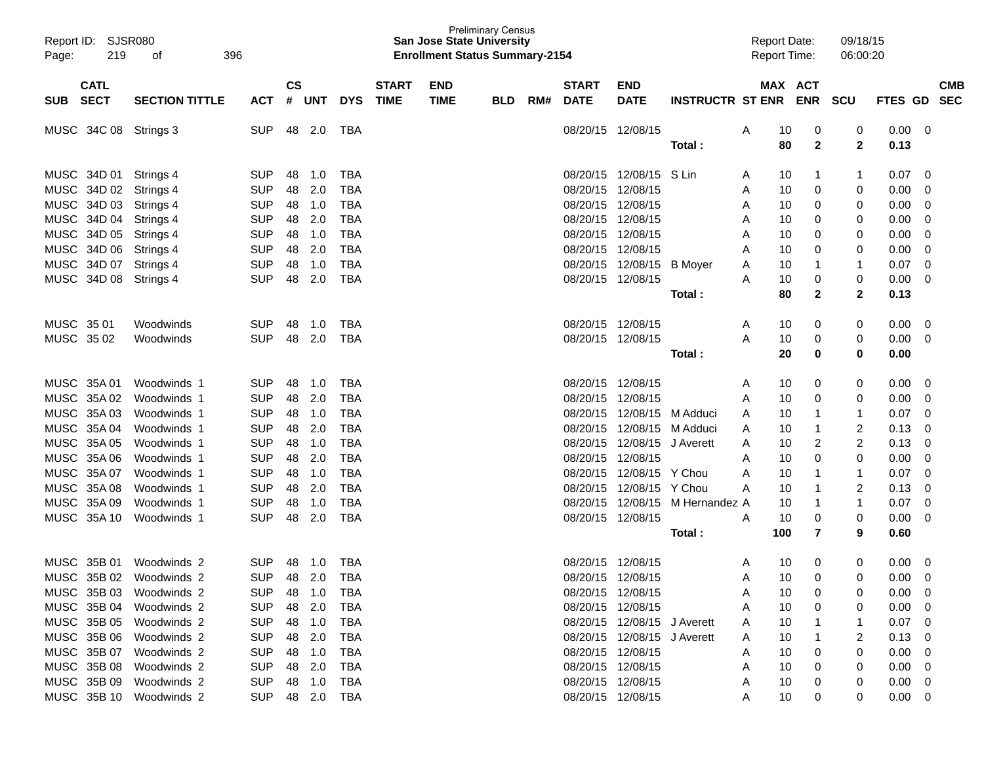| Report ID:<br>219<br>Page: | SJSR080<br>396<br>οf  |                |               |              |              |              | <b>San Jose State University</b><br><b>Enrollment Status Summary-2154</b> | <b>Preliminary Census</b> |     |                   |                             |                         | <b>Report Date:</b><br><b>Report Time:</b> |              | 09/18/15<br>06:00:20 |                |          |            |
|----------------------------|-----------------------|----------------|---------------|--------------|--------------|--------------|---------------------------------------------------------------------------|---------------------------|-----|-------------------|-----------------------------|-------------------------|--------------------------------------------|--------------|----------------------|----------------|----------|------------|
| <b>CATL</b>                |                       |                | $\mathsf{cs}$ |              |              | <b>START</b> | <b>END</b>                                                                |                           |     | <b>START</b>      | <b>END</b>                  |                         |                                            | MAX ACT      |                      |                |          | <b>CMB</b> |
| <b>SECT</b><br><b>SUB</b>  | <b>SECTION TITTLE</b> | ACT            | #             | <b>UNT</b>   | <b>DYS</b>   | <b>TIME</b>  | <b>TIME</b>                                                               | <b>BLD</b>                | RM# | <b>DATE</b>       | <b>DATE</b>                 | <b>INSTRUCTR ST ENR</b> |                                            | <b>ENR</b>   | <b>SCU</b>           | FTES GD        |          | <b>SEC</b> |
| MUSC 34C 08                | Strings 3             | <b>SUP</b>     | 48            | 2.0          | TBA          |              |                                                                           |                           |     | 08/20/15 12/08/15 |                             |                         | A<br>10                                    | 0            | 0                    | 0.00           | 0        |            |
|                            |                       |                |               |              |              |              |                                                                           |                           |     |                   |                             | Total :                 | 80                                         | $\mathbf{2}$ | 2                    | 0.13           |          |            |
| MUSC 34D 01                | Strings 4             | <b>SUP</b>     | 48            | 1.0          | TBA          |              |                                                                           |                           |     |                   | 08/20/15 12/08/15           | S Lin                   | 10<br>A                                    | 1            | -1                   | 0.07           | 0        |            |
| MUSC 34D 02                | Strings 4             | <b>SUP</b>     | 48            | 2.0          | <b>TBA</b>   |              |                                                                           |                           |     | 08/20/15 12/08/15 |                             |                         | 10<br>A                                    | 0            | 0                    | 0.00           | 0        |            |
| MUSC 34D 03                | Strings 4             | <b>SUP</b>     | 48            | 1.0          | <b>TBA</b>   |              |                                                                           |                           |     | 08/20/15 12/08/15 |                             |                         | 10<br>A                                    | 0            | 0                    | 0.00           | 0        |            |
| MUSC 34D 04                | Strings 4             | <b>SUP</b>     | 48            | 2.0          | <b>TBA</b>   |              |                                                                           |                           |     | 08/20/15 12/08/15 |                             |                         | 10<br>A                                    | 0            | 0                    | 0.00           | 0        |            |
| MUSC 34D 05                | Strings 4             | <b>SUP</b>     | 48            | 1.0          | <b>TBA</b>   |              |                                                                           |                           |     | 08/20/15 12/08/15 |                             |                         | 10<br>A                                    | 0            | 0                    | 0.00           | 0        |            |
| MUSC 34D 06                | Strings 4             | <b>SUP</b>     | 48            | 2.0          | <b>TBA</b>   |              |                                                                           |                           |     | 08/20/15 12/08/15 |                             |                         | 10<br>A                                    | 0            | 0                    | 0.00           | 0        |            |
| MUSC 34D 07                | Strings 4             | <b>SUP</b>     | 48            | 1.0          | <b>TBA</b>   |              |                                                                           |                           |     |                   | 08/20/15 12/08/15           | B Moyer                 | 10<br>A                                    | -1           | -1                   | 0.07           | 0        |            |
| MUSC 34D 08                | Strings 4             | <b>SUP</b>     | 48            | 2.0          | <b>TBA</b>   |              |                                                                           |                           |     | 08/20/15 12/08/15 |                             |                         | 10<br>А                                    | 0            | 0                    | 0.00           | 0        |            |
|                            |                       |                |               |              |              |              |                                                                           |                           |     |                   |                             | Total :                 | 80                                         | $\mathbf{2}$ | 2                    | 0.13           |          |            |
|                            |                       |                |               |              |              |              |                                                                           |                           |     |                   |                             |                         |                                            |              |                      |                |          |            |
| MUSC 35 01                 | Woodwinds             | <b>SUP</b>     | 48            | 1.0          | TBA          |              |                                                                           |                           |     | 08/20/15 12/08/15 |                             |                         | A<br>10                                    | 0            | 0                    | 0.00           | 0        |            |
| MUSC 3502                  | Woodwinds             | <b>SUP</b>     | 48            | 2.0          | <b>TBA</b>   |              |                                                                           |                           |     | 08/20/15 12/08/15 |                             |                         | Α<br>10                                    | 0            | 0                    | 0.00           | 0        |            |
|                            |                       |                |               |              |              |              |                                                                           |                           |     |                   |                             | Total :                 | 20                                         | 0            | 0                    | 0.00           |          |            |
| MUSC 35A 01                | Woodwinds 1           | <b>SUP</b>     | 48            | 1.0          | TBA          |              |                                                                           |                           |     | 08/20/15 12/08/15 |                             |                         | 10<br>A                                    | 0            | 0                    | 0.00           | 0        |            |
| MUSC 35A 02                | Woodwinds 1           | <b>SUP</b>     | 48            | 2.0          | <b>TBA</b>   |              |                                                                           |                           |     | 08/20/15 12/08/15 |                             |                         | 10<br>A                                    | 0            | 0                    | 0.00           | 0        |            |
| MUSC 35A 03                | Woodwinds 1           | <b>SUP</b>     | 48            | 1.0          | <b>TBA</b>   |              |                                                                           |                           |     |                   | 08/20/15 12/08/15 M Adduci  |                         | 10<br>A                                    | -1           | -1                   | 0.07           | 0        |            |
| MUSC 35A 04                | Woodwinds 1           | <b>SUP</b>     | 48            | 2.0          | <b>TBA</b>   |              |                                                                           |                           |     |                   | 08/20/15 12/08/15 M Adduci  |                         | 10<br>A                                    | -1           | 2                    | 0.13           | 0        |            |
| MUSC 35A 05                | Woodwinds 1           | <b>SUP</b>     | 48            | 1.0          | <b>TBA</b>   |              |                                                                           |                           |     |                   | 08/20/15 12/08/15           | J Averett               | 10<br>A                                    | 2            | 2                    | 0.13           | 0        |            |
| MUSC 35A 06                | Woodwinds 1           | <b>SUP</b>     | 48            | 2.0          | <b>TBA</b>   |              |                                                                           |                           |     | 08/20/15 12/08/15 |                             |                         | 10<br>A                                    | 0            | 0                    | 0.00           | 0        |            |
| MUSC 35A 07                | Woodwinds 1           | <b>SUP</b>     | 48            | 1.0          | <b>TBA</b>   |              |                                                                           |                           |     |                   | 08/20/15 12/08/15 Y Chou    |                         | А<br>10                                    | -1           | -1                   | 0.07           | 0        |            |
| MUSC 35A 08                | Woodwinds 1           | <b>SUP</b>     | 48            | 2.0          | <b>TBA</b>   |              |                                                                           |                           |     |                   | 08/20/15 12/08/15 Y Chou    |                         | Α<br>10                                    | -1           | 2                    | 0.13           | 0        |            |
| MUSC 35A 09                | Woodwinds 1           | <b>SUP</b>     | 48            | 1.0          | <b>TBA</b>   |              |                                                                           |                           |     |                   | 08/20/15 12/08/15           | M Hernandez A           | 10                                         | -1           | -1                   | 0.07           | 0        |            |
| MUSC 35A 10                | Woodwinds 1           | <b>SUP</b>     | 48            | 2.0          | <b>TBA</b>   |              |                                                                           |                           |     | 08/20/15 12/08/15 |                             |                         | Α<br>10                                    | 0            | 0                    | 0.00           | 0        |            |
|                            |                       |                |               |              |              |              |                                                                           |                           |     |                   |                             | Total :                 | 100                                        | 7            | 9                    | 0.60           |          |            |
|                            |                       |                |               |              |              |              |                                                                           |                           |     |                   |                             |                         |                                            |              |                      |                |          |            |
| MUSC 35B 01                | Woodwinds 2           | <b>SUP</b>     | 48            | 1.0          | <b>TBA</b>   |              |                                                                           |                           |     | 08/20/15 12/08/15 |                             |                         | 10<br>A                                    | 0            | 0                    | 0.00           | 0        |            |
| MUSC 35B 02                | Woodwinds 2           | <b>SUP</b>     |               | 48 2.0 TBA   |              |              |                                                                           |                           |     | 08/20/15 12/08/15 |                             |                         | 10<br>A                                    | 0            | 0                    | 0.00           | $\Omega$ |            |
| MUSC 35B 03 Woodwinds 2    |                       | SUP 48 1.0 TBA |               |              |              |              |                                                                           |                           |     |                   | 08/20/15 12/08/15           |                         | 10<br>A                                    | 0            | 0                    | $0.00 \quad 0$ |          |            |
| MUSC 35B 04 Woodwinds 2    |                       | SUP            |               | 48 2.0       | TBA          |              |                                                                           |                           |     |                   | 08/20/15 12/08/15           |                         | 10<br>A                                    | 0            | 0                    | $0.00 \t 0$    |          |            |
| MUSC 35B 05 Woodwinds 2    |                       | SUP            |               |              | 48  1.0  TBA |              |                                                                           |                           |     |                   | 08/20/15 12/08/15 J Averett |                         | 10<br>$\mathsf{A}$                         |              |                      | $0.07 \quad 0$ |          |            |
| MUSC 35B 06 Woodwinds 2    |                       | SUP            |               |              | 48 2.0 TBA   |              |                                                                           |                           |     |                   | 08/20/15 12/08/15 J Averett |                         | 10<br>A                                    |              |                      | $0.13 \quad 0$ |          |            |
| MUSC 35B 07 Woodwinds 2    |                       | SUP            |               |              | 48  1.0  TBA |              |                                                                           |                           |     | 08/20/15 12/08/15 |                             |                         | 10<br>A                                    | 0            | 0                    | $0.00 \quad 0$ |          |            |
| MUSC 35B 08 Woodwinds 2    |                       | SUP            |               | 48  2.0  TBA |              |              |                                                                           |                           |     |                   | 08/20/15 12/08/15           |                         | 10<br>A                                    | 0            | 0                    | $0.00 \quad 0$ |          |            |
| MUSC 35B 09 Woodwinds 2    |                       | SUP            |               |              |              |              |                                                                           |                           |     |                   | 08/20/15 12/08/15           |                         | 10                                         | 0            | 0                    | $0.00 \quad 0$ |          |            |
| MUSC 35B 10 Woodwinds 2    |                       | SUP 48 2.0 TBA |               |              |              |              |                                                                           |                           |     |                   | 08/20/15 12/08/15           |                         | 10<br>A                                    | 0            | 0                    | $0.00 \t 0$    |          |            |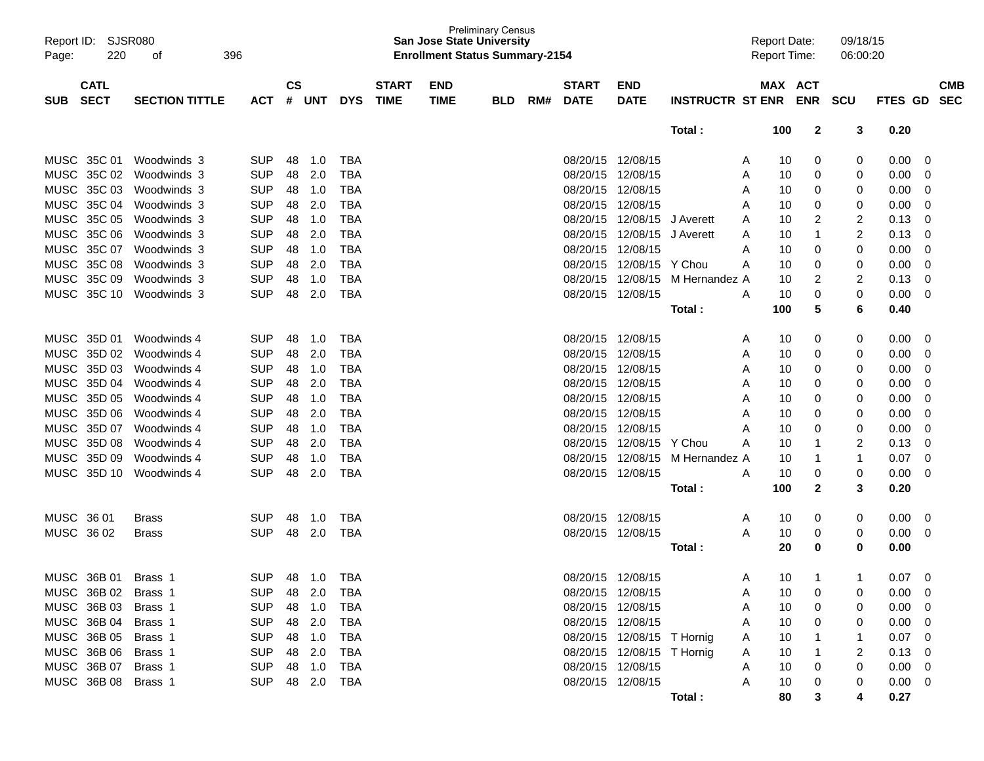| Report ID: SJSR080        |                       |            |               |        |            |              | <b>San Jose State University</b>      | <b>Preliminary Census</b> |     |                   |                            |                         | <b>Report Date:</b> |            | 09/18/15 |             |                          |
|---------------------------|-----------------------|------------|---------------|--------|------------|--------------|---------------------------------------|---------------------------|-----|-------------------|----------------------------|-------------------------|---------------------|------------|----------|-------------|--------------------------|
| Page:                     | 220<br>396<br>οf      |            |               |        |            |              | <b>Enrollment Status Summary-2154</b> |                           |     |                   |                            |                         | <b>Report Time:</b> |            | 06:00:20 |             |                          |
|                           |                       |            |               |        |            |              |                                       |                           |     |                   |                            |                         |                     |            |          |             |                          |
| <b>CATL</b>               |                       |            | $\mathsf{cs}$ |        |            | <b>START</b> | <b>END</b>                            |                           |     | <b>START</b>      | <b>END</b>                 |                         |                     | MAX ACT    |          |             | <b>CMB</b>               |
| <b>SECT</b><br><b>SUB</b> | <b>SECTION TITTLE</b> | <b>ACT</b> | #             | UNT    | <b>DYS</b> | <b>TIME</b>  | <b>TIME</b>                           | <b>BLD</b>                | RM# | <b>DATE</b>       | <b>DATE</b>                | <b>INSTRUCTR ST ENR</b> |                     | <b>ENR</b> | SCU      | FTES GD     | <b>SEC</b>               |
|                           |                       |            |               |        |            |              |                                       |                           |     |                   |                            | Total:                  | 100                 | 2          | 3        | 0.20        |                          |
|                           |                       |            |               |        |            |              |                                       |                           |     |                   |                            |                         |                     |            |          |             |                          |
| MUSC 35C 01               | Woodwinds 3           | <b>SUP</b> | 48            | 1.0    | <b>TBA</b> |              |                                       |                           |     | 08/20/15 12/08/15 |                            |                         | A                   | 0<br>10    | 0        | 0.00        | 0                        |
| <b>MUSC</b><br>35C 02     | Woodwinds 3           | <b>SUP</b> | 48            | 2.0    | <b>TBA</b> |              |                                       |                           |     | 08/20/15          | 12/08/15                   |                         | Α                   | 10<br>0    | 0        | 0.00        | 0                        |
| <b>MUSC</b><br>35C 03     | Woodwinds 3           | <b>SUP</b> | 48            | 1.0    | <b>TBA</b> |              |                                       |                           |     | 08/20/15          | 12/08/15                   |                         | A                   | 10<br>0    | 0        | 0.00        | 0                        |
| MUSC<br>35C 04            | Woodwinds 3           | <b>SUP</b> | 48            | 2.0    | <b>TBA</b> |              |                                       |                           |     | 08/20/15          | 12/08/15                   |                         | Α                   | 10<br>0    | 0        | 0.00        | 0                        |
| MUSC 35C 05               | Woodwinds 3           | <b>SUP</b> | 48            | 1.0    | <b>TBA</b> |              |                                       |                           |     | 08/20/15          | 12/08/15                   | J Averett               | Α                   | 10<br>2    | 2        | 0.13        | 0                        |
| MUSC 35C 06               | Woodwinds 3           | <b>SUP</b> | 48            | 2.0    | <b>TBA</b> |              |                                       |                           |     | 08/20/15          | 12/08/15                   | J Averett               | Α                   | 10<br>1    | 2        | 0.13        | 0                        |
| MUSC 35C 07               | Woodwinds 3           | <b>SUP</b> | 48            | 1.0    | <b>TBA</b> |              |                                       |                           |     | 08/20/15          | 12/08/15                   |                         | Α                   | 10<br>0    | 0        | 0.00        | 0                        |
| MUSC<br>35C 08            | Woodwinds 3           | <b>SUP</b> | 48            | 2.0    | <b>TBA</b> |              |                                       |                           |     | 08/20/15          | 12/08/15                   | Y Chou                  | A                   | 10<br>0    | 0        | 0.00        | 0                        |
| MUSC 35C 09               | Woodwinds 3           | <b>SUP</b> | 48            | 1.0    | <b>TBA</b> |              |                                       |                           |     | 08/20/15          | 12/08/15                   | M Hernandez A           |                     | 10<br>2    | 2        | 0.13        | 0                        |
| MUSC 35C 10               | Woodwinds 3           | <b>SUP</b> | 48            | 2.0    | <b>TBA</b> |              |                                       |                           |     | 08/20/15 12/08/15 |                            |                         | A                   | 0<br>10    | 0        | 0.00        | 0                        |
|                           |                       |            |               |        |            |              |                                       |                           |     |                   |                            | Total:                  | 100                 | 5          | 6        | 0.40        |                          |
| MUSC 35D 01               | Woodwinds 4           | <b>SUP</b> | 48            | 1.0    | TBA        |              |                                       |                           |     | 08/20/15 12/08/15 |                            |                         | A                   | 0<br>10    | 0        | 0.00        | 0                        |
| MUSC<br>35D 02            | Woodwinds 4           | <b>SUP</b> | 48            | 2.0    | <b>TBA</b> |              |                                       |                           |     | 08/20/15          | 12/08/15                   |                         | A                   | 10<br>0    | 0        | 0.00        | 0                        |
| MUSC<br>35D 03            | Woodwinds 4           | <b>SUP</b> | 48            | 1.0    | <b>TBA</b> |              |                                       |                           |     | 08/20/15          | 12/08/15                   |                         | Α                   | 10<br>0    | 0        | 0.00        | 0                        |
| MUSC 35D 04               | Woodwinds 4           | <b>SUP</b> | 48            | 2.0    | <b>TBA</b> |              |                                       |                           |     | 08/20/15          | 12/08/15                   |                         | Α                   | 10<br>0    | 0        | 0.00        | 0                        |
| <b>MUSC</b><br>35D 05     | Woodwinds 4           | <b>SUP</b> | 48            | 1.0    | <b>TBA</b> |              |                                       |                           |     | 08/20/15          | 12/08/15                   |                         | Α                   | 10<br>0    | 0        | 0.00        | 0                        |
| <b>MUSC</b><br>35D 06     | Woodwinds 4           | <b>SUP</b> | 48            | 2.0    | <b>TBA</b> |              |                                       |                           |     | 08/20/15          | 12/08/15                   |                         | A                   | 10<br>0    | 0        | 0.00        | 0                        |
| <b>MUSC</b><br>35D 07     | Woodwinds 4           | <b>SUP</b> | 48            | 1.0    | <b>TBA</b> |              |                                       |                           |     | 08/20/15          | 12/08/15                   |                         | A                   | 10<br>0    | 0        | 0.00        | 0                        |
| MUSC 35D 08               | Woodwinds 4           | <b>SUP</b> | 48            | 2.0    | <b>TBA</b> |              |                                       |                           |     | 08/20/15          | 12/08/15                   | Y Chou                  | Α                   | 10<br>1    | 2        | 0.13        | 0                        |
| MUSC 35D 09               | Woodwinds 4           | <b>SUP</b> | 48            | 1.0    | <b>TBA</b> |              |                                       |                           |     | 08/20/15          | 12/08/15                   | M Hernandez A           |                     | 10<br>1    | 1        | 0.07        | 0                        |
| <b>MUSC</b><br>35D 10     | Woodwinds 4           | <b>SUP</b> | 48            | 2.0    | <b>TBA</b> |              |                                       |                           |     | 08/20/15 12/08/15 |                            |                         | A                   | 10<br>0    | 0        | 0.00        | 0                        |
|                           |                       |            |               |        |            |              |                                       |                           |     |                   |                            | Total:                  | 100                 | 2          | 3        | 0.20        |                          |
|                           |                       |            |               |        |            |              |                                       |                           |     |                   |                            |                         |                     |            |          |             |                          |
| MUSC 36 01                | <b>Brass</b>          | <b>SUP</b> | 48            | 1.0    | TBA        |              |                                       |                           |     | 08/20/15 12/08/15 |                            |                         | A                   | 0<br>10    | 0        | 0.00        | 0                        |
| MUSC 36 02                | <b>Brass</b>          | <b>SUP</b> | 48            | 2.0    | TBA        |              |                                       |                           |     | 08/20/15 12/08/15 |                            |                         | A                   | 10<br>0    | 0        | 0.00        | 0                        |
|                           |                       |            |               |        |            |              |                                       |                           |     |                   |                            | Total:                  |                     | 20<br>0    | 0        | 0.00        |                          |
| MUSC 36B 01               | Brass 1               | <b>SUP</b> |               | 48 1.0 | TBA        |              |                                       |                           |     | 08/20/15 12/08/15 |                            |                         | A                   | 10<br>-1   | 1        | 0.07        | 0                        |
|                           | MUSC 36B 02 Brass 1   | SUP 48 2.0 |               |        | TBA        |              |                                       |                           |     | 08/20/15 12/08/15 |                            |                         | Α                   | 10<br>0    | 0        | $0.00 \t 0$ |                          |
| MUSC 36B 03               | Brass 1               | <b>SUP</b> |               | 48 1.0 | TBA        |              |                                       |                           |     | 08/20/15 12/08/15 |                            |                         | Α                   | 10<br>0    | 0        | $0.00 \t 0$ |                          |
| MUSC 36B 04               | Brass 1               | <b>SUP</b> |               | 48 2.0 | TBA        |              |                                       |                           |     |                   | 08/20/15 12/08/15          |                         | Α                   | 10<br>0    | 0        | $0.00 \t 0$ |                          |
| MUSC 36B 05               | Brass 1               | <b>SUP</b> |               | 48 1.0 | <b>TBA</b> |              |                                       |                           |     |                   | 08/20/15 12/08/15 T Hornig |                         | Α                   | 10         |          | 0.07        | $\overline{\mathbf{0}}$  |
| MUSC 36B 06               | Brass 1               | <b>SUP</b> |               | 48 2.0 | TBA        |              |                                       |                           |     |                   | 08/20/15 12/08/15 T Hornig |                         | Α                   | 10         | 2        | 0.13        | $\overline{\phantom{0}}$ |
| MUSC 36B 07               | Brass 1               | <b>SUP</b> |               | 48 1.0 | TBA        |              |                                       |                           |     | 08/20/15 12/08/15 |                            |                         | Α                   | 10<br>0    | 0        | $0.00 \t 0$ |                          |
|                           | MUSC 36B 08 Brass 1   | SUP 48 2.0 |               |        | TBA        |              |                                       |                           |     |                   | 08/20/15 12/08/15          |                         | A                   | 10<br>0    | 0        | $0.00 \t 0$ |                          |
|                           |                       |            |               |        |            |              |                                       |                           |     |                   |                            | Total:                  |                     | 80<br>3    | 4        | 0.27        |                          |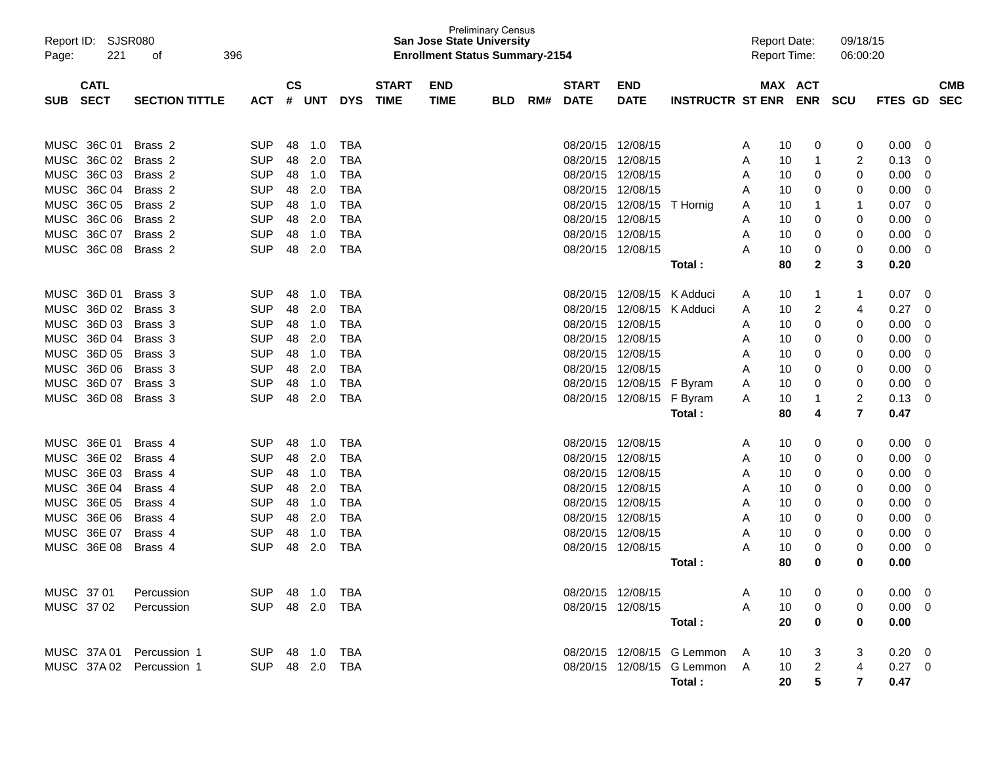| Report ID: SJSR080        |                          |                |               |            |                   |              | <b>San Jose State University</b>      | <b>Preliminary Census</b> |     |              |                            |                              |        | <b>Report Date:</b> |                | 09/18/15       |                |            |            |
|---------------------------|--------------------------|----------------|---------------|------------|-------------------|--------------|---------------------------------------|---------------------------|-----|--------------|----------------------------|------------------------------|--------|---------------------|----------------|----------------|----------------|------------|------------|
| Page:                     | 221<br>396<br>of         |                |               |            |                   |              | <b>Enrollment Status Summary-2154</b> |                           |     |              |                            |                              |        | <b>Report Time:</b> |                | 06:00:20       |                |            |            |
| <b>CATL</b>               |                          |                | $\mathsf{cs}$ |            |                   | <b>START</b> | <b>END</b>                            |                           |     | <b>START</b> | <b>END</b>                 |                              |        |                     | MAX ACT        |                |                |            | <b>CMB</b> |
| <b>SECT</b><br><b>SUB</b> | <b>SECTION TITTLE</b>    | <b>ACT</b>     | #             | UNT        | <b>DYS</b>        | <b>TIME</b>  | <b>TIME</b>                           | <b>BLD</b>                | RM# | <b>DATE</b>  | <b>DATE</b>                | INSTRUCTR ST ENR ENR SCU     |        |                     |                |                | <b>FTES GD</b> | <b>SEC</b> |            |
|                           |                          |                |               |            |                   |              |                                       |                           |     |              |                            |                              |        |                     |                |                |                |            |            |
| MUSC 36C 01               | Brass 2                  | <b>SUP</b>     | 48            |            | TBA               |              |                                       |                           |     |              | 08/20/15 12/08/15          |                              |        |                     |                |                |                |            |            |
|                           | MUSC 36C 02 Brass 2      | <b>SUP</b>     | 48            | 1.0<br>2.0 | <b>TBA</b>        |              |                                       |                           |     |              | 08/20/15 12/08/15          |                              | A<br>A | 10<br>10            | 0<br>1         | 0<br>2         | 0.00<br>0.13   | - 0<br>0   |            |
| MUSC 36C 03               | Brass 2                  | <b>SUP</b>     | 48            | 1.0        | <b>TBA</b>        |              |                                       |                           |     |              | 08/20/15 12/08/15          |                              | A      | 10                  | 0              | 0              | 0.00           | 0          |            |
|                           | MUSC 36C 04 Brass 2      | <b>SUP</b>     | 48            | 2.0        | <b>TBA</b>        |              |                                       |                           |     |              | 08/20/15 12/08/15          |                              | A      | 10                  | 0              | 0              | 0.00           | 0          |            |
| MUSC 36C 05               | Brass 2                  | <b>SUP</b>     | 48            | 1.0        | <b>TBA</b>        |              |                                       |                           |     |              | 08/20/15 12/08/15          | T Hornig                     | A      | 10                  | 1              | 1              | 0.07           | -0         |            |
| MUSC 36C 06               | Brass 2                  | <b>SUP</b>     | 48            | 2.0        | <b>TBA</b>        |              |                                       |                           |     |              | 08/20/15 12/08/15          |                              | A      | 10                  | 0              | 0              | 0.00           | -0         |            |
|                           | MUSC 36C 07 Brass 2      | <b>SUP</b>     | 48            | 1.0        | <b>TBA</b>        |              |                                       |                           |     |              | 08/20/15 12/08/15          |                              | A      | 10                  | 0              | 0              | 0.00           | 0          |            |
| MUSC 36C 08               | Brass 2                  | <b>SUP</b>     | 48            | 2.0        | <b>TBA</b>        |              |                                       |                           |     |              | 08/20/15 12/08/15          |                              | A      | 10                  | 0              | 0              | 0.00           | 0          |            |
|                           |                          |                |               |            |                   |              |                                       |                           |     |              |                            | Total:                       |        | 80                  | $\mathbf{2}$   | 3              | 0.20           |            |            |
|                           |                          |                |               |            |                   |              |                                       |                           |     |              |                            |                              |        |                     |                |                |                |            |            |
| MUSC 36D 01               | Brass 3                  | <b>SUP</b>     | 48            | 1.0        | TBA               |              |                                       |                           |     |              | 08/20/15 12/08/15 K Adduci |                              | A      | 10                  | 1              | 1              | 0.07           | 0          |            |
|                           | MUSC 36D 02 Brass 3      | <b>SUP</b>     | 48            | 2.0        | <b>TBA</b>        |              |                                       |                           |     | 08/20/15     | 12/08/15 K Adduci          |                              | A      | 10                  | 2              | 4              | 0.27           | 0          |            |
|                           | MUSC 36D 03 Brass 3      | <b>SUP</b>     | 48            | 1.0        | <b>TBA</b>        |              |                                       |                           |     |              | 08/20/15 12/08/15          |                              | A      | 10                  | 0              | 0              | 0.00           | 0          |            |
|                           | MUSC 36D 04 Brass 3      | <b>SUP</b>     | 48            | 2.0        | <b>TBA</b>        |              |                                       |                           |     |              | 08/20/15 12/08/15          |                              | A      | 10                  | 0              | 0              | 0.00           | 0          |            |
|                           | MUSC 36D 05 Brass 3      | <b>SUP</b>     | 48            | 1.0        | <b>TBA</b>        |              |                                       |                           |     |              | 08/20/15 12/08/15          |                              | A      | 10                  | 0              | 0              | 0.00           | 0          |            |
|                           | MUSC 36D 06 Brass 3      | <b>SUP</b>     | 48            | 2.0        | <b>TBA</b>        |              |                                       |                           |     |              | 08/20/15 12/08/15          |                              | Α      | 10                  | 0              | 0              | 0.00           | 0          |            |
|                           | MUSC 36D 07 Brass 3      | <b>SUP</b>     | 48            | 1.0        | <b>TBA</b>        |              |                                       |                           |     |              | 08/20/15 12/08/15 F Byram  |                              | A      | 10                  | 0              | 0              | 0.00           | 0          |            |
| MUSC 36D 08               | Brass 3                  | <b>SUP</b>     | 48            | 2.0        | <b>TBA</b>        |              |                                       |                           |     |              | 08/20/15 12/08/15 F Byram  |                              | A      | 10                  | 1              | 2              | 0.13           | 0          |            |
|                           |                          |                |               |            |                   |              |                                       |                           |     |              |                            | Total:                       |        | 80                  | 4              | $\overline{7}$ | 0.47           |            |            |
| MUSC 36E 01               | Brass 4                  | <b>SUP</b>     | 48            |            |                   |              |                                       |                           |     |              | 08/20/15 12/08/15          |                              |        |                     |                |                |                | 0          |            |
| MUSC 36E 02               | Brass 4                  | <b>SUP</b>     | 48            | 1.0<br>2.0 | TBA<br><b>TBA</b> |              |                                       |                           |     |              | 08/20/15 12/08/15          |                              | A<br>A | 10<br>10            | 0<br>0         | 0<br>0         | 0.00<br>0.00   | 0          |            |
| MUSC 36E 03               | Brass 4                  | <b>SUP</b>     | 48            | 1.0        | <b>TBA</b>        |              |                                       |                           |     |              | 08/20/15 12/08/15          |                              | A      | 10                  | 0              | 0              | 0.00           | 0          |            |
| MUSC 36E 04               | Brass 4                  | <b>SUP</b>     | 48            | 2.0        | <b>TBA</b>        |              |                                       |                           |     |              | 08/20/15 12/08/15          |                              | A      | 10                  | 0              | 0              | 0.00           | 0          |            |
| MUSC 36E 05               | Brass 4                  | <b>SUP</b>     | 48            | 1.0        | <b>TBA</b>        |              |                                       |                           |     |              | 08/20/15 12/08/15          |                              | A      | 10                  | 0              | 0              | 0.00           | 0          |            |
| MUSC 36E 06               | Brass 4                  | <b>SUP</b>     | 48            | 2.0        | <b>TBA</b>        |              |                                       |                           |     |              | 08/20/15 12/08/15          |                              | A      | 10                  | 0              | 0              | 0.00           | 0          |            |
| MUSC 36E 07               | Brass 4                  | <b>SUP</b>     | 48            | 1.0        | <b>TBA</b>        |              |                                       |                           |     |              | 08/20/15 12/08/15          |                              | Α      | 10                  | 0              | 0              | 0.00           | 0          |            |
| MUSC 36E 08               | Brass 4                  | <b>SUP</b>     | 48            | 2.0        | <b>TBA</b>        |              |                                       |                           |     |              | 08/20/15 12/08/15          |                              | A      | 10                  | 0              | 0              | 0.00           | 0          |            |
|                           |                          |                |               |            |                   |              |                                       |                           |     |              |                            | Total :                      |        | 80                  | 0              | 0              | 0.00           |            |            |
|                           |                          |                |               |            |                   |              |                                       |                           |     |              |                            |                              |        |                     |                |                |                |            |            |
| MUSC 3701                 | Percussion               | SUP 48 1.0 TBA |               |            |                   |              |                                       |                           |     |              | 08/20/15 12/08/15          |                              | A      | 10                  | 0              |                | $0.00 \t 0$    |            |            |
| MUSC 3702                 | Percussion               | SUP 48 2.0 TBA |               |            |                   |              |                                       |                           |     |              | 08/20/15 12/08/15          |                              | A      | 10                  | 0              |                | $0.00 \t 0$    |            |            |
|                           |                          |                |               |            |                   |              |                                       |                           |     |              |                            | Total:                       |        | 20                  | 0              | 0              | 0.00           |            |            |
|                           |                          |                |               |            |                   |              |                                       |                           |     |              |                            |                              |        |                     |                |                |                |            |            |
|                           | MUSC 37A01 Percussion 1  | SUP 48 1.0 TBA |               |            |                   |              |                                       |                           |     |              |                            | 08/20/15 12/08/15 G Lemmon   | - A    | 10                  | 3              | 3              | $0.20 \ 0$     |            |            |
|                           | MUSC 37A 02 Percussion 1 | SUP 48 2.0 TBA |               |            |                   |              |                                       |                           |     |              |                            | 08/20/15 12/08/15 G Lemmon A |        | 10                  | $\overline{2}$ | 4              | $0.27 \quad 0$ |            |            |
|                           |                          |                |               |            |                   |              |                                       |                           |     |              |                            | Total :                      |        | 20                  | 5              | 7              | 0.47           |            |            |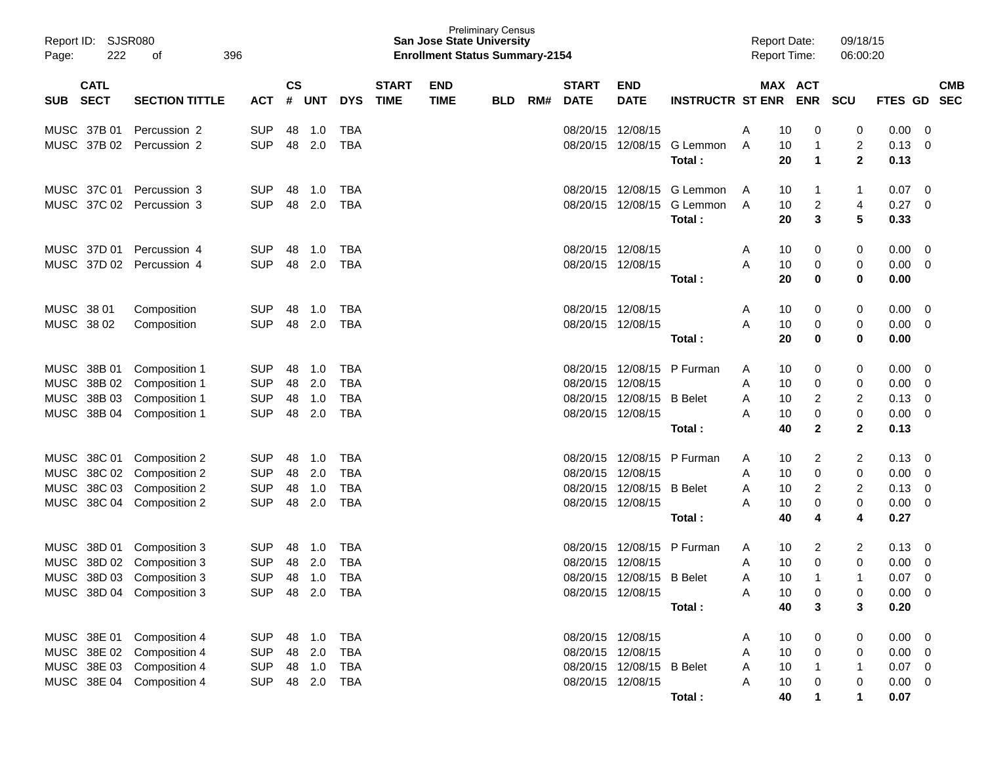| Report ID:<br>222<br>Page: | <b>SJSR080</b><br>396<br>οf |            |               |            |            |              | <b>San Jose State University</b><br><b>Enrollment Status Summary-2154</b> | <b>Preliminary Census</b> |     |                   |                           |                                      | <b>Report Date:</b> | <b>Report Time:</b>                      | 09/18/15<br>06:00:20                      |              |                         |
|----------------------------|-----------------------------|------------|---------------|------------|------------|--------------|---------------------------------------------------------------------------|---------------------------|-----|-------------------|---------------------------|--------------------------------------|---------------------|------------------------------------------|-------------------------------------------|--------------|-------------------------|
| <b>CATL</b>                |                             |            | $\mathsf{cs}$ |            |            | <b>START</b> | <b>END</b>                                                                |                           |     | <b>START</b>      | <b>END</b>                |                                      |                     | MAX ACT                                  |                                           |              | <b>CMB</b>              |
| <b>SECT</b><br><b>SUB</b>  | <b>SECTION TITTLE</b>       | <b>ACT</b> | #             | UNT        | <b>DYS</b> | <b>TIME</b>  | <b>TIME</b>                                                               | <b>BLD</b>                | RM# | <b>DATE</b>       | <b>DATE</b>               | <b>INSTRUCTR ST ENR ENR</b>          |                     |                                          | <b>SCU</b>                                |              | FTES GD SEC             |
| MUSC 37B 01                | Percussion 2                | <b>SUP</b> | 48            | 1.0        | <b>TBA</b> |              |                                                                           |                           |     | 08/20/15 12/08/15 |                           |                                      | A                   | 10<br>0                                  | 0                                         | 0.00         | 0                       |
| MUSC 37B 02                | Percussion 2                | <b>SUP</b> | 48            | 2.0        | <b>TBA</b> |              |                                                                           |                           |     |                   |                           | 08/20/15 12/08/15 G Lemmon<br>Total: | A                   | 10<br>$\mathbf{1}$<br>$\mathbf{1}$<br>20 | $\overline{c}$<br>$\overline{\mathbf{2}}$ | 0.13<br>0.13 | 0                       |
|                            |                             |            |               |            |            |              |                                                                           |                           |     |                   |                           |                                      |                     |                                          |                                           |              |                         |
| MUSC 37C 01                | Percussion 3                | <b>SUP</b> | 48            | 1.0        | TBA        |              |                                                                           |                           |     |                   |                           | 08/20/15 12/08/15 G Lemmon           | A                   | 10<br>1                                  | 1                                         | 0.07         | 0                       |
| MUSC 37C 02                | Percussion 3                | <b>SUP</b> | 48            | 2.0        | <b>TBA</b> |              |                                                                           |                           |     |                   |                           | 08/20/15 12/08/15 G Lemmon           | A                   | $\overline{c}$<br>10                     | 4                                         | 0.27         | 0                       |
|                            |                             |            |               |            |            |              |                                                                           |                           |     |                   |                           | Total:                               |                     | $\mathbf{3}$<br>20                       | 5                                         | 0.33         |                         |
| MUSC 37D 01                | Percussion 4                | <b>SUP</b> | 48            | 1.0        | TBA        |              |                                                                           |                           |     | 08/20/15 12/08/15 |                           |                                      | A                   | 10<br>0                                  | 0                                         | 0.00         | 0                       |
| MUSC 37D 02                | Percussion 4                | <b>SUP</b> | 48            | 2.0        | <b>TBA</b> |              |                                                                           |                           |     |                   | 08/20/15 12/08/15         |                                      | A                   | 0<br>10                                  | 0                                         | 0.00         | 0                       |
|                            |                             |            |               |            |            |              |                                                                           |                           |     |                   |                           | Total:                               |                     | $\bf{0}$<br>20                           | $\mathbf 0$                               | 0.00         |                         |
| MUSC 38 01                 | Composition                 | <b>SUP</b> | 48            | 1.0        | TBA        |              |                                                                           |                           |     | 08/20/15 12/08/15 |                           |                                      | A                   | 10<br>0                                  | 0                                         | 0.00         | 0                       |
| MUSC 38 02                 | Composition                 | <b>SUP</b> | 48            | 2.0        | <b>TBA</b> |              |                                                                           |                           |     |                   | 08/20/15 12/08/15         |                                      | A                   | 10<br>0                                  | 0                                         | 0.00         | 0                       |
|                            |                             |            |               |            |            |              |                                                                           |                           |     |                   |                           | Total :                              |                     | 20<br>0                                  | 0                                         | 0.00         |                         |
| MUSC 38B 01                | Composition 1               | <b>SUP</b> | 48            | 1.0        | <b>TBA</b> |              |                                                                           |                           |     |                   |                           | 08/20/15 12/08/15 P Furman           | A                   | 10<br>0                                  | 0                                         | 0.00         | 0                       |
| MUSC 38B 02 Composition 1  |                             | <b>SUP</b> | 48            | 2.0        | <b>TBA</b> |              |                                                                           |                           |     | 08/20/15 12/08/15 |                           |                                      | A                   | 0<br>10                                  | 0                                         | 0.00         | 0                       |
| MUSC 38B 03 Composition 1  |                             | <b>SUP</b> | 48            | 1.0        | <b>TBA</b> |              |                                                                           |                           |     |                   | 08/20/15 12/08/15 B Belet |                                      | A                   | $\overline{2}$<br>10                     | 2                                         | 0.13         | 0                       |
| MUSC 38B 04 Composition 1  |                             | <b>SUP</b> | 48            | 2.0        | <b>TBA</b> |              |                                                                           |                           |     |                   | 08/20/15 12/08/15         |                                      | А                   | $\pmb{0}$<br>10                          | 0                                         | 0.00         | 0                       |
|                            |                             |            |               |            |            |              |                                                                           |                           |     |                   |                           | Total:                               |                     | $\mathbf{2}$<br>40                       | $\overline{2}$                            | 0.13         |                         |
| MUSC 38C 01 Composition 2  |                             | <b>SUP</b> | 48            | 1.0        | <b>TBA</b> |              |                                                                           |                           |     |                   | 08/20/15 12/08/15         | P Furman                             | A                   | 2<br>10                                  | 2                                         | 0.13         | 0                       |
| MUSC 38C 02 Composition 2  |                             | <b>SUP</b> | 48            | 2.0        | <b>TBA</b> |              |                                                                           |                           |     | 08/20/15 12/08/15 |                           |                                      | A                   | 0<br>10                                  | 0                                         | 0.00         | 0                       |
| MUSC 38C 03 Composition 2  |                             | <b>SUP</b> | 48            | 1.0        | <b>TBA</b> |              |                                                                           |                           |     |                   | 08/20/15 12/08/15         | <b>B</b> Belet                       | A                   | $\overline{2}$<br>10                     | 2                                         | 0.13         | 0                       |
| MUSC 38C 04 Composition 2  |                             | <b>SUP</b> | 48            | 2.0        | <b>TBA</b> |              |                                                                           |                           |     |                   | 08/20/15 12/08/15         |                                      | А                   | $\pmb{0}$<br>10                          | 0                                         | 0.00         | 0                       |
|                            |                             |            |               |            |            |              |                                                                           |                           |     |                   |                           | Total:                               |                     | 4<br>40                                  | 4                                         | 0.27         |                         |
| MUSC 38D 01 Composition 3  |                             | <b>SUP</b> | 48            | 1.0        | <b>TBA</b> |              |                                                                           |                           |     | 08/20/15          | 12/08/15                  | P Furman                             | A                   | 10<br>2                                  | 2                                         | 0.13         | 0                       |
| MUSC                       | 38D 02 Composition 3        | <b>SUP</b> | 48            | 2.0        | <b>TBA</b> |              |                                                                           |                           |     |                   | 08/20/15 12/08/15         |                                      | A                   | 0<br>10                                  | 0                                         | 0.00         | 0                       |
| MUSC 38D 03 Composition 3  |                             | <b>SUP</b> | 48            | 1.0        | <b>TBA</b> |              |                                                                           |                           |     |                   | 08/20/15 12/08/15 B Belet |                                      | A                   | 10<br>$\mathbf{1}$                       | 1                                         | 0.07         | $\mathbf 0$             |
| MUSC 38D 04 Composition 3  |                             | <b>SUP</b> |               | 48 2.0 TBA |            |              |                                                                           |                           |     |                   | 08/20/15 12/08/15         |                                      | Α                   | 10<br>0                                  | 0                                         | 0.00         | $\overline{0}$          |
|                            |                             |            |               |            |            |              |                                                                           |                           |     |                   |                           | Total:                               |                     | 40<br>3                                  | 3                                         | 0.20         |                         |
| MUSC 38E 01 Composition 4  |                             | SUP        |               | 48 1.0     | <b>TBA</b> |              |                                                                           |                           |     |                   | 08/20/15 12/08/15         |                                      | A                   | 10<br>0                                  | 0                                         | 0.00         | $\overline{0}$          |
| MUSC 38E 02 Composition 4  |                             | <b>SUP</b> |               | 48 2.0     | <b>TBA</b> |              |                                                                           |                           |     | 08/20/15 12/08/15 |                           |                                      | A                   | 10<br>0                                  | 0                                         | $0.00 \t 0$  |                         |
| MUSC 38E 03 Composition 4  |                             | <b>SUP</b> |               | 48 1.0     | TBA        |              |                                                                           |                           |     |                   | 08/20/15 12/08/15 B Belet |                                      | A                   | 10<br>$\overline{1}$                     | -1                                        | 0.07         | $\overline{\mathbf{0}}$ |
| MUSC 38E 04 Composition 4  |                             | <b>SUP</b> |               |            | 48 2.0 TBA |              |                                                                           |                           |     |                   | 08/20/15 12/08/15         |                                      | A                   | 10<br>0                                  | 0                                         | 0.00         | 0                       |
|                            |                             |            |               |            |            |              |                                                                           |                           |     |                   |                           | Total:                               |                     | 40<br>1                                  |                                           | 0.07         |                         |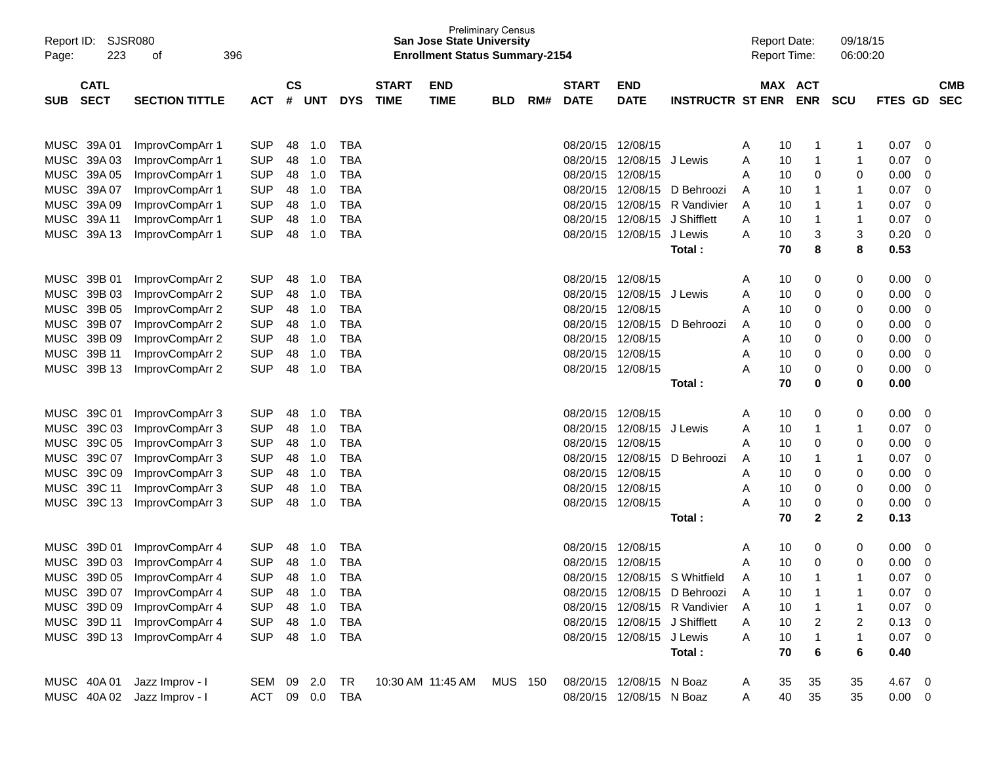| Report ID:<br>223<br>Page: | SJSR080<br>396<br>οf               |                          |                          |            |                          |              | <b>San Jose State University</b><br><b>Enrollment Status Summary-2154</b> | <b>Preliminary Census</b> |     |                      |                               |                               | <b>Report Date:</b><br><b>Report Time:</b> |              | 09/18/15<br>06:00:20 |              |             |            |
|----------------------------|------------------------------------|--------------------------|--------------------------|------------|--------------------------|--------------|---------------------------------------------------------------------------|---------------------------|-----|----------------------|-------------------------------|-------------------------------|--------------------------------------------|--------------|----------------------|--------------|-------------|------------|
| <b>CATL</b>                |                                    |                          | $\mathsf{CS}\phantom{0}$ |            |                          | <b>START</b> | <b>END</b>                                                                |                           |     | <b>START</b>         | <b>END</b>                    |                               |                                            | MAX ACT      |                      |              |             | <b>CMB</b> |
| <b>SECT</b><br><b>SUB</b>  | <b>SECTION TITTLE</b>              | <b>ACT</b>               | #                        | <b>UNT</b> | <b>DYS</b>               | <b>TIME</b>  | <b>TIME</b>                                                               | <b>BLD</b>                | RM# | <b>DATE</b>          | <b>DATE</b>                   | <b>INSTRUCTR ST ENR</b>       |                                            | <b>ENR</b>   | <b>SCU</b>           | FTES GD      |             | <b>SEC</b> |
|                            |                                    |                          |                          |            |                          |              |                                                                           |                           |     |                      |                               |                               |                                            |              |                      |              |             |            |
| MUSC 39A 01                | ImprovCompArr 1                    | <b>SUP</b>               | 48                       | 1.0        | <b>TBA</b>               |              |                                                                           |                           |     | 08/20/15             | 12/08/15                      |                               | 10<br>A                                    | 1            | 1                    | 0.07         | 0           |            |
| MUSC 39A 03<br>MUSC 39A 05 | ImprovCompArr 1                    | <b>SUP</b><br><b>SUP</b> | 48                       | 1.0<br>1.0 | <b>TBA</b><br><b>TBA</b> |              |                                                                           |                           |     | 08/20/15<br>08/20/15 | 12/08/15<br>12/08/15          | J Lewis                       | Α<br>10<br>10<br>Α                         | 1<br>0       | 1<br>0               | 0.07<br>0.00 | 0<br>0      |            |
| MUSC 39A 07                | ImprovCompArr 1<br>ImprovCompArr 1 | <b>SUP</b>               | 48<br>48                 | 1.0        | <b>TBA</b>               |              |                                                                           |                           |     | 08/20/15             | 12/08/15                      | D Behroozi                    | 10<br>A                                    | 1            | 1                    | 0.07         | 0           |            |
| MUSC 39A 09                | ImprovCompArr 1                    | <b>SUP</b>               | 48                       | 1.0        | <b>TBA</b>               |              |                                                                           |                           |     | 08/20/15             | 12/08/15                      | R Vandivier                   | 10<br>A                                    | 1            | 1                    | 0.07         | 0           |            |
| MUSC 39A 11                | ImprovCompArr 1                    | <b>SUP</b>               | 48                       | 1.0        | <b>TBA</b>               |              |                                                                           |                           |     | 08/20/15             | 12/08/15                      | J Shifflett                   | 10<br>A                                    | 1            | 1                    | 0.07         | $\mathbf 0$ |            |
| MUSC 39A 13                | ImprovCompArr 1                    | <b>SUP</b>               | 48                       | 1.0        | <b>TBA</b>               |              |                                                                           |                           |     | 08/20/15             | 12/08/15                      | J Lewis                       | Α<br>10                                    | 3            | 3                    | 0.20         | 0           |            |
|                            |                                    |                          |                          |            |                          |              |                                                                           |                           |     |                      |                               | Total:                        | 70                                         | 8            | 8                    | 0.53         |             |            |
|                            |                                    |                          |                          |            |                          |              |                                                                           |                           |     |                      |                               |                               |                                            |              |                      |              |             |            |
| MUSC 39B 01                | ImprovCompArr 2                    | <b>SUP</b>               | 48                       | 1.0        | TBA                      |              |                                                                           |                           |     | 08/20/15             | 12/08/15                      |                               | 10<br>A                                    | 0            | 0                    | 0.00         | 0           |            |
| MUSC 39B 03                | ImprovCompArr 2                    | <b>SUP</b>               | 48                       | 1.0        | <b>TBA</b>               |              |                                                                           |                           |     | 08/20/15             | 12/08/15                      | J Lewis                       | Α<br>10                                    | 0            | 0                    | 0.00         | 0           |            |
| MUSC 39B 05                | ImprovCompArr 2                    | <b>SUP</b>               | 48                       | 1.0        | <b>TBA</b>               |              |                                                                           |                           |     | 08/20/15             | 12/08/15                      |                               | 10<br>Α                                    | 0            | 0                    | 0.00         | 0           |            |
| MUSC 39B 07                | ImprovCompArr 2                    | <b>SUP</b>               | 48                       | 1.0        | <b>TBA</b>               |              |                                                                           |                           |     | 08/20/15             | 12/08/15                      | D Behroozi                    | 10<br>A                                    | 0            | 0                    | 0.00         | 0           |            |
| MUSC 39B 09                | ImprovCompArr 2                    | <b>SUP</b>               | 48                       | 1.0        | <b>TBA</b>               |              |                                                                           |                           |     | 08/20/15             | 12/08/15                      |                               | 10<br>Α                                    | 0            | 0                    | 0.00         | 0           |            |
| MUSC 39B 11                | ImprovCompArr 2                    | <b>SUP</b>               | 48                       | 1.0        | <b>TBA</b>               |              |                                                                           |                           |     | 08/20/15             | 12/08/15                      |                               | 10<br>Α                                    | 0            | 0                    | 0.00         | 0           |            |
| MUSC 39B 13                | ImprovCompArr 2                    | <b>SUP</b>               | 48                       | 1.0        | <b>TBA</b>               |              |                                                                           |                           |     |                      | 08/20/15 12/08/15             |                               | А<br>10                                    | 0            | 0                    | 0.00         | 0           |            |
|                            |                                    |                          |                          |            |                          |              |                                                                           |                           |     |                      |                               | Total:                        | 70                                         | 0            | 0                    | 0.00         |             |            |
| MUSC 39C 01                | ImprovCompArr 3                    | <b>SUP</b>               | 48                       | 1.0        | TBA                      |              |                                                                           |                           |     | 08/20/15             | 12/08/15                      |                               | 10<br>A                                    | 0            | 0                    | 0.00         | 0           |            |
| MUSC 39C 03                | ImprovCompArr 3                    | <b>SUP</b>               | 48                       | 1.0        | <b>TBA</b>               |              |                                                                           |                           |     | 08/20/15             | 12/08/15                      | J Lewis                       | 10<br>A                                    | 1            | 1                    | 0.07         | 0           |            |
| MUSC 39C 05                | ImprovCompArr 3                    | <b>SUP</b>               | 48                       | 1.0        | <b>TBA</b>               |              |                                                                           |                           |     | 08/20/15             | 12/08/15                      |                               | 10<br>Α                                    | 0            | 0                    | 0.00         | 0           |            |
| MUSC 39C 07                | ImprovCompArr 3                    | <b>SUP</b>               | 48                       | 1.0        | <b>TBA</b>               |              |                                                                           |                           |     | 08/20/15             | 12/08/15                      | D Behroozi                    | 10<br>A                                    | 1            | 1                    | 0.07         | $\mathbf 0$ |            |
| MUSC 39C 09                | ImprovCompArr 3                    | <b>SUP</b>               | 48                       | 1.0        | <b>TBA</b>               |              |                                                                           |                           |     | 08/20/15             | 12/08/15                      |                               | 10<br>Α                                    | 0            | 0                    | 0.00         | 0           |            |
| MUSC 39C 11                | ImprovCompArr 3                    | <b>SUP</b>               | 48                       | 1.0        | <b>TBA</b>               |              |                                                                           |                           |     | 08/20/15             | 12/08/15                      |                               | 10<br>A                                    | 0            | 0                    | 0.00         | 0           |            |
| MUSC 39C 13                | ImprovCompArr 3                    | <b>SUP</b>               | 48                       | 1.0        | <b>TBA</b>               |              |                                                                           |                           |     |                      | 08/20/15 12/08/15             |                               | Α<br>10                                    | 0            | 0                    | 0.00         | 0           |            |
|                            |                                    |                          |                          |            |                          |              |                                                                           |                           |     |                      |                               | Total:                        | 70                                         | $\mathbf{2}$ | $\mathbf{2}$         | 0.13         |             |            |
| MUSC 39D 01                | ImprovCompArr 4                    | <b>SUP</b>               | 48                       | 1.0        | TBA                      |              |                                                                           |                           |     | 08/20/15             | 12/08/15                      |                               | 10<br>A                                    | 0            | 0                    | 0.00         | 0           |            |
| MUSC 39D 03                | ImprovCompArr 4                    | <b>SUP</b>               | 48                       | 1.0        | <b>TBA</b>               |              |                                                                           |                           |     | 08/20/15             | 12/08/15                      |                               | 10<br>A                                    | 0            | 0                    | 0.00         | 0           |            |
| MUSC 39D 05                | ImprovCompArr 4                    | <b>SUP</b>               | 48                       | 1.0        | <b>TBA</b>               |              |                                                                           |                           |     | 08/20/15             | 12/08/15                      | S Whitfield                   | 10<br>A                                    | 1            | 1                    | 0.07         | $\Omega$    |            |
|                            | MUSC 39D 07 ImprovCompArr 4        | <b>SUP</b>               | 48                       | 1.0        | <b>TBA</b>               |              |                                                                           |                           |     |                      |                               | 08/20/15 12/08/15 D Behroozi  | 10                                         |              |                      | 0.07         | $\mathbf 0$ |            |
| MUSC 39D 09                | ImprovCompArr 4                    | <b>SUP</b>               | 48                       | 1.0        | <b>TBA</b>               |              |                                                                           |                           |     |                      |                               | 08/20/15 12/08/15 R Vandivier | 10<br>A                                    | $\mathbf{1}$ |                      | 0.07         | 0           |            |
| MUSC 39D 11                | ImprovCompArr 4                    | <b>SUP</b>               | 48                       | 1.0        | <b>TBA</b>               |              |                                                                           |                           |     |                      | 08/20/15 12/08/15 J Shifflett |                               | 10<br>A                                    | 2            | 2                    | 0.13         | 0           |            |
|                            | MUSC 39D 13 ImprovCompArr 4        | <b>SUP</b>               | 48                       | 1.0        | <b>TBA</b>               |              |                                                                           |                           |     |                      | 08/20/15 12/08/15 J Lewis     |                               | Α<br>10                                    | $\mathbf{1}$ | 1                    | 0.07         | 0           |            |
|                            |                                    |                          |                          |            |                          |              |                                                                           |                           |     |                      |                               | Total:                        | 70                                         | 6            | 6                    | 0.40         |             |            |
| MUSC 40A 01                | Jazz Improv - I                    | SEM                      | 09                       | 2.0        | TR                       |              | 10:30 AM 11:45 AM                                                         | <b>MUS 150</b>            |     |                      | 08/20/15 12/08/15 N Boaz      |                               | 35<br>A                                    | 35           | 35                   | 4.67         | - 0         |            |
| MUSC 40A 02                | Jazz Improv - I                    | ACT                      |                          | 09 0.0     | <b>TBA</b>               |              |                                                                           |                           |     |                      | 08/20/15 12/08/15 N Boaz      |                               | 40<br>A                                    | 35           | 35                   | $0.00 \t 0$  |             |            |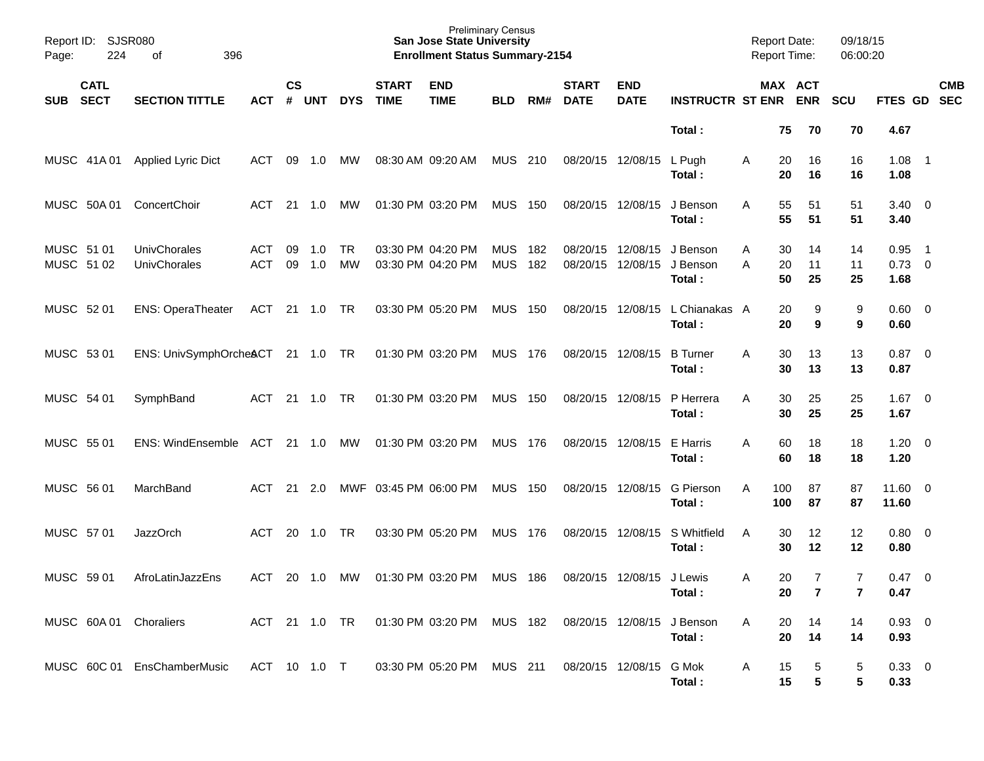| Page:                    | Report ID: SJSR080<br>224  | 396<br>of                           |               |                    |            |                 |                             | <b>Preliminary Census</b><br><b>San Jose State University</b><br><b>Enrollment Status Summary-2154</b> |                          |            |                             |                               |                                | <b>Report Date:</b><br><b>Report Time:</b> |                |                                  | 09/18/15<br>06:00:20             |                                |                          |            |
|--------------------------|----------------------------|-------------------------------------|---------------|--------------------|------------|-----------------|-----------------------------|--------------------------------------------------------------------------------------------------------|--------------------------|------------|-----------------------------|-------------------------------|--------------------------------|--------------------------------------------|----------------|----------------------------------|----------------------------------|--------------------------------|--------------------------|------------|
| <b>SUB</b>               | <b>CATL</b><br><b>SECT</b> | <b>SECTION TITTLE</b>               | <b>ACT</b>    | $\mathsf{cs}$<br># | UNT        | <b>DYS</b>      | <b>START</b><br><b>TIME</b> | <b>END</b><br><b>TIME</b>                                                                              | <b>BLD</b>               | RM#        | <b>START</b><br><b>DATE</b> | <b>END</b><br><b>DATE</b>     | <b>INSTRUCTR ST ENR</b>        |                                            |                | MAX ACT<br><b>ENR</b>            | SCU                              | FTES GD SEC                    |                          | <b>CMB</b> |
|                          |                            |                                     |               |                    |            |                 |                             |                                                                                                        |                          |            |                             |                               | Total:                         |                                            | 75             | 70                               | 70                               | 4.67                           |                          |            |
|                          | MUSC 41A 01                | <b>Applied Lyric Dict</b>           | ACT           | 09                 | 1.0        | МW              |                             | 08:30 AM 09:20 AM                                                                                      | <b>MUS 210</b>           |            |                             | 08/20/15 12/08/15             | L Pugh<br>Total:               | A                                          | 20<br>20       | 16<br>16                         | 16<br>16                         | 1.08<br>1.08                   | $\overline{\phantom{1}}$ |            |
|                          | MUSC 50A 01                | ConcertChoir                        | ACT           |                    | 21 1.0     | МW              |                             | 01:30 PM 03:20 PM                                                                                      | <b>MUS 150</b>           |            | 08/20/15 12/08/15           |                               | J Benson<br>Total:             | A                                          | 55<br>55       | 51<br>51                         | 51<br>51                         | $3.40 \ 0$<br>3.40             |                          |            |
| MUSC 51 01<br>MUSC 51 02 |                            | <b>UnivChorales</b><br>UnivChorales | ACT<br>ACT    | 09<br>09           | 1.0<br>1.0 | <b>TR</b><br>MW |                             | 03:30 PM 04:20 PM<br>03:30 PM 04:20 PM                                                                 | <b>MUS</b><br><b>MUS</b> | 182<br>182 | 08/20/15                    | 08/20/15 12/08/15<br>12/08/15 | J Benson<br>J Benson<br>Total: | Α<br>A                                     | 30<br>20<br>50 | 14<br>11<br>25                   | 14<br>11<br>25                   | 0.95<br>$0.73 \quad 0$<br>1.68 | $\overline{\phantom{0}}$ |            |
| MUSC 52 01               |                            | <b>ENS: OperaTheater</b>            | ACT 21 1.0 TR |                    |            |                 |                             | 03:30 PM 05:20 PM                                                                                      | <b>MUS 150</b>           |            | 08/20/15 12/08/15           |                               | L Chianakas A<br>Total:        |                                            | 20<br>20       | 9<br>9                           | 9<br>9                           | $0.60 \quad 0$<br>0.60         |                          |            |
| MUSC 53 01               |                            | ENS: UnivSymphOrcheACT 21 1.0 TR    |               |                    |            |                 |                             | 01:30 PM 03:20 PM                                                                                      | MUS 176                  |            | 08/20/15 12/08/15           |                               | <b>B</b> Turner<br>Total:      | A                                          | 30<br>30       | 13<br>13                         | 13<br>13                         | $0.87$ 0<br>0.87               |                          |            |
| MUSC 54 01               |                            | SymphBand                           | ACT           |                    | 21 1.0     | TR              |                             | 01:30 PM 03:20 PM                                                                                      | <b>MUS 150</b>           |            | 08/20/15 12/08/15           |                               | P Herrera<br>Total:            | A                                          | 30<br>30       | 25<br>25                         | 25<br>25                         | $1.67$ 0<br>1.67               |                          |            |
| MUSC 55 01               |                            | ENS: WindEnsemble ACT               |               |                    | 21 1.0     | MW              |                             | 01:30 PM 03:20 PM                                                                                      | MUS 176                  |            | 08/20/15 12/08/15           |                               | E Harris<br>Total:             | A                                          | 60<br>60       | 18<br>18                         | 18<br>18                         | $1.20 \t 0$<br>1.20            |                          |            |
| MUSC 56 01               |                            | MarchBand                           | ACT           | 21                 | 2.0        |                 |                             | MWF 03:45 PM 06:00 PM                                                                                  | MUS                      | 150        | 08/20/15 12/08/15           |                               | <b>G</b> Pierson<br>Total:     | A                                          | 100<br>100     | 87<br>87                         | 87<br>87                         | 11.60 0<br>11.60               |                          |            |
| MUSC 57 01               |                            | <b>JazzOrch</b>                     | <b>ACT</b>    | 20                 | 1.0        | <b>TR</b>       |                             | 03:30 PM 05:20 PM                                                                                      | MUS                      | 176        | 08/20/15 12/08/15           |                               | S Whitfield<br>Total:          | A                                          | 30<br>30       | 12<br>12                         | 12<br>12                         | $0.80 \ 0$<br>0.80             |                          |            |
| MUSC 59 01               |                            | AfroLatinJazzEns                    | ACT           |                    | 20 1.0 MW  |                 |                             | 01:30 PM 03:20 PM                                                                                      | MUS 186                  |            |                             | 08/20/15 12/08/15 J Lewis     | Total:                         | Α                                          | 20<br>20       | $\overline{7}$<br>$\overline{7}$ | $\overline{7}$<br>$\overline{7}$ | $0.47 \quad 0$<br>0.47         |                          |            |
|                          |                            | MUSC 60A 01 Choraliers              |               |                    |            |                 |                             | ACT 21 1.0 TR  01:30 PM  03:20 PM  MUS  182                                                            |                          |            | 08/20/15 12/08/15           |                               | J Benson<br>Total:             | A                                          | 20<br>20       | 14<br>14                         | 14<br>14                         | $0.93$ 0<br>0.93               |                          |            |
|                          |                            | MUSC 60C 01 EnsChamberMusic         |               |                    |            |                 |                             | ACT 10 1.0 T 03:30 PM 05:20 PM MUS 211                                                                 |                          |            | 08/20/15 12/08/15           |                               | G Mok<br>Total:                | A                                          | 15<br>15       | 5<br>5                           | 5<br>5                           | 0.33 0<br>0.33                 |                          |            |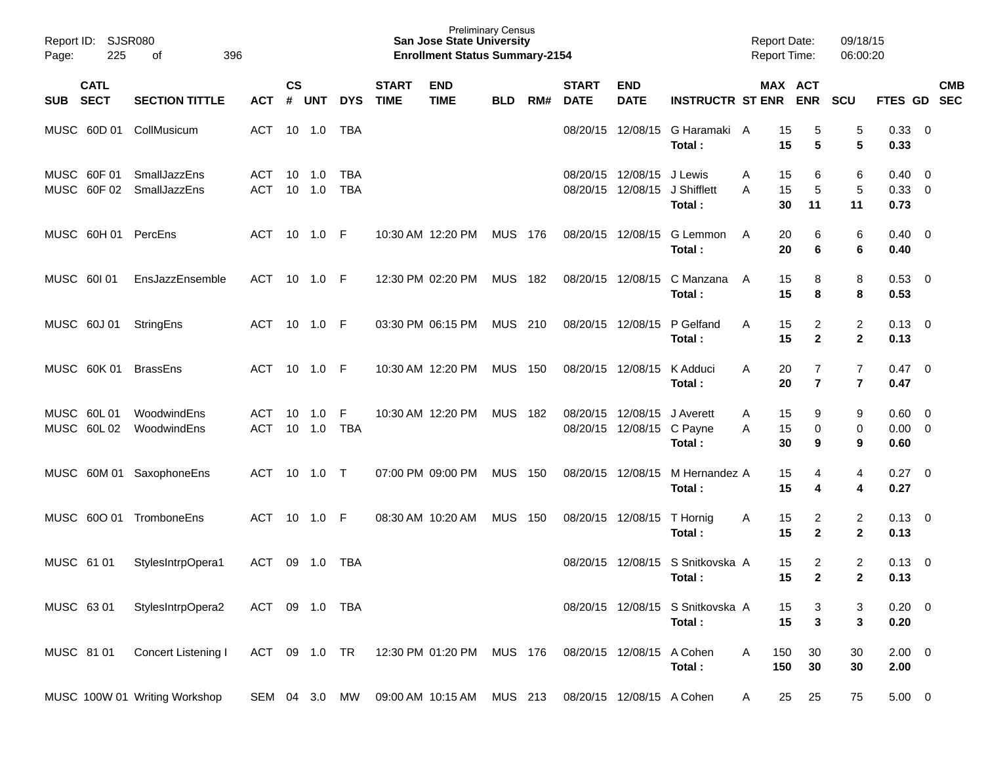| Page:      | Report ID: SJSR080<br>225  | 396<br>of                     |                   |                |            |                          |                             | <b>Preliminary Census</b><br><b>San Jose State University</b><br><b>Enrollment Status Summary-2154</b> |                |       |                             |                                                            |                                            | <b>Report Date:</b><br><b>Report Time:</b> |                                  | 09/18/15<br>06:00:20                      |                             |                                           |            |
|------------|----------------------------|-------------------------------|-------------------|----------------|------------|--------------------------|-----------------------------|--------------------------------------------------------------------------------------------------------|----------------|-------|-----------------------------|------------------------------------------------------------|--------------------------------------------|--------------------------------------------|----------------------------------|-------------------------------------------|-----------------------------|-------------------------------------------|------------|
| SUB SECT   | <b>CATL</b>                | <b>SECTION TITTLE</b>         | <b>ACT</b>        | <b>CS</b><br># | UNT        | <b>DYS</b>               | <b>START</b><br><b>TIME</b> | <b>END</b><br><b>TIME</b>                                                                              | <b>BLD</b>     | RM#   | <b>START</b><br><b>DATE</b> | <b>END</b><br><b>DATE</b>                                  | <b>INSTRUCTR ST ENR ENR</b>                |                                            | MAX ACT                          | <b>SCU</b>                                | FTES GD SEC                 |                                           | <b>CMB</b> |
|            | MUSC 60D 01                | CollMusicum                   | <b>ACT</b>        |                | 10  1.0    | <b>TBA</b>               |                             |                                                                                                        |                |       | 08/20/15                    | 12/08/15                                                   | G Haramaki A<br>Total:                     | 15<br>15                                   | 5<br>5                           | 5<br>5                                    | 0.33<br>0.33                | - 0                                       |            |
|            | MUSC 60F 01<br>MUSC 60F 02 | SmallJazzEns<br>SmallJazzEns  | ACT<br><b>ACT</b> | 10<br>10       | 1.0<br>1.0 | <b>TBA</b><br><b>TBA</b> |                             |                                                                                                        |                |       |                             | 08/20/15 12/08/15 J Lewis<br>08/20/15 12/08/15 J Shifflett | Total:                                     | 15<br>A<br>15<br>Α<br>30                   | 6<br>5<br>11                     | 6<br>5<br>11                              | 0.40<br>0.33<br>0.73        | $\overline{0}$<br>$\overline{\mathbf{0}}$ |            |
|            |                            | MUSC 60H 01 PercEns           | ACT               |                | 10 1.0 F   |                          |                             | 10:30 AM 12:20 PM                                                                                      | MUS 176        |       |                             | 08/20/15 12/08/15                                          | G Lemmon<br>Total:                         | 20<br>A<br>20                              | 6<br>6                           | 6<br>6                                    | 0.40<br>0.40                | $\overline{\mathbf{0}}$                   |            |
|            | MUSC 60101                 | EnsJazzEnsemble               | ACT               |                | 10 1.0 F   |                          |                             | 12:30 PM 02:20 PM                                                                                      | MUS 182        |       |                             | 08/20/15 12/08/15                                          | C Manzana<br>Total:                        | 15<br>A<br>15                              | 8<br>8                           | 8<br>8                                    | 0.53<br>0.53                | $\overline{\mathbf{0}}$                   |            |
|            | MUSC 60J 01                | StringEns                     | ACT               |                | 10 1.0 F   |                          |                             | 03:30 PM 06:15 PM                                                                                      | MUS 210        |       |                             | 08/20/15 12/08/15                                          | P Gelfand<br>Total:                        | A<br>15<br>15                              | $\overline{2}$<br>$\mathbf{2}$   | $\overline{c}$<br>$\mathbf 2$             | 0.13<br>0.13                | $\overline{\mathbf{0}}$                   |            |
|            | MUSC 60K 01                | <b>BrassEns</b>               | <b>ACT</b>        |                | 10 1.0 F   |                          |                             | 10:30 AM 12:20 PM                                                                                      | <b>MUS 150</b> |       |                             | 08/20/15 12/08/15                                          | K Adduci<br>Total:                         | A<br>20<br>20                              | $\overline{7}$<br>$\overline{7}$ | $\overline{7}$<br>$\overline{\mathbf{r}}$ | 0.47<br>0.47                | $\overline{\mathbf{0}}$                   |            |
|            | MUSC 60L01<br>MUSC 60L02   | WoodwindEns<br>WoodwindEns    | ACT<br><b>ACT</b> | 10<br>10       | 1.0<br>1.0 | -F<br><b>TBA</b>         |                             | 10:30 AM 12:20 PM                                                                                      | MUS            | - 182 |                             | 08/20/15 12/08/15<br>08/20/15 12/08/15 C Payne             | J Averett<br>Total:                        | 15<br>Α<br>15<br>A<br>30                   | 9<br>0<br>9                      | 9<br>0<br>9                               | 0.60<br>$0.00 \t 0$<br>0.60 | $\overline{0}$                            |            |
|            |                            | MUSC 60M 01 SaxophoneEns      | ACT               | 10             | 1.0 T      |                          |                             | 07:00 PM 09:00 PM                                                                                      | MUS            | 150   |                             | 08/20/15 12/08/15                                          | M Hernandez A<br>Total:                    | 15<br>15                                   | 4<br>4                           | 4<br>4                                    | 0.27<br>0.27                | $\overline{0}$                            |            |
|            | MUSC 60O 01                | TromboneEns                   | <b>ACT</b>        |                | 10 1.0     | - F                      |                             | 08:30 AM 10:20 AM                                                                                      | MUS            | 150   |                             | 08/20/15 12/08/15                                          | T Hornig<br>Total:                         | 15<br>A<br>15                              | $\overline{2}$<br>$\mathbf{2}$   | $\overline{c}$<br>$\mathbf{2}$            | 0.13<br>0.13                | $\overline{\mathbf{0}}$                   |            |
| MUSC 61 01 |                            | StylesIntrpOpera1             | ACT               | 09             | 1.0        | TBA                      |                             |                                                                                                        |                |       | 08/20/15                    | 12/08/15                                                   | S Snitkovska A<br>Total:                   | 15<br>15                                   | $\overline{2}$<br>$\mathbf{2}$   | 2<br>$\mathbf{2}$                         | 0.13<br>0.13                | $\overline{\mathbf{0}}$                   |            |
| MUSC 63 01 |                            | StylesIntrpOpera2             | ACT 09 1.0 TBA    |                |            |                          |                             |                                                                                                        |                |       |                             |                                                            | 08/20/15 12/08/15 S Snitkovska A<br>Total: | 15<br>15                                   | 3<br>3                           | 3<br>3                                    | $0.20 \ 0$<br>0.20          |                                           |            |
| MUSC 81 01 |                            | Concert Listening I           | ACT 09 1.0 TR     |                |            |                          |                             | 12:30 PM 01:20 PM MUS 176                                                                              |                |       |                             | 08/20/15 12/08/15 A Cohen                                  | Total:                                     | 150<br>Α<br>150                            | 30<br>30                         | 30<br>30                                  | $2.00 \t 0$<br>2.00         |                                           |            |
|            |                            | MUSC 100W 01 Writing Workshop | SEM 04 3.0 MW     |                |            |                          |                             | 09:00 AM 10:15 AM MUS 213                                                                              |                |       |                             | 08/20/15 12/08/15 A Cohen                                  |                                            | 25<br>A                                    | 25                               | 75                                        | $5.00 \t 0$                 |                                           |            |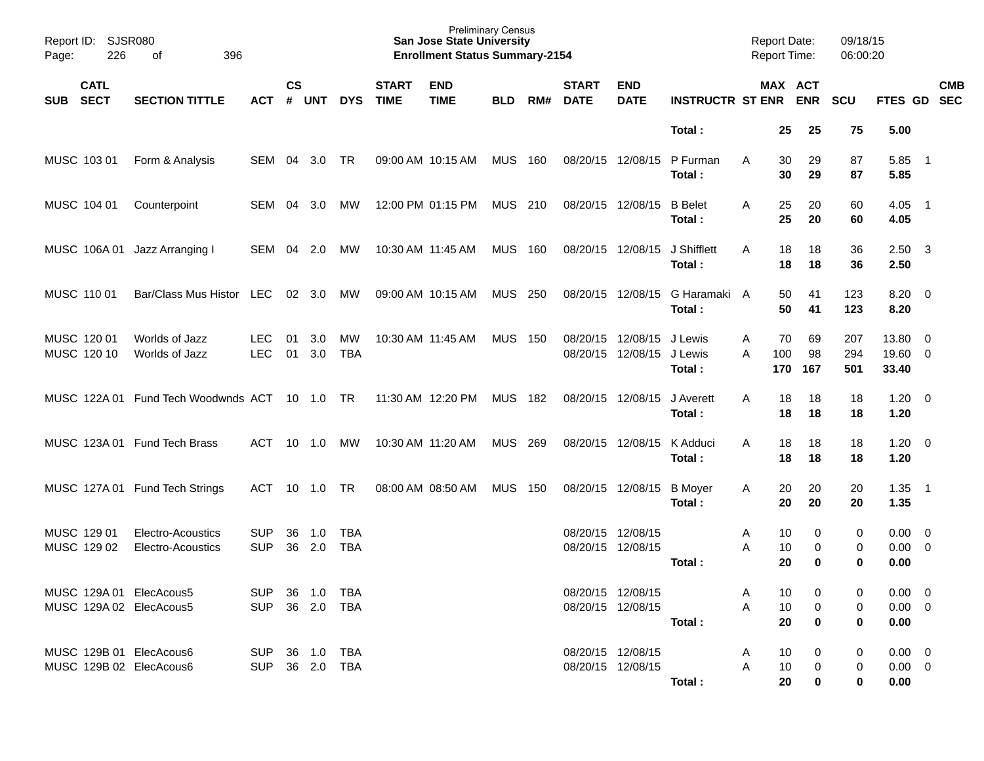| Report ID: SJSR080<br>Page:       | 226 | 396<br>of                                          |                                  |                    |                |                          |                             | <b>San Jose State University</b><br><b>Enrollment Status Summary-2154</b> | <b>Preliminary Census</b> |       |                             |                                        |                              |        |                  | <b>Report Date:</b><br><b>Report Time:</b> | 09/18/15<br>06:00:20 |                                    |                          |            |
|-----------------------------------|-----|----------------------------------------------------|----------------------------------|--------------------|----------------|--------------------------|-----------------------------|---------------------------------------------------------------------------|---------------------------|-------|-----------------------------|----------------------------------------|------------------------------|--------|------------------|--------------------------------------------|----------------------|------------------------------------|--------------------------|------------|
| <b>CATL</b><br><b>SECT</b><br>SUB |     | <b>SECTION TITTLE</b>                              | <b>ACT</b>                       | $\mathsf{cs}$<br># | <b>UNT</b>     | <b>DYS</b>               | <b>START</b><br><b>TIME</b> | <b>END</b><br><b>TIME</b>                                                 | <b>BLD</b>                | RM#   | <b>START</b><br><b>DATE</b> | <b>END</b><br><b>DATE</b>              | <b>INSTRUCTR ST ENR</b>      |        |                  | MAX ACT<br><b>ENR</b>                      | <b>SCU</b>           | FTES GD SEC                        |                          | <b>CMB</b> |
|                                   |     |                                                    |                                  |                    |                |                          |                             |                                                                           |                           |       |                             |                                        | Total:                       |        | 25               | 25                                         | 75                   | 5.00                               |                          |            |
| MUSC 103 01                       |     | Form & Analysis                                    | SEM                              | 04                 | 3.0            | <b>TR</b>                | 09:00 AM 10:15 AM           |                                                                           | <b>MUS</b>                | 160   |                             | 08/20/15 12/08/15                      | P Furman<br>Total:           | A      | 30<br>30         | 29<br>29                                   | 87<br>87             | 5.85<br>5.85                       | $\overline{\phantom{1}}$ |            |
| MUSC 104 01                       |     | Counterpoint                                       | SEM                              | 04                 | 3.0            | МW                       |                             | 12:00 PM 01:15 PM                                                         | MUS 210                   |       |                             | 08/20/15 12/08/15                      | <b>B</b> Belet<br>Total:     | A      | 25<br>25         | 20<br>20                                   | 60<br>60             | 4.05<br>4.05                       | $\overline{\phantom{1}}$ |            |
| MUSC 106A01                       |     | Jazz Arranging I                                   | SEM                              |                    | 04 2.0         | МW                       | 10:30 AM 11:45 AM           |                                                                           | <b>MUS</b>                | 160   |                             | 08/20/15 12/08/15                      | J Shifflett<br>Total:        | A      | 18<br>18         | 18<br>18                                   | 36<br>36             | $2.50\quad 3$<br>2.50              |                          |            |
| MUSC 110 01                       |     | Bar/Class Mus Histor LEC                           |                                  |                    | $02 \quad 3.0$ | MW                       | 09:00 AM 10:15 AM           |                                                                           | <b>MUS</b>                | 250   |                             | 08/20/15 12/08/15                      | G Haramaki A<br>Total:       |        | 50<br>50         | 41<br>41                                   | 123<br>123           | $8.20 \ 0$<br>8.20                 |                          |            |
| MUSC 120 01<br>MUSC 120 10        |     | Worlds of Jazz<br>Worlds of Jazz                   | <b>LEC</b><br><b>LEC</b>         | 01<br>01           | 3.0<br>3.0     | МW<br><b>TBA</b>         |                             | 10:30 AM 11:45 AM                                                         | <b>MUS</b>                | - 150 | 08/20/15<br>08/20/15        | 12/08/15<br>12/08/15                   | J Lewis<br>J Lewis<br>Total: | Α<br>A | 70<br>100<br>170 | 69<br>98<br>167                            | 207<br>294<br>501    | 13.80 0<br>19.60 0<br>33.40        |                          |            |
|                                   |     | MUSC 122A 01 Fund Tech Woodwnds ACT 10 1.0 TR      |                                  |                    |                |                          | 11:30 AM 12:20 PM           |                                                                           | <b>MUS</b>                | 182   |                             | 08/20/15 12/08/15                      | J Averett<br>Total:          | A      | 18<br>18         | 18<br>18                                   | 18<br>18             | $1.20 \t 0$<br>1.20                |                          |            |
|                                   |     | MUSC 123A 01 Fund Tech Brass                       | ACT                              |                    | 10 1.0         | МW                       | 10:30 AM 11:20 AM           |                                                                           | <b>MUS</b>                | 269   |                             | 08/20/15 12/08/15                      | K Adduci<br>Total:           | A      | 18<br>18         | 18<br>18                                   | 18<br>18             | $1.20 \t 0$<br>1.20                |                          |            |
|                                   |     | MUSC 127A 01 Fund Tech Strings                     | ACT                              |                    | 10 1.0         | <b>TR</b>                | 08:00 AM 08:50 AM           |                                                                           | <b>MUS</b>                | 150   |                             | 08/20/15 12/08/15                      | <b>B</b> Moyer<br>Total:     | A      | 20<br>20         | 20<br>20                                   | 20<br>20             | 1.35<br>1.35                       | $\overline{\phantom{0}}$ |            |
| MUSC 129 01<br>MUSC 129 02        |     | Electro-Acoustics<br>Electro-Acoustics             | <b>SUP</b><br><b>SUP</b>         | 36<br>36           | 1.0<br>2.0     | <b>TBA</b><br><b>TBA</b> |                             |                                                                           |                           |       |                             | 08/20/15 12/08/15<br>08/20/15 12/08/15 | Total:                       | Α<br>A | 10<br>10<br>20   | 0<br>0<br>$\bf{0}$                         | 0<br>0<br>0          | $0.00 \t 0$<br>$0.00 \ 0$<br>0.00  |                          |            |
|                                   |     | MUSC 129A 01 ElecAcous5<br>MUSC 129A 02 ElecAcous5 | SUP 36 1.0 TBA<br>SUP 36 2.0 TBA |                    |                |                          |                             |                                                                           |                           |       |                             | 08/20/15 12/08/15<br>08/20/15 12/08/15 | Total:                       | A<br>А | 10<br>10<br>20   | 0<br>0<br>0                                | 0<br>0<br>0          | $0.00 \t 0$<br>$0.00 \t 0$<br>0.00 |                          |            |
|                                   |     | MUSC 129B 01 ElecAcous6<br>MUSC 129B 02 ElecAcous6 | SUP 36 1.0 TBA<br>SUP 36 2.0 TBA |                    |                |                          |                             |                                                                           |                           |       |                             | 08/20/15 12/08/15<br>08/20/15 12/08/15 | Total:                       | A<br>A | 10<br>10<br>20   | 0<br>0<br>0                                | 0<br>0<br>0          | $0.00 \t 0$<br>$0.00 \t 0$<br>0.00 |                          |            |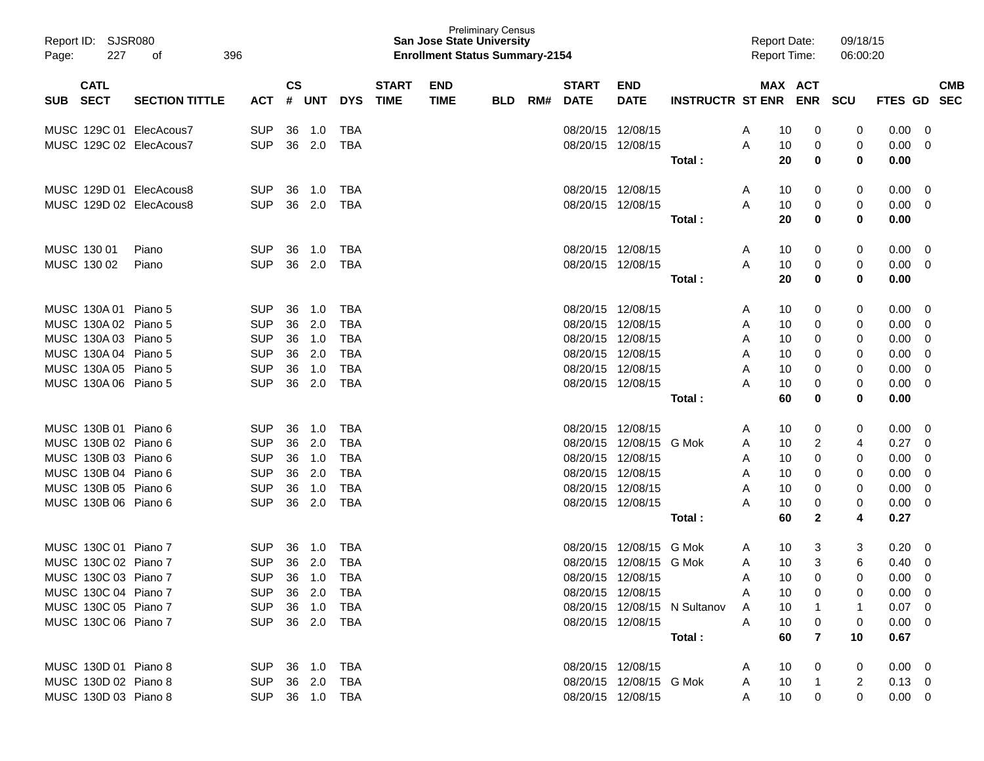| Page: | Report ID: SJSR080<br>227  | 396<br>οf               |                |                    |                |            |                             | San Jose State University<br><b>Enrollment Status Summary-2154</b> | <b>Preliminary Census</b> |     |                             |                           |                              | <b>Report Date:</b><br><b>Report Time:</b> |                    | 09/18/15<br>06:00:20 |                |                          |
|-------|----------------------------|-------------------------|----------------|--------------------|----------------|------------|-----------------------------|--------------------------------------------------------------------|---------------------------|-----|-----------------------------|---------------------------|------------------------------|--------------------------------------------|--------------------|----------------------|----------------|--------------------------|
| SUB   | <b>CATL</b><br><b>SECT</b> | <b>SECTION TITTLE</b>   | ACT            | $\mathsf{cs}$<br># | UNT            | <b>DYS</b> | <b>START</b><br><b>TIME</b> | <b>END</b><br><b>TIME</b>                                          | <b>BLD</b>                | RM# | <b>START</b><br><b>DATE</b> | <b>END</b><br><b>DATE</b> | INSTRUCTR ST ENR ENR SCU     |                                            | MAX ACT            |                      | <b>FTES GD</b> | <b>CMB</b><br><b>SEC</b> |
|       |                            | MUSC 129C 01 ElecAcous7 | <b>SUP</b>     | 36                 | 1.0            | TBA        |                             |                                                                    |                           |     |                             | 08/20/15 12/08/15         |                              | A                                          | 0<br>10            | 0                    | 0.00           | - 0                      |
|       |                            | MUSC 129C 02 ElecAcous7 | <b>SUP</b>     | 36                 | 2.0            | TBA        |                             |                                                                    |                           |     |                             | 08/20/15 12/08/15         |                              | A                                          | 0<br>10            | 0                    | 0.00           | - 0                      |
|       |                            |                         |                |                    |                |            |                             |                                                                    |                           |     |                             |                           | Total:                       |                                            | 20<br>0            | 0                    | 0.00           |                          |
|       |                            | MUSC 129D 01 ElecAcous8 | <b>SUP</b>     | 36                 | 1.0            | TBA        |                             |                                                                    |                           |     |                             | 08/20/15 12/08/15         |                              | A                                          | 0<br>10            | 0                    | $0.00 \quad 0$ |                          |
|       |                            | MUSC 129D 02 ElecAcous8 | <b>SUP</b>     | 36                 | 2.0            | TBA        |                             |                                                                    |                           |     |                             | 08/20/15 12/08/15         |                              | A                                          | 0<br>10            | 0                    | 0.00           | $\overline{\mathbf{0}}$  |
|       |                            |                         |                |                    |                |            |                             |                                                                    |                           |     |                             |                           | Total:                       |                                            | 20<br>0            | 0                    | 0.00           |                          |
|       | MUSC 130 01                | Piano                   | <b>SUP</b>     | 36                 | 1.0            | TBA        |                             |                                                                    |                           |     |                             | 08/20/15 12/08/15         |                              | A                                          | 0<br>10            | 0                    | 0.00           | $\overline{\mathbf{0}}$  |
|       | MUSC 130 02                | Piano                   | <b>SUP</b>     | 36                 | 2.0            | TBA        |                             |                                                                    |                           |     |                             | 08/20/15 12/08/15         |                              | A                                          | 0<br>10            | 0                    | 0.00           | $\overline{\mathbf{0}}$  |
|       |                            |                         |                |                    |                |            |                             |                                                                    |                           |     |                             |                           | Total:                       |                                            | 20<br>0            | 0                    | 0.00           |                          |
|       | MUSC 130A 01 Piano 5       |                         | <b>SUP</b>     | 36                 | 1.0            | TBA        |                             |                                                                    |                           |     |                             | 08/20/15 12/08/15         |                              | A                                          | 0<br>10            | 0                    | 0.00           | - 0                      |
|       | MUSC 130A 02 Piano 5       |                         | <b>SUP</b>     | 36                 | 2.0            | <b>TBA</b> |                             |                                                                    |                           |     |                             | 08/20/15 12/08/15         |                              | A                                          | 10<br>0            | 0                    | 0.00           | - 0                      |
|       | MUSC 130A 03 Piano 5       |                         | <b>SUP</b>     | 36                 | 1.0            | <b>TBA</b> |                             |                                                                    |                           |     |                             | 08/20/15 12/08/15         |                              | A                                          | 10<br>0            | 0                    | 0.00           | 0                        |
|       | MUSC 130A 04 Piano 5       |                         | <b>SUP</b>     | 36                 | 2.0            | <b>TBA</b> |                             |                                                                    |                           |     |                             | 08/20/15 12/08/15         |                              | A                                          | 10<br>0            | 0                    | 0.00           | 0                        |
|       | MUSC 130A 05 Piano 5       |                         | <b>SUP</b>     | 36                 | 1.0            | <b>TBA</b> |                             |                                                                    |                           |     |                             | 08/20/15 12/08/15         |                              | A                                          | 10<br>0            | 0                    | 0.00           | 0                        |
|       | MUSC 130A 06 Piano 5       |                         | <b>SUP</b>     | 36                 | 2.0            | <b>TBA</b> |                             |                                                                    |                           |     |                             | 08/20/15 12/08/15         |                              | A                                          | 10<br>0            | 0                    | 0.00           | 0                        |
|       |                            |                         |                |                    |                |            |                             |                                                                    |                           |     |                             |                           | Total:                       |                                            | 60<br>0            | 0                    | 0.00           |                          |
|       | MUSC 130B 01 Piano 6       |                         | <b>SUP</b>     | 36                 | 1.0            | TBA        |                             |                                                                    |                           |     |                             | 08/20/15 12/08/15         |                              | A                                          | 0<br>10            | 0                    | 0.00           | - 0                      |
|       | MUSC 130B 02 Piano 6       |                         | <b>SUP</b>     | 36                 | 2.0            | <b>TBA</b> |                             |                                                                    |                           |     |                             | 08/20/15 12/08/15         | G Mok                        | A                                          | 10<br>2            | 4                    | 0.27           | 0                        |
|       | MUSC 130B 03 Piano 6       |                         | <b>SUP</b>     | 36                 | 1.0            | <b>TBA</b> |                             |                                                                    |                           |     |                             | 08/20/15 12/08/15         |                              | A                                          | 0<br>10            | 0                    | 0.00           | 0                        |
|       | MUSC 130B 04 Piano 6       |                         | <b>SUP</b>     | 36                 | 2.0            | <b>TBA</b> |                             |                                                                    |                           |     |                             | 08/20/15 12/08/15         |                              | A                                          | 10<br>0            | 0                    | 0.00           | 0                        |
|       | MUSC 130B 05 Piano 6       |                         | <b>SUP</b>     | 36                 | 1.0            | <b>TBA</b> |                             |                                                                    |                           |     |                             | 08/20/15 12/08/15         |                              | A                                          | 10<br>0            | 0                    | 0.00           | 0                        |
|       | MUSC 130B 06 Piano 6       |                         | <b>SUP</b>     | 36                 | 2.0            | <b>TBA</b> |                             |                                                                    |                           |     |                             | 08/20/15 12/08/15         |                              | A                                          | 0<br>10            | 0                    | 0.00           | - 0                      |
|       |                            |                         |                |                    |                |            |                             |                                                                    |                           |     |                             |                           | Total:                       |                                            | $\mathbf{2}$<br>60 | 4                    | 0.27           |                          |
|       | MUSC 130C 01 Piano 7       |                         | <b>SUP</b>     | 36                 | 1.0            | TBA        |                             |                                                                    |                           |     |                             | 08/20/15 12/08/15 G Mok   |                              | A                                          | 10<br>3            | 3                    | 0.20           | - 0                      |
|       | MUSC 130C 02 Piano 7       |                         | <b>SUP</b>     | 36                 | 2.0            | <b>TBA</b> |                             |                                                                    |                           |     | 08/20/15                    | 12/08/15 G Mok            |                              | A                                          | 3<br>10            | 6                    | 0.40           | 0                        |
|       | MUSC 130C 03 Piano 7       |                         | <b>SUP</b>     | 36                 | 1.0            | <b>TBA</b> |                             |                                                                    |                           |     |                             | 08/20/15 12/08/15         |                              | A                                          | 10<br>0            | 0                    | 0.00           | 0                        |
|       | MUSC 130C 04 Piano 7       |                         | SUP 36 2.0 TBA |                    |                |            |                             |                                                                    |                           |     |                             | 08/20/15 12/08/15         |                              | A                                          | 10<br>0            |                      | $0.00 \quad 0$ |                          |
|       | MUSC 130C 05 Piano 7       |                         | SUP 36 1.0 TBA |                    |                |            |                             |                                                                    |                           |     |                             |                           | 08/20/15 12/08/15 N Sultanov | $\mathsf{A}$                               | 10                 |                      | $0.07 \quad 0$ |                          |
|       | MUSC 130C 06 Piano 7       |                         | SUP 36 2.0 TBA |                    |                |            |                             |                                                                    |                           |     |                             | 08/20/15 12/08/15         |                              | A                                          | 10<br>0            | 0                    | $0.00 \quad 0$ |                          |
|       |                            |                         |                |                    |                |            |                             |                                                                    |                           |     |                             |                           | Total:                       |                                            | 60<br>7            | 10                   | 0.67           |                          |
|       | MUSC 130D 01 Piano 8       |                         | SUP 36 1.0 TBA |                    |                |            |                             |                                                                    |                           |     |                             | 08/20/15 12/08/15         |                              | A                                          | 10<br>0            | $\mathbf{0}$         | $0.00 \quad 0$ |                          |
|       | MUSC 130D 02 Piano 8       |                         | SUP 36 2.0 TBA |                    |                |            |                             |                                                                    |                           |     |                             | 08/20/15 12/08/15 G Mok   |                              | A                                          | 10<br>1            | 2                    | $0.13 \quad 0$ |                          |
|       | MUSC 130D 03 Piano 8       |                         |                |                    | SUP 36 1.0 TBA |            |                             |                                                                    |                           |     |                             | 08/20/15 12/08/15         |                              | A                                          | 10<br>0            | $\Omega$             | $0.00 \t 0$    |                          |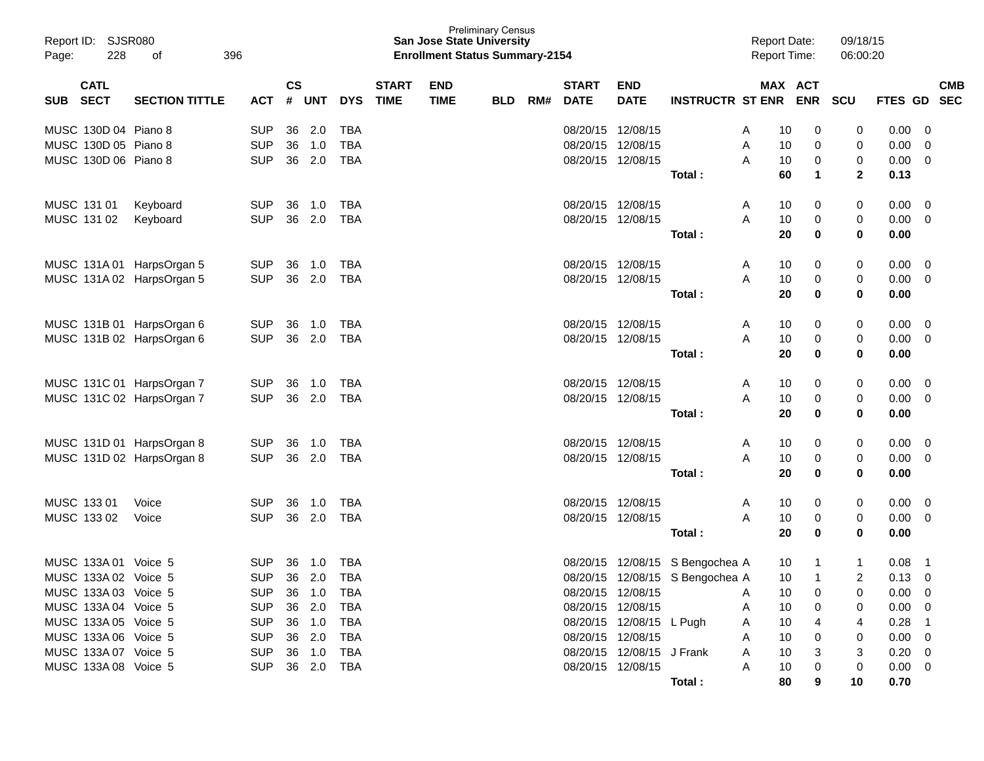| Report ID: SJSR080<br>228<br>396<br>Page:<br>οf |                            |                           |                          | <b>Preliminary Census</b><br><b>San Jose State University</b><br><b>Enrollment Status Summary-2154</b> |            |                          |                             |                           |            |     |                               |                           |                                 | <b>Report Date:</b><br>Report Time: |          |        | 09/18/15<br>06:00:20 |                |                          |
|-------------------------------------------------|----------------------------|---------------------------|--------------------------|--------------------------------------------------------------------------------------------------------|------------|--------------------------|-----------------------------|---------------------------|------------|-----|-------------------------------|---------------------------|---------------------------------|-------------------------------------|----------|--------|----------------------|----------------|--------------------------|
| <b>SUB</b>                                      | <b>CATL</b><br><b>SECT</b> | <b>SECTION TITTLE</b>     | ACT                      | $\mathsf{cs}$<br>$\#$                                                                                  | <b>UNT</b> | <b>DYS</b>               | <b>START</b><br><b>TIME</b> | <b>END</b><br><b>TIME</b> | <b>BLD</b> | RM# | <b>START</b><br><b>DATE</b>   | <b>END</b><br><b>DATE</b> | <b>INSTRUCTR ST ENR ENR</b>     |                                     | MAX ACT  |        | SCU                  | <b>FTES GD</b> | <b>CMB</b><br><b>SEC</b> |
|                                                 |                            |                           |                          |                                                                                                        |            |                          |                             |                           |            |     |                               |                           |                                 |                                     |          |        |                      |                |                          |
| MUSC 130D 04 Piano 8<br>MUSC 130D 05 Piano 8    |                            |                           | <b>SUP</b><br><b>SUP</b> | 36<br>36                                                                                               | 2.0<br>1.0 | <b>TBA</b><br><b>TBA</b> |                             |                           |            |     | 08/20/15 12/08/15<br>08/20/15 | 12/08/15                  |                                 | A<br>A                              | 10<br>10 | 0<br>0 | 0<br>0               | 0.00<br>0.00   | - 0<br>0                 |
| MUSC 130D 06 Piano 8                            |                            |                           | <b>SUP</b>               |                                                                                                        | 36 2.0     | <b>TBA</b>               |                             |                           |            |     |                               | 08/20/15 12/08/15         |                                 | A                                   | 10       | 0      | 0                    | 0.00           | $\mathbf{0}$             |
|                                                 |                            |                           |                          |                                                                                                        |            |                          |                             |                           |            |     |                               |                           | Total:                          |                                     | 60       | 1      | $\mathbf{2}$         | 0.13           |                          |
| MUSC 131 01                                     |                            | Keyboard                  | <b>SUP</b>               | 36                                                                                                     | 1.0        | TBA                      |                             |                           |            |     |                               | 08/20/15 12/08/15         |                                 | A                                   | 10       | 0      | 0                    | 0.00           | $\overline{0}$           |
| MUSC 131 02                                     |                            | Keyboard                  | <b>SUP</b>               |                                                                                                        | 36 2.0     | TBA                      |                             |                           |            |     | 08/20/15 12/08/15             |                           |                                 | A                                   | 10       | 0      | 0                    | 0.00           | $\overline{0}$           |
|                                                 |                            |                           |                          |                                                                                                        |            |                          |                             |                           |            |     |                               |                           | Total:                          |                                     | 20       | 0      | 0                    | 0.00           |                          |
|                                                 |                            | MUSC 131A 01 HarpsOrgan 5 | <b>SUP</b>               | 36                                                                                                     | 1.0        | TBA                      |                             |                           |            |     |                               | 08/20/15 12/08/15         |                                 | A                                   | 10       | 0      | 0                    | 0.00           | $\overline{0}$           |
|                                                 |                            | MUSC 131A 02 HarpsOrgan 5 | <b>SUP</b>               |                                                                                                        | 36 2.0     | TBA                      |                             |                           |            |     | 08/20/15 12/08/15             |                           |                                 | A                                   | 10       | 0      | 0                    | 0.00           | $\overline{0}$           |
|                                                 |                            |                           |                          |                                                                                                        |            |                          |                             |                           |            |     |                               |                           | Total:                          |                                     | 20       | 0      | 0                    | 0.00           |                          |
|                                                 |                            | MUSC 131B 01 HarpsOrgan 6 | <b>SUP</b>               | 36                                                                                                     | 1.0        | <b>TBA</b>               |                             |                           |            |     |                               | 08/20/15 12/08/15         |                                 | A                                   | 10       | 0      | 0                    | 0.00           | $\overline{0}$           |
|                                                 |                            | MUSC 131B 02 HarpsOrgan 6 | <b>SUP</b>               |                                                                                                        | 36 2.0     | TBA                      |                             |                           |            |     |                               | 08/20/15 12/08/15         |                                 | A                                   | 10       | 0      | 0                    | 0.00           | $\overline{0}$           |
|                                                 |                            |                           |                          |                                                                                                        |            |                          |                             |                           |            |     |                               |                           | Total:                          |                                     | 20       | 0      | 0                    | 0.00           |                          |
|                                                 |                            | MUSC 131C 01 HarpsOrgan 7 | <b>SUP</b>               | 36                                                                                                     | 1.0        | TBA                      |                             |                           |            |     |                               | 08/20/15 12/08/15         |                                 | A                                   | 10       | 0      | 0                    | 0.00           | $\overline{0}$           |
|                                                 |                            | MUSC 131C 02 HarpsOrgan 7 | <b>SUP</b>               |                                                                                                        | 36 2.0     | TBA                      |                             |                           |            |     | 08/20/15 12/08/15             |                           |                                 | A                                   | 10       | 0      | 0                    | 0.00           | $\overline{0}$           |
|                                                 |                            |                           |                          |                                                                                                        |            |                          |                             |                           |            |     |                               |                           | Total:                          |                                     | 20       | 0      | 0                    | 0.00           |                          |
|                                                 |                            | MUSC 131D 01 HarpsOrgan 8 | <b>SUP</b>               | 36                                                                                                     | 1.0        | <b>TBA</b>               |                             |                           |            |     |                               | 08/20/15 12/08/15         |                                 | A                                   | 10       | 0      | 0                    | 0.00           | $\overline{0}$           |
|                                                 |                            | MUSC 131D 02 HarpsOrgan 8 | <b>SUP</b>               |                                                                                                        | 36 2.0     | TBA                      |                             |                           |            |     | 08/20/15 12/08/15             |                           |                                 | A                                   | 10       | 0      | 0                    | 0.00           | $\overline{0}$           |
|                                                 |                            |                           |                          |                                                                                                        |            |                          |                             |                           |            |     |                               |                           | Total:                          |                                     | 20       | 0      | 0                    | 0.00           |                          |
| MUSC 133 01                                     |                            | Voice                     | <b>SUP</b>               | 36                                                                                                     | 1.0        | <b>TBA</b>               |                             |                           |            |     |                               | 08/20/15 12/08/15         |                                 | A                                   | 10       | 0      | 0                    | 0.00           | $\overline{0}$           |
| MUSC 133 02                                     |                            | Voice                     | <b>SUP</b>               |                                                                                                        | 36 2.0     | TBA                      |                             |                           |            |     | 08/20/15 12/08/15             |                           |                                 | A                                   | 10       | 0      | 0                    | 0.00           | $\overline{0}$           |
|                                                 |                            |                           |                          |                                                                                                        |            |                          |                             |                           |            |     |                               |                           | Total:                          |                                     | 20       | 0      | 0                    | 0.00           |                          |
| MUSC 133A 01 Voice 5                            |                            |                           | <b>SUP</b>               | 36                                                                                                     | 1.0        | <b>TBA</b>               |                             |                           |            |     |                               |                           | 08/20/15 12/08/15 S Bengochea A |                                     | 10       |        |                      | 0.08           | $\mathbf 1$              |
| MUSC 133A 02 Voice 5                            |                            |                           | <b>SUP</b>               |                                                                                                        | 36 2.0     | <b>TBA</b>               |                             |                           |            |     |                               |                           | 08/20/15 12/08/15 S Bengochea A |                                     | 10       | 1      | 2                    | 0.13           | $\overline{0}$           |
| MUSC 133A 03 Voice 5                            |                            |                           | <b>SUP</b>               |                                                                                                        | 36 1.0     | TBA                      |                             |                           |            |     |                               | 08/20/15 12/08/15         |                                 | A                                   | 10       | 0      |                      | $0.00 \t 0$    |                          |
| MUSC 133A 04 Voice 5                            |                            |                           | <b>SUP</b>               |                                                                                                        | 36 2.0     | <b>TBA</b>               |                             |                           |            |     |                               | 08/20/15 12/08/15         |                                 | A                                   | 10       | 0      |                      | 0.00           | $\overline{\phantom{0}}$ |
| MUSC 133A 05 Voice 5                            |                            |                           | <b>SUP</b>               |                                                                                                        | 36 1.0     | TBA                      |                             |                           |            |     |                               | 08/20/15 12/08/15 L Pugh  |                                 | A                                   | 10       | 4      | 4                    | 0.28           | $\overline{1}$           |
| MUSC 133A 06 Voice 5                            |                            |                           | <b>SUP</b>               |                                                                                                        | 36 2.0     | TBA                      |                             |                           |            |     |                               | 08/20/15 12/08/15         |                                 | A                                   | 10       | 0      |                      | 0.00           | - 0                      |
| MUSC 133A 07 Voice 5                            |                            |                           | <b>SUP</b>               |                                                                                                        | 36 1.0     | <b>TBA</b>               |                             |                           |            |     |                               | 08/20/15 12/08/15 J Frank |                                 | A                                   | 10       | 3      | 3                    | 0.20           | - 0                      |
| MUSC 133A 08 Voice 5                            |                            |                           | <b>SUP</b>               |                                                                                                        | 36 2.0 TBA |                          |                             |                           |            |     |                               | 08/20/15 12/08/15         |                                 | A                                   | 10       | 0      | 0                    | $0.00 \quad 0$ |                          |
|                                                 |                            |                           |                          |                                                                                                        |            |                          |                             |                           |            |     |                               |                           | Total:                          |                                     | 80       | 9      | 10                   | 0.70           |                          |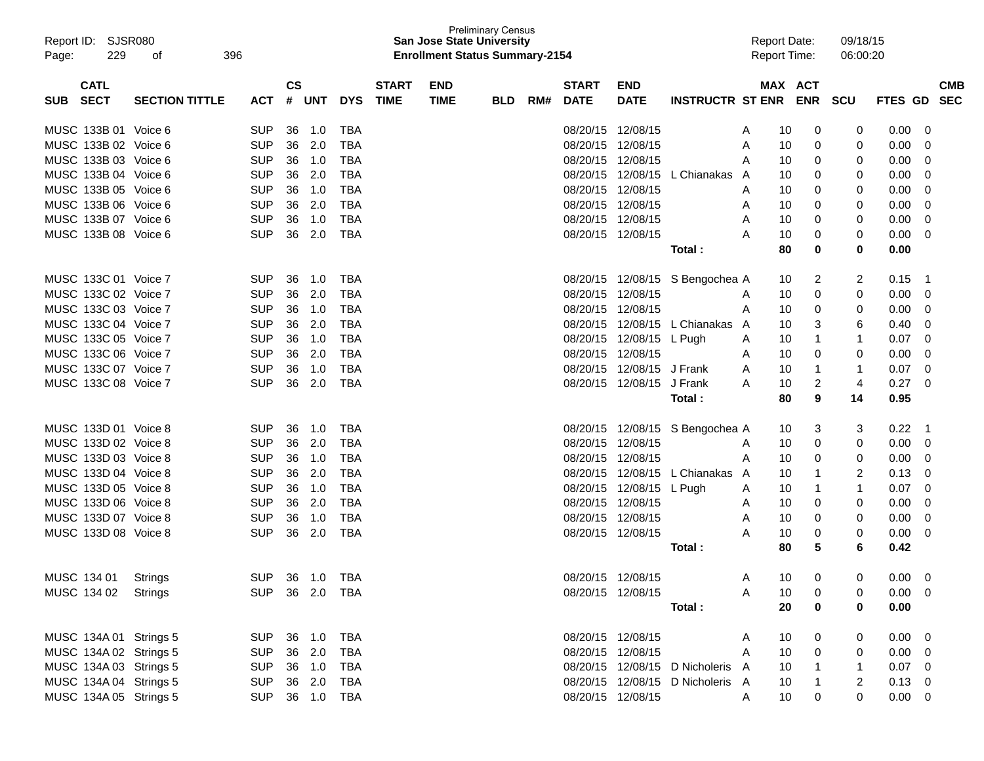| Report ID: SJSR080<br>229<br>Page:<br>οf                          | 396                                                |                                           | <b>Preliminary Census</b><br><b>San Jose State University</b><br><b>Enrollment Status Summary-2154</b> |     |                                        |                           |                                  | <b>Report Date:</b><br><b>Report Time:</b> |            | 09/18/15<br>06:00:20 |                |                          |
|-------------------------------------------------------------------|----------------------------------------------------|-------------------------------------------|--------------------------------------------------------------------------------------------------------|-----|----------------------------------------|---------------------------|----------------------------------|--------------------------------------------|------------|----------------------|----------------|--------------------------|
| <b>CATL</b><br><b>SECT</b><br><b>SECTION TITTLE</b><br><b>SUB</b> | $\mathsf{cs}$<br>#<br><b>UNT</b><br><b>ACT</b>     | <b>START</b><br><b>DYS</b><br><b>TIME</b> | <b>END</b><br><b>TIME</b><br><b>BLD</b>                                                                | RM# | <b>START</b><br><b>DATE</b>            | <b>END</b><br><b>DATE</b> | <b>INSTRUCTR ST ENR</b>          | MAX ACT                                    | <b>ENR</b> | <b>SCU</b>           | <b>FTES GD</b> | <b>CMB</b><br><b>SEC</b> |
|                                                                   |                                                    |                                           |                                                                                                        |     |                                        |                           |                                  |                                            |            |                      |                |                          |
| MUSC 133B 01 Voice 6                                              | <b>SUP</b><br>36<br>1.0                            | TBA                                       |                                                                                                        |     | 08/20/15 12/08/15                      |                           |                                  | A<br>10                                    | 0          | 0                    | 0.00           | 0                        |
| MUSC 133B 02 Voice 6<br>MUSC 133B 03 Voice 6                      | <b>SUP</b><br>2.0<br>36                            | <b>TBA</b>                                |                                                                                                        |     | 08/20/15 12/08/15<br>08/20/15 12/08/15 |                           |                                  | A<br>10                                    | 0          | 0                    | 0.00           | 0                        |
| MUSC 133B 04 Voice 6                                              | <b>SUP</b><br>36<br>1.0                            | <b>TBA</b>                                |                                                                                                        |     |                                        |                           |                                  | A<br>10                                    | 0          | 0                    | 0.00           | 0                        |
| MUSC 133B 05 Voice 6                                              | <b>SUP</b><br>36<br>2.0<br><b>SUP</b><br>36<br>1.0 | <b>TBA</b><br><b>TBA</b>                  |                                                                                                        |     | 08/20/15 12/08/15                      | 08/20/15 12/08/15         | L Chianakas                      | 10<br>A                                    | 0          | 0                    | 0.00<br>0.00   | 0                        |
| MUSC 133B 06 Voice 6                                              |                                                    |                                           |                                                                                                        |     |                                        |                           |                                  | 10<br>A                                    | 0          | 0                    |                | 0                        |
|                                                                   | <b>SUP</b><br>36<br>2.0                            | <b>TBA</b>                                |                                                                                                        |     | 08/20/15 12/08/15<br>08/20/15 12/08/15 |                           |                                  | A<br>10                                    | 0          | 0                    | 0.00           | 0                        |
| MUSC 133B 07 Voice 6<br>MUSC 133B 08 Voice 6                      | <b>SUP</b><br>36<br>1.0<br><b>SUP</b><br>2.0<br>36 | <b>TBA</b><br><b>TBA</b>                  |                                                                                                        |     | 08/20/15 12/08/15                      |                           |                                  | Α<br>10<br>A<br>10                         | 0<br>0     | 0                    | 0.00<br>0.00   | 0                        |
|                                                                   |                                                    |                                           |                                                                                                        |     |                                        |                           |                                  | 80                                         | 0          | 0<br>0               | 0.00           | 0                        |
|                                                                   |                                                    |                                           |                                                                                                        |     |                                        |                           | Total :                          |                                            |            |                      |                |                          |
| MUSC 133C 01 Voice 7                                              | <b>SUP</b><br>36<br>1.0                            | TBA                                       |                                                                                                        |     |                                        |                           | 08/20/15 12/08/15 S Bengochea A  | 10                                         | 2          | 2                    | 0.15           | -1                       |
| MUSC 133C 02 Voice 7                                              | <b>SUP</b><br>2.0<br>36                            | <b>TBA</b>                                |                                                                                                        |     | 08/20/15 12/08/15                      |                           |                                  | A<br>10                                    | 0          | 0                    | 0.00           | 0                        |
| MUSC 133C 03 Voice 7                                              | <b>SUP</b><br>36<br>1.0                            | <b>TBA</b>                                |                                                                                                        |     | 08/20/15 12/08/15                      |                           |                                  | Α<br>10                                    | 0          | 0                    | 0.00           | 0                        |
| MUSC 133C 04 Voice 7                                              | <b>SUP</b><br>36<br>2.0                            | <b>TBA</b>                                |                                                                                                        |     |                                        | 08/20/15 12/08/15         | L Chianakas                      | 10<br>A                                    | 3          | 6                    | 0.40           | 0                        |
| MUSC 133C 05 Voice 7                                              | <b>SUP</b><br>36<br>1.0                            | <b>TBA</b>                                |                                                                                                        |     |                                        | 08/20/15 12/08/15 L Pugh  |                                  | 10<br>A                                    | 1          | 1                    | 0.07           | 0                        |
| MUSC 133C 06 Voice 7                                              | <b>SUP</b><br>36<br>2.0                            | <b>TBA</b>                                |                                                                                                        |     | 08/20/15 12/08/15                      |                           |                                  | A<br>10                                    | 0          | 0                    | 0.00           | 0                        |
| MUSC 133C 07 Voice 7                                              | <b>SUP</b><br>36<br>1.0                            | <b>TBA</b>                                |                                                                                                        |     |                                        | 08/20/15 12/08/15 J Frank |                                  | A<br>10                                    | 1          | -1                   | 0.07           | 0                        |
| MUSC 133C 08 Voice 7                                              | <b>SUP</b><br>2.0<br>36                            | <b>TBA</b>                                |                                                                                                        |     |                                        | 08/20/15 12/08/15 J Frank |                                  | 10<br>A                                    | 2          | $\overline{4}$       | 0.27           | 0                        |
|                                                                   |                                                    |                                           |                                                                                                        |     |                                        |                           | Total :                          | 80                                         | 9          | 14                   | 0.95           |                          |
| MUSC 133D 01 Voice 8                                              | <b>SUP</b><br>36<br>1.0                            | TBA                                       |                                                                                                        |     |                                        |                           | 08/20/15 12/08/15 S Bengochea A  | 10                                         | 3          | 3                    | 0.22           | -1                       |
| MUSC 133D 02 Voice 8                                              | <b>SUP</b><br>2.0<br>36                            | <b>TBA</b>                                |                                                                                                        |     | 08/20/15 12/08/15                      |                           |                                  | A<br>10                                    | 0          | 0                    | 0.00           | 0                        |
| MUSC 133D 03 Voice 8                                              | <b>SUP</b><br>36<br>1.0                            | <b>TBA</b>                                |                                                                                                        |     | 08/20/15 12/08/15                      |                           |                                  | Α<br>10                                    | 0          | 0                    | 0.00           | 0                        |
| MUSC 133D 04 Voice 8                                              | <b>SUP</b><br>36<br>2.0                            | <b>TBA</b>                                |                                                                                                        |     |                                        | 08/20/15 12/08/15         | L Chianakas                      | 10<br>A                                    | 1          | 2                    | 0.13           | 0                        |
| MUSC 133D 05 Voice 8                                              | <b>SUP</b><br>36<br>1.0                            | <b>TBA</b>                                |                                                                                                        |     |                                        | 08/20/15 12/08/15 L Pugh  |                                  | 10<br>A                                    | 1          | 1                    | 0.07           | 0                        |
| MUSC 133D 06 Voice 8                                              | <b>SUP</b><br>36<br>2.0                            | <b>TBA</b>                                |                                                                                                        |     | 08/20/15 12/08/15                      |                           |                                  | 10<br>A                                    | 0          | 0                    | 0.00           | 0                        |
| MUSC 133D 07 Voice 8                                              | <b>SUP</b><br>36<br>1.0                            | <b>TBA</b>                                |                                                                                                        |     | 08/20/15 12/08/15                      |                           |                                  | Α<br>10                                    | 0          | 0                    | 0.00           | 0                        |
| MUSC 133D 08 Voice 8                                              | <b>SUP</b><br>2.0<br>36                            | <b>TBA</b>                                |                                                                                                        |     | 08/20/15 12/08/15                      |                           |                                  | A<br>10                                    | 0          | 0                    | 0.00           | 0                        |
|                                                                   |                                                    |                                           |                                                                                                        |     |                                        |                           | Total :                          | 80                                         | 5          | 6                    | 0.42           |                          |
|                                                                   |                                                    |                                           |                                                                                                        |     |                                        |                           |                                  |                                            |            |                      |                |                          |
| MUSC 134 01<br>Strings                                            | <b>SUP</b><br>36  1.0  TBA                         |                                           |                                                                                                        |     | 08/20/15 12/08/15                      |                           |                                  | 10<br>A                                    | $\Omega$   | 0                    | 0.00           | $\Omega$                 |
| MUSC 134 02 Strings                                               | SUP 36 2.0 TBA                                     |                                           |                                                                                                        |     |                                        | 08/20/15 12/08/15         |                                  | 10<br>A                                    | 0          | 0                    | $0.00 \t 0$    |                          |
|                                                                   |                                                    |                                           |                                                                                                        |     |                                        |                           | Total :                          | 20                                         | 0          | 0                    | 0.00           |                          |
| MUSC 134A 01 Strings 5                                            | SUP 36 1.0 TBA                                     |                                           |                                                                                                        |     | 08/20/15 12/08/15                      |                           |                                  | 10<br>A                                    | 0          | 0                    | $0.00 \t 0$    |                          |
| MUSC 134A 02 Strings 5                                            | 36 2.0<br>SUP                                      | TBA                                       |                                                                                                        |     | 08/20/15 12/08/15                      |                           |                                  | 10<br>A                                    | 0          | 0                    | $0.00 \t 0$    |                          |
| MUSC 134A 03 Strings 5                                            | SUP<br>36 1.0                                      | TBA                                       |                                                                                                        |     |                                        |                           | 08/20/15 12/08/15 D Nicholeris A | 10                                         | 1          | -1                   | $0.07 \ 0$     |                          |
| MUSC 134A 04 Strings 5                                            | SUP<br>36 2.0                                      | TBA                                       |                                                                                                        |     |                                        |                           | 08/20/15 12/08/15 D Nicholeris A | 10                                         | 1          | 2                    | $0.13 \ 0$     |                          |
| MUSC 134A 05 Strings 5                                            | SUP 36 1.0 TBA                                     |                                           |                                                                                                        |     |                                        | 08/20/15 12/08/15         |                                  | 10 <sup>°</sup><br>A                       | 0          | 0                    | $0.00 \t 0$    |                          |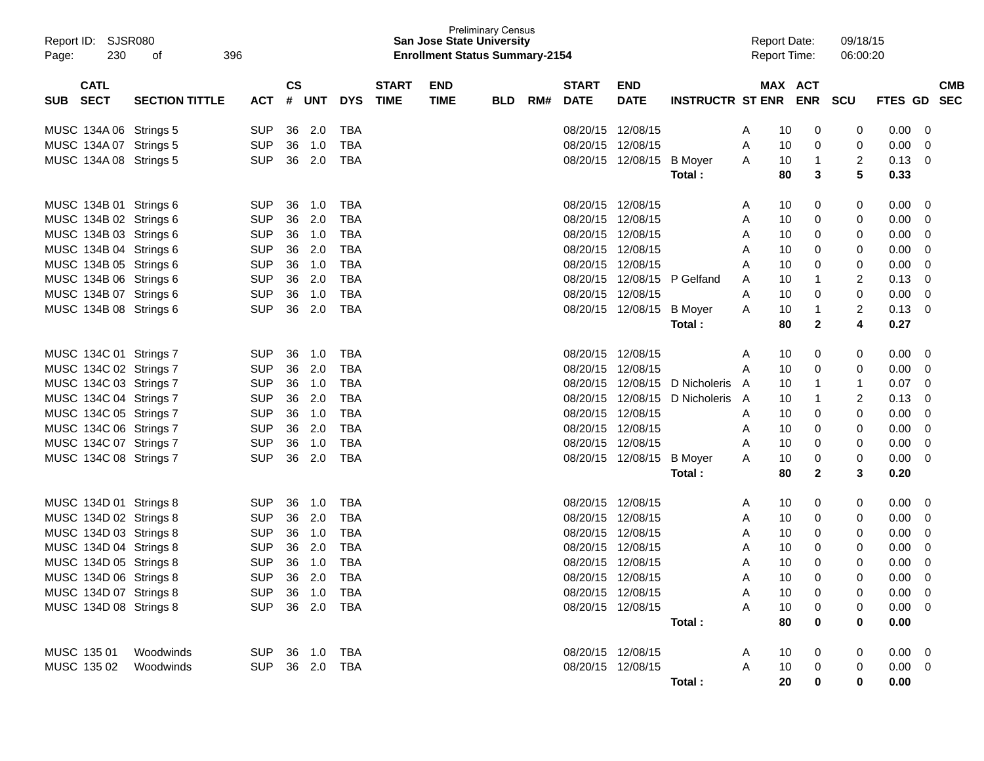| Report ID: SJSR080<br>230<br>Page:       | 396<br>οf             |                |               |        |            |                             | <b>San Jose State University</b><br><b>Enrollment Status Summary-2154</b> | <b>Preliminary Census</b> |     |                             |                           |                                |   | <b>Report Date:</b><br><b>Report Time:</b> |              | 09/18/15<br>06:00:20 |             |                          |
|------------------------------------------|-----------------------|----------------|---------------|--------|------------|-----------------------------|---------------------------------------------------------------------------|---------------------------|-----|-----------------------------|---------------------------|--------------------------------|---|--------------------------------------------|--------------|----------------------|-------------|--------------------------|
| <b>CATL</b><br><b>SECT</b><br><b>SUB</b> | <b>SECTION TITTLE</b> | ACT            | $\mathsf{cs}$ | # UNT  | <b>DYS</b> | <b>START</b><br><b>TIME</b> | <b>END</b><br><b>TIME</b>                                                 | <b>BLD</b>                | RM# | <b>START</b><br><b>DATE</b> | <b>END</b><br><b>DATE</b> | INSTRUCTR ST ENR ENR SCU       |   | MAX ACT                                    |              |                      | FTES GD     | <b>CMB</b><br><b>SEC</b> |
| MUSC 134A 06 Strings 5                   |                       | <b>SUP</b>     | 36            | 2.0    | TBA        |                             |                                                                           |                           |     | 08/20/15 12/08/15           |                           |                                | A | 10                                         | 0            | 0                    | 0.00        | 0                        |
| MUSC 134A 07 Strings 5                   |                       | <b>SUP</b>     | 36            | 1.0    | TBA        |                             |                                                                           |                           |     | 08/20/15 12/08/15           |                           |                                | A | 10                                         | 0            | 0                    | 0.00        | 0                        |
| MUSC 134A 08 Strings 5                   |                       | <b>SUP</b>     |               | 36 2.0 | TBA        |                             |                                                                           |                           |     |                             | 08/20/15 12/08/15         | <b>B</b> Moyer                 | A | 10                                         | $\mathbf{1}$ | 2                    | 0.13        | 0                        |
|                                          |                       |                |               |        |            |                             |                                                                           |                           |     |                             |                           | Total :                        |   | 80                                         | 3            | 5                    | 0.33        |                          |
| MUSC 134B 01 Strings 6                   |                       | <b>SUP</b>     | 36            | 1.0    | TBA        |                             |                                                                           |                           |     | 08/20/15 12/08/15           |                           |                                | A | 10                                         | 0            | 0                    | 0.00        | 0                        |
| MUSC 134B 02 Strings 6                   |                       | <b>SUP</b>     | 36            | 2.0    | TBA        |                             |                                                                           |                           |     | 08/20/15 12/08/15           |                           |                                | A | 10                                         | 0            | 0                    | 0.00        | 0                        |
| MUSC 134B 03 Strings 6                   |                       | <b>SUP</b>     | 36            | 1.0    | TBA        |                             |                                                                           |                           |     |                             | 08/20/15 12/08/15         |                                | A | 10                                         | 0            | 0                    | 0.00        | 0                        |
| MUSC 134B 04 Strings 6                   |                       | <b>SUP</b>     | 36            | 2.0    | <b>TBA</b> |                             |                                                                           |                           |     |                             | 08/20/15 12/08/15         |                                | A | 10                                         | 0            | 0                    | 0.00        | 0                        |
| MUSC 134B 05 Strings 6                   |                       | <b>SUP</b>     | 36            | 1.0    | <b>TBA</b> |                             |                                                                           |                           |     | 08/20/15 12/08/15           |                           |                                | A | 10                                         | 0            | 0                    | 0.00        | 0                        |
| MUSC 134B 06 Strings 6                   |                       | <b>SUP</b>     | 36            | 2.0    | <b>TBA</b> |                             |                                                                           |                           |     |                             | 08/20/15 12/08/15         | P Gelfand                      | A | 10                                         |              | 2                    | 0.13        | 0                        |
| MUSC 134B 07 Strings 6                   |                       | <b>SUP</b>     | 36            | 1.0    | <b>TBA</b> |                             |                                                                           |                           |     | 08/20/15 12/08/15           |                           |                                | A | 10                                         | 0            | 0                    | 0.00        | 0                        |
| MUSC 134B 08 Strings 6                   |                       | <b>SUP</b>     |               | 36 2.0 | <b>TBA</b> |                             |                                                                           |                           |     |                             | 08/20/15 12/08/15         | <b>B</b> Moyer                 | A | 10                                         | 1            | 2                    | 0.13        | 0                        |
|                                          |                       |                |               |        |            |                             |                                                                           |                           |     |                             |                           | Total :                        |   | 80                                         | $\mathbf{2}$ | 4                    | 0.27        |                          |
| MUSC 134C 01 Strings 7                   |                       | <b>SUP</b>     | 36            | 1.0    | TBA        |                             |                                                                           |                           |     | 08/20/15 12/08/15           |                           |                                | A | 10                                         | 0            | 0                    | 0.00        | 0                        |
| MUSC 134C 02 Strings 7                   |                       | <b>SUP</b>     | 36            | 2.0    | TBA        |                             |                                                                           |                           |     | 08/20/15 12/08/15           |                           |                                | A | 10                                         | 0            | 0                    | 0.00        | 0                        |
| MUSC 134C 03 Strings 7                   |                       | <b>SUP</b>     | 36            | 1.0    | TBA        |                             |                                                                           |                           |     |                             |                           | 08/20/15 12/08/15 D Nicholeris | A | 10                                         |              | -1                   | 0.07        | 0                        |
| MUSC 134C 04 Strings 7                   |                       | <b>SUP</b>     | 36            | 2.0    | <b>TBA</b> |                             |                                                                           |                           |     |                             | 08/20/15 12/08/15         | D Nicholeris                   | A | 10                                         |              | 2                    | 0.13        | 0                        |
| MUSC 134C 05 Strings 7                   |                       | <b>SUP</b>     | 36            | 1.0    | <b>TBA</b> |                             |                                                                           |                           |     | 08/20/15 12/08/15           |                           |                                | A | 10                                         | 0            | 0                    | 0.00        | 0                        |
| MUSC 134C 06 Strings 7                   |                       | <b>SUP</b>     | 36            | 2.0    | <b>TBA</b> |                             |                                                                           |                           |     |                             | 08/20/15 12/08/15         |                                | A | 10                                         | 0            | 0                    | 0.00        | 0                        |
| MUSC 134C 07 Strings 7                   |                       | <b>SUP</b>     | 36            | 1.0    | <b>TBA</b> |                             |                                                                           |                           |     | 08/20/15 12/08/15           |                           |                                | A | 10                                         | 0            | 0                    | 0.00        | 0                        |
| MUSC 134C 08 Strings 7                   |                       | <b>SUP</b>     |               | 36 2.0 | <b>TBA</b> |                             |                                                                           |                           |     |                             | 08/20/15 12/08/15         | <b>B</b> Moyer                 | A | 10                                         | 0            | 0                    | 0.00        | 0                        |
|                                          |                       |                |               |        |            |                             |                                                                           |                           |     |                             |                           | Total :                        |   | 80                                         | $\mathbf{2}$ | 3                    | 0.20        |                          |
| MUSC 134D 01 Strings 8                   |                       | <b>SUP</b>     | 36            | 1.0    | TBA        |                             |                                                                           |                           |     | 08/20/15 12/08/15           |                           |                                | A | 10                                         | 0            | 0                    | 0.00        | 0                        |
| MUSC 134D 02 Strings 8                   |                       | <b>SUP</b>     | 36            | 2.0    | <b>TBA</b> |                             |                                                                           |                           |     | 08/20/15 12/08/15           |                           |                                | A | 10                                         | 0            | 0                    | 0.00        | 0                        |
| MUSC 134D 03 Strings 8                   |                       | <b>SUP</b>     | 36            | 1.0    | <b>TBA</b> |                             |                                                                           |                           |     | 08/20/15 12/08/15           |                           |                                | A | 10                                         | 0            | 0                    | 0.00        | 0                        |
| MUSC 134D 04 Strings 8                   |                       | <b>SUP</b>     | 36            | 2.0    | <b>TBA</b> |                             |                                                                           |                           |     | 08/20/15 12/08/15           |                           |                                | A | 10                                         | 0            | 0                    | 0.00        | 0                        |
| MUSC 134D 05 Strings 8                   |                       | <b>SUP</b>     | 36            | 1.0    | <b>TBA</b> |                             |                                                                           |                           |     | 08/20/15 12/08/15           |                           |                                | A | 10                                         | $\Omega$     | 0                    | 0.00        | 0                        |
| MUSC 134D 06 Strings 8                   |                       | <b>SUP</b>     |               | 36 2.0 | <b>TBA</b> |                             |                                                                           |                           |     |                             | 08/20/15 12/08/15         |                                | Α | 10                                         | 0            | 0                    | 0.00        | $\Omega$                 |
| MUSC 134D 07 Strings 8                   |                       | SUP 36 1.0 TBA |               |        |            |                             |                                                                           |                           |     |                             | 08/20/15 12/08/15         |                                | A | 10                                         | 0            |                      | $0.00 \t 0$ |                          |
| MUSC 134D 08 Strings 8                   |                       | SUP 36 2.0 TBA |               |        |            |                             |                                                                           |                           |     |                             | 08/20/15 12/08/15         |                                | Α | 10                                         | 0            |                      | $0.00 \t 0$ |                          |
|                                          |                       |                |               |        |            |                             |                                                                           |                           |     |                             |                           | Total:                         |   | 80                                         | 0            | 0                    | 0.00        |                          |
| MUSC 135 01                              | Woodwinds             | SUP 36 1.0 TBA |               |        |            |                             |                                                                           |                           |     |                             | 08/20/15 12/08/15         |                                | A | 10                                         | 0            | 0                    | $0.00 \t 0$ |                          |
| MUSC 135 02                              | Woodwinds             | SUP 36 2.0 TBA |               |        |            |                             |                                                                           |                           |     |                             | 08/20/15 12/08/15         |                                | Α | 10                                         | 0            |                      | $0.00 \t 0$ |                          |
|                                          |                       |                |               |        |            |                             |                                                                           |                           |     |                             |                           | Total:                         |   | 20                                         | 0            |                      | 0.00        |                          |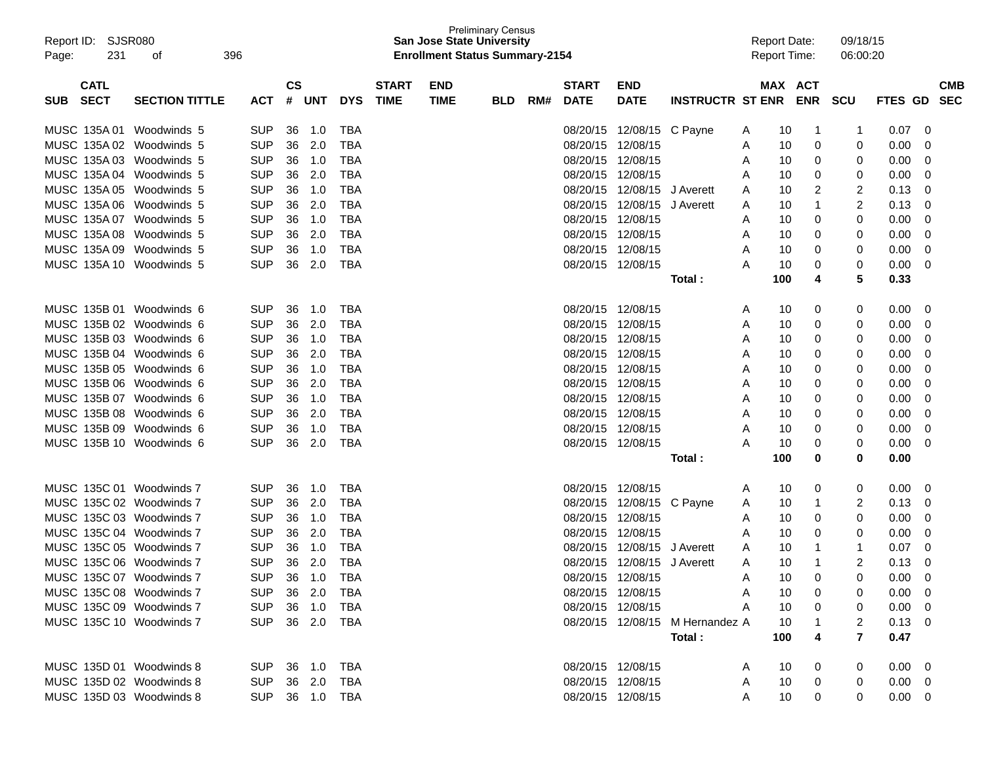| SJSR080<br>Report ID:<br>231<br>Page: | 396<br>οf             |                |                             |        |            |                             | <b>San Jose State University</b><br><b>Enrollment Status Summary-2154</b> | <b>Preliminary Census</b> |     |                             |                             |                                 | <b>Report Date:</b><br><b>Report Time:</b> |     |                              | 09/18/15<br>06:00:20 |                   |                          |
|---------------------------------------|-----------------------|----------------|-----------------------------|--------|------------|-----------------------------|---------------------------------------------------------------------------|---------------------------|-----|-----------------------------|-----------------------------|---------------------------------|--------------------------------------------|-----|------------------------------|----------------------|-------------------|--------------------------|
| <b>CATL</b><br><b>SECT</b><br>SUB     | <b>SECTION TITTLE</b> | <b>ACT</b>     | $\mathbf{c}\mathbf{s}$<br># | UNT    | <b>DYS</b> | <b>START</b><br><b>TIME</b> | <b>END</b><br><b>TIME</b>                                                 | <b>BLD</b>                | RM# | <b>START</b><br><b>DATE</b> | <b>END</b><br><b>DATE</b>   | <b>INSTRUCTR ST ENR</b>         |                                            |     | <b>MAX ACT</b><br><b>ENR</b> | <b>SCU</b>           | <b>FTES GD</b>    | <b>CMB</b><br><b>SEC</b> |
| MUSC 135A 01                          | Woodwinds 5           | <b>SUP</b>     | 36                          | 1.0    | TBA        |                             |                                                                           |                           |     | 08/20/15                    | 12/08/15 C Payne            |                                 | A                                          | 10  | 1                            | $\mathbf 1$          | 0.07              | 0                        |
| MUSC 135A 02 Woodwinds 5              |                       | <b>SUP</b>     | 36                          | 2.0    | TBA        |                             |                                                                           |                           |     | 08/20/15                    | 12/08/15                    |                                 | A                                          | 10  | 0                            | 0                    | 0.00              | 0                        |
| MUSC 135A 03 Woodwinds 5              |                       | <b>SUP</b>     | 36                          | 1.0    | TBA        |                             |                                                                           |                           |     | 08/20/15                    | 12/08/15                    |                                 | A                                          | 10  | 0                            | 0                    | 0.00              | 0                        |
| MUSC 135A 04 Woodwinds 5              |                       | <b>SUP</b>     | 36                          | 2.0    | <b>TBA</b> |                             |                                                                           |                           |     | 08/20/15                    | 12/08/15                    |                                 | Α                                          | 10  | 0                            | 0                    | 0.00              | 0                        |
| MUSC 135A 05 Woodwinds 5              |                       | <b>SUP</b>     | 36                          | 1.0    | TBA        |                             |                                                                           |                           |     | 08/20/15                    | 12/08/15 J Averett          |                                 | Α                                          | 10  | 2                            | 2                    | 0.13              | 0                        |
| MUSC 135A 06 Woodwinds 5              |                       | <b>SUP</b>     | 36                          | 2.0    | <b>TBA</b> |                             |                                                                           |                           |     | 08/20/15                    | 12/08/15 J Averett          |                                 | Α                                          | 10  | 1                            | 2                    | 0.13              | 0                        |
| MUSC 135A 07 Woodwinds 5              |                       | <b>SUP</b>     | 36                          | 1.0    | TBA        |                             |                                                                           |                           |     | 08/20/15                    | 12/08/15                    |                                 | Α                                          | 10  | 0                            | 0                    | 0.00              | 0                        |
| MUSC 135A 08 Woodwinds 5              |                       | <b>SUP</b>     | 36                          | 2.0    | TBA        |                             |                                                                           |                           |     | 08/20/15                    | 12/08/15                    |                                 | A                                          | 10  | 0                            | 0                    | 0.00              | 0                        |
| MUSC 135A 09 Woodwinds 5              |                       | <b>SUP</b>     | 36                          | 1.0    | <b>TBA</b> |                             |                                                                           |                           |     | 08/20/15                    | 12/08/15                    |                                 | Α                                          | 10  | 0                            | 0                    | 0.00              | 0                        |
| MUSC 135A 10 Woodwinds 5              |                       | <b>SUP</b>     | 36                          | 2.0    | <b>TBA</b> |                             |                                                                           |                           |     | 08/20/15                    | 12/08/15                    |                                 | Α                                          | 10  | 0                            | 0                    | 0.00              | 0                        |
|                                       |                       |                |                             |        |            |                             |                                                                           |                           |     |                             |                             | Total :                         |                                            | 100 | 4                            | 5                    | 0.33              |                          |
| MUSC 135B 01 Woodwinds 6              |                       | <b>SUP</b>     | 36                          | 1.0    | TBA        |                             |                                                                           |                           |     | 08/20/15                    | 12/08/15                    |                                 | Α                                          | 10  | 0                            | 0                    | 0.00              | 0                        |
| MUSC 135B 02 Woodwinds 6              |                       | <b>SUP</b>     | 36                          | 2.0    | TBA        |                             |                                                                           |                           |     | 08/20/15                    | 12/08/15                    |                                 | Α                                          | 10  | 0                            | 0                    | 0.00              | 0                        |
| MUSC 135B 03 Woodwinds 6              |                       | <b>SUP</b>     | 36                          | 1.0    | TBA        |                             |                                                                           |                           |     | 08/20/15                    | 12/08/15                    |                                 | Α                                          | 10  | 0                            | 0                    | 0.00              | 0                        |
| MUSC 135B 04 Woodwinds 6              |                       | <b>SUP</b>     | 36                          | 2.0    | <b>TBA</b> |                             |                                                                           |                           |     | 08/20/15                    | 12/08/15                    |                                 | Α                                          | 10  | 0                            | 0                    | 0.00              | 0                        |
| MUSC 135B 05 Woodwinds 6              |                       | <b>SUP</b>     | 36                          | 1.0    | TBA        |                             |                                                                           |                           |     | 08/20/15                    | 12/08/15                    |                                 | Α                                          | 10  | 0                            | 0                    | 0.00              | 0                        |
| MUSC 135B 06 Woodwinds 6              |                       | <b>SUP</b>     | 36                          | 2.0    | <b>TBA</b> |                             |                                                                           |                           |     | 08/20/15                    | 12/08/15                    |                                 | Α                                          | 10  | 0                            | 0                    | 0.00              | 0                        |
| MUSC 135B 07 Woodwinds 6              |                       | <b>SUP</b>     | 36                          | 1.0    | TBA        |                             |                                                                           |                           |     | 08/20/15                    | 12/08/15                    |                                 | Α                                          | 10  | 0                            | 0                    | 0.00              | 0                        |
| MUSC 135B 08 Woodwinds 6              |                       | <b>SUP</b>     | 36                          | 2.0    | TBA        |                             |                                                                           |                           |     | 08/20/15                    | 12/08/15                    |                                 | Α                                          | 10  | 0                            | 0                    | 0.00              | 0                        |
| MUSC 135B 09 Woodwinds 6              |                       | <b>SUP</b>     | 36                          | 1.0    | <b>TBA</b> |                             |                                                                           |                           |     | 08/20/15                    | 12/08/15                    |                                 | Α                                          | 10  | 0                            | 0                    | 0.00              | 0                        |
| MUSC 135B 10 Woodwinds 6              |                       | <b>SUP</b>     | 36                          | 2.0    | <b>TBA</b> |                             |                                                                           |                           |     | 08/20/15 12/08/15           |                             |                                 | Α                                          | 10  | 0                            | 0                    | 0.00              | 0                        |
|                                       |                       |                |                             |        |            |                             |                                                                           |                           |     |                             |                             | Total :                         |                                            | 100 | 0                            | 0                    | 0.00              |                          |
| MUSC 135C 01 Woodwinds 7              |                       | <b>SUP</b>     | 36                          | 1.0    | TBA        |                             |                                                                           |                           |     | 08/20/15                    | 12/08/15                    |                                 | Α                                          | 10  | 0                            | 0                    | 0.00 <sub>1</sub> | 0                        |
| MUSC 135C 02 Woodwinds 7              |                       | <b>SUP</b>     | 36                          | 2.0    | TBA        |                             |                                                                           |                           |     | 08/20/15                    | 12/08/15 C Payne            |                                 | Α                                          | 10  | 1                            | 2                    | 0.13              | 0                        |
| MUSC 135C 03 Woodwinds 7              |                       | <b>SUP</b>     | 36                          | 1.0    | TBA        |                             |                                                                           |                           |     | 08/20/15                    | 12/08/15                    |                                 | A                                          | 10  | 0                            | 0                    | 0.00              | 0                        |
| MUSC 135C 04 Woodwinds 7              |                       | <b>SUP</b>     | 36                          | 2.0    | TBA        |                             |                                                                           |                           |     | 08/20/15                    | 12/08/15                    |                                 | Α                                          | 10  | 0                            | 0                    | 0.00              | 0                        |
| MUSC 135C 05 Woodwinds 7              |                       | <b>SUP</b>     | 36                          | 1.0    | TBA        |                             |                                                                           |                           |     | 08/20/15                    | 12/08/15 J Averett          |                                 | Α                                          | 10  | 1                            | -1                   | 0.07              | 0                        |
| MUSC 135C 06 Woodwinds 7              |                       | <b>SUP</b>     | 36                          | 2.0    | TBA        |                             |                                                                           |                           |     |                             | 08/20/15 12/08/15 J Averett |                                 | Α                                          | 10  |                              | 2                    | 0.13              | 0                        |
| MUSC 135C 07 Woodwinds 7              |                       | <b>SUP</b>     |                             | 36 1.0 | <b>TBA</b> |                             |                                                                           |                           |     | 08/20/15 12/08/15           |                             |                                 | А                                          | 10  | ∩                            | 0                    | 0.00              | $\Omega$                 |
| MUSC 135C 08 Woodwinds 7              |                       | SUP 36 2.0 TBA |                             |        |            |                             |                                                                           |                           |     |                             | 08/20/15 12/08/15           |                                 | A                                          | 10  |                              | 0                    | $0.00 \quad 0$    |                          |
| MUSC 135C 09 Woodwinds 7              |                       | SUP 36 1.0     |                             |        | TBA        |                             |                                                                           |                           |     |                             | 08/20/15 12/08/15           |                                 | A                                          | 10  |                              | 0                    | $0.00 \t 0$       |                          |
| MUSC 135C 10 Woodwinds 7              |                       | SUP 36 2.0     |                             |        | TBA        |                             |                                                                           |                           |     |                             |                             | 08/20/15 12/08/15 M Hernandez A |                                            | 10  |                              | 2                    | $0.13 \quad 0$    |                          |
|                                       |                       |                |                             |        |            |                             |                                                                           |                           |     |                             |                             | Total:                          |                                            | 100 |                              | 7                    | 0.47              |                          |
| MUSC 135D 01 Woodwinds 8              |                       | SUP 36 1.0 TBA |                             |        |            |                             |                                                                           |                           |     | 08/20/15 12/08/15           |                             |                                 | A                                          | 10  | 0                            | 0                    | $0.00 \quad 0$    |                          |
| MUSC 135D 02 Woodwinds 8              |                       | SUP 36 2.0     |                             |        | TBA        |                             |                                                                           |                           |     | 08/20/15 12/08/15           |                             |                                 | A                                          | 10  | 0                            | 0                    | $0.00 \ 0$        |                          |
| MUSC 135D 03 Woodwinds 8              |                       | SUP 36 1.0 TBA |                             |        |            |                             |                                                                           |                           |     |                             | 08/20/15 12/08/15           |                                 | A                                          | 10  | 0                            | $\Omega$             | $0.00 \quad 0$    |                          |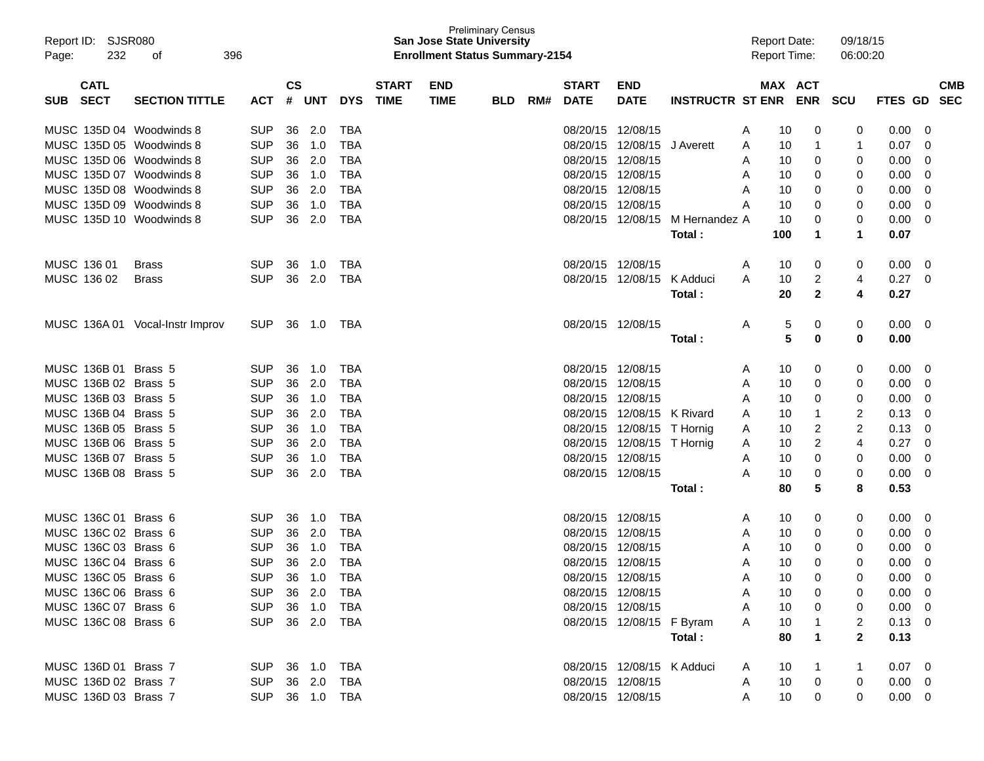| Report ID: SJSR080<br>232<br>Page: | 396<br>0f                       |                |                        |            |            |              | <b>San Jose State University</b><br><b>Enrollment Status Summary-2154</b> | <b>Preliminary Census</b> |     |                   |                            |                         | <b>Report Date:</b><br><b>Report Time:</b> |                 |              | 09/18/15<br>06:00:20 |                |            |
|------------------------------------|---------------------------------|----------------|------------------------|------------|------------|--------------|---------------------------------------------------------------------------|---------------------------|-----|-------------------|----------------------------|-------------------------|--------------------------------------------|-----------------|--------------|----------------------|----------------|------------|
| <b>CATL</b>                        |                                 |                | $\mathbf{c}\mathbf{s}$ |            |            | <b>START</b> | <b>END</b>                                                                |                           |     | <b>START</b>      | <b>END</b>                 |                         |                                            |                 | MAX ACT      |                      |                | <b>CMB</b> |
| <b>SECT</b><br>SUB.                | <b>SECTION TITTLE</b>           | <b>ACT</b>     | #                      | <b>UNT</b> | <b>DYS</b> | <b>TIME</b>  | <b>TIME</b>                                                               | <b>BLD</b>                | RM# | <b>DATE</b>       | <b>DATE</b>                | <b>INSTRUCTR ST ENR</b> |                                            |                 | <b>ENR</b>   | <b>SCU</b>           | FTES GD        | <b>SEC</b> |
| MUSC 135D 04 Woodwinds 8           |                                 | <b>SUP</b>     | 36                     | 2.0        | TBA        |              |                                                                           |                           |     | 08/20/15 12/08/15 |                            |                         | A                                          | 10              | 0            | 0                    | 0.00           | 0          |
| MUSC 135D 05 Woodwinds 8           |                                 | <b>SUP</b>     | 36                     | 1.0        | <b>TBA</b> |              |                                                                           |                           |     | 08/20/15          | 12/08/15                   | J Averett               | A                                          | 10              | 1            | -1                   | 0.07           | 0          |
| MUSC 135D 06 Woodwinds 8           |                                 | <b>SUP</b>     | 36                     | 2.0        | <b>TBA</b> |              |                                                                           |                           |     | 08/20/15          | 12/08/15                   |                         | A                                          | 10              | 0            | 0                    | 0.00           | 0          |
| MUSC 135D 07 Woodwinds 8           |                                 | <b>SUP</b>     | 36                     | 1.0        | <b>TBA</b> |              |                                                                           |                           |     | 08/20/15          | 12/08/15                   |                         | A                                          | 10              | 0            | 0                    | 0.00           | 0          |
| MUSC 135D 08 Woodwinds 8           |                                 | <b>SUP</b>     | 36                     | 2.0        | <b>TBA</b> |              |                                                                           |                           |     | 08/20/15          | 12/08/15                   |                         | A                                          | 10              | 0            | 0                    | 0.00           | 0          |
| MUSC 135D 09 Woodwinds 8           |                                 | <b>SUP</b>     | 36                     | 1.0        | <b>TBA</b> |              |                                                                           |                           |     | 08/20/15          | 12/08/15                   |                         | Α                                          | 10              | 0            | 0                    | 0.00           | 0          |
| MUSC 135D 10 Woodwinds 8           |                                 | <b>SUP</b>     | 36                     | 2.0        | <b>TBA</b> |              |                                                                           |                           |     | 08/20/15          | 12/08/15                   | M Hernandez A           |                                            | 10              | 0            | 0                    | 0.00           | 0          |
|                                    |                                 |                |                        |            |            |              |                                                                           |                           |     |                   |                            | Total :                 |                                            | 100             | 1            | 1                    | 0.07           |            |
| MUSC 136 01                        | <b>Brass</b>                    | <b>SUP</b>     | 36                     | 1.0        | TBA        |              |                                                                           |                           |     | 08/20/15 12/08/15 |                            |                         | A                                          | 10              | 0            | 0                    | 0.00           | 0          |
| MUSC 136 02                        | <b>Brass</b>                    | <b>SUP</b>     | 36                     | 2.0        | <b>TBA</b> |              |                                                                           |                           |     | 08/20/15          | 12/08/15                   | K Adduci                | A                                          | 10              | 2            | 4                    | 0.27           | 0          |
|                                    |                                 |                |                        |            |            |              |                                                                           |                           |     |                   |                            | Total :                 |                                            | 20              | 2            | 4                    | 0.27           |            |
|                                    | MUSC 136A 01 Vocal-Instr Improv | <b>SUP</b>     | 36                     | 1.0        | TBA        |              |                                                                           |                           |     | 08/20/15 12/08/15 |                            |                         | Α                                          | 5               | 0            | 0                    | 0.00           | 0          |
|                                    |                                 |                |                        |            |            |              |                                                                           |                           |     |                   |                            | Total :                 |                                            | 5               | 0            | 0                    | 0.00           |            |
| MUSC 136B 01 Brass 5               |                                 | <b>SUP</b>     | 36                     | 1.0        | TBA        |              |                                                                           |                           |     | 08/20/15 12/08/15 |                            |                         | A                                          | 10              | 0            | 0                    | 0.00           | 0          |
| MUSC 136B 02 Brass 5               |                                 | <b>SUP</b>     | 36                     | 2.0        | <b>TBA</b> |              |                                                                           |                           |     | 08/20/15          | 12/08/15                   |                         | A                                          | 10              | 0            | 0                    | 0.00           | 0          |
| MUSC 136B 03 Brass 5               |                                 | <b>SUP</b>     | 36                     | 1.0        | <b>TBA</b> |              |                                                                           |                           |     | 08/20/15          | 12/08/15                   |                         | Α                                          | 10              | 0            | 0                    | 0.00           | 0          |
| MUSC 136B 04 Brass 5               |                                 | <b>SUP</b>     | 36                     | 2.0        | <b>TBA</b> |              |                                                                           |                           |     |                   | 08/20/15 12/08/15 K Rivard |                         | A                                          | 10              | 1            | 2                    | 0.13           | 0          |
| MUSC 136B 05 Brass 5               |                                 | <b>SUP</b>     | 36                     | 1.0        | <b>TBA</b> |              |                                                                           |                           |     |                   | 08/20/15 12/08/15 T Hornig |                         | A                                          | 10              | 2            | 2                    | 0.13           | 0          |
| MUSC 136B 06 Brass 5               |                                 | <b>SUP</b>     | 36                     | 2.0        | <b>TBA</b> |              |                                                                           |                           |     |                   | 08/20/15 12/08/15 T Hornig |                         | A                                          | 10              | 2            | 4                    | 0.27           | 0          |
| MUSC 136B 07 Brass 5               |                                 | <b>SUP</b>     | 36                     | 1.0        | <b>TBA</b> |              |                                                                           |                           |     | 08/20/15 12/08/15 |                            |                         | Α                                          | 10              | 0            | 0                    | 0.00           | 0          |
| MUSC 136B 08 Brass 5               |                                 | <b>SUP</b>     | 36                     | 2.0        | <b>TBA</b> |              |                                                                           |                           |     | 08/20/15 12/08/15 |                            |                         | Α                                          | 10              | 0            | 0                    | 0.00           | 0          |
|                                    |                                 |                |                        |            |            |              |                                                                           |                           |     |                   |                            | Total :                 |                                            | 80              | 5            | 8                    | 0.53           |            |
| MUSC 136C 01 Brass 6               |                                 | <b>SUP</b>     | 36                     | 1.0        | TBA        |              |                                                                           |                           |     | 08/20/15 12/08/15 |                            |                         | A                                          | 10              | 0            | 0                    | 0.00           | 0          |
| MUSC 136C 02 Brass 6               |                                 | <b>SUP</b>     | 36                     | 2.0        | <b>TBA</b> |              |                                                                           |                           |     | 08/20/15          | 12/08/15                   |                         | A                                          | 10              | 0            | 0                    | 0.00           | 0          |
| MUSC 136C 03 Brass 6               |                                 | <b>SUP</b>     | 36                     | 1.0        | <b>TBA</b> |              |                                                                           |                           |     | 08/20/15          | 12/08/15                   |                         | Α                                          | 10              | 0            | 0                    | 0.00           | 0          |
| MUSC 136C 04 Brass 6               |                                 | <b>SUP</b>     | 36                     | 2.0        | <b>TBA</b> |              |                                                                           |                           |     | 08/20/15 12/08/15 |                            |                         | Α                                          | 10              | $\Omega$     | 0                    | 0.00           | 0          |
| MUSC 136C 05 Brass 6               |                                 | <b>SUP</b>     |                        | 36 1.0     | <b>TBA</b> |              |                                                                           |                           |     | 08/20/15 12/08/15 |                            |                         | Α                                          | 10              | <sup>n</sup> | 0                    | 0.00           | $\Omega$   |
| MUSC 136C 06 Brass 6               |                                 | SUP 36 2.0 TBA |                        |            |            |              |                                                                           |                           |     |                   | 08/20/15 12/08/15          |                         | A                                          | 10              | 0            | 0                    | $0.00 \quad 0$ |            |
| MUSC 136C 07 Brass 6               |                                 | SUP 36 1.0     |                        |            | TBA        |              |                                                                           |                           |     |                   | 08/20/15 12/08/15          |                         | A                                          | 10              | 0            | 0                    | $0.00 \t 0$    |            |
| MUSC 136C 08 Brass 6               |                                 | SUP 36 2.0     |                        |            | TBA        |              |                                                                           |                           |     |                   | 08/20/15 12/08/15 F Byram  |                         | A                                          | 10              | 1            | 2                    | $0.13 \ 0$     |            |
|                                    |                                 |                |                        |            |            |              |                                                                           |                           |     |                   |                            | Total:                  |                                            | 80              | 1            | $\mathbf{2}$         | 0.13           |            |
| MUSC 136D 01 Brass 7               |                                 | SUP 36 1.0 TBA |                        |            |            |              |                                                                           |                           |     |                   | 08/20/15 12/08/15 K Adduci |                         | A                                          | 10              | 1            |                      | $0.07 \quad 0$ |            |
| MUSC 136D 02 Brass 7               |                                 | SUP 36 2.0     |                        |            | TBA        |              |                                                                           |                           |     |                   | 08/20/15 12/08/15          |                         | A                                          | 10              | $\mathbf{0}$ | 0                    | $0.00 \quad 0$ |            |
| MUSC 136D 03 Brass 7               |                                 | SUP 36 1.0 TBA |                        |            |            |              |                                                                           |                           |     |                   | 08/20/15 12/08/15          |                         | A                                          | 10 <sup>°</sup> | 0            | 0                    | $0.00 \t 0$    |            |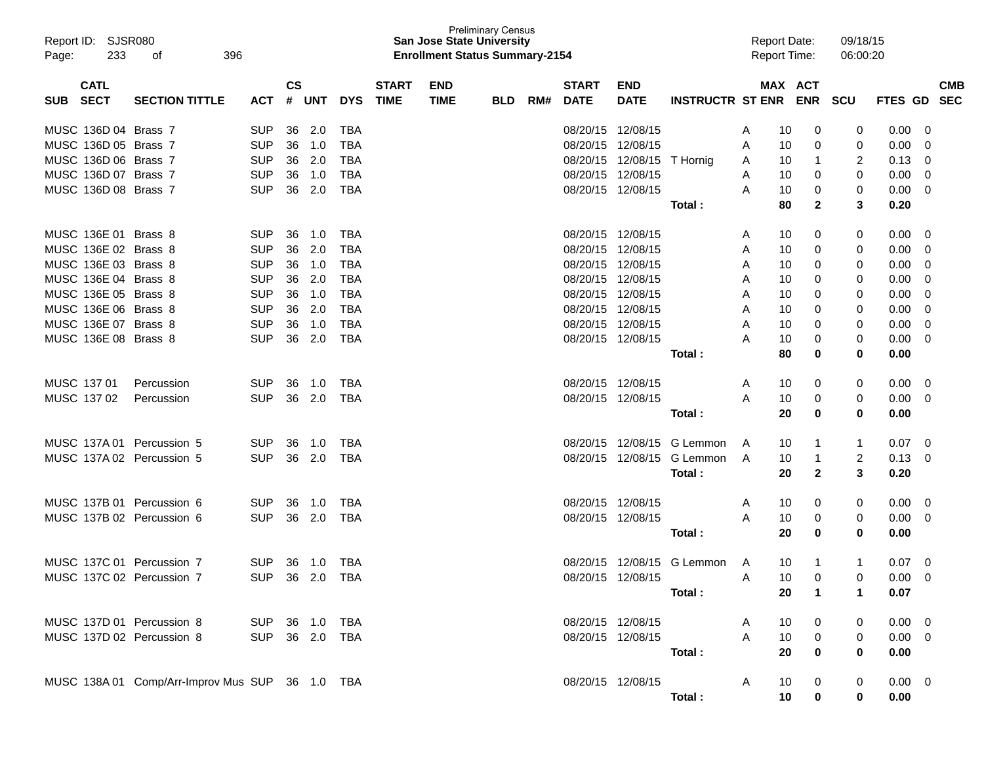| Report ID: SJSR080<br>233<br>Page: | 396<br>οf                                       |                |               |            |            |              | <b>San Jose State University</b><br><b>Enrollment Status Summary-2154</b> | <b>Preliminary Census</b> |     |                   |                   |                            |   | <b>Report Date:</b><br><b>Report Time:</b> |            | 09/18/15<br>06:00:20 |                |             |
|------------------------------------|-------------------------------------------------|----------------|---------------|------------|------------|--------------|---------------------------------------------------------------------------|---------------------------|-----|-------------------|-------------------|----------------------------|---|--------------------------------------------|------------|----------------------|----------------|-------------|
| <b>CATL</b>                        |                                                 |                | $\mathsf{cs}$ |            |            | <b>START</b> | <b>END</b>                                                                |                           |     | <b>START</b>      | <b>END</b>        |                            |   | <b>MAX ACT</b>                             |            |                      |                | <b>CMB</b>  |
| <b>SECT</b><br><b>SUB</b>          | <b>SECTION TITTLE</b>                           | <b>ACT</b>     | #             | <b>UNT</b> | <b>DYS</b> | <b>TIME</b>  | <b>TIME</b>                                                               | <b>BLD</b>                | RM# | <b>DATE</b>       | <b>DATE</b>       | <b>INSTRUCTR ST ENR</b>    |   |                                            | <b>ENR</b> | <b>SCU</b>           | <b>FTES GD</b> | <b>SEC</b>  |
| MUSC 136D 04 Brass 7               |                                                 | <b>SUP</b>     | 36            | 2.0        | TBA        |              |                                                                           |                           |     |                   | 08/20/15 12/08/15 |                            | A | 10                                         | 0          | 0                    | 0.00           | 0           |
| MUSC 136D 05 Brass 7               |                                                 | <b>SUP</b>     | 36            | 1.0        | TBA        |              |                                                                           |                           |     | 08/20/15          | 12/08/15          |                            | A | 10                                         | 0          | 0                    | 0.00           | 0           |
| MUSC 136D 06 Brass 7               |                                                 | <b>SUP</b>     | 36            | 2.0        | TBA        |              |                                                                           |                           |     |                   | 08/20/15 12/08/15 | T Hornig                   | A | 10                                         | 1          | 2                    | 0.13           | 0           |
| MUSC 136D 07 Brass 7               |                                                 | <b>SUP</b>     | 36            | 1.0        | TBA        |              |                                                                           |                           |     |                   | 08/20/15 12/08/15 |                            | A | 10                                         | 0          | 0                    | 0.00           | 0           |
| MUSC 136D 08 Brass 7               |                                                 | <b>SUP</b>     | 36            | 2.0        | TBA        |              |                                                                           |                           |     | 08/20/15 12/08/15 |                   |                            | A | 10                                         | 0          | 0                    | 0.00           | 0           |
|                                    |                                                 |                |               |            |            |              |                                                                           |                           |     |                   |                   | Total:                     |   | 80                                         | 2          | 3                    | 0.20           |             |
| MUSC 136E 01 Brass 8               |                                                 | <b>SUP</b>     | 36            | 1.0        | TBA        |              |                                                                           |                           |     | 08/20/15 12/08/15 |                   |                            | A | 10                                         | 0          | 0                    | 0.00           | 0           |
| MUSC 136E 02 Brass 8               |                                                 | <b>SUP</b>     | 36            | 2.0        | TBA        |              |                                                                           |                           |     | 08/20/15          | 12/08/15          |                            | A | 10                                         | 0          | 0                    | 0.00           | 0           |
| MUSC 136E 03 Brass 8               |                                                 | <b>SUP</b>     | 36            | 1.0        | TBA        |              |                                                                           |                           |     | 08/20/15 12/08/15 |                   |                            | A | 10                                         | 0          | 0                    | 0.00           | 0           |
| MUSC 136E 04 Brass 8               |                                                 | <b>SUP</b>     | 36            | 2.0        | TBA        |              |                                                                           |                           |     | 08/20/15 12/08/15 |                   |                            | A | 10                                         | 0          | 0                    | 0.00           | 0           |
| MUSC 136E 05 Brass 8               |                                                 | <b>SUP</b>     | 36            | 1.0        | TBA        |              |                                                                           |                           |     | 08/20/15 12/08/15 |                   |                            | A | 10                                         | 0          | 0                    | 0.00           | 0           |
| MUSC 136E 06 Brass 8               |                                                 | <b>SUP</b>     | 36            | 2.0        | TBA        |              |                                                                           |                           |     | 08/20/15 12/08/15 |                   |                            | A | 10                                         | 0          | 0                    | 0.00           | 0           |
| MUSC 136E 07 Brass 8               |                                                 | <b>SUP</b>     | 36            | 1.0        | TBA        |              |                                                                           |                           |     |                   | 08/20/15 12/08/15 |                            | A | 10                                         | 0          | 0                    | 0.00           | 0           |
| MUSC 136E 08 Brass 8               |                                                 | <b>SUP</b>     | 36            | 2.0        | <b>TBA</b> |              |                                                                           |                           |     | 08/20/15 12/08/15 |                   |                            | Α | 10                                         | 0          | 0                    | 0.00           | 0           |
|                                    |                                                 |                |               |            |            |              |                                                                           |                           |     |                   |                   | Total :                    |   | 80                                         | 0          | 0                    | 0.00           |             |
| MUSC 137 01                        | Percussion                                      | <b>SUP</b>     | 36            | 1.0        | TBA        |              |                                                                           |                           |     | 08/20/15 12/08/15 |                   |                            | A | 10                                         | 0          | 0                    | 0.00           | 0           |
| MUSC 137 02                        | Percussion                                      | <b>SUP</b>     | 36            | 2.0        | TBA        |              |                                                                           |                           |     | 08/20/15 12/08/15 |                   |                            | A | 10                                         | 0          | 0                    | 0.00           | 0           |
|                                    |                                                 |                |               |            |            |              |                                                                           |                           |     |                   |                   | Total:                     |   | 20                                         | 0          | 0                    | 0.00           |             |
| MUSC 137A 01                       | Percussion 5                                    | <b>SUP</b>     | 36            | 1.0        | TBA        |              |                                                                           |                           |     |                   |                   | 08/20/15 12/08/15 G Lemmon | A | 10                                         | 1          | 1                    | 0.07           | $\mathbf 0$ |
| MUSC 137A 02 Percussion 5          |                                                 | <b>SUP</b>     | 36            | 2.0        | TBA        |              |                                                                           |                           |     |                   | 08/20/15 12/08/15 | G Lemmon                   | A | 10                                         | 1          | $\overline{2}$       | 0.13           | 0           |
|                                    |                                                 |                |               |            |            |              |                                                                           |                           |     |                   |                   | Total:                     |   | 20                                         | 2          | 3                    | 0.20           |             |
| MUSC 137B 01                       | Percussion 6                                    | <b>SUP</b>     | 36            | 1.0        | TBA        |              |                                                                           |                           |     | 08/20/15 12/08/15 |                   |                            | A | 10                                         | 0          | 0                    | 0.00           | $\mathbf 0$ |
| MUSC 137B 02 Percussion 6          |                                                 | <b>SUP</b>     | 36            | 2.0        | TBA        |              |                                                                           |                           |     | 08/20/15 12/08/15 |                   |                            | A | 10                                         | 0          | 0                    | 0.00           | 0           |
|                                    |                                                 |                |               |            |            |              |                                                                           |                           |     |                   |                   | Total:                     |   | 20                                         | 0          | 0                    | 0.00           |             |
| MUSC 137C 01 Percussion 7          |                                                 | <b>SUP</b>     | 36            | 1.0        | TBA        |              |                                                                           |                           |     |                   |                   | 08/20/15 12/08/15 G Lemmon | A | 10                                         | 1          | 1                    | 0.07           | 0           |
| MUSC 137C 02 Percussion 7          |                                                 | <b>SUP</b>     |               | 36 2.0 TBA |            |              |                                                                           |                           |     |                   | 08/20/15 12/08/15 |                            | A | 10                                         | 0          | $\Omega$             | $0.00 \quad 0$ |             |
|                                    |                                                 |                |               |            |            |              |                                                                           |                           |     |                   |                   | Total:                     |   | 20                                         | 1          | 1                    | 0.07           |             |
| MUSC 137D 01 Percussion 8          |                                                 | SUP 36 1.0 TBA |               |            |            |              |                                                                           |                           |     |                   | 08/20/15 12/08/15 |                            | A | 10                                         | 0          | 0                    | $0.00 \quad 0$ |             |
| MUSC 137D 02 Percussion 8          |                                                 | SUP 36 2.0 TBA |               |            |            |              |                                                                           |                           |     |                   | 08/20/15 12/08/15 |                            | A | 10                                         | 0          | 0                    | $0.00 \quad 0$ |             |
|                                    |                                                 |                |               |            |            |              |                                                                           |                           |     |                   |                   | Total:                     |   | 20                                         | 0          | 0                    | 0.00           |             |
|                                    | MUSC 138A 01 Comp/Arr-Improv Mus SUP 36 1.0 TBA |                |               |            |            |              |                                                                           |                           |     | 08/20/15 12/08/15 |                   |                            | A | 10                                         | 0          | 0                    | $0.00 \t 0$    |             |
|                                    |                                                 |                |               |            |            |              |                                                                           |                           |     |                   |                   | Total:                     |   | 10                                         | 0          | $\bf{0}$             | 0.00           |             |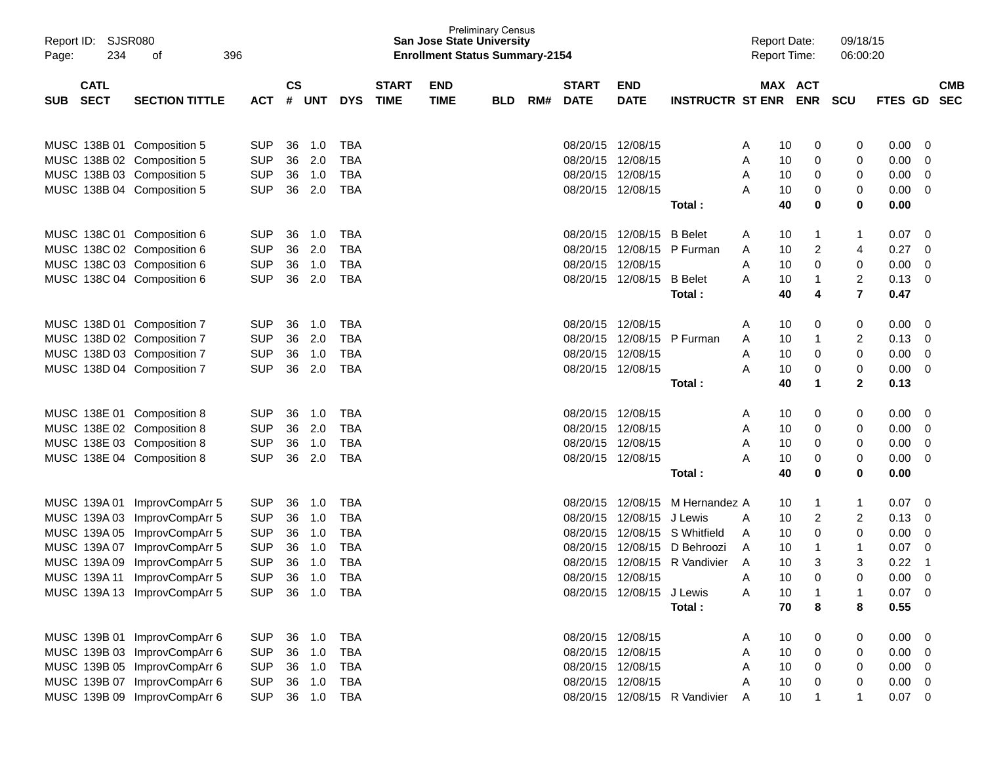| Report ID: SJSR080<br>234<br>Page:       | 396<br>оf                    |            |                |            |            |                             | <b>San Jose State University</b><br><b>Enrollment Status Summary-2154</b> | <b>Preliminary Census</b> |     |                             |                            |                               | <b>Report Date:</b><br><b>Report Time:</b> |                         | 09/18/15<br>06:00:20 |             |                          |
|------------------------------------------|------------------------------|------------|----------------|------------|------------|-----------------------------|---------------------------------------------------------------------------|---------------------------|-----|-----------------------------|----------------------------|-------------------------------|--------------------------------------------|-------------------------|----------------------|-------------|--------------------------|
| <b>CATL</b><br><b>SECT</b><br><b>SUB</b> | <b>SECTION TITTLE</b>        | <b>ACT</b> | <b>CS</b><br># | <b>UNT</b> | <b>DYS</b> | <b>START</b><br><b>TIME</b> | <b>END</b><br><b>TIME</b>                                                 | <b>BLD</b>                | RM# | <b>START</b><br><b>DATE</b> | <b>END</b><br><b>DATE</b>  | <b>INSTRUCTR ST ENR ENR</b>   |                                            | MAX ACT                 | SCU                  | FTES GD     | <b>CMB</b><br><b>SEC</b> |
| MUSC 138B 01 Composition 5               |                              | <b>SUP</b> | 36             | 1.0        | <b>TBA</b> |                             |                                                                           |                           |     |                             | 08/20/15 12/08/15          |                               | 10<br>A                                    | 0                       | 0                    | 0.00        | $\overline{0}$           |
| MUSC 138B 02 Composition 5               |                              | <b>SUP</b> | 36             | 2.0        | <b>TBA</b> |                             |                                                                           |                           |     |                             | 08/20/15 12/08/15          |                               | Α<br>10                                    | 0                       | 0                    | 0.00        | 0                        |
| MUSC 138B 03 Composition 5               |                              | <b>SUP</b> | 36             | 1.0        | <b>TBA</b> |                             |                                                                           |                           |     |                             | 08/20/15 12/08/15          |                               | 10<br>A                                    | 0                       | 0                    | 0.00        | 0                        |
| MUSC 138B 04 Composition 5               |                              | <b>SUP</b> | 36             | 2.0        | <b>TBA</b> |                             |                                                                           |                           |     |                             | 08/20/15 12/08/15          |                               | Α<br>10                                    | 0                       | 0                    | 0.00        | 0                        |
|                                          |                              |            |                |            |            |                             |                                                                           |                           |     |                             |                            | Total:                        | 40                                         | 0                       | 0                    | 0.00        |                          |
| MUSC 138C 01 Composition 6               |                              | <b>SUP</b> | 36             | 1.0        | TBA        |                             |                                                                           |                           |     |                             | 08/20/15 12/08/15 B Belet  |                               | 10<br>A                                    | $\mathbf{1}$            | 1                    | 0.07        | 0                        |
| MUSC 138C 02 Composition 6               |                              | <b>SUP</b> | 36             | 2.0        | <b>TBA</b> |                             |                                                                           |                           |     |                             | 08/20/15 12/08/15 P Furman |                               | 10<br>A                                    | $\overline{\mathbf{c}}$ | 4                    | 0.27        | 0                        |
| MUSC 138C 03 Composition 6               |                              | <b>SUP</b> | 36             | 1.0        | <b>TBA</b> |                             |                                                                           |                           |     |                             | 08/20/15 12/08/15          |                               | 10<br>A                                    | 0                       | 0                    | 0.00        | 0                        |
| MUSC 138C 04 Composition 6               |                              | <b>SUP</b> | 36             | 2.0        | <b>TBA</b> |                             |                                                                           |                           |     |                             | 08/20/15 12/08/15          | <b>B</b> Belet                | 10<br>A                                    | $\mathbf{1}$            | $\overline{c}$       | 0.13        | 0                        |
|                                          |                              |            |                |            |            |                             |                                                                           |                           |     |                             |                            | Total:                        | 40                                         | 4                       | $\overline{7}$       | 0.47        |                          |
| MUSC 138D 01 Composition 7               |                              | <b>SUP</b> | 36             | 1.0        | <b>TBA</b> |                             |                                                                           |                           |     |                             | 08/20/15 12/08/15          |                               | Α<br>10                                    | 0                       | 0                    | 0.00        | 0                        |
| MUSC 138D 02 Composition 7               |                              | <b>SUP</b> | 36             | 2.0        | <b>TBA</b> |                             |                                                                           |                           |     |                             | 08/20/15 12/08/15          | P Furman                      | 10<br>A                                    | $\mathbf{1}$            | $\overline{c}$       | 0.13        | 0                        |
| MUSC 138D 03 Composition 7               |                              | <b>SUP</b> | 36             | 1.0        | <b>TBA</b> |                             |                                                                           |                           |     |                             | 08/20/15 12/08/15          |                               | 10<br>A                                    | 0                       | 0                    | 0.00        | 0                        |
| MUSC 138D 04 Composition 7               |                              | <b>SUP</b> | 36             | 2.0        | <b>TBA</b> |                             |                                                                           |                           |     |                             | 08/20/15 12/08/15          |                               | Α<br>10                                    | 0                       | 0                    | 0.00        | 0                        |
|                                          |                              |            |                |            |            |                             |                                                                           |                           |     |                             |                            | Total:                        | 40                                         | 1                       | $\mathbf{2}$         | 0.13        |                          |
| MUSC 138E 01 Composition 8               |                              | <b>SUP</b> | 36             | 1.0        | <b>TBA</b> |                             |                                                                           |                           |     |                             | 08/20/15 12/08/15          |                               | 10<br>A                                    | 0                       | 0                    | 0.00        | 0                        |
| MUSC 138E 02 Composition 8               |                              | <b>SUP</b> | 36             | 2.0        | <b>TBA</b> |                             |                                                                           |                           |     |                             | 08/20/15 12/08/15          |                               | 10<br>A                                    | 0                       | 0                    | 0.00        | 0                        |
| MUSC 138E 03 Composition 8               |                              | <b>SUP</b> | 36             | 1.0        | <b>TBA</b> |                             |                                                                           |                           |     |                             | 08/20/15 12/08/15          |                               | 10<br>A                                    | 0                       | 0                    | 0.00        | 0                        |
| MUSC 138E 04 Composition 8               |                              | <b>SUP</b> | 36             | 2.0        | <b>TBA</b> |                             |                                                                           |                           |     |                             | 08/20/15 12/08/15          |                               | Α<br>10                                    | 0                       | 0                    | 0.00        | 0                        |
|                                          |                              |            |                |            |            |                             |                                                                           |                           |     |                             |                            | Total:                        | 40                                         | 0                       | 0                    | 0.00        |                          |
|                                          | MUSC 139A 01 ImprovCompArr 5 | <b>SUP</b> | 36             | 1.0        | <b>TBA</b> |                             |                                                                           |                           |     |                             | 08/20/15 12/08/15          | M Hernandez A                 | 10                                         | $\mathbf{1}$            | 1                    | 0.07        | 0                        |
|                                          | MUSC 139A 03 ImprovCompArr 5 | <b>SUP</b> | 36             | 1.0        | <b>TBA</b> |                             |                                                                           |                           |     | 08/20/15                    | 12/08/15 J Lewis           |                               | 10<br>Α                                    | 2                       | $\overline{c}$       | 0.13        | 0                        |
|                                          | MUSC 139A 05 ImprovCompArr 5 | <b>SUP</b> | 36             | 1.0        | <b>TBA</b> |                             |                                                                           |                           |     | 08/20/15                    |                            | 12/08/15 S Whitfield          | 10<br>A                                    | 0                       | 0                    | 0.00        | 0                        |
|                                          | MUSC 139A 07 ImprovCompArr 5 | <b>SUP</b> | 36             | 1.0        | <b>TBA</b> |                             |                                                                           |                           |     | 08/20/15                    |                            | 12/08/15 D Behroozi           | 10<br>A                                    | $\mathbf{1}$            | $\mathbf{1}$         | 0.07        | 0                        |
| MUSC 139A 09                             | ImprovCompArr 5              | <b>SUP</b> | 36             | 1.0        | <b>TBA</b> |                             |                                                                           |                           |     | 08/20/15                    |                            | 12/08/15 R Vandivier          | 10<br>A                                    | 3                       | 3                    | 0.22        | $\mathbf 1$              |
| MUSC 139A 11                             | ImprovCompArr 5              | <b>SUP</b> | 36             | 1.0        | <b>TBA</b> |                             |                                                                           |                           |     |                             | 08/20/15 12/08/15          |                               | 10<br>A                                    | $\Omega$                | 0                    | 0.00        | $\mathbf 0$              |
|                                          | MUSC 139A 13 ImprovCompArr 5 | <b>SUP</b> | 36             |            | 1.0 TBA    |                             |                                                                           |                           |     |                             | 08/20/15 12/08/15 J Lewis  |                               | 10<br>A                                    | -1                      |                      | $0.07$ 0    |                          |
|                                          |                              |            |                |            |            |                             |                                                                           |                           |     |                             |                            | Total:                        | 70                                         | 8                       | 8                    | 0.55        |                          |
|                                          | MUSC 139B 01 ImprovCompArr 6 | <b>SUP</b> | 36             | 1.0        | <b>TBA</b> |                             |                                                                           |                           |     |                             | 08/20/15 12/08/15          |                               | 10<br>A                                    | 0                       | 0                    | 0.00        | $\overline{\mathbf{0}}$  |
|                                          | MUSC 139B 03 ImprovCompArr 6 | <b>SUP</b> |                | 36 1.0     | <b>TBA</b> |                             |                                                                           |                           |     |                             | 08/20/15 12/08/15          |                               | 10<br>Α                                    | 0                       | 0                    | $0.00 \t 0$ |                          |
|                                          | MUSC 139B 05 ImprovCompArr 6 | <b>SUP</b> |                | 36 1.0     | <b>TBA</b> |                             |                                                                           |                           |     |                             | 08/20/15 12/08/15          |                               | 10<br>A                                    | 0                       | 0                    | 0.00        | $\overline{\mathbf{0}}$  |
|                                          | MUSC 139B 07 ImprovCompArr 6 | <b>SUP</b> |                | 36 1.0     | <b>TBA</b> |                             |                                                                           |                           |     |                             | 08/20/15 12/08/15          |                               | 10<br>A                                    | 0                       | 0                    | 0.00        | $\overline{0}$           |
|                                          | MUSC 139B 09 ImprovCompArr 6 | <b>SUP</b> |                |            | 36 1.0 TBA |                             |                                                                           |                           |     |                             |                            | 08/20/15 12/08/15 R Vandivier | 10<br>A                                    | $\mathbf{1}$            | $\mathbf{1}$         | $0.07$ 0    |                          |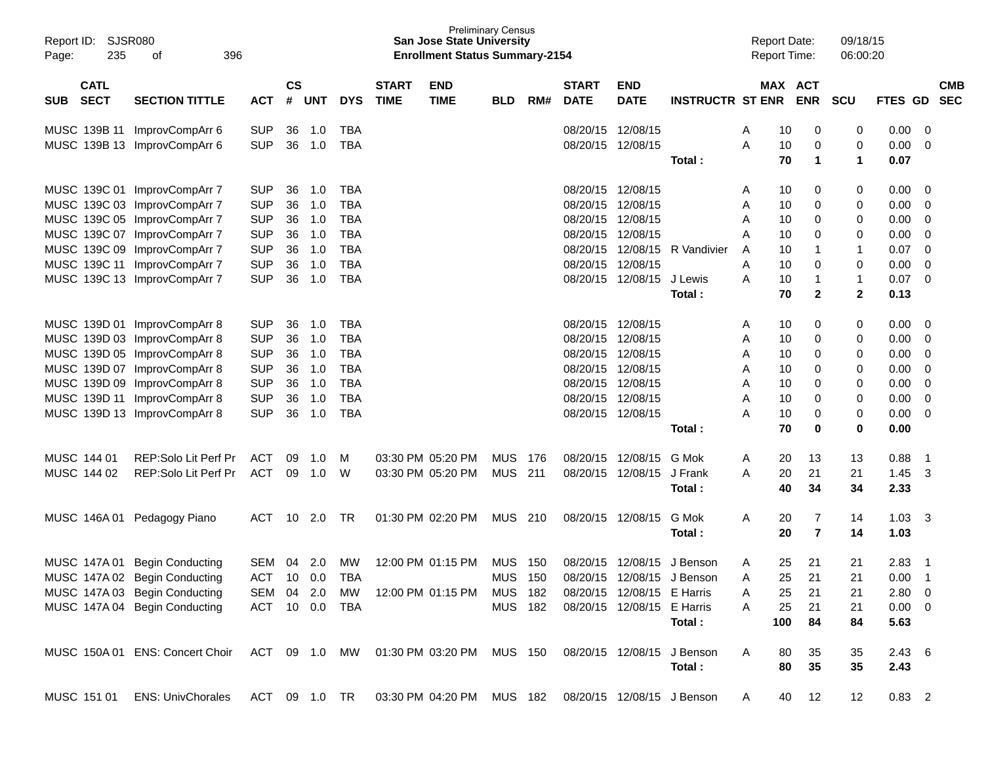| Report ID:<br>235<br>Page:               | <b>SJSR080</b><br>396<br>οf                                             |                |                |            |            |                             | <b>San Jose State University</b><br><b>Enrollment Status Summary-2154</b> | <b>Preliminary Census</b> |     |                             |                            |                            | <b>Report Date:</b><br><b>Report Time:</b> |          |                       | 09/18/15<br>06:00:20 |               |                         |                          |
|------------------------------------------|-------------------------------------------------------------------------|----------------|----------------|------------|------------|-----------------------------|---------------------------------------------------------------------------|---------------------------|-----|-----------------------------|----------------------------|----------------------------|--------------------------------------------|----------|-----------------------|----------------------|---------------|-------------------------|--------------------------|
| <b>CATL</b><br><b>SECT</b><br><b>SUB</b> | <b>SECTION TITTLE</b>                                                   | <b>ACT</b>     | <b>CS</b><br># | <b>UNT</b> | <b>DYS</b> | <b>START</b><br><b>TIME</b> | <b>END</b><br><b>TIME</b>                                                 | <b>BLD</b>                | RM# | <b>START</b><br><b>DATE</b> | <b>END</b><br><b>DATE</b>  | <b>INSTRUCTR ST ENR</b>    |                                            |          | MAX ACT<br><b>ENR</b> | <b>SCU</b>           | FTES GD       |                         | <b>CMB</b><br><b>SEC</b> |
| MUSC 139B 11                             | ImprovCompArr 6                                                         | <b>SUP</b>     | 36             | 1.0        | <b>TBA</b> |                             |                                                                           |                           |     |                             | 08/20/15 12/08/15          |                            | Α                                          | 10       | 0                     | 0                    | 0.00          | - 0                     |                          |
|                                          | MUSC 139B 13 ImprovCompArr 6                                            | <b>SUP</b>     | 36             | 1.0        | <b>TBA</b> |                             |                                                                           |                           |     |                             | 08/20/15 12/08/15          | Total:                     | A                                          | 10<br>70 | 0<br>$\mathbf{1}$     | 0<br>1               | 0.00<br>0.07  | - 0                     |                          |
|                                          |                                                                         |                |                |            |            |                             |                                                                           |                           |     |                             |                            |                            |                                            |          |                       |                      |               |                         |                          |
|                                          | MUSC 139C 01 ImprovCompArr 7                                            | <b>SUP</b>     | 36             | 1.0        | TBA        |                             |                                                                           |                           |     |                             | 08/20/15 12/08/15          |                            | Α                                          | 10       | 0                     | 0                    | 0.00          | - 0                     |                          |
|                                          | MUSC 139C 03 ImprovCompArr 7                                            | <b>SUP</b>     | 36             | 1.0        | <b>TBA</b> |                             |                                                                           |                           |     | 08/20/15                    | 12/08/15                   |                            | Α                                          | 10       | 0                     | 0                    | 0.00          | 0                       |                          |
|                                          | MUSC 139C 05 ImprovCompArr 7                                            | <b>SUP</b>     | 36             | 1.0        | <b>TBA</b> |                             |                                                                           |                           |     | 08/20/15                    | 12/08/15                   |                            | A                                          | 10       | 0                     | 0                    | 0.00          | 0                       |                          |
|                                          | MUSC 139C 07 ImprovCompArr 7                                            | <b>SUP</b>     | 36             | 1.0        | <b>TBA</b> |                             |                                                                           |                           |     | 08/20/15                    | 12/08/15                   |                            | A                                          | 10       | 0                     | 0                    | 0.00          | 0                       |                          |
|                                          | MUSC 139C 09 ImprovCompArr 7                                            | <b>SUP</b>     | 36             | 1.0        | <b>TBA</b> |                             |                                                                           |                           |     | 08/20/15                    | 12/08/15                   | R Vandivier                | A                                          | 10       | -1                    | 1                    | 0.07          | $\Omega$                |                          |
|                                          | MUSC 139C 11 ImprovCompArr 7                                            | <b>SUP</b>     | 36             | 1.0        | <b>TBA</b> |                             |                                                                           |                           |     | 08/20/15                    | 12/08/15                   |                            | Α                                          | 10       | 0                     | 0                    | 0.00          | $\mathbf 0$             |                          |
|                                          | MUSC 139C 13 ImprovCompArr 7                                            | <b>SUP</b>     | 36             | 1.0        | <b>TBA</b> |                             |                                                                           |                           |     |                             | 08/20/15 12/08/15          | J Lewis                    | A                                          | 10       | -1                    | 1                    | 0.07          | $\overline{0}$          |                          |
|                                          |                                                                         |                |                |            |            |                             |                                                                           |                           |     |                             |                            | Total:                     |                                            | 70       | $\mathbf{2}$          | $\mathbf 2$          | 0.13          |                         |                          |
|                                          | MUSC 139D 01 ImprovCompArr 8                                            | <b>SUP</b>     | 36             | 1.0        | TBA        |                             |                                                                           |                           |     |                             | 08/20/15 12/08/15          |                            | Α                                          | 10       | 0                     | 0                    | 0.00          | - 0                     |                          |
|                                          | MUSC 139D 03 ImprovCompArr 8                                            | <b>SUP</b>     | 36             | 1.0        | <b>TBA</b> |                             |                                                                           |                           |     |                             | 08/20/15 12/08/15          |                            | Α                                          | 10       | 0                     | 0                    | 0.00          | 0                       |                          |
|                                          | MUSC 139D 05 ImprovCompArr 8                                            | <b>SUP</b>     | 36             | 1.0        | <b>TBA</b> |                             |                                                                           |                           |     |                             | 08/20/15 12/08/15          |                            | A                                          | 10       | 0                     | 0                    | 0.00          | 0                       |                          |
|                                          | MUSC 139D 07 ImprovCompArr 8                                            | <b>SUP</b>     | 36             | 1.0        | <b>TBA</b> |                             |                                                                           |                           |     |                             | 08/20/15 12/08/15          |                            | A                                          | 10       | 0                     | 0                    | 0.00          | $\Omega$                |                          |
|                                          | MUSC 139D 09 ImprovCompArr 8                                            | <b>SUP</b>     | 36             | 1.0        | <b>TBA</b> |                             |                                                                           |                           |     |                             | 08/20/15 12/08/15          |                            | A                                          | 10       | 0                     | 0                    | 0.00          | 0                       |                          |
|                                          | MUSC 139D 11 ImprovCompArr 8                                            | <b>SUP</b>     | 36             | 1.0        | <b>TBA</b> |                             |                                                                           |                           |     |                             | 08/20/15 12/08/15          |                            | A                                          | 10       | 0                     | 0                    | 0.00          | $\mathbf 0$             |                          |
|                                          | MUSC 139D 13 ImprovCompArr 8                                            | <b>SUP</b>     | 36             | 1.0        | <b>TBA</b> |                             |                                                                           |                           |     |                             | 08/20/15 12/08/15          |                            | Α                                          | 10       | 0                     | 0                    | 0.00          | $\overline{0}$          |                          |
|                                          |                                                                         |                |                |            |            |                             |                                                                           |                           |     |                             |                            | Total :                    |                                            | 70       | $\bf{0}$              | 0                    | 0.00          |                         |                          |
| MUSC 144 01                              | REP:Solo Lit Perf Pr                                                    | ACT            | 09             | 1.0        | M          |                             | 03:30 PM 05:20 PM                                                         | <b>MUS</b>                | 176 |                             | 08/20/15 12/08/15          | G Mok                      | A                                          | 20       | 13                    | 13                   | 0.88          | $\overline{\mathbf{1}}$ |                          |
| MUSC 144 02                              | REP:Solo Lit Perf Pr                                                    | <b>ACT</b>     | 09             | 1.0        | W          |                             | 03:30 PM 05:20 PM                                                         | <b>MUS</b>                | 211 |                             | 08/20/15 12/08/15          | J Frank                    | A                                          | 20       | 21                    | 21                   | 1.45          | - 3                     |                          |
|                                          |                                                                         |                |                |            |            |                             |                                                                           |                           |     |                             |                            | Total:                     |                                            | 40       | 34                    | 34                   | 2.33          |                         |                          |
|                                          | MUSC 146A 01 Pedagogy Piano                                             | <b>ACT</b>     | 10             | 2.0        | TR         |                             | 01:30 PM 02:20 PM                                                         | <b>MUS</b>                | 210 |                             | 08/20/15 12/08/15          | G Mok                      | A                                          | 20       | 7                     | 14                   | 1.03          | - 3                     |                          |
|                                          |                                                                         |                |                |            |            |                             |                                                                           |                           |     |                             |                            | Total :                    |                                            | 20       | $\overline{7}$        | 14                   | 1.03          |                         |                          |
|                                          |                                                                         |                |                |            |            |                             |                                                                           |                           |     |                             |                            |                            |                                            |          |                       |                      |               |                         |                          |
|                                          | MUSC 147A 01 Begin Conducting                                           | SEM            | 04             | 2.0        | MW         |                             | 12:00 PM 01:15 PM                                                         | <b>MUS</b>                | 150 | 08/20/15                    | 12/08/15                   | J Benson                   | A                                          | 25       | 21                    | 21                   | 2.83          | - 1                     |                          |
|                                          | MUSC 147A 02 Begin Conducting                                           | <b>ACT</b>     | 10             | 0.0        | <b>TBA</b> |                             |                                                                           | <b>MUS</b>                | 150 |                             | 08/20/15 12/08/15          | J Benson                   | Α                                          | 25       | 21                    | 21                   | 0.00          | $\overline{1}$          |                          |
|                                          | MUSC 147A 03 Begin Conducting                                           | SEM 04 2.0 MW  |                |            |            |                             | 12:00 PM 01:15 PM                                                         | MUS 182                   |     |                             | 08/20/15 12/08/15          | E Harris                   |                                            | 25       | 21                    | 21                   | 2.80 0        |                         |                          |
|                                          | MUSC 147A 04 Begin Conducting                                           | ACT 10 0.0 TBA |                |            |            |                             |                                                                           | <b>MUS 182</b>            |     |                             | 08/20/15 12/08/15 E Harris |                            | Α                                          | 25       | 21                    | 21                   | $0.00 \t 0$   |                         |                          |
|                                          |                                                                         |                |                |            |            |                             |                                                                           |                           |     |                             |                            | Total:                     |                                            | 100      | 84                    | 84                   | 5.63          |                         |                          |
|                                          | MUSC 150A 01 ENS: Concert Choir ACT 09 1.0 MW 01:30 PM 03:20 PM MUS 150 |                |                |            |            |                             |                                                                           |                           |     |                             |                            | 08/20/15 12/08/15 J Benson | A                                          | 80       | 35                    | 35                   | $2.43\quad 6$ |                         |                          |
|                                          |                                                                         |                |                |            |            |                             |                                                                           |                           |     |                             |                            | Total:                     |                                            | 80       | 35                    | 35                   | 2.43          |                         |                          |
|                                          |                                                                         |                |                |            |            |                             |                                                                           |                           |     |                             |                            |                            |                                            |          |                       |                      |               |                         |                          |
| MUSC 151 01                              | <b>ENS: UnivChorales</b>                                                | ACT 09 1.0 TR  |                |            |            |                             | 03:30 PM 04:20 PM MUS 182                                                 |                           |     |                             |                            | 08/20/15 12/08/15 J Benson | A                                          | 40       | 12                    | 12                   | $0.83$ 2      |                         |                          |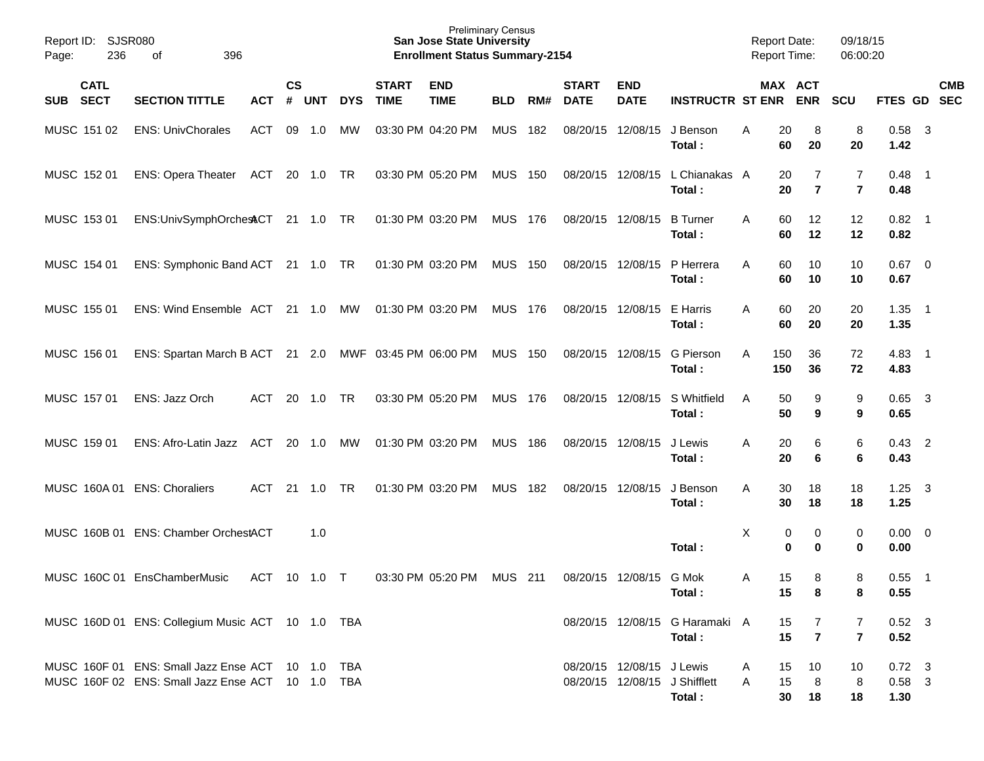| Report ID:<br>236<br>Page:               | <b>SJSR080</b><br>396<br>οf                                                                          |              |                             |                |            |                             | <b>Preliminary Census</b><br><b>San Jose State University</b><br><b>Enrollment Status Summary-2154</b> |            |     |                             |                           |                                          |        |                | <b>Report Date:</b><br><b>Report Time:</b> | 09/18/15<br>06:00:20 |                                    |                          |                          |
|------------------------------------------|------------------------------------------------------------------------------------------------------|--------------|-----------------------------|----------------|------------|-----------------------------|--------------------------------------------------------------------------------------------------------|------------|-----|-----------------------------|---------------------------|------------------------------------------|--------|----------------|--------------------------------------------|----------------------|------------------------------------|--------------------------|--------------------------|
| <b>CATL</b><br><b>SECT</b><br><b>SUB</b> | <b>SECTION TITTLE</b>                                                                                | <b>ACT</b>   | $\mathbf{c}\mathbf{s}$<br># | <b>UNT</b>     | <b>DYS</b> | <b>START</b><br><b>TIME</b> | <b>END</b><br><b>TIME</b>                                                                              | <b>BLD</b> | RM# | <b>START</b><br><b>DATE</b> | <b>END</b><br><b>DATE</b> | <b>INSTRUCTR ST ENR</b>                  |        |                | MAX ACT<br><b>ENR</b>                      | <b>SCU</b>           | FTES GD                            |                          | <b>CMB</b><br><b>SEC</b> |
| MUSC 151 02                              | <b>ENS: UnivChorales</b>                                                                             | <b>ACT</b>   | 09                          | 1.0            | МW         |                             | 03:30 PM 04:20 PM                                                                                      | <b>MUS</b> | 182 | 08/20/15                    | 12/08/15                  | J Benson<br>Total:                       | Α      | 20<br>60       | 8<br>20                                    | 8<br>20              | $0.58$ 3<br>1.42                   |                          |                          |
| MUSC 152 01                              | <b>ENS: Opera Theater</b>                                                                            | ACT          | 20                          | 1.0            | TR         |                             | 03:30 PM 05:20 PM                                                                                      | <b>MUS</b> | 150 | 08/20/15                    | 12/08/15                  | L Chianakas A<br>Total:                  |        | 20<br>20       | 7<br>$\overline{7}$                        | 7<br>$\overline{7}$  | $0.48$ 1<br>0.48                   |                          |                          |
| MUSC 153 01                              | ENS:UnivSymphOrchestCT                                                                               |              |                             | $21 \t 1.0$    | TR         |                             | 01:30 PM 03:20 PM                                                                                      | <b>MUS</b> | 176 | 08/20/15                    | 12/08/15                  | <b>B</b> Turner<br>Total:                | Α      | 60<br>60       | 12<br>12                                   | 12<br>12             | $0.82$ 1<br>0.82                   |                          |                          |
| MUSC 154 01                              | ENS: Symphonic Band ACT                                                                              |              |                             | $21 \t 1.0$    | TR         |                             | 01:30 PM 03:20 PM                                                                                      | <b>MUS</b> | 150 | 08/20/15                    | 12/08/15                  | P Herrera<br>Total:                      | Α      | 60<br>60       | 10<br>10                                   | 10<br>10             | $0.67$ 0<br>0.67                   |                          |                          |
| MUSC 155 01                              | ENS: Wind Ensemble ACT                                                                               |              |                             | $21 \quad 1.0$ | МW         |                             | 01:30 PM 03:20 PM                                                                                      | <b>MUS</b> | 176 | 08/20/15                    | 12/08/15                  | E Harris<br>Total:                       | Α      | 60<br>60       | 20<br>20                                   | 20<br>20             | 1.35<br>1.35                       | $\overline{\phantom{0}}$ |                          |
| MUSC 156 01                              | ENS: Spartan March B ACT                                                                             |              |                             | $21 \quad 2.0$ |            | MWF 03:45 PM 06:00 PM       |                                                                                                        | <b>MUS</b> | 150 | 08/20/15                    | 12/08/15                  | <b>G</b> Pierson<br>Total:               | Α      | 150<br>150     | 36<br>36                                   | 72<br>72             | $4.83$ 1<br>4.83                   |                          |                          |
| MUSC 157 01                              | ENS: Jazz Orch                                                                                       | <b>ACT</b>   | 20                          | 1.0            | TR         |                             | 03:30 PM 05:20 PM                                                                                      | <b>MUS</b> | 176 | 08/20/15                    | 12/08/15                  | S Whitfield<br>Total:                    | Α      | 50<br>50       | 9<br>9                                     | 9<br>9               | $0.65$ 3<br>0.65                   |                          |                          |
| MUSC 159 01                              | ENS: Afro-Latin Jazz                                                                                 | ACT          | 20                          | 1.0            | МW         |                             | 01:30 PM 03:20 PM                                                                                      | <b>MUS</b> | 186 | 08/20/15                    | 12/08/15                  | J Lewis<br>Total:                        | Α      | 20<br>20       | 6<br>6                                     | 6<br>6               | $0.43$ 2<br>0.43                   |                          |                          |
| MUSC 160A 01                             | <b>ENS: Choraliers</b>                                                                               | <b>ACT</b>   | 21                          | 1.0            | TR         |                             | 01:30 PM 03:20 PM                                                                                      | <b>MUS</b> | 182 | 08/20/15                    | 12/08/15                  | J Benson<br>Total:                       | Α      | 30<br>30       | 18<br>18                                   | 18<br>18             | 1.25<br>1.25                       | $\overline{\mathbf{3}}$  |                          |
|                                          | MUSC 160B 01 ENS: Chamber OrchestACT                                                                 |              |                             | 1.0            |            |                             |                                                                                                        |            |     |                             |                           | Total:                                   | Х      | 0<br>0         | 0<br>$\bf{0}$                              | 0<br>0               | $0.00 \t 0$<br>0.00                |                          |                          |
|                                          | MUSC 160C 01 EnsChamberMusic                                                                         | ACT 10 1.0 T |                             |                |            |                             | 03:30 PM 05:20 PM                                                                                      | MUS 211    |     |                             | 08/20/15 12/08/15 G Mok   | Total:                                   | A      | 15<br>15       | 8<br>8                                     | 8<br>8               | $0.55$ 1<br>0.55                   |                          |                          |
|                                          | MUSC 160D 01 ENS: Collegium Music ACT 10 1.0 TBA                                                     |              |                             |                |            |                             |                                                                                                        |            |     |                             |                           | 08/20/15 12/08/15 G Haramaki A<br>Total: |        | 15<br>15       | 7<br>$\overline{\mathbf{r}}$               | 7<br>$\overline{7}$  | $0.52$ 3<br>0.52                   |                          |                          |
|                                          | MUSC 160F 01 ENS: Small Jazz Ense ACT 10 1.0 TBA<br>MUSC 160F 02 ENS: Small Jazz Ense ACT 10 1.0 TBA |              |                             |                |            |                             |                                                                                                        |            |     |                             | 08/20/15 12/08/15 J Lewis | 08/20/15 12/08/15 J Shifflett<br>Total:  | A<br>A | 15<br>15<br>30 | 10<br>8<br>18                              | 10<br>8<br>18        | $0.72 \quad 3$<br>$0.58$ 3<br>1.30 |                          |                          |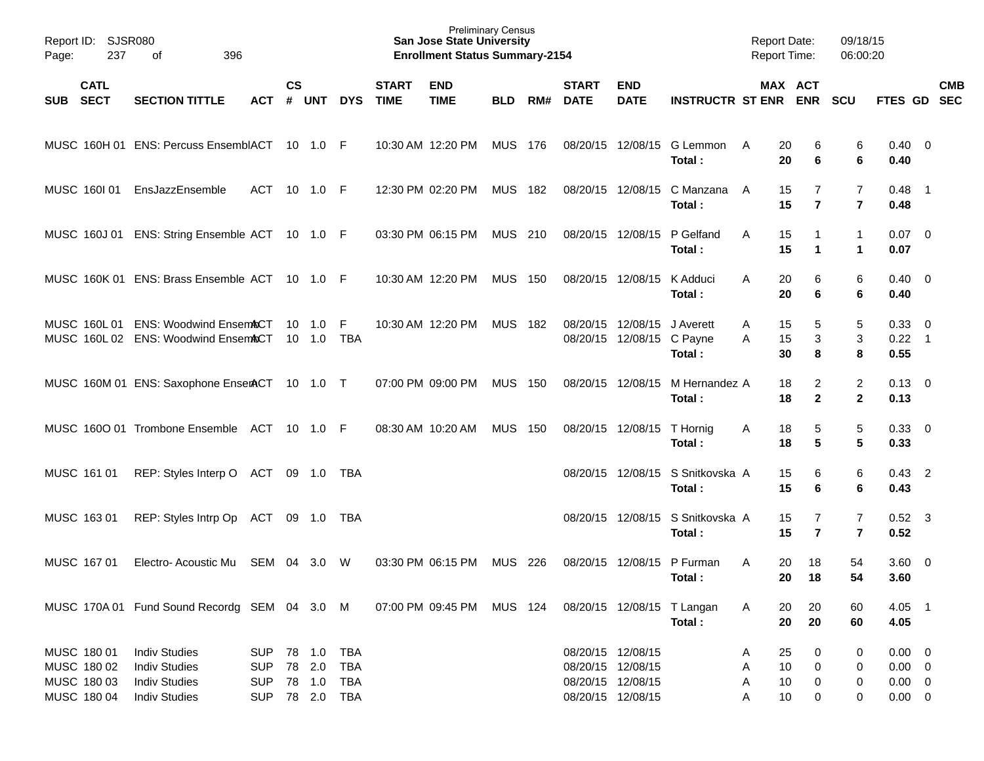| Page:      | Report ID: SJSR080<br>237                                | 396<br>of                                                                                    |                                                      |               |                                      |                                                      |                             | <b>Preliminary Census</b><br><b>San Jose State University</b><br><b>Enrollment Status Summary-2154</b> |                |     |                                                                                  |                           |                                      | <b>Report Date:</b><br><b>Report Time:</b> |                      |                                  | 09/18/15<br>06:00:20             |                                                          |            |
|------------|----------------------------------------------------------|----------------------------------------------------------------------------------------------|------------------------------------------------------|---------------|--------------------------------------|------------------------------------------------------|-----------------------------|--------------------------------------------------------------------------------------------------------|----------------|-----|----------------------------------------------------------------------------------|---------------------------|--------------------------------------|--------------------------------------------|----------------------|----------------------------------|----------------------------------|----------------------------------------------------------|------------|
| <b>SUB</b> | <b>CATL</b><br><b>SECT</b>                               | <b>SECTION TITTLE</b>                                                                        | <b>ACT</b>                                           | $\mathsf{cs}$ | # UNT                                | <b>DYS</b>                                           | <b>START</b><br><b>TIME</b> | <b>END</b><br><b>TIME</b>                                                                              | <b>BLD</b>     | RM# | <b>START</b><br><b>DATE</b>                                                      | <b>END</b><br><b>DATE</b> | <b>INSTRUCTR ST ENR ENR</b>          |                                            |                      | MAX ACT                          | <b>SCU</b>                       | FTES GD SEC                                              | <b>CMB</b> |
|            |                                                          | MUSC 160H 01 ENS: Percuss EnsemblACT 10 1.0 F                                                |                                                      |               |                                      |                                                      |                             | 10:30 AM 12:20 PM                                                                                      | MUS 176        |     | 08/20/15 12/08/15                                                                |                           | G Lemmon<br>Total:                   | A                                          | 20<br>20             | 6<br>6                           | 6<br>6                           | $0.40 \quad 0$<br>0.40                                   |            |
|            | MUSC 160101                                              | EnsJazzEnsemble                                                                              | ACT 10 1.0 F                                         |               |                                      |                                                      |                             | 12:30 PM 02:20 PM                                                                                      | MUS 182        |     | 08/20/15 12/08/15                                                                |                           | C Manzana<br>Total:                  | A                                          | 15<br>15             | 7<br>$\overline{7}$              | $\overline{7}$<br>$\overline{7}$ | $0.48$ 1<br>0.48                                         |            |
|            |                                                          | MUSC 160J 01 ENS: String Ensemble ACT 10 1.0 F                                               |                                                      |               |                                      |                                                      |                             | 03:30 PM 06:15 PM                                                                                      | MUS 210        |     | 08/20/15 12/08/15                                                                |                           | P Gelfand<br>Total:                  | A                                          | 15<br>15             | 1<br>$\mathbf 1$                 | 1<br>1                           | $0.07$ 0<br>0.07                                         |            |
|            |                                                          | MUSC 160K 01 ENS: Brass Ensemble ACT 10 1.0 F                                                |                                                      |               |                                      |                                                      |                             | 10:30 AM 12:20 PM                                                                                      | <b>MUS 150</b> |     | 08/20/15 12/08/15                                                                |                           | K Adduci<br>Total:                   | A                                          | 20<br>20             | 6<br>6                           | 6<br>6                           | $0.40 \quad 0$<br>0.40                                   |            |
|            |                                                          | MUSC 160L 01 ENS: Woodwind EnsemACT<br>MUSC 160L 02 ENS: Woodwind EnsemACT                   |                                                      |               | 10 1.0<br>$10 \quad 1.0$             | -F<br>TBA                                            |                             | 10:30 AM 12:20 PM                                                                                      | <b>MUS 182</b> |     | 08/20/15 12/08/15                                                                | 08/20/15 12/08/15 C Payne | J Averett<br>Total:                  | A<br>A                                     | 15<br>15<br>30       | 5<br>3<br>8                      | 5<br>$\mathbf{3}$<br>8           | 0.33 0<br>$0.22$ 1<br>0.55                               |            |
|            |                                                          | MUSC 160M 01 ENS: Saxophone EnserACT 10 1.0 T                                                |                                                      |               |                                      |                                                      |                             | 07:00 PM 09:00 PM                                                                                      | <b>MUS 150</b> |     | 08/20/15 12/08/15                                                                |                           | M Hernandez A<br>Total:              |                                            | 18<br>18             | $\overline{2}$<br>$\mathbf{2}$   | $\overline{c}$<br>$\mathbf{2}$   | $0.13 \quad 0$<br>0.13                                   |            |
|            |                                                          | MUSC 1600 01 Trombone Ensemble ACT 10 1.0 F                                                  |                                                      |               |                                      |                                                      |                             | 08:30 AM 10:20 AM                                                                                      | <b>MUS 150</b> |     | 08/20/15 12/08/15                                                                |                           | T Hornig<br>Total:                   | A                                          | 18<br>18             | 5<br>$5\phantom{1}$              | 5<br>5                           | 0.33 0<br>0.33                                           |            |
|            | MUSC 161 01                                              | REP: Styles Interp O ACT 09 1.0 TBA                                                          |                                                      |               |                                      |                                                      |                             |                                                                                                        |                |     |                                                                                  | 08/20/15 12/08/15         | S Snitkovska A<br>Total:             |                                            | 15<br>15             | 6<br>6                           | 6<br>6                           | $0.43$ 2<br>0.43                                         |            |
|            | MUSC 163 01                                              | REP: Styles Intrp Op ACT 09 1.0 TBA                                                          |                                                      |               |                                      |                                                      |                             |                                                                                                        |                |     |                                                                                  | 08/20/15 12/08/15         | S Snitkovska A<br>Total:             |                                            | 15<br>15             | $\overline{7}$<br>$\overline{7}$ | 7<br>$\overline{7}$              | $0.52$ 3<br>0.52                                         |            |
|            | MUSC 167 01                                              | Electro-Acoustic Mu                                                                          | SEM 04                                               |               | 3.0                                  | W                                                    |                             | 03:30 PM 06:15 PM                                                                                      | <b>MUS</b>     | 226 |                                                                                  | 08/20/15 12/08/15         | P Furman<br>Total:                   | A                                          | 20<br>20             | 18<br>18                         | 54<br>54                         | $3.60 \ 0$<br>3.60                                       |            |
|            |                                                          | MUSC 170A 01 Fund Sound Recordg SEM 04 3.0 M                                                 |                                                      |               |                                      |                                                      |                             | 07:00 PM 09:45 PM MUS 124                                                                              |                |     |                                                                                  |                           | 08/20/15 12/08/15 T Langan<br>Total: | A                                          | 20<br>20             | 20<br>20                         | 60<br>60                         | 4.05 1<br>4.05                                           |            |
|            | MUSC 180 01<br>MUSC 180 02<br>MUSC 180 03<br>MUSC 180 04 | <b>Indiv Studies</b><br><b>Indiv Studies</b><br><b>Indiv Studies</b><br><b>Indiv Studies</b> | <b>SUP</b><br><b>SUP</b><br><b>SUP</b><br><b>SUP</b> |               | 78 1.0<br>78 2.0<br>78 1.0<br>78 2.0 | <b>TBA</b><br><b>TBA</b><br><b>TBA</b><br><b>TBA</b> |                             |                                                                                                        |                |     | 08/20/15 12/08/15<br>08/20/15 12/08/15<br>08/20/15 12/08/15<br>08/20/15 12/08/15 |                           |                                      | A<br>A<br>A<br>A                           | 25<br>10<br>10<br>10 | 0<br>0<br>0<br>0                 | 0<br>0<br>0<br>0                 | $0.00 \t 0$<br>$0.00 \t 0$<br>$0.00 \t 0$<br>$0.00 \t 0$ |            |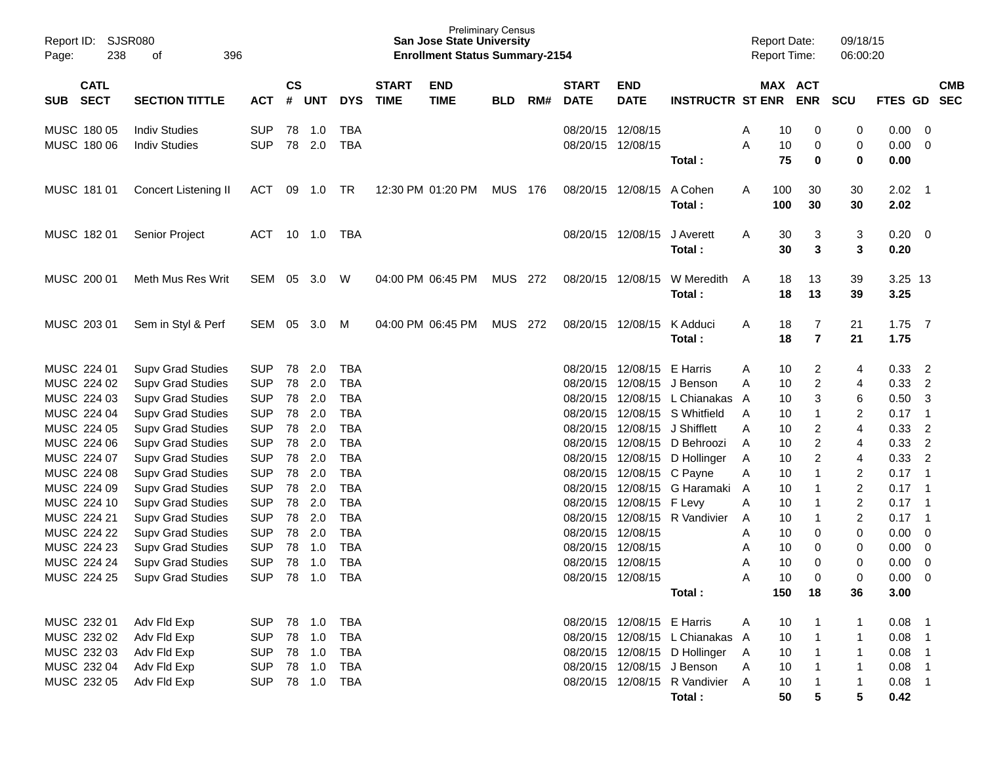| Report ID:<br>238<br>Page:               | <b>SJSR080</b><br>396<br>оf                          |                          |                |            |                          |                             | <b>Preliminary Census</b><br><b>San Jose State University</b><br><b>Enrollment Status Summary-2154</b> |            |       |                             |                               |                                 |        | <b>Report Date:</b><br><b>Report Time:</b> |                     | 09/18/15<br>06:00:20 |                 |                                  |                          |
|------------------------------------------|------------------------------------------------------|--------------------------|----------------|------------|--------------------------|-----------------------------|--------------------------------------------------------------------------------------------------------|------------|-------|-----------------------------|-------------------------------|---------------------------------|--------|--------------------------------------------|---------------------|----------------------|-----------------|----------------------------------|--------------------------|
| <b>CATL</b><br><b>SECT</b><br><b>SUB</b> | <b>SECTION TITTLE</b>                                | <b>ACT</b>               | <b>CS</b><br># | <b>UNT</b> | <b>DYS</b>               | <b>START</b><br><b>TIME</b> | <b>END</b><br><b>TIME</b>                                                                              | <b>BLD</b> | RM#   | <b>START</b><br><b>DATE</b> | <b>END</b><br><b>DATE</b>     | <b>INSTRUCTR ST ENR</b>         |        | MAX ACT                                    | <b>ENR</b>          | <b>SCU</b>           | FTES GD         |                                  | <b>CMB</b><br><b>SEC</b> |
| MUSC 180 05                              | <b>Indiv Studies</b>                                 | <b>SUP</b>               | 78             | 1.0        | <b>TBA</b>               |                             |                                                                                                        |            |       |                             | 08/20/15 12/08/15             |                                 | Α      | 10                                         | 0                   | 0                    | 0.00            | - 0                              |                          |
| MUSC 180 06                              | <b>Indiv Studies</b>                                 | <b>SUP</b>               | 78             | 2.0        | <b>TBA</b>               |                             |                                                                                                        |            |       |                             | 08/20/15 12/08/15             | Total:                          | Α      | 10<br>75                                   | 0<br>0              | 0<br>0               | 0.00<br>0.00    | - 0                              |                          |
| MUSC 181 01                              | Concert Listening II                                 | ACT                      | 09             | 1.0        | TR                       |                             | 12:30 PM 01:20 PM                                                                                      | <b>MUS</b> | - 176 |                             | 08/20/15 12/08/15             | A Cohen<br>Total:               | A      | 100<br>100                                 | 30<br>30            | 30<br>30             | 2.02<br>2.02    | $\overline{\phantom{1}}$         |                          |
| MUSC 182 01                              | <b>Senior Project</b>                                | ACT                      |                | 10 1.0     | TBA                      |                             |                                                                                                        |            |       |                             | 08/20/15 12/08/15             | J Averett<br>Total:             | A      | 30<br>30                                   | 3<br>3              | 3<br>3               | 0.20<br>0.20    | - 0                              |                          |
| MUSC 200 01                              | Meth Mus Res Writ                                    | SEM                      | 05             | 3.0        | W                        |                             | 04:00 PM 06:45 PM                                                                                      | <b>MUS</b> | 272   |                             | 08/20/15 12/08/15             | W Meredith<br>Total:            | A      | 18<br>18                                   | 13<br>13            | 39<br>39             | 3.25 13<br>3.25 |                                  |                          |
| MUSC 203 01                              | Sem in Styl & Perf                                   | SEM                      | 05             | 3.0        | M                        |                             | 04:00 PM 06:45 PM                                                                                      | <b>MUS</b> | 272   |                             | 08/20/15 12/08/15             | K Adduci<br>Total:              | A      | 18<br>18                                   | 7<br>$\overline{7}$ | 21<br>21             | 1.75<br>1.75    | $\overline{7}$                   |                          |
| MUSC 224 01                              | <b>Supv Grad Studies</b>                             | <b>SUP</b>               | 78             | 2.0        | <b>TBA</b>               |                             |                                                                                                        |            |       | 08/20/15                    | 12/08/15                      | E Harris                        | A      | 10                                         | 2                   | 4                    | 0.33            | $\overline{2}$                   |                          |
| MUSC 224 02                              | <b>Supv Grad Studies</b>                             | <b>SUP</b>               | 78             | 2.0        | <b>TBA</b>               |                             |                                                                                                        |            |       | 08/20/15                    | 12/08/15                      | J Benson                        | A      | 10                                         | $\overline{2}$      | 4                    | 0.33            | $\overline{2}$                   |                          |
| MUSC 224 03                              | <b>Supv Grad Studies</b>                             | <b>SUP</b>               | 78             | 2.0        | <b>TBA</b>               |                             |                                                                                                        |            |       | 08/20/15                    | 12/08/15                      | L Chianakas                     | A      | 10                                         | 3                   | 6                    | 0.50            | -3                               |                          |
| MUSC 224 04                              | <b>Supv Grad Studies</b>                             | <b>SUP</b>               | 78             | 2.0        | <b>TBA</b>               |                             |                                                                                                        |            |       |                             |                               | 08/20/15 12/08/15 S Whitfield   | A      | 10                                         | -1                  | 2                    | 0.17            | $\overline{1}$                   |                          |
| MUSC 224 05                              | <b>Supv Grad Studies</b>                             | <b>SUP</b>               | 78             | 2.0        | <b>TBA</b>               |                             |                                                                                                        |            |       | 08/20/15                    | 12/08/15                      | J Shifflett                     | A      | 10                                         | $\overline{2}$      | $\overline{4}$       | 0.33            | $\overline{2}$                   |                          |
| MUSC 224 06                              | <b>Supv Grad Studies</b>                             | <b>SUP</b>               | 78             | 2.0        | <b>TBA</b>               |                             |                                                                                                        |            |       | 08/20/15                    | 12/08/15                      | D Behroozi                      | A      | 10                                         | $\overline{2}$      | 4                    | 0.33            | $\overline{2}$                   |                          |
| MUSC 224 07<br>MUSC 224 08               | <b>Supv Grad Studies</b>                             | <b>SUP</b><br><b>SUP</b> | 78<br>78       | 2.0<br>2.0 | <b>TBA</b><br><b>TBA</b> |                             |                                                                                                        |            |       | 08/20/15                    | 08/20/15 12/08/15<br>12/08/15 | D Hollinger<br>C Payne          | A      | 10<br>10                                   | 2<br>1              | 4<br>2               | 0.33<br>0.17    | $\overline{2}$<br>$\overline{1}$ |                          |
| MUSC 224 09                              | <b>Supv Grad Studies</b><br><b>Supv Grad Studies</b> | <b>SUP</b>               | 78             | 2.0        | <b>TBA</b>               |                             |                                                                                                        |            |       | 08/20/15                    | 12/08/15                      | G Haramaki                      | Α<br>A | 10                                         | -1                  | $\overline{c}$       | 0.17            | $\overline{\phantom{0}}$ 1       |                          |
| MUSC 224 10                              | <b>Supv Grad Studies</b>                             | <b>SUP</b>               | 78             | 2.0        | <b>TBA</b>               |                             |                                                                                                        |            |       | 08/20/15                    | 12/08/15 F Levy               |                                 | Α      | 10                                         | -1                  | $\overline{c}$       | 0.17            | $\overline{1}$                   |                          |
| MUSC 224 21                              | <b>Supv Grad Studies</b>                             | <b>SUP</b>               | 78             | 2.0        | <b>TBA</b>               |                             |                                                                                                        |            |       | 08/20/15                    |                               | 12/08/15 R Vandivier            | A      | 10                                         | $\mathbf 1$         | $\overline{c}$       | 0.17            | $\overline{\phantom{0}}$ 1       |                          |
| MUSC 224 22                              | <b>Supv Grad Studies</b>                             | <b>SUP</b>               | 78             | 2.0        | <b>TBA</b>               |                             |                                                                                                        |            |       | 08/20/15                    | 12/08/15                      |                                 | A      | 10                                         | 0                   | 0                    | 0.00            | - 0                              |                          |
| MUSC 224 23                              | <b>Supv Grad Studies</b>                             | <b>SUP</b>               | 78             | 1.0        | <b>TBA</b>               |                             |                                                                                                        |            |       | 08/20/15                    | 12/08/15                      |                                 | A      | 10                                         | 0                   | 0                    | 0.00            | 0                                |                          |
| MUSC 224 24                              | <b>Supv Grad Studies</b>                             | <b>SUP</b>               | 78             | 1.0        | <b>TBA</b>               |                             |                                                                                                        |            |       |                             | 08/20/15 12/08/15             |                                 | A      | 10                                         | $\Omega$            | $\mathbf 0$          | 0.00            | $\mathbf 0$                      |                          |
| MUSC 224 25                              | <b>Supv Grad Studies</b>                             | SUP 78 1.0 TBA           |                |            |                          |                             |                                                                                                        |            |       |                             | 08/20/15 12/08/15             |                                 | A      | 10 <sup>°</sup>                            | 0                   | 0                    | 0.00            | $\overline{\mathbf{0}}$          |                          |
|                                          |                                                      |                          |                |            |                          |                             |                                                                                                        |            |       |                             |                               | Total:                          |        | 150                                        | 18                  | 36                   | 3.00            |                                  |                          |
| MUSC 232 01                              | Adv Fld Exp                                          | SUP                      |                |            | <b>TBA</b>               |                             |                                                                                                        |            |       |                             | 08/20/15 12/08/15 E Harris    |                                 | A      | 10                                         |                     | 1                    | $0.08$ 1        |                                  |                          |
| MUSC 232 02                              | Adv Fld Exp                                          | <b>SUP</b>               |                | 78 1.0     | <b>TBA</b>               |                             |                                                                                                        |            |       |                             |                               | 08/20/15 12/08/15 L Chianakas A |        | 10                                         | $\overline{1}$      | 1                    | $0.08$ 1        |                                  |                          |
| MUSC 232 03                              | Adv Fld Exp                                          | <b>SUP</b>               |                | 78 1.0     | TBA                      |                             |                                                                                                        |            |       |                             |                               | 08/20/15 12/08/15 D Hollinger A |        | 10                                         | $\overline{1}$      | 1                    | $0.08$ 1        |                                  |                          |
| MUSC 232 04                              | Adv Fld Exp                                          | <b>SUP</b>               |                | 78 1.0     | TBA                      |                             |                                                                                                        |            |       |                             |                               | 08/20/15 12/08/15 J Benson      | A      | 10                                         | $\mathbf{1}$        | 1                    | $0.08$ 1        |                                  |                          |
| MUSC 232 05                              | Adv Fld Exp                                          | <b>SUP</b>               |                | 78 1.0     | TBA                      |                             |                                                                                                        |            |       |                             |                               | 08/20/15 12/08/15 R Vandivier A |        | 10                                         | $\mathbf 1$         | 1                    | $0.08$ 1        |                                  |                          |
|                                          |                                                      |                          |                |            |                          |                             |                                                                                                        |            |       |                             |                               | Total:                          |        | 50                                         | 5                   | 5                    | 0.42            |                                  |                          |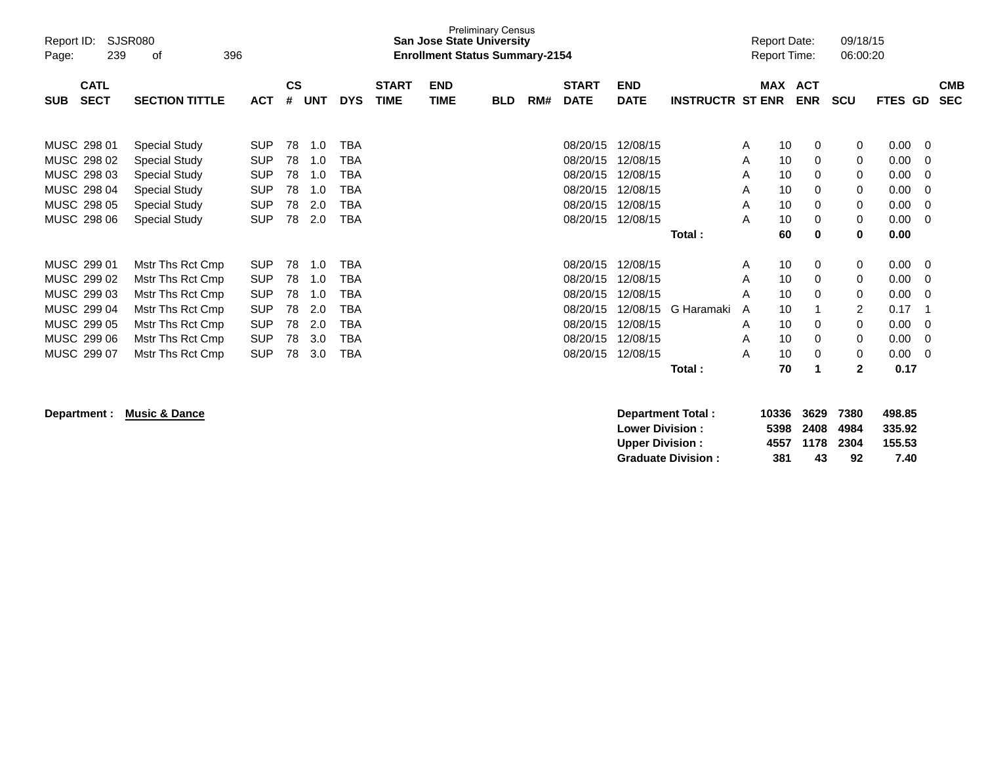| Report ID:<br>239<br>Page:                                                                            | <b>SJSR080</b><br>0f                                                                                                                         | 396                                                                                            |                                        |                                               |                                               |                             | <b>San Jose State University</b><br><b>Enrollment Status Summary-2154</b> | <b>Preliminary Census</b> |     |                                                                                  |                                                                                  |                         |                                 | <b>Report Date:</b><br><b>Report Time:</b>   |                                 | 09/18/15<br>06:00:20                            |                                                              |                                  |                          |
|-------------------------------------------------------------------------------------------------------|----------------------------------------------------------------------------------------------------------------------------------------------|------------------------------------------------------------------------------------------------|----------------------------------------|-----------------------------------------------|-----------------------------------------------|-----------------------------|---------------------------------------------------------------------------|---------------------------|-----|----------------------------------------------------------------------------------|----------------------------------------------------------------------------------|-------------------------|---------------------------------|----------------------------------------------|---------------------------------|-------------------------------------------------|--------------------------------------------------------------|----------------------------------|--------------------------|
| <b>CATL</b><br><b>SECT</b><br><b>SUB</b>                                                              | <b>SECTION TITTLE</b>                                                                                                                        | <b>ACT</b>                                                                                     | <b>CS</b><br>#                         | <b>UNT</b>                                    | <b>DYS</b>                                    | <b>START</b><br><b>TIME</b> | <b>END</b><br><b>TIME</b>                                                 | <b>BLD</b>                | RM# | <b>START</b><br><b>DATE</b>                                                      | <b>END</b><br><b>DATE</b>                                                        | <b>INSTRUCTR ST ENR</b> |                                 | <b>MAX</b>                                   | <b>ACT</b><br><b>ENR</b>        | <b>SCU</b>                                      | <b>FTES GD</b>                                               |                                  | <b>CMB</b><br><b>SEC</b> |
| MUSC 298 01<br>MUSC 298 02<br>MUSC 298 03<br>MUSC 298 04<br>MUSC 298 05<br>MUSC 298 06                | <b>Special Study</b><br><b>Special Study</b><br><b>Special Study</b><br><b>Special Study</b><br><b>Special Study</b><br><b>Special Study</b> | <b>SUP</b><br><b>SUP</b><br><b>SUP</b><br><b>SUP</b><br><b>SUP</b><br><b>SUP</b>               | 78<br>78<br>78<br>78<br>78<br>78       | 1.0<br>1.0<br>1.0<br>1.0<br>2.0<br>2.0        | TBA<br>TBA<br>TBA<br>ТВА<br>TBA<br>TBA        |                             |                                                                           |                           |     | 08/20/15<br>08/20/15<br>08/20/15<br>08/20/15<br>08/20/15<br>08/20/15             | 12/08/15<br>12/08/15<br>12/08/15<br>12/08/15<br>12/08/15<br>12/08/15             | Total:                  | A<br>A<br>A<br>A<br>Α<br>A      | 10<br>10<br>10<br>10<br>10<br>10<br>60       | 0<br>0<br>0<br>0<br>0<br>0<br>0 | 0<br>0<br>0<br>0<br>0<br>0<br>0                 | 0.00<br>0.00<br>0.00<br>0.00<br>0.00<br>0.00<br>0.00         | -0<br>-0<br>-0<br>-0<br>-0<br>0  |                          |
| MUSC 299 01<br>MUSC 299 02<br>MUSC 299 03<br>MUSC 299 04<br>MUSC 299 05<br>MUSC 299 06<br>MUSC 299 07 | Mstr Ths Rct Cmp<br>Mstr Ths Rct Cmp<br>Mstr Ths Rct Cmp<br>Mstr Ths Rct Cmp<br>Mstr Ths Rct Cmp<br>Mstr Ths Rct Cmp<br>Mstr Ths Rct Cmp     | <b>SUP</b><br><b>SUP</b><br><b>SUP</b><br><b>SUP</b><br><b>SUP</b><br><b>SUP</b><br><b>SUP</b> | 78<br>78<br>78<br>78<br>78<br>78<br>78 | 1.0<br>1.0<br>1.0<br>2.0<br>2.0<br>3.0<br>3.0 | TBA<br>TBA<br>TBA<br>TBA<br>TBA<br>TBA<br>TBA |                             |                                                                           |                           |     | 08/20/15<br>08/20/15<br>08/20/15<br>08/20/15<br>08/20/15<br>08/20/15<br>08/20/15 | 12/08/15<br>12/08/15<br>12/08/15<br>12/08/15<br>12/08/15<br>12/08/15<br>12/08/15 | G Haramaki<br>Total:    | A<br>A<br>A<br>A<br>A<br>A<br>A | 10<br>10<br>10<br>10<br>10<br>10<br>10<br>70 | 0<br>0<br>0<br>0<br>0<br>0      | 0<br>0<br>0<br>2<br>0<br>0<br>0<br>$\mathbf{2}$ | 0.00<br>0.00<br>0.00<br>0.17<br>0.00<br>0.00<br>0.00<br>0.17 | - 0<br>-0<br>-0<br>-0<br>-0<br>0 |                          |

**Department : Music & Dance** 

|     |    |    | 498.85                                              |
|-----|----|----|-----------------------------------------------------|
|     |    |    | 335.92                                              |
|     |    |    | 155.53                                              |
| 381 | 43 | 92 | 7.40                                                |
|     |    |    | 10336 3629 7380<br>5398 2408 4984<br>4557 1178 2304 |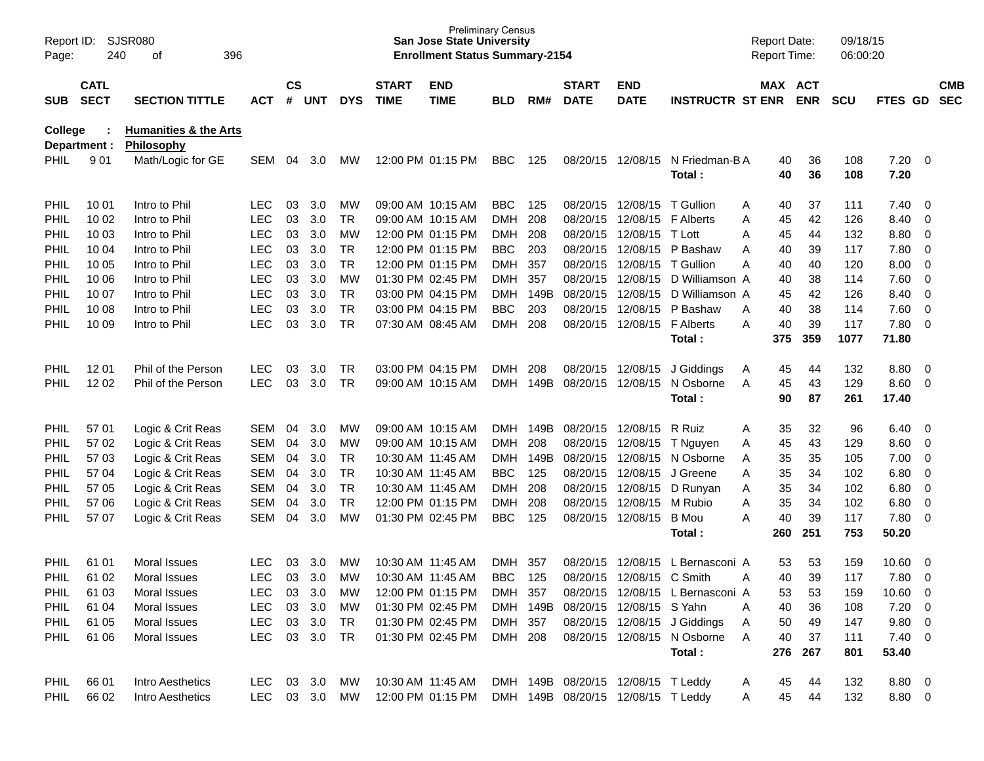| Report ID:<br>Page: | 240                        | SJSR080<br>396<br>οf                           |               | <b>Preliminary Census</b><br><b>San Jose State University</b><br><b>Enrollment Status Summary-2154</b> |        |            |                             |                           |            |          |                             |                                    | <b>Report Date:</b><br>Report Time: |          | 09/18/15<br>06:00:20 |            |                |                |                          |
|---------------------|----------------------------|------------------------------------------------|---------------|--------------------------------------------------------------------------------------------------------|--------|------------|-----------------------------|---------------------------|------------|----------|-----------------------------|------------------------------------|-------------------------------------|----------|----------------------|------------|----------------|----------------|--------------------------|
| SUB                 | <b>CATL</b><br><b>SECT</b> | <b>SECTION TITTLE</b>                          | <b>ACT</b>    | $\mathsf{cs}$<br>#                                                                                     | UNT    | <b>DYS</b> | <b>START</b><br><b>TIME</b> | <b>END</b><br><b>TIME</b> | BLD        | RM#      | <b>START</b><br><b>DATE</b> | <b>END</b><br><b>DATE</b>          | <b>INSTRUCTR ST ENR</b>             | MAX ACT  | <b>ENR</b>           | <b>SCU</b> | FTES GD        |                | <b>CMB</b><br><b>SEC</b> |
| College             | Department :               | <b>Humanities &amp; the Arts</b><br>Philosophy |               |                                                                                                        |        |            |                             |                           |            |          |                             |                                    |                                     |          |                      |            |                |                |                          |
| <b>PHIL</b>         | 901                        | Math/Logic for GE                              | <b>SEM</b>    | 04                                                                                                     | 3.0    | <b>MW</b>  |                             | 12:00 PM 01:15 PM         | <b>BBC</b> | 125      |                             | 08/20/15 12/08/15                  | N Friedman-B A<br>Total:            | 40<br>40 | 36<br>36             | 108<br>108 | 7.20<br>7.20   | - 0            |                          |
| <b>PHIL</b>         | 10 01                      | Intro to Phil                                  | <b>LEC</b>    | 03                                                                                                     | 3.0    | MW         |                             | 09:00 AM 10:15 AM         | <b>BBC</b> | 125      |                             | 08/20/15 12/08/15                  | T Gullion                           | 40<br>Α  | 37                   | 111        | 7.40           | 0              |                          |
| <b>PHIL</b>         | 10 02                      | Intro to Phil                                  | <b>LEC</b>    | 03                                                                                                     | 3.0    | <b>TR</b>  |                             | 09:00 AM 10:15 AM         | <b>DMH</b> | 208      |                             | 08/20/15 12/08/15                  | <b>F</b> Alberts                    | Α<br>45  | 42                   | 126        | 8.40           | $\mathbf 0$    |                          |
| <b>PHIL</b>         | 10 03                      | Intro to Phil                                  | <b>LEC</b>    | 03                                                                                                     | 3.0    | МW         |                             | 12:00 PM 01:15 PM         | <b>DMH</b> | 208      |                             | 08/20/15 12/08/15                  | T Lott                              | 45<br>Α  | 44                   | 132        | 8.80           | $\mathbf 0$    |                          |
| <b>PHIL</b>         | 10 04                      | Intro to Phil                                  | <b>LEC</b>    | 03                                                                                                     | 3.0    | <b>TR</b>  |                             | 12:00 PM 01:15 PM         | <b>BBC</b> | 203      |                             | 08/20/15 12/08/15                  | P Bashaw                            | 40<br>Α  | 39                   | 117        | 7.80           | $\mathbf 0$    |                          |
| <b>PHIL</b>         | 10 05                      | Intro to Phil                                  | <b>LEC</b>    | 03                                                                                                     | 3.0    | <b>TR</b>  |                             | 12:00 PM 01:15 PM         | <b>DMH</b> | 357      |                             | 08/20/15 12/08/15 T Gullion        |                                     | Α<br>40  | 40                   | 120        | 8.00           | $\mathbf 0$    |                          |
| <b>PHIL</b>         | 10 06                      | Intro to Phil                                  | <b>LEC</b>    | 03                                                                                                     | 3.0    | <b>MW</b>  |                             | 01:30 PM 02:45 PM         | <b>DMH</b> | 357      |                             | 08/20/15 12/08/15                  | D Williamson A                      | 40       | 38                   | 114        | 7.60           | $\mathbf 0$    |                          |
| <b>PHIL</b>         | 10 07                      | Intro to Phil                                  | <b>LEC</b>    | 03                                                                                                     | 3.0    | <b>TR</b>  |                             | 03:00 PM 04:15 PM         | DMH.       | 149B     |                             | 08/20/15 12/08/15                  | D Williamson A                      | 45       | 42                   | 126        | 8.40           | $\mathbf 0$    |                          |
| <b>PHIL</b>         | 10 08                      | Intro to Phil                                  | <b>LEC</b>    | 03                                                                                                     | 3.0    | <b>TR</b>  |                             | 03:00 PM 04:15 PM         | <b>BBC</b> | 203      |                             | 08/20/15 12/08/15                  | P Bashaw                            | 40<br>Α  | 38                   | 114        | 7.60           | $\mathbf 0$    |                          |
| PHIL                | 10 09                      | Intro to Phil                                  | <b>LEC</b>    | 03                                                                                                     | 3.0    | <b>TR</b>  |                             | 07:30 AM 08:45 AM         | <b>DMH</b> | 208      |                             | 08/20/15 12/08/15                  | <b>F</b> Alberts                    | 40<br>Α  | 39                   | 117        | 7.80           | $\mathbf 0$    |                          |
|                     |                            |                                                |               |                                                                                                        |        |            |                             |                           |            |          |                             |                                    | Total:                              | 375      | 359                  | 1077       | 71.80          |                |                          |
| <b>PHIL</b>         | 12 01                      | Phil of the Person                             | <b>LEC</b>    | 03                                                                                                     | 3.0    | TR         |                             | 03:00 PM 04:15 PM         | <b>DMH</b> | 208      |                             | 08/20/15 12/08/15                  | J Giddings                          | 45<br>A  | 44                   | 132        | 8.80           | 0              |                          |
| <b>PHIL</b>         | 12 02                      | Phil of the Person                             | <b>LEC</b>    | 03                                                                                                     | 3.0    | <b>TR</b>  |                             | 09:00 AM 10:15 AM         | <b>DMH</b> | 149B     |                             | 08/20/15 12/08/15                  | N Osborne                           | 45<br>A  | 43                   | 129        | 8.60           | 0              |                          |
|                     |                            |                                                |               |                                                                                                        |        |            |                             |                           |            |          |                             |                                    | Total:                              | 90       | 87                   | 261        | 17.40          |                |                          |
| <b>PHIL</b>         | 57 01                      | Logic & Crit Reas                              | <b>SEM</b>    | 04                                                                                                     | 3.0    | МW         |                             | 09:00 AM 10:15 AM         | <b>DMH</b> | 149B     |                             | 08/20/15 12/08/15                  | R Ruiz                              | 35<br>Α  | 32                   | 96         | 6.40           | 0              |                          |
| <b>PHIL</b>         | 57 02                      | Logic & Crit Reas                              | <b>SEM</b>    | 04                                                                                                     | 3.0    | MW         |                             | 09:00 AM 10:15 AM         | <b>DMH</b> | 208      |                             |                                    | 08/20/15 12/08/15 T Nguyen          | 45<br>Α  | 43                   | 129        | 8.60           | $\mathbf 0$    |                          |
| <b>PHIL</b>         | 57 03                      | Logic & Crit Reas                              | <b>SEM</b>    | 04                                                                                                     | 3.0    | <b>TR</b>  |                             | 10:30 AM 11:45 AM         | <b>DMH</b> | 149B     |                             | 08/20/15 12/08/15                  | N Osborne                           | Α<br>35  | 35                   | 105        | 7.00           | $\mathbf 0$    |                          |
| <b>PHIL</b>         | 57 04                      | Logic & Crit Reas                              | <b>SEM</b>    | 04                                                                                                     | 3.0    | <b>TR</b>  |                             | 10:30 AM 11:45 AM         | <b>BBC</b> | 125      |                             | 08/20/15 12/08/15                  | J Greene                            | 35<br>Α  | 34                   | 102        | 6.80           | $\mathbf 0$    |                          |
| <b>PHIL</b>         | 57 05                      | Logic & Crit Reas                              | SEM           | 04                                                                                                     | 3.0    | <b>TR</b>  |                             | 10:30 AM 11:45 AM         | <b>DMH</b> | 208      |                             | 08/20/15 12/08/15                  | D Runyan                            | 35<br>A  | 34                   | 102        | 6.80           | $\mathbf 0$    |                          |
| <b>PHIL</b>         | 57 06                      | Logic & Crit Reas                              | <b>SEM</b>    | 04                                                                                                     | 3.0    | <b>TR</b>  |                             | 12:00 PM 01:15 PM         | <b>DMH</b> | 208      |                             | 08/20/15 12/08/15                  | M Rubio                             | 35<br>Α  | 34                   | 102        | 6.80           | $\mathbf 0$    |                          |
| PHIL                | 57 07                      | Logic & Crit Reas                              | <b>SEM</b>    | 04                                                                                                     | 3.0    | <b>MW</b>  |                             | 01:30 PM 02:45 PM         | <b>BBC</b> | 125      |                             | 08/20/15 12/08/15                  | <b>B</b> Mou                        | 40<br>А  | 39                   | 117        | 7.80           | $\mathbf 0$    |                          |
|                     |                            |                                                |               |                                                                                                        |        |            |                             |                           |            |          |                             |                                    | Total:                              | 260      | 251                  | 753        | 50.20          |                |                          |
| <b>PHIL</b>         | 61 01                      | Moral Issues                                   | LEC           | 03                                                                                                     | 3.0    | МW         |                             | 10:30 AM 11:45 AM         | <b>DMH</b> | 357      | 08/20/15                    | 12/08/15                           | L Bernasconi A                      | 53       | 53                   | 159        | 10.60          | 0              |                          |
| <b>PHIL</b>         | 61 02                      | Moral Issues                                   | <b>LEC</b>    | 03                                                                                                     | 3.0    | МW         |                             | 10:30 AM 11:45 AM         | <b>BBC</b> | 125      |                             | 08/20/15 12/08/15 C Smith          |                                     | 40<br>Α  | 39                   | 117        | 7.80           | $\overline{0}$ |                          |
| <b>PHIL</b>         | 61 03                      | Moral Issues                                   | <b>LEC</b>    |                                                                                                        | 03 3.0 | МW         |                             | 12:00 PM 01:15 PM         | DMH 357    |          |                             |                                    | 08/20/15 12/08/15 L Bernasconi A    | 53       | 53                   | 159        | $10.60 \t 0$   |                |                          |
| <b>PHIL</b>         | 61 04                      | Moral Issues                                   | <b>LEC</b>    |                                                                                                        | 03 3.0 | МW         |                             | 01:30 PM 02:45 PM         |            | DMH 149B |                             | 08/20/15 12/08/15 S Yahn           |                                     | Α<br>40  | 36                   | 108        | $7.20 \t 0$    |                |                          |
| PHIL                | 61 05                      | Moral Issues                                   | <b>LEC</b>    |                                                                                                        | 03 3.0 | TR         |                             | 01:30 PM 02:45 PM         | DMH 357    |          |                             |                                    | 08/20/15 12/08/15 J Giddings        | 50<br>A  | 49                   | 147        | $9.80\ 0$      |                |                          |
| <b>PHIL</b>         | 61 06                      | Moral Issues                                   | <b>LEC</b>    |                                                                                                        | 03 3.0 | <b>TR</b>  |                             | 01:30 PM 02:45 PM         | DMH 208    |          |                             |                                    | 08/20/15 12/08/15 N Osborne         | 40<br>A  | 37                   | 111        | $7.40 \quad 0$ |                |                          |
|                     |                            |                                                |               |                                                                                                        |        |            |                             |                           |            |          |                             |                                    | Total:                              | 276      | 267                  | 801        | 53.40          |                |                          |
| <b>PHIL</b>         | 66 01                      | Intro Aesthetics                               | LEC           |                                                                                                        | 03 3.0 | МW         |                             | 10:30 AM 11:45 AM         |            |          |                             | DMH 149B 08/20/15 12/08/15 T Leddy |                                     | 45<br>A  | 44                   | 132        | 8.80 0         |                |                          |
| <b>PHIL</b>         | 66 02                      | Intro Aesthetics                               | LEC 03 3.0 MW |                                                                                                        |        |            |                             | 12:00 PM 01:15 PM         |            |          |                             | DMH 149B 08/20/15 12/08/15 T Leddy |                                     | 45<br>A  | 44                   | 132        | 8.80 0         |                |                          |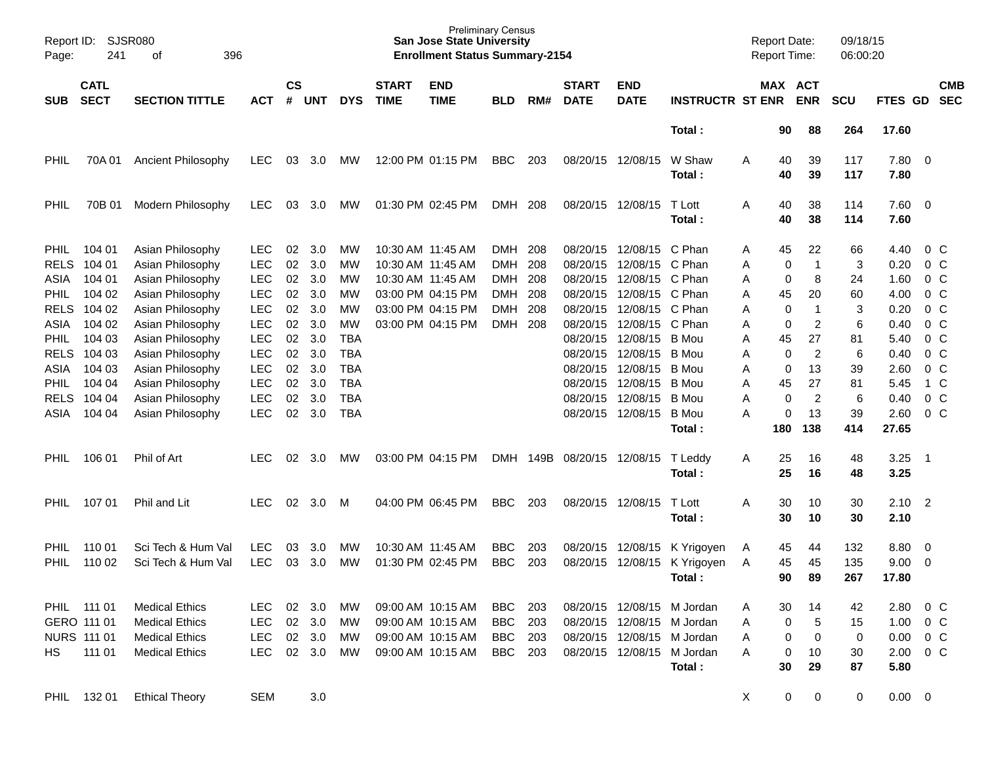| Page:                              | Report ID: SJSR080<br>241  | 396<br>оf                                                |                                        |                    |                   |                                        |                             | <b>San Jose State University</b><br><b>Enrollment Status Summary-2154</b> | <b>Preliminary Census</b>              |                   |                             |                                                                                  |                                    | <b>Report Date:</b><br><b>Report Time:</b> |                |                            | 09/18/15<br>06:00:20 |                       |                                                    |                                                    |
|------------------------------------|----------------------------|----------------------------------------------------------|----------------------------------------|--------------------|-------------------|----------------------------------------|-----------------------------|---------------------------------------------------------------------------|----------------------------------------|-------------------|-----------------------------|----------------------------------------------------------------------------------|------------------------------------|--------------------------------------------|----------------|----------------------------|----------------------|-----------------------|----------------------------------------------------|----------------------------------------------------|
| <b>SUB</b>                         | <b>CATL</b><br><b>SECT</b> | <b>SECTION TITTLE</b>                                    | ACT                                    | $\mathsf{cs}$<br># | <b>UNT</b>        | <b>DYS</b>                             | <b>START</b><br><b>TIME</b> | <b>END</b><br><b>TIME</b>                                                 | <b>BLD</b>                             | RM#               | <b>START</b><br><b>DATE</b> | <b>END</b><br><b>DATE</b>                                                        | <b>INSTRUCTR ST ENR</b>            |                                            |                | MAX ACT<br><b>ENR</b>      | <b>SCU</b>           | FTES GD SEC           |                                                    | <b>CMB</b>                                         |
|                                    |                            |                                                          |                                        |                    |                   |                                        |                             |                                                                           |                                        |                   |                             |                                                                                  | Total:                             |                                            | 90             | 88                         | 264                  | 17.60                 |                                                    |                                                    |
| PHIL                               | 70A 01                     | Ancient Philosophy                                       | LEC.                                   | 03                 | 3.0               | MW                                     |                             | 12:00 PM 01:15 PM                                                         | BBC                                    | 203               |                             | 08/20/15 12/08/15                                                                | W Shaw<br>Total:                   | A                                          | 40<br>40       | 39<br>39                   | 117<br>117           | 7.80<br>7.80          | $\overline{\mathbf{0}}$                            |                                                    |
| PHIL                               | 70B 01                     | Modern Philosophy                                        | LEC.                                   | 03                 | 3.0               | <b>MW</b>                              |                             | 01:30 PM 02:45 PM                                                         | DMH 208                                |                   |                             | 08/20/15 12/08/15                                                                | T Lott<br>Total:                   | Α                                          | 40<br>40       | 38<br>38                   | 114<br>114           | 7.60 0<br>7.60        |                                                    |                                                    |
| <b>PHIL</b><br><b>RELS</b>         | 104 01<br>104 01           | Asian Philosophy<br>Asian Philosophy                     | LEC.<br><b>LEC</b>                     | 02<br>02           | 3.0<br>3.0        | <b>MW</b><br>MW                        |                             | 10:30 AM 11:45 AM<br>10:30 AM 11:45 AM                                    | <b>DMH</b><br><b>DMH</b>               | 208<br>208        |                             | 08/20/15 12/08/15 C Phan<br>08/20/15 12/08/15 C Phan                             |                                    | A<br>A                                     | 45<br>0        | 22<br>$\mathbf{1}$         | 66<br>3              | 4.40<br>0.20          |                                                    | $0\,$ C<br>0 <sup>o</sup>                          |
| ASIA<br><b>PHIL</b><br><b>RELS</b> | 104 01<br>104 02<br>104 02 | Asian Philosophy<br>Asian Philosophy<br>Asian Philosophy | <b>LEC</b><br><b>LEC</b><br><b>LEC</b> | 02<br>02<br>02     | 3.0<br>3.0<br>3.0 | <b>MW</b><br>МW<br>МW                  |                             | 10:30 AM 11:45 AM<br>03:00 PM 04:15 PM<br>03:00 PM 04:15 PM               | <b>DMH</b><br><b>DMH</b><br><b>DMH</b> | 208<br>208<br>208 |                             | 08/20/15 12/08/15 C Phan<br>08/20/15 12/08/15 C Phan<br>08/20/15 12/08/15 C Phan |                                    | A<br>Α<br>A                                | 0<br>45<br>0   | 8<br>20<br>$\mathbf 1$     | 24<br>60<br>3        | 1.60<br>4.00<br>0.20  |                                                    | 0 <sup>o</sup><br>0 <sup>o</sup><br>0 <sup>o</sup> |
| ASIA<br><b>PHIL</b>                | 104 02<br>104 03           | Asian Philosophy<br>Asian Philosophy                     | <b>LEC</b><br><b>LEC</b>               | 02<br>02           | 3.0<br>3.0        | MW<br><b>TBA</b>                       |                             | 03:00 PM 04:15 PM                                                         | DMH 208                                |                   |                             | 08/20/15 12/08/15 C Phan<br>08/20/15 12/08/15                                    | B Mou                              | A<br>Α                                     | 0<br>45        | $\overline{2}$<br>27       | 6<br>81              | 0.40<br>5.40          |                                                    | 0 <sup>o</sup><br>0 <sup>o</sup>                   |
| <b>RELS</b><br>ASIA<br><b>PHIL</b> | 104 03<br>104 03<br>104 04 | Asian Philosophy<br>Asian Philosophy<br>Asian Philosophy | <b>LEC</b><br><b>LEC</b><br><b>LEC</b> | 02<br>02<br>02     | 3.0<br>3.0<br>3.0 | <b>TBA</b><br><b>TBA</b><br><b>TBA</b> |                             |                                                                           |                                        |                   |                             | 08/20/15 12/08/15<br>08/20/15 12/08/15<br>08/20/15 12/08/15                      | B Mou<br>B Mou<br>B Mou            | Α<br>A<br>A                                | 0<br>0<br>45   | $\overline{c}$<br>13<br>27 | 6<br>39<br>81        | 0.40<br>2.60<br>5.45  |                                                    | 0 <sup>o</sup><br>0 <sup>o</sup><br>1 C            |
| <b>RELS</b><br>ASIA                | 104 04<br>104 04           | Asian Philosophy<br>Asian Philosophy                     | <b>LEC</b><br><b>LEC</b>               | 02<br>02           | 3.0<br>3.0        | <b>TBA</b><br><b>TBA</b>               |                             |                                                                           |                                        |                   |                             | 08/20/15 12/08/15<br>08/20/15 12/08/15                                           | B Mou<br><b>B</b> Mou              | A<br>Α                                     | 0<br>0         | $\overline{c}$<br>13       | 6<br>39              | 0.40<br>2.60          |                                                    | 0 <sup>o</sup><br>0 <sup>o</sup>                   |
| <b>PHIL</b>                        | 106 01                     | Phil of Art                                              | <b>LEC</b>                             | 02                 | 3.0               | <b>MW</b>                              |                             | 03:00 PM 04:15 PM                                                         | <b>DMH</b>                             |                   | 149B 08/20/15 12/08/15      |                                                                                  | Total:<br>T Leddy                  | A                                          | 180<br>25      | 138<br>16                  | 414<br>48            | 27.65<br>3.25         | - 1                                                |                                                    |
|                                    |                            |                                                          |                                        |                    |                   |                                        |                             |                                                                           |                                        |                   |                             |                                                                                  | Total:                             |                                            | 25             | 16                         | 48                   | 3.25                  |                                                    |                                                    |
| <b>PHIL</b>                        | 107 01                     | Phil and Lit                                             | <b>LEC</b>                             | 02                 | 3.0               | M                                      |                             | 04:00 PM 06:45 PM                                                         | <b>BBC</b>                             | 203               |                             | 08/20/15 12/08/15                                                                | T Lott<br>Total :                  | A                                          | 30<br>30       | 10<br>10                   | 30<br>30             | 2.10<br>2.10          | $\overline{2}$                                     |                                                    |
| <b>PHIL</b><br><b>PHIL</b>         | 110 01<br>110 02           | Sci Tech & Hum Val<br>Sci Tech & Hum Val                 | <b>LEC</b><br><b>LEC</b>               | 03<br>03           | 3.0<br>3.0        | <b>MW</b><br>MW                        | 10:30 AM 11:45 AM           | 01:30 PM 02:45 PM                                                         | <b>BBC</b><br><b>BBC</b>               | 203<br>203        |                             | 08/20/15 12/08/15<br>08/20/15 12/08/15                                           | K Yrigoyen<br>K Yrigoyen<br>Total: | A<br>A                                     | 45<br>45<br>90 | 44<br>45<br>89             | 132<br>135<br>267    | 8.80<br>9.00<br>17.80 | $\overline{\mathbf{0}}$<br>$\overline{\mathbf{0}}$ |                                                    |
|                                    | PHIL 111 01<br>GERO 111 01 | <b>Medical Ethics</b><br><b>Medical Ethics</b>           | LEC.<br><b>LEC</b>                     | 02                 | 3.0<br>02 3.0     | МW<br>МW                               |                             | 09:00 AM 10:15 AM<br>09:00 AM 10:15 AM                                    | <b>BBC</b><br><b>BBC</b>               | 203<br>203        |                             | 08/20/15 12/08/15 M Jordan<br>08/20/15 12/08/15 M Jordan                         |                                    | Α<br>A                                     | 30<br>0        | 14<br>5                    | 42<br>15             | 2.80<br>1.00          | $0\,$ C                                            | $0\,$ C                                            |
| HS.                                | NURS 111 01<br>111 01      | <b>Medical Ethics</b><br><b>Medical Ethics</b>           | <b>LEC</b><br><b>LEC</b>               |                    | 02 3.0<br>02 3.0  | <b>MW</b><br>МW                        |                             | 09:00 AM 10:15 AM<br>09:00 AM 10:15 AM                                    | BBC<br>BBC                             | 203<br>- 203      |                             | 08/20/15 12/08/15 M Jordan<br>08/20/15 12/08/15 M Jordan                         | Total:                             | A<br>A                                     | 0<br>0<br>30   | 0<br>10<br>29              | 0<br>30<br>87        | 0.00<br>2.00<br>5.80  | $0\,$ C<br>$0\,C$                                  |                                                    |
| PHIL                               | 132 01                     | <b>Ethical Theory</b>                                    | <b>SEM</b>                             |                    | 3.0               |                                        |                             |                                                                           |                                        |                   |                             |                                                                                  |                                    | X                                          | 0              | 0                          | 0                    | $0.00 \t 0$           |                                                    |                                                    |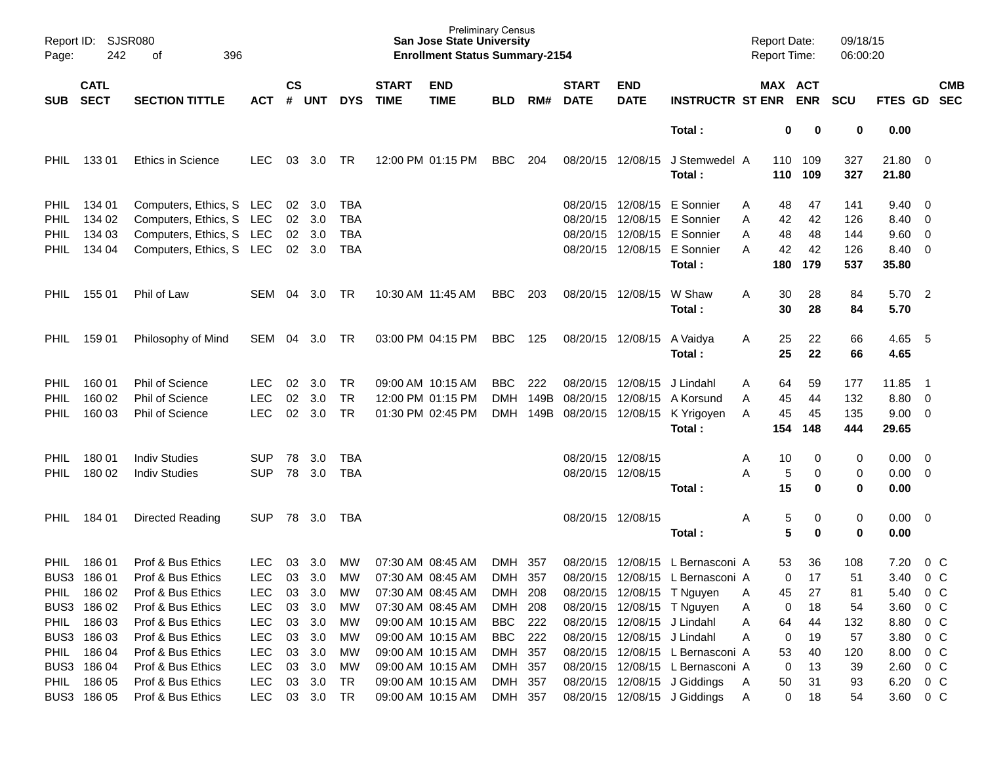| Page:       | <b>SJSR080</b><br>Report ID:<br>242<br>396<br>οf |                          |            |                    |            | <b>Preliminary Census</b><br><b>San Jose State University</b><br><b>Enrollment Status Summary-2154</b> |                             |                           |            |      |                             |                             |                                  |            | <b>Report Date:</b><br>09/18/15<br><b>Report Time:</b><br>06:00:20 |                  |                |                          |                          |
|-------------|--------------------------------------------------|--------------------------|------------|--------------------|------------|--------------------------------------------------------------------------------------------------------|-----------------------------|---------------------------|------------|------|-----------------------------|-----------------------------|----------------------------------|------------|--------------------------------------------------------------------|------------------|----------------|--------------------------|--------------------------|
| <b>SUB</b>  | <b>CATL</b><br><b>SECT</b>                       | <b>SECTION TITTLE</b>    | <b>ACT</b> | $\mathsf{cs}$<br># | <b>UNT</b> | <b>DYS</b>                                                                                             | <b>START</b><br><b>TIME</b> | <b>END</b><br><b>TIME</b> | <b>BLD</b> | RM#  | <b>START</b><br><b>DATE</b> | <b>END</b><br><b>DATE</b>   | <b>INSTRUCTR ST ENR</b>          |            | MAX ACT<br><b>ENR</b>                                              | <b>SCU</b>       | FTES GD        |                          | <b>CMB</b><br><b>SEC</b> |
|             |                                                  |                          |            |                    |            |                                                                                                        |                             |                           |            |      |                             |                             | Total:                           |            | 0                                                                  | 0<br>0           | 0.00           |                          |                          |
| <b>PHIL</b> | 13301                                            | <b>Ethics in Science</b> | <b>LEC</b> | 03                 | 3.0        | TR                                                                                                     |                             | 12:00 PM 01:15 PM         | <b>BBC</b> | 204  | 08/20/15                    | 12/08/15                    | J Stemwedel A<br>Total :         | 110<br>110 | 109<br>109                                                         | 327<br>327       | 21.80<br>21.80 | $\overline{\mathbf{0}}$  |                          |
| PHIL        | 134 01                                           | Computers, Ethics, S LEC |            | 02                 | 3.0        | <b>TBA</b>                                                                                             |                             |                           |            |      | 08/20/15                    | 12/08/15                    | E Sonnier                        | Α          | 48<br>47                                                           | 141              | 9.40           | - 0                      |                          |
| PHIL        | 134 02                                           | Computers, Ethics, S LEC |            | 02                 | 3.0        | <b>TBA</b>                                                                                             |                             |                           |            |      | 08/20/15                    |                             | 12/08/15 E Sonnier               | Α          | 42<br>42                                                           | 126              | 8.40           | - 0                      |                          |
| PHIL        | 134 03                                           | Computers, Ethics, S LEC |            | 02                 | 3.0        | <b>TBA</b>                                                                                             |                             |                           |            |      | 08/20/15                    |                             | 12/08/15 E Sonnier               | Α          | 48<br>48                                                           | 144              | 9.60           | 0                        |                          |
| <b>PHIL</b> | 134 04                                           | Computers, Ethics, S LEC |            | 02                 | 3.0        | <b>TBA</b>                                                                                             |                             |                           |            |      | 08/20/15                    | 12/08/15                    | E Sonnier                        | A          | 42<br>42                                                           | 126              | 8.40           | $\overline{\mathbf{0}}$  |                          |
|             |                                                  |                          |            |                    |            |                                                                                                        |                             |                           |            |      |                             |                             | Total :                          | 180        | 179                                                                | 537              | 35.80          |                          |                          |
| <b>PHIL</b> | 155 01                                           | Phil of Law              | SEM        | 04                 | 3.0        | TR                                                                                                     |                             | 10:30 AM 11:45 AM         | <b>BBC</b> | 203  |                             | 08/20/15 12/08/15           | W Shaw<br>Total :                | Α          | 28<br>30<br>30<br>28                                               | 84<br>84         | 5.70<br>5.70   | $\overline{2}$           |                          |
| <b>PHIL</b> | 159 01                                           | Philosophy of Mind       | SEM        | 04                 | 3.0        | TR                                                                                                     |                             | 03:00 PM 04:15 PM         | <b>BBC</b> | 125  |                             | 08/20/15 12/08/15           | A Vaidya<br>Total:               | Α          | 22<br>25<br>25<br>22                                               | 66<br>66         | 4.65 5<br>4.65 |                          |                          |
| PHIL        | 160 01                                           | <b>Phil of Science</b>   | <b>LEC</b> | 02                 | 3.0        | <b>TR</b>                                                                                              |                             | 09:00 AM 10:15 AM         | <b>BBC</b> | 222  | 08/20/15                    | 12/08/15                    | J Lindahl                        | Α          | 64<br>59                                                           | 177              | 11.85          | -1                       |                          |
| PHIL        | 160 02                                           | Phil of Science          | <b>LEC</b> | 02                 | 3.0        | <b>TR</b>                                                                                              |                             | 12:00 PM 01:15 PM         | <b>DMH</b> | 149B | 08/20/15                    | 12/08/15                    | A Korsund                        | Α          | 45<br>44                                                           | 132              | 8.80           | $\overline{\mathbf{0}}$  |                          |
| <b>PHIL</b> | 160 03                                           | Phil of Science          | <b>LEC</b> | 02                 | 3.0        | <b>TR</b>                                                                                              |                             | 01:30 PM 02:45 PM         | DMH        | 149B | 08/20/15                    | 12/08/15                    | K Yrigoyen                       | A          | 45<br>45                                                           | 135              | 9.00           | $\overline{\mathbf{0}}$  |                          |
|             |                                                  |                          |            |                    |            |                                                                                                        |                             |                           |            |      |                             |                             | Total:                           | 154        | 148                                                                | 444              | 29.65          |                          |                          |
| PHIL        | 180 01                                           | <b>Indiv Studies</b>     | SUP        | 78                 | 3.0        | TBA                                                                                                    |                             |                           |            |      |                             | 08/20/15 12/08/15           |                                  | Α          | 10                                                                 | 0<br>0           | 0.00           | $\overline{\mathbf{0}}$  |                          |
| <b>PHIL</b> | 180 02                                           | <b>Indiv Studies</b>     | <b>SUP</b> | 78                 | 3.0        | <b>TBA</b>                                                                                             |                             |                           |            |      |                             | 08/20/15 12/08/15           |                                  | Α          | 5                                                                  | 0<br>0           | 0.00           | $\overline{\phantom{0}}$ |                          |
|             |                                                  |                          |            |                    |            |                                                                                                        |                             |                           |            |      |                             |                             | Total:                           |            | 15                                                                 | 0<br>0           | 0.00           |                          |                          |
| PHIL        | 184 01                                           | Directed Reading         | <b>SUP</b> | 78                 | 3.0        | TBA                                                                                                    |                             |                           |            |      |                             | 08/20/15 12/08/15           | Total:                           | Α          | 5<br>5                                                             | 0<br>0<br>0<br>0 | 0.00<br>0.00   | $\overline{\phantom{0}}$ |                          |
|             |                                                  |                          |            |                    |            |                                                                                                        |                             |                           |            |      |                             |                             |                                  |            |                                                                    |                  |                |                          |                          |
| <b>PHIL</b> | 186 01                                           | Prof & Bus Ethics        | <b>LEC</b> | 03                 | 3.0        | MW                                                                                                     |                             | 07:30 AM 08:45 AM         | DMH 357    |      |                             |                             | 08/20/15 12/08/15 L Bernasconi A |            | 36<br>53                                                           | 108              | 7.20           | $0\,$ C                  |                          |
|             | BUS3 186 01                                      | Prof & Bus Ethics        | <b>LEC</b> |                    |            | 03 3.0 MW                                                                                              |                             | 07:30 AM 08:45 AM         | DMH 357    |      |                             |                             | 08/20/15 12/08/15 L Bernasconi A |            | $\overline{0}$<br>17                                               | 51               | 3.40           | 0 <sup>o</sup>           |                          |
|             | PHIL 186 02                                      | Prof & Bus Ethics        | <b>LEC</b> | 03                 | 3.0        | МW                                                                                                     | 07:30 AM 08:45 AM           |                           | DMH 208    |      |                             |                             | 08/20/15 12/08/15 T Nguyen       | Α          | 27<br>45                                                           | 81               | 5.40           | $0\,$ C                  |                          |
|             | BUS3 186 02                                      | Prof & Bus Ethics        | <b>LEC</b> | 03                 | 3.0        | МW                                                                                                     |                             | 07:30 AM 08:45 AM         | DMH 208    |      |                             |                             | 08/20/15 12/08/15 T Nguyen       | Α          | 18<br>0                                                            | 54               | 3.60           | $0\,C$                   |                          |
| <b>PHIL</b> | 186 03                                           | Prof & Bus Ethics        | LEC        | 03                 | 3.0        | МW                                                                                                     |                             | 09:00 AM 10:15 AM         | BBC 222    |      |                             | 08/20/15 12/08/15 J Lindahl |                                  | Α          | 64<br>44                                                           | 132              | 8.80           | 0 <sup>o</sup>           |                          |
|             | BUS3 186 03                                      | Prof & Bus Ethics        | <b>LEC</b> | 03                 | 3.0        | МW                                                                                                     |                             | 09:00 AM 10:15 AM         | BBC 222    |      |                             | 08/20/15 12/08/15 J Lindahl |                                  | Α          | 0<br>19                                                            | 57               | 3.80           | 0 <sup>o</sup>           |                          |
| <b>PHIL</b> | 186 04                                           | Prof & Bus Ethics        | <b>LEC</b> | 03                 | 3.0        | МW                                                                                                     |                             | 09:00 AM 10:15 AM         | DMH 357    |      |                             |                             | 08/20/15 12/08/15 L Bernasconi A |            | 53<br>40                                                           | 120              | 8.00           | 0 <sup>o</sup>           |                          |
|             | BUS3 186 04                                      | Prof & Bus Ethics        | LEC        | 03                 | 3.0        | МW                                                                                                     | 09:00 AM 10:15 AM           |                           | DMH 357    |      |                             |                             | 08/20/15 12/08/15 L Bernasconi A |            | 0<br>13                                                            | 39               | 2.60           | 0 <sup>o</sup>           |                          |
| <b>PHIL</b> | 186 05                                           | Prof & Bus Ethics        | <b>LEC</b> | 03                 | 3.0        | TR                                                                                                     |                             | 09:00 AM 10:15 AM         | DMH 357    |      |                             |                             | 08/20/15 12/08/15 J Giddings     | A          | 50<br>31                                                           | 93               | 6.20           | $0\,$ C                  |                          |
|             | BUS3 186 05                                      | Prof & Bus Ethics        | <b>LEC</b> |                    | 03 3.0     | TR                                                                                                     |                             | 09:00 AM 10:15 AM         | DMH 357    |      |                             |                             | 08/20/15 12/08/15 J Giddings     | A          | $\mathbf 0$<br>18                                                  | 54               | 3.60           | $0\,C$                   |                          |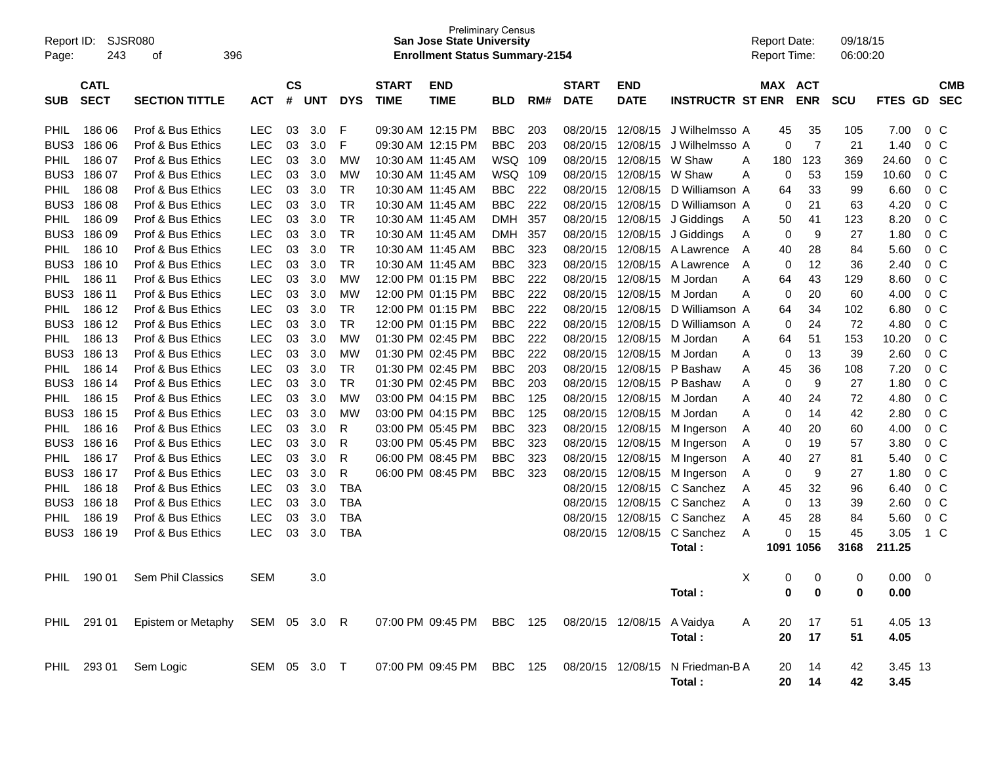| <b>Preliminary Census</b><br>SJSR080<br>Report ID:<br><b>San Jose State University</b><br>396<br>243<br><b>Enrollment Status Summary-2154</b><br>Page:<br>оf |                            |                                 |                              |                    |            |            |                             |                           |            |     |                             | <b>Report Date:</b><br><b>Report Time:</b> |                                  | 09/18/15<br>06:00:20 |                |                         |             |             |                |                          |
|--------------------------------------------------------------------------------------------------------------------------------------------------------------|----------------------------|---------------------------------|------------------------------|--------------------|------------|------------|-----------------------------|---------------------------|------------|-----|-----------------------------|--------------------------------------------|----------------------------------|----------------------|----------------|-------------------------|-------------|-------------|----------------|--------------------------|
| <b>SUB</b>                                                                                                                                                   | <b>CATL</b><br><b>SECT</b> | <b>SECTION TITTLE</b>           | <b>ACT</b>                   | $\mathsf{cs}$<br># | <b>UNT</b> | <b>DYS</b> | <b>START</b><br><b>TIME</b> | <b>END</b><br><b>TIME</b> | <b>BLD</b> | RM# | <b>START</b><br><b>DATE</b> | <b>END</b><br><b>DATE</b>                  | <b>INSTRUCTR ST ENR</b>          |                      | MAX ACT        | <b>ENR</b>              | <b>SCU</b>  | FTES GD     |                | <b>CMB</b><br><b>SEC</b> |
| <b>PHIL</b>                                                                                                                                                  | 186 06                     | Prof & Bus Ethics               | <b>LEC</b>                   | 03                 | 3.0        | F          | 09:30 AM 12:15 PM           |                           | <b>BBC</b> | 203 | 08/20/15                    | 12/08/15                                   | J Wilhelmsso A                   |                      | 45             | 35                      | 105         | 7.00        | 0 <sup>o</sup> |                          |
| BUS <sub>3</sub>                                                                                                                                             | 186 06                     | Prof & Bus Ethics               | LEC                          | 03                 | 3.0        | F          | 09:30 AM 12:15 PM           |                           | <b>BBC</b> | 203 | 08/20/15                    | 12/08/15                                   | J Wilhelmsso A                   |                      | 0              | 7                       | 21          | 1.40        | 0 <sup>o</sup> |                          |
| <b>PHIL</b>                                                                                                                                                  | 186 07                     | Prof & Bus Ethics               | <b>LEC</b>                   | 03                 | 3.0        | <b>MW</b>  | 10:30 AM 11:45 AM           |                           | WSQ        | 109 | 08/20/15                    | 12/08/15                                   | W Shaw                           | Α                    | 180            | 123                     | 369         | 24.60       | 0 <sup>o</sup> |                          |
| BUS3                                                                                                                                                         | 186 07                     | Prof & Bus Ethics               | <b>LEC</b>                   | 03                 | 3.0        | <b>MW</b>  | 10:30 AM 11:45 AM           |                           | WSQ        | 109 | 08/20/15                    | 12/08/15                                   | W Shaw                           | A                    | 0              | 53                      | 159         | 10.60       | 0 <sup>o</sup> |                          |
| PHIL                                                                                                                                                         | 186 08                     | Prof & Bus Ethics               | <b>LEC</b>                   | 03                 | 3.0        | <b>TR</b>  | 10:30 AM 11:45 AM           |                           | <b>BBC</b> | 222 | 08/20/15                    | 12/08/15                                   | D Williamson A                   |                      | 64             | 33                      | 99          | 6.60        | 0 <sup>o</sup> |                          |
| BUS3                                                                                                                                                         | 186 08                     | Prof & Bus Ethics               | <b>LEC</b>                   | 03                 | 3.0        | <b>TR</b>  | 10:30 AM 11:45 AM           |                           | <b>BBC</b> | 222 | 08/20/15                    | 12/08/15                                   | D Williamson A                   |                      | 0              | 21                      | 63          | 4.20        | 0 <sup>o</sup> |                          |
| PHIL                                                                                                                                                         | 186 09                     | Prof & Bus Ethics               | <b>LEC</b>                   | 03                 | 3.0        | <b>TR</b>  | 10:30 AM 11:45 AM           |                           | <b>DMH</b> | 357 | 08/20/15                    | 12/08/15                                   | J Giddings                       | A                    | 50             | 41                      | 123         | 8.20        | 0 <sup>o</sup> |                          |
| BUS3                                                                                                                                                         | 186 09                     | Prof & Bus Ethics               | <b>LEC</b>                   | 03                 | 3.0        | <b>TR</b>  | 10:30 AM 11:45 AM           |                           | <b>DMH</b> | 357 | 08/20/15                    | 12/08/15                                   | J Giddings                       | Α                    | 0              | 9                       | 27          | 1.80        | 0 <sup>o</sup> |                          |
| PHIL                                                                                                                                                         | 186 10                     | Prof & Bus Ethics               | <b>LEC</b>                   | 03                 | 3.0        | <b>TR</b>  | 10:30 AM 11:45 AM           |                           | <b>BBC</b> | 323 | 08/20/15                    | 12/08/15                                   | A Lawrence                       | A                    | 40             | 28                      | 84          | 5.60        | 0 <sup>o</sup> |                          |
| BUS <sub>3</sub>                                                                                                                                             | 186 10                     | Prof & Bus Ethics               | <b>LEC</b>                   | 03                 | 3.0        | <b>TR</b>  | 10:30 AM 11:45 AM           |                           | <b>BBC</b> | 323 | 08/20/15                    | 12/08/15                                   | A Lawrence                       | A                    | 0              | 12                      | 36          | 2.40        | 0 <sup>o</sup> |                          |
| <b>PHIL</b>                                                                                                                                                  | 186 11                     | Prof & Bus Ethics               | <b>LEC</b>                   | 03                 | 3.0        | <b>MW</b>  |                             | 12:00 PM 01:15 PM         | <b>BBC</b> | 222 | 08/20/15                    | 12/08/15                                   | M Jordan                         | Α                    | 64             | 43                      | 129         | 8.60        | 0 <sup>o</sup> |                          |
| BUS3                                                                                                                                                         | 186 11                     | Prof & Bus Ethics               | <b>LEC</b>                   | 03                 | 3.0        | <b>MW</b>  |                             | 12:00 PM 01:15 PM         | <b>BBC</b> | 222 | 08/20/15                    | 12/08/15                                   | M Jordan                         | Α                    | 0              | 20                      | 60          | 4.00        | 0 <sup>o</sup> |                          |
| PHIL                                                                                                                                                         | 186 12                     | Prof & Bus Ethics               | LEC                          | 03                 | 3.0        | <b>TR</b>  |                             | 12:00 PM 01:15 PM         | <b>BBC</b> | 222 | 08/20/15                    | 12/08/15                                   | D Williamson A                   |                      | 64             | 34                      | 102         | 6.80        | 0 <sup>o</sup> |                          |
| BUS <sub>3</sub>                                                                                                                                             | 186 12                     | Prof & Bus Ethics               | <b>LEC</b>                   | 03                 | 3.0        | <b>TR</b>  |                             | 12:00 PM 01:15 PM         | <b>BBC</b> | 222 | 08/20/15                    | 12/08/15                                   | D Williamson A                   |                      | 0              | 24                      | 72          | 4.80        | 0 <sup>o</sup> |                          |
| <b>PHIL</b>                                                                                                                                                  | 186 13                     | Prof & Bus Ethics               | <b>LEC</b>                   | 03                 | 3.0        | <b>MW</b>  | 01:30 PM 02:45 PM           |                           | <b>BBC</b> | 222 | 08/20/15                    | 12/08/15                                   | M Jordan                         | A                    | 64             | 51                      | 153         | 10.20       | 0 <sup>o</sup> |                          |
| BUS3                                                                                                                                                         | 186 13                     | Prof & Bus Ethics               | <b>LEC</b>                   | 03                 | 3.0        | <b>MW</b>  | 01:30 PM 02:45 PM           |                           | <b>BBC</b> | 222 | 08/20/15                    | 12/08/15                                   | M Jordan                         | A                    | 0              | 13                      | 39          | 2.60        | 0 <sup>o</sup> |                          |
| PHIL                                                                                                                                                         | 186 14                     | Prof & Bus Ethics               | LEC                          | 03                 | 3.0        | <b>TR</b>  | 01:30 PM 02:45 PM           |                           | <b>BBC</b> | 203 | 08/20/15                    | 12/08/15                                   | P Bashaw                         | A                    | 45             | 36                      | 108         | 7.20        | 0 <sup>o</sup> |                          |
| BUS <sub>3</sub>                                                                                                                                             | 186 14                     | Prof & Bus Ethics               | <b>LEC</b>                   | 03                 | 3.0        | <b>TR</b>  | 01:30 PM 02:45 PM           |                           | <b>BBC</b> | 203 | 08/20/15                    | 12/08/15                                   | P Bashaw                         | A                    | 0              | 9                       | 27          | 1.80        | 0 <sup>o</sup> |                          |
| PHIL                                                                                                                                                         | 186 15                     | Prof & Bus Ethics               | <b>LEC</b>                   | 03                 | 3.0        | <b>MW</b>  | 03:00 PM 04:15 PM           |                           | <b>BBC</b> | 125 | 08/20/15                    | 12/08/15                                   | M Jordan                         | A                    | 40             | 24                      | 72          | 4.80        | 0 <sup>o</sup> |                          |
| BUS3                                                                                                                                                         | 186 15                     | Prof & Bus Ethics               | <b>LEC</b>                   | 03                 | 3.0        | <b>MW</b>  | 03:00 PM 04:15 PM           |                           | <b>BBC</b> | 125 | 08/20/15                    | 12/08/15                                   | M Jordan                         | Α                    | 0              | 14                      | 42          | 2.80        | 0 <sup>o</sup> |                          |
| PHIL                                                                                                                                                         | 186 16                     | Prof & Bus Ethics               | LEC                          | 03                 | 3.0        | R          | 03:00 PM 05:45 PM           |                           | <b>BBC</b> | 323 | 08/20/15                    | 12/08/15                                   | M Ingerson                       | A                    | 40             | 20                      | 60          | 4.00        | 0 <sup>o</sup> |                          |
| BUS3                                                                                                                                                         | 186 16                     | Prof & Bus Ethics               | <b>LEC</b>                   | 03                 | 3.0        | R          | 03:00 PM 05:45 PM           |                           | <b>BBC</b> | 323 | 08/20/15                    | 12/08/15                                   | M Ingerson                       | A                    | 0              | 19                      | 57          | 3.80        | 0 <sup>o</sup> |                          |
| PHIL                                                                                                                                                         | 186 17                     | Prof & Bus Ethics               | <b>LEC</b>                   | 03                 | 3.0        | R          | 06:00 PM 08:45 PM           |                           | <b>BBC</b> | 323 | 08/20/15                    | 12/08/15                                   | M Ingerson                       | A                    | 40             | 27                      | 81          | 5.40        | 0 <sup>o</sup> |                          |
| BUS3                                                                                                                                                         | 186 17                     | Prof & Bus Ethics               | LEC                          | 03                 | 3.0        | R          | 06:00 PM 08:45 PM           |                           | <b>BBC</b> | 323 | 08/20/15                    | 12/08/15                                   | M Ingerson                       | Α                    | 0              | 9                       | 27          | 1.80        | 0 <sup>o</sup> |                          |
| PHIL                                                                                                                                                         | 186 18                     | Prof & Bus Ethics               | LEC                          | 03                 | 3.0        | <b>TBA</b> |                             |                           |            |     | 08/20/15                    | 12/08/15                                   | C Sanchez                        | A                    | 45             | 32                      | 96          | 6.40        | 0 <sup>o</sup> |                          |
| BUS3                                                                                                                                                         | 186 18                     | Prof & Bus Ethics               | <b>LEC</b>                   | 03                 | 3.0        | <b>TBA</b> |                             |                           |            |     | 08/20/15                    | 12/08/15                                   | C Sanchez                        | A                    | 0              | 13                      | 39          | 2.60        | 0 <sup>o</sup> |                          |
| PHIL                                                                                                                                                         | 186 19                     | Prof & Bus Ethics               | <b>LEC</b>                   | 03                 | 3.0        | <b>TBA</b> |                             |                           |            |     | 08/20/15                    | 12/08/15                                   | C Sanchez                        | A                    | 45             | 28                      | 84          | 5.60        | 0 <sup>o</sup> |                          |
| BUS3                                                                                                                                                         | 186 19                     | Prof & Bus Ethics               | <b>LEC</b>                   | 03                 | 3.0        | <b>TBA</b> |                             |                           |            |     | 08/20/15                    | 12/08/15                                   | C Sanchez                        | A                    | 0              | 15                      | 45          | 3.05        | $1\,C$         |                          |
|                                                                                                                                                              |                            |                                 |                              |                    |            |            |                             |                           |            |     |                             |                                            | Total:                           |                      | 1091 1056      |                         | 3168        | 211.25      |                |                          |
|                                                                                                                                                              |                            | PHIL 190 01 Sem Phil Classics   | $\sim$ $ \sim$ $\sim$<br>SEM |                    | 3.0        |            |                             |                           |            |     |                             |                                            |                                  | $\mathsf{X}$         | $\overline{0}$ | $\overline{\mathbf{0}}$ | $\mathbf 0$ | $0.00 \t 0$ |                |                          |
|                                                                                                                                                              |                            |                                 |                              |                    |            |            |                             |                           |            |     |                             |                                            | Total:                           |                      | 0              | 0                       | 0           | 0.00        |                |                          |
|                                                                                                                                                              | PHIL 291 01                | Epistem or Metaphy SEM 05 3.0 R |                              |                    |            |            |                             | 07:00 PM 09:45 PM BBC 125 |            |     |                             | 08/20/15 12/08/15 A Vaidya                 |                                  | A                    | 20             | 17                      | 51          | 4.05 13     |                |                          |
|                                                                                                                                                              |                            |                                 |                              |                    |            |            |                             |                           |            |     |                             |                                            | Total:                           |                      | 20             | 17                      | 51          | 4.05        |                |                          |
|                                                                                                                                                              | PHIL 293 01                | Sem Logic                       | SEM 05 3.0 T                 |                    |            |            |                             | 07:00 PM 09:45 PM BBC 125 |            |     |                             |                                            | 08/20/15 12/08/15 N Friedman-B A |                      | 20             | 14                      | 42          | 3.45 13     |                |                          |
|                                                                                                                                                              |                            |                                 |                              |                    |            |            |                             |                           |            |     |                             |                                            | Total:                           |                      | 20             | 14                      | 42          | 3.45        |                |                          |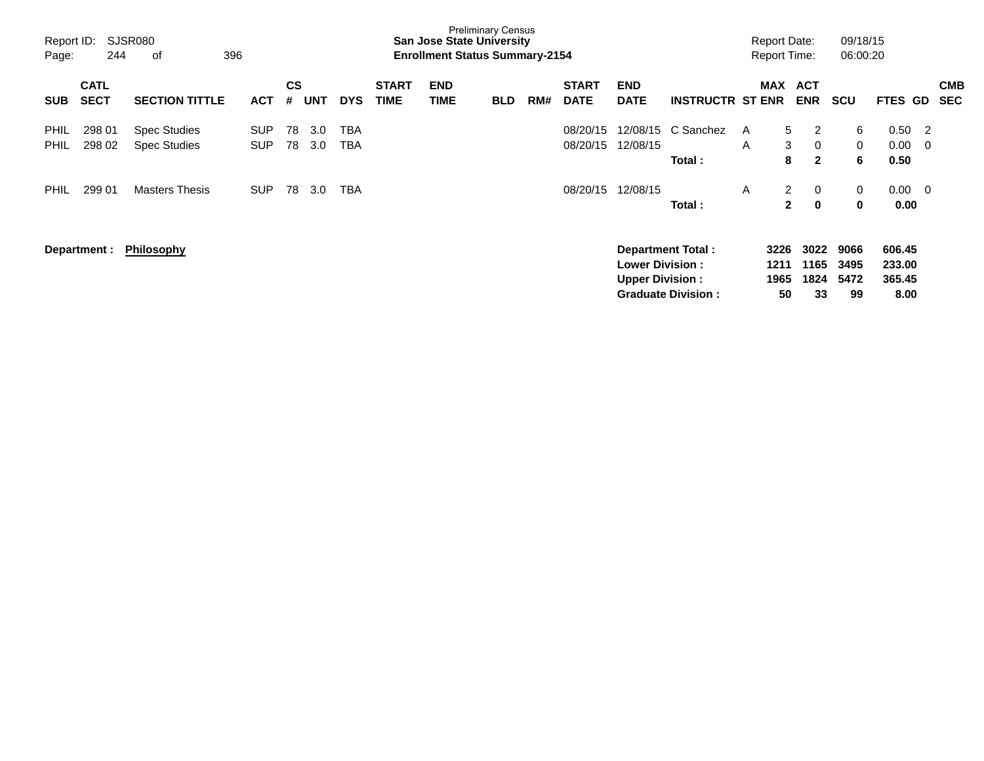| SJSR080<br>Report ID:<br>396<br>244<br>of<br>Page: |                            |                                            |                          |                | <b>Preliminary Census</b><br><b>San Jose State University</b><br><b>Enrollment Status Summary-2154</b> |                   |                             |                           |            |     |                             |                                                  |                                                       | <b>Report Date:</b><br><b>Report Time:</b> | 09/18/15<br>06:00:20           |                            |               |                                    |                    |                          |
|----------------------------------------------------|----------------------------|--------------------------------------------|--------------------------|----------------|--------------------------------------------------------------------------------------------------------|-------------------|-----------------------------|---------------------------|------------|-----|-----------------------------|--------------------------------------------------|-------------------------------------------------------|--------------------------------------------|--------------------------------|----------------------------|---------------|------------------------------------|--------------------|--------------------------|
| <b>SUB</b>                                         | <b>CATL</b><br><b>SECT</b> | <b>SECTION TITTLE</b>                      | <b>ACT</b>               | <b>CS</b><br># | <b>UNT</b>                                                                                             | <b>DYS</b>        | <b>START</b><br><b>TIME</b> | <b>END</b><br><b>TIME</b> | <b>BLD</b> | RM# | <b>START</b><br><b>DATE</b> | <b>END</b><br><b>DATE</b>                        | <b>INSTRUCTR ST ENR</b>                               |                                            | MAX ACT<br><b>ENR</b>          | <b>SCU</b>                 |               | FTES GD                            |                    | <b>CMB</b><br><b>SEC</b> |
| <b>PHIL</b><br><b>PHIL</b>                         | 298 01<br>298 02           | <b>Spec Studies</b><br><b>Spec Studies</b> | <b>SUP</b><br><b>SUP</b> | 78<br>78       | 3.0<br>3.0                                                                                             | <b>TBA</b><br>TBA |                             |                           |            |     | 08/20/15<br>08/20/15        | 12/08/15<br>12/08/15                             | C Sanchez<br>Total:                                   | A<br>A                                     | 5<br>3<br>8                    | 2<br>0<br>$\mathbf{2}$     | 6<br>0<br>6   | 0.50<br>0.00<br>0.50               | - 2<br>$\mathbf 0$ |                          |
| <b>PHIL</b>                                        | 299 01                     | <b>Masters Thesis</b>                      | <b>SUP</b>               | 78             | 3.0                                                                                                    | TBA               |                             |                           |            |     | 08/20/15                    | 12/08/15                                         | Total:                                                | A                                          | $\overline{2}$<br>$\mathbf{2}$ | $\mathbf 0$<br>$\bf{0}$    | 0<br>$\bf{0}$ | 0.00<br>0.00                       | - 0                |                          |
|                                                    | Department :               | <b>Philosophy</b>                          |                          |                |                                                                                                        |                   |                             |                           |            |     |                             | <b>Lower Division:</b><br><b>Upper Division:</b> | <b>Department Total:</b><br><b>Graduate Division:</b> | 3226<br>1211<br>1965                       | 3022<br>1165<br>1824<br>50     | 9066<br>3495<br>5472<br>33 | 99            | 606.45<br>233.00<br>365.45<br>8.00 |                    |                          |